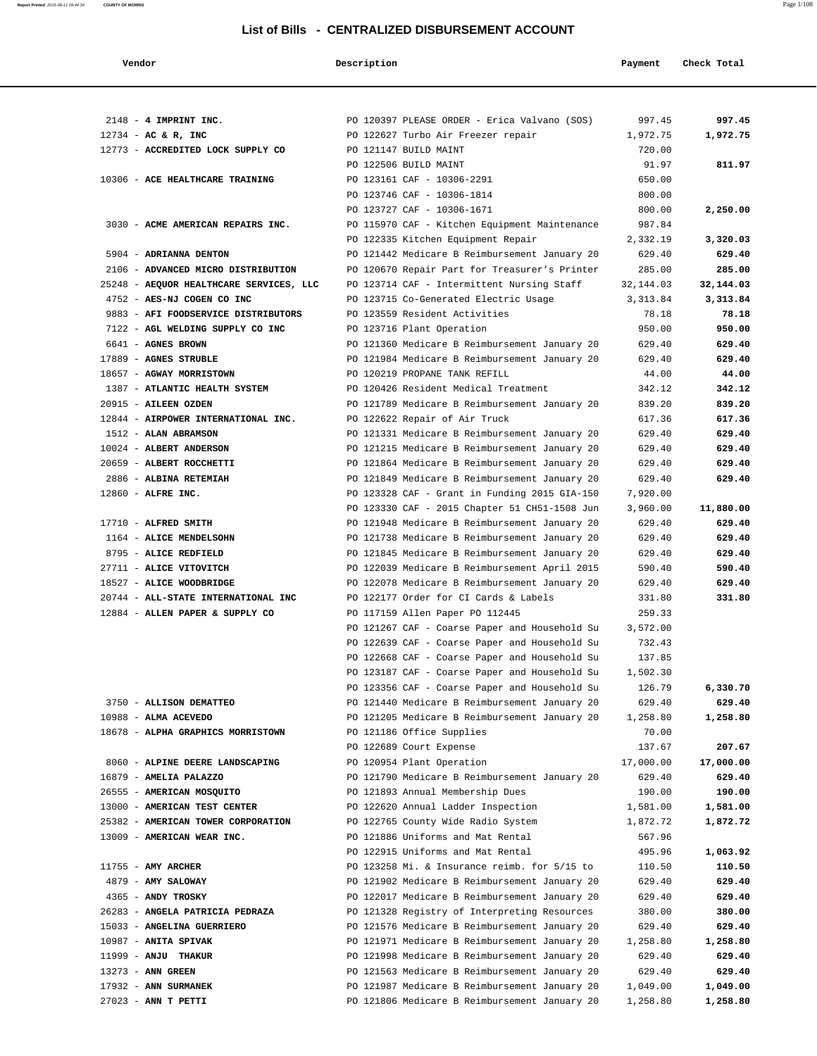| Vendor                                                                 | Description |                                                                                  | Payment              | Check Total          |
|------------------------------------------------------------------------|-------------|----------------------------------------------------------------------------------|----------------------|----------------------|
|                                                                        |             |                                                                                  |                      |                      |
| 2148 - 4 IMPRINT INC.                                                  |             | PO 120397 PLEASE ORDER - Erica Valvano (SOS)                                     | 997.45               | 997.45               |
| $12734 - AC & R$ , INC                                                 |             | PO 122627 Turbo Air Freezer repair                                               | 1,972.75             | 1,972.75             |
| 12773 - ACCREDITED LOCK SUPPLY CO                                      |             | PO 121147 BUILD MAINT                                                            | 720.00               |                      |
|                                                                        |             | PO 122506 BUILD MAINT                                                            | 91.97                | 811.97               |
| 10306 - ACE HEALTHCARE TRAINING                                        |             | PO 123161 CAF - 10306-2291<br>PO 123746 CAF - 10306-1814                         | 650.00<br>800.00     |                      |
|                                                                        |             | PO 123727 CAF - 10306-1671                                                       | 800.00               | 2,250.00             |
| 3030 - ACME AMERICAN REPAIRS INC.                                      |             | PO 115970 CAF - Kitchen Equipment Maintenance                                    | 987.84               |                      |
|                                                                        |             | PO 122335 Kitchen Equipment Repair                                               | 2,332.19             | 3,320.03             |
| 5904 - ADRIANNA DENTON                                                 |             | PO 121442 Medicare B Reimbursement January 20                                    | 629.40               | 629.40               |
| 2106 - ADVANCED MICRO DISTRIBUTION                                     |             | PO 120670 Repair Part for Treasurer's Printer                                    | 285.00               | 285.00               |
| 25248 - AEQUOR HEALTHCARE SERVICES, LLC                                |             | PO 123714 CAF - Intermittent Nursing Staff                                       | 32, 144.03           | 32,144.03            |
| 4752 - AES-NJ COGEN CO INC                                             |             | PO 123715 Co-Generated Electric Usage                                            | 3, 313.84            | 3,313.84             |
| 9883 - AFI FOODSERVICE DISTRIBUTORS                                    |             | PO 123559 Resident Activities                                                    | 78.18                | 78.18                |
| 7122 - AGL WELDING SUPPLY CO INC                                       |             | PO 123716 Plant Operation                                                        | 950.00               | 950.00               |
| 6641 - AGNES BROWN                                                     |             | PO 121360 Medicare B Reimbursement January 20                                    | 629.40               | 629.40               |
| 17889 - AGNES STRUBLE                                                  |             | PO 121984 Medicare B Reimbursement January 20<br>PO 120219 PROPANE TANK REFILL   | 629.40               | 629.40               |
| 18657 - AGWAY MORRISTOWN<br>1387 - ATLANTIC HEALTH SYSTEM              |             | PO 120426 Resident Medical Treatment                                             | 44.00<br>342.12      | 44.00<br>342.12      |
| 20915 - AILEEN OZDEN                                                   |             | PO 121789 Medicare B Reimbursement January 20                                    | 839.20               | 839.20               |
| 12844 - AIRPOWER INTERNATIONAL INC.                                    |             | PO 122622 Repair of Air Truck                                                    | 617.36               | 617.36               |
| 1512 - ALAN ABRAMSON                                                   |             | PO 121331 Medicare B Reimbursement January 20                                    | 629.40               | 629.40               |
| 10024 - ALBERT ANDERSON                                                |             | PO 121215 Medicare B Reimbursement January 20                                    | 629.40               | 629.40               |
| 20659 - ALBERT ROCCHETTI                                               |             | PO 121864 Medicare B Reimbursement January 20                                    | 629.40               | 629.40               |
| 2886 - ALBINA RETEMIAH                                                 |             | PO 121849 Medicare B Reimbursement January 20                                    | 629.40               | 629.40               |
| 12860 - ALFRE INC.                                                     |             | PO 123328 CAF - Grant in Funding 2015 GIA-150                                    | 7,920.00             |                      |
|                                                                        |             | PO 123330 CAF - 2015 Chapter 51 CH51-1508 Jun                                    | 3,960.00             | 11,880.00            |
| 17710 - ALFRED SMITH                                                   |             | PO 121948 Medicare B Reimbursement January 20                                    | 629.40               | 629.40               |
| 1164 - ALICE MENDELSOHN                                                |             | PO 121738 Medicare B Reimbursement January 20                                    | 629.40               | 629.40               |
| 8795 - ALICE REDFIELD                                                  |             | PO 121845 Medicare B Reimbursement January 20                                    | 629.40               | 629.40               |
| 27711 - ALICE VITOVITCH                                                |             | PO 122039 Medicare B Reimbursement April 2015                                    | 590.40               | 590.40               |
| 18527 - ALICE WOODBRIDGE                                               |             | PO 122078 Medicare B Reimbursement January 20                                    | 629.40               | 629.40               |
| 20744 - ALL-STATE INTERNATIONAL INC<br>12884 - ALLEN PAPER & SUPPLY CO |             | PO 122177 Order for CI Cards & Labels                                            | 331.80<br>259.33     | 331.80               |
|                                                                        |             | PO 117159 Allen Paper PO 112445<br>PO 121267 CAF - Coarse Paper and Household Su | 3,572.00             |                      |
|                                                                        |             | PO 122639 CAF - Coarse Paper and Household Su                                    | 732.43               |                      |
|                                                                        |             | PO 122668 CAF - Coarse Paper and Household Su                                    | 137.85               |                      |
|                                                                        |             | PO 123187 CAF - Coarse Paper and Household Su                                    | 1,502.30             |                      |
|                                                                        |             | PO 123356 CAF - Coarse Paper and Household Su                                    | 126.79               | 6,330.70             |
| 3750 - ALLISON DEMATTEO                                                |             | PO 121440 Medicare B Reimbursement January 20                                    | 629.40               | 629.40               |
| 10988 - ALMA ACEVEDO                                                   |             | PO 121205 Medicare B Reimbursement January 20                                    | 1,258.80             | 1,258.80             |
| 18678 - ALPHA GRAPHICS MORRISTOWN                                      |             | PO 121186 Office Supplies                                                        | 70.00                |                      |
|                                                                        |             | PO 122689 Court Expense                                                          | 137.67               | 207.67               |
| 8060 - ALPINE DEERE LANDSCAPING                                        |             | PO 120954 Plant Operation                                                        | 17,000.00            | 17,000.00            |
| 16879 - AMELIA PALAZZO                                                 |             | PO 121790 Medicare B Reimbursement January 20                                    | 629.40               | 629.40               |
| 26555 - AMERICAN MOSQUITO                                              |             | PO 121893 Annual Membership Dues                                                 | 190.00               | 190.00               |
| 13000 - AMERICAN TEST CENTER<br>25382 - AMERICAN TOWER CORPORATION     |             | PO 122620 Annual Ladder Inspection<br>PO 122765 County Wide Radio System         | 1,581.00<br>1,872.72 | 1,581.00<br>1,872.72 |
| 13009 - AMERICAN WEAR INC.                                             |             | PO 121886 Uniforms and Mat Rental                                                | 567.96               |                      |
|                                                                        |             | PO 122915 Uniforms and Mat Rental                                                | 495.96               | 1,063.92             |
| $11755$ - AMY ARCHER                                                   |             | PO 123258 Mi. & Insurance reimb. for 5/15 to                                     | 110.50               | 110.50               |
| 4879 - AMY SALOWAY                                                     |             | PO 121902 Medicare B Reimbursement January 20                                    | 629.40               | 629.40               |
| 4365 - ANDY TROSKY                                                     |             | PO 122017 Medicare B Reimbursement January 20                                    | 629.40               | 629.40               |
| 26283 - ANGELA PATRICIA PEDRAZA                                        |             | PO 121328 Registry of Interpreting Resources                                     | 380.00               | 380.00               |
| 15033 - ANGELINA GUERRIERO                                             |             | PO 121576 Medicare B Reimbursement January 20                                    | 629.40               | 629.40               |
| 10987 - ANITA SPIVAK                                                   |             | PO 121971 Medicare B Reimbursement January 20                                    | 1,258.80             | 1,258.80             |
| 11999 - ANJU THAKUR                                                    |             | PO 121998 Medicare B Reimbursement January 20                                    | 629.40               | 629.40               |
| 13273 - ANN GREEN                                                      |             | PO 121563 Medicare B Reimbursement January 20                                    | 629.40               | 629.40               |
| 17932 - ANN SURMANEK                                                   |             | PO 121987 Medicare B Reimbursement January 20                                    | 1,049.00             | 1,049.00             |
| 27023 - ANN T PETTI                                                    |             | PO 121806 Medicare B Reimbursement January 20                                    | 1,258.80             | 1,258.80             |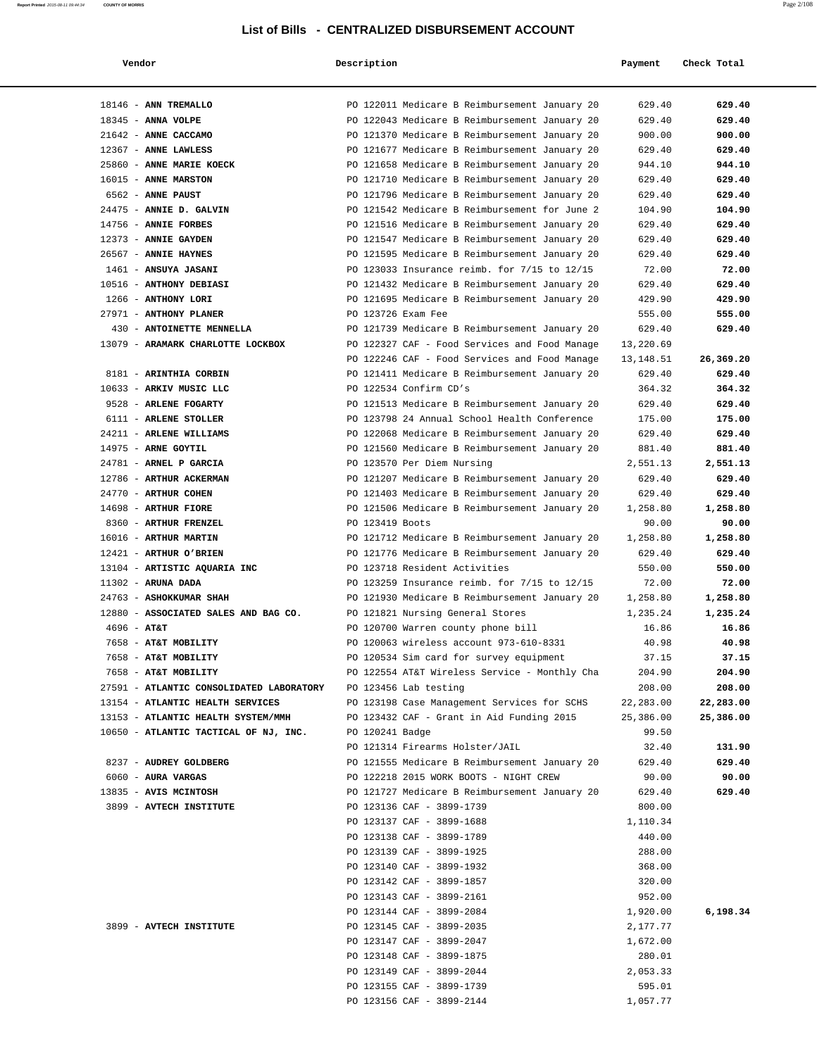| Vendor                                   | Description        |                                               | Payment   | Check Total |
|------------------------------------------|--------------------|-----------------------------------------------|-----------|-------------|
| 18146 - ANN TREMALLO                     |                    | PO 122011 Medicare B Reimbursement January 20 | 629.40    | 629.40      |
| 18345 - ANNA VOLPE                       |                    | PO 122043 Medicare B Reimbursement January 20 | 629.40    | 629.40      |
| 21642 - ANNE CACCAMO                     |                    | PO 121370 Medicare B Reimbursement January 20 | 900.00    | 900.00      |
| 12367 - ANNE LAWLESS                     |                    | PO 121677 Medicare B Reimbursement January 20 | 629.40    | 629.40      |
| 25860 - ANNE MARIE KOECK                 |                    | PO 121658 Medicare B Reimbursement January 20 | 944.10    | 944.10      |
| 16015 - ANNE MARSTON                     |                    | PO 121710 Medicare B Reimbursement January 20 | 629.40    | 629.40      |
| 6562 - ANNE PAUST                        |                    | PO 121796 Medicare B Reimbursement January 20 | 629.40    | 629.40      |
| 24475 - ANNIE D. GALVIN                  |                    | PO 121542 Medicare B Reimbursement for June 2 | 104.90    | 104.90      |
| 14756 - ANNIE FORBES                     |                    | PO 121516 Medicare B Reimbursement January 20 | 629.40    | 629.40      |
| 12373 - ANNIE GAYDEN                     |                    | PO 121547 Medicare B Reimbursement January 20 | 629.40    | 629.40      |
| 26567 - ANNIE HAYNES                     |                    | PO 121595 Medicare B Reimbursement January 20 | 629.40    | 629.40      |
| 1461 - ANSUYA JASANI                     |                    | PO 123033 Insurance reimb. for 7/15 to 12/15  | 72.00     | 72.00       |
| 10516 - ANTHONY DEBIASI                  |                    | PO 121432 Medicare B Reimbursement January 20 | 629.40    | 629.40      |
| 1266 - ANTHONY LORI                      |                    | PO 121695 Medicare B Reimbursement January 20 | 429.90    | 429.90      |
| 27971 - ANTHONY PLANER                   | PO 123726 Exam Fee |                                               | 555.00    | 555.00      |
| 430 - ANTOINETTE MENNELLA                |                    | PO 121739 Medicare B Reimbursement January 20 | 629.40    | 629.40      |
| 13079 - ARAMARK CHARLOTTE LOCKBOX        |                    | PO 122327 CAF - Food Services and Food Manage | 13,220.69 |             |
|                                          |                    | PO 122246 CAF - Food Services and Food Manage | 13,148.51 | 26,369.20   |
| 8181 - ARINTHIA CORBIN                   |                    | PO 121411 Medicare B Reimbursement January 20 | 629.40    | 629.40      |
| 10633 - ARKIV MUSIC LLC                  |                    | PO 122534 Confirm CD's                        | 364.32    | 364.32      |
| 9528 - ARLENE FOGARTY                    |                    | PO 121513 Medicare B Reimbursement January 20 | 629.40    | 629.40      |
| 6111 - ARLENE STOLLER                    |                    | PO 123798 24 Annual School Health Conference  | 175.00    | 175.00      |
| 24211 - ARLENE WILLIAMS                  |                    | PO 122068 Medicare B Reimbursement January 20 | 629.40    | 629.40      |
| 14975 - ARNE GOYTIL                      |                    | PO 121560 Medicare B Reimbursement January 20 | 881.40    | 881.40      |
| 24781 - ARNEL P GARCIA                   |                    | PO 123570 Per Diem Nursing                    | 2,551.13  | 2,551.13    |
| 12786 - ARTHUR ACKERMAN                  |                    | PO 121207 Medicare B Reimbursement January 20 | 629.40    | 629.40      |
| 24770 - ARTHUR COHEN                     |                    | PO 121403 Medicare B Reimbursement January 20 | 629.40    | 629.40      |
| 14698 - ARTHUR FIORE                     |                    | PO 121506 Medicare B Reimbursement January 20 | 1,258.80  | 1,258.80    |
| 8360 - ARTHUR FRENZEL                    | PO 123419 Boots    |                                               | 90.00     | 90.00       |
| 16016 - ARTHUR MARTIN                    |                    | PO 121712 Medicare B Reimbursement January 20 | 1,258.80  | 1,258.80    |
| 12421 - ARTHUR O'BRIEN                   |                    | PO 121776 Medicare B Reimbursement January 20 | 629.40    | 629.40      |
| 13104 - ARTISTIC AQUARIA INC             |                    | PO 123718 Resident Activities                 | 550.00    | 550.00      |
| $11302$ - ARUNA DADA                     |                    | PO 123259 Insurance reimb. for 7/15 to 12/15  | 72.00     | 72.00       |
| 24763 - ASHOKKUMAR SHAH                  |                    | PO 121930 Medicare B Reimbursement January 20 | 1,258.80  | 1,258.80    |
| 12880 - ASSOCIATED SALES AND BAG CO.     |                    | PO 121821 Nursing General Stores              | 1,235.24  | 1,235.24    |
| $4696 - AT&T$                            |                    | PO 120700 Warren county phone bill            | 16.86     | 16.86       |
| 7658 - AT&T MOBILITY                     |                    | PO 120063 wireless account 973-610-8331       | 40.98     | 40.98       |
| 7658 - AT&T MOBILITY                     |                    | PO 120534 Sim card for survey equipment       | 37.15     | 37.15       |
| 7658 - AT&T MOBILITY                     |                    | PO 122554 AT&T Wireless Service - Monthly Cha | 204.90    | 204.90      |
| 27591 - ATLANTIC CONSOLIDATED LABORATORY |                    | PO 123456 Lab testing                         | 208.00    | 208.00      |
| 13154 - ATLANTIC HEALTH SERVICES         |                    | PO 123198 Case Management Services for SCHS   | 22,283.00 | 22,283.00   |
| 13153 - ATLANTIC HEALTH SYSTEM/MMH       |                    | PO 123432 CAF - Grant in Aid Funding 2015     | 25,386.00 | 25,386.00   |
| 10650 - ATLANTIC TACTICAL OF NJ, INC.    | PO 120241 Badge    |                                               | 99.50     |             |
|                                          |                    | PO 121314 Firearms Holster/JAIL               | 32.40     | 131.90      |
| 8237 - AUDREY GOLDBERG                   |                    | PO 121555 Medicare B Reimbursement January 20 | 629.40    | 629.40      |
| 6060 - AURA VARGAS                       |                    | PO 122218 2015 WORK BOOTS - NIGHT CREW        | 90.00     | 90.00       |
| 13835 - AVIS MCINTOSH                    |                    | PO 121727 Medicare B Reimbursement January 20 | 629.40    | 629.40      |
| 3899 - AVTECH INSTITUTE                  |                    | PO 123136 CAF - 3899-1739                     | 800.00    |             |
|                                          |                    | PO 123137 CAF - 3899-1688                     | 1,110.34  |             |
|                                          |                    | PO 123138 CAF - 3899-1789                     | 440.00    |             |
|                                          |                    | PO 123139 CAF - 3899-1925                     | 288.00    |             |
|                                          |                    | PO 123140 CAF - 3899-1932                     | 368.00    |             |
|                                          |                    | PO 123142 CAF - 3899-1857                     | 320.00    |             |
|                                          |                    | PO 123143 CAF - 3899-2161                     | 952.00    |             |
|                                          |                    | PO 123144 CAF - 3899-2084                     | 1,920.00  | 6,198.34    |
| 3899 - AVTECH INSTITUTE                  |                    | PO 123145 CAF - 3899-2035                     | 2,177.77  |             |
|                                          |                    | PO 123147 CAF - 3899-2047                     | 1,672.00  |             |
|                                          |                    | PO 123148 CAF - 3899-1875                     | 280.01    |             |
|                                          |                    | PO 123149 CAF - 3899-2044                     | 2,053.33  |             |
|                                          |                    | PO 123155 CAF - 3899-1739                     | 595.01    |             |
|                                          |                    | PO 123156 CAF - 3899-2144                     | 1,057.77  |             |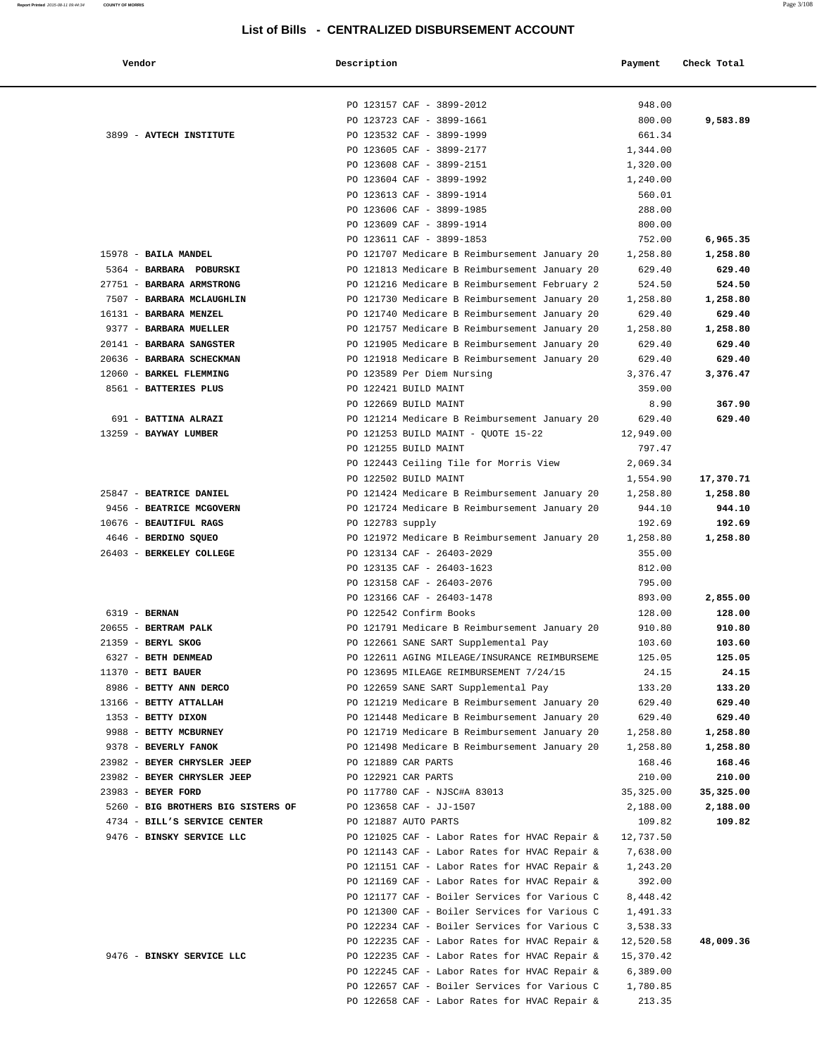| $77$ andam |  |
|------------|--|

| Vendor                                              | Description                                                                                    | Payment               | Check Total        |
|-----------------------------------------------------|------------------------------------------------------------------------------------------------|-----------------------|--------------------|
|                                                     |                                                                                                |                       |                    |
|                                                     | PO 123157 CAF - 3899-2012                                                                      | 948.00                |                    |
|                                                     | PO 123723 CAF - 3899-1661                                                                      | 800.00                | 9,583.89           |
| 3899 - AVTECH INSTITUTE                             | PO 123532 CAF - 3899-1999                                                                      | 661.34                |                    |
|                                                     | PO 123605 CAF - 3899-2177                                                                      | 1,344.00              |                    |
|                                                     | PO 123608 CAF - 3899-2151                                                                      | 1,320.00              |                    |
|                                                     | PO 123604 CAF - 3899-1992                                                                      | 1,240.00              |                    |
|                                                     | PO 123613 CAF - 3899-1914                                                                      | 560.01                |                    |
|                                                     | PO 123606 CAF - 3899-1985                                                                      | 288.00                |                    |
|                                                     | PO 123609 CAF - 3899-1914                                                                      | 800.00                |                    |
|                                                     | PO 123611 CAF - 3899-1853                                                                      | 752.00                | 6,965.35           |
| 15978 - BAILA MANDEL                                | PO 121707 Medicare B Reimbursement January 20                                                  | 1,258.80              | 1,258.80           |
| 5364 - BARBARA POBURSKI                             | PO 121813 Medicare B Reimbursement January 20                                                  | 629.40                | 629.40             |
| 27751 - BARBARA ARMSTRONG                           | PO 121216 Medicare B Reimbursement February 2                                                  | 524.50                | 524.50             |
| 7507 - BARBARA MCLAUGHLIN                           | PO 121730 Medicare B Reimbursement January 20                                                  | 1,258.80              | 1,258.80           |
| 16131 - BARBARA MENZEL                              | PO 121740 Medicare B Reimbursement January 20                                                  | 629.40                | 629.40             |
| 9377 - BARBARA MUELLER                              | PO 121757 Medicare B Reimbursement January 20                                                  | 1,258.80              | 1,258.80           |
| 20141 - BARBARA SANGSTER                            | PO 121905 Medicare B Reimbursement January 20                                                  | 629.40                | 629.40             |
| 20636 - BARBARA SCHECKMAN                           | PO 121918 Medicare B Reimbursement January 20                                                  | 629.40                | 629.40             |
| 12060 - BARKEL FLEMMING                             | PO 123589 Per Diem Nursing                                                                     | 3,376.47              | 3,376.47           |
| 8561 - BATTERIES PLUS                               | PO 122421 BUILD MAINT                                                                          | 359.00                |                    |
|                                                     | PO 122669 BUILD MAINT                                                                          | 8.90                  | 367.90             |
| 691 - BATTINA ALRAZI                                | PO 121214 Medicare B Reimbursement January 20                                                  | 629.40                | 629.40             |
| 13259 - BAYWAY LUMBER                               | PO 121253 BUILD MAINT - QUOTE 15-22                                                            | 12,949.00             |                    |
|                                                     | PO 121255 BUILD MAINT                                                                          | 797.47                |                    |
|                                                     | PO 122443 Ceiling Tile for Morris View                                                         | 2,069.34              |                    |
|                                                     | PO 122502 BUILD MAINT                                                                          | 1,554.90              | 17,370.71          |
| 25847 - BEATRICE DANIEL<br>9456 - BEATRICE MCGOVERN | PO 121424 Medicare B Reimbursement January 20<br>PO 121724 Medicare B Reimbursement January 20 | 1,258.80<br>944.10    | 1,258.80<br>944.10 |
| 10676 - BEAUTIFUL RAGS                              | PO 122783 supply                                                                               | 192.69                | 192.69             |
| 4646 - BERDINO SQUEO                                | PO 121972 Medicare B Reimbursement January 20                                                  | 1,258.80              | 1,258.80           |
| 26403 - BERKELEY COLLEGE                            | PO 123134 CAF - 26403-2029                                                                     | 355.00                |                    |
|                                                     | PO 123135 CAF - 26403-1623                                                                     | 812.00                |                    |
|                                                     | PO 123158 CAF - 26403-2076                                                                     | 795.00                |                    |
|                                                     | PO 123166 CAF - 26403-1478                                                                     | 893.00                | 2,855.00           |
| 6319 - BERNAN                                       | PO 122542 Confirm Books                                                                        | 128.00                | 128.00             |
| 20655 - BERTRAM PALK                                | PO 121791 Medicare B Reimbursement January 20                                                  | 910.80                | 910.80             |
| 21359 - BERYL SKOG                                  | PO 122661 SANE SART Supplemental Pay                                                           | 103.60                | 103.60             |
| 6327 - BETH DENMEAD                                 | PO 122611 AGING MILEAGE/INSURANCE REIMBURSEME                                                  | 125.05                | 125.05             |
| $11370$ - BETI BAUER                                | PO 123695 MILEAGE REIMBURSEMENT 7/24/15                                                        | 24.15                 | 24.15              |
| 8986 - BETTY ANN DERCO                              | PO 122659 SANE SART Supplemental Pay                                                           | 133.20                | 133.20             |
| 13166 - BETTY ATTALLAH                              | PO 121219 Medicare B Reimbursement January 20                                                  | 629.40                | 629.40             |
| 1353 - BETTY DIXON                                  | PO 121448 Medicare B Reimbursement January 20                                                  | 629.40                | 629.40             |
| 9988 - BETTY MCBURNEY                               | PO 121719 Medicare B Reimbursement January 20                                                  | 1,258.80              | 1,258.80           |
| 9378 - BEVERLY FANOK                                | PO 121498 Medicare B Reimbursement January 20                                                  | 1,258.80              | 1,258.80           |
| 23982 - BEYER CHRYSLER JEEP                         | PO 121889 CAR PARTS                                                                            | 168.46                | 168.46             |
| 23982 - BEYER CHRYSLER JEEP                         | PO 122921 CAR PARTS                                                                            | 210.00                | 210.00             |
| 23983 - BEYER FORD                                  | PO 117780 CAF - NJSC#A 83013                                                                   | 35, 325.00            | 35,325.00          |
| 5260 - BIG BROTHERS BIG SISTERS OF                  | PO 123658 CAF - JJ-1507                                                                        | 2,188.00              | 2,188.00           |
| 4734 - BILL'S SERVICE CENTER                        | PO 121887 AUTO PARTS                                                                           | 109.82                | 109.82             |
| 9476 - BINSKY SERVICE LLC                           | PO 121025 CAF - Labor Rates for HVAC Repair &<br>PO 121143 CAF - Labor Rates for HVAC Repair & | 12,737.50<br>7,638.00 |                    |
|                                                     | PO 121151 CAF - Labor Rates for HVAC Repair &                                                  | 1,243.20              |                    |
|                                                     | PO 121169 CAF - Labor Rates for HVAC Repair &                                                  | 392.00                |                    |
|                                                     | PO 121177 CAF - Boiler Services for Various C                                                  | 8,448.42              |                    |
|                                                     | PO 121300 CAF - Boiler Services for Various C                                                  | 1,491.33              |                    |
|                                                     | PO 122234 CAF - Boiler Services for Various C                                                  | 3,538.33              |                    |
|                                                     | PO 122235 CAF - Labor Rates for HVAC Repair &                                                  | 12,520.58             | 48,009.36          |
| 9476 - BINSKY SERVICE LLC                           | PO 122235 CAF - Labor Rates for HVAC Repair &                                                  | 15,370.42             |                    |
|                                                     | PO 122245 CAF - Labor Rates for HVAC Repair &                                                  | 6,389.00              |                    |
|                                                     | PO 122657 CAF - Boiler Services for Various C                                                  | 1,780.85              |                    |
|                                                     | PO 122658 CAF - Labor Rates for HVAC Repair &                                                  | 213.35                |                    |
|                                                     |                                                                                                |                       |                    |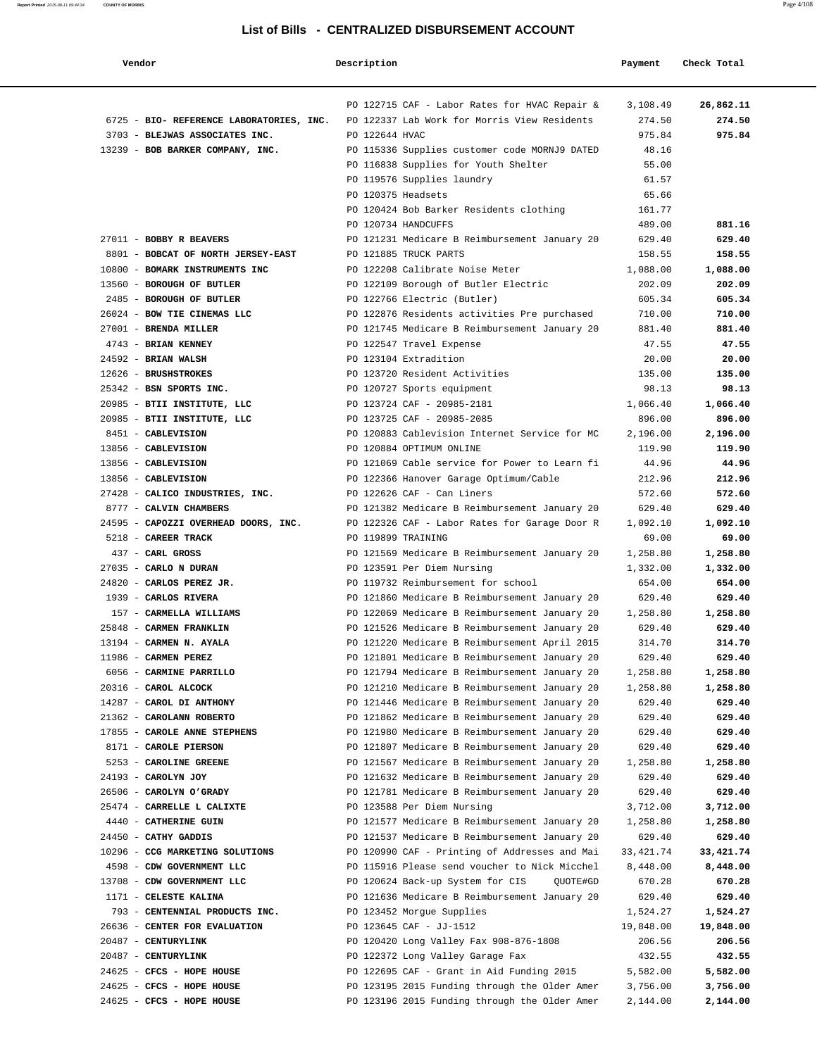| Vendor                                        | Description        |                                                                                                | Payment            | Check Total        |
|-----------------------------------------------|--------------------|------------------------------------------------------------------------------------------------|--------------------|--------------------|
|                                               |                    | PO 122715 CAF - Labor Rates for HVAC Repair &                                                  | 3,108.49           | 26,862.11          |
| 6725 - BIO- REFERENCE LABORATORIES, INC.      |                    | PO 122337 Lab Work for Morris View Residents                                                   | 274.50             | 274.50             |
| 3703 - BLEJWAS ASSOCIATES INC.                | PO 122644 HVAC     |                                                                                                | 975.84             | 975.84             |
| 13239 - BOB BARKER COMPANY, INC.              |                    | PO 115336 Supplies customer code MORNJ9 DATED                                                  | 48.16              |                    |
|                                               |                    | PO 116838 Supplies for Youth Shelter                                                           | 55.00              |                    |
|                                               |                    | PO 119576 Supplies laundry                                                                     | 61.57              |                    |
|                                               | PO 120375 Headsets |                                                                                                | 65.66              |                    |
|                                               |                    | PO 120424 Bob Barker Residents clothing                                                        | 161.77             |                    |
|                                               |                    | PO 120734 HANDCUFFS                                                                            | 489.00             | 881.16             |
| 27011 - BOBBY R BEAVERS                       |                    | PO 121231 Medicare B Reimbursement January 20                                                  | 629.40             | 629.40             |
| 8801 - BOBCAT OF NORTH JERSEY-EAST            |                    | PO 121885 TRUCK PARTS                                                                          | 158.55             | 158.55             |
| 10800 - BOMARK INSTRUMENTS INC                |                    | PO 122208 Calibrate Noise Meter                                                                | 1,088.00           | 1,088.00           |
| 13560 - BOROUGH OF BUTLER                     |                    | PO 122109 Borough of Butler Electric                                                           | 202.09             | 202.09             |
| 2485 - BOROUGH OF BUTLER                      |                    | PO 122766 Electric (Butler)                                                                    | 605.34             | 605.34             |
| 26024 - BOW TIE CINEMAS LLC                   |                    | PO 122876 Residents activities Pre purchased                                                   | 710.00             | 710.00             |
| 27001 - BRENDA MILLER                         |                    | PO 121745 Medicare B Reimbursement January 20                                                  | 881.40             | 881.40<br>47.55    |
| 4743 - BRIAN KENNEY                           |                    | PO 122547 Travel Expense<br>PO 123104 Extradition                                              | 47.55              | 20.00              |
| 24592 - BRIAN WALSH<br>12626 - BRUSHSTROKES   |                    | PO 123720 Resident Activities                                                                  | 20.00<br>135.00    | 135.00             |
| 25342 - BSN SPORTS INC.                       |                    |                                                                                                | 98.13              | 98.13              |
| 20985 - BTII INSTITUTE, LLC                   |                    | PO 120727 Sports equipment<br>PO 123724 CAF - 20985-2181                                       | 1,066.40           | 1,066.40           |
| 20985 - BTII INSTITUTE, LLC                   |                    | PO 123725 CAF - 20985-2085                                                                     | 896.00             | 896.00             |
| 8451 - CABLEVISION                            |                    | PO 120883 Cablevision Internet Service for MC                                                  | 2,196.00           | 2,196.00           |
| 13856 - CABLEVISION                           |                    | PO 120884 OPTIMUM ONLINE                                                                       | 119.90             | 119.90             |
| 13856 - CABLEVISION                           |                    | PO 121069 Cable service for Power to Learn fi                                                  | 44.96              | 44.96              |
| 13856 - CABLEVISION                           |                    | PO 122366 Hanover Garage Optimum/Cable                                                         | 212.96             | 212.96             |
| 27428 - CALICO INDUSTRIES, INC.               |                    | PO 122626 CAF - Can Liners                                                                     | 572.60             | 572.60             |
| 8777 - CALVIN CHAMBERS                        |                    | PO 121382 Medicare B Reimbursement January 20                                                  | 629.40             | 629.40             |
| 24595 - CAPOZZI OVERHEAD DOORS, INC.          |                    | PO 122326 CAF - Labor Rates for Garage Door R                                                  | 1,092.10           | 1,092.10           |
| 5218 - CAREER TRACK                           | PO 119899 TRAINING |                                                                                                | 69.00              | 69.00              |
| 437 - CARL GROSS                              |                    | PO 121569 Medicare B Reimbursement January 20                                                  | 1,258.80           | 1,258.80           |
| 27035 - CARLO N DURAN                         |                    | PO 123591 Per Diem Nursing                                                                     | 1,332.00           | 1,332.00           |
| 24820 - CARLOS PEREZ JR.                      |                    | PO 119732 Reimbursement for school                                                             | 654.00             | 654.00             |
| 1939 - CARLOS RIVERA                          |                    | PO 121860 Medicare B Reimbursement January 20                                                  | 629.40             | 629.40             |
| 157 - CARMELLA WILLIAMS                       |                    | PO 122069 Medicare B Reimbursement January 20                                                  | 1,258.80           | 1,258.80           |
| 25848 - CARMEN FRANKLIN                       |                    | PO 121526 Medicare B Reimbursement January 20                                                  | 629.40             | 629.40             |
| 13194 - CARMEN N. AYALA                       |                    | PO 121220 Medicare B Reimbursement April 2015                                                  | 314.70             | 314.70             |
| 11986 - CARMEN PEREZ                          |                    | PO 121801 Medicare B Reimbursement January 20                                                  | 629.40             | 629.40             |
| 6056 - CARMINE PARRILLO                       |                    | PO 121794 Medicare B Reimbursement January 20                                                  | 1,258.80           | 1,258.80           |
| 20316 - CAROL ALCOCK                          |                    | PO 121210 Medicare B Reimbursement January 20                                                  | 1,258.80           | 1,258.80           |
| 14287 - CAROL DI ANTHONY                      |                    | PO 121446 Medicare B Reimbursement January 20                                                  | 629.40             | 629.40             |
| 21362 - CAROLANN ROBERTO                      |                    | PO 121862 Medicare B Reimbursement January 20                                                  | 629.40             | 629.40             |
| 17855 - CAROLE ANNE STEPHENS                  |                    | PO 121980 Medicare B Reimbursement January 20                                                  | 629.40             | 629.40             |
| 8171 - CAROLE PIERSON                         |                    | PO 121807 Medicare B Reimbursement January 20                                                  | 629.40             | 629.40             |
| 5253 - CAROLINE GREENE<br>24193 - CAROLYN JOY |                    | PO 121567 Medicare B Reimbursement January 20<br>PO 121632 Medicare B Reimbursement January 20 | 1,258.80<br>629.40 | 1,258.80<br>629.40 |
| 26506 - CAROLYN O'GRADY                       |                    | PO 121781 Medicare B Reimbursement January 20                                                  | 629.40             | 629.40             |
| 25474 - CARRELLE L CALIXTE                    |                    | PO 123588 Per Diem Nursing                                                                     | 3,712.00           | 3,712.00           |
| 4440 - CATHERINE GUIN                         |                    | PO 121577 Medicare B Reimbursement January 20                                                  | 1,258.80           | 1,258.80           |
| 24450 - CATHY GADDIS                          |                    | PO 121537 Medicare B Reimbursement January 20                                                  | 629.40             | 629.40             |
| 10296 - CCG MARKETING SOLUTIONS               |                    | PO 120990 CAF - Printing of Addresses and Mai                                                  | 33, 421.74         | 33,421.74          |
| 4598 - CDW GOVERNMENT LLC                     |                    | PO 115916 Please send voucher to Nick Micchel                                                  | 8,448.00           | 8,448.00           |
| 13708 - CDW GOVERNMENT LLC                    |                    | PO 120624 Back-up System for CIS<br>OUOTE#GD                                                   | 670.28             | 670.28             |
| 1171 - CELESTE KALINA                         |                    | PO 121636 Medicare B Reimbursement January 20                                                  | 629.40             | 629.40             |
| 793 - CENTENNIAL PRODUCTS INC.                |                    | PO 123452 Morgue Supplies                                                                      | 1,524.27           | 1,524.27           |
| 26636 - CENTER FOR EVALUATION                 |                    | PO 123645 CAF - JJ-1512                                                                        | 19,848.00          | 19,848.00          |
| 20487 - CENTURYLINK                           |                    | PO 120420 Long Valley Fax 908-876-1808                                                         | 206.56             | 206.56             |
| 20487 - CENTURYLINK                           |                    | PO 122372 Long Valley Garage Fax                                                               | 432.55             | 432.55             |
| 24625 - CFCS - HOPE HOUSE                     |                    | PO 122695 CAF - Grant in Aid Funding 2015                                                      | 5,582.00           | 5,582.00           |
| 24625 - CFCS - HOPE HOUSE                     |                    | PO 123195 2015 Funding through the Older Amer                                                  | 3,756.00           | 3,756.00           |
| 24625 - CFCS - HOPE HOUSE                     |                    | PO 123196 2015 Funding through the Older Amer                                                  | 2,144.00           | 2,144.00           |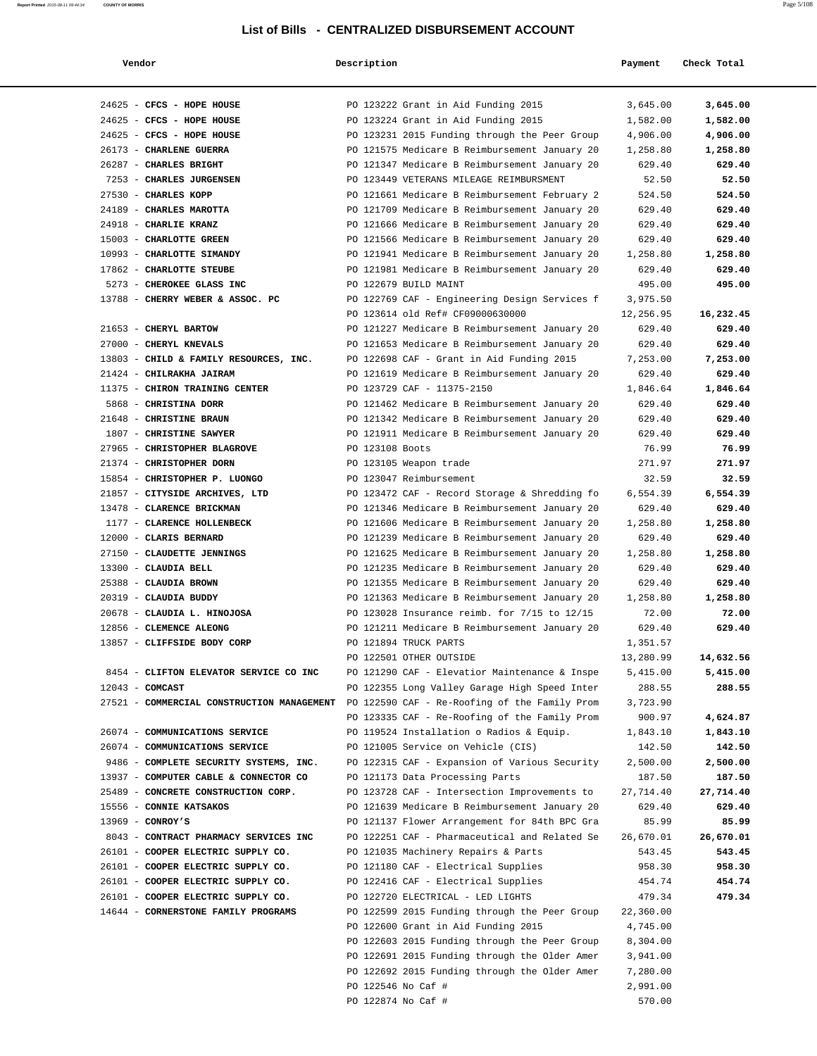| Vendor                                                                                   | Description        |                                                                                               | Payment           | Check Total       |
|------------------------------------------------------------------------------------------|--------------------|-----------------------------------------------------------------------------------------------|-------------------|-------------------|
| 24625 - CFCS - HOPE HOUSE                                                                |                    | PO 123222 Grant in Aid Funding 2015                                                           | 3,645.00          | 3,645.00          |
| 24625 - CFCS - HOPE HOUSE                                                                |                    | PO 123224 Grant in Aid Funding 2015                                                           | 1,582.00          | 1,582.00          |
| 24625 - CFCS - HOPE HOUSE                                                                |                    | PO 123231 2015 Funding through the Peer Group                                                 | 4,906.00          | 4,906.00          |
| 26173 - CHARLENE GUERRA                                                                  |                    | PO 121575 Medicare B Reimbursement January 20                                                 | 1,258.80          | 1,258.80          |
| 26287 - CHARLES BRIGHT                                                                   |                    | PO 121347 Medicare B Reimbursement January 20                                                 | 629.40            | 629.40            |
| 7253 - CHARLES JURGENSEN                                                                 |                    | PO 123449 VETERANS MILEAGE REIMBURSMENT                                                       | 52.50             | 52.50             |
| 27530 - CHARLES KOPP                                                                     |                    | PO 121661 Medicare B Reimbursement February 2                                                 | 524.50            | 524.50            |
| 24189 - CHARLES MAROTTA                                                                  |                    | PO 121709 Medicare B Reimbursement January 20                                                 | 629.40            | 629.40            |
| 24918 - CHARLIE KRANZ                                                                    |                    | PO 121666 Medicare B Reimbursement January 20                                                 | 629.40            | 629.40            |
| 15003 - CHARLOTTE GREEN                                                                  |                    | PO 121566 Medicare B Reimbursement January 20                                                 | 629.40            | 629.40            |
| 10993 - CHARLOTTE SIMANDY                                                                |                    | PO 121941 Medicare B Reimbursement January 20                                                 | 1,258.80          | 1,258.80          |
| 17862 - CHARLOTTE STEUBE                                                                 |                    | PO 121981 Medicare B Reimbursement January 20                                                 | 629.40            | 629.40            |
| 5273 - CHEROKEE GLASS INC                                                                |                    | PO 122679 BUILD MAINT                                                                         | 495.00            | 495.00            |
| 13788 - CHERRY WEBER & ASSOC. PC                                                         |                    | PO 122769 CAF - Engineering Design Services f                                                 | 3,975.50          |                   |
|                                                                                          |                    | PO 123614 old Ref# CF09000630000                                                              | 12,256.95         | 16,232.45         |
| 21653 - CHERYL BARTOW                                                                    |                    | PO 121227 Medicare B Reimbursement January 20                                                 | 629.40            | 629.40            |
| 27000 - CHERYL KNEVALS                                                                   |                    | PO 121653 Medicare B Reimbursement January 20                                                 | 629.40            | 629.40            |
| 13803 - CHILD & FAMILY RESOURCES, INC.                                                   |                    | PO 122698 CAF - Grant in Aid Funding 2015                                                     | 7,253.00          | 7,253.00          |
| 21424 - CHILRAKHA JAIRAM                                                                 |                    | PO 121619 Medicare B Reimbursement January 20                                                 | 629.40            | 629.40            |
| 11375 - CHIRON TRAINING CENTER                                                           |                    | PO 123729 CAF - 11375-2150                                                                    | 1,846.64          | 1,846.64          |
| 5868 - CHRISTINA DORR                                                                    |                    | PO 121462 Medicare B Reimbursement January 20                                                 | 629.40            | 629.40            |
| 21648 - CHRISTINE BRAUN                                                                  |                    | PO 121342 Medicare B Reimbursement January 20                                                 | 629.40            | 629.40            |
| 1807 - CHRISTINE SAWYER                                                                  |                    | PO 121911 Medicare B Reimbursement January 20                                                 | 629.40            | 629.40            |
| 27965 - CHRISTOPHER BLAGROVE                                                             | PO 123108 Boots    |                                                                                               | 76.99             | 76.99             |
| 21374 - CHRISTOPHER DORN                                                                 |                    | PO 123105 Weapon trade                                                                        | 271.97            | 271.97            |
| 15854 - CHRISTOPHER P. LUONGO                                                            |                    | PO 123047 Reimbursement                                                                       | 32.59             | 32.59             |
| 21857 - CITYSIDE ARCHIVES, LTD                                                           |                    | PO 123472 CAF - Record Storage & Shredding fo                                                 | 6,554.39          | 6,554.39          |
| 13478 - CLARENCE BRICKMAN                                                                |                    | PO 121346 Medicare B Reimbursement January 20                                                 | 629.40            | 629.40            |
| 1177 - CLARENCE HOLLENBECK                                                               |                    | PO 121606 Medicare B Reimbursement January 20                                                 | 1,258.80          | 1,258.80          |
| 12000 - CLARIS BERNARD                                                                   |                    | PO 121239 Medicare B Reimbursement January 20                                                 | 629.40            | 629.40            |
| 27150 - CLAUDETTE JENNINGS                                                               |                    | PO 121625 Medicare B Reimbursement January 20                                                 | 1,258.80          | 1,258.80          |
| 13300 - CLAUDIA BELL                                                                     |                    | PO 121235 Medicare B Reimbursement January 20                                                 | 629.40            | 629.40            |
| 25388 - CLAUDIA BROWN<br>20319 - CLAUDIA BUDDY                                           |                    | PO 121355 Medicare B Reimbursement January 20                                                 | 629.40            | 629.40            |
| 20678 - CLAUDIA L. HINOJOSA                                                              |                    | PO 121363 Medicare B Reimbursement January 20<br>PO 123028 Insurance reimb. for 7/15 to 12/15 | 1,258.80<br>72.00 | 1,258.80<br>72.00 |
| 12856 - CLEMENCE ALEONG                                                                  |                    | PO 121211 Medicare B Reimbursement January 20                                                 | 629.40            | 629.40            |
| 13857 - CLIFFSIDE BODY CORP                                                              |                    | PO 121894 TRUCK PARTS                                                                         | 1,351.57          |                   |
|                                                                                          |                    | PO 122501 OTHER OUTSIDE                                                                       | 13,280.99         | 14,632.56         |
| 8454 - CLIFTON ELEVATOR SERVICE CO INC                                                   |                    | PO 121290 CAF - Elevatior Maintenance & Inspe                                                 | 5,415.00          | 5,415.00          |
| $12043$ - COMCAST                                                                        |                    | PO 122355 Long Valley Garage High Speed Inter                                                 | 288.55            | 288.55            |
| 27521 - COMMERCIAL CONSTRUCTION MANAGEMENT PO 122590 CAF - Re-Roofing of the Family Prom |                    |                                                                                               | 3,723.90          |                   |
|                                                                                          |                    | PO 123335 CAF - Re-Roofing of the Family Prom                                                 | 900.97            | 4,624.87          |
| 26074 - COMMUNICATIONS SERVICE                                                           |                    | PO 119524 Installation o Radios & Equip.                                                      | 1,843.10          | 1,843.10          |
| 26074 - COMMUNICATIONS SERVICE                                                           |                    | PO 121005 Service on Vehicle (CIS)                                                            | 142.50            | 142.50            |
| 9486 - COMPLETE SECURITY SYSTEMS, INC.                                                   |                    | PO 122315 CAF - Expansion of Various Security                                                 | 2,500.00          | 2,500.00          |
| 13937 - COMPUTER CABLE & CONNECTOR CO                                                    |                    | PO 121173 Data Processing Parts                                                               | 187.50            | 187.50            |
| 25489 - CONCRETE CONSTRUCTION CORP.                                                      |                    | PO 123728 CAF - Intersection Improvements to                                                  | 27,714.40         | 27,714.40         |
| 15556 - CONNIE KATSAKOS                                                                  |                    | PO 121639 Medicare B Reimbursement January 20                                                 | 629.40            | 629.40            |
| $13969$ - CONROY'S                                                                       |                    | PO 121137 Flower Arrangement for 84th BPC Gra                                                 | 85.99             | 85.99             |
| 8043 - CONTRACT PHARMACY SERVICES INC                                                    |                    | PO 122251 CAF - Pharmaceutical and Related Se                                                 | 26,670.01         | 26,670.01         |
| 26101 - COOPER ELECTRIC SUPPLY CO.                                                       |                    | PO 121035 Machinery Repairs & Parts                                                           | 543.45            | 543.45            |
| 26101 - COOPER ELECTRIC SUPPLY CO.                                                       |                    | PO 121180 CAF - Electrical Supplies                                                           | 958.30            | 958.30            |
| 26101 - COOPER ELECTRIC SUPPLY CO.                                                       |                    | PO 122416 CAF - Electrical Supplies                                                           | 454.74            | 454.74            |
| 26101 - COOPER ELECTRIC SUPPLY CO.                                                       |                    | PO 122720 ELECTRICAL - LED LIGHTS                                                             | 479.34            | 479.34            |
| 14644 - CORNERSTONE FAMILY PROGRAMS                                                      |                    | PO 122599 2015 Funding through the Peer Group                                                 | 22,360.00         |                   |
|                                                                                          |                    | PO 122600 Grant in Aid Funding 2015                                                           | 4,745.00          |                   |
|                                                                                          |                    | PO 122603 2015 Funding through the Peer Group                                                 | 8,304.00          |                   |
|                                                                                          |                    | PO 122691 2015 Funding through the Older Amer                                                 | 3,941.00          |                   |
|                                                                                          |                    | PO 122692 2015 Funding through the Older Amer                                                 | 7,280.00          |                   |
|                                                                                          | PO 122546 No Caf # |                                                                                               | 2,991.00          |                   |
|                                                                                          | PO 122874 No Caf # |                                                                                               | 570.00            |                   |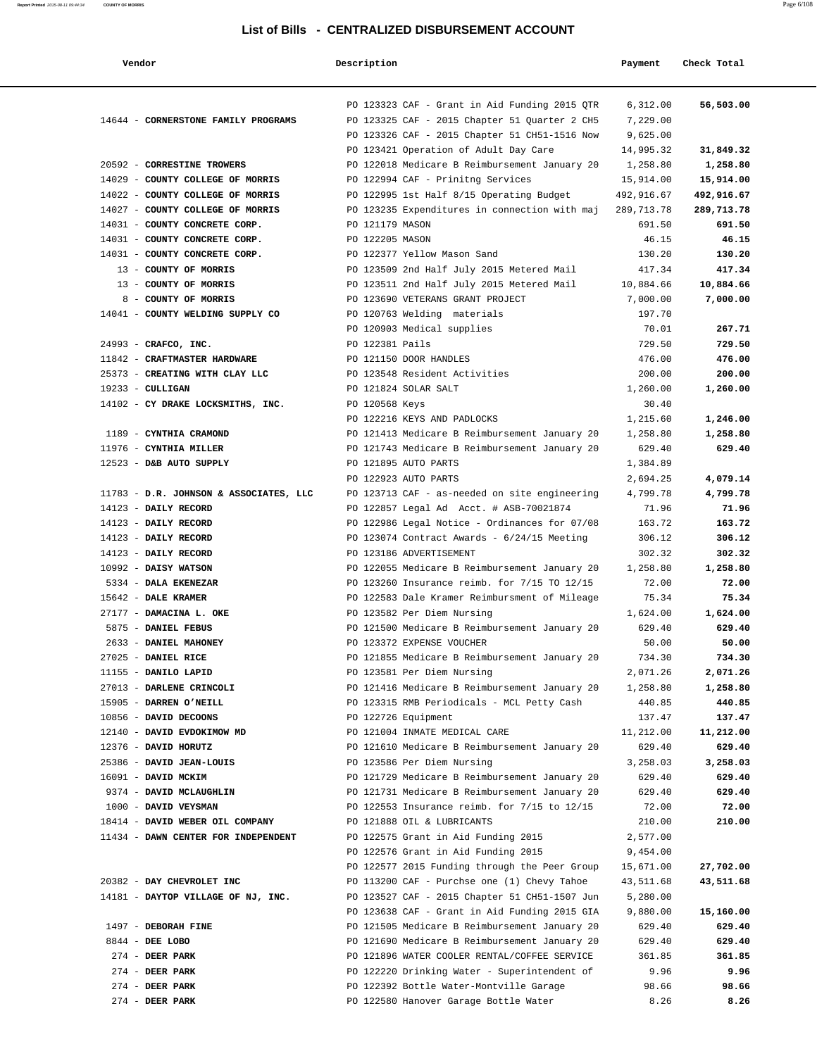| Vendor                                         | Description     |                                                                                               | Payment          | Check Total      |
|------------------------------------------------|-----------------|-----------------------------------------------------------------------------------------------|------------------|------------------|
|                                                |                 | PO 123323 CAF - Grant in Aid Funding 2015 QTR                                                 | 6,312.00         | 56,503.00        |
| 14644 - CORNERSTONE FAMILY PROGRAMS            |                 | PO 123325 CAF - 2015 Chapter 51 Quarter 2 CH5                                                 | 7,229.00         |                  |
|                                                |                 | PO 123326 CAF - 2015 Chapter 51 CH51-1516 Now                                                 | 9,625.00         |                  |
|                                                |                 | PO 123421 Operation of Adult Day Care                                                         | 14,995.32        | 31,849.32        |
| 20592 - CORRESTINE TROWERS                     |                 | PO 122018 Medicare B Reimbursement January 20                                                 | 1,258.80         | 1,258.80         |
| 14029 - COUNTY COLLEGE OF MORRIS               |                 | PO 122994 CAF - Prinitng Services                                                             | 15,914.00        | 15,914.00        |
| 14022 - COUNTY COLLEGE OF MORRIS               |                 | PO 122995 1st Half 8/15 Operating Budget                                                      | 492,916.67       | 492,916.67       |
| 14027 - COUNTY COLLEGE OF MORRIS               |                 | PO 123235 Expenditures in connection with maj                                                 | 289,713.78       | 289,713.78       |
| 14031 - COUNTY CONCRETE CORP.                  | PO 121179 MASON |                                                                                               | 691.50           | 691.50           |
| 14031 - COUNTY CONCRETE CORP.                  | PO 122205 MASON |                                                                                               | 46.15            | 46.15            |
| 14031 - COUNTY CONCRETE CORP.                  |                 | PO 122377 Yellow Mason Sand                                                                   | 130.20           | 130.20           |
| 13 - COUNTY OF MORRIS                          |                 | PO 123509 2nd Half July 2015 Metered Mail                                                     | 417.34           | 417.34           |
| 13 - COUNTY OF MORRIS                          |                 | PO 123511 2nd Half July 2015 Metered Mail                                                     | 10,884.66        | 10,884.66        |
| 8 - COUNTY OF MORRIS                           |                 | PO 123690 VETERANS GRANT PROJECT                                                              | 7,000.00         | 7,000.00         |
| 14041 - COUNTY WELDING SUPPLY CO               |                 | PO 120763 Welding materials                                                                   | 197.70           |                  |
| 24993 - CRAFCO, INC.                           |                 | PO 120903 Medical supplies                                                                    | 70.01            | 267.71<br>729.50 |
| 11842 - CRAFTMASTER HARDWARE                   | PO 122381 Pails | PO 121150 DOOR HANDLES                                                                        | 729.50<br>476.00 | 476.00           |
| 25373 - CREATING WITH CLAY LLC                 |                 | PO 123548 Resident Activities                                                                 | 200.00           | 200.00           |
| $19233 - \text{CULLIGAN}$                      |                 | PO 121824 SOLAR SALT                                                                          | 1,260.00         | 1,260.00         |
| 14102 - CY DRAKE LOCKSMITHS, INC.              | PO 120568 Keys  |                                                                                               | 30.40            |                  |
|                                                |                 | PO 122216 KEYS AND PADLOCKS                                                                   | 1,215.60         | 1,246.00         |
| 1189 - CYNTHIA CRAMOND                         |                 | PO 121413 Medicare B Reimbursement January 20                                                 | 1,258.80         | 1,258.80         |
| 11976 - CYNTHIA MILLER                         |                 | PO 121743 Medicare B Reimbursement January 20                                                 | 629.40           | 629.40           |
| 12523 - D&B AUTO SUPPLY                        |                 | PO 121895 AUTO PARTS                                                                          | 1,384.89         |                  |
|                                                |                 | PO 122923 AUTO PARTS                                                                          | 2,694.25         | 4,079.14         |
| 11783 - D.R. JOHNSON & ASSOCIATES, LLC         |                 | PO 123713 CAF - as-needed on site engineering                                                 | 4,799.78         | 4,799.78         |
| 14123 - DAILY RECORD                           |                 | PO 122857 Legal Ad Acct. # ASB-70021874                                                       | 71.96            | 71.96            |
| 14123 - DAILY RECORD                           |                 | PO 122986 Legal Notice - Ordinances for 07/08                                                 | 163.72           | 163.72           |
| 14123 - DAILY RECORD                           |                 | PO 123074 Contract Awards - $6/24/15$ Meeting                                                 | 306.12           | 306.12           |
| 14123 - DAILY RECORD                           |                 | PO 123186 ADVERTISEMENT                                                                       | 302.32           | 302.32           |
| 10992 - DAISY WATSON                           |                 | PO 122055 Medicare B Reimbursement January 20                                                 | 1,258.80         | 1,258.80         |
| 5334 - DALA EKENEZAR                           |                 | PO 123260 Insurance reimb. for 7/15 TO 12/15                                                  | 72.00            | 72.00            |
| 15642 - DALE KRAMER                            |                 | PO 122583 Dale Kramer Reimbursment of Mileage                                                 | 75.34            | 75.34            |
| 27177 - DAMACINA L. OKE                        |                 | PO 123582 Per Diem Nursing                                                                    | 1,624.00         | 1,624.00         |
| 5875 - DANIEL FEBUS                            |                 | PO 121500 Medicare B Reimbursement January 20                                                 | 629.40           | 629.40           |
| 2633 - DANIEL MAHONEY                          |                 | PO 123372 EXPENSE VOUCHER                                                                     | 50.00            | 50.00            |
| 27025 - DANIEL RICE                            |                 | PO 121855 Medicare B Reimbursement January 20                                                 | 734.30           | 734.30           |
| 11155 - DANILO LAPID                           |                 | PO 123581 Per Diem Nursing                                                                    | 2,071.26         | 2,071.26         |
| 27013 - DARLENE CRINCOLI                       |                 | PO 121416 Medicare B Reimbursement January 20                                                 | 1,258.80         | 1,258.80         |
| 15905 - DARREN O'NEILL                         |                 | PO 123315 RMB Periodicals - MCL Petty Cash                                                    | 440.85           | 440.85           |
| 10856 - DAVID DECOONS                          |                 | PO 122726 Equipment                                                                           | 137.47           | 137.47           |
| 12140 - DAVID EVDOKIMOW MD                     |                 | PO 121004 INMATE MEDICAL CARE                                                                 | 11,212.00        | 11,212.00        |
| 12376 - DAVID HORUTZ                           |                 | PO 121610 Medicare B Reimbursement January 20                                                 | 629.40           | 629.40           |
| 25386 - DAVID JEAN-LOUIS                       |                 | PO 123586 Per Diem Nursing                                                                    | 3,258.03         | 3,258.03         |
| 16091 - DAVID MCKIM<br>9374 - DAVID MCLAUGHLIN |                 | PO 121729 Medicare B Reimbursement January 20                                                 | 629.40           | 629.40           |
| 1000 - DAVID VEYSMAN                           |                 | PO 121731 Medicare B Reimbursement January 20<br>PO 122553 Insurance reimb. for 7/15 to 12/15 | 629.40<br>72.00  | 629.40<br>72.00  |
| 18414 - DAVID WEBER OIL COMPANY                |                 | PO 121888 OIL & LUBRICANTS                                                                    | 210.00           | 210.00           |
| 11434 - DAWN CENTER FOR INDEPENDENT            |                 | PO 122575 Grant in Aid Funding 2015                                                           | 2,577.00         |                  |
|                                                |                 | PO 122576 Grant in Aid Funding 2015                                                           | 9,454.00         |                  |
|                                                |                 | PO 122577 2015 Funding through the Peer Group                                                 | 15,671.00        | 27,702.00        |
| 20382 - DAY CHEVROLET INC                      |                 | PO 113200 CAF - Purchse one (1) Chevy Tahoe                                                   | 43,511.68        | 43,511.68        |
| 14181 - DAYTOP VILLAGE OF NJ, INC.             |                 | PO 123527 CAF - 2015 Chapter 51 CH51-1507 Jun                                                 | 5,280.00         |                  |
|                                                |                 | PO 123638 CAF - Grant in Aid Funding 2015 GIA                                                 | 9,880.00         | 15,160.00        |
| 1497 - DEBORAH FINE                            |                 | PO 121505 Medicare B Reimbursement January 20                                                 | 629.40           | 629.40           |
| 8844 - DEE LOBO                                |                 | PO 121690 Medicare B Reimbursement January 20                                                 | 629.40           | 629.40           |
| 274 - DEER PARK                                |                 | PO 121896 WATER COOLER RENTAL/COFFEE SERVICE                                                  | 361.85           | 361.85           |
| 274 - DEER PARK                                |                 | PO 122220 Drinking Water - Superintendent of                                                  | 9.96             | 9.96             |
| 274 - DEER PARK                                |                 | PO 122392 Bottle Water-Montville Garage                                                       | 98.66            | 98.66            |
| $274$ - DEER PARK                              |                 | PO 122580 Hanover Garage Bottle Water                                                         | 8.26             | 8.26             |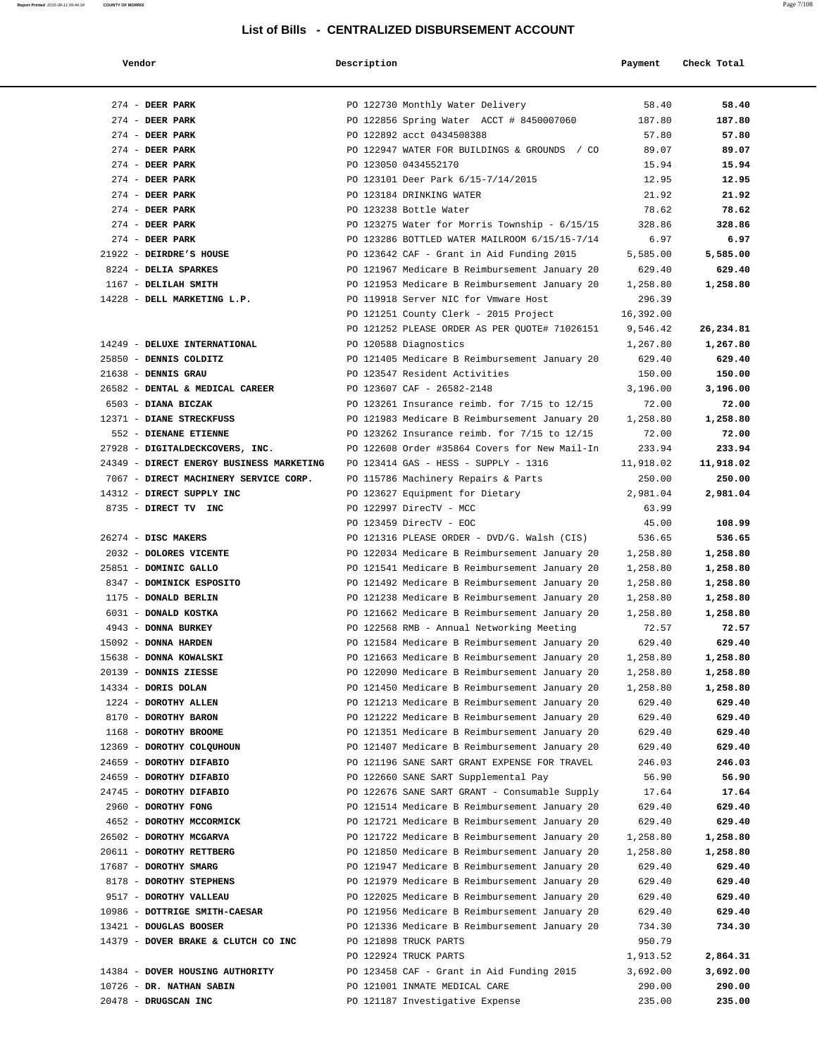| Vendor                                              | Description |                                                                                                | Payment            | Check Total        |
|-----------------------------------------------------|-------------|------------------------------------------------------------------------------------------------|--------------------|--------------------|
| 274 - DEER PARK                                     |             | PO 122730 Monthly Water Delivery                                                               | 58.40              | 58.40              |
| 274 - DEER PARK                                     |             | PO 122856 Spring Water ACCT # 8450007060                                                       | 187.80             | 187.80             |
| $274$ - DEER PARK                                   |             | PO 122892 acct 0434508388                                                                      | 57.80              | 57.80              |
| $274$ - DEER PARK                                   |             | PO 122947 WATER FOR BUILDINGS & GROUNDS / CO                                                   | 89.07              | 89.07              |
| $274$ - DEER PARK                                   |             | PO 123050 0434552170                                                                           | 15.94              | 15.94              |
| $274$ - DEER PARK                                   |             | PO 123101 Deer Park 6/15-7/14/2015                                                             | 12.95              | 12.95              |
| $274$ - DEER PARK                                   |             | PO 123184 DRINKING WATER                                                                       | 21.92              | 21.92              |
| $274$ - DEER PARK                                   |             | PO 123238 Bottle Water                                                                         | 78.62              | 78.62              |
| $274$ - DEER PARK                                   |             | PO 123275 Water for Morris Township - 6/15/15                                                  | 328.86             | 328.86             |
| $274$ - DEER PARK                                   |             | PO 123286 BOTTLED WATER MAILROOM 6/15/15-7/14                                                  | 6.97               | 6.97               |
| 21922 - DEIRDRE'S HOUSE                             |             | PO 123642 CAF - Grant in Aid Funding 2015                                                      | 5,585.00           | 5,585.00           |
| 8224 - DELIA SPARKES                                |             | PO 121967 Medicare B Reimbursement January 20                                                  | 629.40             | 629.40             |
| 1167 - DELILAH SMITH                                |             | PO 121953 Medicare B Reimbursement January 20                                                  | 1,258.80           | 1,258.80           |
| 14228 - DELL MARKETING L.P.                         |             | PO 119918 Server NIC for Vmware Host                                                           | 296.39             |                    |
|                                                     |             | PO 121251 County Clerk - 2015 Project                                                          | 16,392.00          |                    |
|                                                     |             | PO 121252 PLEASE ORDER AS PER QUOTE# 71026151                                                  | 9,546.42           | 26,234.81          |
| 14249 - DELUXE INTERNATIONAL                        |             | PO 120588 Diagnostics                                                                          | 1,267.80           | 1,267.80           |
| 25850 - DENNIS COLDITZ                              |             | PO 121405 Medicare B Reimbursement January 20                                                  | 629.40             | 629.40             |
| 21638 - DENNIS GRAU                                 |             | PO 123547 Resident Activities                                                                  | 150.00             | 150.00             |
| 26582 - DENTAL & MEDICAL CAREER                     |             | PO 123607 CAF - 26582-2148                                                                     | 3,196.00           | 3,196.00           |
| 6503 - DIANA BICZAK                                 |             | PO 123261 Insurance reimb. for 7/15 to 12/15                                                   | 72.00              | 72.00              |
| 12371 - DIANE STRECKFUSS                            |             | PO 121983 Medicare B Reimbursement January 20                                                  | 1,258.80           | 1,258.80           |
| 552 - DIENANE ETIENNE                               |             | PO 123262 Insurance reimb. for 7/15 to 12/15                                                   | 72.00              | 72.00              |
| 27928 - DIGITALDECKCOVERS, INC.                     |             | PO 122608 Order #35864 Covers for New Mail-In                                                  | 233.94             | 233.94             |
| 24349 - DIRECT ENERGY BUSINESS MARKETING            |             | PO 123414 GAS - HESS - SUPPLY - 1316                                                           | 11,918.02          | 11,918.02          |
| 7067 - DIRECT MACHINERY SERVICE CORP.               |             | PO 115786 Machinery Repairs & Parts                                                            | 250.00             | 250.00             |
| 14312 - DIRECT SUPPLY INC                           |             | PO 123627 Equipment for Dietary                                                                | 2,981.04           | 2,981.04           |
| 8735 - DIRECT TV INC                                |             | PO 122997 DirecTV - MCC                                                                        | 63.99              |                    |
|                                                     |             | PO 123459 DirecTV - EOC                                                                        | 45.00              | 108.99             |
| 26274 - DISC MAKERS                                 |             | PO 121316 PLEASE ORDER - DVD/G. Walsh (CIS)                                                    | 536.65             | 536.65             |
| 2032 - DOLORES VICENTE                              |             | PO 122034 Medicare B Reimbursement January 20                                                  | 1,258.80           | 1,258.80           |
| 25851 - DOMINIC GALLO                               |             | PO 121541 Medicare B Reimbursement January 20                                                  | 1,258.80           | 1,258.80           |
| 8347 - DOMINICK ESPOSITO                            |             | PO 121492 Medicare B Reimbursement January 20                                                  | 1,258.80           | 1,258.80           |
| 1175 - DONALD BERLIN                                |             | PO 121238 Medicare B Reimbursement January 20                                                  | 1,258.80           | 1,258.80           |
| 6031 - DONALD KOSTKA                                |             | PO 121662 Medicare B Reimbursement January 20                                                  | 1,258.80           | 1,258.80           |
| 4943 - DONNA BURKEY                                 |             | PO 122568 RMB - Annual Networking Meeting                                                      | 72.57              | 72.57              |
| 15092 - DONNA HARDEN                                |             | PO 121584 Medicare B Reimbursement January 20                                                  | 629.40             | 629.40             |
| 15638 - DONNA KOWALSKI                              |             | PO 121663 Medicare B Reimbursement January 20                                                  | 1,258.80           | 1,258.80           |
| 20139 - DONNIS ZIESSE                               |             | PO 122090 Medicare B Reimbursement January 20                                                  | 1,258.80           | 1,258.80           |
| 14334 - DORIS DOLAN                                 |             | PO 121450 Medicare B Reimbursement January 20                                                  | 1,258.80           | 1,258.80           |
| 1224 - DOROTHY ALLEN                                |             | PO 121213 Medicare B Reimbursement January 20                                                  | 629.40             | 629.40             |
| 8170 - DOROTHY BARON                                |             | PO 121222 Medicare B Reimbursement January 20                                                  | 629.40             | 629.40             |
| 1168 - DOROTHY BROOME                               |             | PO 121351 Medicare B Reimbursement January 20                                                  | 629.40             | 629.40             |
| 12369 - DOROTHY COLQUHOUN                           |             | PO 121407 Medicare B Reimbursement January 20                                                  | 629.40             | 629.40             |
| 24659 - DOROTHY DIFABIO                             |             | PO 121196 SANE SART GRANT EXPENSE FOR TRAVEL                                                   | 246.03             | 246.03             |
| 24659 - DOROTHY DIFABIO                             |             | PO 122660 SANE SART Supplemental Pay                                                           | 56.90              | 56.90              |
| 24745 - DOROTHY DIFABIO<br>2960 - DOROTHY FONG      |             | PO 122676 SANE SART GRANT - Consumable Supply<br>PO 121514 Medicare B Reimbursement January 20 | 17.64              | 17.64              |
|                                                     |             |                                                                                                | 629.40             | 629.40             |
| 4652 - DOROTHY MCCORMICK<br>26502 - DOROTHY MCGARVA |             | PO 121721 Medicare B Reimbursement January 20<br>PO 121722 Medicare B Reimbursement January 20 | 629.40<br>1,258.80 | 629.40<br>1,258.80 |
| 20611 - DOROTHY RETTBERG                            |             | PO 121850 Medicare B Reimbursement January 20                                                  | 1,258.80           | 1,258.80           |
|                                                     |             |                                                                                                |                    | 629.40             |
| 17687 - DOROTHY SMARG<br>8178 - DOROTHY STEPHENS    |             | PO 121947 Medicare B Reimbursement January 20<br>PO 121979 Medicare B Reimbursement January 20 | 629.40<br>629.40   | 629.40             |
| 9517 - DOROTHY VALLEAU                              |             | PO 122025 Medicare B Reimbursement January 20                                                  | 629.40             | 629.40             |
| 10986 - DOTTRIGE SMITH-CAESAR                       |             | PO 121956 Medicare B Reimbursement January 20                                                  | 629.40             | 629.40             |
| 13421 - DOUGLAS BOOSER                              |             | PO 121336 Medicare B Reimbursement January 20                                                  | 734.30             | 734.30             |
| 14379 - DOVER BRAKE & CLUTCH CO INC                 |             | PO 121898 TRUCK PARTS                                                                          | 950.79             |                    |
|                                                     |             | PO 122924 TRUCK PARTS                                                                          | 1,913.52           | 2,864.31           |
| 14384 - DOVER HOUSING AUTHORITY                     |             | PO 123458 CAF - Grant in Aid Funding 2015                                                      | 3,692.00           | 3,692.00           |
| 10726 - DR. NATHAN SABIN                            |             | PO 121001 INMATE MEDICAL CARE                                                                  | 290.00             | 290.00             |
| 20478 - DRUGSCAN INC                                |             | PO 121187 Investigative Expense                                                                | 235.00             | 235.00             |

**Report Printed** 2015-08-11 09:44:34 **COUNTY OF MORRIS** Page 7/108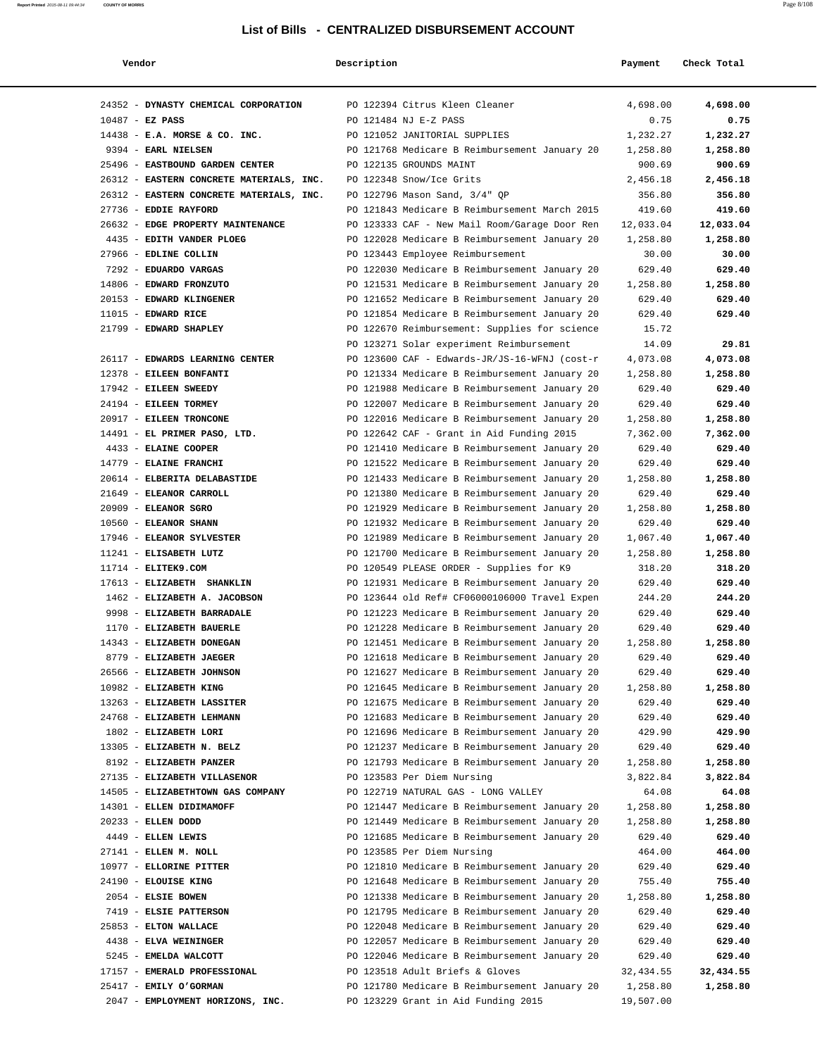| Vendor                                               | Description                                                                                    | Payment            | Check Total      |
|------------------------------------------------------|------------------------------------------------------------------------------------------------|--------------------|------------------|
| 24352 - DYNASTY CHEMICAL CORPORATION                 | PO 122394 Citrus Kleen Cleaner                                                                 | 4,698.00           | 4,698.00         |
| $10487$ - EZ PASS                                    | PO 121484 NJ E-Z PASS                                                                          | 0.75               | 0.75             |
| 14438 - E.A. MORSE & CO. INC.                        | PO 121052 JANITORIAL SUPPLIES                                                                  | 1,232.27           | 1,232.27         |
| 9394 - EARL NIELSEN                                  | PO 121768 Medicare B Reimbursement January 20                                                  | 1,258.80           | 1,258.80         |
| 25496 - EASTBOUND GARDEN CENTER                      | PO 122135 GROUNDS MAINT                                                                        | 900.69             | 900.69           |
| 26312 - EASTERN CONCRETE MATERIALS, INC.             | PO 122348 Snow/Ice Grits                                                                       | 2,456.18           | 2,456.18         |
| 26312 - EASTERN CONCRETE MATERIALS, INC.             | PO 122796 Mason Sand, 3/4" QP                                                                  | 356.80             | 356.80           |
| 27736 - EDDIE RAYFORD                                | PO 121843 Medicare B Reimbursement March 2015                                                  | 419.60             | 419.60           |
| 26632 - EDGE PROPERTY MAINTENANCE                    | PO 123333 CAF - New Mail Room/Garage Door Ren                                                  | 12,033.04          | 12,033.04        |
| 4435 - EDITH VANDER PLOEG                            | PO 122028 Medicare B Reimbursement January 20                                                  | 1,258.80           | 1,258.80         |
| 27966 - EDLINE COLLIN                                | PO 123443 Employee Reimbursement                                                               | 30.00              | 30.00            |
| 7292 - EDUARDO VARGAS                                | PO 122030 Medicare B Reimbursement January 20                                                  | 629.40             | 629.40           |
| 14806 - EDWARD FRONZUTO                              | PO 121531 Medicare B Reimbursement January 20                                                  | 1,258.80           | 1,258.80         |
| 20153 - EDWARD KLINGENER                             | PO 121652 Medicare B Reimbursement January 20                                                  | 629.40             | 629.40           |
| $11015$ - EDWARD RICE                                | PO 121854 Medicare B Reimbursement January 20                                                  | 629.40             | 629.40           |
| 21799 - EDWARD SHAPLEY                               | PO 122670 Reimbursement: Supplies for science                                                  | 15.72              |                  |
|                                                      | PO 123271 Solar experiment Reimbursement                                                       | 14.09              | 29.81            |
| 26117 - EDWARDS LEARNING CENTER                      | PO 123600 CAF - Edwards-JR/JS-16-WFNJ (cost-r                                                  | 4,073.08           | 4,073.08         |
| 12378 - EILEEN BONFANTI                              | PO 121334 Medicare B Reimbursement January 20                                                  | 1,258.80           | 1,258.80         |
| 17942 - EILEEN SWEEDY                                | PO 121988 Medicare B Reimbursement January 20                                                  | 629.40             | 629.40           |
| 24194 - EILEEN TORMEY                                | PO 122007 Medicare B Reimbursement January 20                                                  | 629.40             | 629.40           |
| 20917 - EILEEN TRONCONE                              | PO 122016 Medicare B Reimbursement January 20                                                  | 1,258.80           | 1,258.80         |
| 14491 - EL PRIMER PASO, LTD.                         | PO 122642 CAF - Grant in Aid Funding 2015                                                      | 7,362.00           | 7,362.00         |
| 4433 - ELAINE COOPER                                 | PO 121410 Medicare B Reimbursement January 20                                                  | 629.40             | 629.40           |
| 14779 - ELAINE FRANCHI                               | PO 121522 Medicare B Reimbursement January 20                                                  | 629.40             | 629.40           |
| 20614 - ELBERITA DELABASTIDE                         | PO 121433 Medicare B Reimbursement January 20                                                  | 1,258.80           | 1,258.80         |
| 21649 - ELEANOR CARROLL                              | PO 121380 Medicare B Reimbursement January 20                                                  | 629.40             | 629.40           |
| 20909 - ELEANOR SGRO                                 | PO 121929 Medicare B Reimbursement January 20                                                  | 1,258.80           | 1,258.80         |
| 10560 - ELEANOR SHANN                                | PO 121932 Medicare B Reimbursement January 20                                                  | 629.40             | 629.40           |
| 17946 - ELEANOR SYLVESTER                            | PO 121989 Medicare B Reimbursement January 20                                                  | 1,067.40           | 1,067.40         |
| 11241 - ELISABETH LUTZ                               | PO 121700 Medicare B Reimbursement January 20                                                  | 1,258.80           | 1,258.80         |
| $11714$ - ELITEK9.COM                                | PO 120549 PLEASE ORDER - Supplies for K9                                                       | 318.20             | 318.20           |
| 17613 - ELIZABETH SHANKLIN                           | PO 121931 Medicare B Reimbursement January 20                                                  | 629.40             | 629.40           |
| 1462 - ELIZABETH A. JACOBSON                         | PO 123644 old Ref# CF06000106000 Travel Expen                                                  | 244.20             | 244.20           |
| 9998 - ELIZABETH BARRADALE                           | PO 121223 Medicare B Reimbursement January 20                                                  | 629.40             | 629.40           |
| 1170 - ELIZABETH BAUERLE                             | PO 121228 Medicare B Reimbursement January 20                                                  | 629.40             | 629.40           |
| 14343 - ELIZABETH DONEGAN                            | PO 121451 Medicare B Reimbursement January 20                                                  | 1,258.80           | 1,258.80         |
| 8779 - ELIZABETH JAEGER<br>26566 - ELIZABETH JOHNSON | PO 121618 Medicare B Reimbursement January 20                                                  | 629.40             | 629.40<br>629.40 |
| 10982 - ELIZABETH KING                               | PO 121627 Medicare B Reimbursement January 20<br>PO 121645 Medicare B Reimbursement January 20 | 629.40<br>1,258.80 | 1,258.80         |
| 13263 - ELIZABETH LASSITER                           | PO 121675 Medicare B Reimbursement January 20                                                  | 629.40             | 629.40           |
| 24768 - ELIZABETH LEHMANN                            | PO 121683 Medicare B Reimbursement January 20                                                  | 629.40             | 629.40           |
| 1802 - ELIZABETH LORI                                | PO 121696 Medicare B Reimbursement January 20                                                  | 429.90             | 429.90           |
| 13305 - ELIZABETH N. BELZ                            | PO 121237 Medicare B Reimbursement January 20                                                  | 629.40             | 629.40           |
| 8192 - ELIZABETH PANZER                              | PO 121793 Medicare B Reimbursement January 20                                                  | 1,258.80           | 1,258.80         |
| 27135 - ELIZABETH VILLASENOR                         | PO 123583 Per Diem Nursing                                                                     | 3,822.84           | 3,822.84         |
| 14505 - ELIZABETHTOWN GAS COMPANY                    | PO 122719 NATURAL GAS - LONG VALLEY                                                            | 64.08              | 64.08            |
| 14301 - ELLEN DIDIMAMOFF                             | PO 121447 Medicare B Reimbursement January 20                                                  | 1,258.80           | 1,258.80         |
| 20233 - ELLEN DODD                                   | PO 121449 Medicare B Reimbursement January 20                                                  | 1,258.80           | 1,258.80         |
| 4449 - ELLEN LEWIS                                   | PO 121685 Medicare B Reimbursement January 20                                                  | 629.40             | 629.40           |
| 27141 - ELLEN M. NOLL                                | PO 123585 Per Diem Nursing                                                                     | 464.00             | 464.00           |
| 10977 - ELLORINE PITTER                              | PO 121810 Medicare B Reimbursement January 20                                                  | 629.40             | 629.40           |
| 24190 - ELOUISE KING                                 | PO 121648 Medicare B Reimbursement January 20                                                  | 755.40             | 755.40           |
| 2054 - ELSIE BOWEN                                   | PO 121338 Medicare B Reimbursement January 20                                                  | 1,258.80           | 1,258.80         |
| 7419 - ELSIE PATTERSON                               | PO 121795 Medicare B Reimbursement January 20                                                  | 629.40             | 629.40           |
| 25853 - ELTON WALLACE                                | PO 122048 Medicare B Reimbursement January 20                                                  | 629.40             | 629.40           |
| 4438 - ELVA WEININGER                                | PO 122057 Medicare B Reimbursement January 20                                                  | 629.40             | 629.40           |
| 5245 - EMELDA WALCOTT                                | PO 122046 Medicare B Reimbursement January 20                                                  | 629.40             | 629.40           |
| 17157 - EMERALD PROFESSIONAL                         | PO 123518 Adult Briefs & Gloves                                                                | 32,434.55          | 32,434.55        |
| 25417 - EMILY O'GORMAN                               | PO 121780 Medicare B Reimbursement January 20                                                  | 1,258.80           | 1,258.80         |
| 2047 - EMPLOYMENT HORIZONS, INC.                     | PO 123229 Grant in Aid Funding 2015                                                            | 19,507.00          |                  |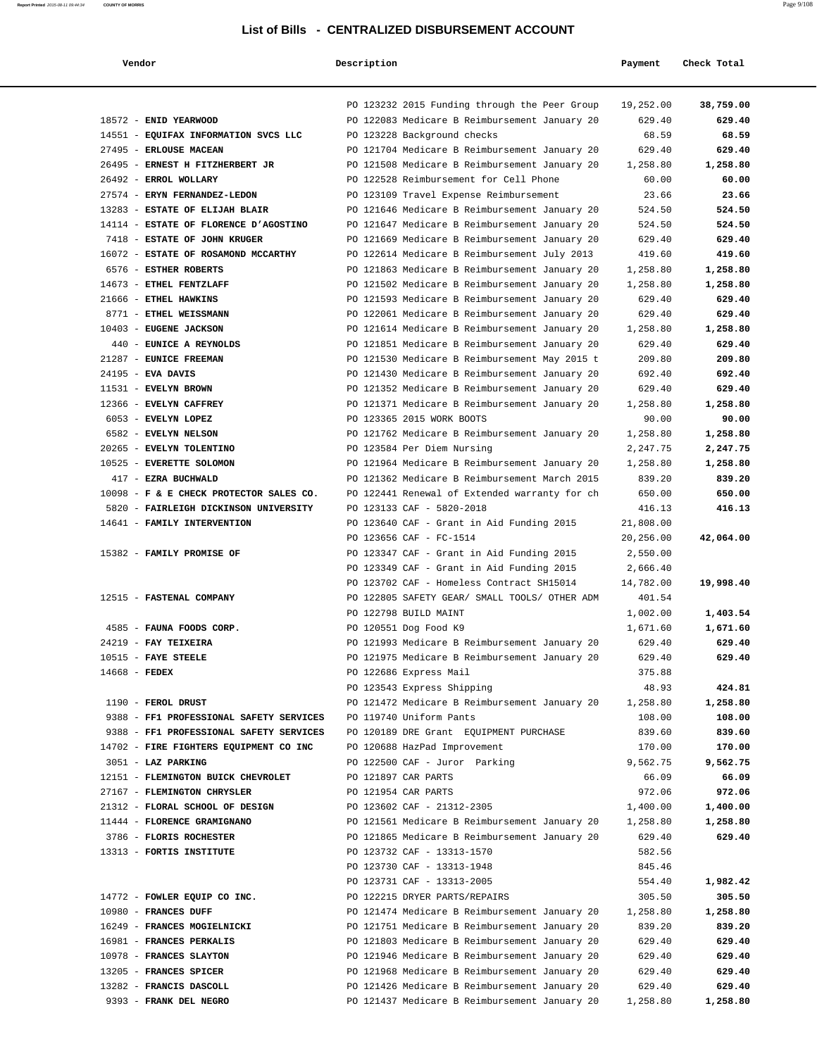| Vendor                                  | Description |                                                                      | Payment                | Check Total |
|-----------------------------------------|-------------|----------------------------------------------------------------------|------------------------|-------------|
|                                         |             | PO 123232 2015 Funding through the Peer Group                        | 19,252.00              | 38,759.00   |
| 18572 - ENID YEARWOOD                   |             | PO 122083 Medicare B Reimbursement January 20                        | 629.40                 | 629.40      |
| 14551 - EQUIFAX INFORMATION SVCS LLC    |             | PO 123228 Background checks                                          | 68.59                  | 68.59       |
| 27495 - ERLOUSE MACEAN                  |             | PO 121704 Medicare B Reimbursement January 20                        | 629.40                 | 629.40      |
| 26495 - ERNEST H FITZHERBERT JR         |             | PO 121508 Medicare B Reimbursement January 20                        | 1,258.80               | 1,258.80    |
| 26492 - ERROL WOLLARY                   |             | PO 122528 Reimbursement for Cell Phone                               | 60.00                  | 60.00       |
| 27574 - ERYN FERNANDEZ-LEDON            |             | PO 123109 Travel Expense Reimbursement                               | 23.66                  | 23.66       |
| 13283 - ESTATE OF ELIJAH BLAIR          |             | PO 121646 Medicare B Reimbursement January 20                        | 524.50                 | 524.50      |
| 14114 - ESTATE OF FLORENCE D'AGOSTINO   |             | PO 121647 Medicare B Reimbursement January 20                        | 524.50                 | 524.50      |
| 7418 - ESTATE OF JOHN KRUGER            |             | PO 121669 Medicare B Reimbursement January 20                        | 629.40                 | 629.40      |
| 16072 - ESTATE OF ROSAMOND MCCARTHY     |             | PO 122614 Medicare B Reimbursement July 2013                         | 419.60                 | 419.60      |
| 6576 - ESTHER ROBERTS                   |             | PO 121863 Medicare B Reimbursement January 20                        | 1,258.80               | 1,258.80    |
| 14673 - ETHEL FENTZLAFF                 |             | PO 121502 Medicare B Reimbursement January 20                        | 1,258.80               | 1,258.80    |
| 21666 - ETHEL HAWKINS                   |             | PO 121593 Medicare B Reimbursement January 20                        | 629.40                 | 629.40      |
| 8771 - ETHEL WEISSMANN                  |             | PO 122061 Medicare B Reimbursement January 20                        | 629.40                 | 629.40      |
| 10403 - EUGENE JACKSON                  |             | PO 121614 Medicare B Reimbursement January 20                        | 1,258.80               | 1,258.80    |
| 440 - EUNICE A REYNOLDS                 |             | PO 121851 Medicare B Reimbursement January 20                        | 629.40                 | 629.40      |
| 21287 - EUNICE FREEMAN                  |             | PO 121530 Medicare B Reimbursement May 2015 t                        | 209.80                 | 209.80      |
| 24195 - EVA DAVIS                       |             | PO 121430 Medicare B Reimbursement January 20                        | 692.40                 | 692.40      |
| 11531 - EVELYN BROWN                    |             | PO 121352 Medicare B Reimbursement January 20                        | 629.40                 | 629.40      |
| 12366 - EVELYN CAFFREY                  |             | PO 121371 Medicare B Reimbursement January 20                        | 1,258.80               | 1,258.80    |
| 6053 - EVELYN LOPEZ                     |             | PO 123365 2015 WORK BOOTS                                            | 90.00                  | 90.00       |
| 6582 - EVELYN NELSON                    |             | PO 121762 Medicare B Reimbursement January 20                        | 1,258.80               | 1,258.80    |
| 20265 - EVELYN TOLENTINO                |             | PO 123584 Per Diem Nursing                                           | 2,247.75               | 2,247.75    |
| 10525 - EVERETTE SOLOMON                |             | PO 121964 Medicare B Reimbursement January 20                        | 1,258.80               | 1,258.80    |
| 417 - EZRA BUCHWALD                     |             | PO 121362 Medicare B Reimbursement March 2015                        | 839.20                 | 839.20      |
| 10098 - F & E CHECK PROTECTOR SALES CO. |             | PO 122441 Renewal of Extended warranty for ch                        | 650.00                 | 650.00      |
| 5820 - FAIRLEIGH DICKINSON UNIVERSITY   |             | PO 123133 CAF - 5820-2018                                            | 416.13                 | 416.13      |
| 14641 - FAMILY INTERVENTION             |             | PO 123640 CAF - Grant in Aid Funding 2015<br>PO 123656 CAF - FC-1514 | 21,808.00<br>20,256.00 | 42,064.00   |
| 15382 - FAMILY PROMISE OF               |             | PO 123347 CAF - Grant in Aid Funding 2015                            | 2,550.00               |             |
|                                         |             | PO 123349 CAF - Grant in Aid Funding 2015                            | 2,666.40               |             |
|                                         |             | PO 123702 CAF - Homeless Contract SH15014                            | 14,782.00              | 19,998.40   |
| 12515 - FASTENAL COMPANY                |             | PO 122805 SAFETY GEAR/ SMALL TOOLS/ OTHER ADM                        | 401.54                 |             |
|                                         |             | PO 122798 BUILD MAINT                                                | 1,002.00               | 1,403.54    |
| 4585 - FAUNA FOODS CORP.                |             | PO 120551 Dog Food K9                                                | 1,671.60               | 1,671.60    |
| 24219 - FAY TEIXEIRA                    |             | PO 121993 Medicare B Reimbursement January 20                        | 629.40                 | 629.40      |
| 10515 - FAYE STEELE                     |             | PO 121975 Medicare B Reimbursement January 20                        | 629.40                 | 629.40      |
| $14668$ - FEDEX                         |             | PO 122686 Express Mail                                               | 375.88                 |             |
|                                         |             | PO 123543 Express Shipping                                           | 48.93                  | 424.81      |
| 1190 - FEROL DRUST                      |             | PO 121472 Medicare B Reimbursement January 20                        | 1,258.80               | 1,258.80    |
| 9388 - FF1 PROFESSIONAL SAFETY SERVICES |             | PO 119740 Uniform Pants                                              | 108.00                 | 108.00      |
| 9388 - FF1 PROFESSIONAL SAFETY SERVICES |             | PO 120189 DRE Grant EQUIPMENT PURCHASE                               | 839.60                 | 839.60      |
| 14702 - FIRE FIGHTERS EQUIPMENT CO INC  |             | PO 120688 HazPad Improvement                                         | 170.00                 | 170.00      |
| 3051 - LAZ PARKING                      |             | PO 122500 CAF - Juror Parking                                        | 9,562.75               | 9,562.75    |
| 12151 - FLEMINGTON BUICK CHEVROLET      |             | PO 121897 CAR PARTS                                                  | 66.09                  | 66.09       |
| 27167 - FLEMINGTON CHRYSLER             |             | PO 121954 CAR PARTS                                                  | 972.06                 | 972.06      |
| 21312 - FLORAL SCHOOL OF DESIGN         |             | PO 123602 CAF - 21312-2305                                           | 1,400.00               | 1,400.00    |
| 11444 - FLORENCE GRAMIGNANO             |             | PO 121561 Medicare B Reimbursement January 20 1,258.80               |                        | 1,258.80    |
| 3786 - FLORIS ROCHESTER                 |             | PO 121865 Medicare B Reimbursement January 20                        | 629.40                 | 629.40      |
| 13313 - FORTIS INSTITUTE                |             | PO 123732 CAF - 13313-1570                                           | 582.56                 |             |
|                                         |             | PO 123730 CAF - 13313-1948                                           | 845.46                 |             |
|                                         |             | PO 123731 CAF - 13313-2005                                           | 554.40                 | 1,982.42    |
| 14772 - FOWLER EQUIP CO INC.            |             | PO 122215 DRYER PARTS/REPAIRS                                        | 305.50                 | 305.50      |
| 10980 - FRANCES DUFF                    |             | PO 121474 Medicare B Reimbursement January 20                        | 1,258.80               | 1,258.80    |
| 16249 - FRANCES MOGIELNICKI             |             | PO 121751 Medicare B Reimbursement January 20                        | 839.20                 | 839.20      |
| 16981 - FRANCES PERKALIS                |             | PO 121803 Medicare B Reimbursement January 20                        | 629.40                 | 629.40      |
| 10978 - FRANCES SLAYTON                 |             | PO 121946 Medicare B Reimbursement January 20                        | 629.40                 | 629.40      |
| 13205 - FRANCES SPICER                  |             | PO 121968 Medicare B Reimbursement January 20                        | 629.40                 | 629.40      |
| 13282 - FRANCIS DASCOLL                 |             | PO 121426 Medicare B Reimbursement January 20                        | 629.40                 | 629.40      |
| 9393 - FRANK DEL NEGRO                  |             | PO 121437 Medicare B Reimbursement January 20                        | 1,258.80               | 1,258.80    |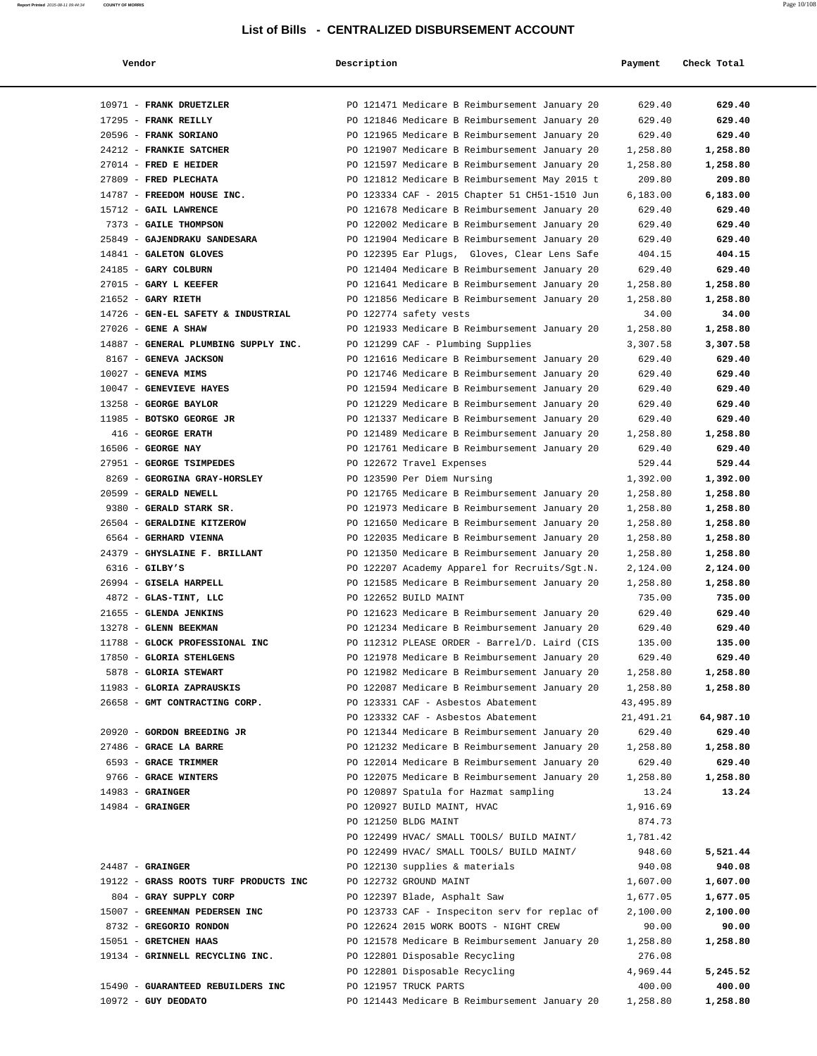| Vendor                                | Description                                   | Payment   | Check Total          |
|---------------------------------------|-----------------------------------------------|-----------|----------------------|
| 10971 - FRANK DRUETZLER               | PO 121471 Medicare B Reimbursement January 20 |           | 629.40<br>629.40     |
| 17295 - FRANK REILLY                  | PO 121846 Medicare B Reimbursement January 20 |           | 629.40<br>629.40     |
| 20596 - FRANK SORIANO                 | PO 121965 Medicare B Reimbursement January 20 |           | 629.40<br>629.40     |
| 24212 - FRANKIE SATCHER               | PO 121907 Medicare B Reimbursement January 20 |           | 1,258.80<br>1,258.80 |
| 27014 - FRED E HEIDER                 | PO 121597 Medicare B Reimbursement January 20 |           | 1,258.80<br>1,258.80 |
| 27809 - FRED PLECHATA                 | PO 121812 Medicare B Reimbursement May 2015 t |           | 209.80<br>209.80     |
| 14787 - FREEDOM HOUSE INC.            | PO 123334 CAF - 2015 Chapter 51 CH51-1510 Jun |           | 6,183.00<br>6,183.00 |
| 15712 - GAIL LAWRENCE                 | PO 121678 Medicare B Reimbursement January 20 |           | 629.40<br>629.40     |
| 7373 - GAILE THOMPSON                 | PO 122002 Medicare B Reimbursement January 20 |           | 629.40<br>629.40     |
| 25849 - GAJENDRAKU SANDESARA          | PO 121904 Medicare B Reimbursement January 20 |           | 629.40<br>629.40     |
| 14841 - GALETON GLOVES                | PO 122395 Ear Plugs, Gloves, Clear Lens Safe  |           | 404.15<br>404.15     |
| 24185 - GARY COLBURN                  | PO 121404 Medicare B Reimbursement January 20 |           | 629.40<br>629.40     |
| 27015 - GARY L KEEFER                 | PO 121641 Medicare B Reimbursement January 20 |           | 1,258.80<br>1,258.80 |
| $21652$ - GARY RIETH                  | PO 121856 Medicare B Reimbursement January 20 |           | 1,258.80<br>1,258.80 |
| 14726 - GEN-EL SAFETY & INDUSTRIAL    | PO 122774 safety vests                        |           | 34.00<br>34.00       |
| 27026 - GENE A SHAW                   | PO 121933 Medicare B Reimbursement January 20 |           | 1,258.80<br>1,258.80 |
| 14887 - GENERAL PLUMBING SUPPLY INC.  | PO 121299 CAF - Plumbing Supplies             |           | 3,307.58<br>3,307.58 |
| 8167 - GENEVA JACKSON                 | PO 121616 Medicare B Reimbursement January 20 |           | 629.40<br>629.40     |
| $10027$ - GENEVA MIMS                 | PO 121746 Medicare B Reimbursement January 20 |           | 629.40<br>629.40     |
| 10047 - GENEVIEVE HAYES               | PO 121594 Medicare B Reimbursement January 20 |           | 629.40<br>629.40     |
| 13258 - GEORGE BAYLOR                 | PO 121229 Medicare B Reimbursement January 20 |           | 629.40<br>629.40     |
| 11985 - BOTSKO GEORGE JR              | PO 121337 Medicare B Reimbursement January 20 |           | 629.40<br>629.40     |
| 416 - GEORGE ERATH                    | PO 121489 Medicare B Reimbursement January 20 |           | 1,258.80<br>1,258.80 |
| 16506 - GEORGE NAY                    | PO 121761 Medicare B Reimbursement January 20 |           | 629.40<br>629.40     |
| 27951 - GEORGE TSIMPEDES              | PO 122672 Travel Expenses                     |           | 529.44<br>529.44     |
| 8269 - GEORGINA GRAY-HORSLEY          | PO 123590 Per Diem Nursing                    |           | 1,392.00<br>1,392.00 |
| 20599 - GERALD NEWELL                 | PO 121765 Medicare B Reimbursement January 20 |           | 1,258.80<br>1,258.80 |
| 9380 - GERALD STARK SR.               | PO 121973 Medicare B Reimbursement January 20 |           | 1,258.80<br>1,258.80 |
| 26504 - GERALDINE KITZEROW            | PO 121650 Medicare B Reimbursement January 20 |           | 1,258.80<br>1,258.80 |
| 6564 - GERHARD VIENNA                 | PO 122035 Medicare B Reimbursement January 20 |           | 1,258.80<br>1,258.80 |
| 24379 - GHYSLAINE F. BRILLANT         | PO 121350 Medicare B Reimbursement January 20 |           | 1,258.80<br>1,258.80 |
| $6316$ - GILBY'S                      | PO 122207 Academy Apparel for Recruits/Sgt.N. |           | 2,124.00<br>2,124.00 |
| 26994 - GISELA HARPELL                | PO 121585 Medicare B Reimbursement January 20 |           | 1,258.80<br>1,258.80 |
| 4872 - GLAS-TINT, LLC                 | PO 122652 BUILD MAINT                         |           | 735.00<br>735.00     |
| 21655 - GLENDA JENKINS                | PO 121623 Medicare B Reimbursement January 20 |           | 629.40<br>629.40     |
| 13278 - GLENN BEEKMAN                 | PO 121234 Medicare B Reimbursement January 20 |           | 629.40<br>629.40     |
| 11788 - GLOCK PROFESSIONAL INC        | PO 112312 PLEASE ORDER - Barrel/D. Laird (CIS |           | 135.00<br>135.00     |
| 17850 - GLORIA STEHLGENS              | PO 121978 Medicare B Reimbursement January 20 |           | 629.40<br>629.40     |
| 5878 - GLORIA STEWART                 | PO 121982 Medicare B Reimbursement January 20 |           | 1,258.80<br>1,258.80 |
| 11983 - GLORIA ZAPRAUSKIS             | PO 122087 Medicare B Reimbursement January 20 |           | 1,258.80<br>1,258.80 |
| 26658 - GMT CONTRACTING CORP.         | PO 123331 CAF - Asbestos Abatement            | 43,495.89 |                      |
|                                       | PO 123332 CAF - Asbestos Abatement            | 21,491.21 | 64,987.10            |
| 20920 - GORDON BREEDING JR            | PO 121344 Medicare B Reimbursement January 20 |           | 629.40<br>629.40     |
| 27486 - GRACE LA BARRE                | PO 121232 Medicare B Reimbursement January 20 | 1,258.80  | 1,258.80             |
| 6593 - GRACE TRIMMER                  | PO 122014 Medicare B Reimbursement January 20 |           | 629.40<br>629.40     |
| 9766 - GRACE WINTERS                  | PO 122075 Medicare B Reimbursement January 20 |           | 1,258.80<br>1,258.80 |
| $14983$ - GRAINGER                    | PO 120897 Spatula for Hazmat sampling         |           | 13.24<br>13.24       |
| $14984 -$ GRAINGER                    | PO 120927 BUILD MAINT, HVAC                   |           | 1,916.69             |
|                                       | PO 121250 BLDG MAINT                          |           | 874.73               |
|                                       | PO 122499 HVAC/ SMALL TOOLS/ BUILD MAINT/     |           | 1,781.42             |
|                                       | PO 122499 HVAC/ SMALL TOOLS/ BUILD MAINT/     |           | 948.60<br>5,521.44   |
| $24487 -$ GRAINGER                    | PO 122130 supplies & materials                |           | 940.08<br>940.08     |
| 19122 - GRASS ROOTS TURF PRODUCTS INC | PO 122732 GROUND MAINT                        |           | 1,607.00<br>1,607.00 |
| 804 - GRAY SUPPLY CORP                | PO 122397 Blade, Asphalt Saw                  |           | 1,677.05<br>1,677.05 |
| 15007 - GREENMAN PEDERSEN INC         | PO 123733 CAF - Inspeciton serv for replac of |           | 2,100.00<br>2,100.00 |
| 8732 - GREGORIO RONDON                | PO 122624 2015 WORK BOOTS - NIGHT CREW        |           | 90.00<br>90.00       |
| 15051 - GRETCHEN HAAS                 | PO 121578 Medicare B Reimbursement January 20 |           | 1,258.80<br>1,258.80 |
| 19134 - GRINNELL RECYCLING INC.       | PO 122801 Disposable Recycling                |           | 276.08               |
|                                       | PO 122801 Disposable Recycling                |           | 4,969.44<br>5,245.52 |
| 15490 - GUARANTEED REBUILDERS INC     | PO 121957 TRUCK PARTS                         |           | 400.00<br>400.00     |
| $10972$ - GUY DEODATO                 | PO 121443 Medicare B Reimbursement January 20 |           | 1,258.80<br>1,258.80 |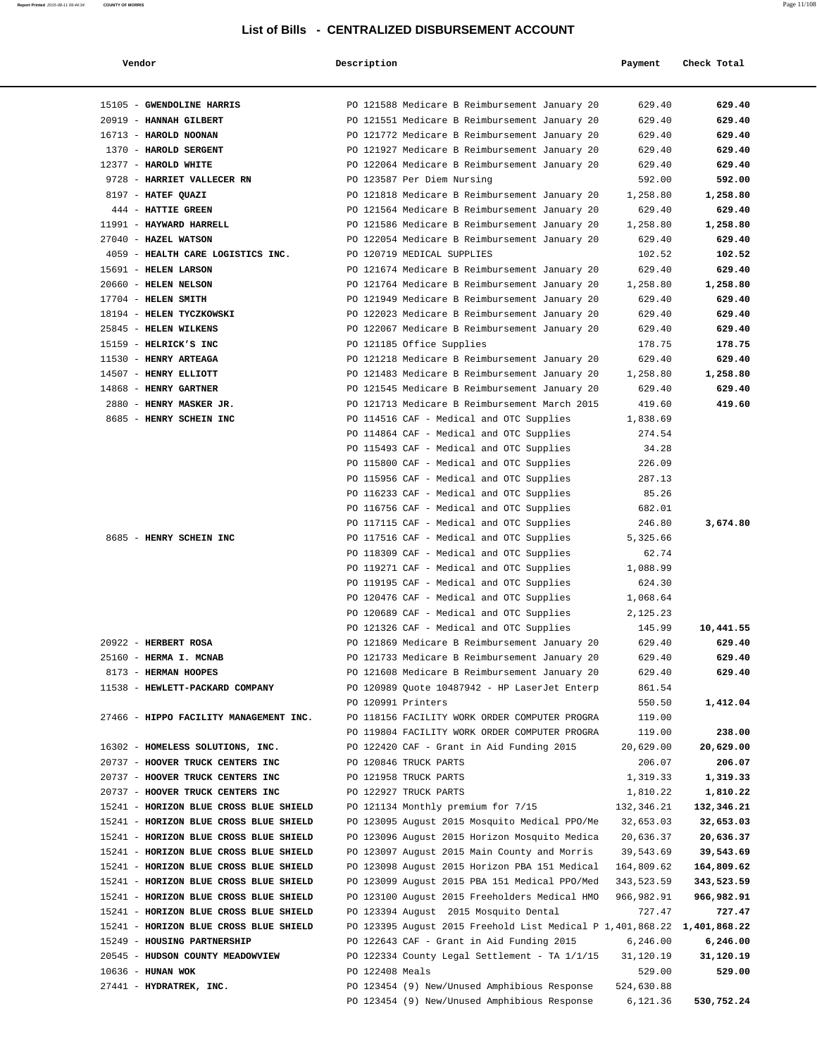| Vendor                                                | Description        |                                                                                      | Payment              | Check Total  |
|-------------------------------------------------------|--------------------|--------------------------------------------------------------------------------------|----------------------|--------------|
| 15105 - GWENDOLINE HARRIS                             |                    | PO 121588 Medicare B Reimbursement January 20                                        | 629.40               | 629.40       |
| 20919 - HANNAH GILBERT                                |                    | PO 121551 Medicare B Reimbursement January 20                                        | 629.40               | 629.40       |
| 16713 - HAROLD NOONAN                                 |                    | PO 121772 Medicare B Reimbursement January 20                                        | 629.40               | 629.40       |
| 1370 - HAROLD SERGENT                                 |                    | PO 121927 Medicare B Reimbursement January 20                                        | 629.40               | 629.40       |
| 12377 - HAROLD WHITE                                  |                    | PO 122064 Medicare B Reimbursement January 20                                        | 629.40               | 629.40       |
| 9728 - HARRIET VALLECER RN                            |                    | PO 123587 Per Diem Nursing                                                           | 592.00               | 592.00       |
| 8197 - HATEF QUAZI                                    |                    | PO 121818 Medicare B Reimbursement January 20                                        | 1,258.80             | 1,258.80     |
| 444 - HATTIE GREEN                                    |                    | PO 121564 Medicare B Reimbursement January 20                                        | 629.40               | 629.40       |
| 11991 - HAYWARD HARRELL                               |                    | PO 121586 Medicare B Reimbursement January 20                                        | 1,258.80             | 1,258.80     |
| 27040 - HAZEL WATSON                                  |                    | PO 122054 Medicare B Reimbursement January 20                                        | 629.40               | 629.40       |
| 4059 - HEALTH CARE LOGISTICS INC.                     |                    | PO 120719 MEDICAL SUPPLIES                                                           | 102.52               | 102.52       |
| 15691 - HELEN LARSON                                  |                    | PO 121674 Medicare B Reimbursement January 20                                        | 629.40               | 629.40       |
| 20660 - HELEN NELSON                                  |                    | PO 121764 Medicare B Reimbursement January 20                                        | 1,258.80             | 1,258.80     |
| 17704 - HELEN SMITH                                   |                    | PO 121949 Medicare B Reimbursement January 20                                        | 629.40               | 629.40       |
| 18194 - HELEN TYCZKOWSKI                              |                    | PO 122023 Medicare B Reimbursement January 20                                        | 629.40               | 629.40       |
| 25845 - HELEN WILKENS                                 |                    | PO 122067 Medicare B Reimbursement January 20                                        | 629.40               | 629.40       |
| 15159 - HELRICK'S INC                                 |                    | PO 121185 Office Supplies                                                            | 178.75               | 178.75       |
| 11530 - HENRY ARTEAGA                                 |                    | PO 121218 Medicare B Reimbursement January 20                                        | 629.40               | 629.40       |
| 14507 - HENRY ELLIOTT                                 |                    | PO 121483 Medicare B Reimbursement January 20                                        | 1,258.80             | 1,258.80     |
| 14868 - HENRY GARTNER                                 |                    | PO 121545 Medicare B Reimbursement January 20                                        | 629.40               | 629.40       |
| 2880 - HENRY MASKER JR.                               |                    | PO 121713 Medicare B Reimbursement March 2015                                        | 419.60               | 419.60       |
| 8685 - HENRY SCHEIN INC                               |                    | PO 114516 CAF - Medical and OTC Supplies                                             | 1,838.69             |              |
|                                                       |                    | PO 114864 CAF - Medical and OTC Supplies                                             | 274.54               |              |
|                                                       |                    | PO 115493 CAF - Medical and OTC Supplies                                             | 34.28                |              |
|                                                       |                    | PO 115800 CAF - Medical and OTC Supplies                                             | 226.09               |              |
|                                                       |                    | PO 115956 CAF - Medical and OTC Supplies                                             | 287.13               |              |
|                                                       |                    | PO 116233 CAF - Medical and OTC Supplies                                             | 85.26                |              |
|                                                       |                    | PO 116756 CAF - Medical and OTC Supplies                                             | 682.01               |              |
| 8685 - HENRY SCHEIN INC                               |                    | PO 117115 CAF - Medical and OTC Supplies                                             | 246.80               | 3,674.80     |
|                                                       |                    | PO 117516 CAF - Medical and OTC Supplies<br>PO 118309 CAF - Medical and OTC Supplies | 5,325.66<br>62.74    |              |
|                                                       |                    | PO 119271 CAF - Medical and OTC Supplies                                             | 1,088.99             |              |
|                                                       |                    | PO 119195 CAF - Medical and OTC Supplies                                             | 624.30               |              |
|                                                       |                    | PO 120476 CAF - Medical and OTC Supplies                                             | 1,068.64             |              |
|                                                       |                    | PO 120689 CAF - Medical and OTC Supplies                                             | 2,125.23             |              |
|                                                       |                    | PO 121326 CAF - Medical and OTC Supplies                                             | 145.99               | 10,441.55    |
| 20922 - HERBERT ROSA                                  |                    | PO 121869 Medicare B Reimbursement January 20                                        | 629.40               | 629.40       |
| 25160 - HERMA I. MCNAB                                |                    | PO 121733 Medicare B Reimbursement January 20                                        | 629.40               | 629.40       |
| 8173 - HERMAN HOOPES                                  |                    | PO 121608 Medicare B Reimbursement January 20                                        | 629.40               | 629.40       |
| 11538 - HEWLETT-PACKARD COMPANY                       |                    | PO 120989 Quote 10487942 - HP LaserJet Enterp                                        | 861.54               |              |
|                                                       | PO 120991 Printers |                                                                                      | 550.50               | 1,412.04     |
| 27466 - HIPPO FACILITY MANAGEMENT INC.                |                    | PO 118156 FACILITY WORK ORDER COMPUTER PROGRA                                        | 119.00               |              |
|                                                       |                    | PO 119804 FACILITY WORK ORDER COMPUTER PROGRA                                        | 119.00               | 238.00       |
| 16302 - HOMELESS SOLUTIONS, INC.                      |                    | PO 122420 CAF - Grant in Aid Funding 2015                                            | 20,629.00            | 20,629.00    |
| 20737 - HOOVER TRUCK CENTERS INC                      |                    | PO 120846 TRUCK PARTS                                                                | 206.07               | 206.07       |
| 20737 - HOOVER TRUCK CENTERS INC                      |                    | PO 121958 TRUCK PARTS                                                                | 1,319.33             | 1,319.33     |
| 20737 - HOOVER TRUCK CENTERS INC                      |                    | PO 122927 TRUCK PARTS                                                                | 1,810.22             | 1,810.22     |
| 15241 - HORIZON BLUE CROSS BLUE SHIELD                |                    | PO 121134 Monthly premium for 7/15                                                   | 132,346.21           | 132,346.21   |
| 15241 - HORIZON BLUE CROSS BLUE SHIELD                |                    | PO 123095 August 2015 Mosquito Medical PPO/Me                                        | 32,653.03            | 32,653.03    |
| 15241 - HORIZON BLUE CROSS BLUE SHIELD                |                    | PO 123096 August 2015 Horizon Mosquito Medica                                        | 20,636.37            | 20,636.37    |
| 15241 - HORIZON BLUE CROSS BLUE SHIELD                |                    | PO 123097 August 2015 Main County and Morris                                         | 39,543.69            | 39,543.69    |
| 15241 - HORIZON BLUE CROSS BLUE SHIELD                |                    | PO 123098 August 2015 Horizon PBA 151 Medical                                        | 164,809.62           | 164,809.62   |
| 15241 - HORIZON BLUE CROSS BLUE SHIELD                |                    | PO 123099 August 2015 PBA 151 Medical PPO/Med                                        | 343,523.59           | 343,523.59   |
| 15241 - HORIZON BLUE CROSS BLUE SHIELD                |                    | PO 123100 August 2015 Freeholders Medical HMO                                        | 966,982.91           | 966,982.91   |
| 15241 - HORIZON BLUE CROSS BLUE SHIELD                |                    | PO 123394 August 2015 Mosquito Dental                                                | 727.47               | 727.47       |
| 15241 - HORIZON BLUE CROSS BLUE SHIELD                |                    | PO 123395 August 2015 Freehold List Medical P 1,401,868.22                           |                      | 1,401,868.22 |
| 15249 - HOUSING PARTNERSHIP                           |                    | PO 122643 CAF - Grant in Aid Funding 2015                                            | 6,246.00             | 6,246.00     |
| 20545 - HUDSON COUNTY MEADOWVIEW<br>10636 - HUNAN WOK | PO 122408 Meals    | PO 122334 County Legal Settlement - TA 1/1/15                                        | 31,120.19            | 31,120.19    |
| 27441 - HYDRATREK, INC.                               |                    | PO 123454 (9) New/Unused Amphibious Response                                         | 529.00<br>524,630.88 | 529.00       |
|                                                       |                    | PO 123454 (9) New/Unused Amphibious Response                                         | 6,121.36             | 530,752.24   |
|                                                       |                    |                                                                                      |                      |              |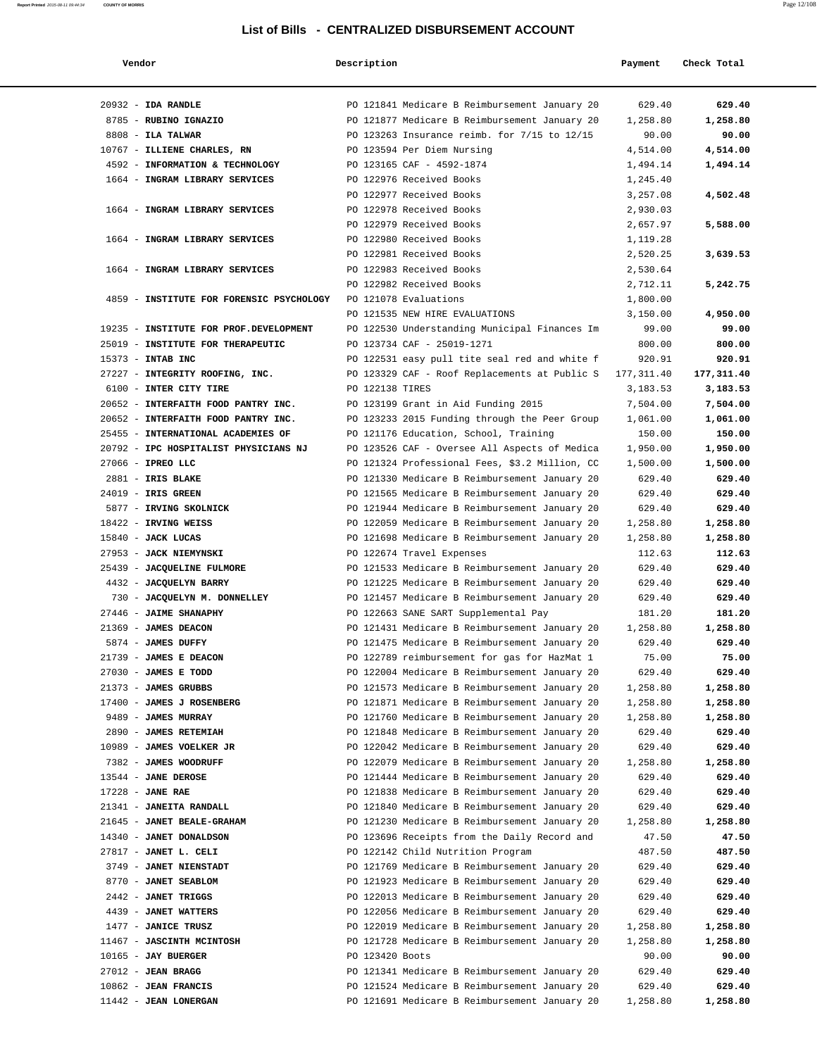| Vendor                                   | Description     |                                                | Payment    | Check Total |
|------------------------------------------|-----------------|------------------------------------------------|------------|-------------|
| $20932 - IDA$ RANDLE                     |                 | PO 121841 Medicare B Reimbursement January 20  | 629.40     | 629.40      |
| 8785 - RUBINO IGNAZIO                    |                 | PO 121877 Medicare B Reimbursement January 20  | 1,258.80   | 1,258.80    |
| 8808 - ILA TALWAR                        |                 | PO 123263 Insurance reimb. for 7/15 to 12/15   | 90.00      | 90.00       |
| 10767 - ILLIENE CHARLES, RN              |                 | PO 123594 Per Diem Nursing                     | 4,514.00   | 4,514.00    |
| 4592 - INFORMATION & TECHNOLOGY          |                 | PO 123165 CAF - 4592-1874                      | 1,494.14   | 1,494.14    |
| 1664 - INGRAM LIBRARY SERVICES           |                 | PO 122976 Received Books                       | 1,245.40   |             |
|                                          |                 | PO 122977 Received Books                       | 3,257.08   | 4,502.48    |
| 1664 - INGRAM LIBRARY SERVICES           |                 | PO 122978 Received Books                       | 2,930.03   |             |
|                                          |                 | PO 122979 Received Books                       | 2,657.97   | 5,588.00    |
| 1664 - INGRAM LIBRARY SERVICES           |                 | PO 122980 Received Books                       | 1,119.28   |             |
|                                          |                 | PO 122981 Received Books                       | 2,520.25   | 3,639.53    |
| 1664 - INGRAM LIBRARY SERVICES           |                 | PO 122983 Received Books                       | 2,530.64   |             |
|                                          |                 | PO 122982 Received Books                       | 2,712.11   | 5,242.75    |
| 4859 - INSTITUTE FOR FORENSIC PSYCHOLOGY |                 | PO 121078 Evaluations                          | 1,800.00   |             |
|                                          |                 | PO 121535 NEW HIRE EVALUATIONS                 | 3,150.00   | 4,950.00    |
| 19235 - INSTITUTE FOR PROF.DEVELOPMENT   |                 | PO 122530 Understanding Municipal Finances Im  | 99.00      | 99.00       |
| 25019 - INSTITUTE FOR THERAPEUTIC        |                 | PO 123734 CAF - 25019-1271                     | 800.00     | 800.00      |
| 15373 - INTAB INC                        |                 | PO 122531 easy pull tite seal red and white f  | 920.91     | 920.91      |
| 27227 - INTEGRITY ROOFING, INC.          |                 | PO 123329 CAF - Roof Replacements at Public S  | 177,311.40 | 177,311.40  |
| 6100 - INTER CITY TIRE                   | PO 122138 TIRES |                                                | 3,183.53   | 3,183.53    |
| 20652 - INTERFAITH FOOD PANTRY INC.      |                 | PO 123199 Grant in Aid Funding 2015            | 7,504.00   | 7,504.00    |
| 20652 - INTERFAITH FOOD PANTRY INC.      |                 | PO 123233 2015 Funding through the Peer Group  | 1,061.00   | 1,061.00    |
| 25455 - INTERNATIONAL ACADEMIES OF       |                 | PO 121176 Education, School, Training          | 150.00     | 150.00      |
| 20792 - IPC HOSPITALIST PHYSICIANS NJ    |                 | PO 123526 CAF - Oversee All Aspects of Medica  | 1,950.00   | 1,950.00    |
| 27066 - IPREO LLC                        |                 | PO 121324 Professional Fees, \$3.2 Million, CC | 1,500.00   | 1,500.00    |
| 2881 - IRIS BLAKE                        |                 | PO 121330 Medicare B Reimbursement January 20  | 629.40     | 629.40      |
| 24019 - IRIS GREEN                       |                 | PO 121565 Medicare B Reimbursement January 20  | 629.40     | 629.40      |
| 5877 - IRVING SKOLNICK                   |                 | PO 121944 Medicare B Reimbursement January 20  | 629.40     | 629.40      |
| 18422 - IRVING WEISS                     |                 | PO 122059 Medicare B Reimbursement January 20  | 1,258.80   | 1,258.80    |
| 15840 - JACK LUCAS                       |                 | PO 121698 Medicare B Reimbursement January 20  | 1,258.80   | 1,258.80    |
| 27953 - JACK NIEMYNSKI                   |                 | PO 122674 Travel Expenses                      | 112.63     | 112.63      |
| 25439 - JACQUELINE FULMORE               |                 | PO 121533 Medicare B Reimbursement January 20  | 629.40     | 629.40      |
| 4432 - JACQUELYN BARRY                   |                 | PO 121225 Medicare B Reimbursement January 20  | 629.40     | 629.40      |
| 730 - JACQUELYN M. DONNELLEY             |                 | PO 121457 Medicare B Reimbursement January 20  | 629.40     | 629.40      |
| 27446 - JAIME SHANAPHY                   |                 | PO 122663 SANE SART Supplemental Pay           | 181.20     | 181.20      |
| 21369 - JAMES DEACON                     |                 | PO 121431 Medicare B Reimbursement January 20  | 1,258.80   | 1,258.80    |
| 5874 - JAMES DUFFY                       |                 | PO 121475 Medicare B Reimbursement January 20  | 629.40     | 629.40      |
| 21739 - JAMES E DEACON                   |                 | PO 122789 reimbursement for gas for HazMat 1   | 75.00      | 75.00       |
| 27030 - JAMES E TODD                     |                 | PO 122004 Medicare B Reimbursement January 20  | 629.40     | 629.40      |
| 21373 - JAMES GRUBBS                     |                 | PO 121573 Medicare B Reimbursement January 20  | 1,258.80   | 1,258.80    |
| 17400 - JAMES J ROSENBERG                |                 | PO 121871 Medicare B Reimbursement January 20  | 1,258.80   | 1,258.80    |
| 9489 - JAMES MURRAY                      |                 | PO 121760 Medicare B Reimbursement January 20  | 1,258.80   | 1,258.80    |
| 2890 - JAMES RETEMIAH                    |                 | PO 121848 Medicare B Reimbursement January 20  | 629.40     | 629.40      |
| 10989 - JAMES VOELKER JR                 |                 | PO 122042 Medicare B Reimbursement January 20  | 629.40     | 629.40      |
| 7382 - JAMES WOODRUFF                    |                 | PO 122079 Medicare B Reimbursement January 20  | 1,258.80   | 1,258.80    |
| 13544 - JANE DEROSE                      |                 | PO 121444 Medicare B Reimbursement January 20  | 629.40     | 629.40      |
| $17228$ - JANE RAE                       |                 | PO 121838 Medicare B Reimbursement January 20  | 629.40     | 629.40      |
| 21341 - JANEITA RANDALL                  |                 | PO 121840 Medicare B Reimbursement January 20  | 629.40     | 629.40      |
| 21645 - JANET BEALE-GRAHAM               |                 | PO 121230 Medicare B Reimbursement January 20  | 1,258.80   | 1,258.80    |
| 14340 - JANET DONALDSON                  |                 | PO 123696 Receipts from the Daily Record and   | 47.50      | 47.50       |
| 27817 - JANET L. CELI                    |                 | PO 122142 Child Nutrition Program              | 487.50     | 487.50      |
| 3749 - JANET NIENSTADT                   |                 | PO 121769 Medicare B Reimbursement January 20  | 629.40     | 629.40      |
| 8770 - JANET SEABLOM                     |                 | PO 121923 Medicare B Reimbursement January 20  | 629.40     | 629.40      |
| 2442 - JANET TRIGGS                      |                 | PO 122013 Medicare B Reimbursement January 20  | 629.40     | 629.40      |
| 4439 - JANET WATTERS                     |                 | PO 122056 Medicare B Reimbursement January 20  | 629.40     | 629.40      |
| 1477 - JANICE TRUSZ                      |                 | PO 122019 Medicare B Reimbursement January 20  | 1,258.80   | 1,258.80    |
| 11467 - JASCINTH MCINTOSH                |                 | PO 121728 Medicare B Reimbursement January 20  | 1,258.80   | 1,258.80    |
| $10165$ - JAY BUERGER                    | PO 123420 Boots |                                                | 90.00      | 90.00       |
| $27012$ - JEAN BRAGG                     |                 | PO 121341 Medicare B Reimbursement January 20  | 629.40     | 629.40      |
| $10862$ - JEAN FRANCIS                   |                 | PO 121524 Medicare B Reimbursement January 20  | 629.40     | 629.40      |
| 11442 - JEAN LONERGAN                    |                 | PO 121691 Medicare B Reimbursement January 20  | 1,258.80   | 1,258.80    |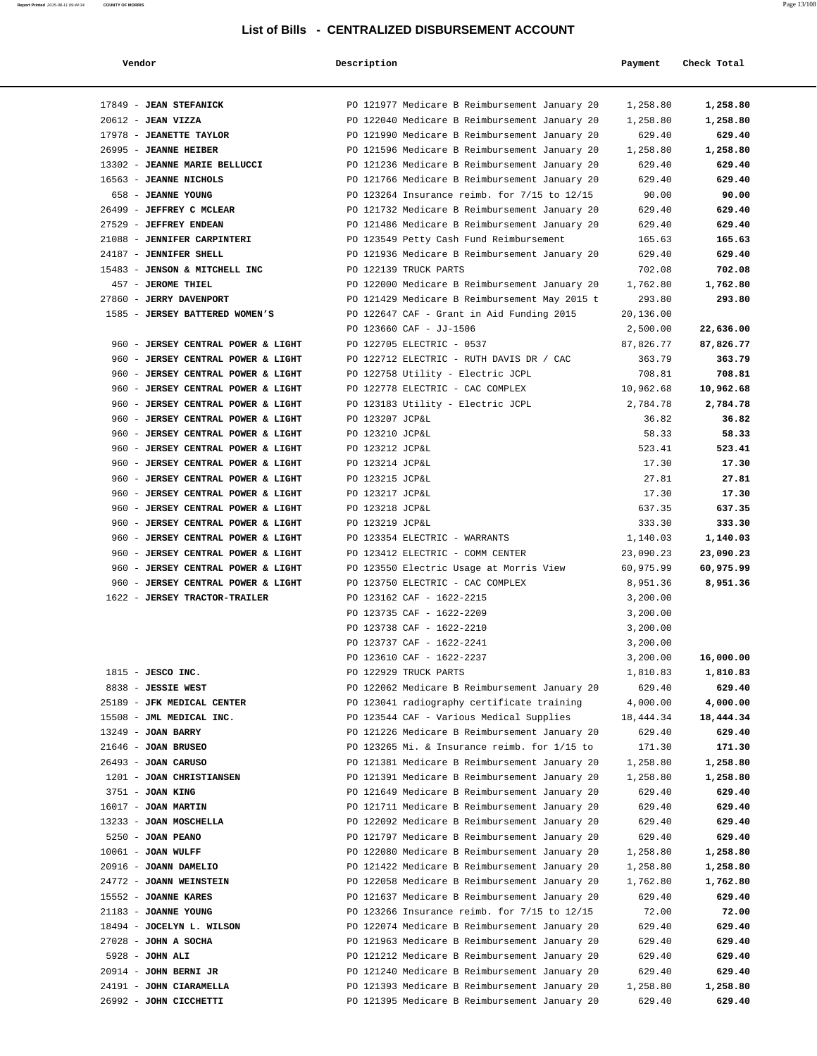| Vendor                                                                   | Description             |                                                                                                | Payment          | Check Total       |
|--------------------------------------------------------------------------|-------------------------|------------------------------------------------------------------------------------------------|------------------|-------------------|
|                                                                          |                         |                                                                                                |                  |                   |
| 17849 - JEAN STEFANICK                                                   |                         | PO 121977 Medicare B Reimbursement January 20                                                  | 1,258.80         | 1,258.80          |
| 20612 - JEAN VIZZA                                                       |                         | PO 122040 Medicare B Reimbursement January 20                                                  | 1,258.80         | 1,258.80          |
| 17978 - JEANETTE TAYLOR                                                  |                         | PO 121990 Medicare B Reimbursement January 20                                                  | 629.40           | 629.40            |
| 26995 - JEANNE HEIBER                                                    |                         | PO 121596 Medicare B Reimbursement January 20                                                  | 1,258.80         | 1,258.80          |
| 13302 - JEANNE MARIE BELLUCCI                                            |                         | PO 121236 Medicare B Reimbursement January 20                                                  | 629.40           | 629.40            |
| 16563 - JEANNE NICHOLS                                                   |                         | PO 121766 Medicare B Reimbursement January 20                                                  | 629.40           | 629.40            |
| 658 - JEANNE YOUNG                                                       |                         | PO 123264 Insurance reimb. for 7/15 to 12/15                                                   | 90.00            | 90.00             |
| 26499 - JEFFREY C MCLEAR                                                 |                         | PO 121732 Medicare B Reimbursement January 20                                                  | 629.40           | 629.40            |
| 27529 - JEFFREY ENDEAN                                                   |                         | PO 121486 Medicare B Reimbursement January 20                                                  | 629.40           | 629.40            |
| 21088 - JENNIFER CARPINTERI                                              |                         | PO 123549 Petty Cash Fund Reimbursement                                                        | 165.63           | 165.63            |
| 24187 - JENNIFER SHELL                                                   |                         | PO 121936 Medicare B Reimbursement January 20                                                  | 629.40           | 629.40            |
| 15483 - JENSON & MITCHELL INC                                            | PO 122139 TRUCK PARTS   |                                                                                                | 702.08           | 702.08            |
| 457 - JEROME THIEL                                                       |                         | PO 122000 Medicare B Reimbursement January 20                                                  | 1,762.80         | 1,762.80          |
| 27860 - JERRY DAVENPORT                                                  |                         | PO 121429 Medicare B Reimbursement May 2015 t                                                  | 293.80           | 293.80            |
| 1585 - JERSEY BATTERED WOMEN'S                                           |                         | PO 122647 CAF - Grant in Aid Funding 2015                                                      | 20,136.00        |                   |
|                                                                          | PO 123660 CAF - JJ-1506 |                                                                                                | 2,500.00         | 22,636.00         |
| 960 - JERSEY CENTRAL POWER & LIGHT                                       |                         | PO 122705 ELECTRIC - 0537                                                                      | 87,826.77        | 87,826.77         |
| 960 - JERSEY CENTRAL POWER & LIGHT                                       |                         | PO 122712 ELECTRIC - RUTH DAVIS DR / CAC                                                       | 363.79           | 363.79            |
| 960 - JERSEY CENTRAL POWER & LIGHT                                       |                         | PO 122758 Utility - Electric JCPL                                                              | 708.81           | 708.81            |
| 960 - JERSEY CENTRAL POWER & LIGHT                                       |                         | PO 122778 ELECTRIC - CAC COMPLEX                                                               | 10,962.68        | 10,962.68         |
| 960 - JERSEY CENTRAL POWER & LIGHT                                       | PO 123207 JCP&L         | PO 123183 Utility - Electric JCPL                                                              | 2,784.78         | 2,784.78<br>36.82 |
| 960 - JERSEY CENTRAL POWER & LIGHT<br>960 - JERSEY CENTRAL POWER & LIGHT | PO 123210 JCP&L         |                                                                                                | 36.82<br>58.33   | 58.33             |
| 960 - JERSEY CENTRAL POWER & LIGHT                                       | PO 123212 JCP&L         |                                                                                                | 523.41           | 523.41            |
| 960 - JERSEY CENTRAL POWER & LIGHT                                       | PO 123214 JCP&L         |                                                                                                | 17.30            | 17.30             |
| 960 - JERSEY CENTRAL POWER & LIGHT                                       | PO 123215 JCP&L         |                                                                                                | 27.81            | 27.81             |
| 960 - JERSEY CENTRAL POWER & LIGHT                                       | PO 123217 JCP&L         |                                                                                                | 17.30            | 17.30             |
| 960 - JERSEY CENTRAL POWER & LIGHT                                       | PO 123218 JCP&L         |                                                                                                | 637.35           | 637.35            |
| 960 - JERSEY CENTRAL POWER & LIGHT                                       | PO 123219 JCP&L         |                                                                                                | 333.30           | 333.30            |
| 960 - JERSEY CENTRAL POWER & LIGHT                                       |                         | PO 123354 ELECTRIC - WARRANTS                                                                  | 1,140.03         | 1,140.03          |
| 960 - JERSEY CENTRAL POWER & LIGHT                                       |                         | PO 123412 ELECTRIC - COMM CENTER                                                               | 23,090.23        | 23,090.23         |
| 960 - JERSEY CENTRAL POWER & LIGHT                                       |                         | PO 123550 Electric Usage at Morris View                                                        | 60,975.99        | 60,975.99         |
| 960 - JERSEY CENTRAL POWER & LIGHT                                       |                         | PO 123750 ELECTRIC - CAC COMPLEX                                                               | 8,951.36         | 8,951.36          |
| 1622 - JERSEY TRACTOR-TRAILER                                            |                         | PO 123162 CAF - 1622-2215                                                                      | 3,200.00         |                   |
|                                                                          |                         | PO 123735 CAF - 1622-2209                                                                      | 3,200.00         |                   |
|                                                                          |                         | PO 123738 CAF - 1622-2210                                                                      | 3,200.00         |                   |
|                                                                          |                         | PO 123737 CAF - 1622-2241                                                                      | 3,200.00         |                   |
|                                                                          |                         | PO 123610 CAF - 1622-2237                                                                      | 3,200.00         | 16,000.00         |
| $1815$ - JESCO INC.                                                      | PO 122929 TRUCK PARTS   |                                                                                                | 1,810.83         | 1,810.83          |
| 8838 - JESSIE WEST                                                       |                         | PO 122062 Medicare B Reimbursement January 20                                                  | 629.40           | 629.40            |
| 25189 - JFK MEDICAL CENTER                                               |                         | PO 123041 radiography certificate training                                                     | 4,000.00         | 4,000.00          |
| 15508 - JML MEDICAL INC.                                                 |                         | PO 123544 CAF - Various Medical Supplies                                                       | 18, 444.34       | 18,444.34         |
| 13249 - JOAN BARRY                                                       |                         | PO 121226 Medicare B Reimbursement January 20                                                  | 629.40           | 629.40            |
| $21646$ - JOAN BRUSEO                                                    |                         | PO 123265 Mi. & Insurance reimb. for 1/15 to                                                   | 171.30           | 171.30            |
| 26493 - JOAN CARUSO                                                      |                         | PO 121381 Medicare B Reimbursement January 20                                                  | 1,258.80         | 1,258.80          |
| 1201 - JOAN CHRISTIANSEN                                                 |                         | PO 121391 Medicare B Reimbursement January 20                                                  | 1,258.80         | 1,258.80          |
| 3751 - JOAN KING                                                         |                         | PO 121649 Medicare B Reimbursement January 20                                                  | 629.40           | 629.40            |
| $16017$ - JOAN MARTIN                                                    |                         | PO 121711 Medicare B Reimbursement January 20                                                  | 629.40           | 629.40            |
| 13233 - JOAN MOSCHELLA                                                   |                         | PO 122092 Medicare B Reimbursement January 20                                                  | 629.40           | 629.40            |
| $5250 - JOAN$ PEANO                                                      |                         | PO 121797 Medicare B Reimbursement January 20                                                  | 629.40           | 629.40            |
| $10061$ - JOAN WULFF                                                     |                         | PO 122080 Medicare B Reimbursement January 20                                                  | 1,258.80         | 1,258.80          |
| 20916 - JOANN DAMELIO                                                    |                         | PO 121422 Medicare B Reimbursement January 20                                                  | 1,258.80         | 1,258.80          |
| 24772 - JOANN WEINSTEIN                                                  |                         | PO 122058 Medicare B Reimbursement January 20                                                  | 1,762.80         | 1,762.80          |
| 15552 - JOANNE KARES                                                     |                         | PO 121637 Medicare B Reimbursement January 20                                                  | 629.40           | 629.40            |
| 21183 - JOANNE YOUNG                                                     |                         | PO 123266 Insurance reimb. for 7/15 to 12/15                                                   | 72.00            | 72.00             |
| 18494 - JOCELYN L. WILSON<br>$27028$ - JOHN A SOCHA                      |                         | PO 122074 Medicare B Reimbursement January 20<br>PO 121963 Medicare B Reimbursement January 20 | 629.40<br>629.40 | 629.40<br>629.40  |
| 5928 - JOHN ALI                                                          |                         | PO 121212 Medicare B Reimbursement January 20                                                  | 629.40           | 629.40            |
| 20914 - JOHN BERNI JR                                                    |                         | PO 121240 Medicare B Reimbursement January 20                                                  | 629.40           | 629.40            |
| 24191 - JOHN CIARAMELLA                                                  |                         | PO 121393 Medicare B Reimbursement January 20                                                  | 1,258.80         | 1,258.80          |
| 26992 - JOHN CICCHETTI                                                   |                         | PO 121395 Medicare B Reimbursement January 20                                                  | 629.40           | 629.40            |
|                                                                          |                         |                                                                                                |                  |                   |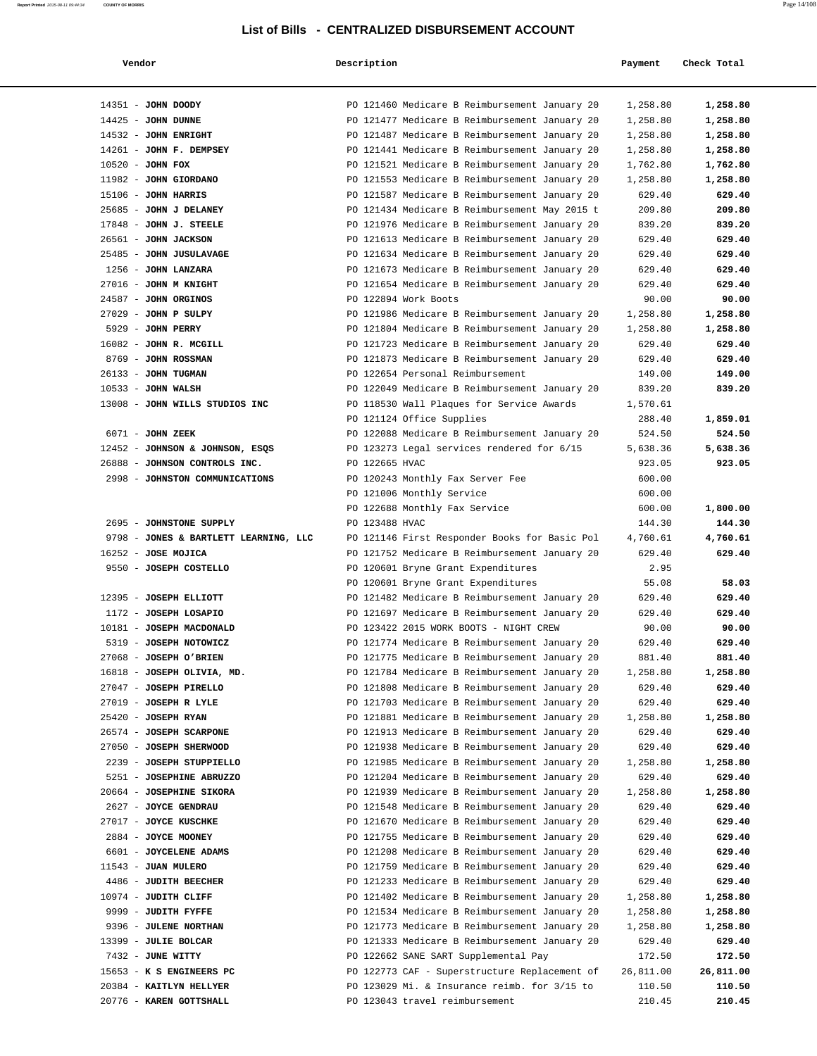| Report Printed 2015-08-11 09:44:34 | <b>COUNTY OF MORRIS</b> |  | Page 14/108 |
|------------------------------------|-------------------------|--|-------------|
|                                    |                         |  |             |

| Vendor                                            | Description                                                                                    | Payment          | Check Total      |
|---------------------------------------------------|------------------------------------------------------------------------------------------------|------------------|------------------|
| 14351 - JOHN DOODY                                | PO 121460 Medicare B Reimbursement January 20                                                  | 1,258.80         | 1,258.80         |
| $14425$ - JOHN DUNNE                              | PO 121477 Medicare B Reimbursement January 20                                                  | 1,258.80         | 1,258.80         |
| 14532 - JOHN ENRIGHT                              | PO 121487 Medicare B Reimbursement January 20                                                  | 1,258.80         | 1,258.80         |
| 14261 - JOHN F. DEMPSEY                           | PO 121441 Medicare B Reimbursement January 20                                                  | 1,258.80         | 1,258.80         |
| 10520 - JOHN FOX                                  | PO 121521 Medicare B Reimbursement January 20                                                  | 1,762.80         | 1,762.80         |
| 11982 - JOHN GIORDANO                             | PO 121553 Medicare B Reimbursement January 20                                                  | 1,258.80         | 1,258.80         |
| $15106$ - JOHN HARRIS                             | PO 121587 Medicare B Reimbursement January 20                                                  | 629.40           | 629.40           |
| 25685 - JOHN J DELANEY                            | PO 121434 Medicare B Reimbursement May 2015 t                                                  | 209.80           | 209.80<br>839.20 |
| $17848$ - JOHN J. STEELE<br>26561 - JOHN JACKSON  | PO 121976 Medicare B Reimbursement January 20<br>PO 121613 Medicare B Reimbursement January 20 | 839.20<br>629.40 | 629.40           |
| 25485 - JOHN JUSULAVAGE                           | PO 121634 Medicare B Reimbursement January 20                                                  | 629.40           | 629.40           |
| 1256 - JOHN LANZARA                               | PO 121673 Medicare B Reimbursement January 20                                                  | 629.40           | 629.40           |
| 27016 - JOHN M KNIGHT                             | PO 121654 Medicare B Reimbursement January 20                                                  | 629.40           | 629.40           |
| 24587 - JOHN ORGINOS                              | PO 122894 Work Boots                                                                           | 90.00            | 90.00            |
| $27029$ - JOHN P SULPY                            | PO 121986 Medicare B Reimbursement January 20                                                  | 1,258.80         | 1,258.80         |
| 5929 - JOHN PERRY                                 | PO 121804 Medicare B Reimbursement January 20                                                  | 1,258.80         | 1,258.80         |
| 16082 - JOHN R. MCGILL                            | PO 121723 Medicare B Reimbursement January 20                                                  | 629.40           | 629.40           |
| 8769 - JOHN ROSSMAN                               | PO 121873 Medicare B Reimbursement January 20                                                  | 629.40           | 629.40           |
| 26133 - JOHN TUGMAN                               | PO 122654 Personal Reimbursement                                                               | 149.00           | 149.00           |
| $10533 - J$ OHN WALSH                             | PO 122049 Medicare B Reimbursement January 20                                                  | 839.20           | 839.20           |
| 13008 - JOHN WILLS STUDIOS INC                    | PO 118530 Wall Plaques for Service Awards                                                      | 1,570.61         |                  |
|                                                   | PO 121124 Office Supplies                                                                      | 288.40           | 1,859.01         |
| 6071 - JOHN ZEEK                                  | PO 122088 Medicare B Reimbursement January 20                                                  | 524.50           | 524.50           |
| 12452 - JOHNSON & JOHNSON, ESQS                   | PO 123273 Legal services rendered for 6/15                                                     | 5,638.36         | 5,638.36         |
| 26888 - JOHNSON CONTROLS INC.                     | PO 122665 HVAC                                                                                 | 923.05           | 923.05           |
| 2998 - JOHNSTON COMMUNICATIONS                    | PO 120243 Monthly Fax Server Fee                                                               | 600.00           |                  |
|                                                   | PO 121006 Monthly Service                                                                      | 600.00           |                  |
|                                                   | PO 122688 Monthly Fax Service                                                                  | 600.00           | 1,800.00         |
| 2695 - JOHNSTONE SUPPLY                           | PO 123488 HVAC                                                                                 | 144.30           | 144.30           |
| 9798 - JONES & BARTLETT LEARNING, LLC             | PO 121146 First Responder Books for Basic Pol                                                  | 4,760.61         | 4,760.61         |
| 16252 - JOSE MOJICA                               | PO 121752 Medicare B Reimbursement January 20                                                  | 629.40           | 629.40           |
| 9550 - JOSEPH COSTELLO                            | PO 120601 Bryne Grant Expenditures                                                             | 2.95             |                  |
|                                                   | PO 120601 Bryne Grant Expenditures                                                             | 55.08            | 58.03            |
| 12395 - JOSEPH ELLIOTT                            | PO 121482 Medicare B Reimbursement January 20                                                  | 629.40           | 629.40           |
| 1172 - JOSEPH LOSAPIO<br>10181 - JOSEPH MACDONALD | PO 121697 Medicare B Reimbursement January 20<br>PO 123422 2015 WORK BOOTS - NIGHT CREW        | 629.40<br>90.00  | 629.40<br>90.00  |
| 5319 - JOSEPH NOTOWICZ                            | PO 121774 Medicare B Reimbursement January 20                                                  | 629.40           | 629.40           |
| 27068 - JOSEPH O'BRIEN                            | PO 121775 Medicare B Reimbursement January 20                                                  | 881.40           | 881.40           |
| 16818 - JOSEPH OLIVIA, MD.                        | PO 121784 Medicare B Reimbursement January 20                                                  | 1,258.80         | 1,258.80         |
| 27047 - JOSEPH PIRELLO                            | PO 121808 Medicare B Reimbursement January 20                                                  | 629.40           | 629.40           |
| 27019 - JOSEPH R LYLE                             | PO 121703 Medicare B Reimbursement January 20                                                  | 629.40           | 629.40           |
| 25420 - JOSEPH RYAN                               | PO 121881 Medicare B Reimbursement January 20                                                  | 1,258.80         | 1,258.80         |
| 26574 - JOSEPH SCARPONE                           | PO 121913 Medicare B Reimbursement January 20                                                  | 629.40           | 629.40           |
| 27050 - JOSEPH SHERWOOD                           | PO 121938 Medicare B Reimbursement January 20                                                  | 629.40           | 629.40           |
| 2239 - JOSEPH STUPPIELLO                          | PO 121985 Medicare B Reimbursement January 20                                                  | 1,258.80         | 1,258.80         |
| 5251 - JOSEPHINE ABRUZZO                          | PO 121204 Medicare B Reimbursement January 20                                                  | 629.40           | 629.40           |
| 20664 - JOSEPHINE SIKORA                          | PO 121939 Medicare B Reimbursement January 20                                                  | 1,258.80         | 1,258.80         |
| 2627 - JOYCE GENDRAU                              | PO 121548 Medicare B Reimbursement January 20                                                  | 629.40           | 629.40           |
| 27017 - JOYCE KUSCHKE                             | PO 121670 Medicare B Reimbursement January 20                                                  | 629.40           | 629.40           |
| 2884 - JOYCE MOONEY                               | PO 121755 Medicare B Reimbursement January 20                                                  | 629.40           | 629.40           |
| 6601 - JOYCELENE ADAMS                            | PO 121208 Medicare B Reimbursement January 20                                                  | 629.40           | 629.40           |
| 11543 - JUAN MULERO                               | PO 121759 Medicare B Reimbursement January 20                                                  | 629.40           | 629.40           |
| 4486 - JUDITH BEECHER                             | PO 121233 Medicare B Reimbursement January 20                                                  | 629.40           | 629.40           |
| 10974 - JUDITH CLIFF                              | PO 121402 Medicare B Reimbursement January 20                                                  | 1,258.80         | 1,258.80         |
| 9999 - JUDITH FYFFE                               | PO 121534 Medicare B Reimbursement January 20                                                  | 1,258.80         | 1,258.80         |
| 9396 - JULENE NORTHAN                             | PO 121773 Medicare B Reimbursement January 20                                                  | 1,258.80         | 1,258.80         |
| 13399 - JULIE BOLCAR                              | PO 121333 Medicare B Reimbursement January 20                                                  | 629.40           | 629.40           |
| 7432 - JUNE WITTY                                 | PO 122662 SANE SART Supplemental Pay                                                           | 172.50           | 172.50           |
| 15653 - K S ENGINEERS PC                          | PO 122773 CAF - Superstructure Replacement of                                                  | 26,811.00        | 26,811.00        |
| 20384 - KAITLYN HELLYER                           | PO 123029 Mi. & Insurance reimb. for 3/15 to                                                   | 110.50           | 110.50           |
| 20776 - KAREN GOTTSHALL                           | PO 123043 travel reimbursement                                                                 | 210.45           | 210.45           |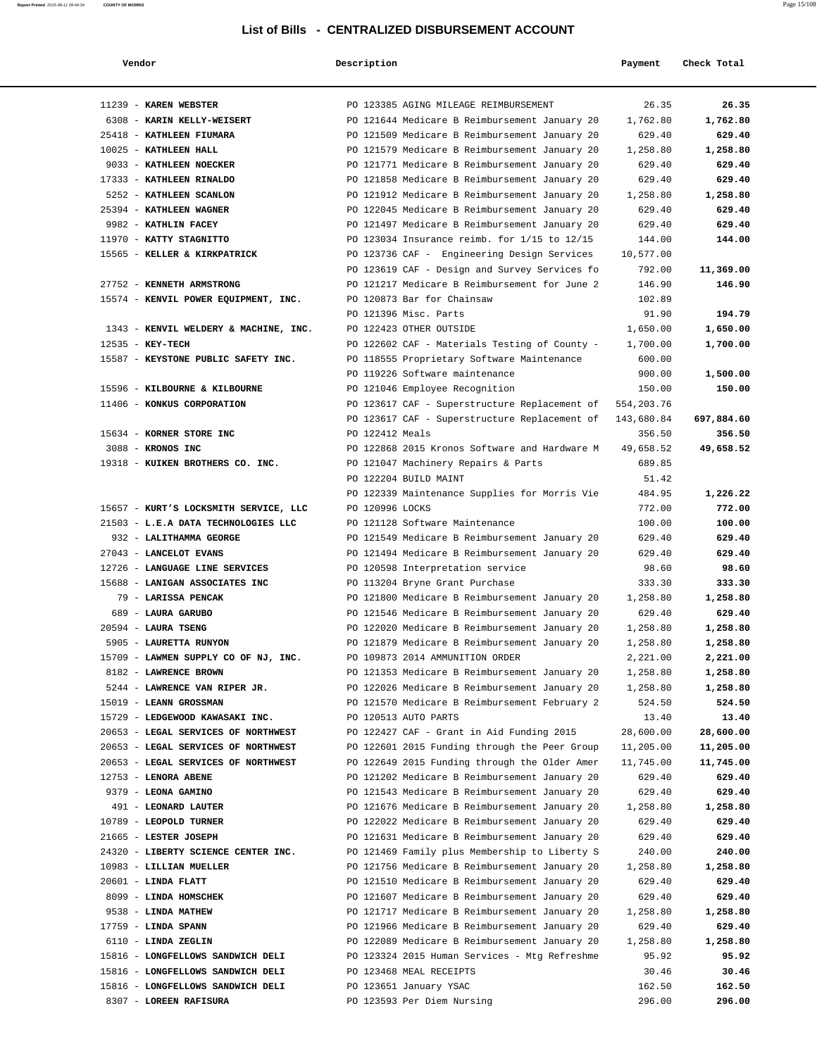| Vendor                                            | Description     |                                                                                   | Payment         | Check Total      |
|---------------------------------------------------|-----------------|-----------------------------------------------------------------------------------|-----------------|------------------|
|                                                   |                 |                                                                                   |                 |                  |
| 11239 - KAREN WEBSTER                             |                 | PO 123385 AGING MILEAGE REIMBURSEMENT                                             | 26.35           | 26.35            |
| 6308 - KARIN KELLY-WEISERT                        |                 | PO 121644 Medicare B Reimbursement January 20                                     | 1,762.80        | 1,762.80         |
| 25418 - KATHLEEN FIUMARA                          |                 | PO 121509 Medicare B Reimbursement January 20                                     | 629.40          | 629.40           |
| 10025 - KATHLEEN HALL                             |                 | PO 121579 Medicare B Reimbursement January 20                                     | 1,258.80        | 1,258.80         |
| 9033 - KATHLEEN NOECKER                           |                 | PO 121771 Medicare B Reimbursement January 20                                     | 629.40          | 629.40           |
| 17333 - KATHLEEN RINALDO                          |                 | PO 121858 Medicare B Reimbursement January 20                                     | 629.40          | 629.40           |
| 5252 - KATHLEEN SCANLON                           |                 | PO 121912 Medicare B Reimbursement January 20                                     | 1,258.80        | 1,258.80         |
| 25394 - KATHLEEN WAGNER                           |                 | PO 122045 Medicare B Reimbursement January 20                                     | 629.40          | 629.40           |
| 9982 - KATHLIN FACEY                              |                 | PO 121497 Medicare B Reimbursement January 20                                     | 629.40          | 629.40           |
| 11970 - KATTY STAGNITTO                           |                 | PO 123034 Insurance reimb. for 1/15 to 12/15                                      | 144.00          | 144.00           |
| 15565 - KELLER & KIRKPATRICK                      |                 | PO 123736 CAF - Engineering Design Services                                       | 10,577.00       |                  |
|                                                   |                 | PO 123619 CAF - Design and Survey Services fo                                     | 792.00          | 11,369.00        |
| 27752 - KENNETH ARMSTRONG                         |                 | PO 121217 Medicare B Reimbursement for June 2                                     | 146.90          | 146.90           |
| 15574 - KENVIL POWER EQUIPMENT, INC.              |                 | PO 120873 Bar for Chainsaw                                                        | 102.89          |                  |
|                                                   |                 | PO 121396 Misc. Parts                                                             | 91.90           | 194.79           |
| 1343 - KENVIL WELDERY & MACHINE, INC.             |                 | PO 122423 OTHER OUTSIDE                                                           | 1,650.00        | 1,650.00         |
| 12535 - KEY-TECH                                  |                 | PO 122602 CAF - Materials Testing of County -                                     | 1,700.00        | 1,700.00         |
| 15587 - KEYSTONE PUBLIC SAFETY INC.               |                 | PO 118555 Proprietary Software Maintenance                                        | 600.00          |                  |
|                                                   |                 | PO 119226 Software maintenance                                                    | 900.00          | 1,500.00         |
| 15596 - KILBOURNE & KILBOURNE                     |                 | PO 121046 Employee Recognition                                                    | 150.00          | 150.00           |
| 11406 - KONKUS CORPORATION                        |                 | PO 123617 CAF - Superstructure Replacement of                                     | 554, 203.76     |                  |
|                                                   |                 | PO 123617 CAF - Superstructure Replacement of                                     | 143,680.84      | 697,884.60       |
| 15634 - KORNER STORE INC                          | PO 122412 Meals |                                                                                   | 356.50          | 356.50           |
| 3088 - KRONOS INC                                 |                 | PO 122868 2015 Kronos Software and Hardware M                                     | 49,658.52       | 49,658.52        |
| 19318 - KUIKEN BROTHERS CO. INC.                  |                 | PO 121047 Machinery Repairs & Parts                                               | 689.85          |                  |
|                                                   |                 | PO 122204 BUILD MAINT                                                             | 51.42           |                  |
|                                                   |                 | PO 122339 Maintenance Supplies for Morris Vie                                     | 484.95          | 1,226.22         |
| 15657 - KURT'S LOCKSMITH SERVICE, LLC             | PO 120996 LOCKS |                                                                                   | 772.00          | 772.00           |
| 21503 - L.E.A DATA TECHNOLOGIES LLC               |                 | PO 121128 Software Maintenance                                                    | 100.00          | 100.00           |
| 932 - LALITHAMMA GEORGE<br>27043 - LANCELOT EVANS |                 | PO 121549 Medicare B Reimbursement January 20                                     | 629.40          | 629.40<br>629.40 |
| 12726 - LANGUAGE LINE SERVICES                    |                 | PO 121494 Medicare B Reimbursement January 20<br>PO 120598 Interpretation service | 629.40<br>98.60 | 98.60            |
| 15688 - LANIGAN ASSOCIATES INC                    |                 | PO 113204 Bryne Grant Purchase                                                    | 333.30          | 333.30           |
| 79 - LARISSA PENCAK                               |                 | PO 121800 Medicare B Reimbursement January 20                                     | 1,258.80        | 1,258.80         |
| 689 - LAURA GARUBO                                |                 | PO 121546 Medicare B Reimbursement January 20                                     | 629.40          | 629.40           |
| 20594 - LAURA TSENG                               |                 | PO 122020 Medicare B Reimbursement January 20                                     | 1,258.80        | 1,258.80         |
| 5905 - LAURETTA RUNYON                            |                 | PO 121879 Medicare B Reimbursement January 20                                     | 1,258.80        | 1,258.80         |
| 15709 - LAWMEN SUPPLY CO OF NJ, INC.              |                 | PO 109873 2014 AMMUNITION ORDER                                                   | 2,221.00        | 2,221.00         |
| 8182 - LAWRENCE BROWN                             |                 | PO 121353 Medicare B Reimbursement January 20                                     | 1,258.80        | 1,258.80         |
| 5244 - LAWRENCE VAN RIPER JR.                     |                 | PO 122026 Medicare B Reimbursement January 20                                     | 1,258.80        | 1,258.80         |
| 15019 - LEANN GROSSMAN                            |                 | PO 121570 Medicare B Reimbursement February 2                                     | 524.50          | 524.50           |
| 15729 - LEDGEWOOD KAWASAKI INC.                   |                 | PO 120513 AUTO PARTS                                                              | 13.40           | 13.40            |
| 20653 - LEGAL SERVICES OF NORTHWEST               |                 | PO 122427 CAF - Grant in Aid Funding 2015                                         | 28,600.00       | 28,600.00        |
| 20653 - LEGAL SERVICES OF NORTHWEST               |                 | PO 122601 2015 Funding through the Peer Group                                     | 11,205.00       | 11,205.00        |
| 20653 - LEGAL SERVICES OF NORTHWEST               |                 | PO 122649 2015 Funding through the Older Amer                                     | 11,745.00       | 11,745.00        |
| 12753 - LENORA ABENE                              |                 | PO 121202 Medicare B Reimbursement January 20                                     | 629.40          | 629.40           |
| 9379 - LEONA GAMINO                               |                 | PO 121543 Medicare B Reimbursement January 20                                     | 629.40          | 629.40           |
| 491 - LEONARD LAUTER                              |                 | PO 121676 Medicare B Reimbursement January 20                                     | 1,258.80        | 1,258.80         |
| 10789 - LEOPOLD TURNER                            |                 | PO 122022 Medicare B Reimbursement January 20                                     | 629.40          | 629.40           |
| 21665 - LESTER JOSEPH                             |                 | PO 121631 Medicare B Reimbursement January 20                                     | 629.40          | 629.40           |
| 24320 - LIBERTY SCIENCE CENTER INC.               |                 | PO 121469 Family plus Membership to Liberty S                                     | 240.00          | 240.00           |
| 10983 - LILLIAN MUELLER                           |                 | PO 121756 Medicare B Reimbursement January 20                                     | 1,258.80        | 1,258.80         |
| $20601$ - LINDA FLATT                             |                 | PO 121510 Medicare B Reimbursement January 20                                     | 629.40          | 629.40           |
| 8099 - LINDA HOMSCHEK                             |                 | PO 121607 Medicare B Reimbursement January 20                                     | 629.40          | 629.40           |
| 9538 - LINDA MATHEW                               |                 | PO 121717 Medicare B Reimbursement January 20                                     | 1,258.80        | 1,258.80         |
| $17759$ - LINDA SPANN                             |                 | PO 121966 Medicare B Reimbursement January 20                                     | 629.40          | 629.40           |
| 6110 - LINDA ZEGLIN                               |                 | PO 122089 Medicare B Reimbursement January 20                                     | 1,258.80        | 1,258.80         |
| 15816 - LONGFELLOWS SANDWICH DELI                 |                 | PO 123324 2015 Human Services - Mtg Refreshme                                     | 95.92           | 95.92            |
| 15816 - LONGFELLOWS SANDWICH DELI                 |                 | PO 123468 MEAL RECEIPTS                                                           | 30.46           | 30.46            |
| 15816 - LONGFELLOWS SANDWICH DELI                 |                 | PO 123651 January YSAC                                                            | 162.50          | 162.50           |
| 8307 - LOREEN RAFISURA                            |                 | PO 123593 Per Diem Nursing                                                        | 296.00          | 296.00           |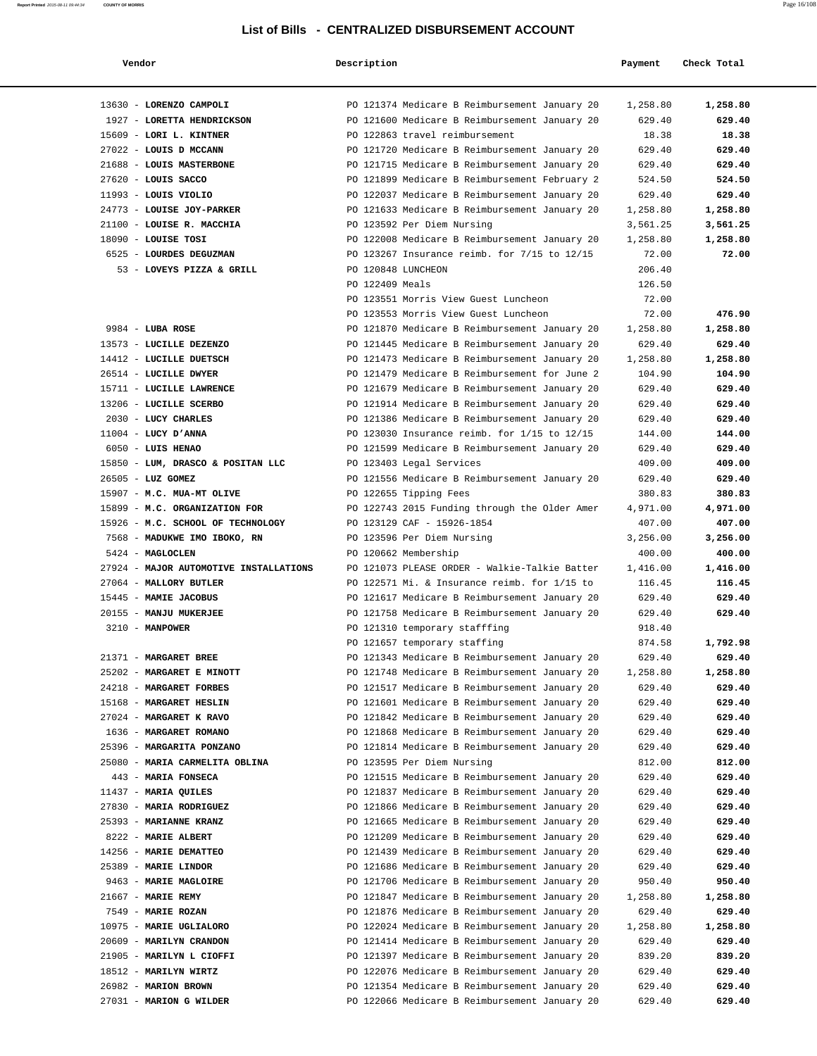| Vendor                                             | Description        |                                                                                                | Payment            | Check Total          |
|----------------------------------------------------|--------------------|------------------------------------------------------------------------------------------------|--------------------|----------------------|
| 13630 - LORENZO CAMPOLI                            |                    | PO 121374 Medicare B Reimbursement January 20                                                  | 1,258.80           | 1,258.80             |
| 1927 - LORETTA HENDRICKSON                         |                    | PO 121600 Medicare B Reimbursement January 20                                                  | 629.40             | 629.40               |
| 15609 - LORI L. KINTNER                            |                    | PO 122863 travel reimbursement                                                                 | 18.38              | 18.38                |
| 27022 - LOUIS D MCCANN                             |                    | PO 121720 Medicare B Reimbursement January 20                                                  | 629.40             | 629.40               |
| 21688 - LOUIS MASTERBONE                           |                    | PO 121715 Medicare B Reimbursement January 20                                                  | 629.40             | 629.40               |
| 27620 - LOUIS SACCO                                |                    | PO 121899 Medicare B Reimbursement February 2                                                  | 524.50             | 524.50               |
| 11993 - LOUIS VIOLIO<br>24773 - LOUISE JOY-PARKER  |                    | PO 122037 Medicare B Reimbursement January 20<br>PO 121633 Medicare B Reimbursement January 20 | 629.40<br>1,258.80 | 629.40               |
| 21100 - LOUISE R. MACCHIA                          |                    | PO 123592 Per Diem Nursing                                                                     | 3,561.25           | 1,258.80<br>3,561.25 |
| 18090 - LOUISE TOSI                                |                    | PO 122008 Medicare B Reimbursement January 20                                                  | 1,258.80           | 1,258.80             |
| 6525 - LOURDES DEGUZMAN                            |                    | PO 123267 Insurance reimb. for 7/15 to 12/15                                                   | 72.00              | 72.00                |
| 53 - LOVEYS PIZZA & GRILL                          | PO 120848 LUNCHEON |                                                                                                | 206.40             |                      |
|                                                    | PO 122409 Meals    |                                                                                                | 126.50             |                      |
|                                                    |                    | PO 123551 Morris View Guest Luncheon                                                           | 72.00              |                      |
|                                                    |                    | PO 123553 Morris View Guest Luncheon                                                           | 72.00              | 476.90               |
| $9984$ - LUBA ROSE                                 |                    | PO 121870 Medicare B Reimbursement January 20                                                  | 1,258.80           | 1,258.80             |
| 13573 - LUCILLE DEZENZO                            |                    | PO 121445 Medicare B Reimbursement January 20                                                  | 629.40             | 629.40               |
| 14412 - LUCILLE DUETSCH                            |                    | PO 121473 Medicare B Reimbursement January 20                                                  | 1,258.80           | 1,258.80             |
| 26514 - LUCILLE DWYER                              |                    | PO 121479 Medicare B Reimbursement for June 2                                                  | 104.90             | 104.90               |
| 15711 - LUCILLE LAWRENCE                           |                    | PO 121679 Medicare B Reimbursement January 20                                                  | 629.40             | 629.40               |
| 13206 - LUCILLE SCERBO                             |                    | PO 121914 Medicare B Reimbursement January 20                                                  | 629.40             | 629.40               |
| 2030 - LUCY CHARLES                                |                    | PO 121386 Medicare B Reimbursement January 20<br>PO 123030 Insurance reimb. for 1/15 to 12/15  | 629.40<br>144.00   | 629.40               |
| $11004$ - LUCY D'ANNA<br>6050 - LUIS HENAO         |                    | PO 121599 Medicare B Reimbursement January 20                                                  | 629.40             | 144.00<br>629.40     |
| 15850 - LUM, DRASCO & POSITAN LLC                  |                    | PO 123403 Legal Services                                                                       | 409.00             | 409.00               |
| 26505 - LUZ GOMEZ                                  |                    | PO 121556 Medicare B Reimbursement January 20                                                  | 629.40             | 629.40               |
| 15907 - M.C. MUA-MT OLIVE                          |                    | PO 122655 Tipping Fees                                                                         | 380.83             | 380.83               |
| 15899 - M.C. ORGANIZATION FOR                      |                    | PO 122743 2015 Funding through the Older Amer                                                  | 4,971.00           | 4,971.00             |
| 15926 - M.C. SCHOOL OF TECHNOLOGY                  |                    | PO 123129 CAF - 15926-1854                                                                     | 407.00             | 407.00               |
| 7568 - MADUKWE IMO IBOKO, RN                       |                    | PO 123596 Per Diem Nursing                                                                     | 3,256.00           | 3,256.00             |
| 5424 - MAGLOCLEN                                   |                    | PO 120662 Membership                                                                           | 400.00             | 400.00               |
| 27924 - MAJOR AUTOMOTIVE INSTALLATIONS             |                    | PO 121073 PLEASE ORDER - Walkie-Talkie Batter                                                  | 1,416.00           | 1,416.00             |
| 27064 - MALLORY BUTLER                             |                    | PO 122571 Mi. & Insurance reimb. for 1/15 to                                                   | 116.45             | 116.45               |
| 15445 - MAMIE JACOBUS                              |                    | PO 121617 Medicare B Reimbursement January 20                                                  | 629.40             | 629.40               |
| 20155 - MANJU MUKERJEE                             |                    | PO 121758 Medicare B Reimbursement January 20                                                  | 629.40             | 629.40               |
| 3210 - MANPOWER                                    |                    | PO 121310 temporary stafffing                                                                  | 918.40             |                      |
|                                                    |                    | PO 121657 temporary staffing<br>PO 121343 Medicare B Reimbursement January 20                  | 874.58             | 1,792.98<br>629.40   |
| 21371 - MARGARET BREE<br>25202 - MARGARET E MINOTT |                    | PO 121748 Medicare B Reimbursement January 20                                                  | 629.40<br>1,258.80 | 1,258.80             |
| 24218 - MARGARET FORBES                            |                    | PO 121517 Medicare B Reimbursement January 20                                                  | 629.40             | 629.40               |
| 15168 - MARGARET HESLIN                            |                    | PO 121601 Medicare B Reimbursement January 20                                                  | 629.40             | 629.40               |
| 27024 - MARGARET K RAVO                            |                    | PO 121842 Medicare B Reimbursement January 20                                                  | 629.40             | 629.40               |
| 1636 - MARGARET ROMANO                             |                    | PO 121868 Medicare B Reimbursement January 20                                                  | 629.40             | 629.40               |
| 25396 - MARGARITA PONZANO                          |                    | PO 121814 Medicare B Reimbursement January 20                                                  | 629.40             | 629.40               |
| 25080 - MARIA CARMELITA OBLINA                     |                    | PO 123595 Per Diem Nursing                                                                     | 812.00             | 812.00               |
| 443 - MARIA FONSECA                                |                    | PO 121515 Medicare B Reimbursement January 20                                                  | 629.40             | 629.40               |
| 11437 - MARIA QUILES                               |                    | PO 121837 Medicare B Reimbursement January 20                                                  | 629.40             | 629.40               |
| 27830 - MARIA RODRIGUEZ                            |                    | PO 121866 Medicare B Reimbursement January 20                                                  | 629.40             | 629.40               |
| 25393 - MARIANNE KRANZ                             |                    | PO 121665 Medicare B Reimbursement January 20                                                  | 629.40             | 629.40               |
| 8222 - MARIE ALBERT                                |                    | PO 121209 Medicare B Reimbursement January 20                                                  | 629.40             | 629.40               |
| 14256 - MARIE DEMATTEO<br>25389 - MARIE LINDOR     |                    | PO 121439 Medicare B Reimbursement January 20<br>PO 121686 Medicare B Reimbursement January 20 | 629.40<br>629.40   | 629.40<br>629.40     |
| 9463 - MARIE MAGLOIRE                              |                    | PO 121706 Medicare B Reimbursement January 20                                                  | 950.40             | 950.40               |
| 21667 - MARIE REMY                                 |                    | PO 121847 Medicare B Reimbursement January 20                                                  | 1,258.80           | 1,258.80             |
| 7549 - MARIE ROZAN                                 |                    | PO 121876 Medicare B Reimbursement January 20                                                  | 629.40             | 629.40               |
| 10975 - MARIE UGLIALORO                            |                    | PO 122024 Medicare B Reimbursement January 20                                                  | 1,258.80           | 1,258.80             |
| 20609 - MARILYN CRANDON                            |                    | PO 121414 Medicare B Reimbursement January 20                                                  | 629.40             | 629.40               |
| 21905 - MARILYN L CIOFFI                           |                    | PO 121397 Medicare B Reimbursement January 20                                                  | 839.20             | 839.20               |
| 18512 - MARILYN WIRTZ                              |                    | PO 122076 Medicare B Reimbursement January 20                                                  | 629.40             | 629.40               |
| 26982 - MARION BROWN                               |                    | PO 121354 Medicare B Reimbursement January 20                                                  | 629.40             | 629.40               |
| 27031 - MARION G WILDER                            |                    | PO 122066 Medicare B Reimbursement January 20                                                  | 629.40             | 629.40               |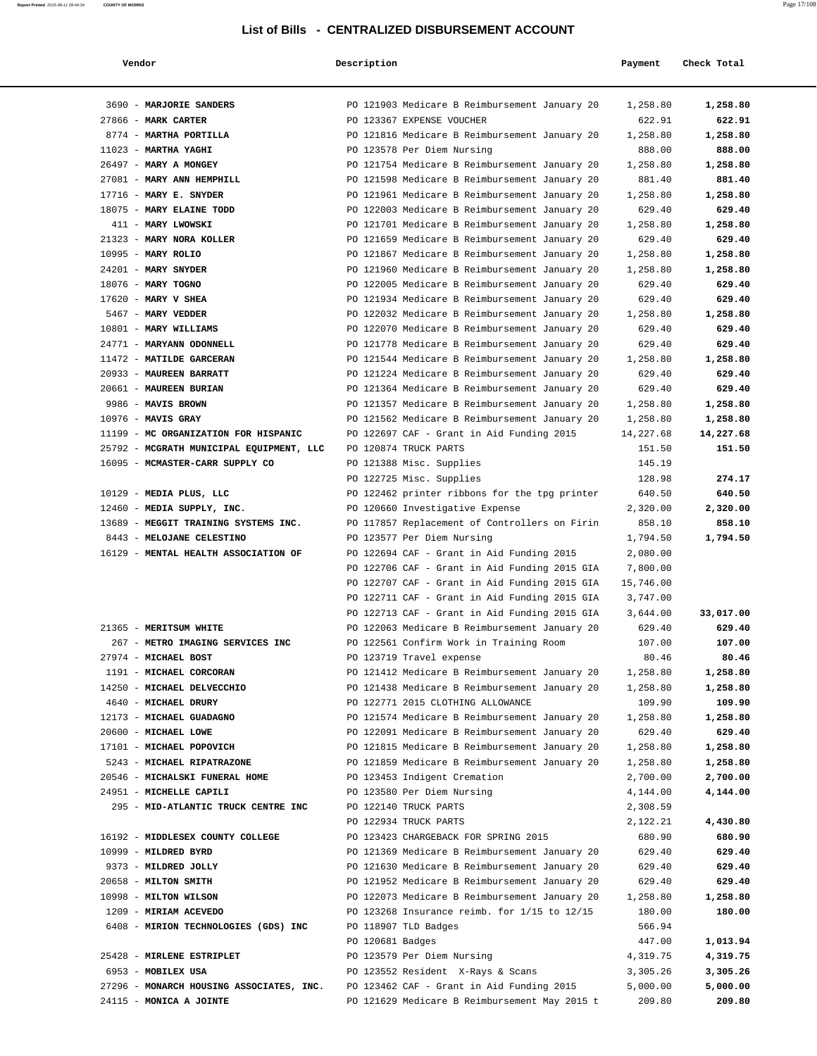| Vendor                                   | Description      |                                                  | Payment   | Check Total |
|------------------------------------------|------------------|--------------------------------------------------|-----------|-------------|
| 3690 - MARJORIE SANDERS                  |                  | PO 121903 Medicare B Reimbursement January 20    | 1,258.80  | 1,258.80    |
| 27866 - MARK CARTER                      |                  | PO 123367 EXPENSE VOUCHER                        | 622.91    | 622.91      |
| 8774 - MARTHA PORTILLA                   |                  | PO 121816 Medicare B Reimbursement January 20    | 1,258.80  | 1,258.80    |
| 11023 - MARTHA YAGHI                     |                  | PO 123578 Per Diem Nursing                       | 888.00    | 888.00      |
| 26497 - MARY A MONGEY                    |                  | PO 121754 Medicare B Reimbursement January 20    | 1,258.80  | 1,258.80    |
| 27081 - MARY ANN HEMPHILL                |                  | PO 121598 Medicare B Reimbursement January 20    | 881.40    | 881.40      |
| $17716$ - MARY E. SNYDER                 |                  | PO 121961 Medicare B Reimbursement January 20    | 1,258.80  | 1,258.80    |
| 18075 - MARY ELAINE TODD                 |                  | PO 122003 Medicare B Reimbursement January 20    | 629.40    | 629.40      |
| 411 - MARY LWOWSKI                       |                  | PO 121701 Medicare B Reimbursement January 20    | 1,258.80  | 1,258.80    |
| 21323 - MARY NORA KOLLER                 |                  | PO 121659 Medicare B Reimbursement January 20    | 629.40    | 629.40      |
| 10995 - MARY ROLIO                       |                  | PO 121867 Medicare B Reimbursement January 20    | 1,258.80  | 1,258.80    |
| $24201$ - MARY SNYDER                    |                  | PO 121960 Medicare B Reimbursement January 20    | 1,258.80  | 1,258.80    |
| 18076 - MARY TOGNO                       |                  | PO 122005 Medicare B Reimbursement January 20    | 629.40    | 629.40      |
| $17620$ - MARY V SHEA                    |                  | PO 121934 Medicare B Reimbursement January 20    | 629.40    | 629.40      |
| 5467 - MARY VEDDER                       |                  | PO 122032 Medicare B Reimbursement January 20    | 1,258.80  | 1,258.80    |
| 10801 - MARY WILLIAMS                    |                  | PO 122070 Medicare B Reimbursement January 20    | 629.40    | 629.40      |
| 24771 - MARYANN ODONNELL                 |                  | PO 121778 Medicare B Reimbursement January 20    | 629.40    | 629.40      |
| 11472 - MATILDE GARCERAN                 |                  | PO 121544 Medicare B Reimbursement January 20    | 1,258.80  | 1,258.80    |
| 20933 - MAUREEN BARRATT                  |                  | PO 121224 Medicare B Reimbursement January 20    | 629.40    | 629.40      |
| 20661 - MAUREEN BURIAN                   |                  | PO 121364 Medicare B Reimbursement January 20    | 629.40    | 629.40      |
| 9986 - MAVIS BROWN                       |                  | PO 121357 Medicare B Reimbursement January 20    | 1,258.80  | 1,258.80    |
| $10976$ - MAVIS GRAY                     |                  | PO 121562 Medicare B Reimbursement January 20    | 1,258.80  | 1,258.80    |
| 11199 - MC ORGANIZATION FOR HISPANIC     |                  | PO 122697 CAF - Grant in Aid Funding 2015        | 14,227.68 | 14,227.68   |
| 25792 - MCGRATH MUNICIPAL EQUIPMENT, LLC |                  | PO 120874 TRUCK PARTS                            | 151.50    | 151.50      |
| 16095 - MCMASTER-CARR SUPPLY CO          |                  | PO 121388 Misc. Supplies                         | 145.19    |             |
|                                          |                  | PO 122725 Misc. Supplies                         | 128.98    | 274.17      |
| 10129 - MEDIA PLUS, LLC                  |                  | PO 122462 printer ribbons for the tpg printer    | 640.50    | 640.50      |
| 12460 - MEDIA SUPPLY, INC.               |                  | PO 120660 Investigative Expense                  | 2,320.00  | 2,320.00    |
| 13689 - MEGGIT TRAINING SYSTEMS INC.     |                  | PO 117857 Replacement of Controllers on Firin    | 858.10    | 858.10      |
| 8443 - MELOJANE CELESTINO                |                  | PO 123577 Per Diem Nursing                       | 1,794.50  | 1,794.50    |
| 16129 - MENTAL HEALTH ASSOCIATION OF     |                  | PO 122694 CAF - Grant in Aid Funding 2015        | 2,080.00  |             |
|                                          |                  | PO 122706 CAF - Grant in Aid Funding 2015 GIA    | 7,800.00  |             |
|                                          |                  | PO 122707 CAF - Grant in Aid Funding 2015 GIA    | 15,746.00 |             |
|                                          |                  | PO 122711 CAF - Grant in Aid Funding 2015 GIA    | 3,747.00  |             |
|                                          |                  | PO 122713 CAF - Grant in Aid Funding 2015 GIA    | 3,644.00  | 33,017.00   |
| 21365 - MERITSUM WHITE                   |                  | PO 122063 Medicare B Reimbursement January 20    | 629.40    | 629.40      |
| 267 - METRO IMAGING SERVICES INC         |                  | PO 122561 Confirm Work in Training Room          | 107.00    | 107.00      |
| 27974 - MICHAEL BOST                     |                  | PO 123719 Travel expense                         | 80.46     | 80.46       |
| 1191 - MICHAEL CORCORAN                  |                  | PO 121412 Medicare B Reimbursement January 20    | 1,258.80  | 1,258.80    |
| 14250 - MICHAEL DELVECCHIO               |                  | PO 121438 Medicare B Reimbursement January 20    | 1,258.80  | 1,258.80    |
| 4640 - MICHAEL DRURY                     |                  | PO 122771 2015 CLOTHING ALLOWANCE                | 109.90    | 109.90      |
| 12173 - MICHAEL GUADAGNO                 |                  | PO 121574 Medicare B Reimbursement January 20    | 1,258.80  | 1,258.80    |
| 20600 - MICHAEL LOWE                     |                  | PO 122091 Medicare B Reimbursement January 20    | 629.40    | 629.40      |
| 17101 - MICHAEL POPOVICH                 |                  | PO 121815 Medicare B Reimbursement January 20    | 1,258.80  | 1,258.80    |
| 5243 - MICHAEL RIPATRAZONE               |                  | PO 121859 Medicare B Reimbursement January 20    | 1,258.80  | 1,258.80    |
| 20546 - MICHALSKI FUNERAL HOME           |                  | PO 123453 Indigent Cremation                     | 2,700.00  | 2,700.00    |
| 24951 - MICHELLE CAPILI                  |                  | PO 123580 Per Diem Nursing                       | 4,144.00  | 4,144.00    |
| 295 - MID-ATLANTIC TRUCK CENTRE INC      |                  | PO 122140 TRUCK PARTS                            | 2,308.59  |             |
|                                          |                  | PO 122934 TRUCK PARTS                            | 2,122.21  | 4,430.80    |
| 16192 - MIDDLESEX COUNTY COLLEGE         |                  | PO 123423 CHARGEBACK FOR SPRING 2015             | 680.90    | 680.90      |
| 10999 - MILDRED BYRD                     |                  | PO 121369 Medicare B Reimbursement January 20    | 629.40    | 629.40      |
| 9373 - MILDRED JOLLY                     |                  | PO 121630 Medicare B Reimbursement January 20    | 629.40    | 629.40      |
| 20658 - MILTON SMITH                     |                  | PO 121952 Medicare B Reimbursement January 20    | 629.40    | 629.40      |
| 10998 - MILTON WILSON                    |                  | PO 122073 Medicare B Reimbursement January 20    | 1,258.80  | 1,258.80    |
| 1209 - MIRIAM ACEVEDO                    |                  | PO 123268 Insurance reimb. for $1/15$ to $12/15$ | 180.00    | 180.00      |
| 6408 - MIRION TECHNOLOGIES (GDS) INC     |                  | PO 118907 TLD Badges                             | 566.94    |             |
|                                          | PO 120681 Badges |                                                  | 447.00    | 1,013.94    |
| 25428 - MIRLENE ESTRIPLET                |                  | PO 123579 Per Diem Nursing                       | 4,319.75  | 4,319.75    |
| 6953 - MOBILEX USA                       |                  | PO 123552 Resident X-Rays & Scans                | 3,305.26  | 3,305.26    |
| 27296 - MONARCH HOUSING ASSOCIATES, INC. |                  | PO 123462 CAF - Grant in Aid Funding 2015        | 5,000.00  | 5,000.00    |
| 24115 - MONICA A JOINTE                  |                  | PO 121629 Medicare B Reimbursement May 2015 t    | 209.80    | 209.80      |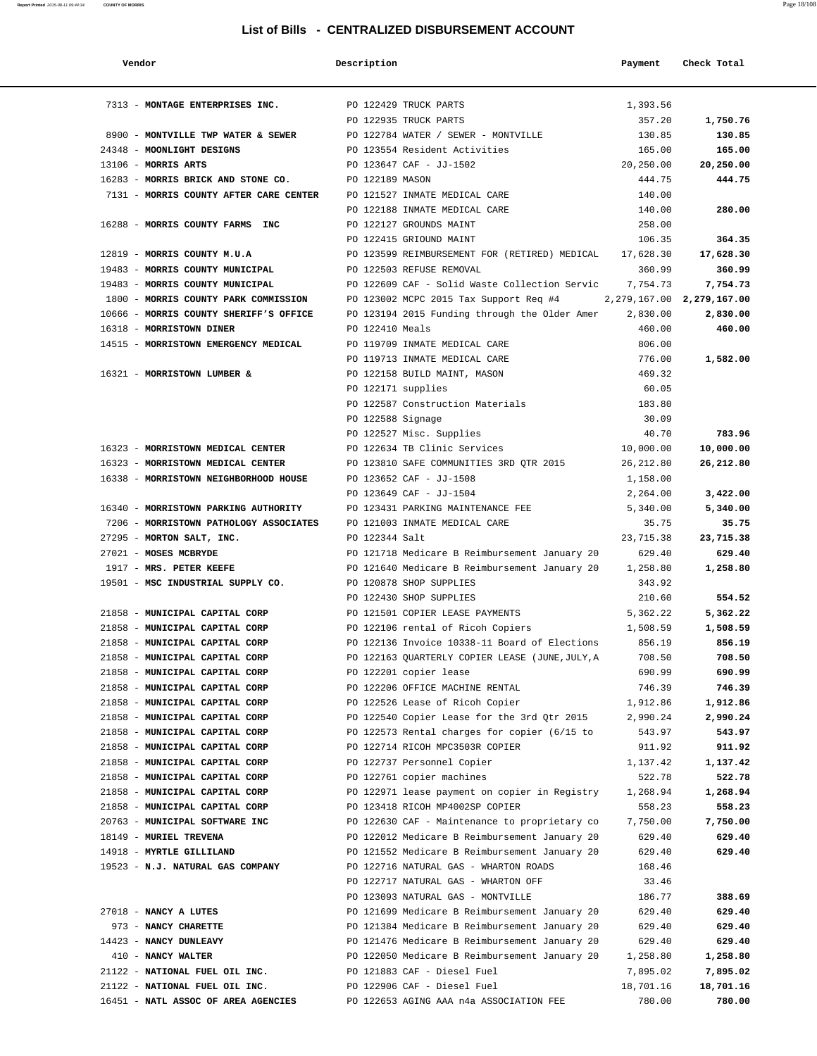| Vendor                                 | Description        |                                                 | Payment                       | Check Total |
|----------------------------------------|--------------------|-------------------------------------------------|-------------------------------|-------------|
| 7313 - MONTAGE ENTERPRISES INC.        |                    | PO 122429 TRUCK PARTS                           | 1,393.56                      |             |
|                                        |                    | PO 122935 TRUCK PARTS                           | 357.20                        | 1,750.76    |
| 8900 - MONTVILLE TWP WATER & SEWER     |                    | PO 122784 WATER / SEWER - MONTVILLE             | 130.85                        | 130.85      |
| 24348 - MOONLIGHT DESIGNS              |                    | PO 123554 Resident Activities                   | 165.00                        | 165.00      |
| 13106 - MORRIS ARTS                    |                    | PO 123647 CAF - JJ-1502                         | 20,250.00                     | 20,250.00   |
| 16283 - MORRIS BRICK AND STONE CO.     | PO 122189 MASON    |                                                 | 444.75                        | 444.75      |
| 7131 - MORRIS COUNTY AFTER CARE CENTER |                    | PO 121527 INMATE MEDICAL CARE                   | 140.00                        |             |
|                                        |                    | PO 122188 INMATE MEDICAL CARE                   | 140.00                        | 280.00      |
| 16288 - MORRIS COUNTY FARMS INC        |                    | PO 122127 GROUNDS MAINT                         | 258.00                        |             |
|                                        |                    | PO 122415 GRIOUND MAINT                         | 106.35                        | 364.35      |
| 12819 - MORRIS COUNTY M.U.A            |                    | PO 123599 REIMBURSEMENT FOR (RETIRED) MEDICAL   | 17,628.30                     | 17,628.30   |
| 19483 - MORRIS COUNTY MUNICIPAL        |                    | PO 122503 REFUSE REMOVAL                        | 360.99                        | 360.99      |
| 19483 - MORRIS COUNTY MUNICIPAL        |                    | PO 122609 CAF - Solid Waste Collection Servic   | 7,754.73                      | 7,754.73    |
| 1800 - MORRIS COUNTY PARK COMMISSION   |                    | PO 123002 MCPC 2015 Tax Support Req #4          | 2, 279, 167.00 2, 279, 167.00 |             |
| 10666 - MORRIS COUNTY SHERIFF'S OFFICE |                    | PO 123194 2015 Funding through the Older Amer   | 2,830.00                      | 2,830.00    |
| 16318 - MORRISTOWN DINER               | PO 122410 Meals    |                                                 | 460.00                        | 460.00      |
| 14515 - MORRISTOWN EMERGENCY MEDICAL   |                    | PO 119709 INMATE MEDICAL CARE                   | 806.00                        |             |
|                                        |                    | PO 119713 INMATE MEDICAL CARE                   | 776.00                        | 1,582.00    |
| 16321 - MORRISTOWN LUMBER &            |                    | PO 122158 BUILD MAINT, MASON                    | 469.32                        |             |
|                                        | PO 122171 supplies |                                                 | 60.05                         |             |
|                                        |                    | PO 122587 Construction Materials                | 183.80                        |             |
|                                        | PO 122588 Signage  |                                                 | 30.09                         |             |
|                                        |                    | PO 122527 Misc. Supplies                        | 40.70                         | 783.96      |
| 16323 - MORRISTOWN MEDICAL CENTER      |                    | PO 122634 TB Clinic Services                    | 10,000.00                     | 10,000.00   |
| 16323 - MORRISTOWN MEDICAL CENTER      |                    | PO 123810 SAFE COMMUNITIES 3RD QTR 2015         | 26, 212.80                    | 26,212.80   |
| 16338 - MORRISTOWN NEIGHBORHOOD HOUSE  |                    | PO 123652 CAF - JJ-1508                         | 1,158.00                      |             |
|                                        |                    | PO 123649 CAF - JJ-1504                         | 2,264.00                      | 3,422.00    |
| 16340 - MORRISTOWN PARKING AUTHORITY   |                    | PO 123431 PARKING MAINTENANCE FEE               | 5,340.00                      | 5,340.00    |
| 7206 - MORRISTOWN PATHOLOGY ASSOCIATES |                    | PO 121003 INMATE MEDICAL CARE                   | 35.75                         | 35.75       |
| 27295 - MORTON SALT, INC.              | PO 122344 Salt     |                                                 | 23,715.38                     | 23,715.38   |
| 27021 - MOSES MCBRYDE                  |                    | PO 121718 Medicare B Reimbursement January 20   | 629.40                        | 629.40      |
| 1917 - MRS. PETER KEEFE                |                    | PO 121640 Medicare B Reimbursement January 20   | 1,258.80                      | 1,258.80    |
| 19501 - MSC INDUSTRIAL SUPPLY CO.      |                    | PO 120878 SHOP SUPPLIES                         | 343.92                        |             |
|                                        |                    | PO 122430 SHOP SUPPLIES                         | 210.60                        | 554.52      |
| 21858 - MUNICIPAL CAPITAL CORP         |                    | PO 121501 COPIER LEASE PAYMENTS                 | 5,362.22                      | 5,362.22    |
| 21858 - MUNICIPAL CAPITAL CORP         |                    | PO 122106 rental of Ricoh Copiers               | 1,508.59                      | 1,508.59    |
| 21858 - MUNICIPAL CAPITAL CORP         |                    | PO 122136 Invoice 10338-11 Board of Elections   | 856.19                        | 856.19      |
| 21858 - MUNICIPAL CAPITAL CORP         |                    | PO 122163 QUARTERLY COPIER LEASE (JUNE, JULY, A | 708.50                        | 708.50      |
| 21858 - MUNICIPAL CAPITAL CORP         |                    | PO 122201 copier lease                          | 690.99                        | 690.99      |
| 21858 - MUNICIPAL CAPITAL CORP         |                    | PO 122206 OFFICE MACHINE RENTAL                 | 746.39                        | 746.39      |
| 21858 - MUNICIPAL CAPITAL CORP         |                    | PO 122526 Lease of Ricoh Copier                 | 1,912.86                      | 1,912.86    |
| 21858 - MUNICIPAL CAPITAL CORP         |                    | PO 122540 Copier Lease for the 3rd Qtr 2015     | 2,990.24                      | 2,990.24    |
| 21858 - MUNICIPAL CAPITAL CORP         |                    | PO 122573 Rental charges for copier (6/15 to    | 543.97                        | 543.97      |
| 21858 - MUNICIPAL CAPITAL CORP         |                    | PO 122714 RICOH MPC3503R COPIER                 | 911.92                        | 911.92      |
| 21858 - MUNICIPAL CAPITAL CORP         |                    | PO 122737 Personnel Copier                      | 1,137.42                      | 1,137.42    |
| 21858 - MUNICIPAL CAPITAL CORP         |                    | PO 122761 copier machines                       | 522.78                        | 522.78      |
| 21858 - MUNICIPAL CAPITAL CORP         |                    | PO 122971 lease payment on copier in Registry   | 1,268.94                      | 1,268.94    |
| 21858 - MUNICIPAL CAPITAL CORP         |                    | PO 123418 RICOH MP4002SP COPIER                 | 558.23                        | 558.23      |
| 20763 - MUNICIPAL SOFTWARE INC         |                    | PO 122630 CAF - Maintenance to proprietary co   | 7,750.00                      | 7,750.00    |
| 18149 - MURIEL TREVENA                 |                    | PO 122012 Medicare B Reimbursement January 20   | 629.40                        | 629.40      |
| 14918 - MYRTLE GILLILAND               |                    | PO 121552 Medicare B Reimbursement January 20   | 629.40                        | 629.40      |
| 19523 - N.J. NATURAL GAS COMPANY       |                    | PO 122716 NATURAL GAS - WHARTON ROADS           | 168.46                        |             |
|                                        |                    | PO 122717 NATURAL GAS - WHARTON OFF             | 33.46                         |             |
|                                        |                    | PO 123093 NATURAL GAS - MONTVILLE               | 186.77                        | 388.69      |
| 27018 - NANCY A LUTES                  |                    | PO 121699 Medicare B Reimbursement January 20   | 629.40                        | 629.40      |
| 973 - NANCY CHARETTE                   |                    | PO 121384 Medicare B Reimbursement January 20   | 629.40                        | 629.40      |
| 14423 - NANCY DUNLEAVY                 |                    | PO 121476 Medicare B Reimbursement January 20   | 629.40                        | 629.40      |
| 410 - NANCY WALTER                     |                    | PO 122050 Medicare B Reimbursement January 20   | 1,258.80                      | 1,258.80    |
| 21122 - NATIONAL FUEL OIL INC.         |                    | PO 121883 CAF - Diesel Fuel                     | 7,895.02                      | 7,895.02    |
| 21122 - NATIONAL FUEL OIL INC.         |                    | PO 122906 CAF - Diesel Fuel                     | 18,701.16                     | 18,701.16   |
| 16451 - NATL ASSOC OF AREA AGENCIES    |                    | PO 122653 AGING AAA n4a ASSOCIATION FEE         | 780.00                        | 780.00      |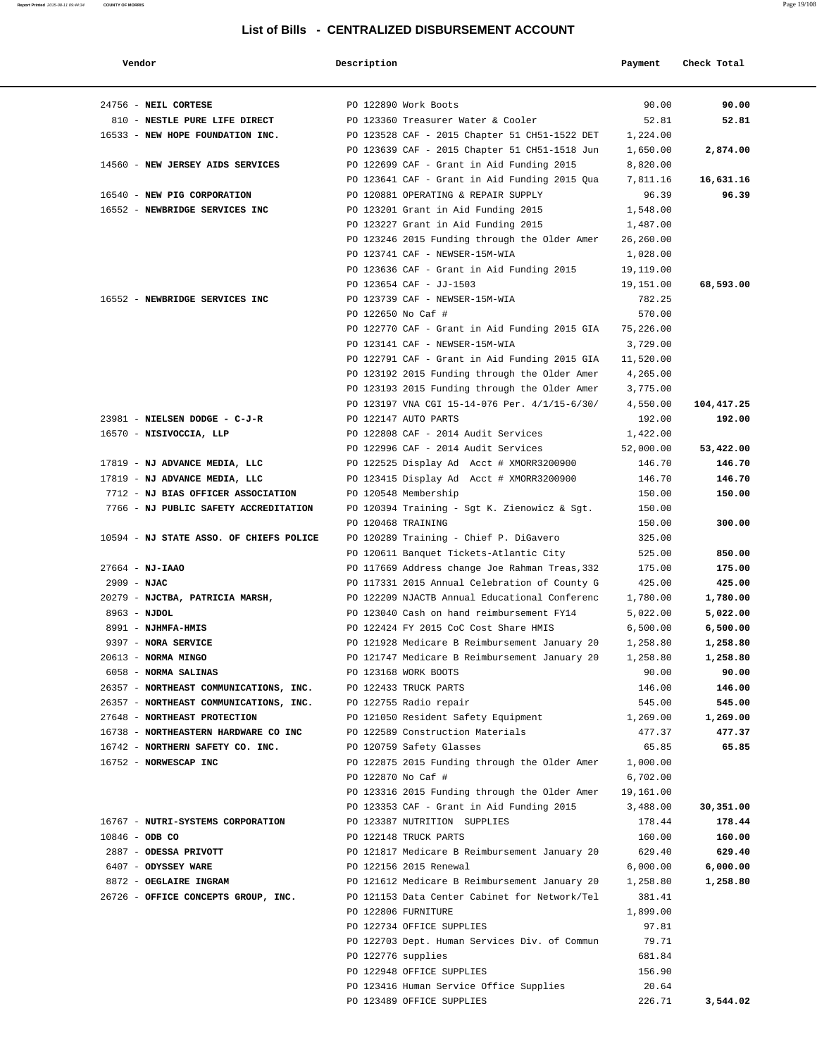| Vendor                                  | Description        |                                                                                            | Payment               | Check Total |
|-----------------------------------------|--------------------|--------------------------------------------------------------------------------------------|-----------------------|-------------|
| 24756 - NEIL CORTESE                    |                    | PO 122890 Work Boots                                                                       | 90.00                 | 90.00       |
| 810 - NESTLE PURE LIFE DIRECT           |                    | PO 123360 Treasurer Water & Cooler                                                         | 52.81                 | 52.81       |
| 16533 - NEW HOPE FOUNDATION INC.        |                    | PO 123528 CAF - 2015 Chapter 51 CH51-1522 DET                                              | 1,224.00              |             |
|                                         |                    | PO 123639 CAF - 2015 Chapter 51 CH51-1518 Jun                                              | 1,650.00              | 2,874.00    |
| 14560 - NEW JERSEY AIDS SERVICES        |                    | PO 122699 CAF - Grant in Aid Funding 2015                                                  | 8,820.00              |             |
|                                         |                    | PO 123641 CAF - Grant in Aid Funding 2015 Qua                                              | 7,811.16              | 16,631.16   |
| 16540 - NEW PIG CORPORATION             |                    | PO 120881 OPERATING & REPAIR SUPPLY                                                        | 96.39                 | 96.39       |
| 16552 - NEWBRIDGE SERVICES INC          |                    | PO 123201 Grant in Aid Funding 2015                                                        | 1,548.00              |             |
|                                         |                    | PO 123227 Grant in Aid Funding 2015                                                        | 1,487.00              |             |
|                                         |                    | PO 123246 2015 Funding through the Older Amer                                              | 26,260.00             |             |
|                                         |                    | PO 123741 CAF - NEWSER-15M-WIA                                                             | 1,028.00              |             |
|                                         |                    | PO 123636 CAF - Grant in Aid Funding 2015                                                  | 19,119.00             |             |
|                                         |                    | PO 123654 CAF - JJ-1503                                                                    | 19,151.00             | 68,593.00   |
| 16552 - NEWBRIDGE SERVICES INC          |                    | PO 123739 CAF - NEWSER-15M-WIA                                                             | 782.25                |             |
|                                         | PO 122650 No Caf # |                                                                                            | 570.00                |             |
|                                         |                    | PO 122770 CAF - Grant in Aid Funding 2015 GIA                                              | 75,226.00             |             |
|                                         |                    | PO 123141 CAF - NEWSER-15M-WIA                                                             | 3,729.00              |             |
|                                         |                    | PO 122791 CAF - Grant in Aid Funding 2015 GIA                                              | 11,520.00             |             |
|                                         |                    | PO 123192 2015 Funding through the Older Amer                                              | 4,265.00              |             |
|                                         |                    | PO 123193 2015 Funding through the Older Amer                                              | 3,775.00              |             |
|                                         |                    | PO 123197 VNA CGI 15-14-076 Per. 4/1/15-6/30/                                              | 4,550.00              | 104,417.25  |
| 23981 - NIELSEN DODGE - C-J-R           |                    | PO 122147 AUTO PARTS                                                                       | 192.00                | 192.00      |
| 16570 - NISIVOCCIA, LLP                 |                    | PO 122808 CAF - 2014 Audit Services                                                        | 1,422.00              |             |
|                                         |                    | PO 122996 CAF - 2014 Audit Services                                                        | 52,000.00             | 53,422.00   |
| 17819 - NJ ADVANCE MEDIA, LLC           |                    | PO 122525 Display Ad Acct # XMORR3200900                                                   | 146.70                | 146.70      |
| 17819 - NJ ADVANCE MEDIA, LLC           |                    | PO 123415 Display Ad Acct # XMORR3200900                                                   | 146.70                | 146.70      |
| 7712 - NJ BIAS OFFICER ASSOCIATION      |                    | PO 120548 Membership                                                                       | 150.00                | 150.00      |
| 7766 - NJ PUBLIC SAFETY ACCREDITATION   |                    | PO 120394 Training - Sgt K. Zienowicz & Sgt.                                               | 150.00                |             |
|                                         | PO 120468 TRAINING |                                                                                            | 150.00                | 300.00      |
| 10594 - NJ STATE ASSO. OF CHIEFS POLICE |                    | PO 120289 Training - Chief P. DiGavero                                                     | 325.00                |             |
|                                         |                    | PO 120611 Banquet Tickets-Atlantic City                                                    | 525.00                | 850.00      |
| $27664 - NJ - IAAO$                     |                    | PO 117669 Address change Joe Rahman Treas, 332                                             | 175.00                | 175.00      |
| $2909 - NJAC$                           |                    | PO 117331 2015 Annual Celebration of County G                                              | 425.00                | 425.00      |
| 20279 - NJCTBA, PATRICIA MARSH,         |                    | PO 122209 NJACTB Annual Educational Conferenc                                              | 1,780.00              | 1,780.00    |
| $8963 - NJDOL$                          |                    | PO 123040 Cash on hand reimbursement FY14                                                  | 5,022.00              | 5,022.00    |
| 8991 - NJHMFA-HMIS                      |                    | PO 122424 FY 2015 CoC Cost Share HMIS                                                      | 6,500.00              | 6,500.00    |
| 9397 - NORA SERVICE                     |                    | PO 121928 Medicare B Reimbursement January 20                                              | 1,258.80              | 1,258.80    |
| 20613 - NORMA MINGO                     |                    | PO 121747 Medicare B Reimbursement January 20                                              | 1,258.80              | 1,258.80    |
| 6058 - NORMA SALINAS                    |                    | PO 123168 WORK BOOTS                                                                       | 90.00                 | 90.00       |
| 26357 - NORTHEAST COMMUNICATIONS, INC.  |                    | PO 122433 TRUCK PARTS                                                                      | 146.00                | 146.00      |
| 26357 - NORTHEAST COMMUNICATIONS, INC.  |                    | PO 122755 Radio repair                                                                     | 545.00                | 545.00      |
| 27648 - NORTHEAST PROTECTION            |                    | PO 121050 Resident Safety Equipment                                                        | 1,269.00              | 1,269.00    |
| 16738 - NORTHEASTERN HARDWARE CO INC    |                    | PO 122589 Construction Materials                                                           | 477.37                | 477.37      |
| 16742 - NORTHERN SAFETY CO. INC.        |                    | PO 120759 Safety Glasses                                                                   | 65.85                 | 65.85       |
| 16752 - NORWESCAP INC                   |                    | PO 122875 2015 Funding through the Older Amer                                              | 1,000.00              |             |
|                                         | PO 122870 No Caf # |                                                                                            | 6,702.00              |             |
|                                         |                    | PO 123316 2015 Funding through the Older Amer<br>PO 123353 CAF - Grant in Aid Funding 2015 | 19,161.00<br>3,488.00 | 30,351.00   |
| 16767 - NUTRI-SYSTEMS CORPORATION       |                    | PO 123387 NUTRITION SUPPLIES                                                               | 178.44                | 178.44      |
| $10846 - ODB CO$                        |                    | PO 122148 TRUCK PARTS                                                                      | 160.00                | 160.00      |
| 2887 - ODESSA PRIVOTT                   |                    | PO 121817 Medicare B Reimbursement January 20                                              | 629.40                | 629.40      |
| 6407 - ODYSSEY WARE                     |                    | PO 122156 2015 Renewal                                                                     | 6,000.00              | 6,000.00    |
| 8872 - OEGLAIRE INGRAM                  |                    | PO 121612 Medicare B Reimbursement January 20                                              | 1,258.80              | 1,258.80    |
| 26726 - OFFICE CONCEPTS GROUP, INC.     |                    | PO 121153 Data Center Cabinet for Network/Tel                                              | 381.41                |             |
|                                         |                    | PO 122806 FURNITURE                                                                        | 1,899.00              |             |
|                                         |                    | PO 122734 OFFICE SUPPLIES                                                                  | 97.81                 |             |
|                                         |                    | PO 122703 Dept. Human Services Div. of Commun                                              | 79.71                 |             |
|                                         | PO 122776 supplies |                                                                                            | 681.84                |             |
|                                         |                    | PO 122948 OFFICE SUPPLIES                                                                  | 156.90                |             |
|                                         |                    | PO 123416 Human Service Office Supplies                                                    | 20.64                 |             |
|                                         |                    | PO 123489 OFFICE SUPPLIES                                                                  | 226.71                | 3,544.02    |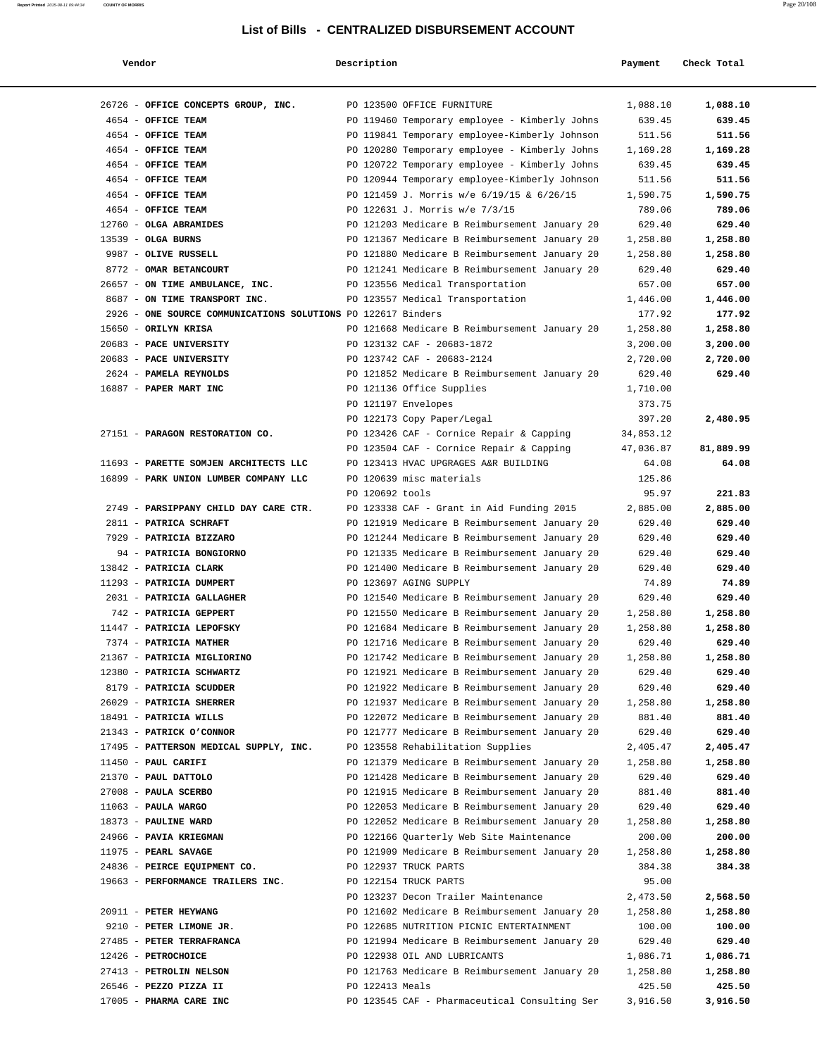| Vendor                                                       | Description     |                                                                         | Payment         | Check Total     |
|--------------------------------------------------------------|-----------------|-------------------------------------------------------------------------|-----------------|-----------------|
| 26726 - OFFICE CONCEPTS GROUP, INC.                          |                 | PO 123500 OFFICE FURNITURE                                              | 1,088.10        | 1,088.10        |
| 4654 - OFFICE TEAM                                           |                 | PO 119460 Temporary employee - Kimberly Johns                           | 639.45          | 639.45          |
| 4654 - OFFICE TEAM                                           |                 | PO 119841 Temporary employee-Kimberly Johnson                           | 511.56          | 511.56          |
| 4654 - OFFICE TEAM                                           |                 | PO 120280 Temporary employee - Kimberly Johns                           | 1,169.28        | 1,169.28        |
| 4654 - OFFICE TEAM                                           |                 | PO 120722 Temporary employee - Kimberly Johns                           | 639.45          | 639.45          |
| 4654 - OFFICE TEAM                                           |                 | PO 120944 Temporary employee-Kimberly Johnson                           | 511.56          | 511.56          |
| 4654 - OFFICE TEAM                                           |                 | PO 121459 J. Morris w/e 6/19/15 & 6/26/15                               | 1,590.75        | 1,590.75        |
| 4654 - OFFICE TEAM                                           |                 | PO 122631 J. Morris w/e 7/3/15                                          | 789.06          | 789.06          |
| 12760 - OLGA ABRAMIDES                                       |                 | PO 121203 Medicare B Reimbursement January 20                           | 629.40          | 629.40          |
| $13539$ - OLGA BURNS                                         |                 | PO 121367 Medicare B Reimbursement January 20                           | 1,258.80        | 1,258.80        |
| 9987 - OLIVE RUSSELL                                         |                 | PO 121880 Medicare B Reimbursement January 20                           | 1,258.80        | 1,258.80        |
| 8772 - OMAR BETANCOURT                                       |                 | PO 121241 Medicare B Reimbursement January 20                           | 629.40          | 629.40          |
| 26657 - ON TIME AMBULANCE, INC.                              |                 | PO 123556 Medical Transportation                                        | 657.00          | 657.00          |
| 8687 - ON TIME TRANSPORT INC.                                |                 | PO 123557 Medical Transportation                                        | 1,446.00        | 1,446.00        |
| 2926 - ONE SOURCE COMMUNICATIONS SOLUTIONS PO 122617 Binders |                 |                                                                         | 177.92          | 177.92          |
| 15650 - ORILYN KRISA                                         |                 | PO 121668 Medicare B Reimbursement January 20                           | 1,258.80        | 1,258.80        |
| 20683 - PACE UNIVERSITY                                      |                 | PO 123132 CAF - 20683-1872                                              | 3,200.00        | 3,200.00        |
| 20683 - PACE UNIVERSITY                                      |                 | PO 123742 CAF - 20683-2124                                              | 2,720.00        | 2,720.00        |
| 2624 - PAMELA REYNOLDS                                       |                 | PO 121852 Medicare B Reimbursement January 20                           | 629.40          | 629.40          |
| 16887 - PAPER MART INC                                       |                 | PO 121136 Office Supplies                                               | 1,710.00        |                 |
|                                                              |                 | PO 121197 Envelopes                                                     | 373.75          |                 |
|                                                              |                 | PO 122173 Copy Paper/Legal                                              | 397.20          | 2,480.95        |
| 27151 - PARAGON RESTORATION CO.                              |                 | PO 123426 CAF - Cornice Repair & Capping                                | 34,853.12       |                 |
|                                                              |                 | PO 123504 CAF - Cornice Repair & Capping                                | 47,036.87       | 81,889.99       |
| 11693 - PARETTE SOMJEN ARCHITECTS LLC                        |                 | PO 123413 HVAC UPGRAGES A&R BUILDING                                    | 64.08           | 64.08           |
| 16899 - PARK UNION LUMBER COMPANY LLC                        |                 | PO 120639 misc materials                                                | 125.86          |                 |
|                                                              | PO 120692 tools |                                                                         | 95.97           | 221.83          |
| 2749 - PARSIPPANY CHILD DAY CARE CTR.                        |                 | PO 123338 CAF - Grant in Aid Funding 2015                               | 2,885.00        | 2,885.00        |
| 2811 - PATRICA SCHRAFT                                       |                 | PO 121919 Medicare B Reimbursement January 20                           | 629.40          | 629.40          |
| 7929 - PATRICIA BIZZARO                                      |                 | PO 121244 Medicare B Reimbursement January 20                           | 629.40          | 629.40          |
| 94 - PATRICIA BONGIORNO                                      |                 | PO 121335 Medicare B Reimbursement January 20                           | 629.40          | 629.40          |
| 13842 - PATRICIA CLARK<br>11293 - PATRICIA DUMPERT           |                 | PO 121400 Medicare B Reimbursement January 20<br>PO 123697 AGING SUPPLY | 629.40<br>74.89 | 629.40<br>74.89 |
| 2031 - PATRICIA GALLAGHER                                    |                 | PO 121540 Medicare B Reimbursement January 20                           | 629.40          | 629.40          |
| 742 - PATRICIA GEPPERT                                       |                 | PO 121550 Medicare B Reimbursement January 20                           | 1,258.80        | 1,258.80        |
| 11447 - PATRICIA LEPOFSKY                                    |                 | PO 121684 Medicare B Reimbursement January 20                           | 1,258.80        | 1,258.80        |
| 7374 - PATRICIA MATHER                                       |                 | PO 121716 Medicare B Reimbursement January 20                           | 629.40          | 629.40          |
| 21367 - PATRICIA MIGLIORINO                                  |                 | PO 121742 Medicare B Reimbursement January 20                           | 1,258.80        | 1,258.80        |
| 12380 - PATRICIA SCHWARTZ                                    |                 | PO 121921 Medicare B Reimbursement January 20                           | 629.40          | 629.40          |
| 8179 - PATRICIA SCUDDER                                      |                 | PO 121922 Medicare B Reimbursement January 20                           | 629.40          | 629.40          |
| 26029 - PATRICIA SHERRER                                     |                 | PO 121937 Medicare B Reimbursement January 20                           | 1,258.80        | 1,258.80        |
| 18491 - PATRICIA WILLS                                       |                 | PO 122072 Medicare B Reimbursement January 20                           | 881.40          | 881.40          |
| 21343 - PATRICK O'CONNOR                                     |                 | PO 121777 Medicare B Reimbursement January 20                           | 629.40          | 629.40          |
| 17495 - PATTERSON MEDICAL SUPPLY, INC.                       |                 | PO 123558 Rehabilitation Supplies                                       | 2,405.47        | 2,405.47        |
| 11450 - PAUL CARIFI                                          |                 | PO 121379 Medicare B Reimbursement January 20                           | 1,258.80        | 1,258.80        |
| 21370 - PAUL DATTOLO                                         |                 | PO 121428 Medicare B Reimbursement January 20                           | 629.40          | 629.40          |
| 27008 - PAULA SCERBO                                         |                 | PO 121915 Medicare B Reimbursement January 20                           | 881.40          | 881.40          |
| $11063$ - PAULA WARGO                                        |                 | PO 122053 Medicare B Reimbursement January 20                           | 629.40          | 629.40          |
| 18373 - PAULINE WARD                                         |                 | PO 122052 Medicare B Reimbursement January 20                           | 1,258.80        | 1,258.80        |
| 24966 - PAVIA KRIEGMAN                                       |                 | PO 122166 Quarterly Web Site Maintenance                                | 200.00          | 200.00          |
| 11975 - PEARL SAVAGE                                         |                 | PO 121909 Medicare B Reimbursement January 20                           | 1,258.80        | 1,258.80        |
| 24836 - PEIRCE EQUIPMENT CO.                                 |                 | PO 122937 TRUCK PARTS                                                   | 384.38          | 384.38          |
| 19663 - PERFORMANCE TRAILERS INC.                            |                 | PO 122154 TRUCK PARTS                                                   | 95.00           |                 |
|                                                              |                 | PO 123237 Decon Trailer Maintenance                                     | 2,473.50        | 2,568.50        |
| 20911 - PETER HEYWANG                                        |                 | PO 121602 Medicare B Reimbursement January 20                           | 1,258.80        | 1,258.80        |
| 9210 - PETER LIMONE JR.                                      |                 | PO 122685 NUTRITION PICNIC ENTERTAINMENT                                | 100.00          | 100.00          |
| 27485 - PETER TERRAFRANCA                                    |                 | PO 121994 Medicare B Reimbursement January 20                           | 629.40          | 629.40          |
| 12426 - PETROCHOICE                                          |                 | PO 122938 OIL AND LUBRICANTS                                            | 1,086.71        | 1,086.71        |
| 27413 - PETROLIN NELSON                                      |                 | PO 121763 Medicare B Reimbursement January 20                           | 1,258.80        | 1,258.80        |
| 26546 - PEZZO PIZZA II                                       | PO 122413 Meals |                                                                         | 425.50          | 425.50          |
| 17005 - PHARMA CARE INC                                      |                 | PO 123545 CAF - Pharmaceutical Consulting Ser                           | 3,916.50        | 3,916.50        |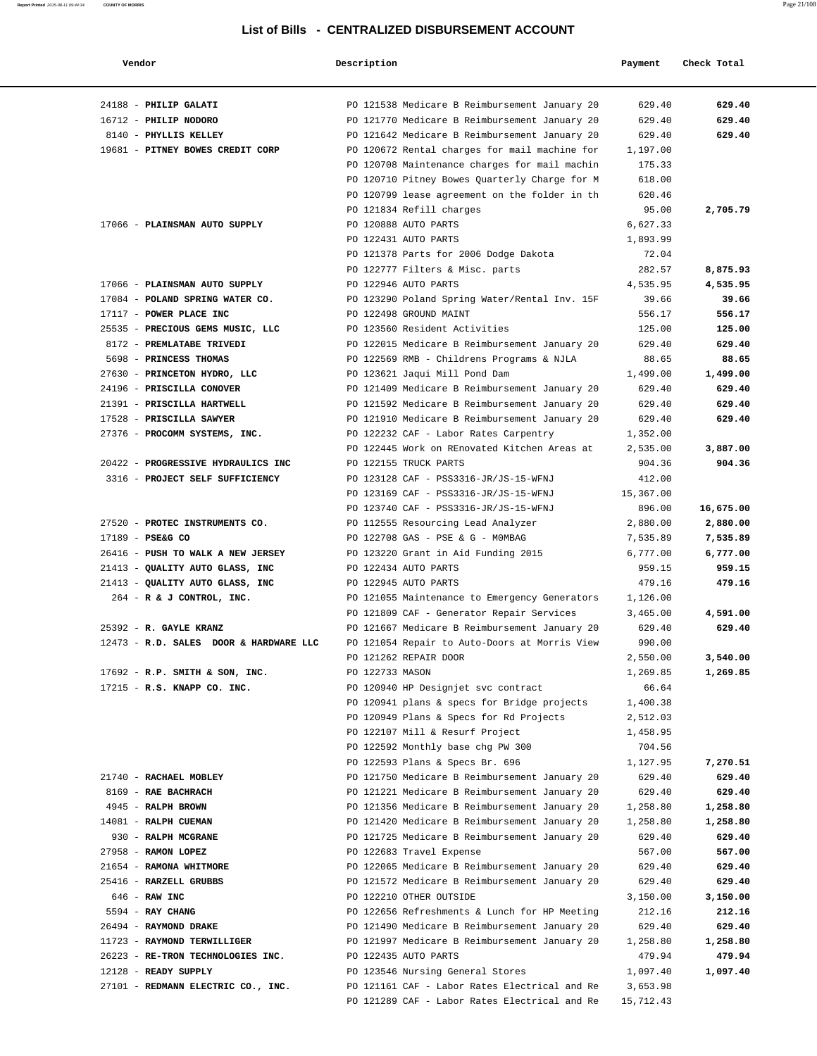| Vendor                                                           | Description                                                             | Payment           | Check Total     |
|------------------------------------------------------------------|-------------------------------------------------------------------------|-------------------|-----------------|
| 24188 - PHILIP GALATI                                            | PO 121538 Medicare B Reimbursement January 20                           | 629.40            | 629.40          |
| 16712 - PHILIP NODORO                                            | PO 121770 Medicare B Reimbursement January 20                           | 629.40            | 629.40          |
| 8140 - PHYLLIS KELLEY                                            | PO 121642 Medicare B Reimbursement January 20                           | 629.40            | 629.40          |
| 19681 - PITNEY BOWES CREDIT CORP                                 | PO 120672 Rental charges for mail machine for                           | 1,197.00          |                 |
|                                                                  | PO 120708 Maintenance charges for mail machin                           | 175.33            |                 |
|                                                                  | PO 120710 Pitney Bowes Quarterly Charge for M                           | 618.00            |                 |
|                                                                  | PO 120799 lease agreement on the folder in th                           | 620.46            |                 |
|                                                                  | PO 121834 Refill charges                                                | 95.00             | 2,705.79        |
| 17066 - PLAINSMAN AUTO SUPPLY                                    | PO 120888 AUTO PARTS                                                    | 6,627.33          |                 |
|                                                                  | PO 122431 AUTO PARTS                                                    | 1,893.99          |                 |
|                                                                  | PO 121378 Parts for 2006 Dodge Dakota                                   | 72.04             |                 |
|                                                                  | PO 122777 Filters & Misc. parts                                         | 282.57            | 8,875.93        |
| 17066 - PLAINSMAN AUTO SUPPLY<br>17084 - POLAND SPRING WATER CO. | PO 122946 AUTO PARTS                                                    | 4,535.95          | 4,535.95        |
| 17117 - POWER PLACE INC                                          | PO 123290 Poland Spring Water/Rental Inv. 15F<br>PO 122498 GROUND MAINT | 39.66<br>556.17   | 39.66<br>556.17 |
| 25535 - PRECIOUS GEMS MUSIC, LLC                                 | PO 123560 Resident Activities                                           | 125.00            | 125.00          |
| 8172 - PREMLATABE TRIVEDI                                        | PO 122015 Medicare B Reimbursement January 20                           | 629.40            | 629.40          |
| 5698 - PRINCESS THOMAS                                           | PO 122569 RMB - Childrens Programs & NJLA                               | 88.65             | 88.65           |
| 27630 - PRINCETON HYDRO, LLC                                     | PO 123621 Jaqui Mill Pond Dam                                           | 1,499.00          | 1,499.00        |
| 24196 - PRISCILLA CONOVER                                        | PO 121409 Medicare B Reimbursement January 20                           | 629.40            | 629.40          |
| 21391 - PRISCILLA HARTWELL                                       | PO 121592 Medicare B Reimbursement January 20                           | 629.40            | 629.40          |
| 17528 - PRISCILLA SAWYER                                         | PO 121910 Medicare B Reimbursement January 20                           | 629.40            | 629.40          |
| 27376 - PROCOMM SYSTEMS, INC.                                    | PO 122232 CAF - Labor Rates Carpentry                                   | 1,352.00          |                 |
|                                                                  | PO 122445 Work on REnovated Kitchen Areas at                            | 2,535.00          | 3,887.00        |
| 20422 - PROGRESSIVE HYDRAULICS INC                               | PO 122155 TRUCK PARTS                                                   | 904.36            | 904.36          |
| 3316 - PROJECT SELF SUFFICIENCY                                  | PO 123128 CAF - PSS3316-JR/JS-15-WFNJ                                   | 412.00            |                 |
|                                                                  | PO 123169 CAF - PSS3316-JR/JS-15-WFNJ                                   | 15,367.00         |                 |
|                                                                  | PO 123740 CAF - PSS3316-JR/JS-15-WFNJ                                   | 896.00            | 16,675.00       |
| 27520 - PROTEC INSTRUMENTS CO.                                   | PO 112555 Resourcing Lead Analyzer                                      | 2,880.00          | 2,880.00        |
| 17189 - PSE&G CO                                                 | PO 122708 GAS - PSE & G - MOMBAG                                        | 7,535.89          | 7,535.89        |
| 26416 - PUSH TO WALK A NEW JERSEY                                | PO 123220 Grant in Aid Funding 2015                                     | 6,777.00          | 6,777.00        |
| 21413 - QUALITY AUTO GLASS, INC                                  | PO 122434 AUTO PARTS                                                    | 959.15            | 959.15          |
| 21413 - QUALITY AUTO GLASS, INC                                  | PO 122945 AUTO PARTS                                                    | 479.16            | 479.16          |
| 264 - R & J CONTROL, INC.                                        | PO 121055 Maintenance to Emergency Generators                           | 1,126.00          |                 |
|                                                                  | PO 121809 CAF - Generator Repair Services                               | 3,465.00          | 4,591.00        |
| 25392 - R. GAYLE KRANZ                                           | PO 121667 Medicare B Reimbursement January 20                           | 629.40            | 629.40          |
| 12473 - R.D. SALES DOOR & HARDWARE LLC                           | PO 121054 Repair to Auto-Doors at Morris View                           | 990.00            |                 |
|                                                                  | PO 121262 REPAIR DOOR                                                   | 2,550.00          | 3,540.00        |
| $17692$ - R.P. SMITH & SON, INC.<br>17215 - R.S. KNAPP CO. INC.  | PO 122733 MASON<br>PO 120940 HP Designjet svc contract                  | 1,269.85<br>66.64 | 1,269.85        |
|                                                                  | PO 120941 plans & specs for Bridge projects                             | 1,400.38          |                 |
|                                                                  | PO 120949 Plans & Specs for Rd Projects                                 | 2,512.03          |                 |
|                                                                  | PO 122107 Mill & Resurf Project                                         | 1,458.95          |                 |
|                                                                  | PO 122592 Monthly base chg PW 300                                       | 704.56            |                 |
|                                                                  | PO 122593 Plans & Specs Br. 696                                         | 1,127.95          | 7,270.51        |
| 21740 - RACHAEL MOBLEY                                           | PO 121750 Medicare B Reimbursement January 20                           | 629.40            | 629.40          |
| 8169 - RAE BACHRACH                                              | PO 121221 Medicare B Reimbursement January 20                           | 629.40            | 629.40          |
| 4945 - RALPH BROWN                                               | PO 121356 Medicare B Reimbursement January 20                           | 1,258.80          | 1,258.80        |
| 14081 - RALPH CUEMAN                                             | PO 121420 Medicare B Reimbursement January 20                           | 1,258.80          | 1,258.80        |
| 930 - RALPH MCGRANE                                              | PO 121725 Medicare B Reimbursement January 20                           | 629.40            | 629.40          |
| 27958 - RAMON LOPEZ                                              | PO 122683 Travel Expense                                                | 567.00            | 567.00          |
| 21654 - RAMONA WHITMORE                                          | PO 122065 Medicare B Reimbursement January 20                           | 629.40            | 629.40          |
| 25416 - RARZELL GRUBBS                                           | PO 121572 Medicare B Reimbursement January 20                           | 629.40            | 629.40          |
| $646$ - RAW INC                                                  | PO 122210 OTHER OUTSIDE                                                 | 3,150.00          | 3,150.00        |
| 5594 - RAY CHANG                                                 | PO 122656 Refreshments & Lunch for HP Meeting                           | 212.16            | 212.16          |
| 26494 - RAYMOND DRAKE                                            | PO 121490 Medicare B Reimbursement January 20                           | 629.40            | 629.40          |
| 11723 - RAYMOND TERWILLIGER                                      | PO 121997 Medicare B Reimbursement January 20                           | 1,258.80          | 1,258.80        |
| 26223 - RE-TRON TECHNOLOGIES INC.                                | PO 122435 AUTO PARTS                                                    | 479.94            | 479.94          |
| 12128 - READY SUPPLY                                             | PO 123546 Nursing General Stores                                        | 1,097.40          | 1,097.40        |
| 27101 - REDMANN ELECTRIC CO., INC.                               | PO 121161 CAF - Labor Rates Electrical and Re                           | 3,653.98          |                 |
|                                                                  | PO 121289 CAF - Labor Rates Electrical and Re                           | 15,712.43         |                 |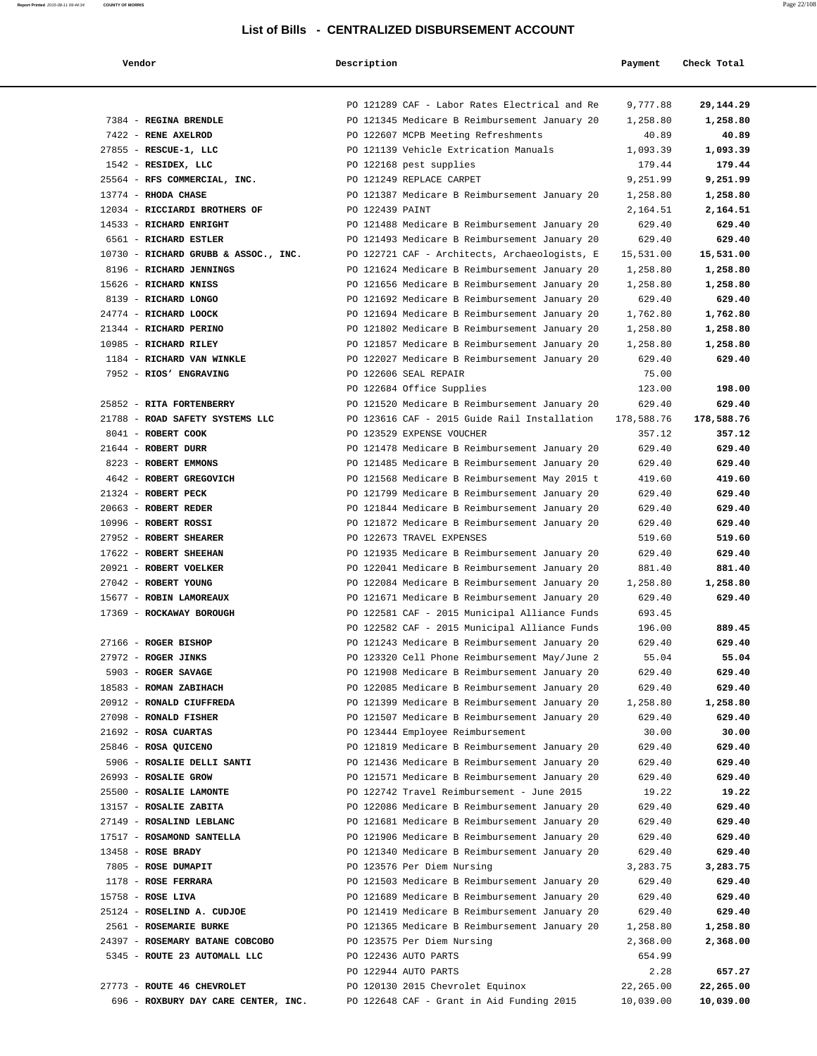| Vendor                                                | Description                                                                                    | Payment              | Check Total          |
|-------------------------------------------------------|------------------------------------------------------------------------------------------------|----------------------|----------------------|
|                                                       | PO 121289 CAF - Labor Rates Electrical and Re                                                  | 9,777.88             | 29,144.29            |
| 7384 - REGINA BRENDLE                                 | PO 121345 Medicare B Reimbursement January 20                                                  | 1,258.80             | 1,258.80             |
| 7422 - RENE AXELROD                                   | PO 122607 MCPB Meeting Refreshments                                                            | 40.89                | 40.89                |
| 27855 - RESCUE-1, LLC                                 | PO 121139 Vehicle Extrication Manuals                                                          | 1,093.39             | 1,093.39             |
| 1542 - RESIDEX, LLC                                   | PO 122168 pest supplies                                                                        | 179.44               | 179.44               |
| 25564 - RFS COMMERCIAL, INC.                          | PO 121249 REPLACE CARPET                                                                       | 9,251.99             | 9,251.99             |
| $13774$ - RHODA CHASE                                 | PO 121387 Medicare B Reimbursement January 20                                                  | 1,258.80             | 1,258.80             |
| 12034 - RICCIARDI BROTHERS OF                         | PO 122439 PAINT                                                                                | 2,164.51             | 2,164.51             |
| 14533 - RICHARD ENRIGHT                               | PO 121488 Medicare B Reimbursement January 20                                                  | 629.40               | 629.40               |
| 6561 - RICHARD ESTLER                                 | PO 121493 Medicare B Reimbursement January 20                                                  | 629.40               | 629.40               |
| 10730 - RICHARD GRUBB & ASSOC., INC.                  | PO 122721 CAF - Architects, Archaeologists, E                                                  | 15,531.00            | 15,531.00            |
| 8196 - RICHARD JENNINGS                               | PO 121624 Medicare B Reimbursement January 20                                                  | 1,258.80             | 1,258.80             |
| 15626 - RICHARD KNISS                                 | PO 121656 Medicare B Reimbursement January 20                                                  | 1,258.80             | 1,258.80             |
| 8139 - RICHARD LONGO                                  | PO 121692 Medicare B Reimbursement January 20                                                  | 629.40               | 629.40               |
| 24774 - RICHARD LOOCK                                 | PO 121694 Medicare B Reimbursement January 20                                                  | 1,762.80             | 1,762.80             |
| 21344 - RICHARD PERINO                                | PO 121802 Medicare B Reimbursement January 20                                                  | 1,258.80             | 1,258.80             |
| 10985 - RICHARD RILEY                                 | PO 121857 Medicare B Reimbursement January 20                                                  | 1,258.80             | 1,258.80             |
| 1184 - RICHARD VAN WINKLE                             | PO 122027 Medicare B Reimbursement January 20                                                  | 629.40               | 629.40               |
| 7952 - RIOS' ENGRAVING                                | PO 122606 SEAL REPAIR                                                                          | 75.00                |                      |
|                                                       | PO 122684 Office Supplies                                                                      | 123.00               | 198.00               |
| 25852 - RITA FORTENBERRY                              | PO 121520 Medicare B Reimbursement January 20                                                  | 629.40               | 629.40               |
| 21788 - ROAD SAFETY SYSTEMS LLC<br>8041 - ROBERT COOK | PO 123616 CAF - 2015 Guide Rail Installation<br>PO 123529 EXPENSE VOUCHER                      | 178,588.76<br>357.12 | 178,588.76<br>357.12 |
| 21644 - ROBERT DURR                                   | PO 121478 Medicare B Reimbursement January 20                                                  | 629.40               | 629.40               |
| 8223 - ROBERT EMMONS                                  | PO 121485 Medicare B Reimbursement January 20                                                  | 629.40               | 629.40               |
| 4642 - ROBERT GREGOVICH                               | PO 121568 Medicare B Reimbursement May 2015 t                                                  | 419.60               | 419.60               |
| 21324 - ROBERT PECK                                   | PO 121799 Medicare B Reimbursement January 20                                                  | 629.40               | 629.40               |
| 20663 - ROBERT REDER                                  | PO 121844 Medicare B Reimbursement January 20                                                  | 629.40               | 629.40               |
| 10996 - ROBERT ROSSI                                  | PO 121872 Medicare B Reimbursement January 20                                                  | 629.40               | 629.40               |
| 27952 - ROBERT SHEARER                                | PO 122673 TRAVEL EXPENSES                                                                      | 519.60               | 519.60               |
| 17622 - ROBERT SHEEHAN                                | PO 121935 Medicare B Reimbursement January 20                                                  | 629.40               | 629.40               |
| 20921 - ROBERT VOELKER                                | PO 122041 Medicare B Reimbursement January 20                                                  | 881.40               | 881.40               |
| 27042 - ROBERT YOUNG                                  | PO 122084 Medicare B Reimbursement January 20                                                  | 1,258.80             | 1,258.80             |
| 15677 - ROBIN LAMOREAUX                               | PO 121671 Medicare B Reimbursement January 20                                                  | 629.40               | 629.40               |
| 17369 - ROCKAWAY BOROUGH                              | PO 122581 CAF - 2015 Municipal Alliance Funds                                                  | 693.45               |                      |
|                                                       | PO 122582 CAF - 2015 Municipal Alliance Funds                                                  | 196.00               | 889.45               |
| 27166 - ROGER BISHOP                                  | PO 121243 Medicare B Reimbursement January 20                                                  | 629.40               | 629.40               |
| 27972 - ROGER JINKS                                   | PO 123320 Cell Phone Reimbursement May/June 2                                                  | 55.04                | 55.04                |
| 5903 - ROGER SAVAGE                                   | PO 121908 Medicare B Reimbursement January 20                                                  | 629.40               | 629.40               |
| 18583 - ROMAN ZABIHACH                                | PO 122085 Medicare B Reimbursement January 20                                                  | 629.40               | 629.40               |
| 20912 - RONALD CIUFFREDA                              | PO 121399 Medicare B Reimbursement January 20                                                  | 1,258.80             | 1,258.80             |
| 27098 - RONALD FISHER                                 | PO 121507 Medicare B Reimbursement January 20                                                  | 629.40               | 629.40               |
| 21692 - ROSA CUARTAS                                  | PO 123444 Employee Reimbursement                                                               | 30.00                | 30.00                |
| 25846 - ROSA QUICENO                                  | PO 121819 Medicare B Reimbursement January 20                                                  | 629.40               | 629.40               |
| 5906 - ROSALIE DELLI SANTI                            | PO 121436 Medicare B Reimbursement January 20                                                  | 629.40               | 629.40               |
| 26993 - ROSALIE GROW                                  | PO 121571 Medicare B Reimbursement January 20                                                  | 629.40               | 629.40               |
| 25500 - ROSALIE LAMONTE                               | PO 122742 Travel Reimbursement - June 2015                                                     | 19.22                | 19.22                |
| 13157 - ROSALIE ZABITA                                | PO 122086 Medicare B Reimbursement January 20                                                  | 629.40               | 629.40               |
| 27149 - ROSALIND LEBLANC                              | PO 121681 Medicare B Reimbursement January 20                                                  | 629.40               | 629.40               |
| 17517 - ROSAMOND SANTELLA                             | PO 121906 Medicare B Reimbursement January 20                                                  | 629.40               | 629.40               |
| 13458 - ROSE BRADY                                    | PO 121340 Medicare B Reimbursement January 20                                                  | 629.40               | 629.40               |
| 7805 - ROSE DUMAPIT                                   | PO 123576 Per Diem Nursing                                                                     | 3,283.75             | 3,283.75             |
| 1178 - ROSE FERRARA<br>15758 - ROSE LIVA              | PO 121503 Medicare B Reimbursement January 20<br>PO 121689 Medicare B Reimbursement January 20 | 629.40<br>629.40     | 629.40<br>629.40     |
| 25124 - ROSELIND A. CUDJOE                            | PO 121419 Medicare B Reimbursement January 20                                                  | 629.40               | 629.40               |
| 2561 - ROSEMARIE BURKE                                | PO 121365 Medicare B Reimbursement January 20                                                  | 1,258.80             | 1,258.80             |
| 24397 - ROSEMARY BATANE COBCOBO                       | PO 123575 Per Diem Nursing                                                                     | 2,368.00             | 2,368.00             |
| 5345 - ROUTE 23 AUTOMALL LLC                          | PO 122436 AUTO PARTS                                                                           | 654.99               |                      |
|                                                       | PO 122944 AUTO PARTS                                                                           |                      | 2.28<br>657.27       |
| 27773 - ROUTE 46 CHEVROLET                            | PO 120130 2015 Chevrolet Equinox                                                               | 22,265.00            | 22,265.00            |
| 696 - ROXBURY DAY CARE CENTER, INC.                   | PO 122648 CAF - Grant in Aid Funding 2015                                                      | 10,039.00            | 10,039.00            |
|                                                       |                                                                                                |                      |                      |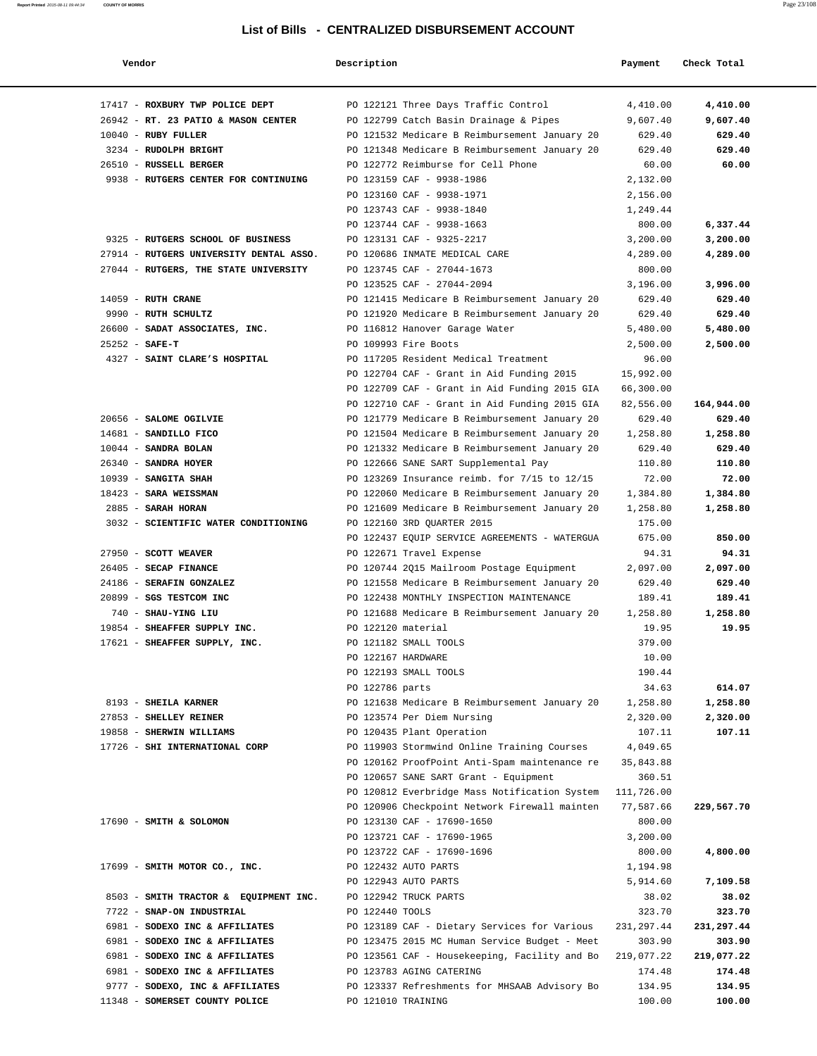| Vendor                                  | Description        |                                                                                                | Payment    | Check Total |
|-----------------------------------------|--------------------|------------------------------------------------------------------------------------------------|------------|-------------|
|                                         |                    |                                                                                                |            |             |
| 17417 - ROXBURY TWP POLICE DEPT         |                    | PO 122121 Three Days Traffic Control                                                           | 4,410.00   | 4,410.00    |
| 26942 - RT. 23 PATIO & MASON CENTER     |                    | PO 122799 Catch Basin Drainage & Pipes                                                         | 9,607.40   | 9,607.40    |
| $10040$ - RUBY FULLER                   |                    | PO 121532 Medicare B Reimbursement January 20                                                  | 629.40     | 629.40      |
| 3234 - RUDOLPH BRIGHT                   |                    | PO 121348 Medicare B Reimbursement January 20                                                  | 629.40     | 629.40      |
| 26510 - RUSSELL BERGER                  |                    | PO 122772 Reimburse for Cell Phone                                                             | 60.00      | 60.00       |
| 9938 - RUTGERS CENTER FOR CONTINUING    |                    | PO 123159 CAF - 9938-1986                                                                      | 2,132.00   |             |
|                                         |                    | PO 123160 CAF - 9938-1971                                                                      | 2,156.00   |             |
|                                         |                    | PO 123743 CAF - 9938-1840                                                                      | 1,249.44   |             |
|                                         |                    | PO 123744 CAF - 9938-1663                                                                      | 800.00     | 6,337.44    |
| 9325 - RUTGERS SCHOOL OF BUSINESS       |                    | PO 123131 CAF - 9325-2217                                                                      | 3,200.00   | 3,200.00    |
| 27914 - RUTGERS UNIVERSITY DENTAL ASSO. |                    | PO 120686 INMATE MEDICAL CARE                                                                  | 4,289.00   | 4,289.00    |
| 27044 - RUTGERS, THE STATE UNIVERSITY   |                    | PO 123745 CAF - 27044-1673                                                                     | 800.00     |             |
|                                         |                    | PO 123525 CAF - 27044-2094                                                                     | 3,196.00   | 3,996.00    |
| $14059$ - RUTH CRANE                    |                    | PO 121415 Medicare B Reimbursement January 20                                                  | 629.40     | 629.40      |
| 9990 - RUTH SCHULTZ                     |                    | PO 121920 Medicare B Reimbursement January 20                                                  | 629.40     | 629.40      |
| 26600 - SADAT ASSOCIATES, INC.          |                    | PO 116812 Hanover Garage Water                                                                 | 5,480.00   | 5,480.00    |
| $25252 - SAFE-T$                        |                    | PO 109993 Fire Boots                                                                           | 2,500.00   | 2,500.00    |
| 4327 - SAINT CLARE'S HOSPITAL           |                    | PO 117205 Resident Medical Treatment                                                           | 96.00      |             |
|                                         |                    | PO 122704 CAF - Grant in Aid Funding 2015                                                      | 15,992.00  |             |
|                                         |                    | PO 122709 CAF - Grant in Aid Funding 2015 GIA                                                  | 66,300.00  |             |
|                                         |                    | PO 122710 CAF - Grant in Aid Funding 2015 GIA                                                  | 82,556.00  | 164,944.00  |
| 20656 - SALOME OGILVIE                  |                    | PO 121779 Medicare B Reimbursement January 20                                                  | 629.40     | 629.40      |
| 14681 - SANDILLO FICO                   |                    | PO 121504 Medicare B Reimbursement January 20                                                  | 1,258.80   | 1,258.80    |
| 10044 - SANDRA BOLAN                    |                    | PO 121332 Medicare B Reimbursement January 20                                                  | 629.40     | 629.40      |
| 26340 - SANDRA HOYER                    |                    | PO 122666 SANE SART Supplemental Pay                                                           | 110.80     | 110.80      |
| 10939 - SANGITA SHAH                    |                    | PO 123269 Insurance reimb. for 7/15 to 12/15                                                   | 72.00      | 72.00       |
| 18423 - SARA WEISSMAN                   |                    | PO 122060 Medicare B Reimbursement January 20                                                  | 1,384.80   | 1,384.80    |
| 2885 - SARAH HORAN                      |                    | PO 121609 Medicare B Reimbursement January 20                                                  | 1,258.80   | 1,258.80    |
| 3032 - SCIENTIFIC WATER CONDITIONING    |                    | PO 122160 3RD QUARTER 2015                                                                     | 175.00     |             |
|                                         |                    | PO 122437 EQUIP SERVICE AGREEMENTS - WATERGUA                                                  | 675.00     | 850.00      |
| 27950 - SCOTT WEAVER                    |                    | PO 122671 Travel Expense                                                                       | 94.31      | 94.31       |
| 26405 - SECAP FINANCE                   |                    | PO 120744 2015 Mailroom Postage Equipment                                                      | 2,097.00   | 2,097.00    |
| 24186 - SERAFIN GONZALEZ                |                    | PO 121558 Medicare B Reimbursement January 20                                                  | 629.40     | 629.40      |
| 20899 - SGS TESTCOM INC                 |                    | PO 122438 MONTHLY INSPECTION MAINTENANCE                                                       | 189.41     | 189.41      |
| 740 - SHAU-YING LIU                     |                    | PO 121688 Medicare B Reimbursement January 20                                                  | 1,258.80   | 1,258.80    |
| 19854 - SHEAFFER SUPPLY INC.            | PO 122120 material |                                                                                                | 19.95      | 19.95       |
| 17621 - SHEAFFER SUPPLY, INC.           |                    | PO 121182 SMALL TOOLS                                                                          | 379.00     |             |
|                                         | PO 122167 HARDWARE |                                                                                                | 10.00      |             |
|                                         |                    | PO 122193 SMALL TOOLS                                                                          | 190.44     |             |
|                                         | PO 122786 parts    |                                                                                                | 34.63      | 614.07      |
| 8193 - SHEILA KARNER                    |                    | PO 121638 Medicare B Reimbursement January 20                                                  | 1,258.80   | 1,258.80    |
| 27853 - SHELLEY REINER                  |                    | PO 123574 Per Diem Nursing                                                                     | 2,320.00   | 2,320.00    |
| 19858 - SHERWIN WILLIAMS                |                    | PO 120435 Plant Operation                                                                      | 107.11     | 107.11      |
| 17726 - SHI INTERNATIONAL CORP          |                    | PO 119903 Stormwind Online Training Courses                                                    | 4,049.65   |             |
|                                         |                    | PO 120162 ProofPoint Anti-Spam maintenance re                                                  | 35,843.88  |             |
|                                         |                    | PO 120657 SANE SART Grant - Equipment                                                          | 360.51     |             |
|                                         |                    | PO 120812 Everbridge Mass Notification System                                                  | 111,726.00 |             |
|                                         |                    | PO 120906 Checkpoint Network Firewall mainten                                                  | 77,587.66  | 229,567.70  |
| 17690 - SMITH & SOLOMON                 |                    | PO 123130 CAF - 17690-1650                                                                     | 800.00     |             |
|                                         |                    | PO 123721 CAF - 17690-1965                                                                     | 3,200.00   |             |
|                                         |                    | PO 123722 CAF - 17690-1696                                                                     | 800.00     | 4,800.00    |
| 17699 - SMITH MOTOR CO., INC.           |                    | PO 122432 AUTO PARTS                                                                           | 1,194.98   |             |
|                                         |                    | PO 122943 AUTO PARTS                                                                           | 5,914.60   | 7,109.58    |
| 8503 - SMITH TRACTOR & EQUIPMENT INC.   |                    | PO 122942 TRUCK PARTS                                                                          | 38.02      | 38.02       |
| 7722 - SNAP-ON INDUSTRIAL               | PO 122440 TOOLS    |                                                                                                | 323.70     | 323.70      |
|                                         |                    | PO 123189 CAF - Dietary Services for Various                                                   |            |             |
| 6981 - SODEXO INC & AFFILIATES          |                    |                                                                                                | 231,297.44 | 231,297.44  |
| 6981 - SODEXO INC & AFFILIATES          |                    | PO 123475 2015 MC Human Service Budget - Meet<br>PO 123561 CAF - Housekeeping, Facility and Bo | 303.90     | 303.90      |
| 6981 - SODEXO INC & AFFILIATES          |                    |                                                                                                | 219,077.22 | 219,077.22  |
| 6981 - SODEXO INC & AFFILIATES          |                    | PO 123783 AGING CATERING                                                                       | 174.48     | 174.48      |
| 9777 - SODEXO, INC & AFFILIATES         |                    | PO 123337 Refreshments for MHSAAB Advisory Bo                                                  | 134.95     | 134.95      |
| 11348 - SOMERSET COUNTY POLICE          | PO 121010 TRAINING |                                                                                                | 100.00     | 100.00      |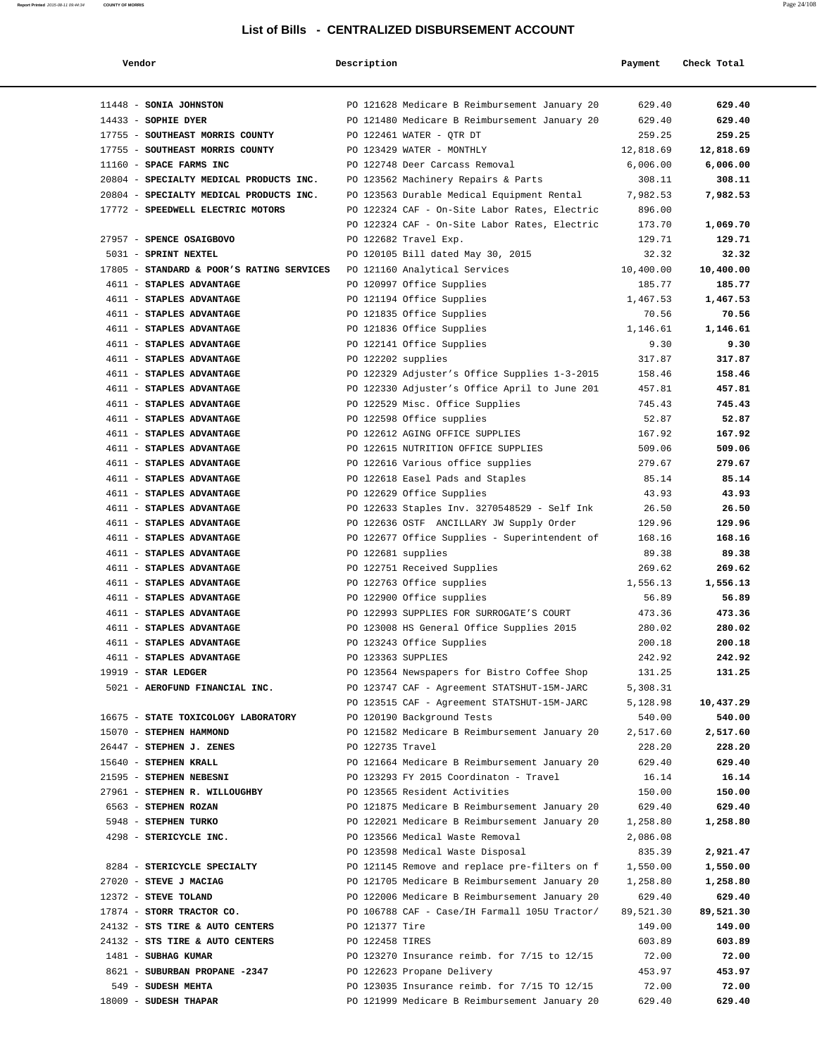| Vendor                                           | Description        |                                                                                                | Payment          | Check Total        |
|--------------------------------------------------|--------------------|------------------------------------------------------------------------------------------------|------------------|--------------------|
|                                                  |                    |                                                                                                |                  |                    |
| 11448 - SONIA JOHNSTON                           |                    | PO 121628 Medicare B Reimbursement January 20                                                  | 629.40           | 629.40             |
| $14433$ - SOPHIE DYER                            |                    | PO 121480 Medicare B Reimbursement January 20                                                  | 629.40           | 629.40             |
| 17755 - SOUTHEAST MORRIS COUNTY                  |                    | PO 122461 WATER - QTR DT                                                                       | 259.25           | 259.25             |
| 17755 - SOUTHEAST MORRIS COUNTY                  |                    | PO 123429 WATER - MONTHLY                                                                      | 12,818.69        | 12,818.69          |
| 11160 - SPACE FARMS INC                          |                    | PO 122748 Deer Carcass Removal                                                                 | 6,006.00         | 6,006.00           |
| 20804 - SPECIALTY MEDICAL PRODUCTS INC.          |                    | PO 123562 Machinery Repairs & Parts                                                            | 308.11           | 308.11             |
| 20804 - SPECIALTY MEDICAL PRODUCTS INC.          |                    | PO 123563 Durable Medical Equipment Rental                                                     | 7,982.53         | 7,982.53           |
| 17772 - SPEEDWELL ELECTRIC MOTORS                |                    | PO 122324 CAF - On-Site Labor Rates, Electric                                                  | 896.00           |                    |
|                                                  |                    | PO 122324 CAF - On-Site Labor Rates, Electric                                                  | 173.70           | 1,069.70           |
| 27957 - SPENCE OSAIGBOVO                         |                    | PO 122682 Travel Exp.                                                                          | 129.71           | 129.71             |
| 5031 - SPRINT NEXTEL                             |                    | PO 120105 Bill dated May 30, 2015                                                              | 32.32            | 32.32              |
| 17805 - STANDARD & POOR'S RATING SERVICES        |                    | PO 121160 Analytical Services                                                                  | 10,400.00        | 10,400.00          |
| 4611 - STAPLES ADVANTAGE                         |                    | PO 120997 Office Supplies                                                                      | 185.77           | 185.77             |
| 4611 - STAPLES ADVANTAGE                         |                    | PO 121194 Office Supplies                                                                      | 1,467.53         | 1,467.53           |
| 4611 - STAPLES ADVANTAGE                         |                    | PO 121835 Office Supplies                                                                      | 70.56            | 70.56              |
| 4611 - STAPLES ADVANTAGE                         |                    | PO 121836 Office Supplies                                                                      | 1,146.61         | 1,146.61           |
| 4611 - STAPLES ADVANTAGE                         |                    | PO 122141 Office Supplies                                                                      | 9.30             | 9.30               |
| 4611 - STAPLES ADVANTAGE                         | PO 122202 supplies |                                                                                                | 317.87           | 317.87             |
| 4611 - STAPLES ADVANTAGE                         |                    | PO 122329 Adjuster's Office Supplies 1-3-2015                                                  | 158.46           | 158.46             |
| 4611 - STAPLES ADVANTAGE                         |                    | PO 122330 Adjuster's Office April to June 201                                                  | 457.81           | 457.81             |
| 4611 - STAPLES ADVANTAGE                         |                    | PO 122529 Misc. Office Supplies                                                                | 745.43           | 745.43             |
| 4611 - STAPLES ADVANTAGE                         |                    | PO 122598 Office supplies                                                                      | 52.87            | 52.87              |
| 4611 - STAPLES ADVANTAGE                         |                    | PO 122612 AGING OFFICE SUPPLIES                                                                | 167.92           | 167.92             |
| 4611 - STAPLES ADVANTAGE                         |                    | PO 122615 NUTRITION OFFICE SUPPLIES                                                            | 509.06           | 509.06             |
| 4611 - STAPLES ADVANTAGE                         |                    | PO 122616 Various office supplies                                                              | 279.67           | 279.67             |
| 4611 - STAPLES ADVANTAGE                         |                    | PO 122618 Easel Pads and Staples                                                               | 85.14            | 85.14              |
| 4611 - STAPLES ADVANTAGE                         |                    | PO 122629 Office Supplies                                                                      | 43.93            | 43.93              |
| 4611 - STAPLES ADVANTAGE                         |                    | PO 122633 Staples Inv. 3270548529 - Self Ink                                                   | 26.50            | 26.50              |
| 4611 - STAPLES ADVANTAGE                         |                    | PO 122636 OSTF ANCILLARY JW Supply Order                                                       | 129.96           | 129.96             |
| 4611 - STAPLES ADVANTAGE                         |                    | PO 122677 Office Supplies - Superintendent of                                                  | 168.16           | 168.16             |
| 4611 - STAPLES ADVANTAGE                         | PO 122681 supplies |                                                                                                | 89.38            | 89.38              |
| 4611 - STAPLES ADVANTAGE                         |                    | PO 122751 Received Supplies                                                                    | 269.62           | 269.62             |
| 4611 - STAPLES ADVANTAGE                         |                    | PO 122763 Office supplies                                                                      | 1,556.13         | 1,556.13           |
| 4611 - STAPLES ADVANTAGE                         |                    | PO 122900 Office supplies                                                                      | 56.89            | 56.89              |
| 4611 - STAPLES ADVANTAGE                         |                    | PO 122993 SUPPLIES FOR SURROGATE'S COURT                                                       | 473.36           | 473.36             |
| 4611 - STAPLES ADVANTAGE                         |                    | PO 123008 HS General Office Supplies 2015                                                      | 280.02           | 280.02             |
| 4611 - STAPLES ADVANTAGE                         |                    | PO 123243 Office Supplies                                                                      | 200.18           | 200.18             |
| 4611 - STAPLES ADVANTAGE                         | PO 123363 SUPPLIES |                                                                                                | 242.92           | 242.92             |
| 19919 - STAR LEDGER                              |                    | PO 123564 Newspapers for Bistro Coffee Shop                                                    | 131.25           | 131.25             |
| 5021 - AEROFUND FINANCIAL INC.                   |                    | PO 123747 CAF - Agreement STATSHUT-15M-JARC                                                    | 5,308.31         |                    |
|                                                  |                    | PO 123515 CAF - Agreement STATSHUT-15M-JARC                                                    | 5,128.98         | 10,437.29          |
| 16675 - STATE TOXICOLOGY LABORATORY              |                    | PO 120190 Background Tests                                                                     | 540.00           | 540.00             |
| 15070 - STEPHEN HAMMOND                          |                    | PO 121582 Medicare B Reimbursement January 20                                                  | 2,517.60         | 2,517.60           |
| 26447 - STEPHEN J. ZENES                         | PO 122735 Travel   |                                                                                                | 228.20           | 228.20             |
| 15640 - STEPHEN KRALL<br>21595 - STEPHEN NEBESNI |                    | PO 121664 Medicare B Reimbursement January 20<br>PO 123293 FY 2015 Coordinaton - Travel        | 629.40           | 629.40<br>16.14    |
| 27961 - STEPHEN R. WILLOUGHBY                    |                    |                                                                                                | 16.14            |                    |
| 6563 - STEPHEN ROZAN                             |                    | PO 123565 Resident Activities                                                                  | 150.00<br>629.40 | 150.00             |
| 5948 - STEPHEN TURKO                             |                    | PO 121875 Medicare B Reimbursement January 20<br>PO 122021 Medicare B Reimbursement January 20 | 1,258.80         | 629.40<br>1,258.80 |
| 4298 - STERICYCLE INC.                           |                    | PO 123566 Medical Waste Removal                                                                | 2,086.08         |                    |
|                                                  |                    | PO 123598 Medical Waste Disposal                                                               | 835.39           | 2,921.47           |
| 8284 - STERICYCLE SPECIALTY                      |                    | PO 121145 Remove and replace pre-filters on f                                                  | 1,550.00         | 1,550.00           |
| 27020 - STEVE J MACIAG                           |                    | PO 121705 Medicare B Reimbursement January 20                                                  | 1,258.80         | 1,258.80           |
| 12372 - STEVE TOLAND                             |                    | PO 122006 Medicare B Reimbursement January 20                                                  | 629.40           | 629.40             |
| 17874 - STORR TRACTOR CO.                        |                    | PO 106788 CAF - Case/IH Farmall 105U Tractor/                                                  | 89,521.30        | 89,521.30          |
| 24132 - STS TIRE & AUTO CENTERS                  | PO 121377 Tire     |                                                                                                | 149.00           | 149.00             |
| 24132 - STS TIRE & AUTO CENTERS                  | PO 122458 TIRES    |                                                                                                | 603.89           | 603.89             |
| 1481 - SUBHAG KUMAR                              |                    | PO 123270 Insurance reimb. for 7/15 to 12/15                                                   | 72.00            | 72.00              |
| 8621 - SUBURBAN PROPANE -2347                    |                    | PO 122623 Propane Delivery                                                                     | 453.97           | 453.97             |
| 549 - SUDESH MEHTA                               |                    | PO 123035 Insurance reimb. for 7/15 TO 12/15                                                   | 72.00            | 72.00              |
| 18009 - SUDESH THAPAR                            |                    | PO 121999 Medicare B Reimbursement January 20                                                  | 629.40           | 629.40             |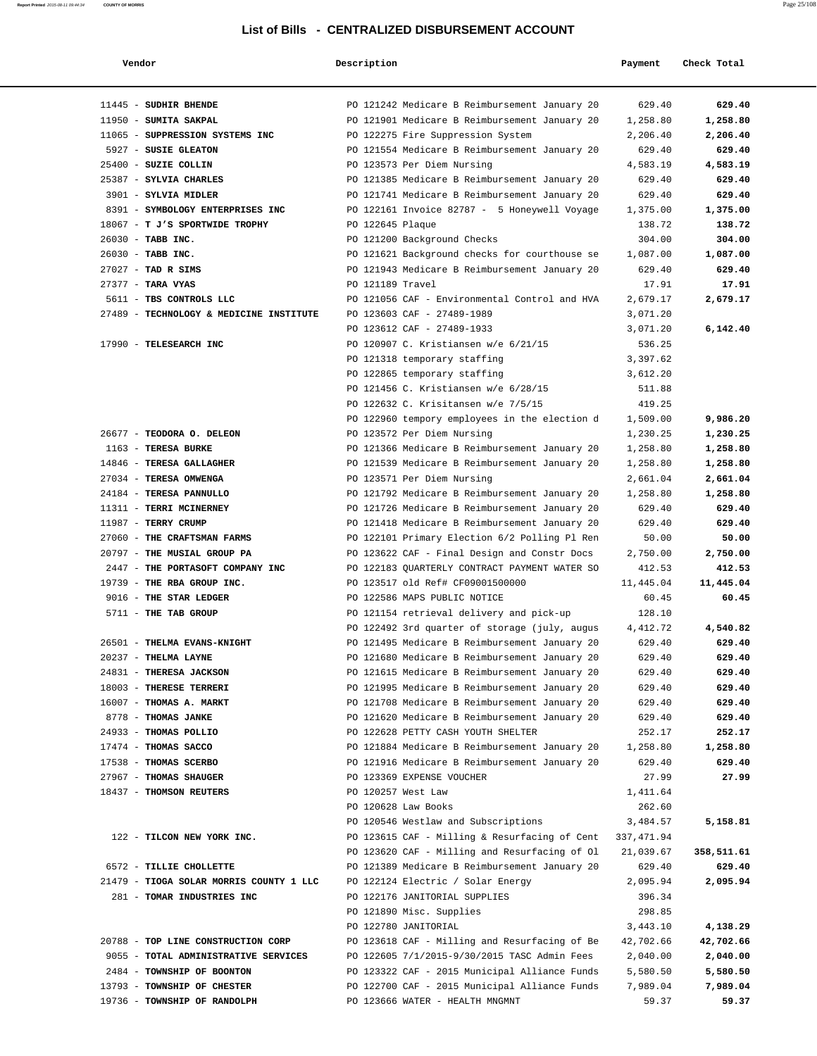| Report Printed 2015-08-11 09:44:34 | <b>COUNTY OF MORRIS</b> | 25/108         |
|------------------------------------|-------------------------|----------------|
|                                    |                         | Page $25/x0$ . |
|                                    |                         |                |

| Vendor                                                          | Description      |                                                                                   | Payment            | Check Total        |
|-----------------------------------------------------------------|------------------|-----------------------------------------------------------------------------------|--------------------|--------------------|
|                                                                 |                  |                                                                                   |                    |                    |
| 11445 - SUDHIR BHENDE                                           |                  | PO 121242 Medicare B Reimbursement January 20                                     | 629.40             | 629.40             |
| 11950 - SUMITA SAKPAL                                           |                  | PO 121901 Medicare B Reimbursement January 20                                     | 1,258.80           | 1,258.80           |
| 11065 - SUPPRESSION SYSTEMS INC                                 |                  | PO 122275 Fire Suppression System                                                 | 2,206.40           | 2,206.40           |
| 5927 - SUSIE GLEATON                                            |                  | PO 121554 Medicare B Reimbursement January 20                                     | 629.40             | 629.40             |
| 25400 - SUZIE COLLIN                                            |                  | PO 123573 Per Diem Nursing                                                        | 4,583.19           | 4,583.19           |
| 25387 - SYLVIA CHARLES                                          |                  | PO 121385 Medicare B Reimbursement January 20                                     | 629.40             | 629.40             |
| 3901 - SYLVIA MIDLER                                            |                  | PO 121741 Medicare B Reimbursement January 20                                     | 629.40             | 629.40             |
| 8391 - SYMBOLOGY ENTERPRISES INC                                |                  | PO 122161 Invoice 82787 - 5 Honeywell Voyage                                      | 1,375.00           | 1,375.00           |
| 18067 - T J'S SPORTWIDE TROPHY                                  | PO 122645 Plaque |                                                                                   | 138.72             | 138.72             |
| 26030 - TABB INC.                                               |                  | PO 121200 Background Checks                                                       | 304.00             | 304.00             |
| 26030 - TABB INC.                                               |                  | PO 121621 Background checks for courthouse se                                     | 1,087.00           | 1,087.00           |
| $27027$ - TAD R SIMS                                            |                  | PO 121943 Medicare B Reimbursement January 20                                     | 629.40             | 629.40             |
| 27377 - TARA VYAS                                               | PO 121189 Travel |                                                                                   | 17.91              | 17.91              |
| 5611 - TBS CONTROLS LLC                                         |                  | PO 121056 CAF - Environmental Control and HVA                                     | 2,679.17           | 2,679.17           |
| 27489 - TECHNOLOGY & MEDICINE INSTITUTE                         |                  | PO 123603 CAF - 27489-1989                                                        | 3,071.20           |                    |
|                                                                 |                  | PO 123612 CAF - 27489-1933                                                        | 3,071.20           | 6,142.40           |
| 17990 - TELESEARCH INC                                          |                  | PO 120907 C. Kristiansen w/e 6/21/15                                              | 536.25             |                    |
|                                                                 |                  | PO 121318 temporary staffing                                                      | 3,397.62           |                    |
|                                                                 |                  | PO 122865 temporary staffing                                                      | 3,612.20           |                    |
|                                                                 |                  | PO 121456 C. Kristiansen w/e 6/28/15                                              | 511.88             |                    |
|                                                                 |                  | PO 122632 C. Krisitansen w/e 7/5/15                                               | 419.25             |                    |
|                                                                 |                  | PO 122960 tempory employees in the election d                                     | 1,509.00           | 9,986.20           |
| 26677 - TEODORA O. DELEON                                       |                  | PO 123572 Per Diem Nursing                                                        | 1,230.25           | 1,230.25           |
| 1163 - TERESA BURKE                                             |                  | PO 121366 Medicare B Reimbursement January 20                                     | 1,258.80           | 1,258.80           |
| 14846 - TERESA GALLAGHER                                        |                  | PO 121539 Medicare B Reimbursement January 20                                     | 1,258.80           | 1,258.80           |
| 27034 - TERESA OMWENGA                                          |                  | PO 123571 Per Diem Nursing                                                        | 2,661.04           | 2,661.04           |
| 24184 - TERESA PANNULLO                                         |                  | PO 121792 Medicare B Reimbursement January 20                                     | 1,258.80           | 1,258.80           |
| 11311 - TERRI MCINERNEY                                         |                  | PO 121726 Medicare B Reimbursement January 20                                     | 629.40             | 629.40             |
| 11987 - TERRY CRUMP                                             |                  | PO 121418 Medicare B Reimbursement January 20                                     | 629.40             | 629.40             |
| 27060 - THE CRAFTSMAN FARMS                                     |                  | PO 122101 Primary Election 6/2 Polling Pl Ren                                     | 50.00              | 50.00              |
| 20797 - THE MUSIAL GROUP PA<br>2447 - THE PORTASOFT COMPANY INC |                  | PO 123622 CAF - Final Design and Constr Docs                                      | 2,750.00<br>412.53 | 2,750.00<br>412.53 |
| 19739 - THE RBA GROUP INC.                                      |                  | PO 122183 QUARTERLY CONTRACT PAYMENT WATER SO<br>PO 123517 old Ref# CF09001500000 | 11,445.04          | 11,445.04          |
| 9016 - THE STAR LEDGER                                          |                  | PO 122586 MAPS PUBLIC NOTICE                                                      | 60.45              | 60.45              |
| 5711 - THE TAB GROUP                                            |                  | PO 121154 retrieval delivery and pick-up                                          | 128.10             |                    |
|                                                                 |                  | PO 122492 3rd quarter of storage (july, augus                                     | 4,412.72           | 4,540.82           |
| 26501 - THELMA EVANS-KNIGHT                                     |                  | PO 121495 Medicare B Reimbursement January 20                                     | 629.40             | 629.40             |
| 20237 - THELMA LAYNE                                            |                  | PO 121680 Medicare B Reimbursement January 20                                     | 629.40             | 629.40             |
| 24831 - THERESA JACKSON                                         |                  | PO 121615 Medicare B Reimbursement January 20                                     | 629.40             | 629.40             |
| 18003 - THERESE TERRERI                                         |                  | PO 121995 Medicare B Reimbursement January 20                                     | 629.40             | 629.40             |
| 16007 - THOMAS A. MARKT                                         |                  | PO 121708 Medicare B Reimbursement January 20                                     | 629.40             | 629.40             |
| 8778 - THOMAS JANKE                                             |                  | PO 121620 Medicare B Reimbursement January 20                                     | 629.40             | 629.40             |
| 24933 - THOMAS POLLIO                                           |                  | PO 122628 PETTY CASH YOUTH SHELTER                                                | 252.17             | 252.17             |
| 17474 - THOMAS SACCO                                            |                  | PO 121884 Medicare B Reimbursement January 20                                     | 1,258.80           | 1,258.80           |
| 17538 - THOMAS SCERBO                                           |                  | PO 121916 Medicare B Reimbursement January 20                                     | 629.40             | 629.40             |
| 27967 - THOMAS SHAUGER                                          |                  | PO 123369 EXPENSE VOUCHER                                                         | 27.99              | 27.99              |
| 18437 - THOMSON REUTERS                                         |                  | PO 120257 West Law                                                                | 1,411.64           |                    |
|                                                                 |                  | PO 120628 Law Books                                                               | 262.60             |                    |
|                                                                 |                  | PO 120546 Westlaw and Subscriptions                                               | 3,484.57           | 5,158.81           |
| 122 - TILCON NEW YORK INC.                                      |                  | PO 123615 CAF - Milling & Resurfacing of Cent $337,471.94$                        |                    |                    |
|                                                                 |                  | PO 123620 CAF - Milling and Resurfacing of Ol                                     | 21,039.67          | 358,511.61         |
| 6572 - TILLIE CHOLLETTE                                         |                  | PO 121389 Medicare B Reimbursement January 20                                     | 629.40             | 629.40             |
| 21479 - TIOGA SOLAR MORRIS COUNTY 1 LLC                         |                  | PO 122124 Electric / Solar Energy                                                 | 2,095.94           | 2,095.94           |
| 281 - TOMAR INDUSTRIES INC                                      |                  | PO 122176 JANITORIAL SUPPLIES                                                     | 396.34             |                    |
|                                                                 |                  | PO 121890 Misc. Supplies                                                          | 298.85             |                    |
|                                                                 |                  | PO 122780 JANITORIAL                                                              | 3,443.10           | 4,138.29           |
| 20788 - TOP LINE CONSTRUCTION CORP                              |                  | PO 123618 CAF - Milling and Resurfacing of Be                                     | 42,702.66          | 42,702.66          |
| 9055 - TOTAL ADMINISTRATIVE SERVICES                            |                  | PO 122605 7/1/2015-9/30/2015 TASC Admin Fees                                      | 2,040.00           | 2,040.00           |
| 2484 - TOWNSHIP OF BOONTON                                      |                  | PO 123322 CAF - 2015 Municipal Alliance Funds                                     | 5,580.50           | 5,580.50           |
| 13793 - TOWNSHIP OF CHESTER                                     |                  | PO 122700 CAF - 2015 Municipal Alliance Funds                                     | 7,989.04           | 7,989.04           |
| 19736 - TOWNSHIP OF RANDOLPH                                    |                  | PO 123666 WATER - HEALTH MNGMNT                                                   | 59.37              | 59.37              |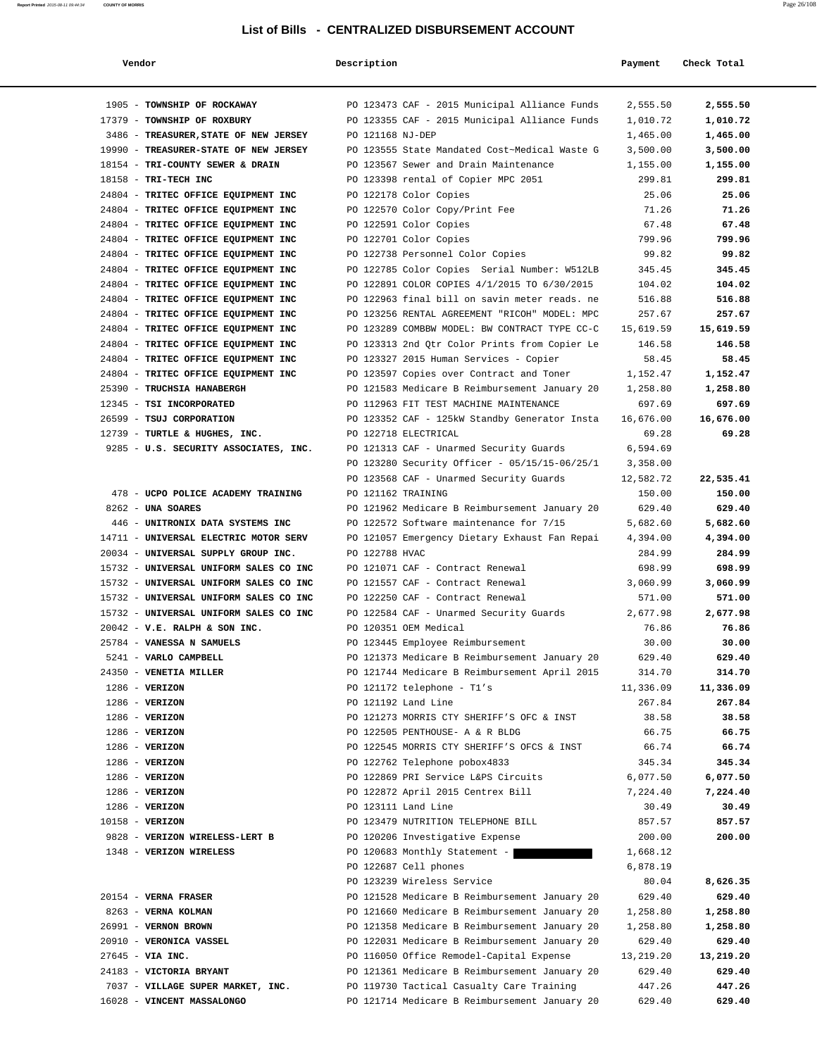| Vendor                                 | Description                                   | Payment   | Check Total |
|----------------------------------------|-----------------------------------------------|-----------|-------------|
| 1905 - TOWNSHIP OF ROCKAWAY            | PO 123473 CAF - 2015 Municipal Alliance Funds | 2,555.50  | 2,555.50    |
| 17379 - TOWNSHIP OF ROXBURY            | PO 123355 CAF - 2015 Municipal Alliance Funds | 1,010.72  | 1,010.72    |
| 3486 - TREASURER, STATE OF NEW JERSEY  | PO 121168 NJ-DEP                              | 1,465.00  | 1,465.00    |
| 19990 - TREASURER-STATE OF NEW JERSEY  | PO 123555 State Mandated Cost~Medical Waste G | 3,500.00  | 3,500.00    |
| 18154 - TRI-COUNTY SEWER & DRAIN       | PO 123567 Sewer and Drain Maintenance         | 1,155.00  | 1,155.00    |
| 18158 - TRI-TECH INC                   | PO 123398 rental of Copier MPC 2051           | 299.81    | 299.81      |
| 24804 - TRITEC OFFICE EQUIPMENT INC    | PO 122178 Color Copies                        | 25.06     | 25.06       |
| 24804 - TRITEC OFFICE EQUIPMENT INC    | PO 122570 Color Copy/Print Fee                | 71.26     | 71.26       |
| 24804 - TRITEC OFFICE EQUIPMENT INC    | PO 122591 Color Copies                        | 67.48     | 67.48       |
| 24804 - TRITEC OFFICE EQUIPMENT INC    | PO 122701 Color Copies                        | 799.96    | 799.96      |
| 24804 - TRITEC OFFICE EQUIPMENT INC    | PO 122738 Personnel Color Copies              | 99.82     | 99.82       |
| 24804 - TRITEC OFFICE EQUIPMENT INC    | PO 122785 Color Copies Serial Number: W512LB  | 345.45    | 345.45      |
| 24804 - TRITEC OFFICE EQUIPMENT INC    | PO 122891 COLOR COPIES 4/1/2015 TO 6/30/2015  | 104.02    | 104.02      |
| 24804 - TRITEC OFFICE EQUIPMENT INC    | PO 122963 final bill on savin meter reads. ne | 516.88    | 516.88      |
| 24804 - TRITEC OFFICE EQUIPMENT INC    | PO 123256 RENTAL AGREEMENT "RICOH" MODEL: MPC | 257.67    | 257.67      |
| 24804 - TRITEC OFFICE EQUIPMENT INC    | PO 123289 COMBBW MODEL: BW CONTRACT TYPE CC-C | 15,619.59 | 15,619.59   |
| 24804 - TRITEC OFFICE EQUIPMENT INC    | PO 123313 2nd Qtr Color Prints from Copier Le | 146.58    | 146.58      |
| 24804 - TRITEC OFFICE EQUIPMENT INC    | PO 123327 2015 Human Services - Copier        | 58.45     | 58.45       |
| 24804 - TRITEC OFFICE EQUIPMENT INC    | PO 123597 Copies over Contract and Toner      | 1,152.47  | 1,152.47    |
| 25390 - TRUCHSIA HANABERGH             | PO 121583 Medicare B Reimbursement January 20 | 1,258.80  | 1,258.80    |
| 12345 - TSI INCORPORATED               | PO 112963 FIT TEST MACHINE MAINTENANCE        | 697.69    | 697.69      |
| 26599 - TSUJ CORPORATION               | PO 123352 CAF - 125kW Standby Generator Insta | 16,676.00 | 16,676.00   |
| 12739 - TURTLE & HUGHES, INC.          | PO 122718 ELECTRICAL                          | 69.28     | 69.28       |
| 9285 - U.S. SECURITY ASSOCIATES, INC.  | PO 121313 CAF - Unarmed Security Guards       | 6,594.69  |             |
|                                        | PO 123280 Security Officer - 05/15/15-06/25/1 | 3,358.00  |             |
|                                        | PO 123568 CAF - Unarmed Security Guards       | 12,582.72 | 22,535.41   |
| 478 - UCPO POLICE ACADEMY TRAINING     | PO 121162 TRAINING                            | 150.00    | 150.00      |
| 8262 - UNA SOARES                      | PO 121962 Medicare B Reimbursement January 20 | 629.40    | 629.40      |
| 446 - UNITRONIX DATA SYSTEMS INC       | PO 122572 Software maintenance for 7/15       | 5,682.60  | 5,682.60    |
| 14711 - UNIVERSAL ELECTRIC MOTOR SERV  | PO 121057 Emergency Dietary Exhaust Fan Repai | 4,394.00  | 4,394.00    |
| 20034 - UNIVERSAL SUPPLY GROUP INC.    | PO 122788 HVAC                                | 284.99    | 284.99      |
| 15732 - UNIVERSAL UNIFORM SALES CO INC | PO 121071 CAF - Contract Renewal              | 698.99    | 698.99      |
| 15732 - UNIVERSAL UNIFORM SALES CO INC | PO 121557 CAF - Contract Renewal              | 3,060.99  | 3,060.99    |
| 15732 - UNIVERSAL UNIFORM SALES CO INC | PO 122250 CAF - Contract Renewal              | 571.00    | 571.00      |
| 15732 - UNIVERSAL UNIFORM SALES CO INC | PO 122584 CAF - Unarmed Security Guards       | 2,677.98  | 2,677.98    |
| $20042$ - V.E. RALPH & SON INC.        | PO 120351 OEM Medical                         | 76.86     | 76.86       |
| 25784 - VANESSA N SAMUELS              | PO 123445 Employee Reimbursement              | 30.00     | 30.00       |
| 5241 - VARLO CAMPBELL                  | PO 121373 Medicare B Reimbursement January 20 | 629.40    | 629.40      |
| 24350 - VENETIA MILLER                 | PO 121744 Medicare B Reimbursement April 2015 | 314.70    | 314.70      |
| $1286$ - VERIZON                       | PO 121172 telephone - T1's                    | 11,336.09 | 11,336.09   |
| $1286 - VERIZON$                       | PO 121192 Land Line                           | 267.84    | 267.84      |
| $1286 - VERIZON$                       | PO 121273 MORRIS CTY SHERIFF'S OFC & INST     | 38.58     | 38.58       |
| $1286$ - VERIZON                       | PO 122505 PENTHOUSE- A & R BLDG               | 66.75     | 66.75       |
| $1286$ - VERIZON                       | PO 122545 MORRIS CTY SHERIFF'S OFCS & INST    | 66.74     | 66.74       |
| $1286$ - VERIZON                       | PO 122762 Telephone pobox4833                 | 345.34    | 345.34      |
| $1286 - VERIZON$                       | PO 122869 PRI Service L&PS Circuits           | 6,077.50  | 6,077.50    |
| $1286 - VERIZON$                       | PO 122872 April 2015 Centrex Bill             | 7,224.40  | 7,224.40    |
| $1286 - VERIZON$                       | PO 123111 Land Line                           | 30.49     | 30.49       |
| 10158 - VERIZON                        | PO 123479 NUTRITION TELEPHONE BILL            | 857.57    | 857.57      |
| 9828 - VERIZON WIRELESS-LERT B         | PO 120206 Investigative Expense               | 200.00    | 200.00      |
| 1348 - VERIZON WIRELESS                | PO 120683 Monthly Statement -                 | 1,668.12  |             |
|                                        | PO 122687 Cell phones                         | 6,878.19  |             |
|                                        | PO 123239 Wireless Service                    | 80.04     | 8,626.35    |
| 20154 - VERNA FRASER                   | PO 121528 Medicare B Reimbursement January 20 | 629.40    | 629.40      |
| 8263 - VERNA KOLMAN                    | PO 121660 Medicare B Reimbursement January 20 | 1,258.80  | 1,258.80    |
| 26991 - VERNON BROWN                   | PO 121358 Medicare B Reimbursement January 20 | 1,258.80  | 1,258.80    |
| 20910 - VERONICA VASSEL                | PO 122031 Medicare B Reimbursement January 20 | 629.40    | 629.40      |
| 27645 - VIA INC.                       | PO 116050 Office Remodel-Capital Expense      | 13,219.20 | 13,219.20   |
| 24183 - VICTORIA BRYANT                | PO 121361 Medicare B Reimbursement January 20 | 629.40    | 629.40      |
| 7037 - VILLAGE SUPER MARKET, INC.      | PO 119730 Tactical Casualty Care Training     | 447.26    | 447.26      |
| 16028 - VINCENT MASSALONGO             | PO 121714 Medicare B Reimbursement January 20 | 629.40    | 629.40      |

**Report Printed** 2015-08-11 09:44:34 **COUNTY OF MORRIS** Page 26/108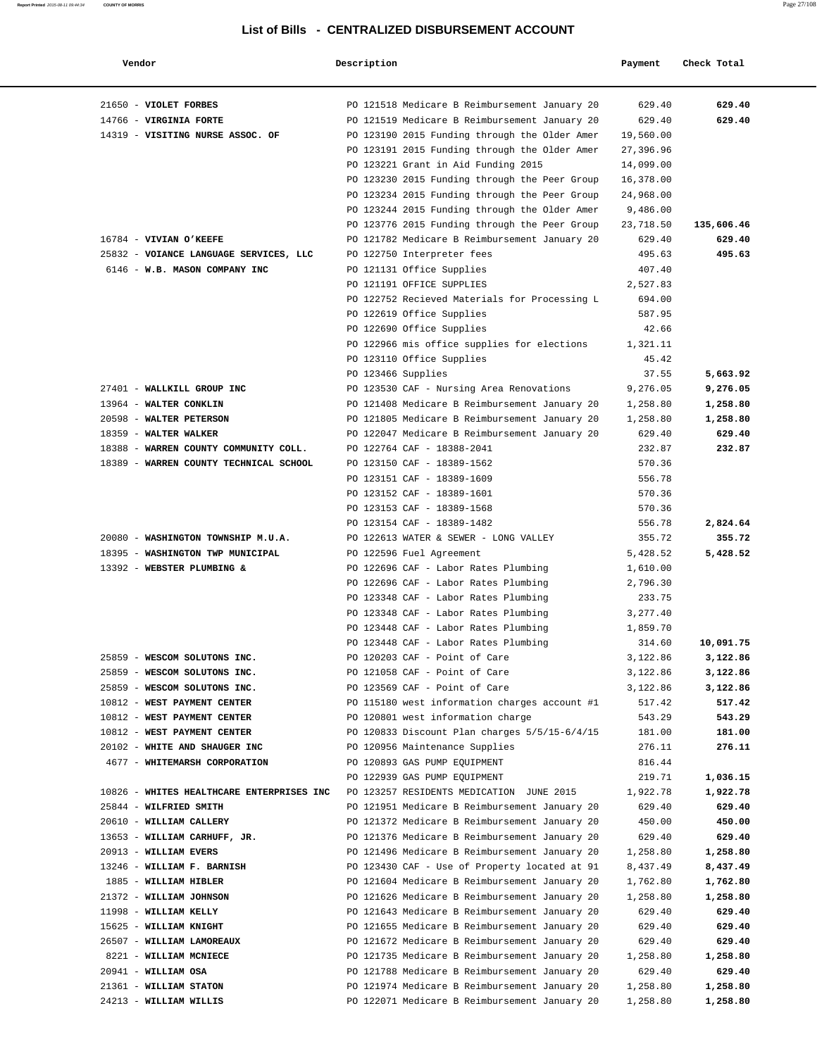| Vendor                                    | Description                                   | Payment   | Check Total |
|-------------------------------------------|-----------------------------------------------|-----------|-------------|
| 21650 - VIOLET FORBES                     | PO 121518 Medicare B Reimbursement January 20 | 629.40    | 629.40      |
| 14766 - VIRGINIA FORTE                    | PO 121519 Medicare B Reimbursement January 20 | 629.40    | 629.40      |
| 14319 - VISITING NURSE ASSOC. OF          | PO 123190 2015 Funding through the Older Amer | 19,560.00 |             |
|                                           | PO 123191 2015 Funding through the Older Amer | 27,396.96 |             |
|                                           | PO 123221 Grant in Aid Funding 2015           | 14,099.00 |             |
|                                           | PO 123230 2015 Funding through the Peer Group | 16,378.00 |             |
|                                           | PO 123234 2015 Funding through the Peer Group | 24,968.00 |             |
|                                           | PO 123244 2015 Funding through the Older Amer | 9,486.00  |             |
|                                           | PO 123776 2015 Funding through the Peer Group | 23,718.50 | 135,606.46  |
| 16784 - VIVIAN O'KEEFE                    | PO 121782 Medicare B Reimbursement January 20 | 629.40    | 629.40      |
| 25832 - VOIANCE LANGUAGE SERVICES, LLC    | PO 122750 Interpreter fees                    | 495.63    | 495.63      |
| 6146 - W.B. MASON COMPANY INC             | PO 121131 Office Supplies                     | 407.40    |             |
|                                           | PO 121191 OFFICE SUPPLIES                     | 2,527.83  |             |
|                                           | PO 122752 Recieved Materials for Processing L | 694.00    |             |
|                                           | PO 122619 Office Supplies                     | 587.95    |             |
|                                           | PO 122690 Office Supplies                     | 42.66     |             |
|                                           | PO 122966 mis office supplies for elections   | 1,321.11  |             |
|                                           | PO 123110 Office Supplies                     | 45.42     |             |
|                                           | PO 123466 Supplies                            | 37.55     | 5,663.92    |
| 27401 - WALLKILL GROUP INC                | PO 123530 CAF - Nursing Area Renovations      | 9,276.05  | 9,276.05    |
| 13964 - WALTER CONKLIN                    | PO 121408 Medicare B Reimbursement January 20 | 1,258.80  | 1,258.80    |
| 20598 - WALTER PETERSON                   | PO 121805 Medicare B Reimbursement January 20 | 1,258.80  | 1,258.80    |
| 18359 - WALTER WALKER                     | PO 122047 Medicare B Reimbursement January 20 | 629.40    | 629.40      |
| 18388 - WARREN COUNTY COMMUNITY COLL.     | PO 122764 CAF - 18388-2041                    | 232.87    | 232.87      |
| 18389 - WARREN COUNTY TECHNICAL SCHOOL    | PO 123150 CAF - 18389-1562                    | 570.36    |             |
|                                           | PO 123151 CAF - 18389-1609                    | 556.78    |             |
|                                           | PO 123152 CAF - 18389-1601                    | 570.36    |             |
|                                           | PO 123153 CAF - 18389-1568                    | 570.36    |             |
|                                           | PO 123154 CAF - 18389-1482                    | 556.78    | 2,824.64    |
| 20080 - WASHINGTON TOWNSHIP M.U.A.        | PO 122613 WATER & SEWER - LONG VALLEY         | 355.72    | 355.72      |
| 18395 - WASHINGTON TWP MUNICIPAL          | PO 122596 Fuel Agreement                      | 5,428.52  | 5,428.52    |
| 13392 - WEBSTER PLUMBING &                | PO 122696 CAF - Labor Rates Plumbing          | 1,610.00  |             |
|                                           | PO 122696 CAF - Labor Rates Plumbing          | 2,796.30  |             |
|                                           | PO 123348 CAF - Labor Rates Plumbing          | 233.75    |             |
|                                           | PO 123348 CAF - Labor Rates Plumbing          | 3,277.40  |             |
|                                           | PO 123448 CAF - Labor Rates Plumbing          | 1,859.70  |             |
|                                           | PO 123448 CAF - Labor Rates Plumbing          | 314.60    | 10,091.75   |
| 25859 - WESCOM SOLUTONS INC.              | PO 120203 CAF - Point of Care                 | 3,122.86  | 3,122.86    |
| 25859 - WESCOM SOLUTONS INC.              | PO 121058 CAF - Point of Care                 | 3,122.86  | 3,122.86    |
| 25859 - WESCOM SOLUTONS INC.              | PO 123569 CAF - Point of Care                 | 3,122.86  | 3,122.86    |
| 10812 - WEST PAYMENT CENTER               | PO 115180 west information charges account #1 | 517.42    | 517.42      |
| 10812 - WEST PAYMENT CENTER               | PO 120801 west information charge             | 543.29    | 543.29      |
| 10812 - WEST PAYMENT CENTER               | PO 120833 Discount Plan charges 5/5/15-6/4/15 | 181.00    | 181.00      |
| 20102 - WHITE AND SHAUGER INC             | PO 120956 Maintenance Supplies                | 276.11    | 276.11      |
| 4677 - WHITEMARSH CORPORATION             | PO 120893 GAS PUMP EQUIPMENT                  | 816.44    |             |
|                                           | PO 122939 GAS PUMP EOUIPMENT                  | 219.71    | 1,036.15    |
| 10826 - WHITES HEALTHCARE ENTERPRISES INC | PO 123257 RESIDENTS MEDICATION JUNE 2015      | 1,922.78  | 1,922.78    |
| 25844 - WILFRIED SMITH                    | PO 121951 Medicare B Reimbursement January 20 | 629.40    | 629.40      |
| 20610 - WILLIAM CALLERY                   | PO 121372 Medicare B Reimbursement January 20 | 450.00    | 450.00      |
| 13653 - WILLIAM CARHUFF, JR.              | PO 121376 Medicare B Reimbursement January 20 | 629.40    | 629.40      |
| 20913 - WILLIAM EVERS                     | PO 121496 Medicare B Reimbursement January 20 | 1,258.80  | 1,258.80    |
| 13246 - WILLIAM F. BARNISH                | PO 123430 CAF - Use of Property located at 91 | 8,437.49  | 8,437.49    |
| 1885 - WILLIAM HIBLER                     | PO 121604 Medicare B Reimbursement January 20 | 1,762.80  | 1,762.80    |
| 21372 - WILLIAM JOHNSON                   | PO 121626 Medicare B Reimbursement January 20 | 1,258.80  | 1,258.80    |
| 11998 - WILLIAM KELLY                     | PO 121643 Medicare B Reimbursement January 20 | 629.40    | 629.40      |
| 15625 - WILLIAM KNIGHT                    | PO 121655 Medicare B Reimbursement January 20 | 629.40    | 629.40      |
| 26507 - WILLIAM LAMOREAUX                 | PO 121672 Medicare B Reimbursement January 20 | 629.40    | 629.40      |
| 8221 - WILLIAM MCNIECE                    | PO 121735 Medicare B Reimbursement January 20 | 1,258.80  | 1,258.80    |
| 20941 - WILLIAM OSA                       | PO 121788 Medicare B Reimbursement January 20 | 629.40    | 629.40      |
| 21361 - WILLIAM STATON                    | PO 121974 Medicare B Reimbursement January 20 | 1,258.80  | 1,258.80    |
| 24213 - WILLIAM WILLIS                    | PO 122071 Medicare B Reimbursement January 20 | 1,258.80  | 1,258.80    |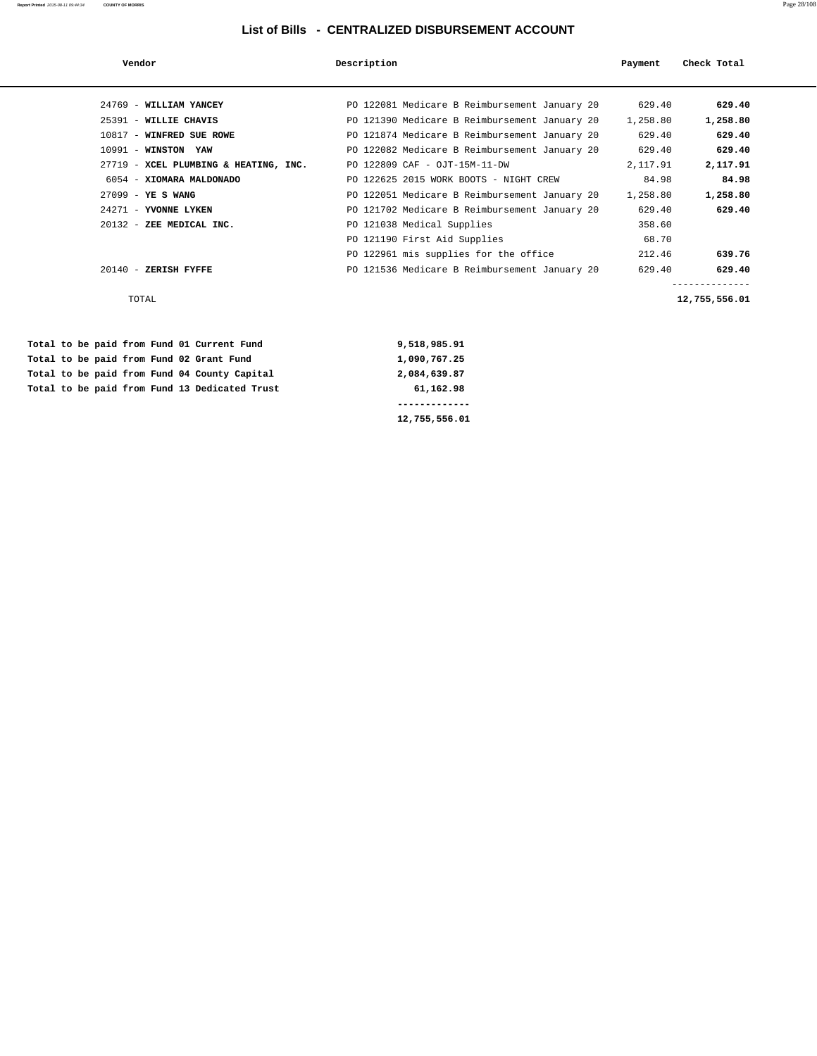**Report Printed** 2015-08-11 09:44:34 **COUNTY OF MORRIS** Page 28/108

| Vendor                                | Description                                   | Payment  | Check Total   |
|---------------------------------------|-----------------------------------------------|----------|---------------|
|                                       |                                               |          |               |
| 24769 - WILLIAM YANCEY                | PO 122081 Medicare B Reimbursement January 20 | 629.40   | 629.40        |
| 25391 - WILLIE CHAVIS                 | PO 121390 Medicare B Reimbursement January 20 | 1,258.80 | 1,258.80      |
| 10817 - WINFRED SUE ROWE              | PO 121874 Medicare B Reimbursement January 20 | 629.40   | 629.40        |
| $10991$ - WINSTON YAW                 | PO 122082 Medicare B Reimbursement January 20 | 629.40   | 629.40        |
| 27719 - XCEL PLUMBING & HEATING, INC. | PO 122809 CAF - OJT-15M-11-DW                 | 2,117.91 | 2,117.91      |
| 6054 - XIOMARA MALDONADO              | PO 122625 2015 WORK BOOTS - NIGHT CREW        | 84.98    | 84.98         |
| $27099 - YE S WANG$                   | PO 122051 Medicare B Reimbursement January 20 | 1,258.80 | 1,258.80      |
| 24271 - YVONNE LYKEN                  | PO 121702 Medicare B Reimbursement January 20 | 629.40   | 629.40        |
| 20132 - ZEE MEDICAL INC.              | PO 121038 Medical Supplies                    | 358.60   |               |
|                                       | PO 121190 First Aid Supplies                  | 68.70    |               |
|                                       | PO 122961 mis supplies for the office         | 212.46   | 639.76        |
| $20140 -$ ZERISH FYFFE                | PO 121536 Medicare B Reimbursement January 20 | 629.40   | 629.40        |
| TOTAL                                 |                                               |          | 12,755,556.01 |

 **------------- 12,755,556.01**

Total to be paid from Fund 01 Current Fund 9,518,985.91 Total to be paid from Fund 02 Grant Fund 1,090,767.25 Total to be paid from Fund 04 County Capital 2,084,639.87 Total to be paid from Fund 13 Dedicated Trust 61,162.98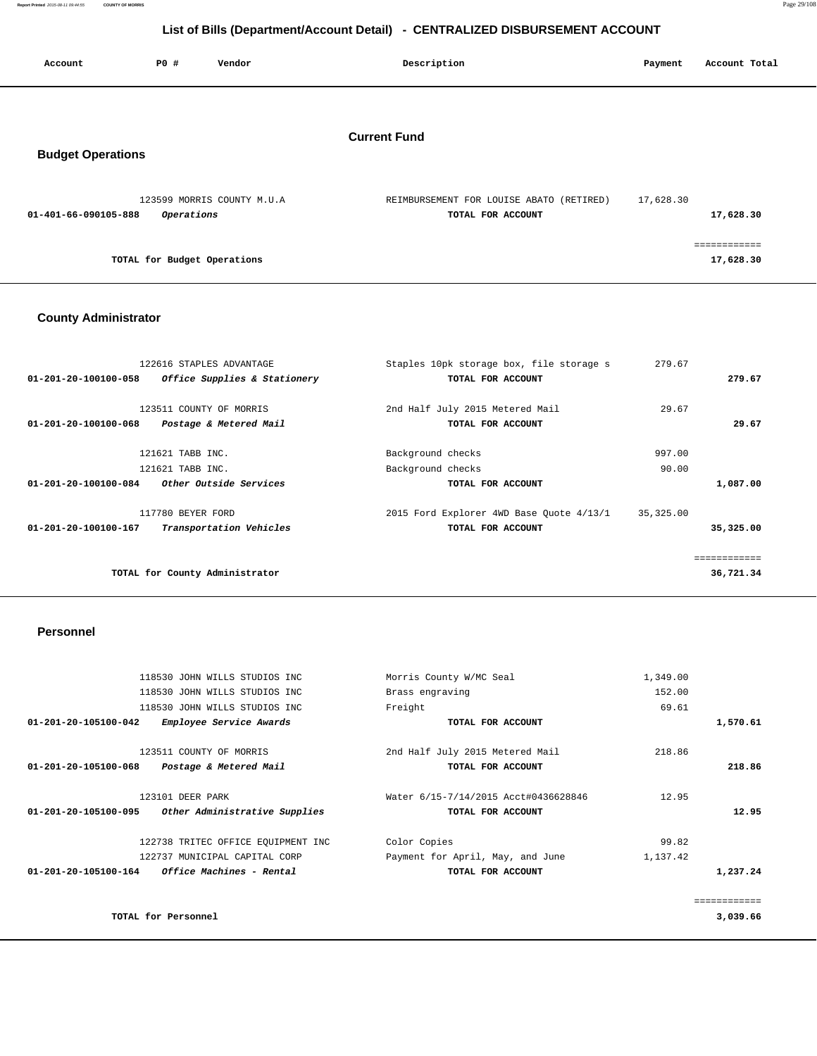**Report Printed** 2015-08-11 09:44:55 **COUNTY OF MORRIS** Page 29/108

# **List of Bills (Department/Account Detail) - CENTRALIZED DISBURSEMENT ACCOUNT**

| Account                  | P0 #                        | Vendor                     | Description                                                   | Payment   | Account Total             |
|--------------------------|-----------------------------|----------------------------|---------------------------------------------------------------|-----------|---------------------------|
|                          |                             |                            |                                                               |           |                           |
| <b>Budget Operations</b> |                             |                            | <b>Current Fund</b>                                           |           |                           |
| 01-401-66-090105-888     | Operations                  | 123599 MORRIS COUNTY M.U.A | REIMBURSEMENT FOR LOUISE ABATO (RETIRED)<br>TOTAL FOR ACCOUNT | 17,628.30 | 17,628.30                 |
|                          | TOTAL for Budget Operations |                            |                                                               |           | ============<br>17,628.30 |

## **County Administrator**

| 122616 STAPLES ADVANTAGE<br>Office Supplies & Stationery<br>01-201-20-100100-058              | Staples 10pk storage box, file storage s<br>TOTAL FOR ACCOUNT | 279.67<br>279.67            |
|-----------------------------------------------------------------------------------------------|---------------------------------------------------------------|-----------------------------|
| 123511 COUNTY OF MORRIS<br>Postage & Metered Mail<br>01-201-20-100100-068                     | 2nd Half July 2015 Metered Mail<br>TOTAL FOR ACCOUNT          | 29.67<br>29.67              |
| 121621 TABB INC.<br>121621 TABB INC.<br><i>Other Outside Services</i><br>01-201-20-100100-084 | Background checks<br>Background checks<br>TOTAL FOR ACCOUNT   | 997.00<br>90.00<br>1,087.00 |
| 117780 BEYER FORD<br>Transportation Vehicles<br>01-201-20-100100-167                          | 2015 Ford Explorer 4WD Base Quote 4/13/1<br>TOTAL FOR ACCOUNT | 35,325.00<br>35,325.00      |
| TOTAL for County Administrator                                                                |                                                               | 36,721.34                   |

## **Personnel**

|                                | 118530 JOHN WILLS STUDIOS INC          | Morris County W/MC Seal              | 1,349.00 |          |
|--------------------------------|----------------------------------------|--------------------------------------|----------|----------|
|                                | 118530 JOHN WILLS STUDIOS INC          | Brass engraving                      | 152.00   |          |
|                                | 118530 JOHN WILLS STUDIOS INC          | Freight                              | 69.61    |          |
| $01 - 201 - 20 - 105100 - 042$ | Employee Service Awards                | TOTAL FOR ACCOUNT                    |          | 1,570.61 |
|                                | 123511 COUNTY OF MORRIS                | 2nd Half July 2015 Metered Mail      | 218.86   |          |
| 01-201-20-105100-068           | Postage & Metered Mail                 | TOTAL FOR ACCOUNT                    |          | 218.86   |
|                                | 123101 DEER PARK                       | Water 6/15-7/14/2015 Acct#0436628846 | 12.95    |          |
| 01-201-20-105100-095           | Other Administrative Supplies          | TOTAL FOR ACCOUNT                    |          | 12.95    |
|                                | 122738 TRITEC OFFICE EOUIPMENT INC     | Color Copies                         | 99.82    |          |
|                                | 122737 MUNICIPAL CAPITAL CORP          | Payment for April, May, and June     | 1,137.42 |          |
| 01-201-20-105100-164           | <i><b>Office Machines - Rental</b></i> | TOTAL FOR ACCOUNT                    |          | 1,237.24 |
|                                |                                        |                                      |          |          |
|                                | TOTAL for Personnel                    |                                      |          | 3,039.66 |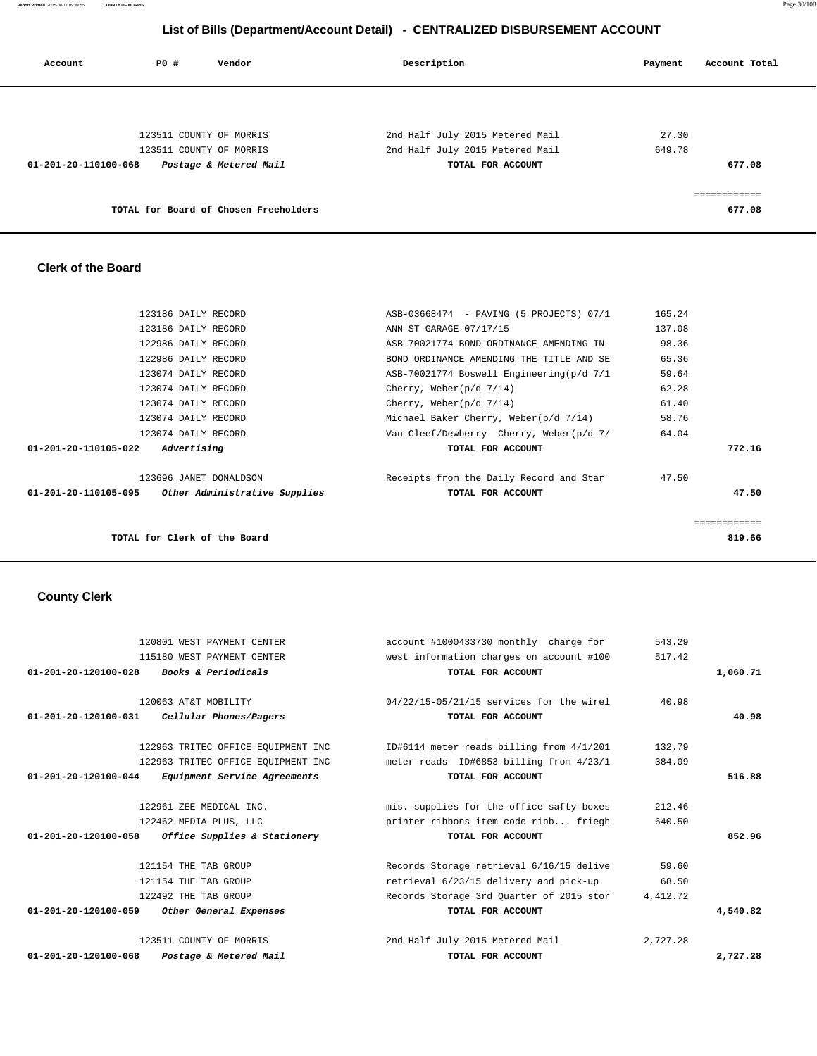| Account              | PO# | Vendor                                | Description                     | Account Total<br>Payment |  |
|----------------------|-----|---------------------------------------|---------------------------------|--------------------------|--|
|                      |     |                                       |                                 |                          |  |
|                      |     | 123511 COUNTY OF MORRIS               | 2nd Half July 2015 Metered Mail | 27.30                    |  |
|                      |     | 123511 COUNTY OF MORRIS               | 2nd Half July 2015 Metered Mail | 649.78                   |  |
| 01-201-20-110100-068 |     | Postage & Metered Mail                | TOTAL FOR ACCOUNT               | 677.08                   |  |
|                      |     |                                       |                                 |                          |  |
|                      |     | TOTAL for Board of Chosen Freeholders |                                 | 677.08                   |  |

## **Clerk of the Board**

| TOTAL for Clerk of the Board                                                    |                                                              | ------------<br>819.66 |
|---------------------------------------------------------------------------------|--------------------------------------------------------------|------------------------|
| 123696 JANET DONALDSON<br>Other Administrative Supplies<br>01-201-20-110105-095 | Receipts from the Daily Record and Star<br>TOTAL FOR ACCOUNT | 47.50<br>47.50         |
| 01-201-20-110105-022<br>Advertising                                             | TOTAL FOR ACCOUNT                                            | 772.16                 |
| 123074 DAILY RECORD                                                             | Van-Cleef/Dewberry Cherry, Weber(p/d 7/                      | 64.04                  |
| 123074 DAILY RECORD                                                             | Michael Baker Cherry, Weber(p/d 7/14)                        | 58.76                  |
| 123074 DAILY RECORD                                                             | Cherry, Weber( $p/d \frac{7}{14}$ )                          | 61.40                  |
| 123074 DAILY RECORD                                                             | Cherry, Weber( $p/d \frac{7}{14}$ )                          | 62.28                  |
| 123074 DAILY RECORD                                                             | ASB-70021774 Boswell Engineering(p/d 7/1                     | 59.64                  |
| 122986 DAILY RECORD                                                             | BOND ORDINANCE AMENDING THE TITLE AND SE                     | 65.36                  |
| 122986 DAILY RECORD                                                             | ASB-70021774 BOND ORDINANCE AMENDING IN                      | 98.36                  |
| 123186 DAILY RECORD                                                             | ANN ST GARAGE 07/17/15                                       | 137.08                 |
| 123186 DAILY RECORD                                                             | ASB-03668474 - PAVING (5 PROJECTS) 07/1                      | 165.24                 |

# **County Clerk**

| 120801 WEST PAYMENT CENTER                                  | account #1000433730 monthly charge for   | 543.29   |          |
|-------------------------------------------------------------|------------------------------------------|----------|----------|
| 115180 WEST PAYMENT CENTER                                  | west information charges on account #100 | 517.42   |          |
| 01-201-20-120100-028 Books & Periodicals                    | TOTAL FOR ACCOUNT                        |          | 1,060.71 |
|                                                             |                                          |          |          |
| 120063 AT&T MOBILITY                                        | 04/22/15-05/21/15 services for the wirel | 40.98    |          |
| 01-201-20-120100-031 Cellular Phones/Pagers                 | TOTAL FOR ACCOUNT                        |          | 40.98    |
| 122963 TRITEC OFFICE EQUIPMENT INC                          | ID#6114 meter reads billing from 4/1/201 | 132.79   |          |
| 122963 TRITEC OFFICE EQUIPMENT INC                          | meter reads ID#6853 billing from 4/23/1  | 384.09   |          |
| 01-201-20-120100-044<br><i>Equipment Service Agreements</i> | TOTAL FOR ACCOUNT                        |          | 516.88   |
| 122961 ZEE MEDICAL INC.                                     | mis. supplies for the office safty boxes | 212.46   |          |
| 122462 MEDIA PLUS, LLC                                      | printer ribbons item code ribb friegh    | 640.50   |          |
| Office Supplies & Stationery<br>01-201-20-120100-058        | TOTAL FOR ACCOUNT                        |          | 852.96   |
| 121154 THE TAB GROUP                                        | Records Storage retrieval 6/16/15 delive | 59.60    |          |
| 121154 THE TAB GROUP                                        | retrieval 6/23/15 delivery and pick-up   | 68.50    |          |
| 122492 THE TAB GROUP                                        | Records Storage 3rd Ouarter of 2015 stor | 4,412.72 |          |
| 01-201-20-120100-059<br>Other General Expenses              | TOTAL FOR ACCOUNT                        |          | 4,540.82 |
| 123511 COUNTY OF MORRIS                                     | 2nd Half July 2015 Metered Mail          | 2,727.28 |          |
| $01 - 201 - 20 - 120100 - 068$<br>Postage & Metered Mail    | TOTAL FOR ACCOUNT                        |          | 2,727.28 |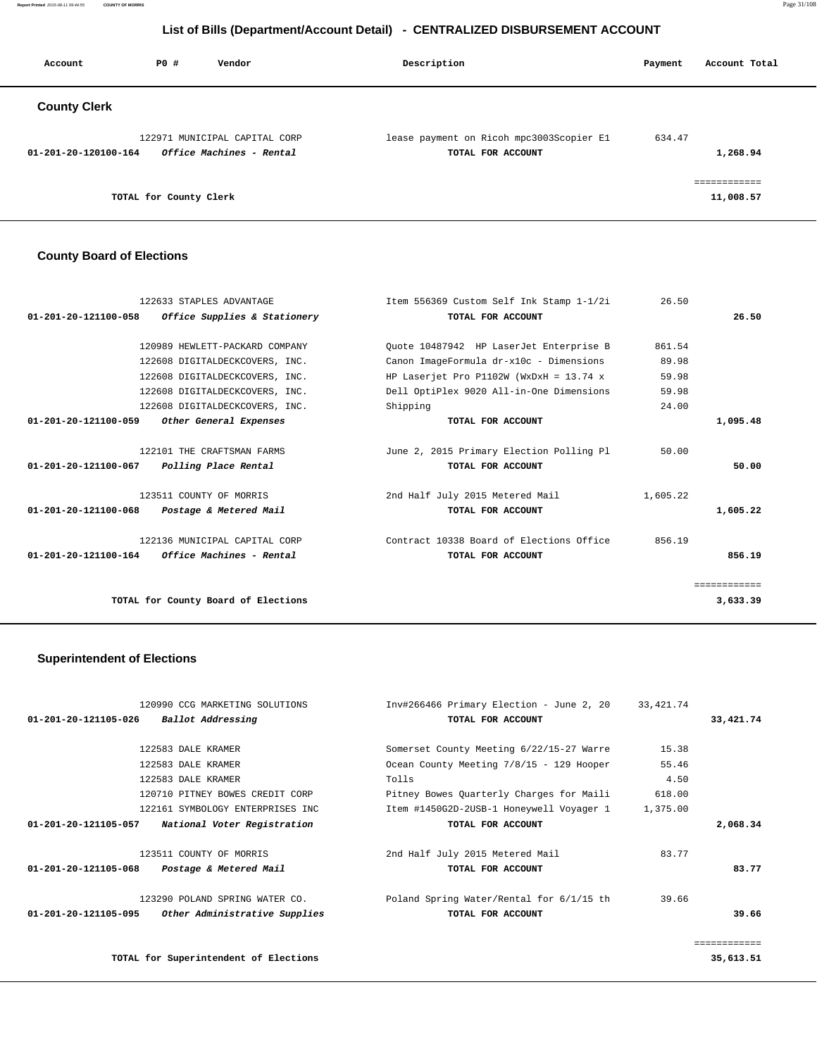| Account              | PO#                    | Vendor                                                    | Description                                                   | Payment | Account Total |
|----------------------|------------------------|-----------------------------------------------------------|---------------------------------------------------------------|---------|---------------|
| <b>County Clerk</b>  |                        |                                                           |                                                               |         |               |
| 01-201-20-120100-164 |                        | 122971 MUNICIPAL CAPITAL CORP<br>Office Machines - Rental | lease payment on Ricoh mpc3003Scopier E1<br>TOTAL FOR ACCOUNT | 634.47  | 1,268.94      |
|                      | TOTAL for County Clerk |                                                           |                                                               |         | 11,008.57     |

#### **County Board of Elections**

| 122633 STAPLES ADVANTAGE                            | Item 556369 Custom Self Ink Stamp 1-1/2i  | 26.50    |              |
|-----------------------------------------------------|-------------------------------------------|----------|--------------|
| $01-201-20-121100-058$ Office Supplies & Stationery | TOTAL FOR ACCOUNT                         |          | 26.50        |
| 120989 HEWLETT-PACKARD COMPANY                      | Ouote 10487942 HP LaserJet Enterprise B   | 861.54   |              |
| 122608 DIGITALDECKCOVERS, INC.                      | Canon ImageFormula dr-x10c - Dimensions   | 89.98    |              |
| 122608 DIGITALDECKCOVERS, INC.                      | HP Laserjet Pro P1102W (WxDxH = $13.74$ x | 59.98    |              |
| 122608 DIGITALDECKCOVERS, INC.                      | Dell OptiPlex 9020 All-in-One Dimensions  | 59.98    |              |
| 122608 DIGITALDECKCOVERS, INC.                      | Shipping                                  | 24.00    |              |
| 01-201-20-121100-059<br>Other General Expenses      | TOTAL FOR ACCOUNT                         |          | 1,095.48     |
| 122101 THE CRAFTSMAN FARMS                          | June 2, 2015 Primary Election Polling Pl  | 50.00    |              |
| 01-201-20-121100-067<br>Polling Place Rental        | TOTAL FOR ACCOUNT                         |          | 50.00        |
| 123511 COUNTY OF MORRIS                             | 2nd Half July 2015 Metered Mail           | 1,605.22 |              |
| 01-201-20-121100-068<br>Postage & Metered Mail      | TOTAL FOR ACCOUNT                         |          | 1,605.22     |
| 122136 MUNICIPAL CAPITAL CORP                       | Contract 10338 Board of Elections Office  | 856.19   |              |
| $01-201-20-121100-164$ Office Machines - Rental     | TOTAL FOR ACCOUNT                         |          | 856.19       |
|                                                     |                                           |          | ============ |
| TOTAL for County Board of Elections                 |                                           |          | 3,633.39     |

## **Superintendent of Elections**

|                      | 120990 CCG MARKETING SOLUTIONS        | Inv#266466 Primary Election - June 2, 20 | 33,421.74 |                         |
|----------------------|---------------------------------------|------------------------------------------|-----------|-------------------------|
| 01-201-20-121105-026 | Ballot Addressing                     | TOTAL FOR ACCOUNT                        |           | 33,421.74               |
|                      |                                       |                                          |           |                         |
|                      | 122583 DALE KRAMER                    | Somerset County Meeting 6/22/15-27 Warre | 15.38     |                         |
|                      | 122583 DALE KRAMER                    | Ocean County Meeting 7/8/15 - 129 Hooper | 55.46     |                         |
|                      | 122583 DALE KRAMER                    | Tolls                                    | 4.50      |                         |
|                      | 120710 PITNEY BOWES CREDIT CORP       | Pitney Bowes Quarterly Charges for Maili | 618.00    |                         |
|                      | 122161 SYMBOLOGY ENTERPRISES INC      | Item #1450G2D-2USB-1 Honeywell Voyager 1 | 1,375.00  |                         |
| 01-201-20-121105-057 | National Voter Registration           | TOTAL FOR ACCOUNT                        |           | 2,068.34                |
|                      |                                       |                                          |           |                         |
|                      | 123511 COUNTY OF MORRIS               | 2nd Half July 2015 Metered Mail          | 83.77     |                         |
| 01-201-20-121105-068 | Postage & Metered Mail                | TOTAL FOR ACCOUNT                        |           | 83.77                   |
|                      | 123290 POLAND SPRING WATER CO.        | Poland Spring Water/Rental for 6/1/15 th | 39.66     |                         |
| 01-201-20-121105-095 | Other Administrative Supplies         | TOTAL FOR ACCOUNT                        |           | 39.66                   |
|                      |                                       |                                          |           | . = = = = = = = = = = = |
|                      | TOTAL for Superintendent of Elections |                                          |           | 35,613.51               |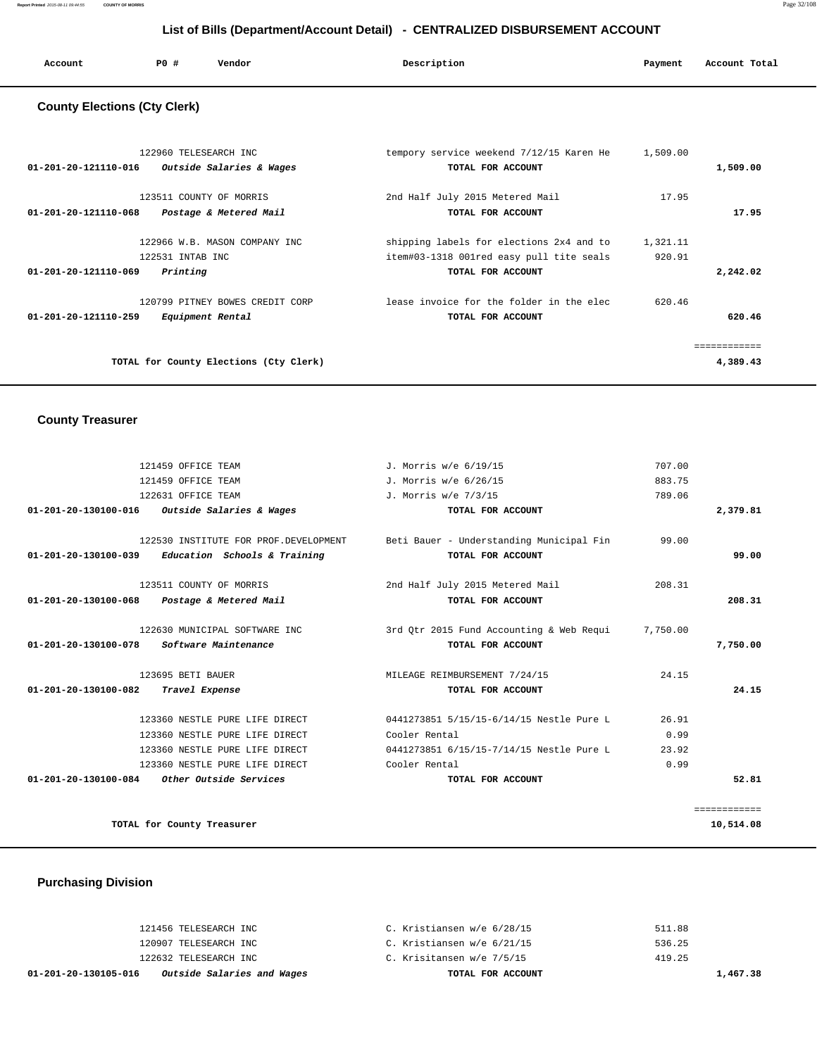| Account                             | PO#                   | Vendor | Description                              | Payment  | Account Total |
|-------------------------------------|-----------------------|--------|------------------------------------------|----------|---------------|
| <b>County Elections (Cty Clerk)</b> |                       |        |                                          |          |               |
|                                     | 122960 TELESEARCH INC |        | tempory service weekend 7/12/15 Karen He | 1,509.00 |               |

| $01 - 201 - 20 - 121110 - 016$<br>Outside Salaries & Wages | TOTAL FOR ACCOUNT                        |          | 1,509.00    |
|------------------------------------------------------------|------------------------------------------|----------|-------------|
| 123511 COUNTY OF MORRIS                                    | 2nd Half July 2015 Metered Mail          | 17.95    |             |
| 01-201-20-121110-068<br>Postage & Metered Mail             | TOTAL FOR ACCOUNT                        |          | 17.95       |
| 122966 W.B. MASON COMPANY INC                              | shipping labels for elections 2x4 and to | 1,321.11 |             |
| 122531 INTAB INC                                           | item#03-1318 001red easy pull tite seals | 920.91   |             |
| Printing<br>01-201-20-121110-069                           | TOTAL FOR ACCOUNT                        |          | 2,242.02    |
| 120799 PITNEY BOWES CREDIT CORP                            | lease invoice for the folder in the elec | 620.46   |             |
| $01 - 201 - 20 - 121110 - 259$<br>Equipment Rental         | TOTAL FOR ACCOUNT                        |          | 620.46      |
|                                                            |                                          |          | =========== |
| TOTAL for County Elections (Cty Clerk)                     |                                          |          | 4,389.43    |
|                                                            |                                          |          |             |

## **County Treasurer**

|              | 707.00   | J. Morris w/e 6/19/15                    | 121459 OFFICE TEAM                                  |
|--------------|----------|------------------------------------------|-----------------------------------------------------|
|              | 883.75   | J. Morris w/e 6/26/15                    | 121459 OFFICE TEAM                                  |
|              | 789.06   | J. Morris w/e 7/3/15                     | 122631 OFFICE TEAM                                  |
| 2,379.81     |          | TOTAL FOR ACCOUNT                        | 01-201-20-130100-016 Outside Salaries & Wages       |
|              | 99.00    | Beti Bauer - Understanding Municipal Fin | 122530 INSTITUTE FOR PROF.DEVELOPMENT               |
| 99.00        |          | TOTAL FOR ACCOUNT                        | $01-201-20-130100-039$ Education Schools & Training |
|              | 208.31   | 2nd Half July 2015 Metered Mail          | 123511 COUNTY OF MORRIS                             |
| 208.31       |          | TOTAL FOR ACCOUNT                        | 01-201-20-130100-068 Postage & Metered Mail         |
|              | 7,750.00 | 3rd Otr 2015 Fund Accounting & Web Requi | 122630 MUNICIPAL SOFTWARE INC                       |
| 7,750.00     |          | TOTAL FOR ACCOUNT                        | Software Maintenance<br>01-201-20-130100-078        |
|              | 24.15    | MILEAGE REIMBURSEMENT 7/24/15            | 123695 BETI BAUER                                   |
| 24.15        |          | TOTAL FOR ACCOUNT                        | 01-201-20-130100-082<br>Travel Expense              |
|              | 26.91    | 0441273851 5/15/15-6/14/15 Nestle Pure L | 123360 NESTLE PURE LIFE DIRECT                      |
|              | 0.99     | Cooler Rental                            | 123360 NESTLE PURE LIFE DIRECT                      |
|              | 23.92    | 0441273851 6/15/15-7/14/15 Nestle Pure L | 123360 NESTLE PURE LIFE DIRECT                      |
|              | 0.99     | Cooler Rental                            | 123360 NESTLE PURE LIFE DIRECT                      |
| 52.81        |          | TOTAL FOR ACCOUNT                        | 01-201-20-130100-084 Other Outside Services         |
| ============ |          |                                          |                                                     |
| 10,514.08    |          |                                          | TOTAL for County Treasurer                          |

# **Purchasing Division**

| Outside Salaries and Wages<br>01-201-20-130105-016 | TOTAL FOR ACCOUNT          | 1,467.38 |
|----------------------------------------------------|----------------------------|----------|
| 122632 TELESEARCH INC                              | C. Krisitansen w/e 7/5/15  | 419.25   |
| 120907 TELESEARCH INC                              | C. Kristiansen w/e 6/21/15 | 536.25   |
| 121456 TELESEARCH INC                              | C. Kristiansen w/e 6/28/15 | 511.88   |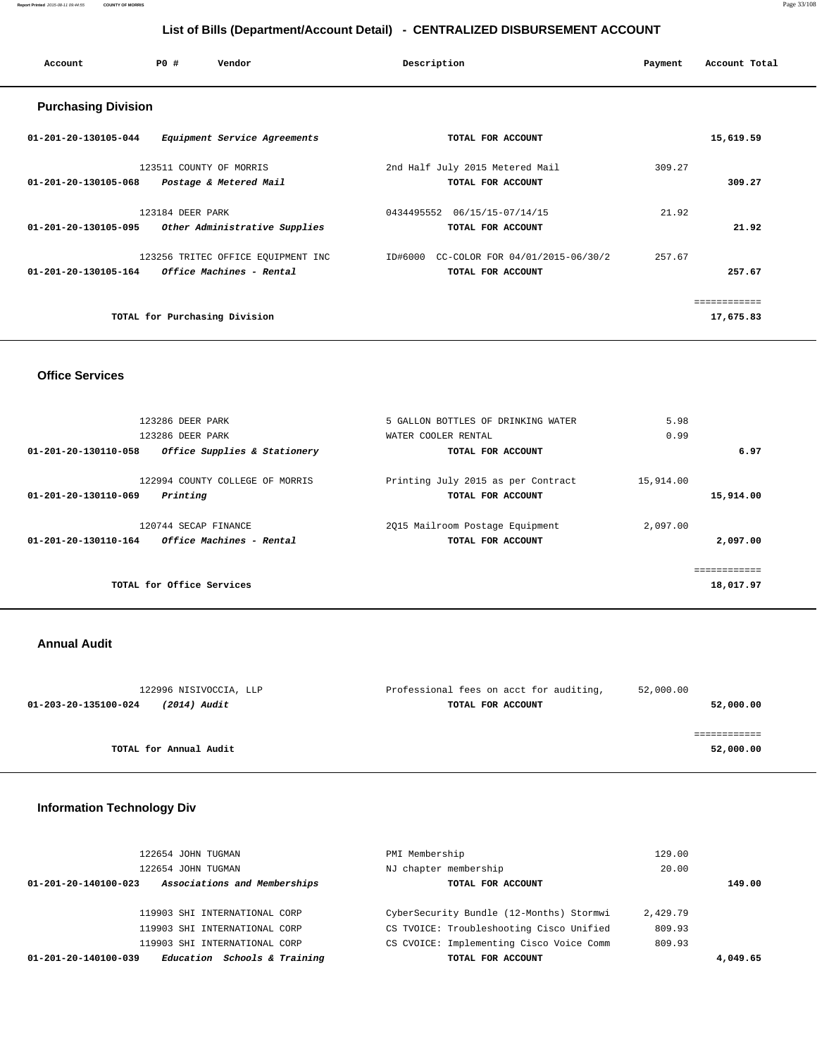**Report Printed** 2015-08-11 09:44:55 **COUNTY OF MORRIS** Page 33/108

## **List of Bills (Department/Account Detail) - CENTRALIZED DISBURSEMENT ACCOUNT**

| Account                    | Vendor<br>PO#                      | Description                             | Payment | Account Total |
|----------------------------|------------------------------------|-----------------------------------------|---------|---------------|
| <b>Purchasing Division</b> |                                    |                                         |         |               |
| 01-201-20-130105-044       | Equipment Service Agreements       | TOTAL FOR ACCOUNT                       |         | 15,619.59     |
|                            | 123511 COUNTY OF MORRIS            | 2nd Half July 2015 Metered Mail         | 309.27  |               |
| 01-201-20-130105-068       | Postage & Metered Mail             | TOTAL FOR ACCOUNT                       |         | 309.27        |
|                            | 123184 DEER PARK                   | 06/15/15-07/14/15<br>0434495552         | 21.92   |               |
| 01-201-20-130105-095       | Other Administrative Supplies      | TOTAL FOR ACCOUNT                       |         | 21.92         |
|                            | 123256 TRITEC OFFICE EQUIPMENT INC | ID#6000 CC-COLOR FOR 04/01/2015-06/30/2 | 257.67  |               |
| 01-201-20-130105-164       | Office Machines - Rental           | TOTAL FOR ACCOUNT                       |         | 257.67        |
|                            |                                    |                                         |         | ============  |
|                            | TOTAL for Purchasing Division      |                                         |         | 17,675.83     |
|                            |                                    |                                         |         |               |

## **Office Services**

| 123286 DEER PARK<br>123286 DEER PARK                                | 5 GALLON BOTTLES OF DRINKING WATER<br>WATER COOLER RENTAL | 5.98<br>0.99           |
|---------------------------------------------------------------------|-----------------------------------------------------------|------------------------|
| Office Supplies & Stationery<br>01-201-20-130110-058                | TOTAL FOR ACCOUNT                                         | 6.97                   |
| 122994 COUNTY COLLEGE OF MORRIS<br>01-201-20-130110-069<br>Printing | Printing July 2015 as per Contract<br>TOTAL FOR ACCOUNT   | 15,914.00<br>15,914.00 |
|                                                                     |                                                           |                        |
| 120744 SECAP FINANCE                                                | 2015 Mailroom Postage Equipment                           | 2,097.00               |
| 01-201-20-130110-164<br><i>Office Machines - Rental</i>             | TOTAL FOR ACCOUNT                                         | 2,097.00               |
|                                                                     |                                                           |                        |
|                                                                     |                                                           | ============           |
| TOTAL for Office Services                                           |                                                           | 18,017.97              |
|                                                                     |                                                           |                        |

## **Annual Audit**

| 122996 NISIVOCCIA, LLP               | Professional fees on acct for auditing, | 52,000.00 |
|--------------------------------------|-----------------------------------------|-----------|
| 01-203-20-135100-024<br>(2014) Audit | TOTAL FOR ACCOUNT                       | 52,000.00 |
|                                      |                                         |           |
|                                      |                                         |           |
| TOTAL for Annual Audit               |                                         | 52,000.00 |
|                                      |                                         |           |

## **Information Technology Div**

| 122654 JOHN TUGMAN                                   | PMI Membership                           | 129.00   |
|------------------------------------------------------|------------------------------------------|----------|
| 122654 JOHN TUGMAN                                   | NJ chapter membership                    | 20.00    |
| Associations and Memberships<br>01-201-20-140100-023 | TOTAL FOR ACCOUNT                        | 149.00   |
|                                                      |                                          |          |
| 119903 SHI INTERNATIONAL CORP                        | CyberSecurity Bundle (12-Months) Stormwi | 2,429.79 |
| 119903 SHI INTERNATIONAL CORP                        | CS TVOICE: Troubleshooting Cisco Unified | 809.93   |
| 119903 SHI INTERNATIONAL CORP                        | CS CVOICE: Implementing Cisco Voice Comm | 809.93   |
| Education Schools & Training<br>01-201-20-140100-039 | TOTAL FOR ACCOUNT                        | 4,049.65 |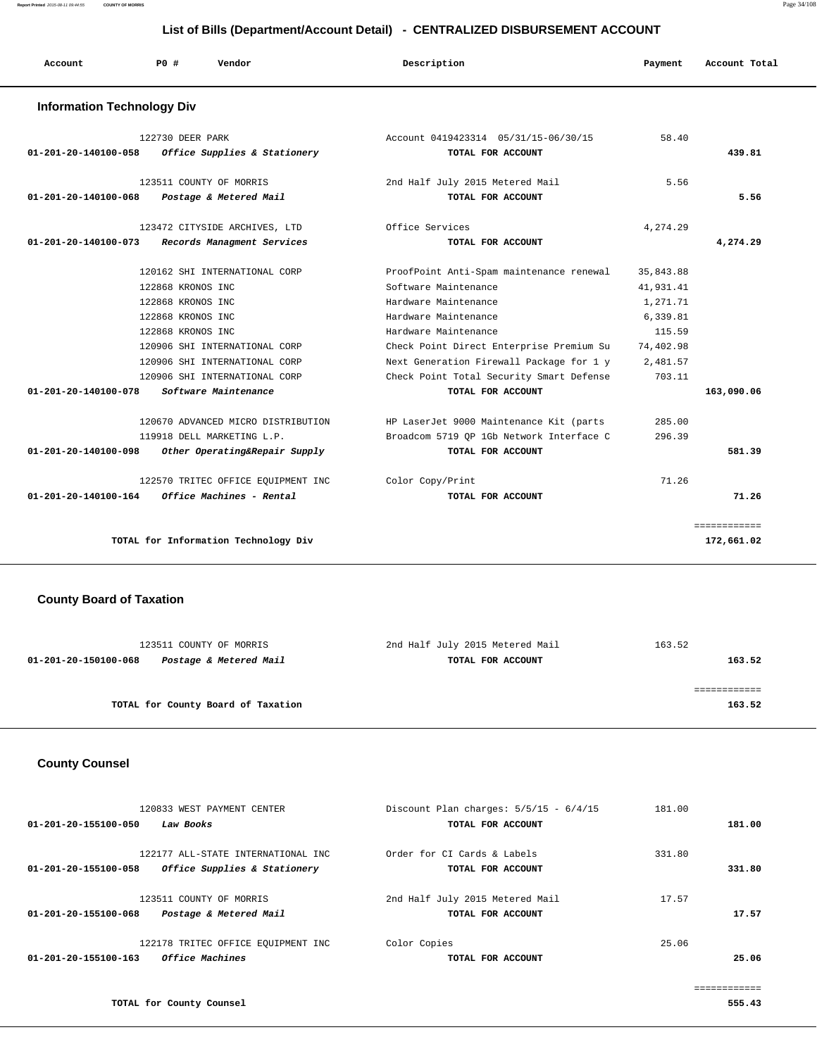| Account                           | PO#<br>Vendor                                    | Description                                               | Payment   | Account Total |
|-----------------------------------|--------------------------------------------------|-----------------------------------------------------------|-----------|---------------|
| <b>Information Technology Div</b> |                                                  |                                                           |           |               |
| 01-201-20-140100-058              | 122730 DEER PARK<br>Office Supplies & Stationery | Account 0419423314 05/31/15-06/30/15<br>TOTAL FOR ACCOUNT | 58.40     | 439.81        |
|                                   | 123511 COUNTY OF MORRIS                          | 2nd Half July 2015 Metered Mail                           | 5.56      |               |
| 01-201-20-140100-068              | Postage & Metered Mail                           | TOTAL FOR ACCOUNT                                         |           | 5.56          |
|                                   | 123472 CITYSIDE ARCHIVES, LTD                    | Office Services                                           | 4,274.29  |               |
| $01 - 201 - 20 - 140100 - 073$    | Records Managment Services                       | TOTAL FOR ACCOUNT                                         |           | 4,274.29      |
|                                   | 120162 SHI INTERNATIONAL CORP                    | ProofPoint Anti-Spam maintenance renewal                  | 35,843.88 |               |
|                                   | 122868 KRONOS INC                                | Software Maintenance                                      | 41,931.41 |               |
|                                   | 122868 KRONOS INC                                | Hardware Maintenance                                      | 1,271.71  |               |
|                                   | 122868 KRONOS INC                                | Hardware Maintenance                                      | 6,339.81  |               |
|                                   | 122868 KRONOS INC                                | Hardware Maintenance                                      | 115.59    |               |
|                                   | 120906 SHI INTERNATIONAL CORP                    | Check Point Direct Enterprise Premium Su                  | 74,402.98 |               |
|                                   | 120906 SHI INTERNATIONAL CORP                    | Next Generation Firewall Package for 1 y                  | 2,481.57  |               |
|                                   | 120906 SHI INTERNATIONAL CORP                    | Check Point Total Security Smart Defense                  | 703.11    |               |
| 01-201-20-140100-078              | Software Maintenance                             | TOTAL FOR ACCOUNT                                         |           | 163,090.06    |
|                                   | 120670 ADVANCED MICRO DISTRIBUTION               | HP LaserJet 9000 Maintenance Kit (parts                   | 285.00    |               |
|                                   | 119918 DELL MARKETING L.P.                       | Broadcom 5719 OP 1Gb Network Interface C                  | 296.39    |               |
| 01-201-20-140100-098              | Other Operating&Repair Supply                    | TOTAL FOR ACCOUNT                                         |           | 581.39        |
|                                   | 122570 TRITEC OFFICE EQUIPMENT INC               | Color Copy/Print                                          | 71.26     |               |
| 01-201-20-140100-164              | Office Machines - Rental                         | TOTAL FOR ACCOUNT                                         |           | 71.26         |
|                                   |                                                  |                                                           |           | ============  |
|                                   | TOTAL for Information Technology Div             |                                                           |           | 172,661.02    |

## **County Board of Taxation**

| 123511 COUNTY OF MORRIS                        | 2nd Half July 2015 Metered Mail | 163.52 |
|------------------------------------------------|---------------------------------|--------|
| Postage & Metered Mail<br>01-201-20-150100-068 | TOTAL FOR ACCOUNT               | 163.52 |
|                                                |                                 |        |
|                                                |                                 |        |
| TOTAL for County Board of Taxation             |                                 | 163.52 |
|                                                |                                 |        |

## **County Counsel**

| 01-201-20-155100-050 | 120833 WEST PAYMENT CENTER<br>Law Books                            | Discount Plan charges: $5/5/15 - 6/4/15$<br>TOTAL FOR ACCOUNT | 181.00 | 181.00 |
|----------------------|--------------------------------------------------------------------|---------------------------------------------------------------|--------|--------|
| 01-201-20-155100-058 | 122177 ALL-STATE INTERNATIONAL INC<br>Office Supplies & Stationery | Order for CI Cards & Labels<br>TOTAL FOR ACCOUNT              | 331.80 | 331.80 |
| 01-201-20-155100-068 | 123511 COUNTY OF MORRIS<br>Postage & Metered Mail                  | 2nd Half July 2015 Metered Mail<br>TOTAL FOR ACCOUNT          | 17.57  | 17.57  |
| 01-201-20-155100-163 | 122178 TRITEC OFFICE EOUIPMENT INC<br>Office Machines              | Color Copies<br>TOTAL FOR ACCOUNT                             | 25.06  | 25.06  |
|                      |                                                                    |                                                               |        |        |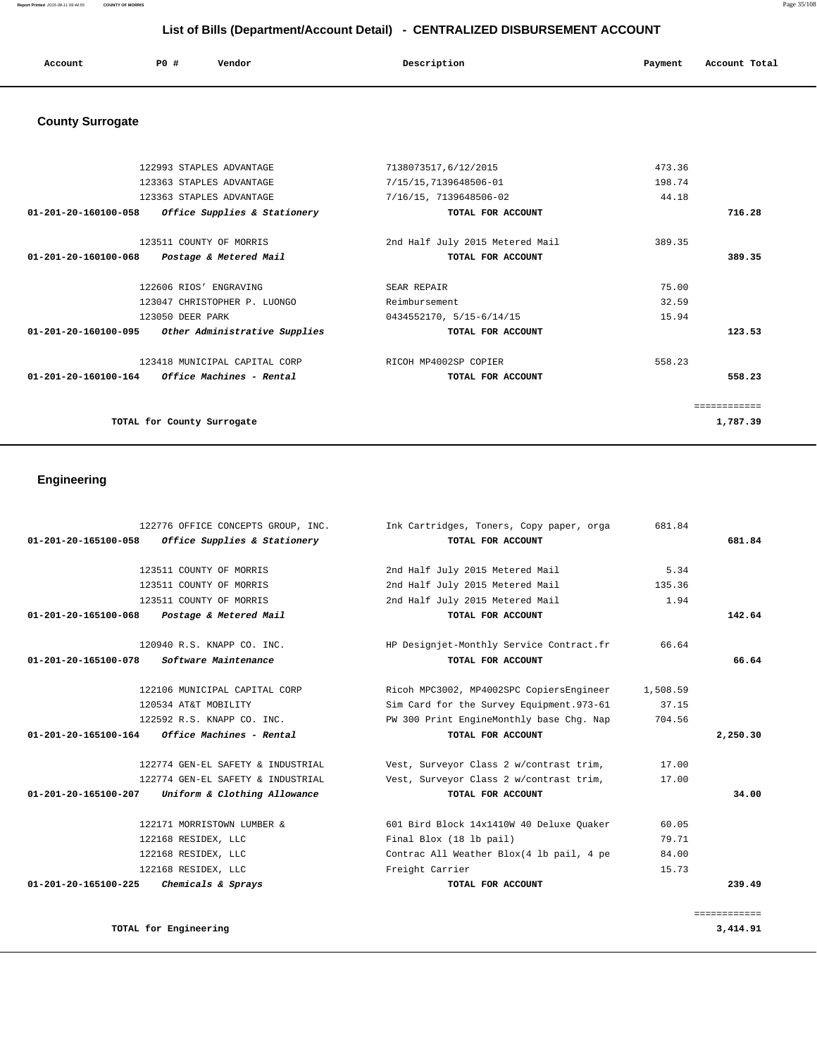**Report Printed** 2015-08-11 09:44:55 **COUNTY OF MORRIS** Page 35/108

# **List of Bills (Department/Account Detail) - CENTRALIZED DISBURSEMENT ACCOUNT**

| Account | P0 # | Vendor | Description | Payment | Account Total |
|---------|------|--------|-------------|---------|---------------|
|         |      |        |             |         |               |

# **County Surrogate**

|                                                         | 122993 STAPLES ADVANTAGE                | 7138073517,6/12/2015            | 473.36 |          |
|---------------------------------------------------------|-----------------------------------------|---------------------------------|--------|----------|
|                                                         | 123363 STAPLES ADVANTAGE                | 7/15/15, 7139648506-01          | 198.74 |          |
|                                                         | 123363 STAPLES ADVANTAGE                | 7/16/15, 7139648506-02          | 44.18  |          |
| 01-201-20-160100-058                                    | <i>Office Supplies &amp; Stationery</i> | TOTAL FOR ACCOUNT               |        | 716.28   |
|                                                         | 123511 COUNTY OF MORRIS                 | 2nd Half July 2015 Metered Mail | 389.35 |          |
| 01-201-20-160100-068                                    | Postage & Metered Mail                  | TOTAL FOR ACCOUNT               |        | 389.35   |
|                                                         | 122606 RIOS' ENGRAVING                  | SEAR REPAIR                     | 75.00  |          |
|                                                         | 123047 CHRISTOPHER P. LUONGO            | Reimbursement                   | 32.59  |          |
|                                                         | 123050 DEER PARK                        | 0434552170, 5/15-6/14/15        | 15.94  |          |
| 01-201-20-160100-095                                    | Other Administrative Supplies           | TOTAL FOR ACCOUNT               |        | 123.53   |
|                                                         | 123418 MUNICIPAL CAPITAL CORP           | RICOH MP4002SP COPIER           | 558.23 |          |
| $01 - 201 - 20 - 160100 - 164$ Office Machines - Rental |                                         | TOTAL FOR ACCOUNT               |        | 558.23   |
|                                                         |                                         |                                 |        |          |
|                                                         | TOTAL for County Surrogate              |                                 |        | 1,787.39 |

# **Engineering**

| 122776 OFFICE CONCEPTS GROUP, INC.<br>Office Supplies & Stationery<br>01-201-20-165100-058 | Ink Cartridges, Toners, Copy paper, orga<br>TOTAL FOR ACCOUNT | 681.84   | 681.84       |
|--------------------------------------------------------------------------------------------|---------------------------------------------------------------|----------|--------------|
|                                                                                            |                                                               |          |              |
| 123511 COUNTY OF MORRIS                                                                    | 2nd Half July 2015 Metered Mail                               | 5.34     |              |
| 123511 COUNTY OF MORRIS                                                                    | 2nd Half July 2015 Metered Mail                               | 135.36   |              |
| 123511 COUNTY OF MORRIS                                                                    | 2nd Half July 2015 Metered Mail                               | 1.94     |              |
| 01-201-20-165100-068<br>Postage & Metered Mail                                             | TOTAL FOR ACCOUNT                                             |          | 142.64       |
| 120940 R.S. KNAPP CO. INC.                                                                 | HP Designjet-Monthly Service Contract.fr                      | 66.64    |              |
| <i>Software Maintenance</i><br>01-201-20-165100-078                                        | TOTAL FOR ACCOUNT                                             |          | 66.64        |
| 122106 MUNICIPAL CAPITAL CORP                                                              | Ricoh MPC3002, MP4002SPC CopiersEngineer                      | 1,508.59 |              |
| 120534 AT&T MOBILITY                                                                       | Sim Card for the Survey Equipment. 973-61                     | 37.15    |              |
| 122592 R.S. KNAPP CO. INC.                                                                 | PW 300 Print EngineMonthly base Chq. Nap                      | 704.56   |              |
| 01-201-20-165100-164<br><i><b>Office Machines - Rental</b></i>                             | TOTAL FOR ACCOUNT                                             |          | 2,250.30     |
| 122774 GEN-EL SAFETY & INDUSTRIAL                                                          | Vest, Surveyor Class 2 w/contrast trim,                       | 17.00    |              |
| 122774 GEN-EL SAFETY & INDUSTRIAL                                                          | Vest, Surveyor Class 2 w/contrast trim,                       | 17.00    |              |
| 01-201-20-165100-207 Uniform & Clothing Allowance                                          | TOTAL FOR ACCOUNT                                             |          | 34.00        |
| 122171 MORRISTOWN LUMBER &                                                                 | 601 Bird Block 14x1410W 40 Deluxe Ouaker                      | 60.05    |              |
| 122168 RESIDEX, LLC                                                                        | Final Blox (18 lb pail)                                       | 79.71    |              |
| 122168 RESIDEX, LLC                                                                        | Contrac All Weather Blox(4 lb pail, 4 pe                      | 84.00    |              |
| 122168 RESIDEX, LLC                                                                        | Freight Carrier                                               | 15.73    |              |
| Chemicals & Sprays<br>01-201-20-165100-225                                                 | TOTAL FOR ACCOUNT                                             |          | 239.49       |
|                                                                                            |                                                               |          | ============ |
| TOTAL for Engineering                                                                      |                                                               |          | 3,414.91     |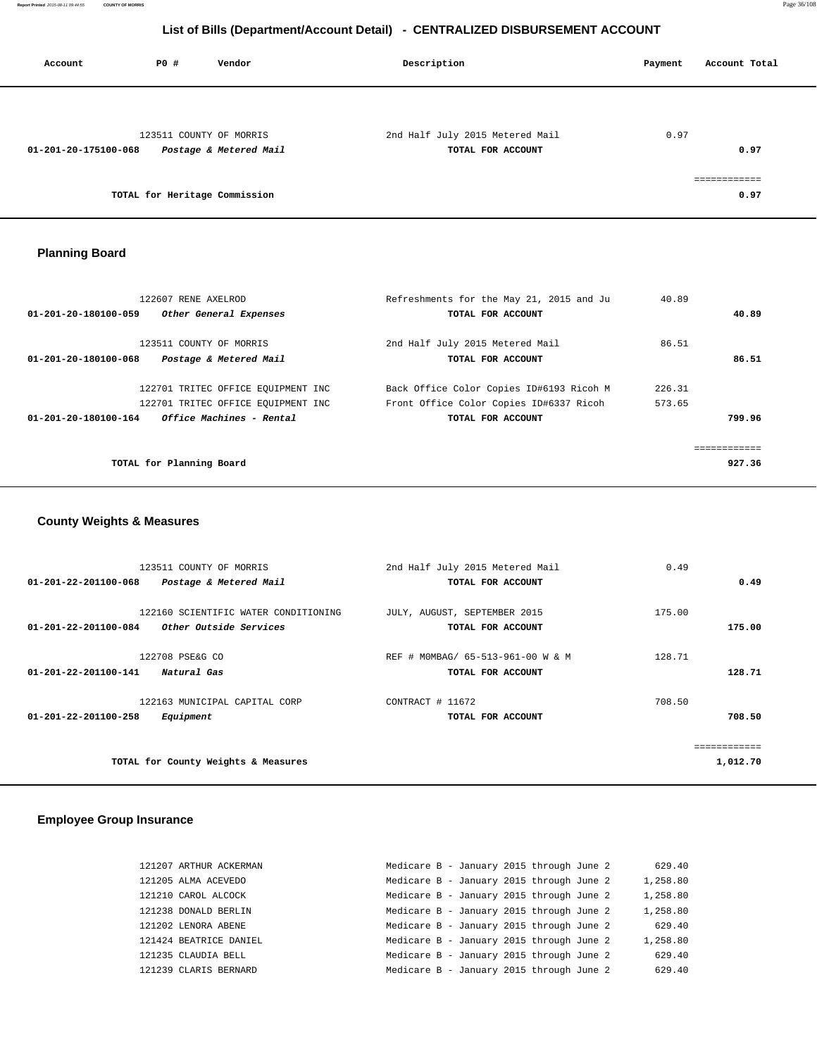| Account              | PO#                           | Vendor                                            | Description                                          | Account Total<br>Payment |
|----------------------|-------------------------------|---------------------------------------------------|------------------------------------------------------|--------------------------|
|                      |                               |                                                   |                                                      |                          |
| 01-201-20-175100-068 |                               | 123511 COUNTY OF MORRIS<br>Postage & Metered Mail | 2nd Half July 2015 Metered Mail<br>TOTAL FOR ACCOUNT | 0.97<br>0.97             |
|                      | TOTAL for Heritage Commission |                                                   |                                                      | -------------<br>0.97    |

# **Planning Board**

| 122607 RENE AXELROD                              | Refreshments for the May 21, 2015 and Ju | 40.89  |        |
|--------------------------------------------------|------------------------------------------|--------|--------|
| 01-201-20-180100-059<br>Other General Expenses   | TOTAL FOR ACCOUNT                        |        | 40.89  |
|                                                  |                                          |        |        |
| 123511 COUNTY OF MORRIS                          | 2nd Half July 2015 Metered Mail          | 86.51  |        |
| 01-201-20-180100-068<br>Postage & Metered Mail   | TOTAL FOR ACCOUNT                        |        | 86.51  |
| 122701 TRITEC OFFICE EQUIPMENT INC               | Back Office Color Copies ID#6193 Ricoh M | 226.31 |        |
| 122701 TRITEC OFFICE EQUIPMENT INC               | Front Office Color Copies ID#6337 Ricoh  | 573.65 |        |
| Office Machines - Rental<br>01-201-20-180100-164 | TOTAL FOR ACCOUNT                        |        | 799.96 |
|                                                  |                                          |        |        |
| TOTAL for Planning Board                         |                                          |        | 927.36 |
|                                                  |                                          |        |        |

## **County Weights & Measures**

| 123511 COUNTY OF MORRIS                        | 2nd Half July 2015 Metered Mail   | 0.49     |
|------------------------------------------------|-----------------------------------|----------|
| 01-201-22-201100-068<br>Postage & Metered Mail | TOTAL FOR ACCOUNT                 | 0.49     |
| 122160 SCIENTIFIC WATER CONDITIONING           | JULY, AUGUST, SEPTEMBER 2015      | 175.00   |
| Other Outside Services<br>01-201-22-201100-084 | TOTAL FOR ACCOUNT                 | 175.00   |
| 122708 PSE&G CO                                | REF # MOMBAG/ 65-513-961-00 W & M | 128.71   |
| 01-201-22-201100-141<br>Natural Gas            | TOTAL FOR ACCOUNT                 | 128.71   |
| 122163 MUNICIPAL CAPITAL CORP                  | CONTRACT # 11672                  | 708.50   |
| 01-201-22-201100-258<br>Equipment              | TOTAL FOR ACCOUNT                 | 708.50   |
|                                                |                                   |          |
| TOTAL for County Weights & Measures            |                                   | 1,012.70 |

# **Employee Group Insurance**

| 121207 ARTHUR ACKERMAN | Medicare B - January 2015 through June 2 |  |  | 629.40   |
|------------------------|------------------------------------------|--|--|----------|
| 121205 ALMA ACEVEDO    | Medicare B - January 2015 through June 2 |  |  | 1,258.80 |
| 121210 CAROL ALCOCK    | Medicare B - January 2015 through June 2 |  |  | 1,258.80 |
| 121238 DONALD BERLIN   | Medicare B - January 2015 through June 2 |  |  | 1,258.80 |
| 121202 LENORA ABENE    | Medicare B - January 2015 through June 2 |  |  | 629.40   |
| 121424 BEATRICE DANIEL | Medicare B - January 2015 through June 2 |  |  | 1,258.80 |
| 121235 CLAUDIA BELL    | Medicare B - January 2015 through June 2 |  |  | 629.40   |
| 121239 CLARIS BERNARD  | Medicare B - January 2015 through June 2 |  |  | 629.40   |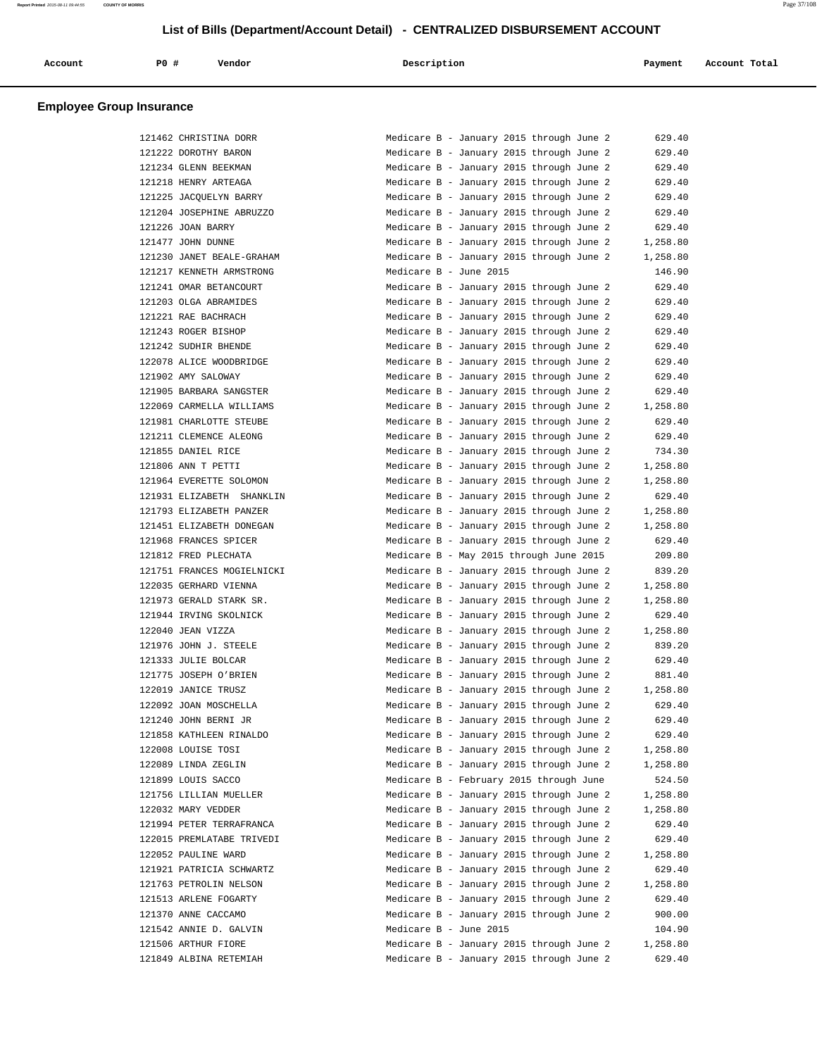| Account<br>. | <b>PO #</b> | Vendor<br>. | Description | Payment | Account Total |
|--------------|-------------|-------------|-------------|---------|---------------|
|              |             |             |             |         |               |

|        | 121462 CHRISTINA DORR      |
|--------|----------------------------|
|        | 121222 DOROTHY BARON       |
|        | 121234 GLENN BEEKMAN       |
| 121218 | HENRY ARTEAGA              |
| 121225 | JACQUELYN BARRY            |
|        | 121204 JOSEPHINE ABRUZZO   |
|        | 121226 JOAN BARRY          |
|        | 121477 JOHN DUNNE          |
|        | 121230 JANET BEALE-GRAHAM  |
|        | 121217 KENNETH ARMSTRONG   |
|        | 121241 OMAR BETANCOURT     |
| 121203 | OLGA ABRAMIDES             |
| 121221 | RAE BACHRACH               |
|        | 121243 ROGER BISHOP        |
|        | 121242 SUDHIR BHENDE       |
|        | 122078 ALICE WOODBRIDGE    |
|        | 121902 AMY SALOWAY         |
|        | 121905 BARBARA SANGSTER    |
|        | 122069 CARMELLA WILLIAMS   |
| 121981 | CHARLOTTE STEUBE           |
| 121211 | CLEMENCE ALEONG            |
|        | 121855 DANIEL RICE         |
|        | 121806 ANN T PETTI         |
|        | 121964 EVERETTE SOLOMON    |
|        | 121931 ELIZABETH SHANKLIN  |
|        | 121793 ELIZABETH PANZER    |
| 121451 | ELIZABETH DONEGAN          |
| 121968 | FRANCES SPICER             |
|        | 121812 FRED PLECHATA       |
|        | 121751 FRANCES MOGIELNICKI |
|        | 122035 GERHARD VIENNA      |
|        | 121973 GERALD STARK SR.    |
|        | 121944 IRVING SKOLNICK     |
|        | 122040 JEAN VIZZA          |
| 121976 | J. STEELE<br>JOHN          |
| 121333 | JULIE BOLCAR               |
|        | 121775 JOSEPH O'BRIEN      |
|        | 122019 JANICE TRUSZ        |
|        | 122092 JOAN MOSCHELLA      |
| 121240 | JOHN BERNI<br><b>JR</b>    |
|        | 121858 KATHLEEN RINALDO    |
|        | 122008 LOUISE TOSI         |
|        | 122089 LINDA ZEGLIN        |
|        | 121899 LOUIS SACCO         |
|        | 121756 LILLIAN MUELLER     |
|        | 122032 MARY VEDDER         |
|        | 121994 PETER TERRAFRANCA   |
|        | 122015 PREMLATABE TRIVEDI  |
|        | 122052 PAULINE WARD        |
|        | 121921 PATRICIA SCHWARTZ   |
|        | 121763 PETROLIN NELSON     |
|        | 121513 ARLENE FOGARTY      |
|        | 121370 ANNE CACCAMO        |
|        | 121542 ANNIE D. GALVIN     |
|        | 121506 ARTHUR FIORE        |
|        | 121849 ALBINA RETEMIAH     |

| 121462 CHRISTINA DORR      | Medicare B - January 2015 through June 2 | 629.40   |
|----------------------------|------------------------------------------|----------|
| 121222 DOROTHY BARON       | Medicare B - January 2015 through June 2 | 629.40   |
| 121234 GLENN BEEKMAN       | Medicare B - January 2015 through June 2 | 629.40   |
| 121218 HENRY ARTEAGA       | Medicare B - January 2015 through June 2 | 629.40   |
| 121225 JACQUELYN BARRY     | Medicare B - January 2015 through June 2 | 629.40   |
| 121204 JOSEPHINE ABRUZZO   | Medicare B - January 2015 through June 2 | 629.40   |
| 121226 JOAN BARRY          | Medicare B - January 2015 through June 2 | 629.40   |
| 121477 JOHN DUNNE          | Medicare B - January 2015 through June 2 | 1,258.80 |
| 121230 JANET BEALE-GRAHAM  | Medicare B - January 2015 through June 2 | 1,258.80 |
| 121217 KENNETH ARMSTRONG   | Medicare B - June 2015                   | 146.90   |
| 121241 OMAR BETANCOURT     | Medicare B - January 2015 through June 2 | 629.40   |
| 121203 OLGA ABRAMIDES      | Medicare B - January 2015 through June 2 | 629.40   |
| 121221 RAE BACHRACH        | Medicare B - January 2015 through June 2 | 629.40   |
| 121243 ROGER BISHOP        | Medicare B - January 2015 through June 2 | 629.40   |
| 121242 SUDHIR BHENDE       | Medicare B - January 2015 through June 2 | 629.40   |
| 122078 ALICE WOODBRIDGE    | Medicare B - January 2015 through June 2 | 629.40   |
| 121902 AMY SALOWAY         | Medicare B - January 2015 through June 2 | 629.40   |
| 121905 BARBARA SANGSTER    | Medicare B - January 2015 through June 2 | 629.40   |
| 122069 CARMELLA WILLIAMS   | Medicare B - January 2015 through June 2 | 1,258.80 |
| 121981 CHARLOTTE STEUBE    | Medicare B - January 2015 through June 2 | 629.40   |
| 121211 CLEMENCE ALEONG     | Medicare B - January 2015 through June 2 | 629.40   |
| 121855 DANIEL RICE         | Medicare B - January 2015 through June 2 | 734.30   |
| 121806 ANN T PETTI         | Medicare B - January 2015 through June 2 | 1,258.80 |
|                            |                                          |          |
| 121964 EVERETTE SOLOMON    | Medicare B - January 2015 through June 2 | 1,258.80 |
| 121931 ELIZABETH SHANKLIN  | Medicare B - January 2015 through June 2 | 629.40   |
| 121793 ELIZABETH PANZER    | Medicare B - January 2015 through June 2 | 1,258.80 |
| 121451 ELIZABETH DONEGAN   | Medicare B - January 2015 through June 2 | 1,258.80 |
| 121968 FRANCES SPICER      | Medicare B - January 2015 through June 2 | 629.40   |
| 121812 FRED PLECHATA       | Medicare B - May 2015 through June 2015  | 209.80   |
| 121751 FRANCES MOGIELNICKI | Medicare B - January 2015 through June 2 | 839.20   |
| 122035 GERHARD VIENNA      | Medicare B - January 2015 through June 2 | 1,258.80 |
| 121973 GERALD STARK SR.    | Medicare B - January 2015 through June 2 | 1,258.80 |
| 121944 IRVING SKOLNICK     | Medicare B - January 2015 through June 2 | 629.40   |
| 122040 JEAN VIZZA          | Medicare B - January 2015 through June 2 | 1,258.80 |
| 121976 JOHN J. STEELE      | Medicare B - January 2015 through June 2 | 839.20   |
| 121333 JULIE BOLCAR        | Medicare B - January 2015 through June 2 | 629.40   |
| 121775 JOSEPH O'BRIEN      | Medicare B - January 2015 through June 2 | 881.40   |
| 122019 JANICE TRUSZ        | Medicare B - January 2015 through June 2 | 1,258.80 |
| 122092 JOAN MOSCHELLA      | Medicare B - January 2015 through June 2 | 629.40   |
| 121240 JOHN BERNI JR       | Medicare B - January 2015 through June 2 | 629.40   |
| 121858 KATHLEEN RINALDO    | Medicare B - January 2015 through June 2 | 629.40   |
| 122008 LOUISE TOSI         | Medicare B - January 2015 through June 2 | 1,258.80 |
| 122089 LINDA ZEGLIN        | Medicare B - January 2015 through June 2 | 1,258.80 |
| 121899 LOUIS SACCO         | Medicare B - February 2015 through June  | 524.50   |
| 121756 LILLIAN MUELLER     | Medicare B - January 2015 through June 2 | 1,258.80 |
| 122032 MARY VEDDER         | Medicare B - January 2015 through June 2 | 1,258.80 |
| 121994 PETER TERRAFRANCA   | Medicare B - January 2015 through June 2 | 629.40   |
| 122015 PREMLATABE TRIVEDI  | Medicare B - January 2015 through June 2 | 629.40   |
| 122052 PAULINE WARD        | Medicare B - January 2015 through June 2 | 1,258.80 |
| 121921 PATRICIA SCHWARTZ   | Medicare B - January 2015 through June 2 | 629.40   |
| 121763 PETROLIN NELSON     | Medicare B - January 2015 through June 2 | 1,258.80 |
| 121513 ARLENE FOGARTY      | Medicare B - January 2015 through June 2 | 629.40   |
| 121370 ANNE CACCAMO        | Medicare B - January 2015 through June 2 | 900.00   |
| 121542 ANNIE D. GALVIN     | Medicare B - June 2015                   | 104.90   |
| 121506 ARTHUR FIORE        | Medicare B - January 2015 through June 2 | 1,258.80 |
| 121849 ALBINA RETEMIAH     | Medicare B - January 2015 through June 2 | 629.40   |
|                            |                                          |          |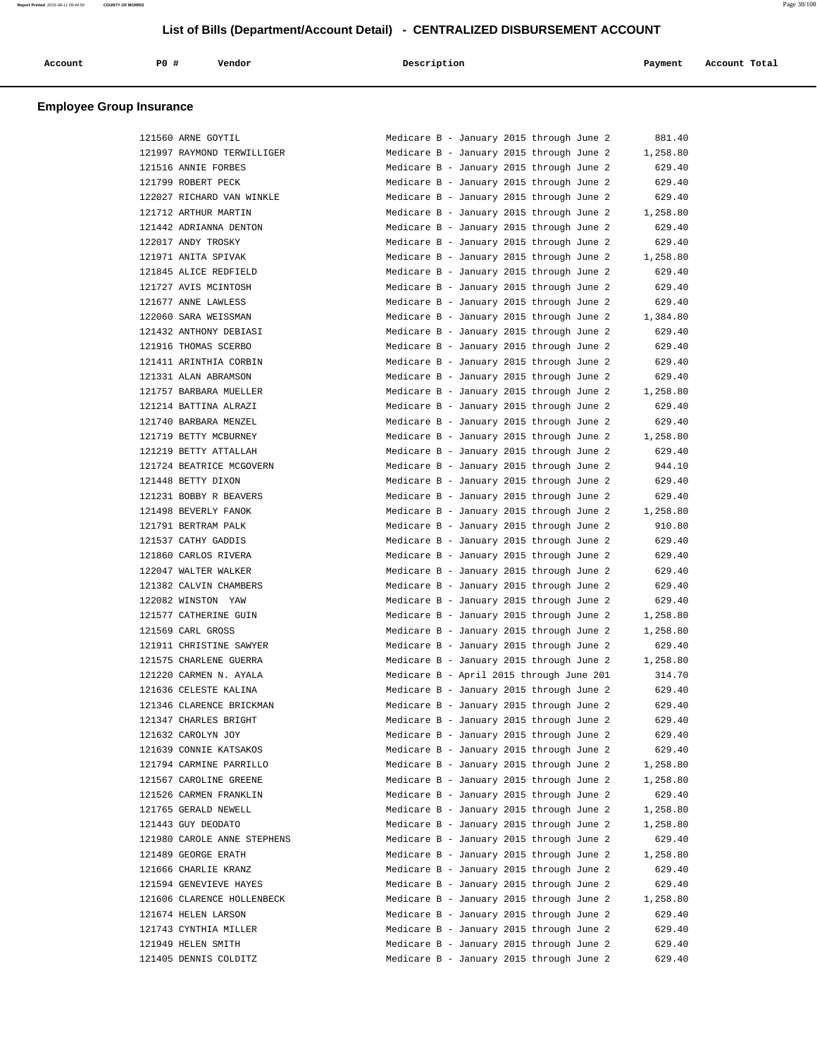| Account | <b>PO #</b> | Vendor | Description | Payment | Account Total |
|---------|-------------|--------|-------------|---------|---------------|
|         |             |        |             |         |               |

| 121560 ARNE GOYTIL          | Medicare B - January 2015 through June 2 | 881.40   |
|-----------------------------|------------------------------------------|----------|
| 121997 RAYMOND TERWILLIGER  | Medicare B - January 2015 through June 2 | 1,258.80 |
| 121516 ANNIE FORBES         | Medicare B - January 2015 through June 2 | 629.40   |
| 121799 ROBERT PECK          | Medicare B - January 2015 through June 2 | 629.40   |
| 122027 RICHARD VAN WINKLE   | Medicare B - January 2015 through June 2 | 629.40   |
| 121712 ARTHUR MARTIN        | Medicare B - January 2015 through June 2 | 1,258.80 |
| 121442 ADRIANNA DENTON      | Medicare B - January 2015 through June 2 | 629.40   |
| 122017 ANDY TROSKY          | Medicare B - January 2015 through June 2 | 629.40   |
| 121971 ANITA SPIVAK         | Medicare B - January 2015 through June 2 | 1,258.80 |
| 121845 ALICE REDFIELD       | Medicare B - January 2015 through June 2 | 629.40   |
| 121727 AVIS MCINTOSH        | Medicare B - January 2015 through June 2 | 629.40   |
| 121677 ANNE LAWLESS         | Medicare B - January 2015 through June 2 | 629.40   |
| 122060 SARA WEISSMAN        | Medicare B - January 2015 through June 2 | 1,384.80 |
| 121432 ANTHONY DEBIASI      | Medicare B - January 2015 through June 2 | 629.40   |
| 121916 THOMAS SCERBO        | Medicare B - January 2015 through June 2 | 629.40   |
| 121411 ARINTHIA CORBIN      | Medicare B - January 2015 through June 2 | 629.40   |
| 121331 ALAN ABRAMSON        | Medicare B - January 2015 through June 2 | 629.40   |
| 121757 BARBARA MUELLER      | Medicare B - January 2015 through June 2 | 1,258.80 |
| 121214 BATTINA ALRAZI       | Medicare B - January 2015 through June 2 | 629.40   |
| 121740 BARBARA MENZEL       | Medicare B - January 2015 through June 2 | 629.40   |
| 121719 BETTY MCBURNEY       | Medicare B - January 2015 through June 2 |          |
|                             |                                          | 1,258.80 |
| 121219 BETTY ATTALLAH       | Medicare B - January 2015 through June 2 | 629.40   |
| 121724 BEATRICE MCGOVERN    | Medicare B - January 2015 through June 2 | 944.10   |
| 121448 BETTY DIXON          | Medicare B - January 2015 through June 2 | 629.40   |
| 121231 BOBBY R BEAVERS      | Medicare B - January 2015 through June 2 | 629.40   |
| 121498 BEVERLY FANOK        | Medicare B - January 2015 through June 2 | 1,258.80 |
| 121791 BERTRAM PALK         | Medicare B - January 2015 through June 2 | 910.80   |
| 121537 CATHY GADDIS         | Medicare B - January 2015 through June 2 | 629.40   |
| 121860 CARLOS RIVERA        | Medicare B - January 2015 through June 2 | 629.40   |
| 122047 WALTER WALKER        | Medicare B - January 2015 through June 2 | 629.40   |
| 121382 CALVIN CHAMBERS      | Medicare B - January 2015 through June 2 | 629.40   |
| 122082 WINSTON YAW          | Medicare B - January 2015 through June 2 | 629.40   |
| 121577 CATHERINE GUIN       | Medicare B - January 2015 through June 2 | 1,258.80 |
| 121569 CARL GROSS           | Medicare B - January 2015 through June 2 | 1,258.80 |
| 121911 CHRISTINE SAWYER     | Medicare B - January 2015 through June 2 | 629.40   |
| 121575 CHARLENE GUERRA      | Medicare B - January 2015 through June 2 | 1,258.80 |
| 121220 CARMEN N. AYALA      | Medicare B - April 2015 through June 201 | 314.70   |
| 121636 CELESTE KALINA       | Medicare B - January 2015 through June 2 | 629.40   |
| 121346 CLARENCE BRICKMAN    | Medicare B - January 2015 through June 2 | 629.40   |
| 121347 CHARLES BRIGHT       | Medicare B - January 2015 through June 2 | 629.40   |
| 121632 CAROLYN JOY          | Medicare B - January 2015 through June 2 | 629.40   |
| 121639 CONNIE KATSAKOS      | Medicare B - January 2015 through June 2 | 629.40   |
| 121794 CARMINE PARRILLO     | Medicare B - January 2015 through June 2 | 1,258.80 |
| 121567 CAROLINE GREENE      | Medicare B - January 2015 through June 2 | 1,258.80 |
| 121526 CARMEN FRANKLIN      | Medicare B - January 2015 through June 2 | 629.40   |
| 121765 GERALD NEWELL        | Medicare B - January 2015 through June 2 | 1,258.80 |
| 121443 GUY DEODATO          | Medicare B - January 2015 through June 2 | 1,258.80 |
| 121980 CAROLE ANNE STEPHENS | Medicare B - January 2015 through June 2 | 629.40   |
| 121489 GEORGE ERATH         | Medicare B - January 2015 through June 2 | 1,258.80 |
| 121666 CHARLIE KRANZ        | Medicare B - January 2015 through June 2 | 629.40   |
|                             | Medicare B - January 2015 through June 2 |          |
| 121594 GENEVIEVE HAYES      |                                          | 629.40   |
| 121606 CLARENCE HOLLENBECK  | Medicare B - January 2015 through June 2 | 1,258.80 |
| 121674 HELEN LARSON         | Medicare B - January 2015 through June 2 | 629.40   |
| 121743 CYNTHIA MILLER       | Medicare B - January 2015 through June 2 | 629.40   |
| 121949 HELEN SMITH          | Medicare B - January 2015 through June 2 | 629.40   |
| 121405 DENNIS COLDITZ       | Medicare B - January 2015 through June 2 | 629.40   |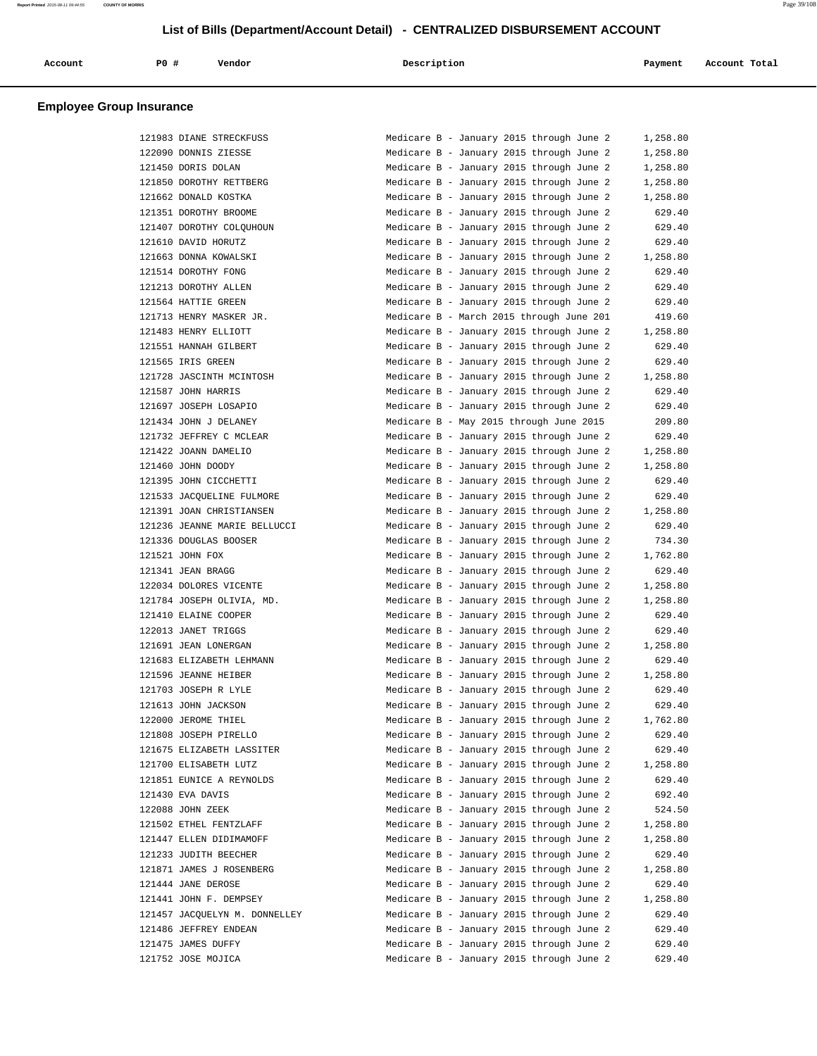| Account | <b>PO #</b> | Vendor<br>. | Description | Payment | Account Total |
|---------|-------------|-------------|-------------|---------|---------------|
|         |             |             |             |         |               |

| 121983 DIANE STRECKFUSS       | 1,258.80<br>Medicare B - January 2015 through June 2 |
|-------------------------------|------------------------------------------------------|
| 122090 DONNIS ZIESSE          | Medicare B - January 2015 through June 2<br>1,258.80 |
| 121450 DORIS DOLAN            | Medicare B - January 2015 through June 2<br>1,258.80 |
| 121850 DOROTHY RETTBERG       | Medicare B - January 2015 through June 2<br>1,258.80 |
| 121662 DONALD KOSTKA          | Medicare B - January 2015 through June 2<br>1,258.80 |
| 121351 DOROTHY BROOME         | Medicare B - January 2015 through June 2<br>629.40   |
| 121407 DOROTHY COLOUHOUN      | 629.40<br>Medicare B - January 2015 through June 2   |
| 121610 DAVID HORUTZ           | Medicare B - January 2015 through June 2<br>629.40   |
| 121663 DONNA KOWALSKI         | Medicare B - January 2015 through June 2<br>1,258.80 |
| 121514 DOROTHY FONG           | 629.40<br>Medicare B - January 2015 through June 2   |
| 121213 DOROTHY ALLEN          | Medicare B - January 2015 through June 2<br>629.40   |
| 121564 HATTIE GREEN           | Medicare B - January 2015 through June 2<br>629.40   |
| 121713 HENRY MASKER JR.       | Medicare B - March 2015 through June 201<br>419.60   |
| 121483 HENRY ELLIOTT          | Medicare B - January 2015 through June 2<br>1,258.80 |
| 121551 HANNAH GILBERT         | Medicare B - January 2015 through June 2<br>629.40   |
| 121565 IRIS GREEN             | Medicare B - January 2015 through June 2<br>629.40   |
| 121728 JASCINTH MCINTOSH      | Medicare B - January 2015 through June 2<br>1,258.80 |
| 121587 JOHN HARRIS            | Medicare B - January 2015 through June 2<br>629.40   |
| 121697 JOSEPH LOSAPIO         | Medicare B - January 2015 through June 2<br>629.40   |
| 121434 JOHN J DELANEY         | Medicare B - May 2015 through June 2015<br>209.80    |
| 121732 JEFFREY C MCLEAR       | Medicare B - January 2015 through June 2<br>629.40   |
| 121422 JOANN DAMELIO          | Medicare B - January 2015 through June 2<br>1,258.80 |
| 121460 JOHN DOODY             | Medicare B - January 2015 through June 2<br>1,258.80 |
| 121395 JOHN CICCHETTI         | Medicare B - January 2015 through June 2<br>629.40   |
| 121533 JACQUELINE FULMORE     | 629.40<br>Medicare B - January 2015 through June 2   |
| 121391 JOAN CHRISTIANSEN      | Medicare B - January 2015 through June 2<br>1,258.80 |
| 121236 JEANNE MARIE BELLUCCI  | Medicare B - January 2015 through June 2<br>629.40   |
| 121336 DOUGLAS BOOSER         | Medicare B - January 2015 through June 2<br>734.30   |
| 121521 JOHN FOX               | Medicare B - January 2015 through June 2<br>1,762.80 |
| 121341 JEAN BRAGG             | Medicare B - January 2015 through June 2<br>629.40   |
| 122034 DOLORES VICENTE        | Medicare B - January 2015 through June 2<br>1,258.80 |
| 121784 JOSEPH OLIVIA, MD.     | Medicare B - January 2015 through June 2<br>1,258.80 |
| 121410 ELAINE COOPER          | Medicare B - January 2015 through June 2<br>629.40   |
| 122013 JANET TRIGGS           | Medicare B - January 2015 through June 2<br>629.40   |
| 121691 JEAN LONERGAN          | Medicare B - January 2015 through June 2<br>1,258.80 |
| 121683 ELIZABETH LEHMANN      | Medicare B - January 2015 through June 2<br>629.40   |
| 121596 JEANNE HEIBER          | Medicare B - January 2015 through June 2<br>1,258.80 |
| 121703 JOSEPH R LYLE          | Medicare B - January 2015 through June 2<br>629.40   |
| 121613 JOHN JACKSON           | Medicare B - January 2015 through June 2<br>629.40   |
| 122000 JEROME THIEL           | Medicare B - January 2015 through June 2<br>1,762.80 |
| 121808 JOSEPH PIRELLO         | Medicare B - January 2015 through June 2<br>629.40   |
|                               | 629.40                                               |
| 121675 ELIZABETH LASSITER     | Medicare B - January 2015 through June 2             |
| 121700 ELISABETH LUTZ         | Medicare B - January 2015 through June 2<br>1,258.80 |
| 121851 EUNICE A REYNOLDS      | Medicare B - January 2015 through June 2<br>629.40   |
| 121430 EVA DAVIS              | Medicare B - January 2015 through June 2<br>692.40   |
| 122088 JOHN ZEEK              | Medicare B - January 2015 through June 2<br>524.50   |
| 121502 ETHEL FENTZLAFF        | Medicare B - January 2015 through June 2<br>1,258.80 |
| 121447 ELLEN DIDIMAMOFF       | Medicare B - January 2015 through June 2<br>1,258.80 |
| 121233 JUDITH BEECHER         | Medicare B - January 2015 through June 2<br>629.40   |
| 121871 JAMES J ROSENBERG      | Medicare B - January 2015 through June 2<br>1,258.80 |
| 121444 JANE DEROSE            | Medicare B - January 2015 through June 2<br>629.40   |
| 121441 JOHN F. DEMPSEY        | Medicare B - January 2015 through June 2<br>1,258.80 |
| 121457 JACQUELYN M. DONNELLEY | Medicare B - January 2015 through June 2<br>629.40   |
| 121486 JEFFREY ENDEAN         | Medicare B - January 2015 through June 2<br>629.40   |
| 121475 JAMES DUFFY            | Medicare B - January 2015 through June 2<br>629.40   |
| 121752 JOSE MOJICA            | Medicare B - January 2015 through June 2<br>629.40   |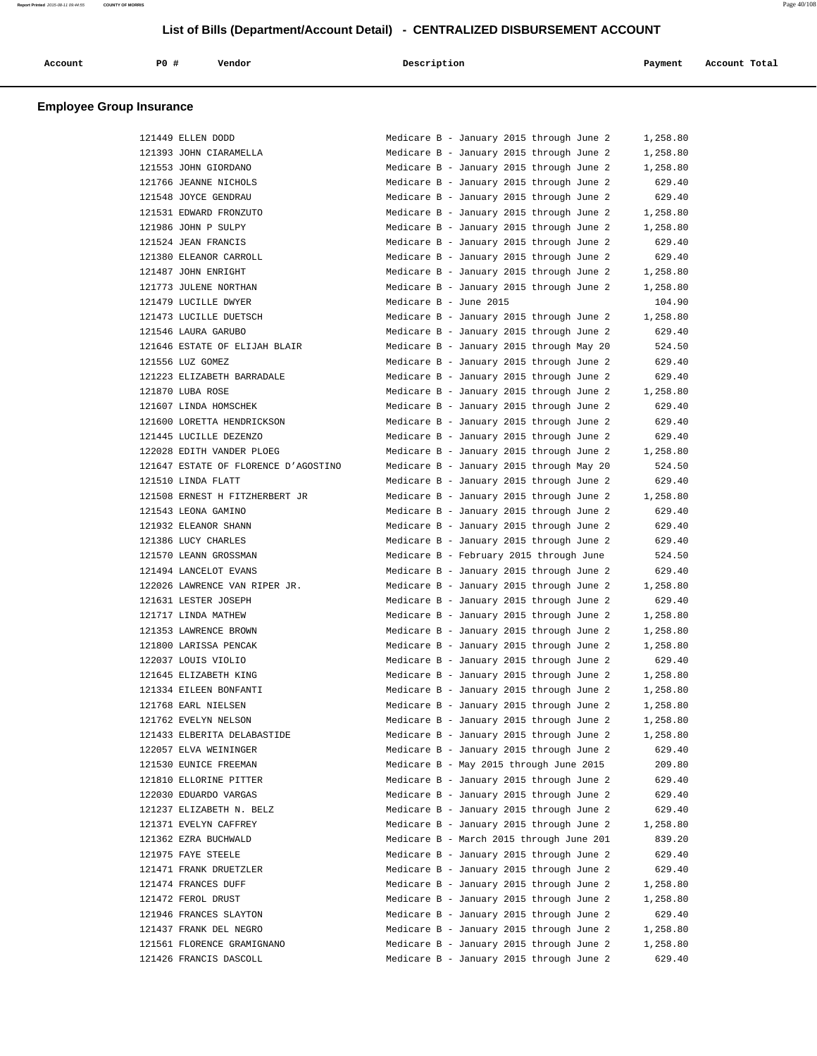| Account                         | PO# | Vendor | Description | Payment | Account Total |
|---------------------------------|-----|--------|-------------|---------|---------------|
| <b>Employee Group Insurance</b> |     |        |             |         |               |

| 121449 ELLEN DODD                    | Medicare B - January 2015 through June 2 | 1,258.80 |
|--------------------------------------|------------------------------------------|----------|
| 121393 JOHN CIARAMELLA               | Medicare B - January 2015 through June 2 | 1,258.80 |
| 121553 JOHN GIORDANO                 | Medicare B - January 2015 through June 2 | 1,258.80 |
| 121766 JEANNE NICHOLS                | Medicare B - January 2015 through June 2 | 629.40   |
| 121548 JOYCE GENDRAU                 | Medicare B - January 2015 through June 2 | 629.40   |
| 121531 EDWARD FRONZUTO               | Medicare B - January 2015 through June 2 | 1,258.80 |
| 121986 JOHN P SULPY                  | Medicare B - January 2015 through June 2 | 1,258.80 |
| 121524 JEAN FRANCIS                  | Medicare B - January 2015 through June 2 | 629.40   |
| 121380 ELEANOR CARROLL               | Medicare B - January 2015 through June 2 | 629.40   |
| 121487 JOHN ENRIGHT                  | Medicare B - January 2015 through June 2 | 1,258.80 |
| 121773 JULENE NORTHAN                | Medicare B - January 2015 through June 2 | 1,258.80 |
| 121479 LUCILLE DWYER                 | Medicare B - June 2015                   | 104.90   |
| 121473 LUCILLE DUETSCH               | Medicare B - January 2015 through June 2 | 1,258.80 |
| 121546 LAURA GARUBO                  | Medicare B - January 2015 through June 2 | 629.40   |
| 121646 ESTATE OF ELIJAH BLAIR        | Medicare B - January 2015 through May 20 | 524.50   |
| 121556 LUZ GOMEZ                     | Medicare B - January 2015 through June 2 | 629.40   |
| 121223 ELIZABETH BARRADALE           | Medicare B - January 2015 through June 2 | 629.40   |
| 121870 LUBA ROSE                     | Medicare B - January 2015 through June 2 | 1,258.80 |
| 121607 LINDA HOMSCHEK                | Medicare B - January 2015 through June 2 | 629.40   |
| 121600 LORETTA HENDRICKSON           | Medicare B - January 2015 through June 2 | 629.40   |
| 121445 LUCILLE DEZENZO               | Medicare B - January 2015 through June 2 | 629.40   |
| 122028 EDITH VANDER PLOEG            | Medicare B - January 2015 through June 2 | 1,258.80 |
| 121647 ESTATE OF FLORENCE D'AGOSTINO | Medicare B - January 2015 through May 20 | 524.50   |
| 121510 LINDA FLATT                   | Medicare B - January 2015 through June 2 | 629.40   |
| 121508 ERNEST H FITZHERBERT JR       | Medicare B - January 2015 through June 2 | 1,258.80 |
| 121543 LEONA GAMINO                  | Medicare B - January 2015 through June 2 | 629.40   |
| 121932 ELEANOR SHANN                 | Medicare B - January 2015 through June 2 | 629.40   |
| 121386 LUCY CHARLES                  | Medicare B - January 2015 through June 2 | 629.40   |
| 121570 LEANN GROSSMAN                | Medicare B - February 2015 through June  | 524.50   |
| 121494 LANCELOT EVANS                | Medicare B - January 2015 through June 2 | 629.40   |
| 122026 LAWRENCE VAN RIPER JR.        | Medicare B - January 2015 through June 2 | 1,258.80 |
| 121631 LESTER JOSEPH                 | Medicare B - January 2015 through June 2 | 629.40   |
| 121717 LINDA MATHEW                  | Medicare B - January 2015 through June 2 | 1,258.80 |
| 121353 LAWRENCE BROWN                | Medicare B - January 2015 through June 2 | 1,258.80 |
| 121800 LARISSA PENCAK                | Medicare B - January 2015 through June 2 | 1,258.80 |
| 122037 LOUIS VIOLIO                  | Medicare B - January 2015 through June 2 | 629.40   |
| 121645 ELIZABETH KING                | Medicare B - January 2015 through June 2 | 1,258.80 |
| 121334 EILEEN BONFANTI               | Medicare B - January 2015 through June 2 | 1,258.80 |
| 121768 EARL NIELSEN                  | Medicare B - January 2015 through June 2 | 1,258.80 |
| 121762 EVELYN NELSON                 | Medicare B - January 2015 through June 2 | 1,258.80 |
| 121433 ELBERITA DELABASTIDE          | Medicare B - January 2015 through June 2 | 1,258.80 |
| 122057 ELVA WEININGER                | Medicare B - January 2015 through June 2 | 629.40   |
| 121530 EUNICE FREEMAN                | Medicare B - May 2015 through June 2015  | 209.80   |
|                                      |                                          |          |
| 121810 ELLORINE PITTER               | Medicare B - January 2015 through June 2 | 629.40   |
| 122030 EDUARDO VARGAS                | Medicare B - January 2015 through June 2 | 629.40   |
| 121237 ELIZABETH N. BELZ             | Medicare B - January 2015 through June 2 | 629.40   |
| 121371 EVELYN CAFFREY                | Medicare B - January 2015 through June 2 | 1,258.80 |
| 121362 EZRA BUCHWALD                 | Medicare B - March 2015 through June 201 | 839.20   |
| 121975 FAYE STEELE                   | Medicare B - January 2015 through June 2 | 629.40   |
| 121471 FRANK DRUETZLER               | Medicare B - January 2015 through June 2 | 629.40   |
| 121474 FRANCES DUFF                  | Medicare B - January 2015 through June 2 | 1,258.80 |
| 121472 FEROL DRUST                   | Medicare B - January 2015 through June 2 | 1,258.80 |
| 121946 FRANCES SLAYTON               | Medicare B - January 2015 through June 2 | 629.40   |
| 121437 FRANK DEL NEGRO               | Medicare B - January 2015 through June 2 | 1,258.80 |
| 121561 FLORENCE GRAMIGNANO           | Medicare B - January 2015 through June 2 | 1,258.80 |
| 121426 FRANCIS DASCOLL               | Medicare B - January 2015 through June 2 | 629.40   |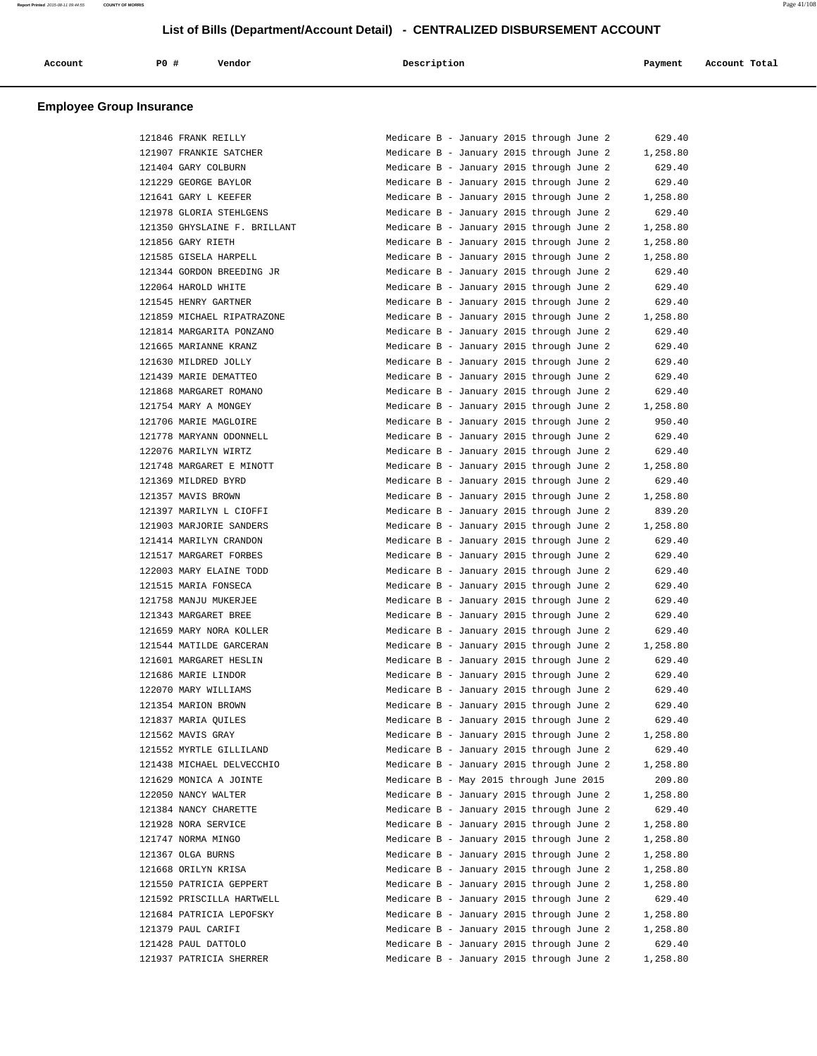|  |  | Account | PO# | Vendor | Description | Payment | Account Total |
|--|--|---------|-----|--------|-------------|---------|---------------|
|--|--|---------|-----|--------|-------------|---------|---------------|

| 121846 FRANK REILLY          | Medicare B - January 2015 through June 2 | 629.40   |
|------------------------------|------------------------------------------|----------|
| 121907 FRANKIE SATCHER       | Medicare B - January 2015 through June 2 | 1,258.80 |
| 121404 GARY COLBURN          | Medicare B - January 2015 through June 2 | 629.40   |
| 121229 GEORGE BAYLOR         | Medicare B - January 2015 through June 2 | 629.40   |
| 121641 GARY L KEEFER         | Medicare B - January 2015 through June 2 | 1,258.80 |
| 121978 GLORIA STEHLGENS      | Medicare B - January 2015 through June 2 | 629.40   |
| 121350 GHYSLAINE F. BRILLANT | Medicare B - January 2015 through June 2 | 1,258.80 |
| 121856 GARY RIETH            | Medicare B - January 2015 through June 2 | 1,258.80 |
| 121585 GISELA HARPELL        | Medicare B - January 2015 through June 2 | 1,258.80 |
| 121344 GORDON BREEDING JR    | Medicare B - January 2015 through June 2 | 629.40   |
| 122064 HAROLD WHITE          | Medicare B - January 2015 through June 2 | 629.40   |
| 121545 HENRY GARTNER         | Medicare B - January 2015 through June 2 | 629.40   |
| 121859 MICHAEL RIPATRAZONE   | Medicare B - January 2015 through June 2 | 1,258.80 |
| 121814 MARGARITA PONZANO     | Medicare B - January 2015 through June 2 | 629.40   |
| 121665 MARIANNE KRANZ        | Medicare B - January 2015 through June 2 | 629.40   |
| 121630 MILDRED JOLLY         | Medicare B - January 2015 through June 2 | 629.40   |
| 121439 MARIE DEMATTEO        | Medicare B - January 2015 through June 2 | 629.40   |
| 121868 MARGARET ROMANO       | Medicare B - January 2015 through June 2 | 629.40   |
| 121754 MARY A MONGEY         | Medicare B - January 2015 through June 2 | 1,258.80 |
| 121706 MARIE MAGLOIRE        | Medicare B - January 2015 through June 2 | 950.40   |
| 121778 MARYANN ODONNELL      | Medicare B - January 2015 through June 2 | 629.40   |
| 122076 MARILYN WIRTZ         | Medicare B - January 2015 through June 2 | 629.40   |
| 121748 MARGARET E MINOTT     | Medicare B - January 2015 through June 2 | 1,258.80 |
| 121369 MILDRED BYRD          | Medicare B - January 2015 through June 2 | 629.40   |
| 121357 MAVIS BROWN           | Medicare B - January 2015 through June 2 | 1,258.80 |
| 121397 MARILYN L CIOFFI      | Medicare B - January 2015 through June 2 | 839.20   |
| 121903 MARJORIE SANDERS      | Medicare B - January 2015 through June 2 | 1,258.80 |
| 121414 MARILYN CRANDON       | Medicare B - January 2015 through June 2 | 629.40   |
| 121517 MARGARET FORBES       | Medicare B - January 2015 through June 2 | 629.40   |
| 122003 MARY ELAINE TODD      | Medicare B - January 2015 through June 2 | 629.40   |
| 121515 MARIA FONSECA         | Medicare B - January 2015 through June 2 | 629.40   |
| 121758 MANJU MUKERJEE        | Medicare B - January 2015 through June 2 | 629.40   |
| 121343 MARGARET BREE         | Medicare B - January 2015 through June 2 | 629.40   |
| 121659 MARY NORA KOLLER      | Medicare B - January 2015 through June 2 | 629.40   |
| 121544 MATILDE GARCERAN      | Medicare B - January 2015 through June 2 | 1,258.80 |
| 121601 MARGARET HESLIN       | Medicare B - January 2015 through June 2 | 629.40   |
| 121686 MARIE LINDOR          | Medicare B - January 2015 through June 2 | 629.40   |
| 122070 MARY WILLIAMS         | Medicare B - January 2015 through June 2 | 629.40   |
| 121354 MARION BROWN          | Medicare B - January 2015 through June 2 | 629.40   |
| 121837 MARIA OUILES          | Medicare B - January 2015 through June 2 | 629.40   |
| 121562 MAVIS GRAY            | Medicare B - January 2015 through June 2 | 1,258.80 |
| 121552 MYRTLE GILLILAND      | Medicare B - January 2015 through June 2 | 629.40   |
| 121438 MICHAEL DELVECCHIO    | Medicare B - January 2015 through June 2 | 1,258.80 |
| 121629 MONICA A JOINTE       | Medicare B - May 2015 through June 2015  | 209.80   |
| 122050 NANCY WALTER          | Medicare B - January 2015 through June 2 | 1,258.80 |
| 121384 NANCY CHARETTE        | Medicare B - January 2015 through June 2 | 629.40   |
| 121928 NORA SERVICE          | Medicare B - January 2015 through June 2 | 1,258.80 |
| 121747 NORMA MINGO           | Medicare B - January 2015 through June 2 | 1,258.80 |
| 121367 OLGA BURNS            | Medicare B - January 2015 through June 2 | 1,258.80 |
| 121668 ORILYN KRISA          | Medicare B - January 2015 through June 2 | 1,258.80 |
| 121550 PATRICIA GEPPERT      | Medicare B - January 2015 through June 2 | 1,258.80 |
| 121592 PRISCILLA HARTWELL    | Medicare B - January 2015 through June 2 | 629.40   |
| 121684 PATRICIA LEPOFSKY     | Medicare B - January 2015 through June 2 | 1,258.80 |
| 121379 PAUL CARIFI           | Medicare B - January 2015 through June 2 | 1,258.80 |
| 121428 PAUL DATTOLO          | Medicare B - January 2015 through June 2 | 629.40   |
| 121937 PATRICIA SHERRER      | Medicare B - January 2015 through June 2 | 1,258.80 |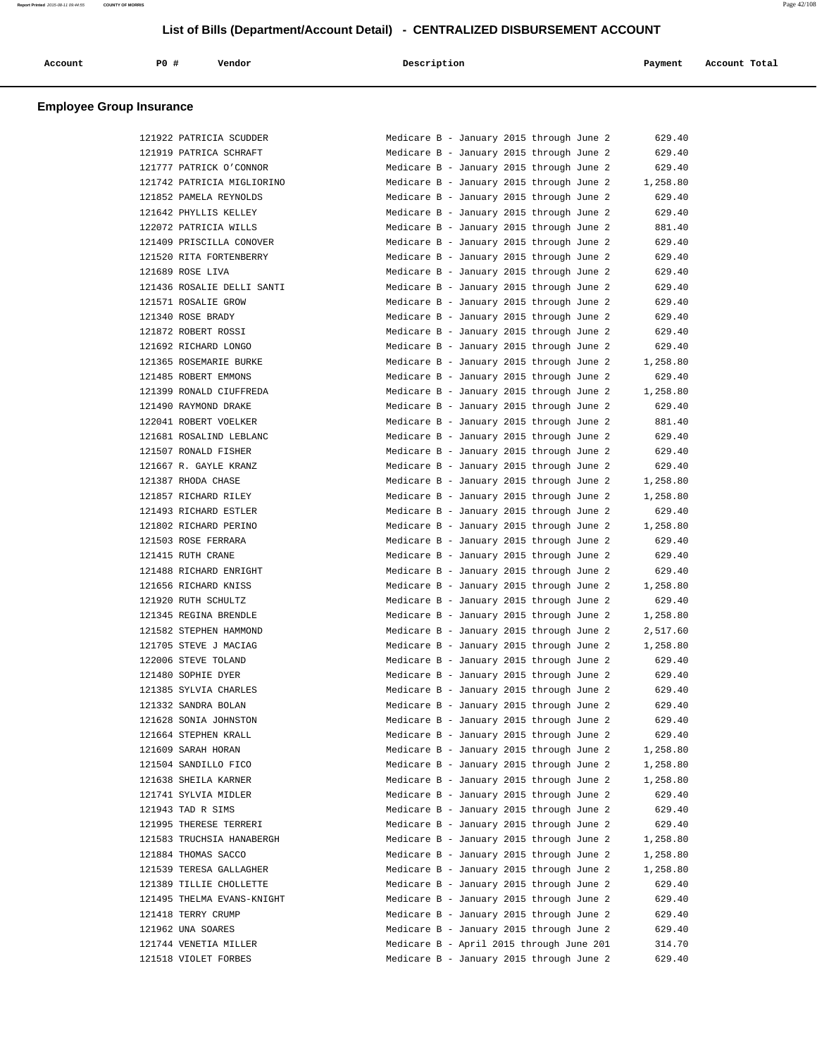| Account | PO# | Vendor | Description | Payment | Account Total |
|---------|-----|--------|-------------|---------|---------------|
|         |     |        |             |         |               |

|        | 121922 PATRICIA SCUDDER                        |
|--------|------------------------------------------------|
|        | 121919 PATRICA SCHRAFT                         |
| 121777 | PATRICK O'CONNOR                               |
|        | 121742 PATRICIA MIGLIORINO                     |
|        | 121852 PAMELA REYNOLDS                         |
|        | 121642 PHYLLIS KELLEY                          |
|        | 122072 PATRICIA WILLS                          |
|        | 121409 PRISCILLA CONOVER                       |
|        | 121520 RITA FORTENBERRY                        |
|        | 121689 ROSE LIVA                               |
|        | 121436 ROSALIE DELLI SANTI                     |
|        | 121571 ROSALIE GROW                            |
|        | 121340 ROSE BRADY                              |
|        | 121872 ROBERT ROSSI                            |
|        | 121692 RICHARD LONGO                           |
|        |                                                |
|        | 121365 ROSEMARIE BURKE<br>121485 ROBERT EMMONS |
|        |                                                |
|        | 121399 RONALD CIUFFREDA                        |
|        | 121490 RAYMOND DRAKE                           |
|        | 122041 ROBERT VOELKER                          |
|        | 121681 ROSALIND LEBLANC                        |
|        | 121507 RONALD FISHER                           |
|        | 121667 R. GAYLE KRANZ                          |
|        | 121387 RHODA CHASE                             |
|        | 121857 RICHARD RILEY                           |
|        | 121493 RICHARD ESTLER                          |
|        | 121802 RICHARD PERINO                          |
|        | 121503 ROSE FERRARA                            |
|        | 121415 RUTH CRANE                              |
|        | 121488 RICHARD ENRIGHT                         |
|        | 121656 RICHARD KNISS                           |
|        | 121920 RUTH SCHULTZ                            |
|        | 121345 REGINA BRENDLE                          |
|        | 121582 STEPHEN HAMMOND                         |
|        | 121705 STEVE J MACIAG                          |
|        | 122006 STEVE TOLAND                            |
|        | 121480 SOPHIE DYER                             |
|        | 121385 SYLVIA CHARLES                          |
|        | 121332 SANDRA BOLAN                            |
|        | 121628 SONIA JOHNSTON                          |
|        | 121664 STEPHEN KRALL                           |
|        | 121609 SARAH HORAN                             |
|        | 121504 SANDILLO FICO                           |
|        | 121638 SHEILA KARNER                           |
|        | 121741 SYLVIA MIDLER                           |
|        | 121943 TAD R SIMS                              |
| 121995 | THERESE TERRERI                                |
|        | 121583 TRUCHSIA HANABERGH                      |
|        | 121884 THOMAS SACCO                            |
|        | 121539 TERESA GALLAGHER                        |
|        | 121389 TILLIE CHOLLETTE                        |
|        | 121495 THELMA EVANS-KNIGHT                     |
|        | 121418 TERRY CRUMP                             |
|        | 121962 UNA SOARES                              |
|        | 121744 VENETIA MILLER                          |
|        | 121518 VIOLET FORBES                           |
|        |                                                |

| 121922 PATRICIA SCUDDER    | Medicare B - January 2015 through June 2 |  | 629.40   |
|----------------------------|------------------------------------------|--|----------|
| 121919 PATRICA SCHRAFT     | Medicare B - January 2015 through June 2 |  | 629.40   |
| 121777 PATRICK O'CONNOR    | Medicare B - January 2015 through June 2 |  | 629.40   |
| 121742 PATRICIA MIGLIORINO | Medicare B - January 2015 through June 2 |  | 1,258.80 |
| 121852 PAMELA REYNOLDS     | Medicare B - January 2015 through June 2 |  | 629.40   |
| 121642 PHYLLIS KELLEY      | Medicare B - January 2015 through June 2 |  | 629.40   |
| 122072 PATRICIA WILLS      | Medicare B - January 2015 through June 2 |  | 881.40   |
| 121409 PRISCILLA CONOVER   | Medicare B - January 2015 through June 2 |  | 629.40   |
| 121520 RITA FORTENBERRY    | Medicare B - January 2015 through June 2 |  | 629.40   |
| 121689 ROSE LIVA           | Medicare B - January 2015 through June 2 |  | 629.40   |
| 121436 ROSALIE DELLI SANTI | Medicare B - January 2015 through June 2 |  | 629.40   |
| 121571 ROSALIE GROW        | Medicare B - January 2015 through June 2 |  | 629.40   |
| 121340 ROSE BRADY          | Medicare B - January 2015 through June 2 |  | 629.40   |
| 121872 ROBERT ROSSI        | Medicare B - January 2015 through June 2 |  | 629.40   |
| 121692 RICHARD LONGO       | Medicare B - January 2015 through June 2 |  | 629.40   |
| 121365 ROSEMARIE BURKE     |                                          |  |          |
|                            | Medicare B - January 2015 through June 2 |  | 1,258.80 |
| 121485 ROBERT EMMONS       | Medicare B - January 2015 through June 2 |  | 629.40   |
| 121399 RONALD CIUFFREDA    | Medicare B - January 2015 through June 2 |  | 1,258.80 |
| 121490 RAYMOND DRAKE       | Medicare B - January 2015 through June 2 |  | 629.40   |
| 122041 ROBERT VOELKER      | Medicare B - January 2015 through June 2 |  | 881.40   |
| 121681 ROSALIND LEBLANC    | Medicare B - January 2015 through June 2 |  | 629.40   |
| 121507 RONALD FISHER       | Medicare B - January 2015 through June 2 |  | 629.40   |
| 121667 R. GAYLE KRANZ      | Medicare B - January 2015 through June 2 |  | 629.40   |
| 121387 RHODA CHASE         | Medicare B - January 2015 through June 2 |  | 1,258.80 |
| 121857 RICHARD RILEY       | Medicare B - January 2015 through June 2 |  | 1,258.80 |
| 121493 RICHARD ESTLER      | Medicare B - January 2015 through June 2 |  | 629.40   |
| 121802 RICHARD PERINO      | Medicare B - January 2015 through June 2 |  | 1,258.80 |
| 121503 ROSE FERRARA        | Medicare B - January 2015 through June 2 |  | 629.40   |
| 121415 RUTH CRANE          | Medicare B - January 2015 through June 2 |  | 629.40   |
| 121488 RICHARD ENRIGHT     | Medicare B - January 2015 through June 2 |  | 629.40   |
| 121656 RICHARD KNISS       | Medicare B - January 2015 through June 2 |  | 1,258.80 |
| 121920 RUTH SCHULTZ        | Medicare B - January 2015 through June 2 |  | 629.40   |
| 121345 REGINA BRENDLE      | Medicare B - January 2015 through June 2 |  | 1,258.80 |
| 121582 STEPHEN HAMMOND     | Medicare B - January 2015 through June 2 |  | 2,517.60 |
| 121705 STEVE J MACIAG      | Medicare B - January 2015 through June 2 |  | 1,258.80 |
| 122006 STEVE TOLAND        | Medicare B - January 2015 through June 2 |  | 629.40   |
| 121480 SOPHIE DYER         | Medicare B - January 2015 through June 2 |  | 629.40   |
| 121385 SYLVIA CHARLES      | Medicare B - January 2015 through June 2 |  | 629.40   |
| 121332 SANDRA BOLAN        |                                          |  |          |
|                            | Medicare B - January 2015 through June 2 |  | 629.40   |
| 121628 SONIA JOHNSTON      | Medicare B - January 2015 through June 2 |  | 629.40   |
| 121664 STEPHEN KRALL       | Medicare B - January 2015 through June 2 |  | 629.40   |
| 121609 SARAH HORAN         | Medicare B - January 2015 through June 2 |  | 1,258.80 |
| 121504 SANDILLO FICO       | Medicare B - January 2015 through June 2 |  | 1,258.80 |
| 121638 SHEILA KARNER       | Medicare B - January 2015 through June 2 |  | 1,258.80 |
| 121741 SYLVIA MIDLER       | Medicare B - January 2015 through June 2 |  | 629.40   |
| 121943 TAD R SIMS          | Medicare B - January 2015 through June 2 |  | 629.40   |
| 121995 THERESE TERRERI     | Medicare B - January 2015 through June 2 |  | 629.40   |
| 121583 TRUCHSIA HANABERGH  | Medicare B - January 2015 through June 2 |  | 1,258.80 |
| 121884 THOMAS SACCO        | Medicare B - January 2015 through June 2 |  | 1,258.80 |
| 121539 TERESA GALLAGHER    | Medicare B - January 2015 through June 2 |  | 1,258.80 |
| 121389 TILLIE CHOLLETTE    | Medicare B - January 2015 through June 2 |  | 629.40   |
| 121495 THELMA EVANS-KNIGHT | Medicare B - January 2015 through June 2 |  | 629.40   |
| 121418 TERRY CRUMP         | Medicare B - January 2015 through June 2 |  | 629.40   |
| 121962 UNA SOARES          | Medicare B - January 2015 through June 2 |  | 629.40   |
| 121744 VENETIA MILLER      | Medicare B - April 2015 through June 201 |  | 314.70   |
| 121518 VIOLET FORBES       | Medicare B - January 2015 through June 2 |  | 629.40   |
|                            |                                          |  |          |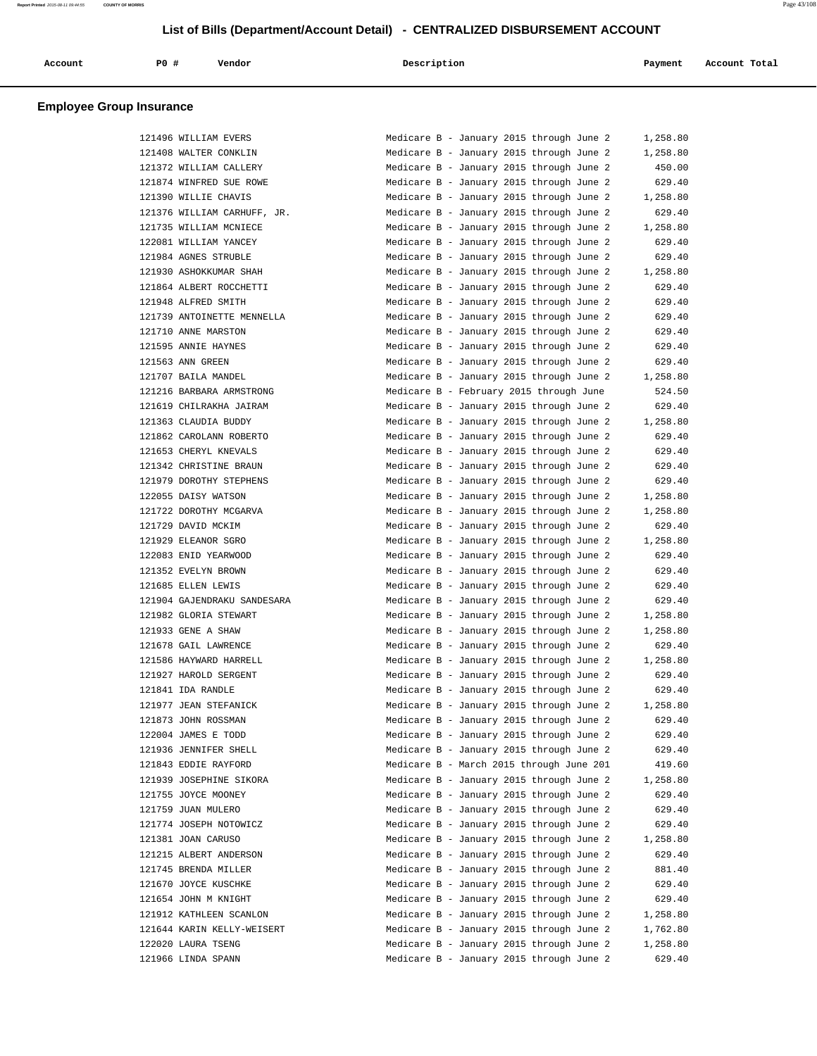| $PO+$<br>Vendor<br>Description<br>Account Total<br>Account<br>Payment |  |
|-----------------------------------------------------------------------|--|
|-----------------------------------------------------------------------|--|

| 121496 WILLIAM EVERS        | Medicare B - January 2015 through June 2<br>1,258.80 |
|-----------------------------|------------------------------------------------------|
| 121408 WALTER CONKLIN       | Medicare B - January 2015 through June 2<br>1,258.80 |
| 121372 WILLIAM CALLERY      | 450.00<br>Medicare B - January 2015 through June 2   |
| 121874 WINFRED SUE ROWE     | Medicare B - January 2015 through June 2<br>629.40   |
| 121390 WILLIE CHAVIS        | Medicare B - January 2015 through June 2<br>1,258.80 |
| 121376 WILLIAM CARHUFF, JR. | Medicare B - January 2015 through June 2<br>629.40   |
| 121735 WILLIAM MCNIECE      | Medicare B - January 2015 through June 2<br>1,258.80 |
| 122081 WILLIAM YANCEY       | Medicare B - January 2015 through June 2<br>629.40   |
| 121984 AGNES STRUBLE        | Medicare B - January 2015 through June 2<br>629.40   |
| 121930 ASHOKKUMAR SHAH      | Medicare B - January 2015 through June 2<br>1,258.80 |
| 121864 ALBERT ROCCHETTI     | Medicare B - January 2015 through June 2<br>629.40   |
| 121948 ALFRED SMITH         | Medicare B - January 2015 through June 2<br>629.40   |
| 121739 ANTOINETTE MENNELLA  | Medicare B - January 2015 through June 2<br>629.40   |
| 121710 ANNE MARSTON         | Medicare B - January 2015 through June 2<br>629.40   |
| 121595 ANNIE HAYNES         | Medicare B - January 2015 through June 2<br>629.40   |
| 121563 ANN GREEN            | Medicare B - January 2015 through June 2<br>629.40   |
| 121707 BAILA MANDEL         | Medicare B - January 2015 through June 2<br>1,258.80 |
| 121216 BARBARA ARMSTRONG    | Medicare B - February 2015 through June<br>524.50    |
| 121619 CHILRAKHA JAIRAM     | Medicare B - January 2015 through June 2<br>629.40   |
| 121363 CLAUDIA BUDDY        | Medicare B - January 2015 through June 2<br>1,258.80 |
| 121862 CAROLANN ROBERTO     | Medicare B - January 2015 through June 2<br>629.40   |
| 121653 CHERYL KNEVALS       | Medicare B - January 2015 through June 2<br>629.40   |
| 121342 CHRISTINE BRAUN      | Medicare B - January 2015 through June 2<br>629.40   |
| 121979 DOROTHY STEPHENS     | Medicare B - January 2015 through June 2<br>629.40   |
| 122055 DAISY WATSON         | Medicare B - January 2015 through June 2<br>1,258.80 |
| 121722 DOROTHY MCGARVA      | Medicare B - January 2015 through June 2<br>1,258.80 |
| 121729 DAVID MCKIM          | Medicare B - January 2015 through June 2<br>629.40   |
| 121929 ELEANOR SGRO         | Medicare B - January 2015 through June 2<br>1,258.80 |
| 122083 ENID YEARWOOD        | Medicare B - January 2015 through June 2<br>629.40   |
| 121352 EVELYN BROWN         | Medicare B - January 2015 through June 2<br>629.40   |
| 121685 ELLEN LEWIS          | Medicare B - January 2015 through June 2<br>629.40   |
| 121904 GAJENDRAKU SANDESARA | Medicare B - January 2015 through June 2<br>629.40   |
| 121982 GLORIA STEWART       | Medicare B - January 2015 through June 2<br>1,258.80 |
| 121933 GENE A SHAW          | Medicare B - January 2015 through June 2<br>1,258.80 |
| 121678 GAIL LAWRENCE        | Medicare B - January 2015 through June 2<br>629.40   |
| 121586 HAYWARD HARRELL      | Medicare B - January 2015 through June 2<br>1,258.80 |
| 121927 HAROLD SERGENT       | Medicare B - January 2015 through June 2<br>629.40   |
| 121841 IDA RANDLE           | Medicare B - January 2015 through June 2<br>629.40   |
| 121977 JEAN STEFANICK       | Medicare B - January 2015 through June 2<br>1,258.80 |
| 121873 JOHN ROSSMAN         | Medicare B - January 2015 through June 2<br>629.40   |
| 122004 JAMES E TODD         | Medicare B - January 2015 through June 2<br>629.40   |
| 121936 JENNIFER SHELL       | Medicare B - January 2015 through June 2<br>629.40   |
| 121843 EDDIE RAYFORD        | Medicare B - March 2015 through June 201<br>419.60   |
| 121939 JOSEPHINE SIKORA     | Medicare B - January 2015 through June 2<br>1,258.80 |
| 121755 JOYCE MOONEY         | Medicare B - January 2015 through June 2<br>629.40   |
| 121759 JUAN MULERO          | Medicare B - January 2015 through June 2<br>629.40   |
| 121774 JOSEPH NOTOWICZ      | Medicare B - January 2015 through June 2<br>629.40   |
| 121381 JOAN CARUSO          | Medicare B - January 2015 through June 2<br>1,258.80 |
| 121215 ALBERT ANDERSON      | Medicare B - January 2015 through June 2<br>629.40   |
| 121745 BRENDA MILLER        | Medicare B - January 2015 through June 2<br>881.40   |
| 121670 JOYCE KUSCHKE        | Medicare B - January 2015 through June 2<br>629.40   |
| 121654 JOHN M KNIGHT        | Medicare B - January 2015 through June 2<br>629.40   |
| 121912 KATHLEEN SCANLON     | Medicare B - January 2015 through June 2<br>1,258.80 |
| 121644 KARIN KELLY-WEISERT  | Medicare B - January 2015 through June 2<br>1,762.80 |
| 122020 LAURA TSENG          | Medicare B - January 2015 through June 2<br>1,258.80 |
| 121966 LINDA SPANN          | Medicare B - January 2015 through June 2<br>629.40   |
|                             |                                                      |

| Medicare B - January 2015 through June 2 |  |  |  | 1,258.80 |
|------------------------------------------|--|--|--|----------|
| Medicare B - January 2015 through June 2 |  |  |  | 1,258.80 |
| Medicare B - January 2015 through June 2 |  |  |  | 450.00   |
| Medicare B - January 2015 through June 2 |  |  |  | 629.40   |
| Medicare B - January 2015 through June 2 |  |  |  | 1,258.80 |
| Medicare B - January 2015 through June 2 |  |  |  | 629.40   |
| Medicare B - January 2015 through June 2 |  |  |  | 1,258.80 |
| Medicare B - January 2015 through June 2 |  |  |  | 629.40   |
| Medicare B - January 2015 through June 2 |  |  |  | 629.40   |
| Medicare B - January 2015 through June 2 |  |  |  | 1,258.80 |
| Medicare B - January 2015 through June 2 |  |  |  | 629.40   |
| Medicare B - January 2015 through June 2 |  |  |  | 629.40   |
| Medicare B - January 2015 through June 2 |  |  |  | 629.40   |
| Medicare B - January 2015 through June 2 |  |  |  | 629.40   |
| Medicare B - January 2015 through June 2 |  |  |  | 629.40   |
| Medicare B - January 2015 through June 2 |  |  |  | 629.40   |
| Medicare B - January 2015 through June 2 |  |  |  | 1,258.80 |
| Medicare B - February 2015 through June  |  |  |  | 524.50   |
| Medicare B - January 2015 through June 2 |  |  |  | 629.40   |
| Medicare B - January 2015 through June 2 |  |  |  | 1,258.80 |
| Medicare B - January 2015 through June 2 |  |  |  | 629.40   |
| Medicare B - January 2015 through June 2 |  |  |  | 629.40   |
| Medicare B - January 2015 through June 2 |  |  |  | 629.40   |
| Medicare B - January 2015 through June 2 |  |  |  | 629.40   |
| Medicare B - January 2015 through June 2 |  |  |  | 1,258.80 |
| Medicare B - January 2015 through June 2 |  |  |  | 1,258.80 |
| Medicare B - January 2015 through June 2 |  |  |  | 629.40   |
| Medicare B - January 2015 through June 2 |  |  |  | 1,258.80 |
| Medicare B - January 2015 through June 2 |  |  |  | 629.40   |
| Medicare B - January 2015 through June 2 |  |  |  | 629.40   |
| Medicare B - January 2015 through June 2 |  |  |  | 629.40   |
| Medicare B - January 2015 through June 2 |  |  |  | 629.40   |
| Medicare B - January 2015 through June 2 |  |  |  | 1,258.80 |
| Medicare B - January 2015 through June 2 |  |  |  | 1,258.80 |
| Medicare B - January 2015 through June 2 |  |  |  | 629.40   |
| Medicare B - January 2015 through June 2 |  |  |  | 1,258.80 |
| Medicare B - January 2015 through June 2 |  |  |  | 629.40   |
| Medicare B - January 2015 through June 2 |  |  |  | 629.40   |
| Medicare B - January 2015 through June 2 |  |  |  | 1,258.80 |
| Medicare B - January 2015 through June 2 |  |  |  | 629.40   |
| Medicare B - January 2015 through June 2 |  |  |  | 629.40   |
| Medicare B - January 2015 through June 2 |  |  |  | 629.40   |
| Medicare B - March 2015 through June 201 |  |  |  | 419.60   |
| Medicare B - January 2015 through June 2 |  |  |  | 1,258.80 |
| Medicare B - January 2015 through June 2 |  |  |  | 629.40   |
| Medicare B - January 2015 through June 2 |  |  |  | 629.40   |
| Medicare B - January 2015 through June 2 |  |  |  | 629.40   |
| Medicare B - January 2015 through June 2 |  |  |  | 1,258.80 |
| Medicare B - January 2015 through June 2 |  |  |  | 629.40   |
| Medicare B - January 2015 through June 2 |  |  |  | 881.40   |
| Medicare B - January 2015 through June 2 |  |  |  | 629.40   |
| Medicare B - January 2015 through June 2 |  |  |  | 629.40   |
| Medicare B - January 2015 through June 2 |  |  |  | 1,258.80 |
| Medicare B - January 2015 through June 2 |  |  |  | 1,762.80 |
| Medicare B - January 2015 through June 2 |  |  |  | 1,258.80 |
| Medicare B - January 2015 through June 2 |  |  |  | 629.40   |
|                                          |  |  |  |          |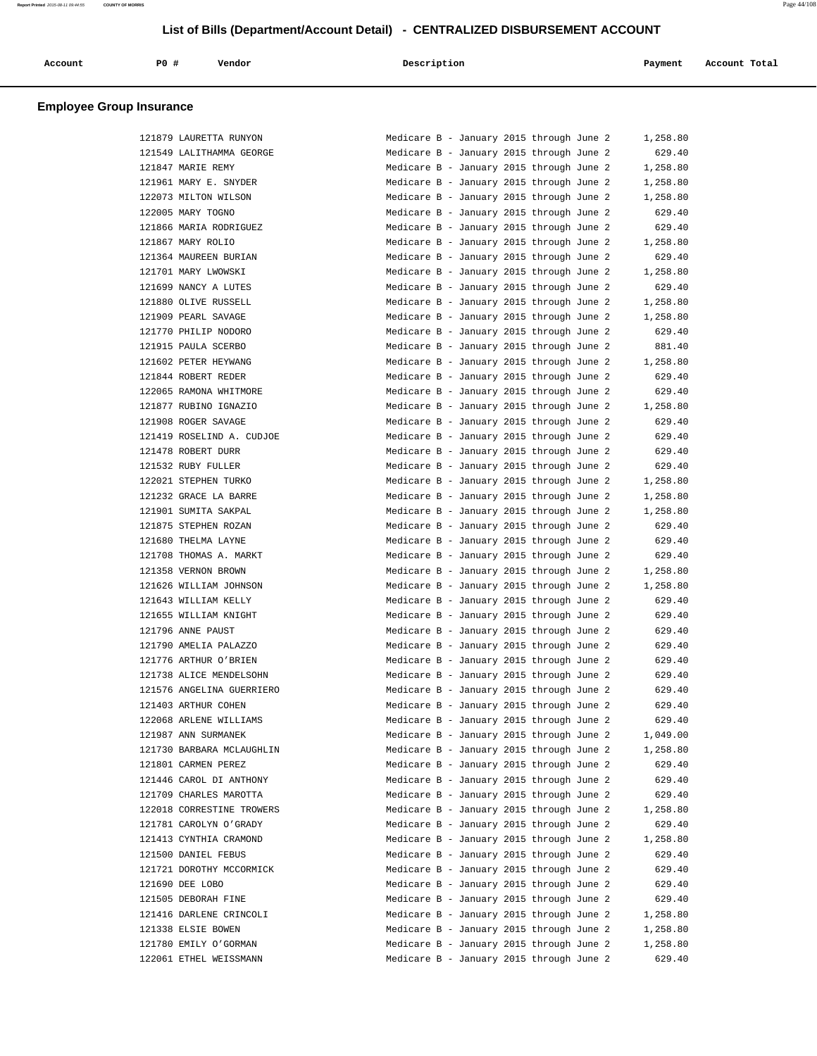| Account | PO# | Vendor<br>. | Description | Payment | Account Total |
|---------|-----|-------------|-------------|---------|---------------|
|         |     |             |             |         |               |

| 121879 LAURETTA RUNYON    | Medicare B - January 2015 through June 2 | 1,258.80 |
|---------------------------|------------------------------------------|----------|
| 121549 LALITHAMMA GEORGE  | Medicare B - January 2015 through June 2 | 629.40   |
| 121847 MARIE REMY         | Medicare B - January 2015 through June 2 | 1,258.80 |
| 121961 MARY E. SNYDER     | Medicare B - January 2015 through June 2 | 1,258.80 |
| 122073 MILTON WILSON      | Medicare B - January 2015 through June 2 | 1,258.80 |
| 122005 MARY TOGNO         | Medicare B - January 2015 through June 2 | 629.40   |
| 121866 MARIA RODRIGUEZ    | Medicare B - January 2015 through June 2 | 629.40   |
| 121867 MARY ROLIO         | Medicare B - January 2015 through June 2 | 1,258.80 |
| 121364 MAUREEN BURIAN     | Medicare B - January 2015 through June 2 | 629.40   |
| 121701 MARY LWOWSKI       | Medicare B - January 2015 through June 2 | 1,258.80 |
| 121699 NANCY A LUTES      | Medicare B - January 2015 through June 2 | 629.40   |
| 121880 OLIVE RUSSELL      | Medicare B - January 2015 through June 2 | 1,258.80 |
| 121909 PEARL SAVAGE       | Medicare B - January 2015 through June 2 | 1,258.80 |
| 121770 PHILIP NODORO      | Medicare B - January 2015 through June 2 | 629.40   |
| 121915 PAULA SCERBO       | Medicare B - January 2015 through June 2 | 881.40   |
| 121602 PETER HEYWANG      | Medicare B - January 2015 through June 2 | 1,258.80 |
| 121844 ROBERT REDER       | Medicare B - January 2015 through June 2 | 629.40   |
| 122065 RAMONA WHITMORE    | Medicare B - January 2015 through June 2 | 629.40   |
| 121877 RUBINO IGNAZIO     | Medicare B - January 2015 through June 2 | 1,258.80 |
| 121908 ROGER SAVAGE       | Medicare B - January 2015 through June 2 | 629.40   |
| 121419 ROSELIND A. CUDJOE | Medicare B - January 2015 through June 2 | 629.40   |
| 121478 ROBERT DURR        | Medicare B - January 2015 through June 2 | 629.40   |
| 121532 RUBY FULLER        | Medicare B - January 2015 through June 2 | 629.40   |
| 122021 STEPHEN TURKO      | Medicare B - January 2015 through June 2 | 1,258.80 |
| 121232 GRACE LA BARRE     | Medicare B - January 2015 through June 2 | 1,258.80 |
| 121901 SUMITA SAKPAL      | Medicare B - January 2015 through June 2 | 1,258.80 |
| 121875 STEPHEN ROZAN      | Medicare B - January 2015 through June 2 | 629.40   |
| 121680 THELMA LAYNE       | Medicare B - January 2015 through June 2 | 629.40   |
| 121708 THOMAS A. MARKT    | Medicare B - January 2015 through June 2 | 629.40   |
| 121358 VERNON BROWN       | Medicare B - January 2015 through June 2 | 1,258.80 |
| 121626 WILLIAM JOHNSON    | Medicare B - January 2015 through June 2 | 1,258.80 |
| 121643 WILLIAM KELLY      | Medicare B - January 2015 through June 2 | 629.40   |
| 121655 WILLIAM KNIGHT     | Medicare B - January 2015 through June 2 | 629.40   |
| 121796 ANNE PAUST         | Medicare B - January 2015 through June 2 | 629.40   |
| 121790 AMELIA PALAZZO     | Medicare B - January 2015 through June 2 | 629.40   |
| 121776 ARTHUR O'BRIEN     | Medicare B - January 2015 through June 2 | 629.40   |
| 121738 ALICE MENDELSOHN   | Medicare B - January 2015 through June 2 | 629.40   |
| 121576 ANGELINA GUERRIERO | Medicare B - January 2015 through June 2 | 629.40   |
| 121403 ARTHUR COHEN       | Medicare B - January 2015 through June 2 | 629.40   |
| 122068 ARLENE WILLIAMS    | Medicare B - January 2015 through June 2 | 629.40   |
| 121987 ANN SURMANEK       | Medicare B - January 2015 through June 2 | 1,049.00 |
| 121730 BARBARA MCLAUGHLIN | Medicare B - January 2015 through June 2 | 1,258.80 |
| 121801 CARMEN PEREZ       | Medicare B - January 2015 through June 2 | 629.40   |
| 121446 CAROL DI ANTHONY   | Medicare B - January 2015 through June 2 | 629.40   |
| 121709 CHARLES MAROTTA    | Medicare B - January 2015 through June 2 | 629.40   |
| 122018 CORRESTINE TROWERS | Medicare B - January 2015 through June 2 | 1,258.80 |
| 121781 CAROLYN O'GRADY    | Medicare B - January 2015 through June 2 | 629.40   |
| 121413 CYNTHIA CRAMOND    | Medicare B - January 2015 through June 2 | 1,258.80 |
| 121500 DANIEL FEBUS       | Medicare B - January 2015 through June 2 | 629.40   |
| 121721 DOROTHY MCCORMICK  | Medicare B - January 2015 through June 2 | 629.40   |
| 121690 DEE LOBO           | Medicare B - January 2015 through June 2 | 629.40   |
| 121505 DEBORAH FINE       | Medicare B - January 2015 through June 2 | 629.40   |
| 121416 DARLENE CRINCOLI   | Medicare B - January 2015 through June 2 | 1,258.80 |
| 121338 ELSIE BOWEN        | Medicare B - January 2015 through June 2 | 1,258.80 |
| 121780 EMILY O'GORMAN     | Medicare B - January 2015 through June 2 | 1,258.80 |
| 122061 ETHEL WEISSMANN    | Medicare B - January 2015 through June 2 | 629.40   |

**Report Printed** 2015-08-11 09:44:55 **COUNTY OF MORRIS** Page 44/108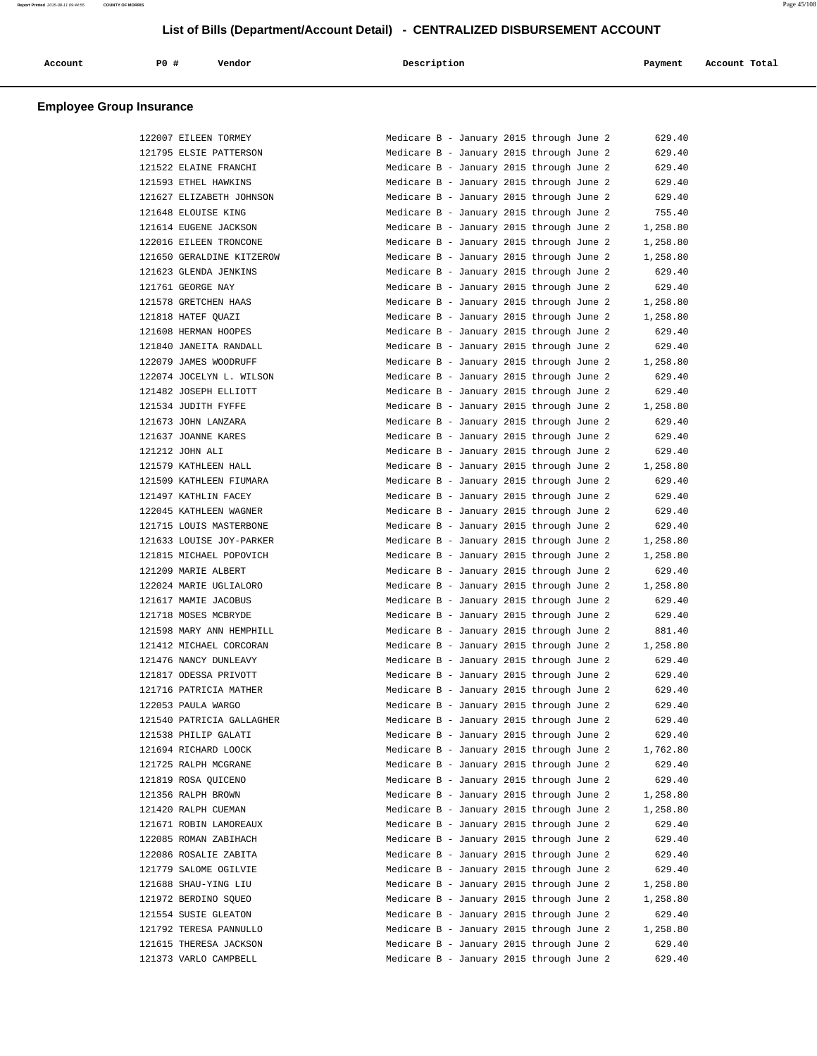| Account | PO# | Vendor | Description   | Payment | Account Total |
|---------|-----|--------|---------------|---------|---------------|
| .       |     |        | $\sim$ $\sim$ |         | .             |
|         |     |        |               |         |               |

|        | 122007 EILEEN TORMEY                            |
|--------|-------------------------------------------------|
|        | 121795 ELSIE PATTERSON                          |
| 121522 | ELAINE FRANCHI                                  |
| 121593 | ETHEL HAWKINS                                   |
|        | 121627 ELIZABETH JOHNSON                        |
|        | 121648 ELOUISE KING                             |
|        | 121614 EUGENE JACKSON                           |
|        | 122016 EILEEN TRONCONE                          |
|        | 121650 GERALDINE KITZEROW                       |
| 121623 | <b>GLENDA JENKINS</b>                           |
|        | 121761 GEORGE NAY                               |
|        | 121578 GRETCHEN HAAS                            |
|        | 121818 HATEF QUAZI                              |
|        | 121608 HERMAN HOOPES                            |
|        | 121840 JANEITA RANDALL                          |
|        | 122079 JAMES WOODRUFF                           |
|        | 122074 JOCELYN L. WILSON                        |
| 121482 | JOSEPH ELLIOTT                                  |
|        | 121534 JUDITH FYFFE                             |
|        | 121673 JOHN LANZARA                             |
|        | 121637 JOANNE KARES                             |
|        | 121212 JOHN ALI                                 |
|        | 121579 KATHLEEN HALL                            |
|        | 121509 KATHLEEN FIUMARA                         |
| 121497 | KATHLIN FACEY                                   |
| 122045 | KATHLEEN WAGNER                                 |
|        | 121715 LOUIS MASTERBONE                         |
|        | 121633 LOUISE JOY-PARKER                        |
|        | 121815 MICHAEL POPOVICH                         |
|        | 121209 MARIE ALBERT                             |
|        | 122024 MARIE UGLIALORO                          |
|        | 121617 MAMIE JACOBUS                            |
| 121718 | MOSES MCBRYDE                                   |
|        | 121598 MARY ANN HEMPHILL                        |
|        | 121412 MICHAEL CORCORAN                         |
|        | 121476 NANCY DUNLEAVY                           |
|        | 121817 ODESSA PRIVOTT                           |
|        | 121716 PATRICIA MATHER                          |
|        | 122053 PAULA WARGO                              |
|        | 121540 PATRICIA GALLAGHER                       |
|        | 121538 PHILIP GALATI                            |
|        | 121694 RICHARD LOOCK                            |
|        | 121725 RALPH MCGRANE                            |
|        | 121819 ROSA QUICENO                             |
|        | 121356 RALPH BROWN                              |
|        | 121420 RALPH CUEMAN                             |
|        | 121671 ROBIN LAMOREAUX<br>122085 ROMAN ZABIHACH |
|        | 122086 ROSALIE ZABITA                           |
|        |                                                 |
|        | 121779 SALOME OGILVIE                           |
|        | 121688 SHAU-YING LIU                            |
|        | 121972 BERDINO SQUEO                            |
|        | 121554 SUSIE GLEATON                            |
|        | 121792 TERESA PANNULLO                          |
|        | 121615 THERESA JACKSON                          |
|        | 121373 VARLO CAMPBELL                           |

| 122007 EILEEN TORMEY      | Medicare B - January 2015 through June 2<br>629.40   |
|---------------------------|------------------------------------------------------|
| 121795 ELSIE PATTERSON    | Medicare B - January 2015 through June 2<br>629.40   |
| 121522 ELAINE FRANCHI     | Medicare B - January 2015 through June 2<br>629.40   |
| 121593 ETHEL HAWKINS      | Medicare B - January 2015 through June 2<br>629.40   |
| 121627 ELIZABETH JOHNSON  | Medicare B - January 2015 through June 2<br>629.40   |
| 121648 ELOUISE KING       | Medicare B - January 2015 through June 2<br>755.40   |
| 121614 EUGENE JACKSON     | Medicare B - January 2015 through June 2<br>1,258.80 |
| 122016 EILEEN TRONCONE    | Medicare B - January 2015 through June 2<br>1,258.80 |
| 121650 GERALDINE KITZEROW | Medicare B - January 2015 through June 2<br>1,258.80 |
| 121623 GLENDA JENKINS     | Medicare B - January 2015 through June 2<br>629.40   |
| 121761 GEORGE NAY         | Medicare B - January 2015 through June 2<br>629.40   |
| 121578 GRETCHEN HAAS      | Medicare B - January 2015 through June 2<br>1,258.80 |
| 121818 HATEF OUAZI        | Medicare B - January 2015 through June 2<br>1,258.80 |
| 121608 HERMAN HOOPES      | Medicare B - January 2015 through June 2<br>629.40   |
| 121840 JANEITA RANDALL    | Medicare B - January 2015 through June 2<br>629.40   |
| 122079 JAMES WOODRUFF     | Medicare B - January 2015 through June 2<br>1,258.80 |
| 122074 JOCELYN L. WILSON  | Medicare B - January 2015 through June 2<br>629.40   |
| 121482 JOSEPH ELLIOTT     | Medicare B - January 2015 through June 2<br>629.40   |
| 121534 JUDITH FYFFE       | Medicare B - January 2015 through June 2<br>1,258.80 |
| 121673 JOHN LANZARA       | Medicare B - January 2015 through June 2<br>629.40   |
| 121637 JOANNE KARES       | Medicare B - January 2015 through June 2<br>629.40   |
| 121212 JOHN ALI           | Medicare B - January 2015 through June 2<br>629.40   |
| 121579 KATHLEEN HALL      | Medicare B - January 2015 through June 2<br>1,258.80 |
| 121509 KATHLEEN FIUMARA   | Medicare B - January 2015 through June 2<br>629.40   |
| 121497 KATHLIN FACEY      | Medicare B - January 2015 through June 2<br>629.40   |
| 122045 KATHLEEN WAGNER    | Medicare B - January 2015 through June 2<br>629.40   |
| 121715 LOUIS MASTERBONE   | Medicare B - January 2015 through June 2<br>629.40   |
| 121633 LOUISE JOY-PARKER  | Medicare B - January 2015 through June 2<br>1,258.80 |
| 121815 MICHAEL POPOVICH   | Medicare B - January 2015 through June 2<br>1,258.80 |
| 121209 MARIE ALBERT       | Medicare B - January 2015 through June 2<br>629.40   |
| 122024 MARIE UGLIALORO    | Medicare B - January 2015 through June 2<br>1,258.80 |
| 121617 MAMIE JACOBUS      | 629.40<br>Medicare B - January 2015 through June 2   |
| 121718 MOSES MCBRYDE      | Medicare B - January 2015 through June 2<br>629.40   |
| 121598 MARY ANN HEMPHILL  | Medicare B - January 2015 through June 2<br>881.40   |
| 121412 MICHAEL CORCORAN   | Medicare B - January 2015 through June 2<br>1,258.80 |
| 121476 NANCY DUNLEAVY     | Medicare B - January 2015 through June 2<br>629.40   |
| 121817 ODESSA PRIVOTT     | Medicare B - January 2015 through June 2<br>629.40   |
| 121716 PATRICIA MATHER    | Medicare B - January 2015 through June 2<br>629.40   |
| 122053 PAULA WARGO        | Medicare B - January 2015 through June 2<br>629.40   |
| 121540 PATRICIA GALLAGHER | Medicare B - January 2015 through June 2<br>629.40   |
| 121538 PHILIP GALATI      | Medicare B - January 2015 through June 2<br>629.40   |
| 121694 RICHARD LOOCK      | Medicare B - January 2015 through June 2<br>1,762.80 |
| 121725 RALPH MCGRANE      | Medicare B - January 2015 through June 2<br>629.40   |
| 121819 ROSA QUICENO       | Medicare B - January 2015 through June 2<br>629.40   |
| 121356 RALPH BROWN        | Medicare B - January 2015 through June 2<br>1,258.80 |
| 121420 RALPH CUEMAN       | Medicare B - January 2015 through June 2<br>1,258.80 |
| 121671 ROBIN LAMOREAUX    | Medicare B - January 2015 through June 2<br>629.40   |
| 122085 ROMAN ZABIHACH     | Medicare B - January 2015 through June 2<br>629.40   |
| 122086 ROSALIE ZABITA     | Medicare B - January 2015 through June 2<br>629.40   |
| 121779 SALOME OGILVIE     | Medicare B - January 2015 through June 2<br>629.40   |
| 121688 SHAU-YING LIU      | Medicare B - January 2015 through June 2<br>1,258.80 |
| 121972 BERDINO SQUEO      | Medicare B - January 2015 through June 2<br>1,258.80 |
| 121554 SUSIE GLEATON      | Medicare B - January 2015 through June 2<br>629.40   |
| 121792 TERESA PANNULLO    | Medicare B - January 2015 through June 2<br>1,258.80 |
| 121615 THERESA JACKSON    | Medicare B - January 2015 through June 2<br>629.40   |
| 121373 VARLO CAMPBELL     | 629.40<br>Medicare B - January 2015 through June 2   |
|                           |                                                      |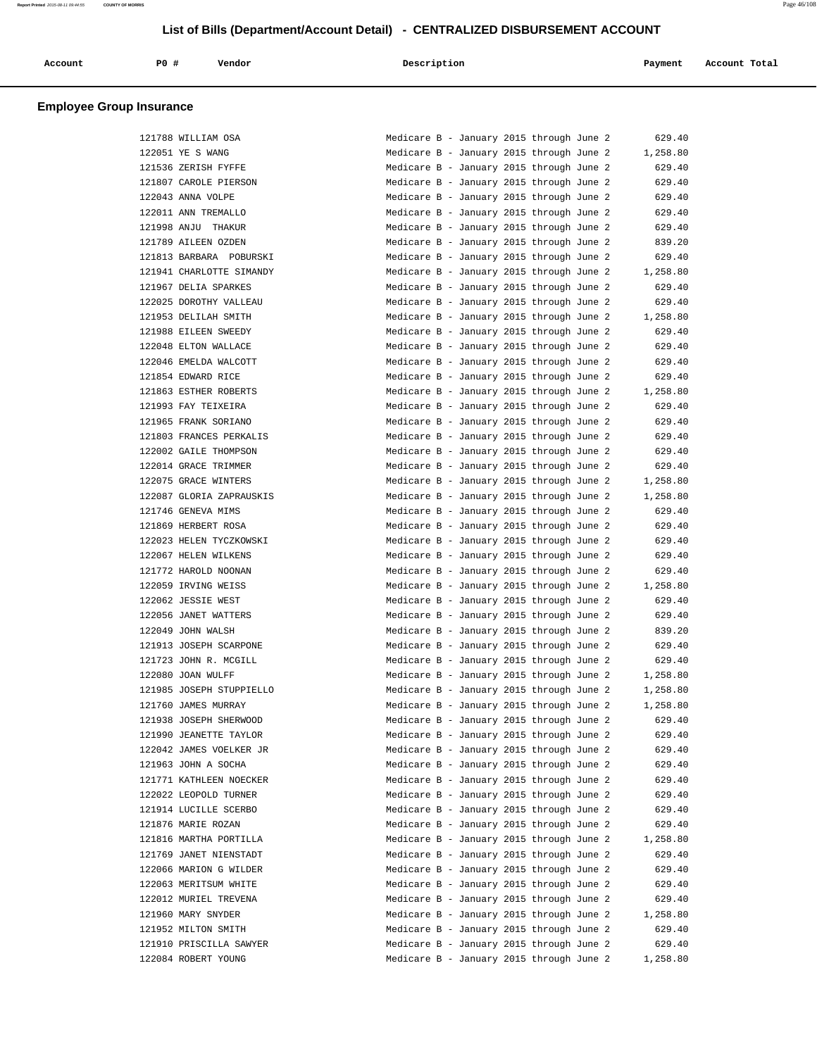| Account<br>. | <b>PO #</b> | Vendor | Description | Payment | Account Total |
|--------------|-------------|--------|-------------|---------|---------------|
|              |             |        |             |         |               |

|  | 121788 WILLIAM OSA       |
|--|--------------------------|
|  | 122051 YE S WANG         |
|  | 121536 ZERISH FYFFE      |
|  | 121807 CAROLE PIERSON    |
|  | 122043 ANNA VOLPE        |
|  | 122011 ANN TREMALLO      |
|  | 121998 ANJU THAKUR       |
|  | 121789 AILEEN OZDEN      |
|  | 121813 BARBARA POBURSKI  |
|  | 121941 CHARLOTTE SIMANDY |
|  | 121967 DELIA SPARKES     |
|  | 122025 DOROTHY VALLEAU   |
|  | 121953 DELILAH SMITH     |
|  | 121988 EILEEN SWEEDY     |
|  |                          |
|  | 122048 ELTON WALLACE     |
|  | 122046 EMELDA WALCOTT    |
|  | 121854 EDWARD RICE       |
|  | 121863 ESTHER ROBERTS    |
|  | 121993 FAY TEIXEIRA      |
|  | 121965 FRANK SORIANO     |
|  | 121803 FRANCES PERKALIS  |
|  | 122002 GAILE THOMPSON    |
|  | 122014 GRACE TRIMMER     |
|  | 122075 GRACE WINTERS     |
|  | 122087 GLORIA ZAPRAUSKIS |
|  | 121746 GENEVA MIMS       |
|  | 121869 HERBERT ROSA      |
|  | 122023 HELEN TYCZKOWSKI  |
|  | 122067 HELEN WILKENS     |
|  | 121772 HAROLD NOONAN     |
|  | 122059 IRVING WEISS      |
|  | 122062 JESSIE WEST       |
|  | 122056 JANET WATTERS     |
|  | 122049 JOHN WALSH        |
|  | 121913 JOSEPH SCARPONE   |
|  | 121723 JOHN R. MCGILL    |
|  | 122080 JOAN WULFF        |
|  | 121985 JOSEPH STUPPIELLO |
|  | 121760 JAMES MURRAY      |
|  | 121938 JOSEPH SHERWOOD   |
|  | 121990 JEANETTE TAYLOR   |
|  | 122042 JAMES VOELKER JR  |
|  | 121963 JOHN A SOCHA      |
|  | 121771 KATHLEEN NOECKER  |
|  | 122022 LEOPOLD TURNER    |
|  | 121914 LUCILLE SCERBO    |
|  | 121876 MARIE ROZAN       |
|  | 121816 MARTHA PORTILLA   |
|  | 121769 JANET NIENSTADT   |
|  | 122066 MARION G WILDER   |
|  | 122063 MERITSUM WHITE    |
|  | 122012 MURIEL TREVENA    |
|  | 121960 MARY SNYDER       |
|  | 121952 MILTON SMITH      |
|  | 121910 PRISCILLA SAWYER  |
|  | 122084 ROBERT YOUNG      |

| 121788 WILLIAM OSA       | Medicare B - January 2015 through June 2 |  |  |  | 629.40   |
|--------------------------|------------------------------------------|--|--|--|----------|
| 122051 YE S WANG         | Medicare B - January 2015 through June 2 |  |  |  | 1,258.80 |
| 121536 ZERISH FYFFE      | Medicare B - January 2015 through June 2 |  |  |  | 629.40   |
| 121807 CAROLE PIERSON    | Medicare B - January 2015 through June 2 |  |  |  | 629.40   |
| 122043 ANNA VOLPE        | Medicare B - January 2015 through June 2 |  |  |  | 629.40   |
| 122011 ANN TREMALLO      | Medicare B - January 2015 through June 2 |  |  |  | 629.40   |
| 121998 ANJU THAKUR       | Medicare B - January 2015 through June 2 |  |  |  | 629.40   |
| 121789 AILEEN OZDEN      | Medicare B - January 2015 through June 2 |  |  |  | 839.20   |
| 121813 BARBARA POBURSKI  | Medicare B - January 2015 through June 2 |  |  |  | 629.40   |
| 121941 CHARLOTTE SIMANDY | Medicare B - January 2015 through June 2 |  |  |  | 1,258.80 |
| 121967 DELIA SPARKES     | Medicare B - January 2015 through June 2 |  |  |  | 629.40   |
| 122025 DOROTHY VALLEAU   | Medicare B - January 2015 through June 2 |  |  |  | 629.40   |
| 121953 DELILAH SMITH     | Medicare B - January 2015 through June 2 |  |  |  | 1,258.80 |
| 121988 EILEEN SWEEDY     | Medicare B - January 2015 through June 2 |  |  |  | 629.40   |
| 122048 ELTON WALLACE     | Medicare B - January 2015 through June 2 |  |  |  | 629.40   |
| 122046 EMELDA WALCOTT    | Medicare B - January 2015 through June 2 |  |  |  | 629.40   |
| 121854 EDWARD RICE       | Medicare B - January 2015 through June 2 |  |  |  | 629.40   |
| 121863 ESTHER ROBERTS    | Medicare B - January 2015 through June 2 |  |  |  | 1,258.80 |
| 121993 FAY TEIXEIRA      | Medicare B - January 2015 through June 2 |  |  |  | 629.40   |
| 121965 FRANK SORIANO     | Medicare B - January 2015 through June 2 |  |  |  | 629.40   |
| 121803 FRANCES PERKALIS  | Medicare B - January 2015 through June 2 |  |  |  |          |
|                          | Medicare B - January 2015 through June 2 |  |  |  | 629.40   |
| 122002 GAILE THOMPSON    |                                          |  |  |  | 629.40   |
| 122014 GRACE TRIMMER     | Medicare B - January 2015 through June 2 |  |  |  | 629.40   |
| 122075 GRACE WINTERS     | Medicare B - January 2015 through June 2 |  |  |  | 1,258.80 |
| 122087 GLORIA ZAPRAUSKIS | Medicare B - January 2015 through June 2 |  |  |  | 1,258.80 |
| 121746 GENEVA MIMS       | Medicare B - January 2015 through June 2 |  |  |  | 629.40   |
| 121869 HERBERT ROSA      | Medicare B - January 2015 through June 2 |  |  |  | 629.40   |
| 122023 HELEN TYCZKOWSKI  | Medicare B - January 2015 through June 2 |  |  |  | 629.40   |
| 122067 HELEN WILKENS     | Medicare B - January 2015 through June 2 |  |  |  | 629.40   |
| 121772 HAROLD NOONAN     | Medicare B - January 2015 through June 2 |  |  |  | 629.40   |
| 122059 IRVING WEISS      | Medicare B - January 2015 through June 2 |  |  |  | 1,258.80 |
| 122062 JESSIE WEST       | Medicare B - January 2015 through June 2 |  |  |  | 629.40   |
| 122056 JANET WATTERS     | Medicare B - January 2015 through June 2 |  |  |  | 629.40   |
| 122049 JOHN WALSH        | Medicare B - January 2015 through June 2 |  |  |  | 839.20   |
| 121913 JOSEPH SCARPONE   | Medicare B - January 2015 through June 2 |  |  |  | 629.40   |
| 121723 JOHN R. MCGILL    | Medicare B - January 2015 through June 2 |  |  |  | 629.40   |
| 122080 JOAN WULFF        | Medicare B - January 2015 through June 2 |  |  |  | 1,258.80 |
| 121985 JOSEPH STUPPIELLO | Medicare B - January 2015 through June 2 |  |  |  | 1,258.80 |
| 121760 JAMES MURRAY      | Medicare B - January 2015 through June 2 |  |  |  | 1,258.80 |
| 121938 JOSEPH SHERWOOD   | Medicare B - January 2015 through June 2 |  |  |  | 629.40   |
| 121990 JEANETTE TAYLOR   | Medicare B - January 2015 through June 2 |  |  |  | 629.40   |
| 122042 JAMES VOELKER JR  | Medicare B - January 2015 through June 2 |  |  |  | 629.40   |
| 121963 JOHN A SOCHA      | Medicare B - January 2015 through June 2 |  |  |  | 629.40   |
| 121771 KATHLEEN NOECKER  | Medicare B - January 2015 through June 2 |  |  |  | 629.40   |
| 122022 LEOPOLD TURNER    | Medicare B - January 2015 through June 2 |  |  |  | 629.40   |
| 121914 LUCILLE SCERBO    | Medicare B - January 2015 through June 2 |  |  |  | 629.40   |
| 121876 MARIE ROZAN       | Medicare B - January 2015 through June 2 |  |  |  | 629.40   |
| 121816 MARTHA PORTILLA   | Medicare B - January 2015 through June 2 |  |  |  | 1,258.80 |
| 121769 JANET NIENSTADT   | Medicare B - January 2015 through June 2 |  |  |  | 629.40   |
| 122066 MARION G WILDER   | Medicare B - January 2015 through June 2 |  |  |  | 629.40   |
| 122063 MERITSUM WHITE    | Medicare B - January 2015 through June 2 |  |  |  | 629.40   |
| 122012 MURIEL TREVENA    | Medicare B - January 2015 through June 2 |  |  |  | 629.40   |
| 121960 MARY SNYDER       | Medicare B - January 2015 through June 2 |  |  |  | 1,258.80 |
| 121952 MILTON SMITH      | Medicare B - January 2015 through June 2 |  |  |  | 629.40   |
| 121910 PRISCILLA SAWYER  | Medicare B - January 2015 through June 2 |  |  |  | 629.40   |
| 122084 ROBERT YOUNG      | Medicare B - January 2015 through June 2 |  |  |  | 1,258.80 |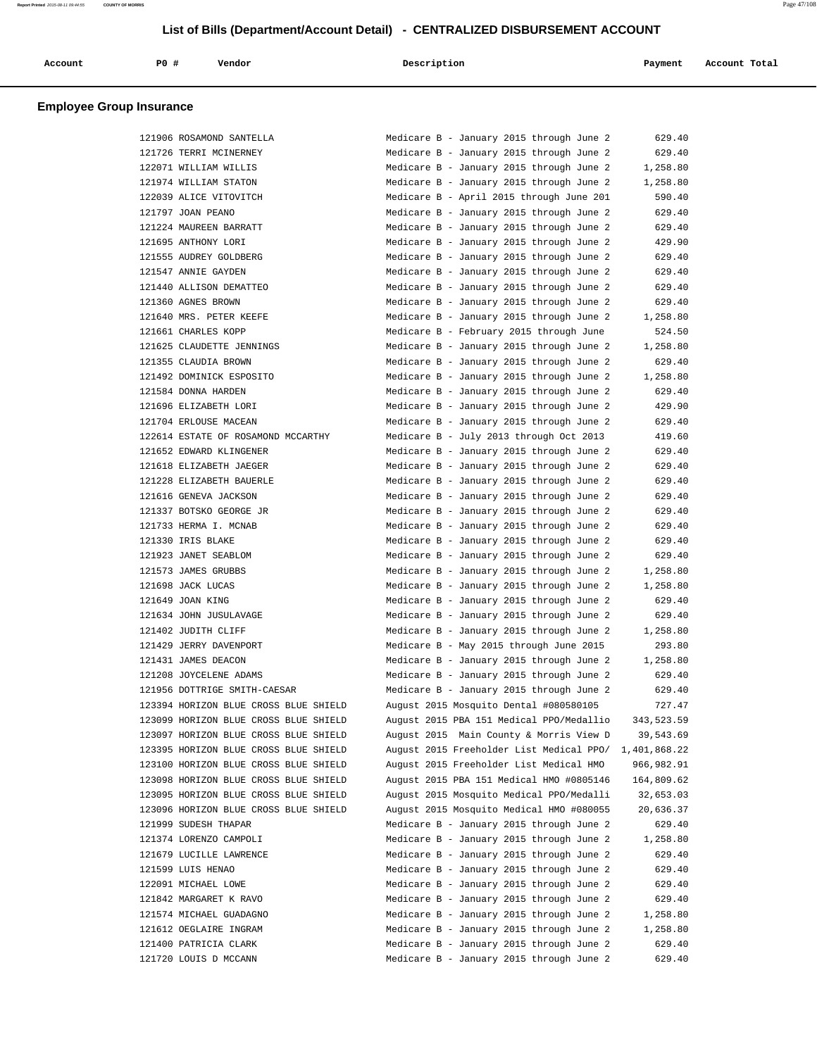| Account | P0 # | Vendor | Description | Payment | Account Total |
|---------|------|--------|-------------|---------|---------------|
|         |      |        |             |         |               |

| 121906 ROSAMOND SANTELLA              | Medicare B - January 2015 through June 2 | 629.40       |
|---------------------------------------|------------------------------------------|--------------|
| 121726 TERRI MCINERNEY                | Medicare B - January 2015 through June 2 | 629.40       |
| 122071 WILLIAM WILLIS                 | Medicare B - January 2015 through June 2 | 1,258.80     |
| 121974 WILLIAM STATON                 | Medicare B - January 2015 through June 2 | 1,258.80     |
| 122039 ALICE VITOVITCH                | Medicare B - April 2015 through June 201 | 590.40       |
| 121797 JOAN PEANO                     | Medicare B - January 2015 through June 2 | 629.40       |
| 121224 MAUREEN BARRATT                | Medicare B - January 2015 through June 2 | 629.40       |
| 121695 ANTHONY LORI                   | Medicare B - January 2015 through June 2 | 429.90       |
| 121555 AUDREY GOLDBERG                | Medicare B - January 2015 through June 2 | 629.40       |
| 121547 ANNIE GAYDEN                   | Medicare B - January 2015 through June 2 | 629.40       |
| 121440 ALLISON DEMATTEO               | Medicare B - January 2015 through June 2 | 629.40       |
| 121360 AGNES BROWN                    | Medicare B - January 2015 through June 2 | 629.40       |
| 121640 MRS. PETER KEEFE               | Medicare B - January 2015 through June 2 | 1,258.80     |
| 121661 CHARLES KOPP                   | Medicare B - February 2015 through June  | 524.50       |
| 121625 CLAUDETTE JENNINGS             | Medicare B - January 2015 through June 2 | 1,258.80     |
| 121355 CLAUDIA BROWN                  | Medicare B - January 2015 through June 2 | 629.40       |
| 121492 DOMINICK ESPOSITO              | Medicare B - January 2015 through June 2 | 1,258.80     |
| 121584 DONNA HARDEN                   | Medicare B - January 2015 through June 2 | 629.40       |
| 121696 ELIZABETH LORI                 | Medicare B - January 2015 through June 2 | 429.90       |
| 121704 ERLOUSE MACEAN                 | Medicare B - January 2015 through June 2 | 629.40       |
| 122614 ESTATE OF ROSAMOND MCCARTHY    | Medicare B - July 2013 through Oct 2013  | 419.60       |
| 121652 EDWARD KLINGENER               | Medicare B - January 2015 through June 2 | 629.40       |
| 121618 ELIZABETH JAEGER               | Medicare B - January 2015 through June 2 | 629.40       |
| 121228 ELIZABETH BAUERLE              | Medicare B - January 2015 through June 2 | 629.40       |
| 121616 GENEVA JACKSON                 | Medicare B - January 2015 through June 2 | 629.40       |
| 121337 BOTSKO GEORGE JR               | Medicare B - January 2015 through June 2 | 629.40       |
| 121733 HERMA I. MCNAB                 | Medicare B - January 2015 through June 2 | 629.40       |
| 121330 IRIS BLAKE                     | Medicare B - January 2015 through June 2 | 629.40       |
| 121923 JANET SEABLOM                  | Medicare B - January 2015 through June 2 | 629.40       |
| 121573 JAMES GRUBBS                   | Medicare B - January 2015 through June 2 | 1,258.80     |
| 121698 JACK LUCAS                     | Medicare B - January 2015 through June 2 | 1,258.80     |
| 121649 JOAN KING                      | Medicare B - January 2015 through June 2 | 629.40       |
| 121634 JOHN JUSULAVAGE                | Medicare B - January 2015 through June 2 | 629.40       |
| 121402 JUDITH CLIFF                   | Medicare B - January 2015 through June 2 | 1,258.80     |
| 121429 JERRY DAVENPORT                | Medicare B - May 2015 through June 2015  | 293.80       |
| 121431 JAMES DEACON                   | Medicare B - January 2015 through June 2 | 1,258.80     |
| 121208 JOYCELENE ADAMS                | Medicare B - January 2015 through June 2 | 629.40       |
| 121956 DOTTRIGE SMITH-CAESAR          | Medicare B - January 2015 through June 2 | 629.40       |
| 123394 HORIZON BLUE CROSS BLUE SHIELD | August 2015 Mosquito Dental #080580105   | 727.47       |
| 123099 HORIZON BLUE CROSS BLUE SHIELD | August 2015 PBA 151 Medical PPO/Medallio | 343,523.59   |
| 123097 HORIZON BLUE CROSS BLUE SHIELD | August 2015 Main County & Morris View D  | 39,543.69    |
| 123395 HORIZON BLUE CROSS BLUE SHIELD | August 2015 Freeholder List Medical PPO/ | 1,401,868.22 |
| 123100 HORIZON BLUE CROSS BLUE SHIELD | August 2015 Freeholder List Medical HMO  | 966,982.91   |
| 123098 HORIZON BLUE CROSS BLUE SHIELD | August 2015 PBA 151 Medical HMO #0805146 | 164,809.62   |
| 123095 HORIZON BLUE CROSS BLUE SHIELD | August 2015 Mosquito Medical PPO/Medalli | 32,653.03    |
| 123096 HORIZON BLUE CROSS BLUE SHIELD | August 2015 Mosquito Medical HMO #080055 | 20,636.37    |
| 121999 SUDESH THAPAR                  | Medicare B - January 2015 through June 2 | 629.40       |
| 121374 LORENZO CAMPOLI                | Medicare B - January 2015 through June 2 | 1,258.80     |
| 121679 LUCILLE LAWRENCE               | Medicare B - January 2015 through June 2 | 629.40       |
| 121599 LUIS HENAO                     | Medicare B - January 2015 through June 2 | 629.40       |
| 122091 MICHAEL LOWE                   | Medicare B - January 2015 through June 2 | 629.40       |
| 121842 MARGARET K RAVO                | Medicare B - January 2015 through June 2 | 629.40       |
| 121574 MICHAEL GUADAGNO               | Medicare B - January 2015 through June 2 | 1,258.80     |
| 121612 OEGLAIRE INGRAM                | Medicare B - January 2015 through June 2 | 1,258.80     |
| 121400 PATRICIA CLARK                 | Medicare B - January 2015 through June 2 | 629.40       |
| 121720 LOUIS D MCCANN                 | Medicare B - January 2015 through June 2 | 629.40       |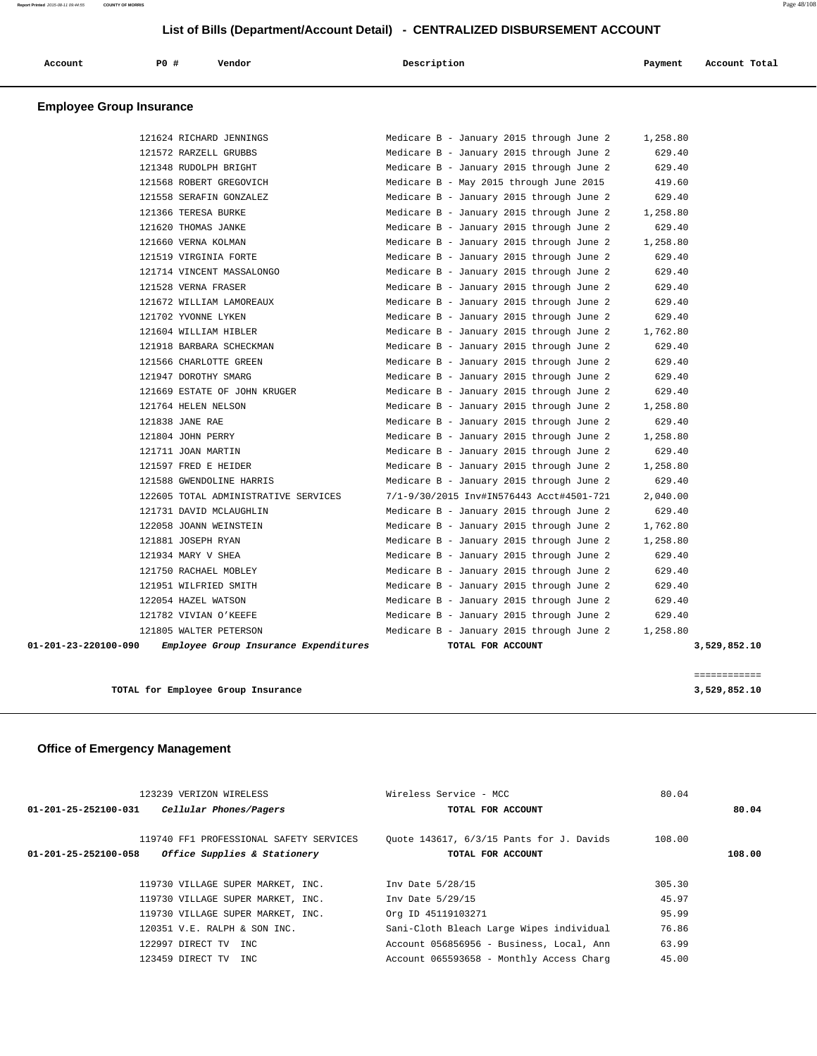| Account                         | PO# | Vendor | Description | Payment | Account Total |
|---------------------------------|-----|--------|-------------|---------|---------------|
| <b>Employee Group Insurance</b> |     |        |             |         |               |

| 01-201-23-220100-090 | Employee Group Insurance Expenditures | TOTAL FOR ACCOUNT |                                          |          | 3,529,852.10 |
|----------------------|---------------------------------------|-------------------|------------------------------------------|----------|--------------|
|                      | 121805 WALTER PETERSON                |                   | Medicare B - January 2015 through June 2 | 1,258.80 |              |
|                      | 121782 VIVIAN O'KEEFE                 |                   | Medicare B - January 2015 through June 2 | 629.40   |              |
|                      | 122054 HAZEL WATSON                   |                   | Medicare B - January 2015 through June 2 | 629.40   |              |
|                      | 121951 WILFRIED SMITH                 |                   | Medicare B - January 2015 through June 2 | 629.40   |              |
|                      | 121750 RACHAEL MOBLEY                 |                   | Medicare B - January 2015 through June 2 | 629.40   |              |
|                      | 121934 MARY V SHEA                    |                   | Medicare B - January 2015 through June 2 | 629.40   |              |
|                      | 121881 JOSEPH RYAN                    |                   | Medicare B - January 2015 through June 2 | 1,258.80 |              |
|                      | 122058 JOANN WEINSTEIN                |                   | Medicare B - January 2015 through June 2 | 1,762.80 |              |
|                      | 121731 DAVID MCLAUGHLIN               |                   | Medicare B - January 2015 through June 2 | 629.40   |              |
|                      | 122605 TOTAL ADMINISTRATIVE SERVICES  |                   | 7/1-9/30/2015 Inv#IN576443 Acct#4501-721 | 2,040.00 |              |
|                      | 121588 GWENDOLINE HARRIS              |                   | Medicare B - January 2015 through June 2 | 629.40   |              |
|                      | 121597 FRED E HEIDER                  |                   | Medicare B - January 2015 through June 2 | 1,258.80 |              |
|                      | 121711 JOAN MARTIN                    |                   | Medicare B - January 2015 through June 2 | 629.40   |              |
|                      | 121804 JOHN PERRY                     |                   | Medicare B - January 2015 through June 2 | 1,258.80 |              |
|                      | 121838 JANE RAE                       |                   | Medicare B - January 2015 through June 2 | 629.40   |              |
|                      | 121764 HELEN NELSON                   |                   | Medicare B - January 2015 through June 2 | 1,258.80 |              |
|                      | 121669 ESTATE OF JOHN KRUGER          |                   | Medicare B - January 2015 through June 2 | 629.40   |              |
|                      | 121947 DOROTHY SMARG                  |                   | Medicare B - January 2015 through June 2 | 629.40   |              |
|                      | 121566 CHARLOTTE GREEN                |                   | Medicare B - January 2015 through June 2 | 629.40   |              |
|                      | 121918 BARBARA SCHECKMAN              |                   | Medicare B - January 2015 through June 2 | 629.40   |              |
|                      | 121604 WILLIAM HIBLER                 |                   | Medicare B - January 2015 through June 2 | 1,762.80 |              |
|                      | 121702 YVONNE LYKEN                   |                   | Medicare B - January 2015 through June 2 | 629.40   |              |
|                      | 121672 WILLIAM LAMOREAUX              |                   | Medicare B - January 2015 through June 2 | 629.40   |              |
|                      | 121528 VERNA FRASER                   |                   | Medicare B - January 2015 through June 2 | 629.40   |              |
|                      | 121714 VINCENT MASSALONGO             |                   | Medicare B - January 2015 through June 2 | 629.40   |              |
|                      | 121519 VIRGINIA FORTE                 |                   | Medicare B - January 2015 through June 2 | 629.40   |              |
|                      | 121660 VERNA KOLMAN                   |                   | Medicare B - January 2015 through June 2 | 1,258.80 |              |
|                      | 121620 THOMAS JANKE                   |                   | Medicare B - January 2015 through June 2 | 629.40   |              |
|                      | 121366 TERESA BURKE                   |                   | Medicare B - January 2015 through June 2 | 1,258.80 |              |
|                      | 121558 SERAFIN GONZALEZ               |                   | Medicare B - January 2015 through June 2 | 629.40   |              |
|                      | 121568 ROBERT GREGOVICH               |                   | Medicare B - May 2015 through June 2015  | 419.60   |              |
|                      | 121348 RUDOLPH BRIGHT                 |                   | Medicare B - January 2015 through June 2 | 629.40   |              |
|                      | 121572 RARZELL GRUBBS                 |                   | Medicare B - January 2015 through June 2 | 629.40   |              |
|                      | 121624 RICHARD JENNINGS               |                   | Medicare B - January 2015 through June 2 | 1,258.80 |              |

**TOTAL for Employee Group Insurance 3,529,852.10**

============

## **Office of Emergency Management**

| 123239 VERIZON WIRELESS                                        | Wireless Service - MCC                   | 80.04  |        |
|----------------------------------------------------------------|------------------------------------------|--------|--------|
| $01 - 201 - 25 - 252100 - 031$<br>Cellular Phones/Pagers       | TOTAL FOR ACCOUNT                        |        | 80.04  |
| 119740 FF1 PROFESSIONAL SAFETY SERVICES                        | Quote 143617, 6/3/15 Pants for J. Davids | 108.00 |        |
| Office Supplies & Stationery<br>$01 - 201 - 25 - 252100 - 058$ | TOTAL FOR ACCOUNT                        |        | 108.00 |
| 119730 VILLAGE SUPER MARKET, INC.                              | Inv Date 5/28/15                         | 305.30 |        |
| 119730 VILLAGE SUPER MARKET, INC.                              | Inv Date 5/29/15                         | 45.97  |        |
| 119730 VILLAGE SUPER MARKET, INC.                              | Org ID 45119103271                       | 95.99  |        |
| $120351$ V.E. RALPH & SON INC.                                 | Sani-Cloth Bleach Large Wipes individual | 76.86  |        |
| 122997 DIRECT TV<br>TNC.                                       | Account 056856956 - Business, Local, Ann | 63.99  |        |
| 123459 DIRECT TV<br>TNC.                                       | Account 065593658 - Monthly Access Charg | 45.00  |        |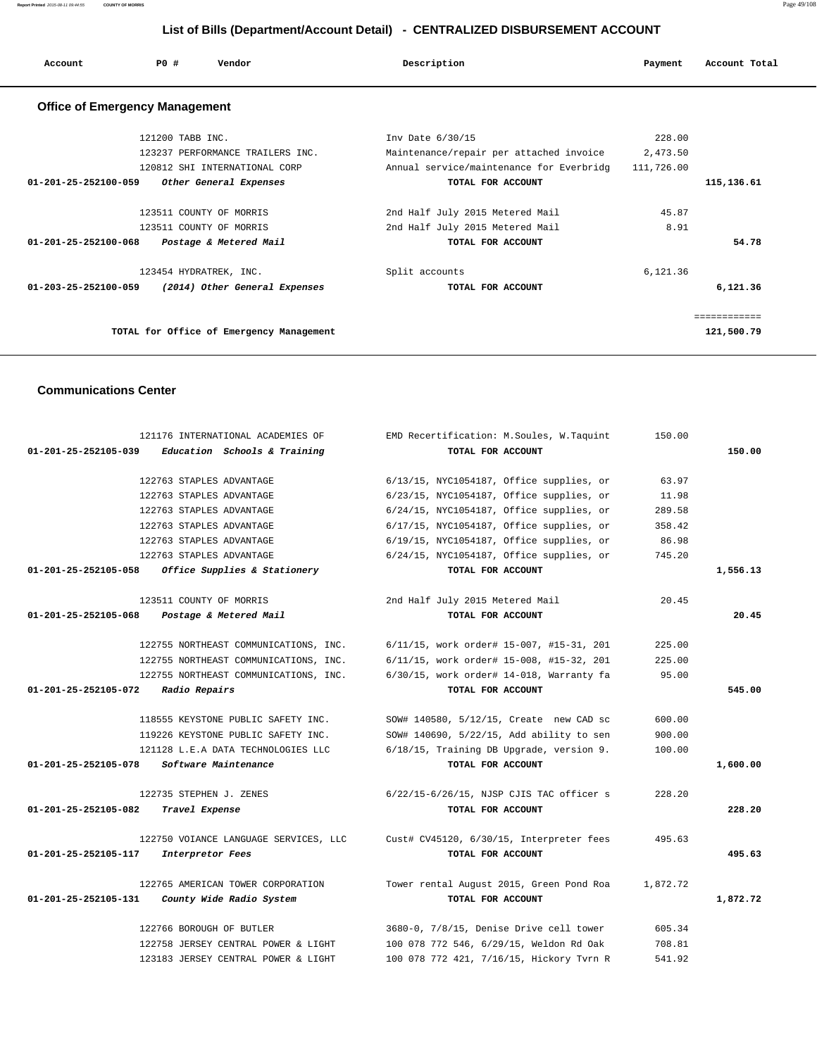**Report Printed** 2015-08-11 09:44:55 **COUNTY OF MORRIS** Page 49/108

## **List of Bills (Department/Account Detail) - CENTRALIZED DISBURSEMENT ACCOUNT**

| Account                               | PO#              | Vendor                                                                       | Description                                                                                                        | Payment            | Account Total              |
|---------------------------------------|------------------|------------------------------------------------------------------------------|--------------------------------------------------------------------------------------------------------------------|--------------------|----------------------------|
| <b>Office of Emergency Management</b> |                  |                                                                              |                                                                                                                    |                    |                            |
|                                       | 121200 TABB INC. | 123237 PERFORMANCE TRAILERS INC.<br>120812 SHI INTERNATIONAL CORP            | Inv Date 6/30/15<br>Maintenance/repair per attached invoice<br>Annual service/maintenance for Everbridg 111,726.00 | 228.00<br>2,473.50 |                            |
| $01 - 201 - 25 - 252100 - 059$        |                  | Other General Expenses                                                       | TOTAL FOR ACCOUNT                                                                                                  |                    | 115,136.61                 |
|                                       |                  | 123511 COUNTY OF MORRIS<br>123511 COUNTY OF MORRIS                           | 2nd Half July 2015 Metered Mail<br>2nd Half July 2015 Metered Mail                                                 | 45.87<br>8.91      |                            |
| 01-201-25-252100-068                  |                  | Postage & Metered Mail                                                       | TOTAL FOR ACCOUNT                                                                                                  |                    | 54.78                      |
|                                       |                  | 123454 HYDRATREK, INC.<br>01-203-25-252100-059 (2014) Other General Expenses | Split accounts<br>TOTAL FOR ACCOUNT                                                                                | 6,121.36           | 6,121.36                   |
|                                       |                  | TOTAL for Office of Emergency Management                                     |                                                                                                                    |                    | ------------<br>121,500.79 |

## **Communications Center**

|          | 150.00   | EMD Recertification: M.Soules, W.Taquint    | 121176 INTERNATIONAL ACADEMIES OF                    |
|----------|----------|---------------------------------------------|------------------------------------------------------|
| 150.00   |          | TOTAL FOR ACCOUNT                           | 01-201-25-252105-039<br>Education Schools & Training |
|          |          |                                             |                                                      |
|          | 63.97    | $6/13/15$ , NYC1054187, Office supplies, or | 122763 STAPLES ADVANTAGE                             |
|          | 11.98    | 6/23/15, NYC1054187, Office supplies, or    | 122763 STAPLES ADVANTAGE                             |
|          | 289.58   | $6/24/15$ , NYC1054187, Office supplies, or | 122763 STAPLES ADVANTAGE                             |
|          | 358.42   | 6/17/15, NYC1054187, Office supplies, or    | 122763 STAPLES ADVANTAGE                             |
|          | 86.98    | 6/19/15, NYC1054187, Office supplies, or    | 122763 STAPLES ADVANTAGE                             |
|          | 745.20   | $6/24/15$ , NYC1054187, Office supplies, or | 122763 STAPLES ADVANTAGE                             |
| 1,556.13 |          | TOTAL FOR ACCOUNT                           | 01-201-25-252105-058<br>Office Supplies & Stationery |
|          | 20.45    | 2nd Half July 2015 Metered Mail             | 123511 COUNTY OF MORRIS                              |
| 20.45    |          | TOTAL FOR ACCOUNT                           | 01-201-25-252105-068<br>Postage & Metered Mail       |
|          | 225.00   | 6/11/15, work order# 15-007, #15-31, 201    | 122755 NORTHEAST COMMUNICATIONS, INC.                |
|          | 225.00   | 6/11/15, work order# 15-008, #15-32, 201    | 122755 NORTHEAST COMMUNICATIONS, INC.                |
|          | 95.00    | $6/30/15$ , work order# 14-018, Warranty fa | 122755 NORTHEAST COMMUNICATIONS, INC.                |
| 545.00   |          | TOTAL FOR ACCOUNT                           | <i>Radio Repairs</i><br>01-201-25-252105-072         |
|          |          |                                             |                                                      |
|          | 600.00   | SOW# 140580, 5/12/15, Create new CAD sc     | 118555 KEYSTONE PUBLIC SAFETY INC.                   |
|          | 900.00   | SOW# 140690, 5/22/15, Add ability to sen    | 119226 KEYSTONE PUBLIC SAFETY INC.                   |
|          | 100.00   | 6/18/15, Training DB Upgrade, version 9.    | 121128 L.E.A DATA TECHNOLOGIES LLC                   |
| 1,600.00 |          | TOTAL FOR ACCOUNT                           | 01-201-25-252105-078<br>Software Maintenance         |
|          | 228.20   | 6/22/15-6/26/15, NJSP CJIS TAC officer s    | 122735 STEPHEN J. ZENES                              |
| 228.20   |          | TOTAL FOR ACCOUNT                           | 01-201-25-252105-082<br>Travel Expense               |
|          | 495.63   | Cust# CV45120, 6/30/15, Interpreter fees    | 122750 VOIANCE LANGUAGE SERVICES, LLC                |
| 495.63   |          | TOTAL FOR ACCOUNT                           | Interpretor Fees<br>01-201-25-252105-117             |
|          |          |                                             |                                                      |
|          | 1,872.72 | Tower rental August 2015, Green Pond Roa    | 122765 AMERICAN TOWER CORPORATION                    |
| 1,872.72 |          | TOTAL FOR ACCOUNT                           | 01-201-25-252105-131<br>County Wide Radio System     |
|          | 605.34   | 3680-0, 7/8/15, Denise Drive cell tower     | 122766 BOROUGH OF BUTLER                             |
|          | 708.81   | 100 078 772 546, 6/29/15, Weldon Rd Oak     | 122758 JERSEY CENTRAL POWER & LIGHT                  |
|          | 541.92   | 100 078 772 421, 7/16/15, Hickory Tvrn R    | 123183 JERSEY CENTRAL POWER & LIGHT                  |
|          |          |                                             |                                                      |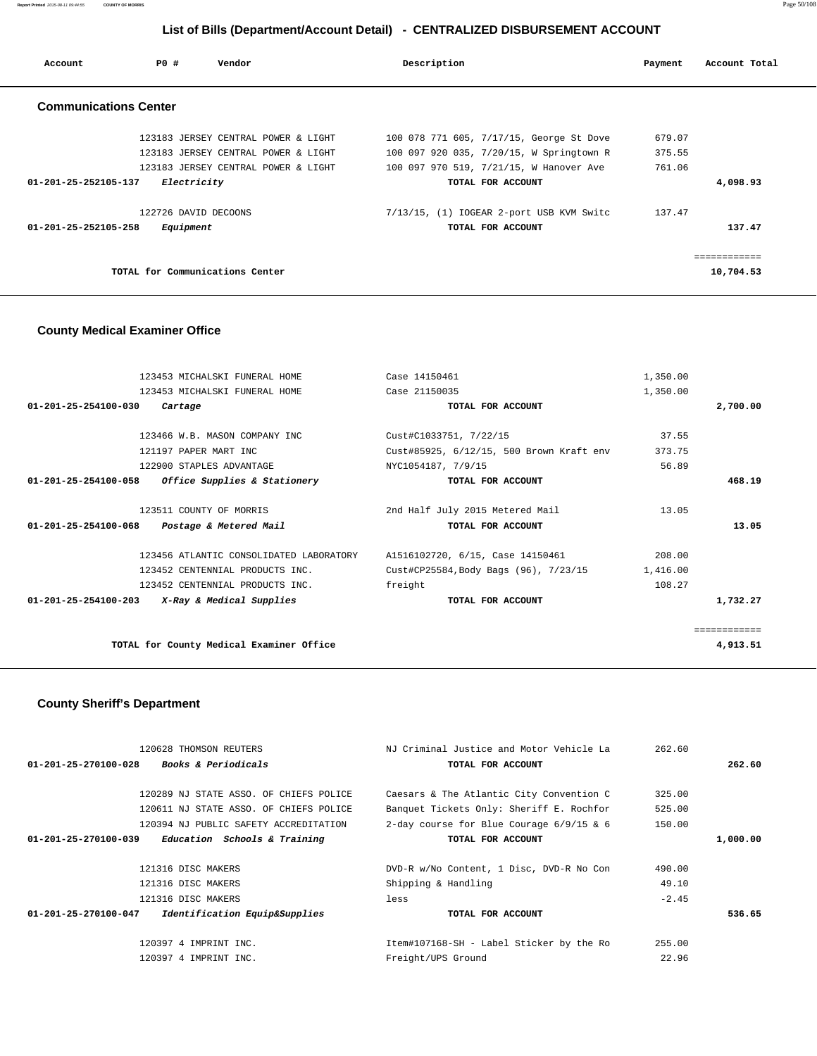**Report Printed** 2015-08-11 09:44:55 **COUNTY OF MORRIS** Page 50/108

# **List of Bills (Department/Account Detail) - CENTRALIZED DISBURSEMENT ACCOUNT**

| Account                        | PO#                  | Vendor                              | Description                              | Payment | Account Total |
|--------------------------------|----------------------|-------------------------------------|------------------------------------------|---------|---------------|
| <b>Communications Center</b>   |                      |                                     |                                          |         |               |
|                                |                      | 123183 JERSEY CENTRAL POWER & LIGHT | 100 078 771 605, 7/17/15, George St Dove | 679.07  |               |
|                                |                      | 123183 JERSEY CENTRAL POWER & LIGHT | 100 097 920 035, 7/20/15, W Springtown R | 375.55  |               |
|                                |                      | 123183 JERSEY CENTRAL POWER & LIGHT | 100 097 970 519, 7/21/15, W Hanover Ave  | 761.06  |               |
| 01-201-25-252105-137           | Electricity          |                                     | TOTAL FOR ACCOUNT                        |         | 4,098.93      |
|                                | 122726 DAVID DECOONS |                                     | 7/13/15, (1) IOGEAR 2-port USB KVM Switc | 137.47  |               |
| $01 - 201 - 25 - 252105 - 258$ | Equipment            |                                     | TOTAL FOR ACCOUNT                        |         | 137.47        |
|                                |                      |                                     |                                          |         | ============  |
|                                |                      | TOTAL for Communications Center     |                                          |         | 10,704.53     |

## **County Medical Examiner Office**

| 123453 MICHALSKI FUNERAL HOME                                   | Case 14150461                            | 1,350.00 |              |
|-----------------------------------------------------------------|------------------------------------------|----------|--------------|
| 123453 MICHALSKI FUNERAL HOME                                   | Case 21150035                            | 1,350.00 |              |
| $01 - 201 - 25 - 254100 - 030$<br>Cartage                       | TOTAL FOR ACCOUNT                        |          | 2,700.00     |
|                                                                 |                                          |          |              |
| 123466 W.B. MASON COMPANY INC                                   | Cust#C1033751, 7/22/15                   | 37.55    |              |
| 121197 PAPER MART INC                                           | Cust#85925, 6/12/15, 500 Brown Kraft env | 373.75   |              |
| 122900 STAPLES ADVANTAGE                                        | NYC1054187, 7/9/15                       | 56.89    |              |
| <i>Office Supplies &amp; Stationery</i><br>01-201-25-254100-058 | TOTAL FOR ACCOUNT                        |          | 468.19       |
|                                                                 |                                          |          |              |
| 123511 COUNTY OF MORRIS                                         | 2nd Half July 2015 Metered Mail          | 13.05    |              |
| 01-201-25-254100-068 Postage & Metered Mail                     | TOTAL FOR ACCOUNT                        |          | 13.05        |
| 123456 ATLANTIC CONSOLIDATED LABORATORY                         | A1516102720, 6/15, Case 14150461         | 208.00   |              |
| 123452 CENTENNIAL PRODUCTS INC.                                 | Cust#CP25584, Body Bags (96), 7/23/15    | 1,416.00 |              |
| 123452 CENTENNIAL PRODUCTS INC.                                 | freight                                  | 108.27   |              |
| $01-201-25-254100-203$ X-Ray & Medical Supplies                 | TOTAL FOR ACCOUNT                        |          | 1,732.27     |
|                                                                 |                                          |          |              |
|                                                                 |                                          |          | ============ |
| TOTAL for County Medical Examiner Office                        |                                          |          | 4,913.51     |

## **County Sheriff's Department**

|                                | 120628 THOMSON REUTERS                 | NJ Criminal Justice and Motor Vehicle La   | 262.60  |          |
|--------------------------------|----------------------------------------|--------------------------------------------|---------|----------|
| $01 - 201 - 25 - 270100 - 028$ | <b>Books &amp; Periodicals</b>         | TOTAL FOR ACCOUNT                          |         | 262.60   |
|                                |                                        |                                            |         |          |
|                                | 120289 NJ STATE ASSO. OF CHIEFS POLICE | Caesars & The Atlantic City Convention C   | 325.00  |          |
|                                | 120611 NJ STATE ASSO. OF CHIEFS POLICE | Banquet Tickets Only: Sheriff E. Rochfor   | 525.00  |          |
|                                | 120394 NJ PUBLIC SAFETY ACCREDITATION  | 2-day course for Blue Courage $6/9/15$ & 6 | 150.00  |          |
| 01-201-25-270100-039           | Education Schools & Training           | TOTAL FOR ACCOUNT                          |         | 1,000.00 |
|                                |                                        |                                            |         |          |
|                                | 121316 DISC MAKERS                     | DVD-R w/No Content, 1 Disc, DVD-R No Con   | 490.00  |          |
|                                | 121316 DISC MAKERS                     | Shipping & Handling                        | 49.10   |          |
|                                | 121316 DISC MAKERS                     | less                                       | $-2.45$ |          |
| 01-201-25-270100-047           | Identification Equip&Supplies          | TOTAL FOR ACCOUNT                          |         | 536.65   |
|                                |                                        |                                            |         |          |
|                                | 120397 4 IMPRINT INC.                  | Item#107168-SH - Label Sticker by the Ro   | 255.00  |          |
|                                | 120397 4 IMPRINT INC.                  | Freight/UPS Ground                         | 22.96   |          |
|                                |                                        |                                            |         |          |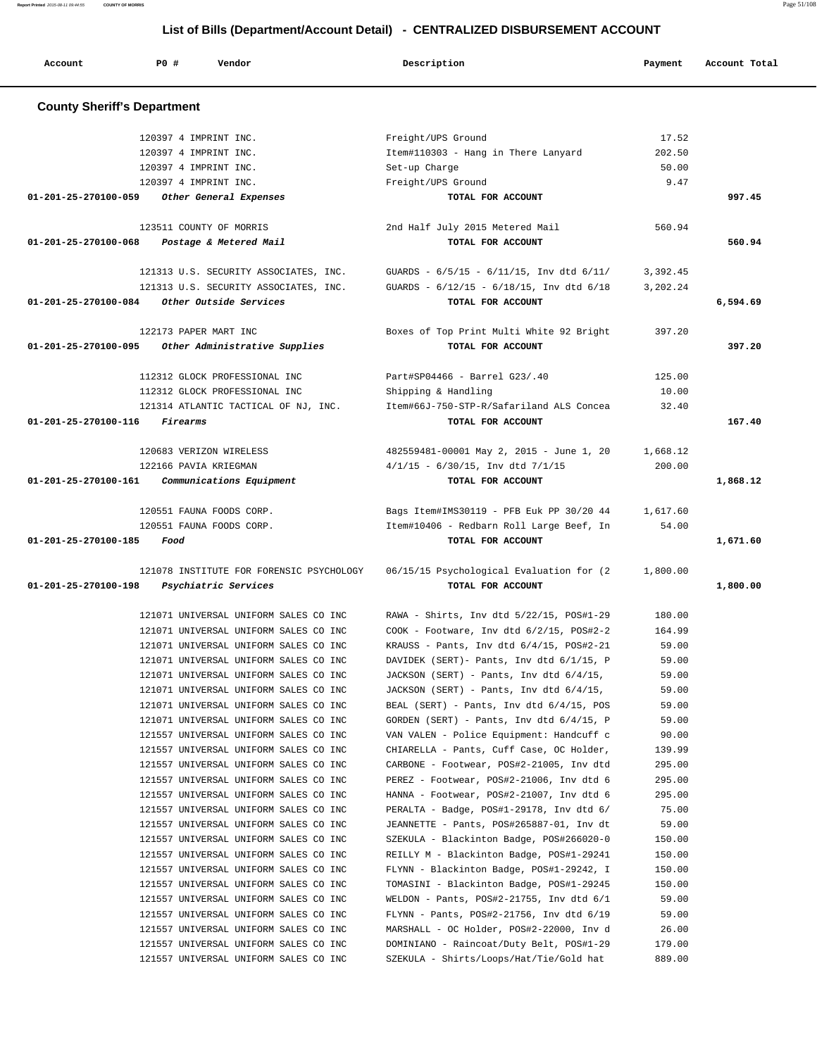| Account                            | P0 #<br>Vendor                                                                 | Description                                                                         | Payment        | Account Total |
|------------------------------------|--------------------------------------------------------------------------------|-------------------------------------------------------------------------------------|----------------|---------------|
|                                    |                                                                                |                                                                                     |                |               |
| <b>County Sheriff's Department</b> |                                                                                |                                                                                     |                |               |
|                                    | 120397 4 IMPRINT INC.                                                          | Freight/UPS Ground                                                                  | 17.52          |               |
|                                    | 120397 4 IMPRINT INC.                                                          | Item#110303 - Hang in There Lanyard                                                 | 202.50         |               |
|                                    | 120397 4 IMPRINT INC.                                                          | Set-up Charge                                                                       | 50.00          |               |
|                                    | 120397 4 IMPRINT INC.                                                          | Freight/UPS Ground                                                                  | 9.47           |               |
| 01-201-25-270100-059               | Other General Expenses                                                         | TOTAL FOR ACCOUNT                                                                   |                | 997.45        |
|                                    | 123511 COUNTY OF MORRIS                                                        | 2nd Half July 2015 Metered Mail                                                     | 560.94         |               |
| 01-201-25-270100-068               | Postage & Metered Mail                                                         | TOTAL FOR ACCOUNT                                                                   |                | 560.94        |
|                                    |                                                                                |                                                                                     |                |               |
|                                    | 121313 U.S. SECURITY ASSOCIATES, INC.                                          | GUARDS - $6/5/15$ - $6/11/15$ , Inv dtd $6/11/$                                     | 3,392.45       |               |
|                                    | 121313 U.S. SECURITY ASSOCIATES, INC.                                          | GUARDS - $6/12/15$ - $6/18/15$ , Inv dtd $6/18$                                     | 3,202.24       |               |
| 01-201-25-270100-084               | Other Outside Services                                                         | TOTAL FOR ACCOUNT                                                                   |                | 6,594.69      |
|                                    | 122173 PAPER MART INC                                                          | Boxes of Top Print Multi White 92 Bright                                            | 397.20         |               |
| 01-201-25-270100-095               | Other Administrative Supplies                                                  | TOTAL FOR ACCOUNT                                                                   |                | 397.20        |
|                                    | 112312 GLOCK PROFESSIONAL INC                                                  | Part#SP04466 - Barrel G23/.40                                                       | 125.00         |               |
|                                    |                                                                                |                                                                                     |                |               |
|                                    | 112312 GLOCK PROFESSIONAL INC<br>121314 ATLANTIC TACTICAL OF NJ, INC.          | Shipping & Handling                                                                 | 10.00<br>32.40 |               |
| 01-201-25-270100-116               | Firearms                                                                       | Item#66J-750-STP-R/Safariland ALS Concea<br>TOTAL FOR ACCOUNT                       |                | 167.40        |
|                                    |                                                                                |                                                                                     |                |               |
|                                    | 120683 VERIZON WIRELESS                                                        | 482559481-00001 May 2, 2015 - June 1, 20                                            | 1,668.12       |               |
|                                    | 122166 PAVIA KRIEGMAN                                                          | $4/1/15$ - 6/30/15, Inv dtd 7/1/15                                                  | 200.00         |               |
| 01-201-25-270100-161               | Communications Equipment                                                       | TOTAL FOR ACCOUNT                                                                   |                | 1,868.12      |
|                                    |                                                                                |                                                                                     |                |               |
|                                    | 120551 FAUNA FOODS CORP.                                                       | Bags Item#IMS30119 - PFB Euk PP 30/20 44                                            | 1,617.60       |               |
|                                    | 120551 FAUNA FOODS CORP.                                                       | Item#10406 - Redbarn Roll Large Beef, In                                            | 54.00          |               |
| 01-201-25-270100-185               | Food                                                                           | TOTAL FOR ACCOUNT                                                                   |                | 1,671.60      |
|                                    | 121078 INSTITUTE FOR FORENSIC PSYCHOLOGY                                       | 06/15/15 Psychological Evaluation for (2                                            | 1,800.00       |               |
| 01-201-25-270100-198               | Psychiatric Services                                                           | TOTAL FOR ACCOUNT                                                                   |                | 1,800.00      |
|                                    |                                                                                |                                                                                     |                |               |
|                                    | 121071 UNIVERSAL UNIFORM SALES CO INC                                          | RAWA - Shirts, Inv dtd 5/22/15, POS#1-29                                            | 180.00         |               |
|                                    | 121071 UNIVERSAL UNIFORM SALES CO INC                                          | $COOK$ - Footware, Inv dtd $6/2/15$ , POS#2-2                                       | 164.99         |               |
|                                    | 121071 UNIVERSAL UNIFORM SALES CO INC                                          | KRAUSS - Pants, Inv dtd $6/4/15$ , POS#2-21                                         | 59.00          |               |
|                                    | 121071 UNIVERSAL UNIFORM SALES CO INC<br>121071 UNIVERSAL UNIFORM SALES CO INC | DAVIDEK (SERT) - Pants, Inv dtd 6/1/15, P                                           | 59.00          |               |
|                                    | 121071 UNIVERSAL UNIFORM SALES CO INC                                          | JACKSON (SERT) - Pants, Inv dtd 6/4/15,                                             | 59.00          |               |
|                                    | 121071 UNIVERSAL UNIFORM SALES CO INC                                          | JACKSON (SERT) - Pants, Inv dtd 6/4/15,<br>BEAL (SERT) - Pants, Inv dtd 6/4/15, POS | 59.00<br>59.00 |               |
|                                    | 121071 UNIVERSAL UNIFORM SALES CO INC                                          | GORDEN (SERT) - Pants, Inv dtd $6/4/15$ , P                                         | 59.00          |               |
|                                    | 121557 UNIVERSAL UNIFORM SALES CO INC                                          | VAN VALEN - Police Equipment: Handcuff c                                            | 90.00          |               |
|                                    | 121557 UNIVERSAL UNIFORM SALES CO INC                                          | CHIARELLA - Pants, Cuff Case, OC Holder,                                            | 139.99         |               |
|                                    | 121557 UNIVERSAL UNIFORM SALES CO INC                                          | CARBONE - Footwear, POS#2-21005, Inv dtd                                            | 295.00         |               |
|                                    | 121557 UNIVERSAL UNIFORM SALES CO INC                                          | PEREZ - Footwear, POS#2-21006, Inv dtd 6                                            | 295.00         |               |
|                                    | 121557 UNIVERSAL UNIFORM SALES CO INC                                          | HANNA - Footwear, POS#2-21007, Inv dtd 6                                            | 295.00         |               |
|                                    | 121557 UNIVERSAL UNIFORM SALES CO INC                                          | PERALTA - Badge, POS#1-29178, Inv dtd 6/                                            | 75.00          |               |
|                                    | 121557 UNIVERSAL UNIFORM SALES CO INC                                          | JEANNETTE - Pants, POS#265887-01, Inv dt                                            | 59.00          |               |
|                                    | 121557 UNIVERSAL UNIFORM SALES CO INC                                          | SZEKULA - Blackinton Badge, POS#266020-0                                            | 150.00         |               |
|                                    | 121557 UNIVERSAL UNIFORM SALES CO INC                                          | REILLY M - Blackinton Badge, POS#1-29241                                            | 150.00         |               |
|                                    | 121557 UNIVERSAL UNIFORM SALES CO INC                                          | FLYNN - Blackinton Badge, POS#1-29242, I                                            | 150.00         |               |
|                                    | 121557 UNIVERSAL UNIFORM SALES CO INC                                          | TOMASINI - Blackinton Badge, POS#1-29245                                            | 150.00         |               |
|                                    | 121557 UNIVERSAL UNIFORM SALES CO INC                                          | WELDON - Pants, POS#2-21755, Inv dtd 6/1                                            | 59.00          |               |
|                                    | 121557 UNIVERSAL UNIFORM SALES CO INC                                          | FLYNN - Pants, POS#2-21756, Inv dtd 6/19                                            | 59.00          |               |
|                                    | 121557 UNIVERSAL UNIFORM SALES CO INC                                          | MARSHALL - OC Holder, POS#2-22000, Inv d                                            | 26.00          |               |

 121557 UNIVERSAL UNIFORM SALES CO INC DOMINIANO - Raincoat/Duty Belt, POS#1-29 179.00 121557 UNIVERSAL UNIFORM SALES CO INC SZEKULA - Shirts/Loops/Hat/Tie/Gold hat 889.00

**Report Printed** 2015-08-11 09:44:55 **COUNTY OF MORRIS** Page 51/108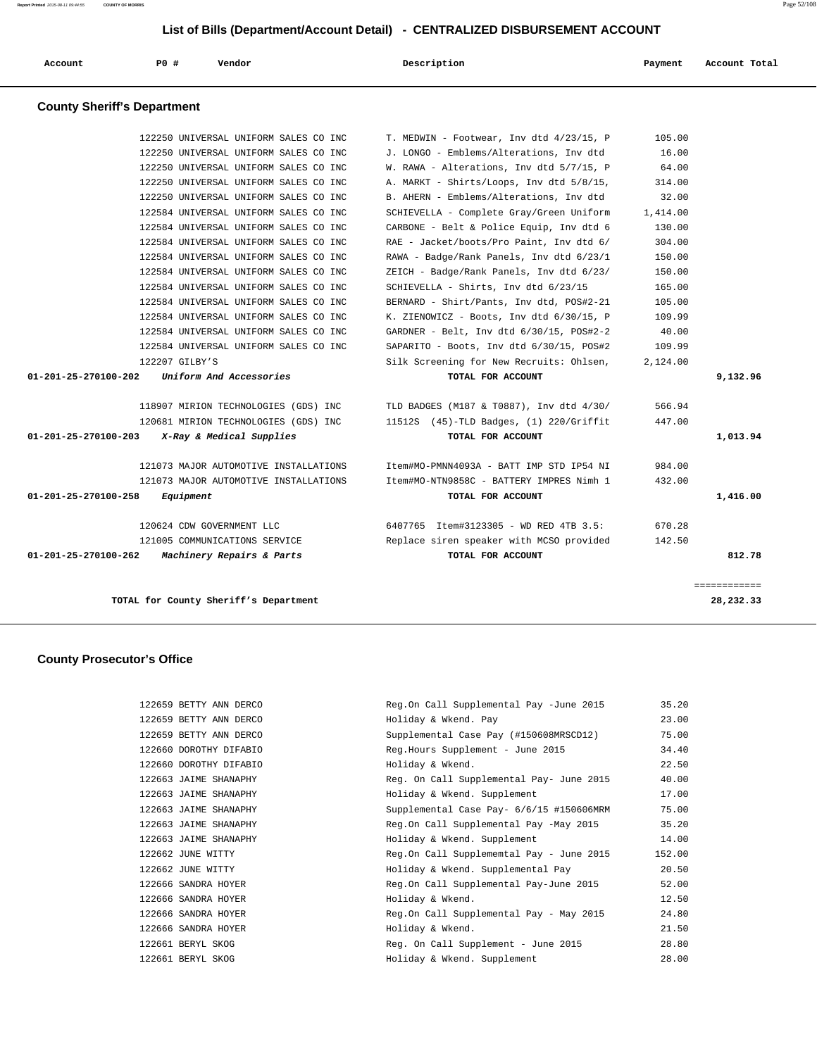| Account | PO# | Vendor | Description | Payment | Account Total |
|---------|-----|--------|-------------|---------|---------------|
|         |     |        |             |         |               |

# **County Sheriff's Department**

|                      | TOTAL for County Sheriff's Department |                                           |          | 28,232.33    |
|----------------------|---------------------------------------|-------------------------------------------|----------|--------------|
|                      |                                       |                                           |          | ============ |
|                      |                                       |                                           |          |              |
| 01-201-25-270100-262 | Machinery Repairs & Parts             | TOTAL FOR ACCOUNT                         |          | 812.78       |
|                      | 121005 COMMUNICATIONS SERVICE         | Replace siren speaker with MCSO provided  | 142.50   |              |
|                      | 120624 CDW GOVERNMENT LLC             | 6407765 Item#3123305 - WD RED 4TB 3.5:    | 670.28   |              |
| 01-201-25-270100-258 | Equipment                             | TOTAL FOR ACCOUNT                         |          | 1,416.00     |
|                      | 121073 MAJOR AUTOMOTIVE INSTALLATIONS | Item#MO-NTN9858C - BATTERY IMPRES Nimh 1  | 432.00   |              |
|                      | 121073 MAJOR AUTOMOTIVE INSTALLATIONS | Item#MO-PMNN4093A - BATT IMP STD IP54 NI  | 984.00   |              |
| 01-201-25-270100-203 | X-Ray & Medical Supplies              | TOTAL FOR ACCOUNT                         |          | 1,013.94     |
|                      | 120681 MIRION TECHNOLOGIES (GDS) INC  | $11512S$ (45)-TLD Badges, (1) 220/Griffit | 447.00   |              |
|                      | 118907 MIRION TECHNOLOGIES (GDS) INC  | TLD BADGES (M187 & T0887), Inv dtd 4/30/  | 566.94   |              |
| 01-201-25-270100-202 | Uniform And Accessories               | TOTAL FOR ACCOUNT                         |          | 9,132.96     |
|                      | 122207 GILBY'S                        | Silk Screening for New Recruits: Ohlsen,  | 2,124.00 |              |
|                      | 122584 UNIVERSAL UNIFORM SALES CO INC | SAPARITO - Boots, Inv dtd 6/30/15, POS#2  | 109.99   |              |
|                      | 122584 UNIVERSAL UNIFORM SALES CO INC | GARDNER - Belt, Inv dtd 6/30/15, POS#2-2  | 40.00    |              |
|                      | 122584 UNIVERSAL UNIFORM SALES CO INC | K. ZIENOWICZ - Boots, Inv dtd 6/30/15, P  | 109.99   |              |
|                      | 122584 UNIVERSAL UNIFORM SALES CO INC | BERNARD - Shirt/Pants, Inv dtd, POS#2-21  | 105.00   |              |
|                      | 122584 UNIVERSAL UNIFORM SALES CO INC | SCHIEVELLA - Shirts, Inv dtd 6/23/15      | 165.00   |              |
|                      | 122584 UNIVERSAL UNIFORM SALES CO INC | ZEICH - Badge/Rank Panels, Inv dtd 6/23/  | 150.00   |              |
|                      | 122584 UNIVERSAL UNIFORM SALES CO INC | RAWA - Badge/Rank Panels, Inv dtd 6/23/1  | 150.00   |              |
|                      | 122584 UNIVERSAL UNIFORM SALES CO INC | RAE - Jacket/boots/Pro Paint, Inv dtd 6/  | 304.00   |              |
|                      | 122584 UNIVERSAL UNIFORM SALES CO INC | CARBONE - Belt & Police Equip, Inv dtd 6  | 130.00   |              |
|                      | 122584 UNIVERSAL UNIFORM SALES CO INC | SCHIEVELLA - Complete Gray/Green Uniform  | 1,414.00 |              |
|                      | 122250 UNIVERSAL UNIFORM SALES CO INC | B. AHERN - Emblems/Alterations, Inv dtd   | 32.00    |              |
|                      | 122250 UNIVERSAL UNIFORM SALES CO INC | A. MARKT - Shirts/Loops, Inv dtd 5/8/15,  | 314.00   |              |
|                      | 122250 UNIVERSAL UNIFORM SALES CO INC | W. RAWA - Alterations, Inv dtd 5/7/15, P  | 64.00    |              |
|                      | 122250 UNIVERSAL UNIFORM SALES CO INC | J. LONGO - Emblems/Alterations, Inv dtd   | 16.00    |              |
|                      | 122250 UNIVERSAL UNIFORM SALES CO INC | T. MEDWIN - Footwear, Inv dtd 4/23/15, P  | 105.00   |              |

# **County Prosecutor's Office**

| 122659 | BETTY ANN DERCO   |
|--------|-------------------|
| 122659 | BETTY ANN DERCO   |
| 122659 | BETTY ANN DERCO   |
| 122660 | DOROTHY DIFABIO   |
| 122660 | DOROTHY DIFABIO   |
| 122663 | JAIME SHANAPHY    |
| 122663 | JAIME SHANAPHY    |
| 122663 | JAIME SHANAPHY    |
| 122663 | JAIME SHANAPHY    |
| 122663 | JAIME SHANAPHY    |
| 122662 | JUNE WITTY        |
| 122662 | JUNE WITTY        |
| 122666 | SANDRA HOYER      |
| 122666 | SANDRA HOYER      |
| 122666 | SANDRA HOYER      |
| 122666 | SANDRA HOYER      |
| 122661 | BERYL SKOG        |
| 122661 | <b>BERYL SKOG</b> |
|        |                   |

| 122659 BETTY ANN DERCO | Reg.On Call Supplemental Pay -June 2015  | 35.20  |
|------------------------|------------------------------------------|--------|
| 122659 BETTY ANN DERCO | Holiday & Wkend. Pay                     | 23.00  |
| 122659 BETTY ANN DERCO | Supplemental Case Pay (#150608MRSCD12)   | 75.00  |
| 122660 DOROTHY DIFABIO | Reg.Hours Supplement - June 2015         | 34.40  |
| 122660 DOROTHY DIFABIO | Holiday & Wkend.                         | 22.50  |
| 122663 JAIME SHANAPHY  | Reg. On Call Supplemental Pay- June 2015 | 40.00  |
| 122663 JAIME SHANAPHY  | Holiday & Wkend. Supplement              | 17.00  |
| 122663 JAIME SHANAPHY  | Supplemental Case Pay- 6/6/15 #150606MRM | 75.00  |
| 122663 JAIME SHANAPHY  | Reg.On Call Supplemental Pay -May 2015   | 35.20  |
| 122663 JAIME SHANAPHY  | Holiday & Wkend. Supplement              | 14.00  |
| 122662 JUNE WITTY      | Reg.On Call Supplememtal Pay - June 2015 | 152.00 |
| 122662 JUNE WITTY      | Holiday & Wkend. Supplemental Pay        | 20.50  |
| 122666 SANDRA HOYER    | Reg.On Call Supplemental Pay-June 2015   | 52.00  |
| 122666 SANDRA HOYER    | Holiday & Wkend.                         | 12.50  |
| 122666 SANDRA HOYER    | Reg.On Call Supplemental Pay - May 2015  | 24.80  |
| 122666 SANDRA HOYER    | Holiday & Wkend.                         | 21.50  |
| 122661 BERYL SKOG      | Reg. On Call Supplement - June 2015      | 28.80  |
| 122661 BERYL SKOG      | Holiday & Wkend. Supplement              | 28.00  |
|                        |                                          |        |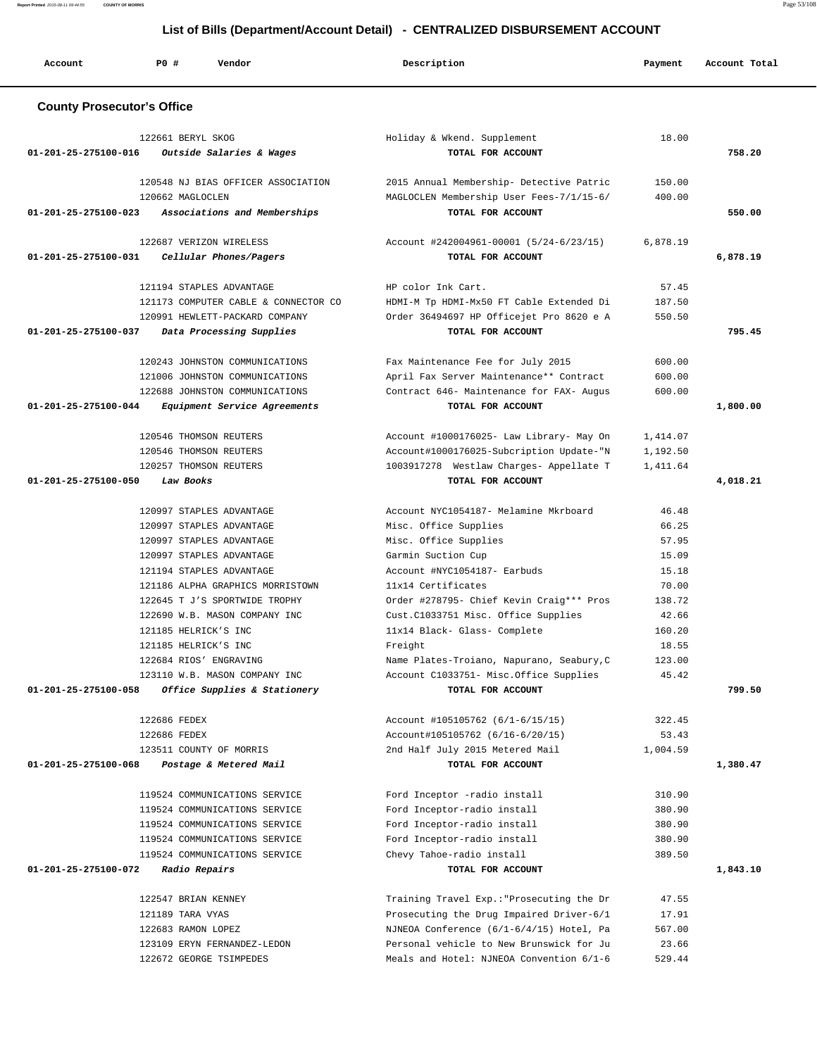| List of Bills (Department/Account Detail) - CENTRALIZED DISBURSEMENT ACCOUNT |                      |                                                                   |                                                                                      |                      |               |
|------------------------------------------------------------------------------|----------------------|-------------------------------------------------------------------|--------------------------------------------------------------------------------------|----------------------|---------------|
| Account                                                                      | PO#                  | Vendor                                                            | Description                                                                          | Payment              | Account Total |
| <b>County Prosecutor's Office</b>                                            |                      |                                                                   |                                                                                      |                      |               |
|                                                                              | 122661 BERYL SKOG    |                                                                   | Holiday & Wkend. Supplement                                                          | 18.00                |               |
| 01-201-25-275100-016                                                         |                      | Outside Salaries & Wages                                          | TOTAL FOR ACCOUNT                                                                    |                      | 758.20        |
|                                                                              |                      | 120548 NJ BIAS OFFICER ASSOCIATION                                | 2015 Annual Membership- Detective Patric                                             | 150.00               |               |
|                                                                              | 120662 MAGLOCLEN     |                                                                   | MAGLOCLEN Membership User Fees-7/1/15-6/                                             | 400.00               |               |
| 01-201-25-275100-023                                                         |                      | Associations and Memberships                                      | TOTAL FOR ACCOUNT                                                                    |                      | 550.00        |
|                                                                              |                      | 122687 VERIZON WIRELESS                                           | Account #242004961-00001 (5/24-6/23/15)                                              | 6,878.19             |               |
| 01-201-25-275100-031                                                         |                      | Cellular Phones/Pagers                                            | TOTAL FOR ACCOUNT                                                                    |                      | 6,878.19      |
|                                                                              |                      | 121194 STAPLES ADVANTAGE                                          | HP color Ink Cart.                                                                   | 57.45                |               |
|                                                                              |                      | 121173 COMPUTER CABLE & CONNECTOR CO                              | HDMI-M Tp HDMI-Mx50 FT Cable Extended Di                                             | 187.50               |               |
|                                                                              |                      | 120991 HEWLETT-PACKARD COMPANY                                    | Order 36494697 HP Officejet Pro 8620 e A                                             | 550.50               |               |
| 01-201-25-275100-037                                                         |                      | Data Processing Supplies                                          | TOTAL FOR ACCOUNT                                                                    |                      | 795.45        |
|                                                                              |                      | 120243 JOHNSTON COMMUNICATIONS                                    | Fax Maintenance Fee for July 2015                                                    | 600.00               |               |
|                                                                              |                      | 121006 JOHNSTON COMMUNICATIONS                                    | April Fax Server Maintenance** Contract                                              | 600.00               |               |
|                                                                              |                      | 122688 JOHNSTON COMMUNICATIONS                                    | Contract 646- Maintenance for FAX- Augus                                             | 600.00               |               |
| 01-201-25-275100-044                                                         |                      | Equipment Service Agreements                                      | TOTAL FOR ACCOUNT                                                                    |                      | 1,800.00      |
|                                                                              |                      |                                                                   |                                                                                      |                      |               |
|                                                                              |                      | 120546 THOMSON REUTERS<br>120546 THOMSON REUTERS                  | Account #1000176025- Law Library- May On                                             | 1,414.07             |               |
|                                                                              |                      | 120257 THOMSON REUTERS                                            | Account#1000176025-Subcription Update-"N<br>1003917278 Westlaw Charges- Appellate T  | 1,192.50<br>1,411.64 |               |
| 01-201-25-275100-050                                                         | Law Books            |                                                                   | TOTAL FOR ACCOUNT                                                                    |                      | 4,018.21      |
|                                                                              |                      |                                                                   |                                                                                      |                      |               |
|                                                                              |                      | 120997 STAPLES ADVANTAGE                                          | Account NYC1054187- Melamine Mkrboard                                                | 46.48                |               |
|                                                                              |                      | 120997 STAPLES ADVANTAGE                                          | Misc. Office Supplies                                                                | 66.25                |               |
|                                                                              |                      | 120997 STAPLES ADVANTAGE                                          | Misc. Office Supplies                                                                | 57.95                |               |
|                                                                              |                      | 120997 STAPLES ADVANTAGE                                          | Garmin Suction Cup                                                                   | 15.09                |               |
|                                                                              |                      | 121194 STAPLES ADVANTAGE                                          | Account #NYC1054187- Earbuds<br>11x14 Certificates                                   | 15.18                |               |
|                                                                              |                      | 121186 ALPHA GRAPHICS MORRISTOWN<br>122645 T J'S SPORTWIDE TROPHY | Order #278795- Chief Kevin Craig*** Pros                                             | 70.00<br>138.72      |               |
|                                                                              |                      | 122690 W.B. MASON COMPANY INC                                     | Cust.C1033751 Misc. Office Supplies                                                  | 42.66                |               |
|                                                                              | 121185 HELRICK'S INC |                                                                   | 11x14 Black- Glass- Complete                                                         | 160.20               |               |
|                                                                              | 121185 HELRICK'S INC |                                                                   | Freight                                                                              | 18.55                |               |
|                                                                              |                      | 122684 RIOS' ENGRAVING                                            | Name Plates-Troiano, Napurano, Seabury, C                                            | 123.00               |               |
|                                                                              |                      | 123110 W.B. MASON COMPANY INC                                     | Account C1033751- Misc.Office Supplies                                               | 45.42                |               |
| 01-201-25-275100-058                                                         |                      | Office Supplies & Stationery                                      | TOTAL FOR ACCOUNT                                                                    |                      | 799.50        |
|                                                                              | 122686 FEDEX         |                                                                   | Account #105105762 (6/1-6/15/15)                                                     | 322.45               |               |
|                                                                              | 122686 FEDEX         |                                                                   | Account#105105762 (6/16-6/20/15)                                                     | 53.43                |               |
|                                                                              |                      | 123511 COUNTY OF MORRIS                                           | 2nd Half July 2015 Metered Mail                                                      | 1,004.59             |               |
| 01-201-25-275100-068                                                         |                      | Postage & Metered Mail                                            | TOTAL FOR ACCOUNT                                                                    |                      | 1,380.47      |
|                                                                              |                      | 119524 COMMUNICATIONS SERVICE                                     | Ford Inceptor -radio install                                                         | 310.90               |               |
|                                                                              |                      | 119524 COMMUNICATIONS SERVICE                                     | Ford Inceptor-radio install                                                          | 380.90               |               |
|                                                                              |                      | 119524 COMMUNICATIONS SERVICE                                     | Ford Inceptor-radio install                                                          | 380.90               |               |
|                                                                              |                      | 119524 COMMUNICATIONS SERVICE                                     | Ford Inceptor-radio install                                                          | 380.90               |               |
|                                                                              |                      | 119524 COMMUNICATIONS SERVICE                                     | Chevy Tahoe-radio install                                                            | 389.50               |               |
| 01-201-25-275100-072                                                         | Radio Repairs        |                                                                   | TOTAL FOR ACCOUNT                                                                    |                      | 1,843.10      |
|                                                                              |                      |                                                                   |                                                                                      |                      |               |
|                                                                              | 122547 BRIAN KENNEY  |                                                                   | Training Travel Exp.: "Prosecuting the Dr                                            | 47.55                |               |
|                                                                              | 121189 TARA VYAS     |                                                                   | Prosecuting the Drug Impaired Driver-6/1<br>NJNEOA Conference (6/1-6/4/15) Hotel, Pa | 17.91                |               |
|                                                                              | 122683 RAMON LOPEZ   | 123109 ERYN FERNANDEZ-LEDON                                       | Personal vehicle to New Brunswick for Ju                                             | 567.00<br>23.66      |               |
|                                                                              |                      | 122672 GEORGE TSIMPEDES                                           | Meals and Hotel: NJNEOA Convention 6/1-6                                             | 529.44               |               |
|                                                                              |                      |                                                                   |                                                                                      |                      |               |

**Report Printed** 2015-08-11 09:44:55 **COUNTY OF MORRIS** Page 53/108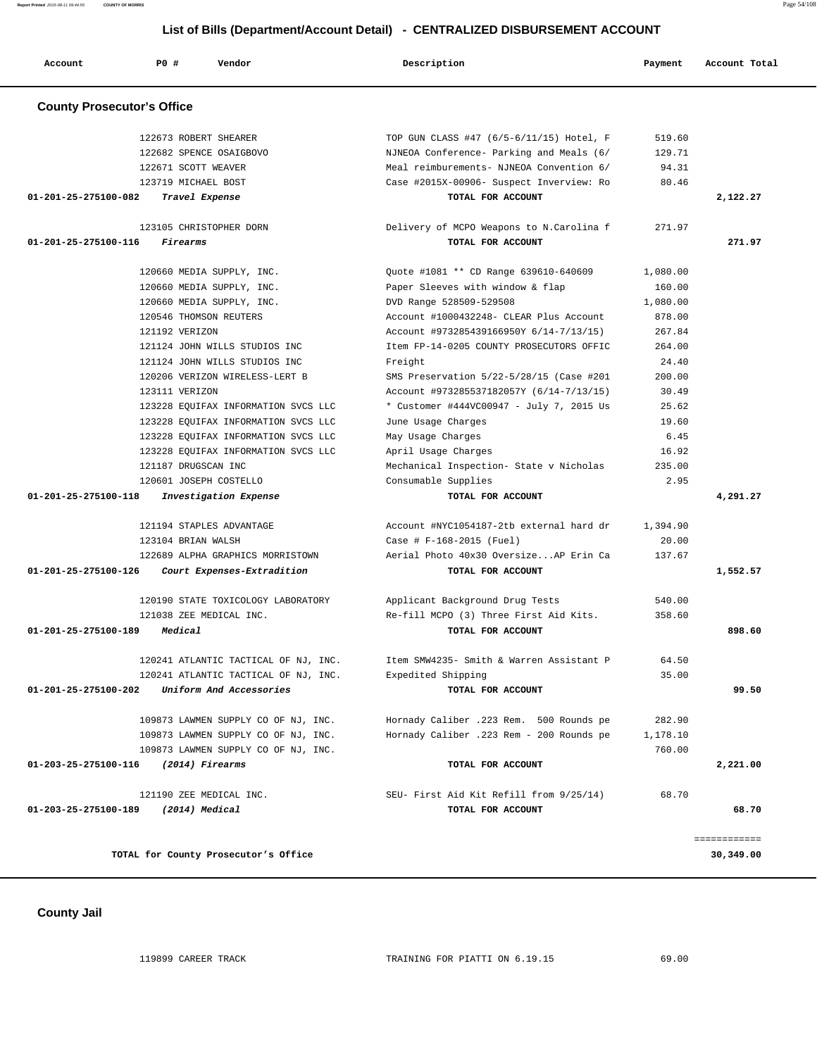**Report Printed** 2015-08-11 09:44:55 **COUNTY OF MORRIS** Page 54/108

## **List of Bills (Department/Account Detail) - CENTRALIZED DISBURSEMENT ACCOUNT**

| Account                           | <b>PO #</b>           | Vendor                               | Description                               | Payment  | Account Total |
|-----------------------------------|-----------------------|--------------------------------------|-------------------------------------------|----------|---------------|
| <b>County Prosecutor's Office</b> |                       |                                      |                                           |          |               |
|                                   | 122673 ROBERT SHEARER |                                      | TOP GUN CLASS #47 (6/5-6/11/15) Hotel, F  | 519.60   |               |
|                                   |                       | 122682 SPENCE OSAIGBOVO              | NJNEOA Conference- Parking and Meals (6/  | 129.71   |               |
|                                   | 122671 SCOTT WEAVER   |                                      | Meal reimburements- NJNEOA Convention 6/  | 94.31    |               |
|                                   | 123719 MICHAEL BOST   |                                      | Case #2015X-00906- Suspect Inverview: Ro  | 80.46    |               |
| 01-201-25-275100-082              |                       | Travel Expense                       | TOTAL FOR ACCOUNT                         |          | 2,122.27      |
|                                   |                       | 123105 CHRISTOPHER DORN              | Delivery of MCPO Weapons to N. Carolina f | 271.97   |               |
| 01-201-25-275100-116              | Firearms              |                                      | TOTAL FOR ACCOUNT                         |          | 271.97        |
|                                   |                       | 120660 MEDIA SUPPLY, INC.            | Quote #1081 ** CD Range 639610-640609     | 1,080.00 |               |
|                                   |                       | 120660 MEDIA SUPPLY, INC.            | Paper Sleeves with window & flap          | 160.00   |               |
|                                   |                       | 120660 MEDIA SUPPLY, INC.            | DVD Range 528509-529508                   | 1,080.00 |               |
|                                   |                       | 120546 THOMSON REUTERS               | Account #1000432248- CLEAR Plus Account   | 878.00   |               |
|                                   | 121192 VERIZON        |                                      | Account #973285439166950Y 6/14-7/13/15)   | 267.84   |               |
|                                   |                       | 121124 JOHN WILLS STUDIOS INC        | Item FP-14-0205 COUNTY PROSECUTORS OFFIC  | 264.00   |               |
|                                   |                       | 121124 JOHN WILLS STUDIOS INC        | Freight                                   | 24.40    |               |
|                                   |                       | 120206 VERIZON WIRELESS-LERT B       | SMS Preservation 5/22-5/28/15 (Case #201  | 200.00   |               |
|                                   | 123111 VERIZON        |                                      | Account #973285537182057Y (6/14-7/13/15)  | 30.49    |               |
|                                   |                       | 123228 EQUIFAX INFORMATION SVCS LLC  | * Customer #444VC00947 - July 7, 2015 Us  | 25.62    |               |
|                                   |                       | 123228 EQUIFAX INFORMATION SVCS LLC  | June Usage Charges                        | 19.60    |               |
|                                   |                       | 123228 EQUIFAX INFORMATION SVCS LLC  | May Usage Charges                         | 6.45     |               |
|                                   |                       | 123228 EQUIFAX INFORMATION SVCS LLC  | April Usage Charges                       | 16.92    |               |
|                                   | 121187 DRUGSCAN INC   |                                      | Mechanical Inspection- State v Nicholas   | 235.00   |               |
|                                   |                       | 120601 JOSEPH COSTELLO               | Consumable Supplies                       | 2.95     |               |
| 01-201-25-275100-118              |                       | Investigation Expense                | TOTAL FOR ACCOUNT                         |          | 4,291.27      |
|                                   |                       | 121194 STAPLES ADVANTAGE             | Account #NYC1054187-2tb external hard dr  | 1,394.90 |               |
|                                   | 123104 BRIAN WALSH    |                                      | Case # F-168-2015 (Fuel)                  | 20.00    |               |
|                                   |                       | 122689 ALPHA GRAPHICS MORRISTOWN     | Aerial Photo 40x30 OversizeAP Erin Ca     | 137.67   |               |
| 01-201-25-275100-126              |                       | Court Expenses-Extradition           | TOTAL FOR ACCOUNT                         |          | 1,552.57      |
|                                   |                       | 120190 STATE TOXICOLOGY LABORATORY   | Applicant Background Drug Tests           | 540.00   |               |
|                                   |                       | 121038 ZEE MEDICAL INC.              | Re-fill MCPO (3) Three First Aid Kits.    | 358.60   |               |
| 01-201-25-275100-189              | Medical               |                                      | TOTAL FOR ACCOUNT                         |          | 898.60        |
|                                   |                       | 120241 ATLANTIC TACTICAL OF NJ, INC. | Item SMW4235- Smith & Warren Assistant P  | 64.50    |               |
|                                   |                       | 120241 ATLANTIC TACTICAL OF NJ, INC. | Expedited Shipping                        | 35.00    |               |
| 01-201-25-275100-202              |                       | Uniform And Accessories              | TOTAL FOR ACCOUNT                         |          | 99.50         |
|                                   |                       | 109873 LAWMEN SUPPLY CO OF NJ, INC.  | Hornady Caliber .223 Rem. 500 Rounds pe   | 282.90   |               |
|                                   |                       | 109873 LAWMEN SUPPLY CO OF NJ, INC.  | Hornady Caliber .223 Rem - 200 Rounds pe  | 1,178.10 |               |
|                                   |                       | 109873 LAWMEN SUPPLY CO OF NJ, INC.  |                                           | 760.00   |               |
| 01-203-25-275100-116              |                       | (2014) Firearms                      | TOTAL FOR ACCOUNT                         |          | 2,221.00      |
|                                   |                       | 121190 ZEE MEDICAL INC.              | SEU- First Aid Kit Refill from 9/25/14)   | 68.70    |               |
| 01-203-25-275100-189              |                       | (2014) Medical                       | TOTAL FOR ACCOUNT                         |          | 68.70         |
|                                   |                       |                                      |                                           |          | ============  |
|                                   |                       | TOTAL for County Prosecutor's Office |                                           |          | 30,349.00     |

 **County Jail**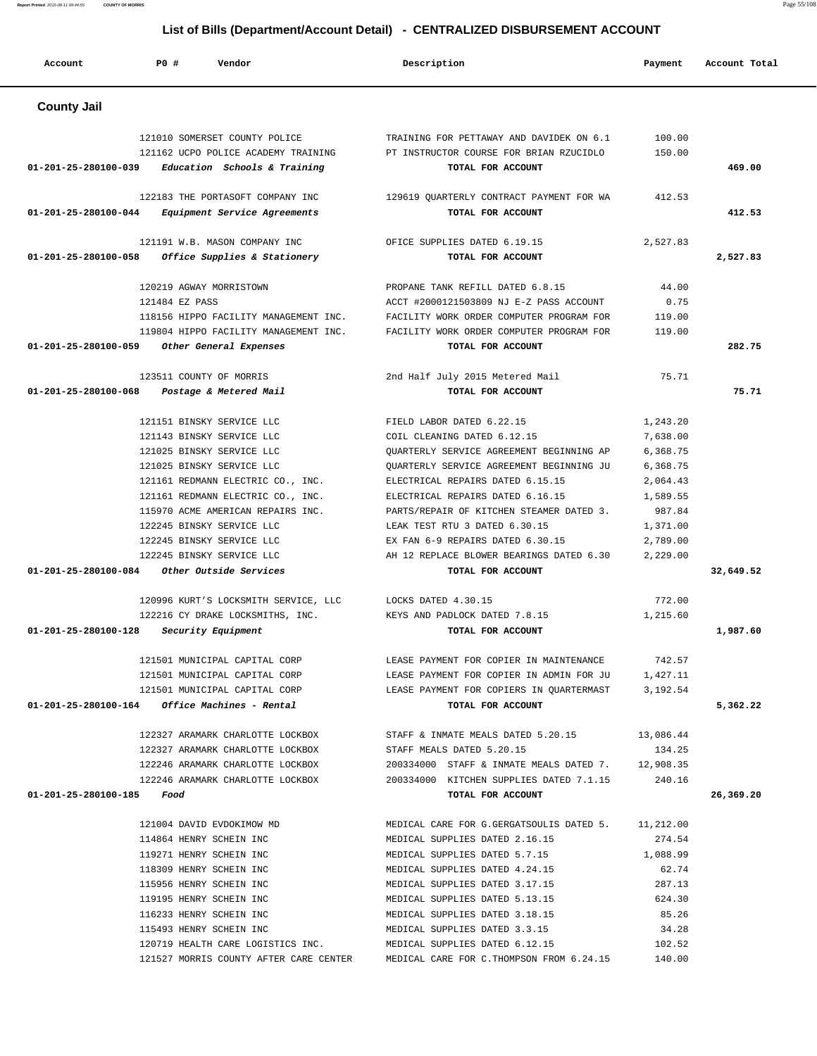| Account                             | PO#<br>Vendor                                                        | Description                                                                         | Payment              | Account Total |
|-------------------------------------|----------------------------------------------------------------------|-------------------------------------------------------------------------------------|----------------------|---------------|
| <b>County Jail</b>                  |                                                                      |                                                                                     |                      |               |
|                                     | 121010 SOMERSET COUNTY POLICE<br>121162 UCPO POLICE ACADEMY TRAINING | TRAINING FOR PETTAWAY AND DAVIDEK ON 6.1<br>PT INSTRUCTOR COURSE FOR BRIAN RZUCIDLO | 100.00<br>150.00     | 469.00        |
| 01-201-25-280100-039                | Education Schools & Training                                         | TOTAL FOR ACCOUNT                                                                   |                      |               |
| 01-201-25-280100-044                | 122183 THE PORTASOFT COMPANY INC<br>Equipment Service Agreements     | 129619 QUARTERLY CONTRACT PAYMENT FOR WA<br>TOTAL FOR ACCOUNT                       | 412.53               | 412.53        |
| 01-201-25-280100-058                | 121191 W.B. MASON COMPANY INC<br>Office Supplies & Stationery        | OFICE SUPPLIES DATED 6.19.15<br>TOTAL FOR ACCOUNT                                   | 2,527.83             | 2,527.83      |
|                                     | 120219 AGWAY MORRISTOWN                                              | PROPANE TANK REFILL DATED 6.8.15                                                    | 44.00                |               |
|                                     | 121484 EZ PASS                                                       | ACCT #2000121503809 NJ E-Z PASS ACCOUNT                                             | 0.75                 |               |
|                                     | 118156 HIPPO FACILITY MANAGEMENT INC.                                | FACILITY WORK ORDER COMPUTER PROGRAM FOR                                            | 119.00               |               |
|                                     | 119804 HIPPO FACILITY MANAGEMENT INC.                                | FACILITY WORK ORDER COMPUTER PROGRAM FOR                                            | 119.00               |               |
| 01-201-25-280100-059                | Other General Expenses                                               | TOTAL FOR ACCOUNT                                                                   |                      | 282.75        |
|                                     | 123511 COUNTY OF MORRIS                                              | 2nd Half July 2015 Metered Mail                                                     | 75.71                |               |
| 01-201-25-280100-068                | Postage & Metered Mail                                               | TOTAL FOR ACCOUNT                                                                   |                      | 75.71         |
|                                     |                                                                      | FIELD LABOR DATED 6.22.15                                                           |                      |               |
|                                     | 121151 BINSKY SERVICE LLC<br>121143 BINSKY SERVICE LLC               | COIL CLEANING DATED 6.12.15                                                         | 1,243.20<br>7,638.00 |               |
|                                     | 121025 BINSKY SERVICE LLC                                            | QUARTERLY SERVICE AGREEMENT BEGINNING AP                                            | 6,368.75             |               |
|                                     | 121025 BINSKY SERVICE LLC                                            | OUARTERLY SERVICE AGREEMENT BEGINNING JU                                            | 6,368.75             |               |
|                                     | 121161 REDMANN ELECTRIC CO., INC.                                    | ELECTRICAL REPAIRS DATED 6.15.15                                                    | 2,064.43             |               |
|                                     | 121161 REDMANN ELECTRIC CO., INC.                                    | ELECTRICAL REPAIRS DATED 6.16.15                                                    | 1,589.55             |               |
|                                     | 115970 ACME AMERICAN REPAIRS INC.                                    | PARTS/REPAIR OF KITCHEN STEAMER DATED 3.                                            | 987.84               |               |
|                                     | 122245 BINSKY SERVICE LLC                                            | LEAK TEST RTU 3 DATED 6.30.15                                                       | 1,371.00             |               |
|                                     | 122245 BINSKY SERVICE LLC                                            | EX FAN 6-9 REPAIRS DATED 6.30.15                                                    | 2,789.00             |               |
|                                     | 122245 BINSKY SERVICE LLC                                            | AH 12 REPLACE BLOWER BEARINGS DATED 6.30                                            | 2,229.00             |               |
| 01-201-25-280100-084                | Other Outside Services                                               | TOTAL FOR ACCOUNT                                                                   |                      | 32,649.52     |
|                                     | 120996 KURT'S LOCKSMITH SERVICE, LLC                                 | LOCKS DATED 4.30.15                                                                 | 772.00               |               |
|                                     | 122216 CY DRAKE LOCKSMITHS, INC.                                     | KEYS AND PADLOCK DATED 7.8.15                                                       | 1,215.60             |               |
| 01-201-25-280100-128                | Security Equipment                                                   | TOTAL FOR ACCOUNT                                                                   |                      | 1,987.60      |
|                                     | 121501 MUNICIPAL CAPITAL CORP                                        | LEASE PAYMENT FOR COPIER IN MAINTENANCE                                             | 742.57               |               |
|                                     | 121501 MUNICIPAL CAPITAL CORP                                        | LEASE PAYMENT FOR COPIER IN ADMIN FOR JU                                            | 1,427.11             |               |
|                                     | 121501 MUNICIPAL CAPITAL CORP                                        | LEASE PAYMENT FOR COPIERS IN QUARTERMAST 3,192.54                                   |                      |               |
|                                     | $01 - 201 - 25 - 280100 - 164$ Office Machines - Rental              | TOTAL FOR ACCOUNT                                                                   |                      | 5,362.22      |
|                                     | 122327 ARAMARK CHARLOTTE LOCKBOX                                     | STAFF & INMATE MEALS DATED 5.20.15                                                  | 13,086.44            |               |
|                                     | 122327 ARAMARK CHARLOTTE LOCKBOX                                     | STAFF MEALS DATED 5.20.15                                                           | 134.25               |               |
|                                     | 122246 ARAMARK CHARLOTTE LOCKBOX                                     | 200334000 STAFF & INMATE MEALS DATED 7. 12,908.35                                   |                      |               |
|                                     | 122246 ARAMARK CHARLOTTE LOCKBOX                                     | 200334000 KITCHEN SUPPLIES DATED 7.1.15                                             | 240.16               |               |
| $01 - 201 - 25 - 280100 - 185$ Food |                                                                      | TOTAL FOR ACCOUNT                                                                   |                      | 26,369.20     |
|                                     | 121004 DAVID EVDOKIMOW MD                                            | MEDICAL CARE FOR G.GERGATSOULIS DATED 5.                                            | 11,212.00            |               |
|                                     | 114864 HENRY SCHEIN INC                                              | MEDICAL SUPPLIES DATED 2.16.15                                                      | 274.54               |               |
|                                     | 119271 HENRY SCHEIN INC                                              | MEDICAL SUPPLIES DATED 5.7.15                                                       | 1,088.99             |               |
|                                     | 118309 HENRY SCHEIN INC                                              | MEDICAL SUPPLIES DATED 4.24.15                                                      | 62.74                |               |
|                                     | 115956 HENRY SCHEIN INC                                              | MEDICAL SUPPLIES DATED 3.17.15                                                      | 287.13               |               |
|                                     | 119195 HENRY SCHEIN INC                                              | MEDICAL SUPPLIES DATED 5.13.15                                                      | 624.30               |               |
|                                     | 116233 HENRY SCHEIN INC                                              | MEDICAL SUPPLIES DATED 3.18.15                                                      | 85.26                |               |
|                                     | 115493 HENRY SCHEIN INC                                              | MEDICAL SUPPLIES DATED 3.3.15                                                       | 34.28                |               |
|                                     | 120719 HEALTH CARE LOGISTICS INC.                                    | MEDICAL SUPPLIES DATED 6.12.15                                                      | 102.52               |               |
|                                     | 121527 MORRIS COUNTY AFTER CARE CENTER                               | MEDICAL CARE FOR C. THOMPSON FROM 6.24.15                                           | 140.00               |               |

**Report Printed** 2015-08-11 09:44:55 **COUNTY OF MORRIS** Page 55/108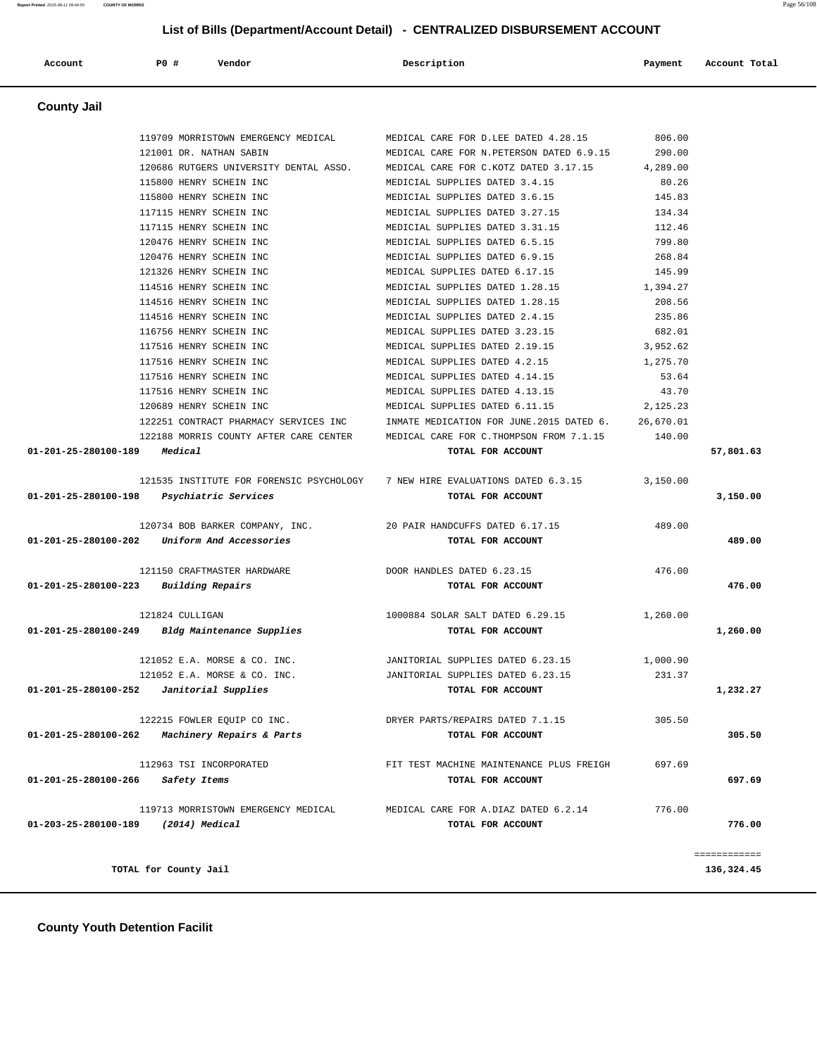|                    |                                        | List of Bills (Department/Account Detail) - CENTRALIZED DISBURSEMENT ACCOUNT |                          |
|--------------------|----------------------------------------|------------------------------------------------------------------------------|--------------------------|
| Account            | PO#<br>Vendor                          | Description                                                                  | Account Total<br>Payment |
| <b>County Jail</b> |                                        |                                                                              |                          |
|                    | 119709 MORRISTOWN EMERGENCY MEDICAL    | MEDICAL CARE FOR D.LEE DATED 4.28.15                                         | 806.00                   |
|                    | 121001 DR. NATHAN SABIN                | MEDICAL CARE FOR N. PETERSON DATED 6.9.15                                    | 290.00                   |
|                    | 120686 RUTGERS UNIVERSITY DENTAL ASSO. | MEDICAL CARE FOR C.KOTZ DATED 3.17.15                                        | 4,289.00                 |
|                    | 115800 HENRY SCHEIN INC                | MEDICIAL SUPPLIES DATED 3.4.15                                               | 80.26                    |
|                    | 115800 HENRY SCHEIN INC                | MEDICIAL SUPPLIES DATED 3.6.15                                               | 145.83                   |
|                    | 117115 HENRY SCHEIN INC                | MEDICIAL SUPPLIES DATED 3.27.15                                              | 134.34                   |
|                    | 117115 HENRY SCHEIN INC                | MEDICIAL SUPPLIES DATED 3.31.15                                              | 112.46                   |
|                    | 120476 HENRY SCHEIN INC                | MEDICIAL SUPPLIES DATED 6.5.15                                               | 799.80                   |
|                    | 120476 HENRY SCHEIN INC                | MEDICIAL SUPPLIES DATED 6.9.15                                               | 268.84                   |
|                    | 121326 HENRY SCHEIN INC                | MEDICAL SUPPLIES DATED 6.17.15                                               | 145.99                   |
|                    | 114516 HENRY SCHEIN INC                | MEDICIAL SUPPLIES DATED 1.28.15                                              | 1,394.27                 |
|                    | 114516 HENRY SCHEIN INC                | MEDICIAL SUPPLIES DATED 1.28.15                                              | 208.56                   |
|                    | 114516 HENRY SCHEIN INC                | MEDICIAL SUPPLIES DATED 2.4.15                                               | 235.86                   |
|                    | 116756 HENRY SCHEIN INC                | MEDICAL SUPPLIES DATED 3.23.15                                               | 682.01                   |
|                    | 117516 HENRY SCHEIN INC                | MEDICAL SUPPLIES DATED 2.19.15                                               | 3,952.62                 |
|                    | 117516 HENRY SCHEIN INC                | MEDICAL SUPPLIES DATED 4.2.15                                                | 1,275.70                 |
|                    | 117516 HENRY SCHEIN INC                | MEDICAL SUPPLIES DATED 4.14.15                                               | 53.64                    |

 117516 HENRY SCHEIN INC MEDICAL SUPPLIES DATED 4.13.15 43.70 120689 HENRY SCHEIN INC MEDICAL SUPPLIES DATED 6.11.15 2,125.23 122251 CONTRACT PHARMACY SERVICES INC INMATE MEDICATION FOR JUNE.2015 DATED 6. 26,670.01 122188 MORRIS COUNTY AFTER CARE CENTER MEDICAL CARE FOR C.THOMPSON FROM 7.1.15 140.00  **01-201-25-280100-189 Medical TOTAL FOR ACCOUNT 57,801.63**

 121535 INSTITUTE FOR FORENSIC PSYCHOLOGY 7 NEW HIRE EVALUATIONS DATED 6.3.15 3,150.00  **01-201-25-280100-198 Psychiatric Services TOTAL FOR ACCOUNT 3,150.00**

 120734 BOB BARKER COMPANY, INC. 20 PAIR HANDCUFFS DATED 6.17.15 489.00  **01-201-25-280100-202 Uniform And Accessories TOTAL FOR ACCOUNT 489.00**

 121150 CRAFTMASTER HARDWARE DOOR HANDLES DATED 6.23.15 476.00  **01-201-25-280100-223 Building Repairs TOTAL FOR ACCOUNT 476.00**

 121824 CULLIGAN 1000884 SOLAR SALT DATED 6.29.15 1,260.00  **01-201-25-280100-249 Bldg Maintenance Supplies TOTAL FOR ACCOUNT 1,260.00**

 121052 E.A. MORSE & CO. INC. JANITORIAL SUPPLIES DATED 6.23.15 1,000.90 121052 E.A. MORSE & CO. INC. JANITORIAL SUPPLIES DATED 6.23.15 231.37  **01-201-25-280100-252 Janitorial Supplies TOTAL FOR ACCOUNT 1,232.27**

 122215 FOWLER EQUIP CO INC. DRYER PARTS/REPAIRS DATED 7.1.15 305.50  **01-201-25-280100-262 Machinery Repairs & Parts TOTAL FOR ACCOUNT 305.50**

 112963 TSI INCORPORATED FIT TEST MACHINE MAINTENANCE PLUS FREIGH 697.69  **01-201-25-280100-266 Safety Items TOTAL FOR ACCOUNT 697.69**

 119713 MORRISTOWN EMERGENCY MEDICAL MEDICAL CARE FOR A.DIAZ DATED 6.2.14 776.00  **01-203-25-280100-189 (2014) Medical TOTAL FOR ACCOUNT 776.00**

**TOTAL for County Jail 136,324.45**

============

 **County Youth Detention Facilit**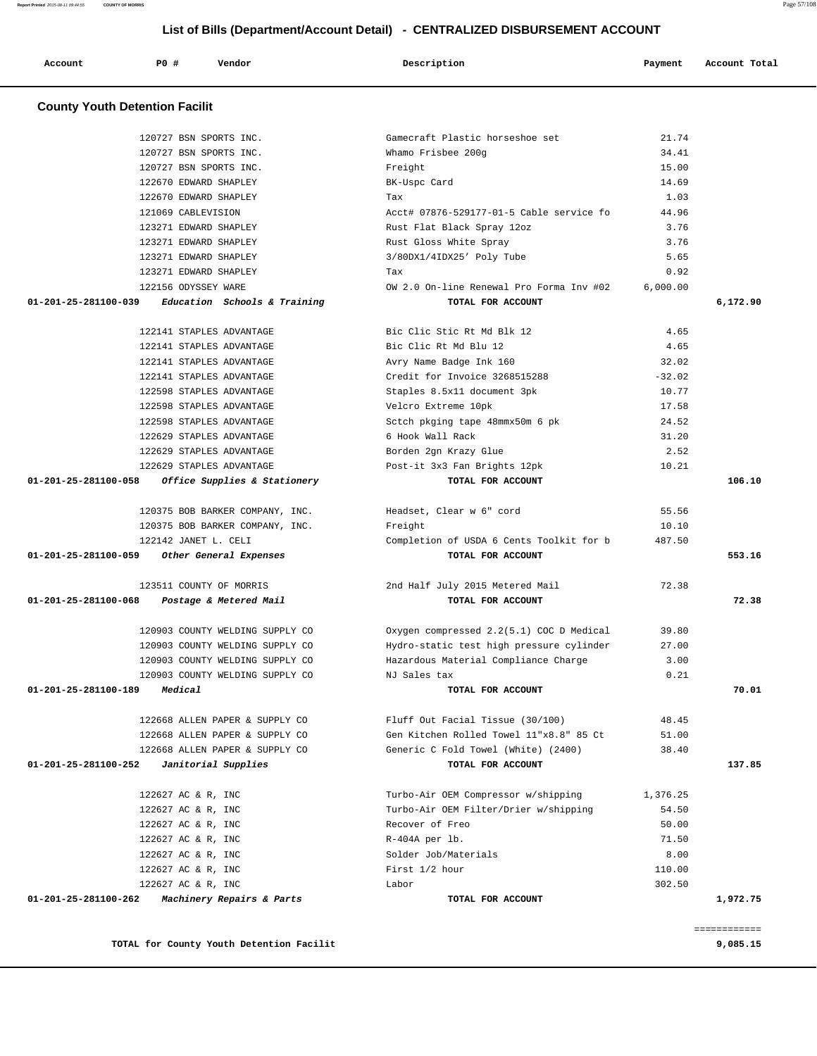$122142$  JANET L. CELI

123511 COUNTY OF MORRIS

120903 COUNTY WELDING SUPPLY CO 120903 COUNTY WELDING SUPPLY CO

01-201-25-281100-059 Other General Expenses

01-201-25-281100-068 Postage & Metered Mail

|                                          | ____________<br>___________ |
|------------------------------------------|-----------------------------|
| TOTAL for County Youth Detention Facilit | 9,085.15                    |

| TANSAS CANNII MEMAING SALLMI CA                   | NU DAICƏ LAA                            | <u>v.zi</u> |          |
|---------------------------------------------------|-----------------------------------------|-------------|----------|
| 01-201-25-281100-189<br>Medical                   | TOTAL FOR ACCOUNT                       |             | 70.01    |
| 122668 ALLEN PAPER & SUPPLY CO                    | Fluff Out Facial Tissue (30/100)        | 48.45       |          |
| 122668 ALLEN PAPER & SUPPLY CO                    | Gen Kitchen Rolled Towel 11"x8.8" 85 Ct | 51.00       |          |
| 122668 ALLEN PAPER & SUPPLY CO                    | Generic C Fold Towel (White) (2400)     | 38.40       |          |
| Janitorial Supplies<br>01-201-25-281100-252       | TOTAL FOR ACCOUNT                       |             | 137.85   |
| 122627 AC & R, INC                                | Turbo-Air OEM Compressor w/shipping     | 1,376.25    |          |
| 122627 AC & R, INC                                | Turbo-Air OEM Filter/Drier w/shipping   | 54.50       |          |
| 122627 AC & R, INC                                | Recover of Freo                         | 50.00       |          |
| 122627 AC & R, INC                                | R-404A per lb.                          | 71.50       |          |
| 122627 AC & R, INC                                | Solder Job/Materials                    | 8.00        |          |
| 122627 AC & R, INC                                | First 1/2 hour                          | 110.00      |          |
| 122627 AC & R, INC                                | Labor                                   | 302.50      |          |
| 01-201-25-281100-262<br>Machinery Repairs & Parts | TOTAL FOR ACCOUNT                       |             | 1,972.75 |

| 120903 COUNTY WELDING SUPPLY CO | Hazardous Material Compliance Charge    | 3.00  |
|---------------------------------|-----------------------------------------|-------|
| 120903 COUNTY WELDING SUPPLY CO | NJ Sales tax                            | 0.21  |
| 9<br>Medical                    | TOTAL FOR ACCOUNT                       | 70.01 |
| 122668 ALLEN PAPER & SUPPLY CO  | Fluff Out Facial Tissue (30/100)        | 48.45 |
| 122668 ALLEN PAPER & SUPPLY CO  | Gen Kitchen Rolled Towel 11"x8.8" 85 Ct | 51.00 |

| Completion of USDA 6 Cents Toolkit for b | 487.50 |        |
|------------------------------------------|--------|--------|
| TOTAL FOR ACCOUNT                        |        | 553.16 |
| 2nd Half July 2015 Metered Mail          | 72.38  |        |
|                                          |        |        |
| TOTAL FOR ACCOUNT                        |        | 72.38  |
|                                          |        |        |
| Oxygen compressed 2.2(5.1) COC D Medical | 39.80  |        |
| Hydro-static test high pressure cylinder | 27.00  |        |

| 123271 EDWARD SHAPLEY                               |                                                          | 3/80DX1/4IDX25' Poly Tube                         | 5.65     |          |
|-----------------------------------------------------|----------------------------------------------------------|---------------------------------------------------|----------|----------|
| 123271 EDWARD SHAPLEY                               |                                                          | Tax                                               | 0.92     |          |
| 122156 ODYSSEY WARE                                 |                                                          | OW 2.0 On-line Renewal Pro Forma Inv #02 6,000.00 |          |          |
| $01-201-25-281100-039$ Education Schools & Training |                                                          | TOTAL FOR ACCOUNT                                 |          | 6,172.90 |
| 122141 STAPLES ADVANTAGE                            |                                                          | Bic Clic Stic Rt Md Blk 12                        | 4.65     |          |
| 122141 STAPLES ADVANTAGE                            |                                                          | Bic Clic Rt Md Blu 12                             | 4.65     |          |
| 122141 STAPLES ADVANTAGE                            |                                                          | Avry Name Badge Ink 160                           | 32.02    |          |
| 122141 STAPLES ADVANTAGE                            |                                                          | Credit for Invoice 3268515288                     | $-32.02$ |          |
| 122598 STAPLES ADVANTAGE                            |                                                          | Staples 8.5x11 document 3pk                       | 10.77    |          |
| 122598 STAPLES ADVANTAGE                            |                                                          | Velcro Extreme 10pk                               | 17.58    |          |
| 122598 STAPLES ADVANTAGE                            |                                                          | Sctch pkging tape 48mmx50m 6 pk                   | 24.52    |          |
| 122629 STAPLES ADVANTAGE                            |                                                          | 6 Hook Wall Rack                                  | 31.20    |          |
| 122629 STAPLES ADVANTAGE                            |                                                          | Borden 2gn Krazy Glue                             | 2.52     |          |
| 122629 STAPLES ADVANTAGE                            |                                                          | Post-it 3x3 Fan Brights 12pk                      | 10.21    |          |
| 01-201-25-281100-058 Office Supplies & Stationery   |                                                          | TOTAL FOR ACCOUNT                                 |          | 106.10   |
|                                                     | 120375 BOB BARKER COMPANY, INC. Headset, Clear w 6" cord |                                                   | 55.56    |          |
| 120375 BOB BARKER COMPANY, INC.                     |                                                          | Freight                                           | 10.10    |          |

### **County Youth Detention Facilit**

|         |     |        | List of Bills (Department/Account Detail) - CENTRALIZED DISBURSEMENT ACCOUNT |         |               |
|---------|-----|--------|------------------------------------------------------------------------------|---------|---------------|
| Account | P0# | Vendor | Description                                                                  | Payment | Account Total |

 120727 BSN SPORTS INC. Gamecraft Plastic horseshoe set 21.74 120727 BSN SPORTS INC. Whamo Frisbee 200g 34.41 120727 BSN SPORTS INC. Freight 15.00 122670 EDWARD SHAPLEY BK-Uspc Card 14.69 122670 EDWARD SHAPLEY Tax 1.03 121069 CABLEVISION Acct# 07876-529177-01-5 Cable service fo 44.96 123271 EDWARD SHAPLEY Rust Flat Black Spray 12oz 3.76 123271 EDWARD SHAPLEY Rust Gloss White Spray 3.76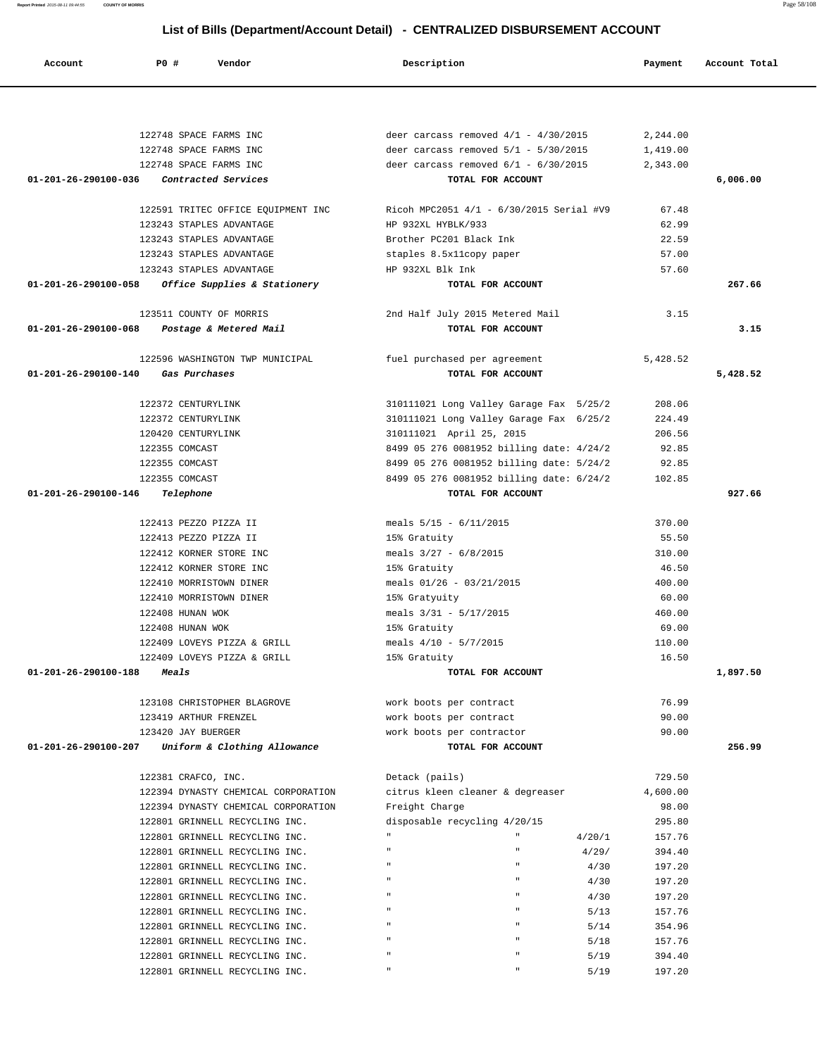| 122748 SPACE FARMS INC                               | deer carcass removed $4/1$ - $4/30/2015$ | 2,244.00 |          |
|------------------------------------------------------|------------------------------------------|----------|----------|
| 122748 SPACE FARMS INC                               | deer carcass removed $5/1$ - $5/30/2015$ | 1,419.00 |          |
| 122748 SPACE FARMS INC                               | deer carcass removed $6/1 - 6/30/2015$   | 2,343.00 |          |
| 01-201-26-290100-036<br>Contracted Services          | TOTAL FOR ACCOUNT                        |          | 6,006.00 |
|                                                      |                                          |          |          |
|                                                      |                                          |          |          |
| 122591 TRITEC OFFICE EQUIPMENT INC                   | Ricoh MPC2051 4/1 - 6/30/2015 Serial #V9 | 67.48    |          |
| 123243 STAPLES ADVANTAGE                             | HP 932XL HYBLK/933                       | 62.99    |          |
| 123243 STAPLES ADVANTAGE                             | Brother PC201 Black Ink                  | 22.59    |          |
| 123243 STAPLES ADVANTAGE                             | staples 8.5x11copy paper                 | 57.00    |          |
| 123243 STAPLES ADVANTAGE                             | HP 932XL Blk Ink                         | 57.60    |          |
| 01-201-26-290100-058<br>Office Supplies & Stationery | TOTAL FOR ACCOUNT                        |          | 267.66   |
|                                                      |                                          |          |          |
| 123511 COUNTY OF MORRIS                              | 2nd Half July 2015 Metered Mail          | 3.15     |          |
| 01-201-26-290100-068<br>Postage & Metered Mail       | TOTAL FOR ACCOUNT                        |          | 3.15     |
|                                                      |                                          |          |          |
| 122596 WASHINGTON TWP MUNICIPAL                      | fuel purchased per agreement             | 5,428.52 |          |
| 01-201-26-290100-140<br>Gas Purchases                | TOTAL FOR ACCOUNT                        |          | 5,428.52 |
|                                                      |                                          |          |          |
| 122372 CENTURYLINK                                   | 310111021 Long Valley Garage Fax 5/25/2  | 208.06   |          |
| 122372 CENTURYLINK                                   | 310111021 Long Valley Garage Fax 6/25/2  | 224.49   |          |
| 120420 CENTURYLINK                                   | 310111021 April 25, 2015                 | 206.56   |          |
| 122355 COMCAST                                       | 8499 05 276 0081952 billing date: 4/24/2 | 92.85    |          |
| 122355 COMCAST                                       | 8499 05 276 0081952 billing date: 5/24/2 | 92.85    |          |
| 122355 COMCAST                                       | 8499 05 276 0081952 billing date: 6/24/2 | 102.85   |          |
| 01-201-26-290100-146<br>Telephone                    | TOTAL FOR ACCOUNT                        |          | 927.66   |
|                                                      |                                          |          |          |
| 122413 PEZZO PIZZA II                                | meals $5/15 - 6/11/2015$                 | 370.00   |          |
| 122413 PEZZO PIZZA II                                | 15% Gratuity                             | 55.50    |          |
| 122412 KORNER STORE INC                              | meals $3/27 - 6/8/2015$                  | 310.00   |          |
| 122412 KORNER STORE INC                              |                                          | 46.50    |          |
|                                                      | 15% Gratuity                             |          |          |
| 122410 MORRISTOWN DINER                              | meals $01/26 - 03/21/2015$               | 400.00   |          |
| 122410 MORRISTOWN DINER                              | 15% Gratyuity                            | 60.00    |          |
| 122408 HUNAN WOK                                     | meals $3/31 - 5/17/2015$                 | 460.00   |          |
| 122408 HUNAN WOK                                     | 15% Gratuity                             | 69.00    |          |
| 122409 LOVEYS PIZZA & GRILL                          | meals $4/10 - 5/7/2015$                  | 110.00   |          |
| 122409 LOVEYS PIZZA & GRILL                          | 15% Gratuity                             | 16.50    |          |
| 01-201-26-290100-188<br>Meals                        | TOTAL FOR ACCOUNT                        |          | 1,897.50 |
|                                                      |                                          |          |          |
| 123108 CHRISTOPHER BLAGROVE                          | work boots per contract                  | 76.99    |          |
| 123419 ARTHUR FRENZEL                                | work boots per contract                  | 90.00    |          |
| 123420 JAY BUERGER                                   | work boots per contractor                | 90.00    |          |
| 01-201-26-290100-207<br>Uniform & Clothing Allowance | TOTAL FOR ACCOUNT                        |          | 256.99   |
|                                                      |                                          |          |          |
| 122381 CRAFCO, INC.                                  | Detack (pails)                           | 729.50   |          |
| 122394 DYNASTY CHEMICAL CORPORATION                  | citrus kleen cleaner & degreaser         | 4,600.00 |          |
| 122394 DYNASTY CHEMICAL CORPORATION                  | Freight Charge                           | 98.00    |          |
| 122801 GRINNELL RECYCLING INC.                       | disposable recycling 4/20/15             | 295.80   |          |
| 122801 GRINNELL RECYCLING INC.                       | 4/20/1                                   | 157.76   |          |
| 122801 GRINNELL RECYCLING INC.                       | 4/29/                                    | 394.40   |          |
| 122801 GRINNELL RECYCLING INC.                       | 4/30                                     | 197.20   |          |
| 122801 GRINNELL RECYCLING INC.                       | 4/30                                     | 197.20   |          |
| 122801 GRINNELL RECYCLING INC.                       | 4/30                                     | 197.20   |          |
| 122801 GRINNELL RECYCLING INC.                       | 5/13                                     | 157.76   |          |
| 122801 GRINNELL RECYCLING INC.                       | 5/14                                     | 354.96   |          |
| 122801 GRINNELL RECYCLING INC.                       | 5/18                                     | 157.76   |          |
| 122801 GRINNELL RECYCLING INC.                       | 5/19                                     | 394.40   |          |
| 122801 GRINNELL RECYCLING INC.                       | 5/19                                     | 197.20   |          |
|                                                      |                                          |          |          |

 **Account P0 # Vendor Description Payment Account Total**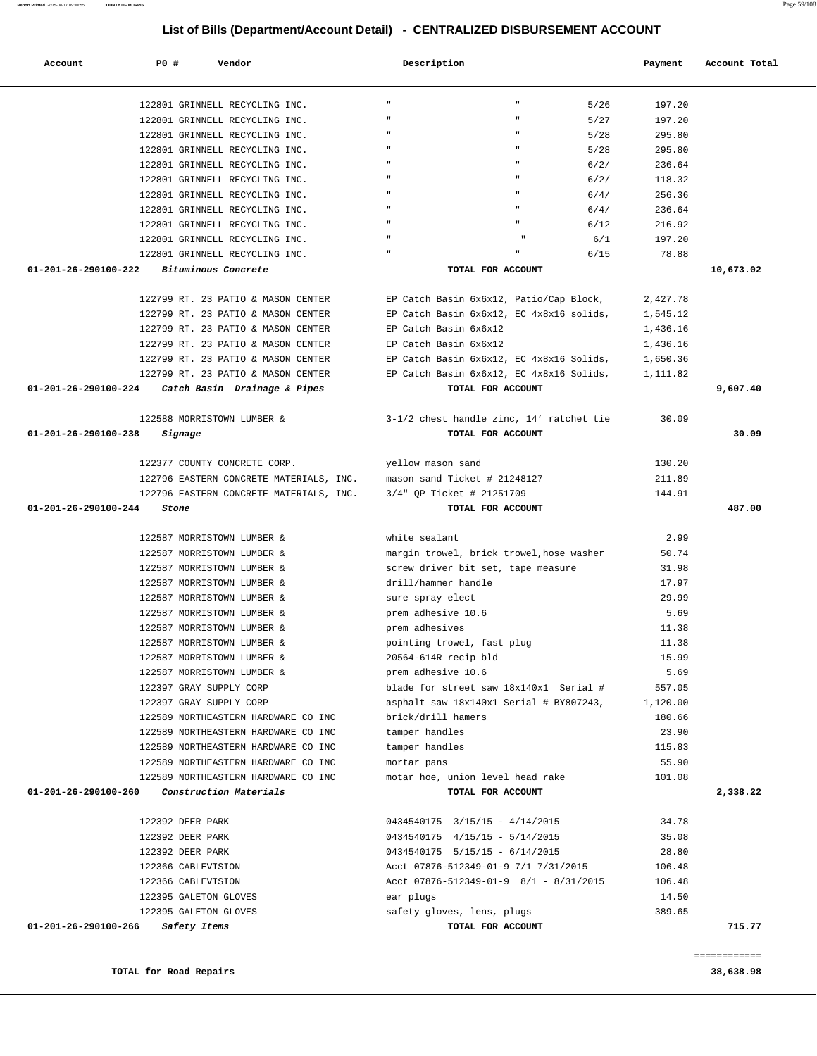### **TOTAL for Road Repairs 38,638.98**

| 122801 GRINNELL RECYCLING INC.                                             | $\mathbf{H}$<br>$\mathbf{H}$<br>5/26            | 197.20          |              |
|----------------------------------------------------------------------------|-------------------------------------------------|-----------------|--------------|
| 122801 GRINNELL RECYCLING INC.                                             | $\mathbf{u}$<br>5/27                            | 197.20          |              |
| 122801 GRINNELL RECYCLING INC.                                             | 5/28                                            | 295.80          |              |
| 122801 GRINNELL RECYCLING INC.                                             | 5/28                                            | 295.80          |              |
| 122801 GRINNELL RECYCLING INC.                                             | $6/2/$                                          | 236.64          |              |
| 122801 GRINNELL RECYCLING INC.                                             | $6/2/$                                          | 118.32          |              |
| 122801 GRINNELL RECYCLING INC.                                             | 6/4/                                            | 256.36          |              |
| 122801 GRINNELL RECYCLING INC.                                             | 6/4/                                            | 236.64          |              |
| 122801 GRINNELL RECYCLING INC.                                             | 6/12                                            | 216.92          |              |
| 122801 GRINNELL RECYCLING INC.                                             | 6/1                                             | 197.20          |              |
| 122801 GRINNELL RECYCLING INC.                                             | 6/15                                            | 78.88           |              |
| 01-201-26-290100-222<br><i>Bituminous Concrete</i>                         | TOTAL FOR ACCOUNT                               |                 | 10,673.02    |
|                                                                            |                                                 |                 |              |
| 122799 RT. 23 PATIO & MASON CENTER                                         | EP Catch Basin 6x6x12, Patio/Cap Block,         | 2,427.78        |              |
| 122799 RT. 23 PATIO & MASON CENTER                                         | EP Catch Basin 6x6x12, EC 4x8x16 solids,        | 1,545.12        |              |
| 122799 RT. 23 PATIO & MASON CENTER                                         | EP Catch Basin 6x6x12                           | 1,436.16        |              |
| 122799 RT. 23 PATIO & MASON CENTER                                         | EP Catch Basin 6x6x12                           | 1,436.16        |              |
| 122799 RT. 23 PATIO & MASON CENTER                                         | EP Catch Basin 6x6x12, EC 4x8x16 Solids,        | 1,650.36        |              |
| 122799 RT. 23 PATIO & MASON CENTER                                         | EP Catch Basin 6x6x12, EC 4x8x16 Solids,        | 1,111.82        |              |
| 01-201-26-290100-224<br>Catch Basin Drainage & Pipes                       | TOTAL FOR ACCOUNT                               |                 | 9,607.40     |
| 122588 MORRISTOWN LUMBER &                                                 | 3-1/2 chest handle zinc, 14' ratchet tie        | 30.09           |              |
| 01-201-26-290100-238                                                       | TOTAL FOR ACCOUNT                               |                 | 30.09        |
| Signage                                                                    |                                                 |                 |              |
| 122377 COUNTY CONCRETE CORP.                                               | yellow mason sand                               | 130.20          |              |
| 122796 EASTERN CONCRETE MATERIALS, INC. mason sand Ticket # 21248127       |                                                 | 211.89          |              |
| 122796 EASTERN CONCRETE MATERIALS, INC.                                    | 3/4" QP Ticket # 21251709                       | 144.91          |              |
| 01-201-26-290100-244<br>Stone                                              | TOTAL FOR ACCOUNT                               |                 | 487.00       |
|                                                                            |                                                 |                 |              |
| 122587 MORRISTOWN LUMBER &                                                 | white sealant                                   | 2.99            |              |
| 122587 MORRISTOWN LUMBER &                                                 | margin trowel, brick trowel, hose washer        | 50.74           |              |
| 122587 MORRISTOWN LUMBER &                                                 | screw driver bit set, tape measure              | 31.98           |              |
| 122587 MORRISTOWN LUMBER &                                                 | drill/hammer handle                             | 17.97           |              |
| 122587 MORRISTOWN LUMBER &                                                 | sure spray elect                                | 29.99           |              |
| 122587 MORRISTOWN LUMBER &                                                 | prem adhesive 10.6                              | 5.69            |              |
| 122587 MORRISTOWN LUMBER &                                                 | prem adhesives                                  | 11.38           |              |
| 122587 MORRISTOWN LUMBER &                                                 | pointing trowel, fast plug                      | 11.38           |              |
| 122587 MORRISTOWN LUMBER &                                                 | 20564-614R recip bld                            | 15.99           |              |
| 122587 MORRISTOWN LUMBER &                                                 | prem adhesive 10.6                              | 5.69            |              |
| 122397 GRAY SUPPLY CORP                                                    | blade for street saw 18x140x1 Serial #          | 557.05          |              |
| 122397 GRAY SUPPLY CORP                                                    | asphalt saw 18x140x1 Serial # BY807243,         | 1,120.00        |              |
| 122589 NORTHEASTERN HARDWARE CO INC                                        | brick/drill hamers                              | 180.66          |              |
| 122589 NORTHEASTERN HARDWARE CO INC                                        | tamper handles                                  | 23.90           |              |
| 122589 NORTHEASTERN HARDWARE CO INC<br>122589 NORTHEASTERN HARDWARE CO INC | tamper handles                                  | 115.83<br>55.90 |              |
| 122589 NORTHEASTERN HARDWARE CO INC                                        | mortar pans<br>motar hoe, union level head rake | 101.08          |              |
| 01-201-26-290100-260<br>Construction Materials                             | TOTAL FOR ACCOUNT                               |                 | 2,338.22     |
|                                                                            |                                                 |                 |              |
| 122392 DEER PARK                                                           | 0434540175 3/15/15 - 4/14/2015                  | 34.78           |              |
| 122392 DEER PARK                                                           | 0434540175 4/15/15 - 5/14/2015                  | 35.08           |              |
| 122392 DEER PARK                                                           | 0434540175  5/15/15 - 6/14/2015                 | 28.80           |              |
| 122366 CABLEVISION                                                         | Acct 07876-512349-01-9 7/1 7/31/2015            | 106.48          |              |
| 122366 CABLEVISION                                                         | Acct 07876-512349-01-9 8/1 - 8/31/2015          | 106.48          |              |
| 122395 GALETON GLOVES                                                      | ear plugs                                       | 14.50           |              |
| 122395 GALETON GLOVES                                                      | safety gloves, lens, plugs                      | 389.65          |              |
| 01-201-26-290100-266<br>Safety Items                                       | TOTAL FOR ACCOUNT                               |                 | 715.77       |
|                                                                            |                                                 |                 |              |
|                                                                            |                                                 |                 | ============ |

 **Account P0 # Vendor Description Payment Account Total**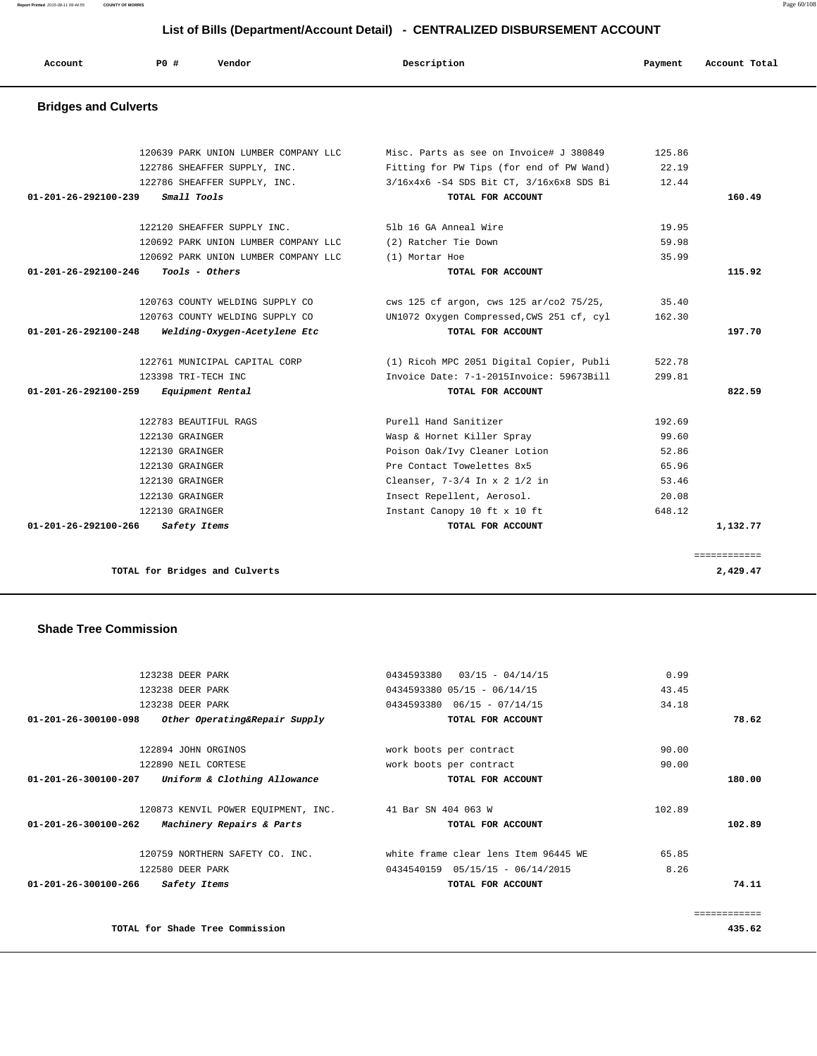**Report Printed** 2015-08-11 09:44:55 **COUNTY OF MORRIS** Page 60/108

 **List of Bills (Department/Account Detail) - CENTRALIZED DISBURSEMENT ACCOUNT**

| Account                        | <b>PO#</b><br>Vendor                 | Description                               | Payment | Account Total |
|--------------------------------|--------------------------------------|-------------------------------------------|---------|---------------|
| <b>Bridges and Culverts</b>    |                                      |                                           |         |               |
|                                | 120639 PARK UNION LUMBER COMPANY LLC | Misc. Parts as see on Invoice# J 380849   | 125.86  |               |
|                                | 122786 SHEAFFER SUPPLY, INC.         | Fitting for PW Tips (for end of PW Wand)  | 22.19   |               |
|                                | 122786 SHEAFFER SUPPLY, INC.         | 3/16x4x6 -S4 SDS Bit CT, 3/16x6x8 SDS Bi  | 12.44   |               |
| 01-201-26-292100-239           | Small Tools                          | TOTAL FOR ACCOUNT                         |         | 160.49        |
|                                | 122120 SHEAFFER SUPPLY INC.          | 51b 16 GA Anneal Wire                     | 19.95   |               |
|                                | 120692 PARK UNION LUMBER COMPANY LLC | (2) Ratcher Tie Down                      | 59.98   |               |
|                                | 120692 PARK UNION LUMBER COMPANY LLC | (1) Mortar Hoe                            | 35.99   |               |
| $01 - 201 - 26 - 292100 - 246$ | Tools - Others                       | TOTAL FOR ACCOUNT                         |         | 115.92        |
|                                | 120763 COUNTY WELDING SUPPLY CO      | cws 125 cf argon, cws 125 ar/co2 75/25,   | 35.40   |               |
|                                | 120763 COUNTY WELDING SUPPLY CO      | UN1072 Oxygen Compressed, CWS 251 cf, cyl | 162.30  |               |
| 01-201-26-292100-248           | Welding-Oxygen-Acetylene Etc         | TOTAL FOR ACCOUNT                         |         | 197.70        |
|                                | 122761 MUNICIPAL CAPITAL CORP        | (1) Ricoh MPC 2051 Digital Copier, Publi  | 522.78  |               |
|                                | 123398 TRI-TECH INC                  | Invoice Date: 7-1-2015Invoice: 59673Bill  | 299.81  |               |
| 01-201-26-292100-259           | Equipment Rental                     | TOTAL FOR ACCOUNT                         |         | 822.59        |
|                                | 122783 BEAUTIFUL RAGS                | Purell Hand Sanitizer                     | 192.69  |               |
|                                | 122130 GRAINGER                      | Wasp & Hornet Killer Spray                | 99.60   |               |
|                                | 122130 GRAINGER                      | Poison Oak/Ivy Cleaner Lotion             | 52.86   |               |
|                                | 122130 GRAINGER                      | Pre Contact Towelettes 8x5                | 65.96   |               |
|                                | 122130 GRAINGER                      | Cleanser, $7-3/4$ In x 2 1/2 in           | 53.46   |               |
|                                | 122130 GRAINGER                      | Insect Repellent, Aerosol.                | 20.08   |               |
|                                | 122130 GRAINGER                      | Instant Canopy 10 ft x 10 ft              | 648.12  |               |
| 01-201-26-292100-266           | Safety Items                         | TOTAL FOR ACCOUNT                         |         | 1,132.77      |

## **Shade Tree Commission**

|              | 0.99   | $03/15 - 04/14/15$<br>0434593380     | 123238 DEER PARK                                        |                                |
|--------------|--------|--------------------------------------|---------------------------------------------------------|--------------------------------|
|              | 43.45  | $0434593380$ $05/15$ - $06/14/15$    | 123238 DEER PARK                                        |                                |
|              | 34.18  | $0434593380$ $06/15$ - $07/14/15$    | 123238 DEER PARK                                        |                                |
| 78.62        |        | TOTAL FOR ACCOUNT                    | $01-201-26-300100-098$ Other Operating&Repair Supply    |                                |
|              | 90.00  | work boots per contract              | 122894 JOHN ORGINOS                                     |                                |
|              | 90.00  | work boots per contract              | 122890 NEIL CORTESE                                     |                                |
| 180.00       |        | TOTAL FOR ACCOUNT                    | 01-201-26-300100-207 Uniform & Clothing Allowance       |                                |
|              | 102.89 |                                      | 120873 KENVIL POWER EQUIPMENT, INC. 41 Bar SN 404 063 W |                                |
| 102.89       |        | TOTAL FOR ACCOUNT                    | <i>Machinery Repairs &amp; Parts</i>                    | $01 - 201 - 26 - 300100 - 262$ |
|              | 65.85  | white frame clear lens Item 96445 WE | 120759 NORTHERN SAFETY CO. INC.                         |                                |
|              | 8.26   | $0434540159$ $05/15/15 - 06/14/2015$ | 122580 DEER PARK                                        |                                |
| 74.11        |        | TOTAL FOR ACCOUNT                    | Safety Items                                            | 01-201-26-300100-266           |
| ------------ |        |                                      |                                                         |                                |
| 435.62       |        |                                      | TOTAL for Shade Tree Commission                         |                                |
|              |        |                                      |                                                         |                                |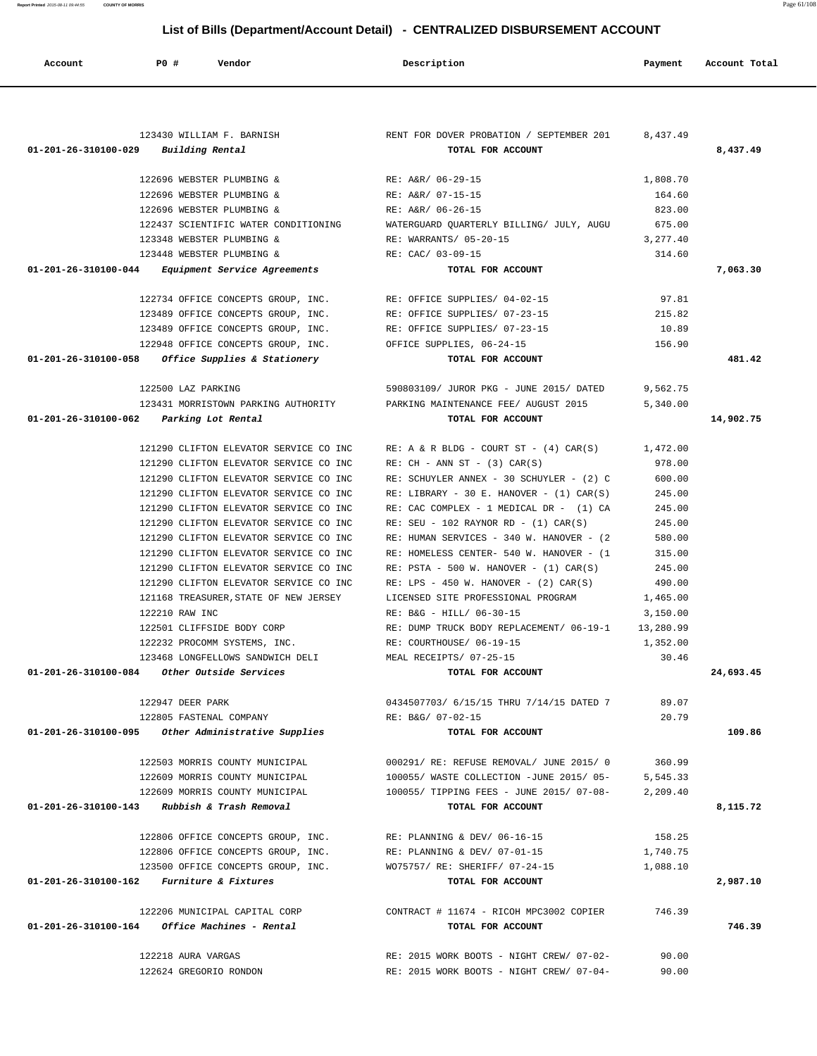|                                                | 123430 WILLIAM F. BARNISH                                        | RENT FOR DOVER PROBATION / SEPTEMBER 201                                 | 8,437.49 |           |
|------------------------------------------------|------------------------------------------------------------------|--------------------------------------------------------------------------|----------|-----------|
| $01 - 201 - 26 - 310100 - 029$ Building Rental |                                                                  | TOTAL FOR ACCOUNT                                                        |          | 8,437.49  |
|                                                | 122696 WEBSTER PLUMBING &                                        | RE: A&R/ 06-29-15                                                        | 1,808.70 |           |
|                                                | 122696 WEBSTER PLUMBING &                                        | RE: A&R/ 07-15-15                                                        | 164.60   |           |
|                                                | 122696 WEBSTER PLUMBING &                                        | RE: A&R/ 06-26-15                                                        | 823.00   |           |
|                                                | 122437 SCIENTIFIC WATER CONDITIONING                             | WATERGUARD QUARTERLY BILLING/ JULY, AUGU 675.00                          |          |           |
|                                                | 123348 WEBSTER PLUMBING &                                        | RE: WARRANTS/ 05-20-15                                                   | 3,277.40 |           |
|                                                | 123448 WEBSTER PLUMBING &                                        | RE: CAC/ 03-09-15                                                        | 314.60   |           |
|                                                | 01-201-26-310100-044 Equipment Service Agreements                | TOTAL FOR ACCOUNT                                                        |          | 7,063.30  |
|                                                | 122734 OFFICE CONCEPTS GROUP, INC. RE: OFFICE SUPPLIES/ 04-02-15 |                                                                          | 97.81    |           |
|                                                | 123489 OFFICE CONCEPTS GROUP, INC. RE: OFFICE SUPPLIES/ 07-23-15 |                                                                          | 215.82   |           |
|                                                | 123489 OFFICE CONCEPTS GROUP, INC. RE: OFFICE SUPPLIES/ 07-23-15 |                                                                          | 10.89    |           |
|                                                | 122948 OFFICE CONCEPTS GROUP, INC. OFFICE SUPPLIES, 06-24-15     |                                                                          | 156.90   |           |
|                                                | $01-201-26-310100-058$ Office Supplies & Stationery              | TOTAL FOR ACCOUNT                                                        |          | 481.42    |
|                                                | 122500 LAZ PARKING                                               | 590803109/ JUROR PKG - JUNE 2015/ DATED                                  | 9,562.75 |           |
|                                                |                                                                  | 123431 MORRISTOWN PARKING AUTHORITY PARKING MAINTENANCE FEE/ AUGUST 2015 | 5,340.00 |           |
|                                                | 01-201-26-310100-062 Parking Lot Rental                          | TOTAL FOR ACCOUNT                                                        |          | 14,902.75 |
|                                                |                                                                  |                                                                          |          |           |
|                                                | 121290 CLIFTON ELEVATOR SERVICE CO INC                           | RE: A & R BLDG - COURT ST - $(4)$ CAR(S) 1,472.00                        |          |           |
|                                                | 121290 CLIFTON ELEVATOR SERVICE CO INC                           | $RE: CH - ANN ST - (3) CAR(S)$                                           | 978.00   |           |
|                                                | 121290 CLIFTON ELEVATOR SERVICE CO INC                           | RE: SCHUYLER ANNEX - 30 SCHUYLER - (2) C                                 | 600.00   |           |
|                                                | 121290 CLIFTON ELEVATOR SERVICE CO INC                           | RE: LIBRARY - 30 E. HANOVER - $(1)$ CAR $(S)$                            | 245.00   |           |
|                                                | 121290 CLIFTON ELEVATOR SERVICE CO INC                           | RE: CAC COMPLEX - 1 MEDICAL DR - (1) CA                                  | 245.00   |           |
|                                                | 121290 CLIFTON ELEVATOR SERVICE CO INC                           | $RE: SEU - 102 RAYNOR RD - (1) CAR(S)$                                   | 245.00   |           |
|                                                | 121290 CLIFTON ELEVATOR SERVICE CO INC                           | RE: HUMAN SERVICES - 340 W. HANOVER - (2)                                | 580.00   |           |
|                                                | 121290 CLIFTON ELEVATOR SERVICE CO INC                           | RE: HOMELESS CENTER- 540 W. HANOVER - (1                                 | 315.00   |           |
|                                                | 121290 CLIFTON ELEVATOR SERVICE CO INC                           | $RE: PSTA - 500 W. HANOVER - (1) CAR(S)$                                 | 245.00   |           |
|                                                |                                                                  |                                                                          |          |           |
|                                                | 121290 CLIFTON ELEVATOR SERVICE CO INC                           | RE: LPS - 450 W. HANOVER - $(2)$ CAR $(S)$                               | 490.00   |           |
|                                                | 121168 TREASURER, STATE OF NEW JERSEY                            | LICENSED SITE PROFESSIONAL PROGRAM                                       | 1,465.00 |           |
|                                                | 122210 RAW INC                                                   | RE: B&G - HILL/ 06-30-15                                                 | 3,150.00 |           |
|                                                | 122501 CLIFFSIDE BODY CORP                                       | RE: DUMP TRUCK BODY REPLACEMENT/ 06-19-1 13,280.99                       |          |           |
|                                                | 122232 PROCOMM SYSTEMS, INC.                                     | RE: COURTHOUSE/ 06-19-15                                                 | 1,352.00 |           |
|                                                | 123468 LONGFELLOWS SANDWICH DELI                                 | MEAL RECEIPTS/ 07-25-15                                                  | 30.46    |           |
|                                                | $01-201-26-310100-084$ Other Outside Services                    | TOTAL FOR ACCOUNT                                                        |          | 24,693.45 |
|                                                | 122947 DEER PARK                                                 | 0434507703/ 6/15/15 THRU 7/14/15 DATED 7                                 | 89.07    |           |
|                                                | 122805 FASTENAL COMPANY                                          | RE: B&G/ 07-02-15                                                        | 20.79    |           |
|                                                | 01-201-26-310100-095 Other Administrative Supplies               | TOTAL FOR ACCOUNT                                                        |          | 109.86    |
|                                                | 122503 MORRIS COUNTY MUNICIPAL                                   | 000291/ RE: REFUSE REMOVAL/ JUNE 2015/ 0                                 | 360.99   |           |
|                                                | 122609 MORRIS COUNTY MUNICIPAL                                   | 100055/ WASTE COLLECTION -JUNE 2015/ 05-                                 | 5,545.33 |           |
|                                                | 122609 MORRIS COUNTY MUNICIPAL                                   | 100055/ TIPPING FEES - JUNE 2015/ 07-08-                                 | 2,209.40 |           |
|                                                | 01-201-26-310100-143 Rubbish & Trash Removal                     | TOTAL FOR ACCOUNT                                                        |          | 8,115.72  |
|                                                | 122806 OFFICE CONCEPTS GROUP, INC.                               | RE: PLANNING & DEV/ 06-16-15                                             | 158.25   |           |
|                                                | 122806 OFFICE CONCEPTS GROUP, INC.                               | RE: PLANNING & DEV/ 07-01-15                                             | 1,740.75 |           |
|                                                | 123500 OFFICE CONCEPTS GROUP, INC.                               | WO75757/ RE: SHERIFF/ 07-24-15                                           | 1,088.10 |           |
|                                                | 01-201-26-310100-162 Furniture & Fixtures                        | TOTAL FOR ACCOUNT                                                        |          | 2,987.10  |
|                                                | 122206 MUNICIPAL CAPITAL CORP                                    | CONTRACT # 11674 - RICOH MPC3002 COPIER                                  | 746.39   |           |
|                                                | $01 - 201 - 26 - 310100 - 164$ Office Machines - Rental          | TOTAL FOR ACCOUNT                                                        |          | 746.39    |
|                                                | 122218 AURA VARGAS                                               | RE: 2015 WORK BOOTS - NIGHT CREW/ 07-02-                                 | 90.00    |           |
|                                                | 122624 GREGORIO RONDON                                           | RE: 2015 WORK BOOTS - NIGHT CREW/ 07-04-                                 | 90.00    |           |
|                                                |                                                                  |                                                                          |          |           |

 **Account P0 # Vendor Description Payment Account Total**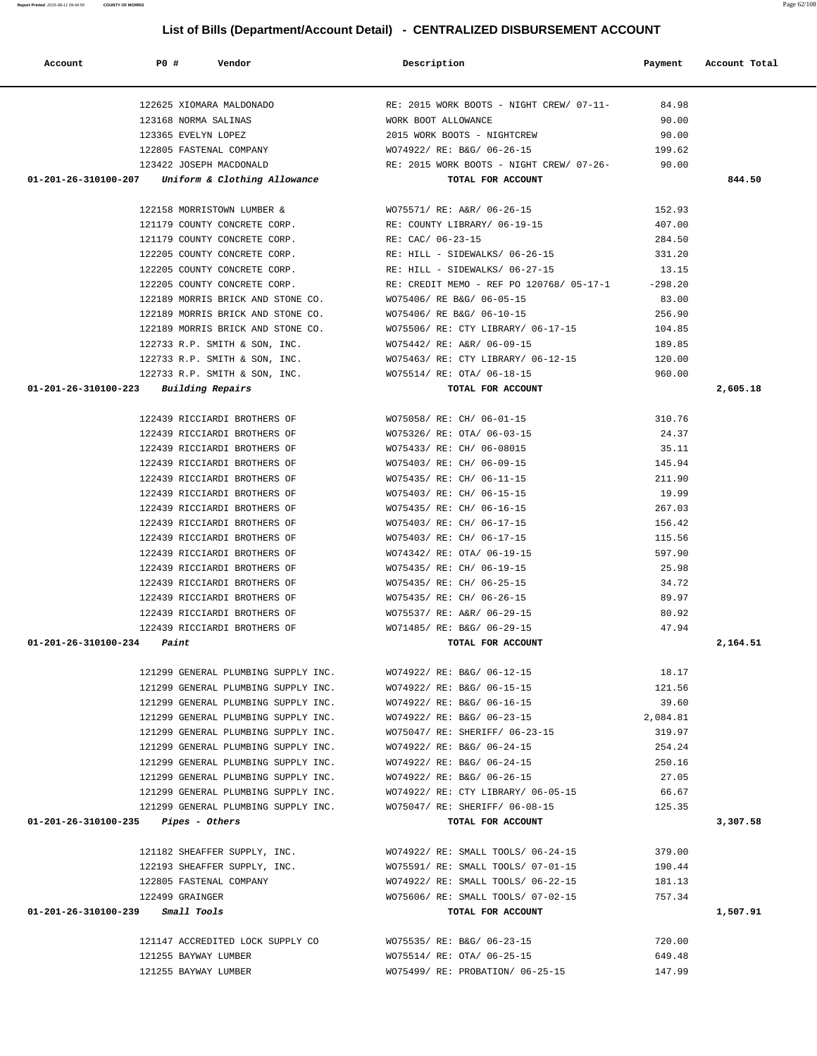| 122625 XIOMARA MALDONADO                                                                           |                                                                                                                                                                               |          |          |
|----------------------------------------------------------------------------------------------------|-------------------------------------------------------------------------------------------------------------------------------------------------------------------------------|----------|----------|
| 123168 NORMA SALINAS                                                                               | RE: 2015 WORK BOOTS - NIGHT CREW/ 07-11-<br>WORK BOOT ALLOWANCE<br>2015 WORK BOOTS - NIGHTCREW 90.00<br>2015 WORK BOOTS - NIGHTCREW 90.00<br>201922/ RE: B&G/ 06-26-15 199.62 |          |          |
| 123365 EVELYN LOPEZ                                                                                |                                                                                                                                                                               |          |          |
| 122805 FASTENAL COMPANY                                                                            | WO74922/ RE: B&G/ 06-26-15                                                                                                                                                    | 199.62   |          |
| 123422 JOSEPH MACDONALD                                                                            | RE: 2015 WORK BOOTS - NIGHT CREW/ 07-26-                                                                                                                                      | 90.00    |          |
| 01-201-26-310100-207 Uniform & Clothing Allowance                                                  | TOTAL FOR ACCOUNT                                                                                                                                                             |          | 844.50   |
|                                                                                                    |                                                                                                                                                                               |          |          |
|                                                                                                    | 122158 MORRISTOWN LUMBER & WO75571/RE: A&R/06-26-15 152.93                                                                                                                    |          |          |
|                                                                                                    | 121179 COUNTY CONCRETE CORP. RE: COUNTY LIBRARY/ 06-19-15                                                                                                                     | 407.00   |          |
| 121179 COUNTY CONCRETE CORP. RE: CAC/ 06-23-15                                                     |                                                                                                                                                                               | 284.50   |          |
| 122205 COUNTY CONCRETE CORP.                                                                       |                                                                                                                                                                               | 331.20   |          |
| 122205 COUNTY CONCRETE CORP.                                                                       | RE: HILL - SIDEWALKS/ 06-26-15<br>RE: HILL - SIDEWALKS/ 06-27-15                                                                                                              | 13.15    |          |
| 122205 COUNTY CONCRETE CORP.                                                                       | RE: CREDIT MEMO - REF PO 120768/ 05-17-1 -298.20                                                                                                                              |          |          |
| 122189 MORRIS BRICK AND STONE CO. WO75406/RE B&G/06-05-15                                          |                                                                                                                                                                               | 83.00    |          |
| 122189 MORRIS BRICK AND STONE CO. WO75406/ RE B&G/ 06-10-15                                        |                                                                                                                                                                               | 256.90   |          |
|                                                                                                    | 104.85 NORRIS BRICK AND STONE CO. WO75506/RE: CTY LIBRARY/ 06-17-15                                                                                                           |          |          |
|                                                                                                    |                                                                                                                                                                               | 189.85   |          |
| 122733 R.P. SMITH & SON, INC. WO75442/ RE: A&R/ 06-09-15                                           |                                                                                                                                                                               | 120.00   |          |
| 122733 R.P. SMITH & SON, INC.                                                                      | WO75463/ RE: CTY LIBRARY/ 06-12-15                                                                                                                                            | 960.00   |          |
| 122733 R.P. SMITH & SON, INC.<br>3 Building Repairs <b>Example 2018</b> WO75514/ RE: OTA/ 06-18-15 |                                                                                                                                                                               |          |          |
| $01-201-26-310100-223$ Building Repairs                                                            | TOTAL FOR ACCOUNT                                                                                                                                                             |          | 2,605.18 |
|                                                                                                    | 122439 RICCIARDI BROTHERS OF $WO75058/RE: CH/06-01-15$ 310.76                                                                                                                 |          |          |
|                                                                                                    |                                                                                                                                                                               |          |          |
|                                                                                                    | 122439 RICCIARDI BROTHERS OF WO75326/RE: OTA/06-03-15                                                                                                                         | 24.37    |          |
|                                                                                                    | 122439 RICCIARDI BROTHERS OF WO75433/ RE: CH/ 06-08015                                                                                                                        | 35.11    |          |
|                                                                                                    |                                                                                                                                                                               | 145.94   |          |
|                                                                                                    |                                                                                                                                                                               | 211.90   |          |
|                                                                                                    |                                                                                                                                                                               | 19.99    |          |
|                                                                                                    |                                                                                                                                                                               | 267.03   |          |
|                                                                                                    | 122439 RICCIARDI BROTHERS OF WO75403/ RE: CH/ 06-17-15                                                                                                                        | 156.42   |          |
|                                                                                                    | 122439 RICCIARDI BROTHERS OF WO75403/RE: CH/06-17-15                                                                                                                          | 115.56   |          |
|                                                                                                    | 122439 RICCIARDI BROTHERS OF WO74342/ RE: OTA/ 06-19-15                                                                                                                       | 597.90   |          |
| 122439 RICCIARDI BROTHERS OF WO75435/RE: CH/06-19-15                                               |                                                                                                                                                                               | 25.98    |          |
| 122439 RICCIARDI BROTHERS OF                                                                       | WO75435/ RE: CH/ 06-25-15                                                                                                                                                     | 34.72    |          |
| 122439 RICCIARDI BROTHERS OF                                                                       | WO75435/ RE: CH/ 06-26-15                                                                                                                                                     | 89.97    |          |
| 122439 RICCIARDI BROTHERS OF                                                                       | WO75537/ RE: A&R/ 06-29-15                                                                                                                                                    | 80.92    |          |
|                                                                                                    | 122439 RICCIARDI BROTHERS OF WO71485/RE: B&G/06-29-15                                                                                                                         | 47.94    |          |
| $01-201-26-310100-234$ Paint                                                                       | TOTAL FOR ACCOUNT                                                                                                                                                             |          | 2,164.51 |
|                                                                                                    |                                                                                                                                                                               |          |          |
|                                                                                                    | 121299 GENERAL PLUMBING SUPPLY INC. WO74922/RE: B&G/06-12-15                                                                                                                  | 18.17    |          |
| 121299 GENERAL PLUMBING SUPPLY INC.                                                                | WO74922/ RE: B&G/ 06-15-15                                                                                                                                                    | 121.56   |          |
| 121299 GENERAL PLUMBING SUPPLY INC.                                                                | WO74922/ RE: B&G/ 06-16-15                                                                                                                                                    | 39.60    |          |
| 121299 GENERAL PLUMBING SUPPLY INC.                                                                | WO74922/ RE: B&G/ 06-23-15                                                                                                                                                    | 2,084.81 |          |
| 121299 GENERAL PLUMBING SUPPLY INC.                                                                | WO75047/ RE: SHERIFF/ 06-23-15                                                                                                                                                | 319.97   |          |
| 121299 GENERAL PLUMBING SUPPLY INC. WO74922/ RE: B&G/ 06-24-15                                     |                                                                                                                                                                               | 254.24   |          |
| 121299 GENERAL PLUMBING SUPPLY INC. WO74922/RE: B&G/06-24-15                                       |                                                                                                                                                                               | 250.16   |          |
| 121299 GENERAL PLUMBING SUPPLY INC. WO74922/ RE: B&G/ 06-26-15                                     |                                                                                                                                                                               | 27.05    |          |
|                                                                                                    | 121299 GENERAL PLUMBING SUPPLY INC. WO74922/ RE: CTY LIBRARY/ 06-05-15                                                                                                        | 66.67    |          |
| 121299 GENERAL PLUMBING SUPPLY INC.                                                                | WO75047/ RE: SHERIFF/ 06-08-15                                                                                                                                                | 125.35   |          |
| $01-201-26-310100-235$ Pipes - Others                                                              | TOTAL FOR ACCOUNT                                                                                                                                                             |          | 3,307.58 |
|                                                                                                    |                                                                                                                                                                               |          |          |
| 121182 SHEAFFER SUPPLY, INC.                                                                       | WO74922/ RE: SMALL TOOLS/ 06-24-15                                                                                                                                            | 379.00   |          |
|                                                                                                    | 122193 SHEAFFER SUPPLY, INC. WO75591/RE: SMALL TOOLS/07-01-15                                                                                                                 | 190.44   |          |
| 122805 FASTENAL COMPANY                                                                            | WO74922/ RE: SMALL TOOLS/ 06-22-15                                                                                                                                            | 181.13   |          |
| 122499 GRAINGER                                                                                    | WO75606/ RE: SMALL TOOLS/ 07-02-15                                                                                                                                            | 757.34   |          |
| 01-201-26-310100-239 Small Tools                                                                   | TOTAL FOR ACCOUNT                                                                                                                                                             |          | 1,507.91 |
|                                                                                                    |                                                                                                                                                                               |          |          |
| 121147 ACCREDITED LOCK SUPPLY CO                                                                   | WO75535/ RE: B&G/ 06-23-15                                                                                                                                                    | 720.00   |          |
| 121255 BAYWAY LUMBER                                                                               | WO75514/ RE: OTA/ 06-25-15                                                                                                                                                    | 649.48   |          |
| 121255 BAYWAY LUMBER                                                                               | WO75499/ RE: PROBATION/ 06-25-15                                                                                                                                              | 147.99   |          |

Account **PO #** Vendor **Description Description Payment** Account Total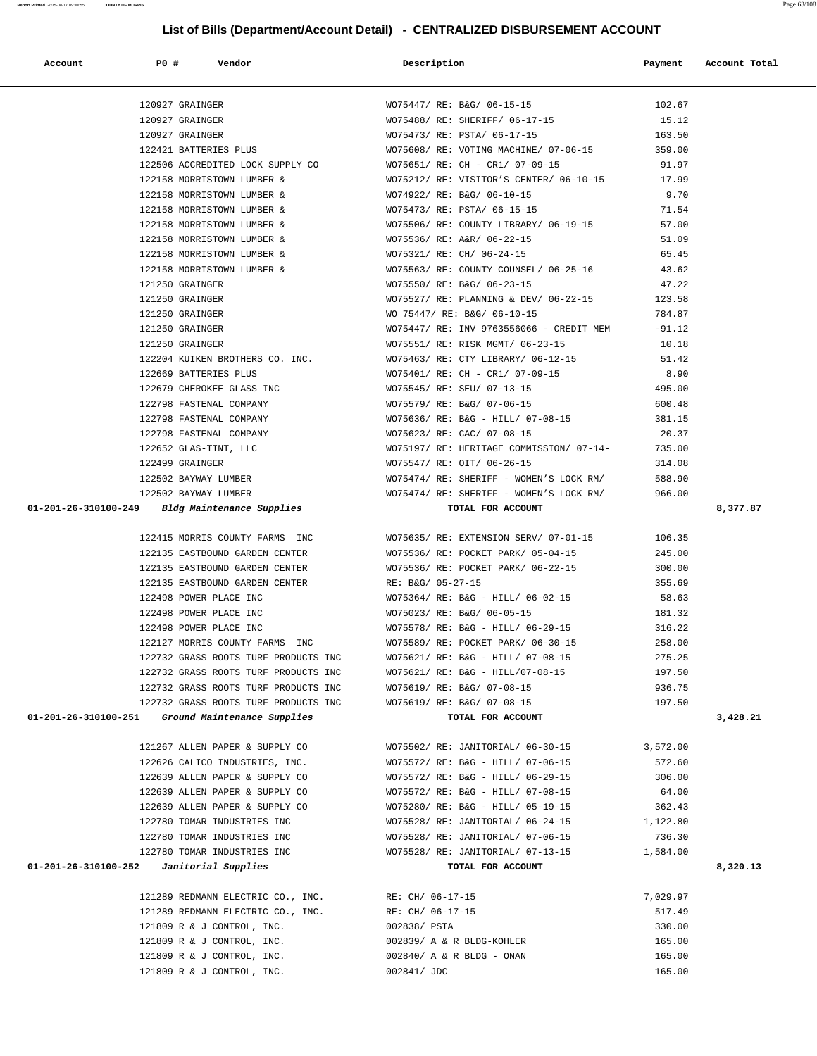| Account              | <b>PO #</b>                                | Vendor                                                   | Description                                                                                                                                                                                                                                                                                          | Payment  | Account Total |
|----------------------|--------------------------------------------|----------------------------------------------------------|------------------------------------------------------------------------------------------------------------------------------------------------------------------------------------------------------------------------------------------------------------------------------------------------------|----------|---------------|
|                      | 120927 GRAINGER                            |                                                          | WO75447/ RE: B&G/ 06-15-15                                                                                                                                                                                                                                                                           | 102.67   |               |
|                      | 120927 GRAINGER                            |                                                          | WO75488/ RE: SHERIFF/ 06-17-15                                                                                                                                                                                                                                                                       | 15.12    |               |
|                      | 120927 GRAINGER                            |                                                          | WO75473/ RE: PSTA/ 06-17-15                                                                                                                                                                                                                                                                          | 163.50   |               |
|                      | 122421 BATTERIES PLUS                      |                                                          | WO75608/ RE: VOTING MACHINE/ 07-06-15 359.00                                                                                                                                                                                                                                                         |          |               |
|                      |                                            |                                                          | 122506 ACCREDITED LOCK SUPPLY CO WO75651/ RE: CH - CR1/ 07-09-15                                                                                                                                                                                                                                     | 91.97    |               |
|                      |                                            | 122158 MORRISTOWN LUMBER &                               | WO75212/ RE: VISITOR'S CENTER/ 06-10-15 17.99                                                                                                                                                                                                                                                        |          |               |
|                      |                                            |                                                          | 122158 MORRISTOWN LUMBER & WO74922/RE: B&G/06-10-15                                                                                                                                                                                                                                                  | 9.70     |               |
|                      |                                            | 122158 MORRISTOWN LUMBER &                               | WO75473/ RE: PSTA/ 06-15-15                                                                                                                                                                                                                                                                          | 71.54    |               |
|                      |                                            |                                                          | WO75506/ RE: COUNTY LIBRARY/ 06-19-15                                                                                                                                                                                                                                                                | 57.00    |               |
|                      |                                            | 122158 MORRISTOWN LUMBER &<br>122158 MORRISTOWN LUMBER & | WO75536/ RE: A&R/ 06-22-15                                                                                                                                                                                                                                                                           | 51.09    |               |
|                      |                                            |                                                          | 122158 MORRISTOWN LUMBER & WO75321/ RE: CH/ 06-24-15                                                                                                                                                                                                                                                 | 65.45    |               |
|                      |                                            |                                                          | 122158 MORRISTOWN LUMBER & WO75563/RE: COUNTY COUNSEL/06-25-16 43.62                                                                                                                                                                                                                                 |          |               |
|                      | 121250 GRAINGER                            |                                                          |                                                                                                                                                                                                                                                                                                      |          |               |
|                      | 121250 GRAINGER                            |                                                          |                                                                                                                                                                                                                                                                                                      |          |               |
|                      | 121250 GRAINGER                            |                                                          | WO75550/RE: B&G/06-23-15<br>WO75527/RE: PLANNING & DEV/06-22-15<br>WO75447/RE: B&G/06-10-15<br>WO75447/RE: ENV9763556066 - CREDIT MEM -91.12<br>WO75447/RE: INV9763556066 - CREDIT MEM -91.12<br>WO7551/PE: PLOYMOMT/06-22-15                                                                        |          |               |
|                      | 121250 GRAINGER                            |                                                          |                                                                                                                                                                                                                                                                                                      |          |               |
|                      | 121250 GRAINGER                            |                                                          | WO75551/ RE: RISK MGMT/ 06-23-15                                                                                                                                                                                                                                                                     | 10.18    |               |
|                      |                                            |                                                          | 121230 GRAINGER<br>122204 KUIKEN BROTHERS CO. INC.<br>122669 BATTERIES PLUS<br>WO75401/RE: CH - CR1/07-09-15                                                                                                                                                                                         | 51.42    |               |
|                      |                                            |                                                          |                                                                                                                                                                                                                                                                                                      | 8.90     |               |
|                      |                                            |                                                          | 122679 CHEROKEE GLASS INC WO75545/ RE: SEU/ 07-13-15 495.00                                                                                                                                                                                                                                          |          |               |
|                      |                                            |                                                          | 122798 FASTENAL COMPANY WOT5579/RE: B&G/07-06-15 600.48                                                                                                                                                                                                                                              |          |               |
|                      |                                            |                                                          | 122798 FASTENAL COMPANY WO75636/RE: B&G - HILL/ 07-08-15 381.15                                                                                                                                                                                                                                      |          |               |
|                      |                                            |                                                          |                                                                                                                                                                                                                                                                                                      | 20.37    |               |
|                      |                                            |                                                          | WO75197/ RE: HERITAGE COMMISSION/ 07-14- 735.00                                                                                                                                                                                                                                                      |          |               |
|                      |                                            |                                                          |                                                                                                                                                                                                                                                                                                      | 314.08   |               |
|                      |                                            |                                                          | $\begin{aligned} &122798 \text{ FASTENAL COMPANY} \end{aligned} \qquad \begin{aligned} &\text{WO75623/ RE: CAC/ O7-08-15} \\ &\text{WO75197/ RE: HERITAGE COMMISSION/ O7-14-} \\ &\text{WO75197/ RE: HERITAGE COMMISSION/ O7-14-} \\ &\text{WO755477/ RE: SHERIFF - WOMEN'S LOCK RM/} \end{aligned}$ | 588.90   |               |
|                      |                                            | 122502 BAYWAY LUMBER                                     | WO75474/ RE: SHERIFF - WOMEN'S LOCK RM/ 966.00                                                                                                                                                                                                                                                       |          |               |
|                      |                                            | 01-201-26-310100-249 Bldg Maintenance Supplies           | TOTAL FOR ACCOUNT                                                                                                                                                                                                                                                                                    |          | 8,377.87      |
|                      |                                            |                                                          |                                                                                                                                                                                                                                                                                                      |          |               |
|                      |                                            |                                                          | 122415 MORRIS COUNTY FARMS INC WO75635/RE: EXTENSION SERV/07-01-15 106.35                                                                                                                                                                                                                            |          |               |
|                      |                                            | 122135 EASTBOUND GARDEN CENTER                           | WO75536/ RE: POCKET PARK/ 05-04-15                                                                                                                                                                                                                                                                   | 245.00   |               |
|                      |                                            | -<br>122135 EASTBOUND GARDEN CENTER                      | WO75536/ RE: POCKET PARK/ 06-22-15<br>RE: B&G/ 05-27-15                                                                                                                                                                                                                                              | 300.00   |               |
|                      |                                            | 122135 EASTBOUND GARDEN CENTER<br>122498 POWER PLACE INC |                                                                                                                                                                                                                                                                                                      | 355.69   |               |
|                      |                                            | 122498 POWER PLACE INC                                   | WO75364/ RE: B&G - HILL/ 06-02-15                                                                                                                                                                                                                                                                    | 58.63    |               |
|                      |                                            | 122498 POWER PLACE INC                                   | WO75023/ RE: B&G/ 06-05-15 181.32                                                                                                                                                                                                                                                                    |          |               |
|                      | 122498 POWER PLACE INC                     |                                                          | WO75578/ RE: B&G - HILL/ 06-29-15 316.22                                                                                                                                                                                                                                                             |          |               |
|                      |                                            |                                                          | 122127 MORRIS COUNTY FARMS INC WO75589/RE: POCKET PARK/06-30-15                                                                                                                                                                                                                                      | 258.00   |               |
|                      |                                            | 122732 GRASS ROOTS TURF PRODUCTS INC                     | WO75621/ RE: B&G - HILL/ 07-08-15                                                                                                                                                                                                                                                                    | 275.25   |               |
|                      |                                            | 122732 GRASS ROOTS TURF PRODUCTS INC                     | WO75621/ RE: B&G - HILL/07-08-15                                                                                                                                                                                                                                                                     | 197.50   |               |
|                      |                                            | 122732 GRASS ROOTS TURF PRODUCTS INC                     | WO75619/ RE: B&G/ 07-08-15                                                                                                                                                                                                                                                                           | 936.75   |               |
|                      |                                            | 122732 GRASS ROOTS TURF PRODUCTS INC                     | WO75619/ RE: B&G/ 07-08-15                                                                                                                                                                                                                                                                           | 197.50   |               |
| 01-201-26-310100-251 |                                            | Ground Maintenance Supplies                              | TOTAL FOR ACCOUNT                                                                                                                                                                                                                                                                                    |          | 3,428.21      |
|                      |                                            | 121267 ALLEN PAPER & SUPPLY CO                           | WO75502/ RE: JANITORIAL/ 06-30-15                                                                                                                                                                                                                                                                    | 3,572.00 |               |
|                      |                                            | 122626 CALICO INDUSTRIES, INC.                           | WO75572/ RE: B&G - HILL/ 07-06-15                                                                                                                                                                                                                                                                    | 572.60   |               |
|                      |                                            | 122639 ALLEN PAPER & SUPPLY CO                           | WO75572/ RE: B&G - HILL/ 06-29-15                                                                                                                                                                                                                                                                    | 306.00   |               |
|                      |                                            | 122639 ALLEN PAPER & SUPPLY CO                           | WO75572/ RE: B&G - HILL/ 07-08-15                                                                                                                                                                                                                                                                    | 64.00    |               |
|                      |                                            | 122639 ALLEN PAPER & SUPPLY CO                           | WO75280/ RE: B&G - HILL/ 05-19-15                                                                                                                                                                                                                                                                    | 362.43   |               |
|                      |                                            | 122780 TOMAR INDUSTRIES INC                              | WO75528/ RE: JANITORIAL/ 06-24-15                                                                                                                                                                                                                                                                    | 1,122.80 |               |
|                      |                                            | 122780 TOMAR INDUSTRIES INC                              | WO75528/ RE: JANITORIAL/ 07-06-15                                                                                                                                                                                                                                                                    | 736.30   |               |
|                      |                                            | 122780 TOMAR INDUSTRIES INC                              | WO75528/ RE: JANITORIAL/ 07-13-15                                                                                                                                                                                                                                                                    | 1,584.00 |               |
|                      | $01-201-26-310100-252$ Janitorial Supplies |                                                          | TOTAL FOR ACCOUNT                                                                                                                                                                                                                                                                                    |          | 8,320.13      |
|                      |                                            |                                                          |                                                                                                                                                                                                                                                                                                      |          |               |
|                      |                                            | 121289 REDMANN ELECTRIC CO., INC.                        | RE: CH/ 06-17-15                                                                                                                                                                                                                                                                                     | 7,029.97 |               |
|                      |                                            | 121289 REDMANN ELECTRIC CO., INC.                        | RE: CH/ 06-17-15                                                                                                                                                                                                                                                                                     | 517.49   |               |
|                      |                                            | 121809 R & J CONTROL, INC.                               | 002838/ PSTA                                                                                                                                                                                                                                                                                         | 330.00   |               |
|                      |                                            | 121809 R & J CONTROL, INC.                               | 002839/ A & R BLDG-KOHLER                                                                                                                                                                                                                                                                            | 165.00   |               |
|                      |                                            | 121809 R & J CONTROL, INC.                               | 002840/ A & R BLDG - ONAN                                                                                                                                                                                                                                                                            | 165.00   |               |

121809 R & J CONTROL, INC. 002841/ JDC 165.00

## **List of Bills (Department/Account Detail) - CENTRALIZED DISBURSEMENT ACCOUNT**

**Report Printed** 2015-08-11 09:44:55 **COUNTY OF MORRIS** Page 63/108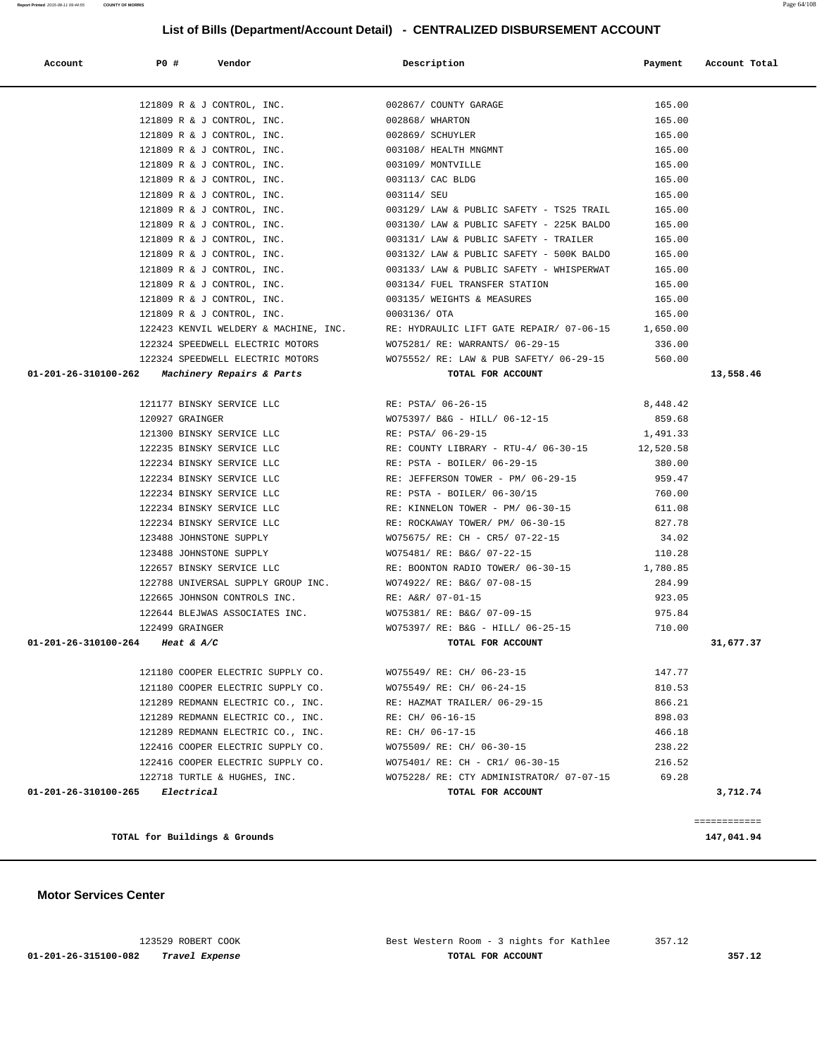123529 ROBERT COOK Best Western Room - 3 nights for Kathlee 357.12  **01-201-26-315100-082 Travel Expense TOTAL FOR ACCOUNT 357.12**

 **Motor Services Center** 

|                                                               |                                                                                                                                          | 165.00   |           |
|---------------------------------------------------------------|------------------------------------------------------------------------------------------------------------------------------------------|----------|-----------|
|                                                               |                                                                                                                                          | 165.00   |           |
|                                                               | 121809 R & J CONTROL, INC.<br>121809 R & J CONTROL, INC.<br>121809 R & J CONTROL, INC.<br>121809 R & J CONTROL, INC.<br>002869/ SCHUYLER | 165.00   |           |
| 121809 R & J CONTROL, INC. $003108/$ HEALTH MNGMNT            |                                                                                                                                          | 165.00   |           |
| 121809 R & J CONTROL, INC. 003109/ MONTVILLE                  |                                                                                                                                          | 165.00   |           |
| 121809 R & J CONTROL, INC. $003113$ / CAC BLDG                |                                                                                                                                          | 165.00   |           |
| 121809 R & J CONTROL, INC.                                    | 003114/ SEU                                                                                                                              | 165.00   |           |
| 121809 R & J CONTROL, INC.                                    | 003129/ LAW & PUBLIC SAFETY - TS25 TRAIL                                                                                                 | 165.00   |           |
| 121809 R & J CONTROL, INC.                                    | 003130/ LAW & PUBLIC SAFETY - 225K BALDO                                                                                                 | 165.00   |           |
|                                                               | 121809 R & J CONTROL, INC. $003131/$ LAW & PUBLIC SAFETY - TRAILER                                                                       | 165.00   |           |
|                                                               | 121809 R & J CONTROL, INC. $003132/$ LAW & PUBLIC SAFETY - 500K BALDO 165.00                                                             |          |           |
|                                                               | 121809 R & J CONTROL, INC. $003133/$ LAW & PUBLIC SAFETY - WHISPERWAT 165.00                                                             |          |           |
| 121809 R & J CONTROL, INC. 603134/FUEL TRANSFER STATION       |                                                                                                                                          | 165.00   |           |
| 121809 R & J CONTROL, INC.                                    | 003135/ WEIGHTS & MEASURES                                                                                                               | 165.00   |           |
| 121809 R & J CONTROL, INC.                                    | 0003136/ OTA                                                                                                                             | 165.00   |           |
|                                                               |                                                                                                                                          |          |           |
|                                                               | 122324 SPEEDWELL ELECTRIC MOTORS WO75281/ RE: WARRANTS/ 06-29-15                                                                         | 336.00   |           |
|                                                               | 122324 SPEEDWELL ELECTRIC MOTORS WO75552/ RE: LAW & PUB SAFETY/ 06-29-15 560.00                                                          |          |           |
| 01-201-26-310100-262 Machinery Repairs & Parts                | TOTAL FOR ACCOUNT                                                                                                                        |          | 13,558.46 |
|                                                               |                                                                                                                                          |          |           |
| 121177 BINSKY SERVICE LLC RE: PSTA/06-26-15                   |                                                                                                                                          | 8,448.42 |           |
| 120927 GRAINGER                                               | W075397/ B&G - HILL/ 06-12-15                                                                                                            | 859.68   |           |
| 121300 BINSKY SERVICE LLC                                     | RE: PSTA/ 06-29-15                                                                                                                       | 1,491.33 |           |
| 122235 BINSKY SERVICE LLC                                     | RE: COUNTY LIBRARY - RTU-4/ 06-30-15 12,520.58                                                                                           |          |           |
| 122234 BINSKY SERVICE LLC                                     | RE: PSTA - BOILER/ 06-29-15                                                                                                              | 380.00   |           |
|                                                               | 122234 BINSKY SERVICE LLC <b>RE: JEFFERSON TOWER</b> - PM/ 06-29-15 959.47                                                               |          |           |
|                                                               | 122234 BINSKY SERVICE LLC RE: PSTA - BOILER/ 06-30/15                                                                                    | 760.00   |           |
| 122234 BINSKY SERVICE LLC                                     | RE: KINNELON TOWER - PM/ 06-30-15                                                                                                        | 611.08   |           |
| 122234 BINSKY SERVICE LLC                                     | RE: ROCKAWAY TOWER/ PM/ 06-30-15                                                                                                         | 827.78   |           |
| 123488 JOHNSTONE SUPPLY                                       | WO75675/ RE: CH - CR5/ 07-22-15                                                                                                          | 34.02    |           |
| 123488 JOHNSTONE SUPPLY                                       | WO75481/ RE: B&G/ 07-22-15                                                                                                               | 110.28   |           |
| 122657 BINSKY SERVICE LLC                                     | RE: BOONTON RADIO TOWER/ 06-30-15                                                                                                        | 1,780.85 |           |
| 122788 UNIVERSAL SUPPLY GROUP INC. WO74922/ RE: B&G/ 07-08-15 |                                                                                                                                          | 284.99   |           |
| 122665 JOHNSON CONTROLS INC. RE: A&R/ 07-01-15                |                                                                                                                                          | 923.05   |           |
|                                                               | 122644 BLEJWAS ASSOCIATES INC. WO75381/RE: B&G/ 07-09-15                                                                                 | 975.84   |           |
| 122499 GRAINGER                                               | WO75397/ RE: B&G - HILL/ 06-25-15 710.00                                                                                                 |          |           |
| 01-201-26-310100-264 Heat & A/C                               | TOTAL FOR ACCOUNT                                                                                                                        |          | 31,677.37 |
|                                                               |                                                                                                                                          |          |           |
| 121180 COOPER ELECTRIC SUPPLY CO. WO75549/RE: CH/06-23-15     |                                                                                                                                          | 147.77   |           |
|                                                               | 121180 COOPER ELECTRIC SUPPLY CO. WO75549/RE: CH/ 06-24-15                                                                               | 810.53   |           |
| 121289 REDMANN ELECTRIC CO., INC.                             | RE: HAZMAT TRAILER/ 06-29-15                                                                                                             | 866.21   |           |
| 121289 REDMANN ELECTRIC CO., INC.                             | RE: CH/ 06-16-15                                                                                                                         | 898.03   |           |
| 121289 REDMANN ELECTRIC CO., INC.                             | RE: CH/ 06-17-15                                                                                                                         | 466.18   |           |
| 122416 COOPER ELECTRIC SUPPLY CO.                             | WO75509/ RE: CH/ 06-30-15                                                                                                                | 238.22   |           |
| 122416 COOPER ELECTRIC SUPPLY CO.                             | WO75401/ RE: CH - CR1/ 06-30-15                                                                                                          | 216.52   |           |
| 122718 TURTLE & HUGHES, INC.                                  | WO75228/ RE: CTY ADMINISTRATOR/ 07-07-15                                                                                                 | 69.28    |           |
| 01-201-26-310100-265<br>Electrical                            | TOTAL FOR ACCOUNT                                                                                                                        |          | 3,712.74  |
|                                                               |                                                                                                                                          |          |           |

============

**TOTAL for Buildings & Grounds 147,041.94**

 **Account P0 # Vendor Description Payment Account Total**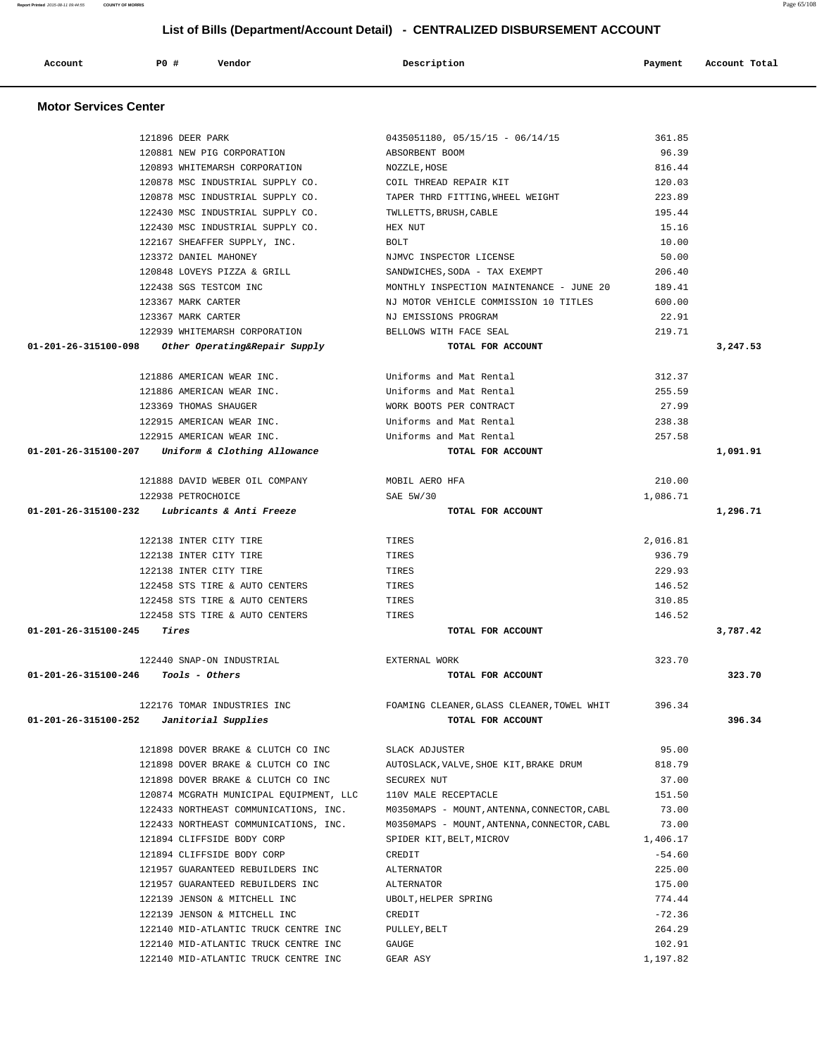| Account                        | <b>PO #</b><br>Vendor                   | Description                                 | Payment  | Account Total |
|--------------------------------|-----------------------------------------|---------------------------------------------|----------|---------------|
|                                |                                         |                                             |          |               |
| <b>Motor Services Center</b>   |                                         |                                             |          |               |
|                                | 121896 DEER PARK                        | $0435051180, 05/15/15 - 06/14/15$           | 361.85   |               |
|                                | 120881 NEW PIG CORPORATION              | ABSORBENT BOOM                              | 96.39    |               |
|                                | 120893 WHITEMARSH CORPORATION           | NOZZLE, HOSE                                | 816.44   |               |
|                                | 120878 MSC INDUSTRIAL SUPPLY CO.        | COIL THREAD REPAIR KIT                      | 120.03   |               |
|                                | 120878 MSC INDUSTRIAL SUPPLY CO.        | TAPER THRD FITTING, WHEEL WEIGHT            | 223.89   |               |
|                                | 122430 MSC INDUSTRIAL SUPPLY CO.        | TWLLETTS, BRUSH, CABLE                      | 195.44   |               |
|                                | 122430 MSC INDUSTRIAL SUPPLY CO.        | HEX NUT                                     | 15.16    |               |
|                                | 122167 SHEAFFER SUPPLY, INC.            | <b>BOLT</b>                                 | 10.00    |               |
|                                | 123372 DANIEL MAHONEY                   | NJMVC INSPECTOR LICENSE                     | 50.00    |               |
|                                | 120848 LOVEYS PIZZA & GRILL             | SANDWICHES, SODA - TAX EXEMPT               | 206.40   |               |
|                                | 122438 SGS TESTCOM INC                  | MONTHLY INSPECTION MAINTENANCE - JUNE 20    | 189.41   |               |
|                                | 123367 MARK CARTER                      | NJ MOTOR VEHICLE COMMISSION 10 TITLES       | 600.00   |               |
|                                | 123367 MARK CARTER                      | NJ EMISSIONS PROGRAM                        | 22.91    |               |
|                                | 122939 WHITEMARSH CORPORATION           | BELLOWS WITH FACE SEAL                      | 219.71   |               |
| 01-201-26-315100-098           | Other Operating&Repair Supply           | TOTAL FOR ACCOUNT                           |          | 3,247.53      |
|                                | 121886 AMERICAN WEAR INC.               | Uniforms and Mat Rental                     | 312.37   |               |
|                                | 121886 AMERICAN WEAR INC.               | Uniforms and Mat Rental                     | 255.59   |               |
|                                | 123369 THOMAS SHAUGER                   | WORK BOOTS PER CONTRACT                     | 27.99    |               |
|                                | 122915 AMERICAN WEAR INC.               | Uniforms and Mat Rental                     | 238.38   |               |
|                                | 122915 AMERICAN WEAR INC.               | Uniforms and Mat Rental                     | 257.58   |               |
| 01-201-26-315100-207           | Uniform & Clothing Allowance            | TOTAL FOR ACCOUNT                           |          | 1,091.91      |
|                                |                                         |                                             |          |               |
|                                | 121888 DAVID WEBER OIL COMPANY          | MOBIL AERO HFA                              | 210.00   |               |
|                                | 122938 PETROCHOICE                      | SAE 5W/30                                   | 1,086.71 |               |
| 01-201-26-315100-232           | Lubricants & Anti Freeze                | TOTAL FOR ACCOUNT                           |          | 1,296.71      |
|                                | 122138 INTER CITY TIRE                  | TIRES                                       | 2,016.81 |               |
|                                | 122138 INTER CITY TIRE                  | TIRES                                       | 936.79   |               |
|                                | 122138 INTER CITY TIRE                  | TIRES                                       | 229.93   |               |
|                                | 122458 STS TIRE & AUTO CENTERS          | TIRES                                       | 146.52   |               |
|                                | 122458 STS TIRE & AUTO CENTERS          | TIRES                                       | 310.85   |               |
|                                | 122458 STS TIRE & AUTO CENTERS          | TIRES                                       | 146.52   |               |
| 01-201-26-315100-245           | Tires                                   | TOTAL FOR ACCOUNT                           |          | 3,787.42      |
|                                |                                         |                                             |          |               |
|                                | 122440 SNAP-ON INDUSTRIAL               | EXTERNAL WORK                               | 323.70   |               |
|                                | $01-201-26-315100-246$ Tools - Others   | TOTAL FOR ACCOUNT                           |          | 323.70        |
|                                | 122176 TOMAR INDUSTRIES INC             | FOAMING CLEANER, GLASS CLEANER, TOWEL WHIT  | 396.34   |               |
| $01 - 201 - 26 - 315100 - 252$ | Janitorial Supplies                     | TOTAL FOR ACCOUNT                           |          | 396.34        |
|                                |                                         |                                             |          |               |
|                                | 121898 DOVER BRAKE & CLUTCH CO INC      | SLACK ADJUSTER                              | 95.00    |               |
|                                | 121898 DOVER BRAKE & CLUTCH CO INC      | AUTOSLACK, VALVE, SHOE KIT, BRAKE DRUM      | 818.79   |               |
|                                | 121898 DOVER BRAKE & CLUTCH CO INC      | SECUREX NUT                                 | 37.00    |               |
|                                | 120874 MCGRATH MUNICIPAL EQUIPMENT, LLC | 110V MALE RECEPTACLE                        | 151.50   |               |
|                                | 122433 NORTHEAST COMMUNICATIONS, INC.   | M0350MAPS - MOUNT, ANTENNA, CONNECTOR, CABL | 73.00    |               |
|                                | 122433 NORTHEAST COMMUNICATIONS, INC.   | M0350MAPS - MOUNT, ANTENNA, CONNECTOR, CABL | 73.00    |               |
|                                | 121894 CLIFFSIDE BODY CORP              | SPIDER KIT, BELT, MICROV                    | 1,406.17 |               |
|                                | 121894 CLIFFSIDE BODY CORP              | CREDIT                                      | $-54.60$ |               |
|                                | 121957 GUARANTEED REBUILDERS INC        | ALTERNATOR                                  | 225.00   |               |
|                                | 121957 GUARANTEED REBUILDERS INC        | ALTERNATOR                                  | 175.00   |               |
|                                | 122139 JENSON & MITCHELL INC            | UBOLT, HELPER SPRING                        | 774.44   |               |
|                                | 122139 JENSON & MITCHELL INC            | CREDIT                                      | $-72.36$ |               |
|                                | 122140 MID-ATLANTIC TRUCK CENTRE INC    | PULLEY, BELT                                | 264.29   |               |
|                                | 122140 MID-ATLANTIC TRUCK CENTRE INC    | GAUGE                                       | 102.91   |               |
|                                | 122140 MID-ATLANTIC TRUCK CENTRE INC    | GEAR ASY                                    | 1,197.82 |               |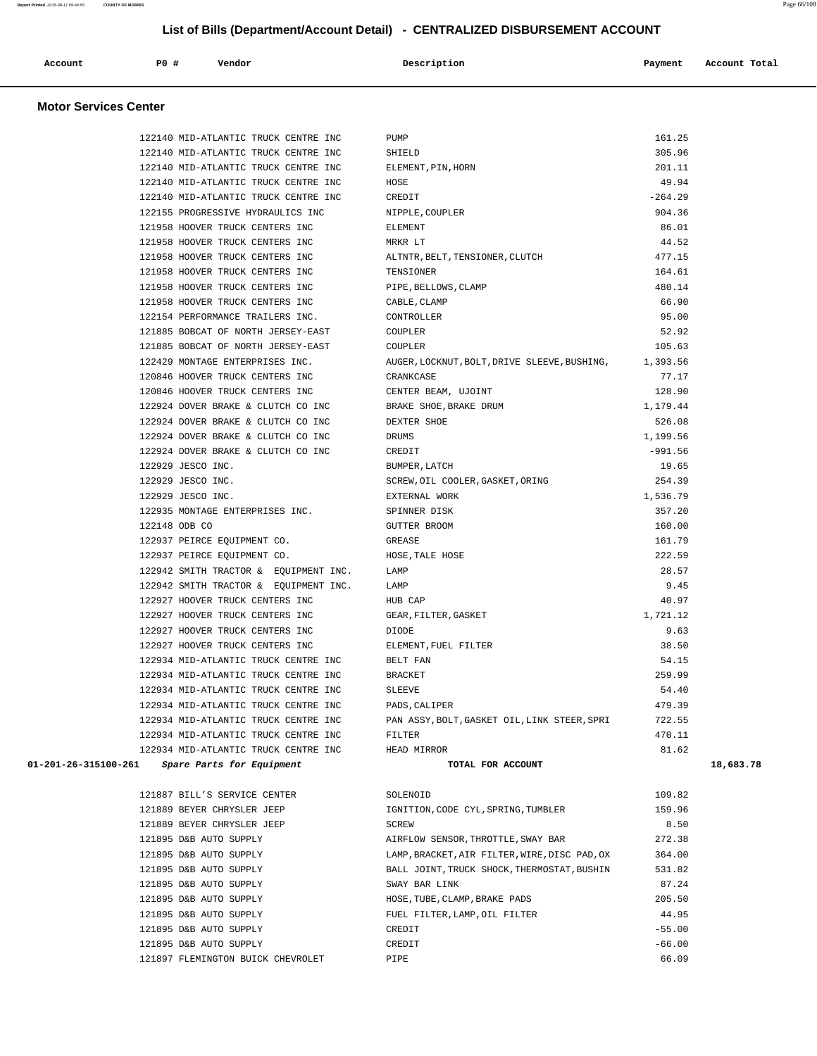| Account<br>. | PO# | Vendor | Description | Payment | Account Total |
|--------------|-----|--------|-------------|---------|---------------|
|              |     |        |             |         |               |

## **Motor Services Center**

|                      | 122140 MID-ATLANTIC TRUCK CENTRE INC  | PUMP                                                   | 161.25    |           |
|----------------------|---------------------------------------|--------------------------------------------------------|-----------|-----------|
|                      | 122140 MID-ATLANTIC TRUCK CENTRE INC  | SHIELD                                                 | 305.96    |           |
|                      | 122140 MID-ATLANTIC TRUCK CENTRE INC  | ELEMENT, PIN, HORN                                     | 201.11    |           |
|                      | 122140 MID-ATLANTIC TRUCK CENTRE INC  | HOSE                                                   | 49.94     |           |
|                      | 122140 MID-ATLANTIC TRUCK CENTRE INC  | CREDIT                                                 | $-264.29$ |           |
|                      | 122155 PROGRESSIVE HYDRAULICS INC     | NIPPLE, COUPLER                                        | 904.36    |           |
|                      | 121958 HOOVER TRUCK CENTERS INC       | ELEMENT                                                | 86.01     |           |
|                      | 121958 HOOVER TRUCK CENTERS INC       | MRKR LT                                                | 44.52     |           |
|                      | 121958 HOOVER TRUCK CENTERS INC       | ALTNTR, BELT, TENSIONER, CLUTCH                        | 477.15    |           |
|                      | 121958 HOOVER TRUCK CENTERS INC       | TENSIONER                                              | 164.61    |           |
|                      | 121958 HOOVER TRUCK CENTERS INC       | PIPE, BELLOWS, CLAMP                                   | 480.14    |           |
|                      | 121958 HOOVER TRUCK CENTERS INC       | CABLE, CLAMP                                           | 66.90     |           |
|                      | 122154 PERFORMANCE TRAILERS INC.      | CONTROLLER                                             | 95.00     |           |
|                      | 121885 BOBCAT OF NORTH JERSEY-EAST    | COUPLER                                                | 52.92     |           |
|                      | 121885 BOBCAT OF NORTH JERSEY-EAST    | COUPLER                                                | 105.63    |           |
|                      | 122429 MONTAGE ENTERPRISES INC.       | AUGER, LOCKNUT, BOLT, DRIVE SLEEVE, BUSHING, 1, 393.56 |           |           |
|                      | 120846 HOOVER TRUCK CENTERS INC       | CRANKCASE                                              | 77.17     |           |
|                      | 120846 HOOVER TRUCK CENTERS INC       | CENTER BEAM, UJOINT                                    | 128.90    |           |
|                      | 122924 DOVER BRAKE & CLUTCH CO INC    | BRAKE SHOE, BRAKE DRUM                                 | 1,179.44  |           |
|                      | 122924 DOVER BRAKE & CLUTCH CO INC    | DEXTER SHOE                                            | 526.08    |           |
|                      | 122924 DOVER BRAKE & CLUTCH CO INC    | DRUMS                                                  | 1,199.56  |           |
|                      | 122924 DOVER BRAKE & CLUTCH CO INC    | CREDIT                                                 | -991.56   |           |
|                      | 122929 JESCO INC.                     | BUMPER, LATCH                                          | 19.65     |           |
|                      | 122929 JESCO INC.                     | SCREW, OIL COOLER, GASKET, ORING                       | 254.39    |           |
|                      | 122929 JESCO INC.                     | EXTERNAL WORK                                          | 1,536.79  |           |
|                      | 122935 MONTAGE ENTERPRISES INC.       | SPINNER DISK                                           | 357.20    |           |
|                      | 122148 ODB CO                         | GUTTER BROOM                                           | 160.00    |           |
|                      | 122937 PEIRCE EQUIPMENT CO.           | GREASE                                                 | 161.79    |           |
|                      | 122937 PEIRCE EQUIPMENT CO.           | HOSE, TALE HOSE                                        | 222.59    |           |
|                      | 122942 SMITH TRACTOR & EQUIPMENT INC. | LAMP                                                   | 28.57     |           |
|                      | 122942 SMITH TRACTOR & EQUIPMENT INC. | LAMP                                                   | 9.45      |           |
|                      | 122927 HOOVER TRUCK CENTERS INC       | HUB CAP                                                | 40.97     |           |
|                      | 122927 HOOVER TRUCK CENTERS INC       | GEAR, FILTER, GASKET                                   | 1,721.12  |           |
|                      | 122927 HOOVER TRUCK CENTERS INC       | DIODE                                                  | 9.63      |           |
|                      | 122927 HOOVER TRUCK CENTERS INC       | ELEMENT, FUEL FILTER                                   | 38.50     |           |
|                      | 122934 MID-ATLANTIC TRUCK CENTRE INC  | BELT FAN                                               | 54.15     |           |
|                      | 122934 MID-ATLANTIC TRUCK CENTRE INC  | <b>BRACKET</b>                                         | 259.99    |           |
|                      | 122934 MID-ATLANTIC TRUCK CENTRE INC  | SLEEVE                                                 | 54.40     |           |
|                      | 122934 MID-ATLANTIC TRUCK CENTRE INC  | PADS, CALIPER                                          | 479.39    |           |
|                      | 122934 MID-ATLANTIC TRUCK CENTRE INC  | PAN ASSY, BOLT, GASKET OIL, LINK STEER, SPRI           | 722.55    |           |
|                      | 122934 MID-ATLANTIC TRUCK CENTRE INC  | FILTER                                                 | 470.11    |           |
|                      | 122934 MID-ATLANTIC TRUCK CENTRE INC  | HEAD MIRROR                                            | 81.62     |           |
| 01-201-26-315100-261 | Spare Parts for Equipment             | TOTAL FOR ACCOUNT                                      |           | 18,683.78 |
|                      |                                       |                                                        |           |           |
|                      | 121887 BILL'S SERVICE CENTER          | SOLENOID                                               | 109.82    |           |
|                      | 121889 BEYER CHRYSLER JEEP            | IGNITION, CODE CYL, SPRING, TUMBLER                    | 159.96    |           |
|                      | 121889 BEYER CHRYSLER JEEP            | SCREW                                                  | 8.50      |           |
|                      | 121895 D&B AUTO SUPPLY                | AIRFLOW SENSOR, THROTTLE, SWAY BAR                     | 272.38    |           |
|                      | 121895 D&B AUTO SUPPLY                | LAMP, BRACKET, AIR FILTER, WIRE, DISC PAD, OX          | 364.00    |           |
|                      | 121895 D&B AUTO SUPPLY                | BALL JOINT, TRUCK SHOCK, THERMOSTAT, BUSHIN            | 531.82    |           |
|                      | 121895 D&B AUTO SUPPLY                | SWAY BAR LINK                                          | 87.24     |           |
|                      | 121895 D&B AUTO SUPPLY                | HOSE, TUBE, CLAMP, BRAKE PADS                          | 205.50    |           |
|                      | 121895 D&B AUTO SUPPLY                | FUEL FILTER, LAMP, OIL FILTER                          | 44.95     |           |
|                      | 121895 D&B AUTO SUPPLY                | CREDIT                                                 | $-55.00$  |           |
|                      | 121895 D&B AUTO SUPPLY                | CREDIT                                                 | $-66.00$  |           |
|                      | 121897 FLEMINGTON BUICK CHEVROLET     | PIPE                                                   | 66.09     |           |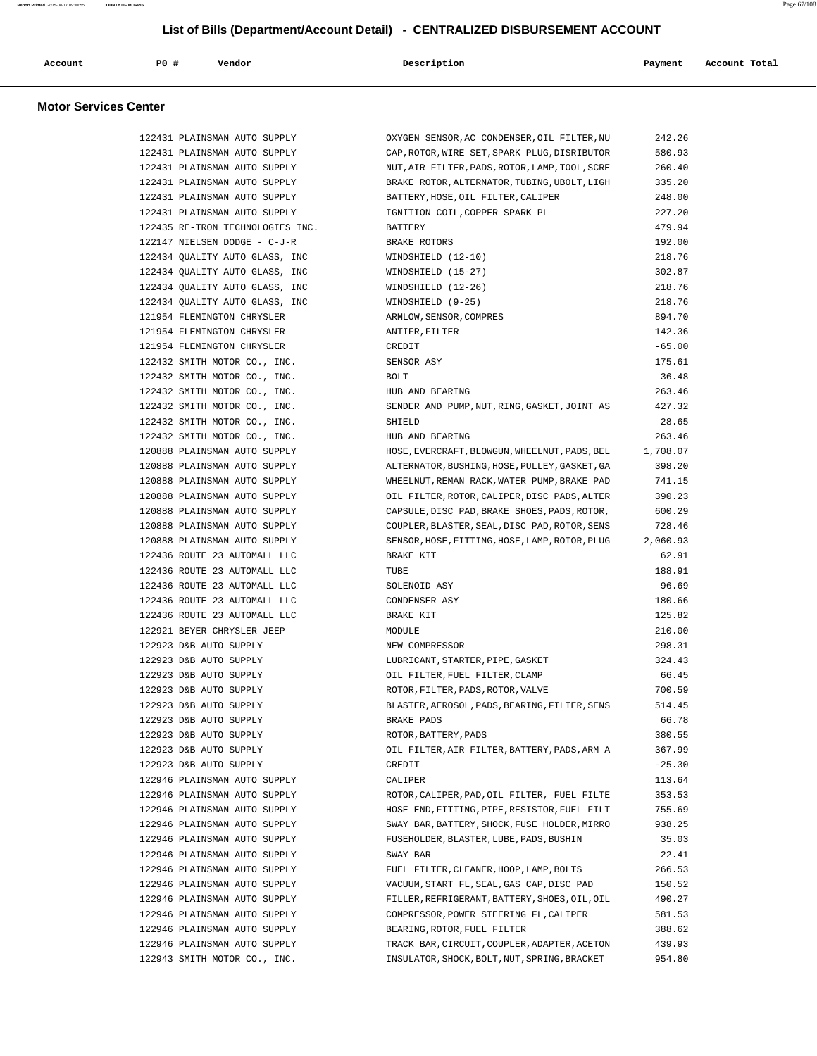| Account | PO# | Vendor | Description | Payment | Account Total |
|---------|-----|--------|-------------|---------|---------------|
|         |     |        |             |         |               |

## **Motor Services Center**

| 122431 PLAINSMAN AUTO SUPPLY     | OXYGEN SENSOR, AC CONDENSER, OIL FILTER, NU    | 242.26   |
|----------------------------------|------------------------------------------------|----------|
| 122431 PLAINSMAN AUTO SUPPLY     | CAP, ROTOR, WIRE SET, SPARK PLUG, DISRIBUTOR   | 580.93   |
| 122431 PLAINSMAN AUTO SUPPLY     | NUT, AIR FILTER, PADS, ROTOR, LAMP, TOOL, SCRE | 260.40   |
| 122431 PLAINSMAN AUTO SUPPLY     | BRAKE ROTOR, ALTERNATOR, TUBING, UBOLT, LIGH   | 335.20   |
| 122431 PLAINSMAN AUTO SUPPLY     | BATTERY, HOSE, OIL FILTER, CALIPER             | 248.00   |
| 122431 PLAINSMAN AUTO SUPPLY     | IGNITION COIL, COPPER SPARK PL                 | 227.20   |
| 122435 RE-TRON TECHNOLOGIES INC. | BATTERY                                        | 479.94   |
| 122147 NIELSEN DODGE - C-J-R     | BRAKE ROTORS                                   | 192.00   |
| 122434 QUALITY AUTO GLASS, INC   | WINDSHIELD (12-10)                             | 218.76   |
| 122434 QUALITY AUTO GLASS, INC   | WINDSHIELD (15-27)                             | 302.87   |
| 122434 QUALITY AUTO GLASS, INC   | WINDSHIELD (12-26)                             | 218.76   |
| 122434 OUALITY AUTO GLASS, INC   | WINDSHIELD (9-25)                              | 218.76   |
| 121954 FLEMINGTON CHRYSLER       | ARMLOW, SENSOR, COMPRES                        | 894.70   |
| 121954 FLEMINGTON CHRYSLER       | ANTIFR, FILTER                                 | 142.36   |
| 121954 FLEMINGTON CHRYSLER       | CREDIT                                         | $-65.00$ |
| 122432 SMITH MOTOR CO., INC.     | SENSOR ASY                                     | 175.61   |
| 122432 SMITH MOTOR CO., INC.     | <b>BOLT</b>                                    | 36.48    |
| 122432 SMITH MOTOR CO., INC.     | HUB AND BEARING                                | 263.46   |
| 122432 SMITH MOTOR CO., INC.     | SENDER AND PUMP, NUT, RING, GASKET, JOINT AS   | 427.32   |
| 122432 SMITH MOTOR CO., INC.     | SHIELD                                         | 28.65    |
| 122432 SMITH MOTOR CO., INC.     | HUB AND BEARING                                | 263.46   |
| 120888 PLAINSMAN AUTO SUPPLY     | HOSE, EVERCRAFT, BLOWGUN, WHEELNUT, PADS, BEL  | 1,708.07 |
| 120888 PLAINSMAN AUTO SUPPLY     | ALTERNATOR, BUSHING, HOSE, PULLEY, GASKET, GA  | 398.20   |
| 120888 PLAINSMAN AUTO SUPPLY     | WHEELNUT, REMAN RACK, WATER PUMP, BRAKE PAD    | 741.15   |
| 120888 PLAINSMAN AUTO SUPPLY     | OIL FILTER, ROTOR, CALIPER, DISC PADS, ALTER   | 390.23   |
| 120888 PLAINSMAN AUTO SUPPLY     | CAPSULE, DISC PAD, BRAKE SHOES, PADS, ROTOR,   | 600.29   |
| 120888 PLAINSMAN AUTO SUPPLY     | COUPLER, BLASTER, SEAL, DISC PAD, ROTOR, SENS  | 728.46   |
| 120888 PLAINSMAN AUTO SUPPLY     | SENSOR, HOSE, FITTING, HOSE, LAMP, ROTOR, PLUG | 2,060.93 |
| 122436 ROUTE 23 AUTOMALL LLC     | BRAKE KIT                                      | 62.91    |
| 122436 ROUTE 23 AUTOMALL LLC     | TUBE                                           | 188.91   |
| 122436 ROUTE 23 AUTOMALL LLC     | SOLENOID ASY                                   | 96.69    |
| 122436 ROUTE 23 AUTOMALL LLC     | CONDENSER ASY                                  | 180.66   |
| 122436 ROUTE 23 AUTOMALL LLC     | BRAKE KIT                                      | 125.82   |
| 122921 BEYER CHRYSLER JEEP       | MODULE                                         | 210.00   |
| 122923 D&B AUTO SUPPLY           | NEW COMPRESSOR                                 | 298.31   |
| 122923 D&B AUTO SUPPLY           | LUBRICANT, STARTER, PIPE, GASKET               | 324.43   |
| 122923 D&B AUTO SUPPLY           | OIL FILTER, FUEL FILTER, CLAMP                 | 66.45    |
| 122923 D&B AUTO SUPPLY           | ROTOR, FILTER, PADS, ROTOR, VALVE              | 700.59   |
| 122923 D&B AUTO SUPPLY           | BLASTER, AEROSOL, PADS, BEARING, FILTER, SENS  | 514.45   |
| 122923 D&B AUTO SUPPLY           | <b>BRAKE PADS</b>                              | 66.78    |
| 122923 D&B AUTO SUPPLY           | ROTOR, BATTERY, PADS                           | 380.55   |
| 122923 D&B AUTO SUPPLY           | OIL FILTER, AIR FILTER, BATTERY, PADS, ARM A   | 367.99   |
| 122923 D&B AUTO SUPPLY           | CREDIT                                         | $-25.30$ |
| 122946 PLAINSMAN AUTO SUPPLY     | CALIPER                                        | 113.64   |
| 122946 PLAINSMAN AUTO SUPPLY     | ROTOR, CALIPER, PAD, OIL FILTER, FUEL FILTE    | 353.53   |
| 122946 PLAINSMAN AUTO SUPPLY     | HOSE END, FITTING, PIPE, RESISTOR, FUEL FILT   | 755.69   |
| 122946 PLAINSMAN AUTO SUPPLY     | SWAY BAR, BATTERY, SHOCK, FUSE HOLDER, MIRRO   | 938.25   |
| 122946 PLAINSMAN AUTO SUPPLY     | FUSEHOLDER, BLASTER, LUBE, PADS, BUSHIN        | 35.03    |
| 122946 PLAINSMAN AUTO SUPPLY     | SWAY BAR                                       | 22.41    |
| 122946 PLAINSMAN AUTO SUPPLY     | FUEL FILTER, CLEANER, HOOP, LAMP, BOLTS        | 266.53   |
| 122946 PLAINSMAN AUTO SUPPLY     | VACUUM, START FL, SEAL, GAS CAP, DISC PAD      | 150.52   |
| 122946 PLAINSMAN AUTO SUPPLY     | FILLER, REFRIGERANT, BATTERY, SHOES, OIL, OIL  | 490.27   |
| 122946 PLAINSMAN AUTO SUPPLY     | COMPRESSOR, POWER STEERING FL, CALIPER         | 581.53   |
| 122946 PLAINSMAN AUTO SUPPLY     | BEARING, ROTOR, FUEL FILTER                    | 388.62   |
| 122946 PLAINSMAN AUTO SUPPLY     | TRACK BAR, CIRCUIT, COUPLER, ADAPTER, ACETON   | 439.93   |
| 122943 SMITH MOTOR CO., INC.     | INSULATOR, SHOCK, BOLT, NUT, SPRING, BRACKET   | 954.80   |
|                                  |                                                |          |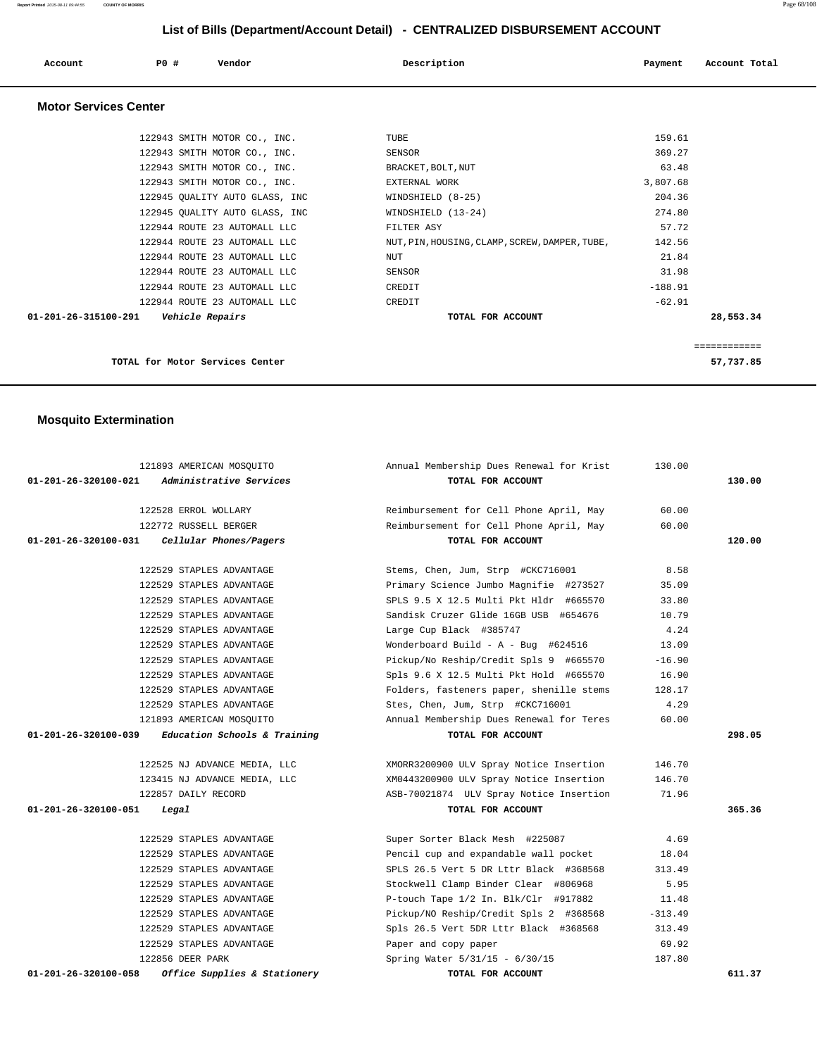| Account                      | PO#<br>Vendor                  | Description                                    | Account Total<br>Payment |
|------------------------------|--------------------------------|------------------------------------------------|--------------------------|
| <b>Motor Services Center</b> |                                |                                                |                          |
|                              | 122943 SMITH MOTOR CO., INC.   | TUBE                                           | 159.61                   |
|                              | 122943 SMITH MOTOR CO., INC.   | SENSOR                                         | 369.27                   |
|                              | 122943 SMITH MOTOR CO., INC.   | BRACKET, BOLT, NUT                             | 63.48                    |
|                              | 122943 SMITH MOTOR CO., INC.   | EXTERNAL WORK                                  | 3,807.68                 |
|                              | 122945 QUALITY AUTO GLASS, INC | WINDSHIELD (8-25)                              | 204.36                   |
|                              | 122945 QUALITY AUTO GLASS, INC | WINDSHIELD (13-24)                             | 274.80                   |
|                              | 122944 ROUTE 23 AUTOMALL LLC   | FILTER ASY                                     | 57.72                    |
|                              | 122944 ROUTE 23 AUTOMALL LLC   | NUT, PIN, HOUSING, CLAMP, SCREW, DAMPER, TUBE, | 142.56                   |
|                              | 122944 ROUTE 23 AUTOMALL LLC   | <b>NUT</b>                                     | 21.84                    |
|                              | 122944 ROUTE 23 AUTOMALL LLC   | SENSOR                                         | 31.98                    |
|                              | 122944 ROUTE 23 AUTOMALL LLC   | CREDIT                                         | $-188.91$                |
|                              | 122944 ROUTE 23 AUTOMALL LLC   | CREDIT                                         | $-62.91$                 |
| 01-201-26-315100-291         | Vehicle Repairs                | TOTAL FOR ACCOUNT                              | 28,553.34                |

============

**TOTAL for Motor Services Center 57,737.85**

## **Mosquito Extermination**

| 121893 AMERICAN MOSOUITO                               | Annual Membership Dues Renewal for Krist | 130.00    |        |
|--------------------------------------------------------|------------------------------------------|-----------|--------|
| <i>Administrative Services</i><br>01-201-26-320100-021 | TOTAL FOR ACCOUNT                        |           | 130.00 |
|                                                        |                                          |           |        |
| 122528 ERROL WOLLARY                                   | Reimbursement for Cell Phone April, May  | 60.00     |        |
| 122772 RUSSELL BERGER                                  | Reimbursement for Cell Phone April, May  | 60.00     |        |
| 01-201-26-320100-031<br>Cellular Phones/Pagers         | TOTAL FOR ACCOUNT                        |           | 120.00 |
| 122529 STAPLES ADVANTAGE                               | Stems, Chen, Jum, Strp #CKC716001        | 8.58      |        |
| 122529 STAPLES ADVANTAGE                               | Primary Science Jumbo Magnifie #273527   | 35.09     |        |
| 122529 STAPLES ADVANTAGE                               | SPLS 9.5 X 12.5 Multi Pkt Hldr #665570   | 33.80     |        |
| 122529 STAPLES ADVANTAGE                               | Sandisk Cruzer Glide 16GB USB #654676    | 10.79     |        |
| 122529 STAPLES ADVANTAGE                               | Large Cup Black #385747                  | 4.24      |        |
| 122529 STAPLES ADVANTAGE                               | Wonderboard Build - A - Bug #624516      | 13.09     |        |
| 122529 STAPLES ADVANTAGE                               | Pickup/No Reship/Credit Spls 9 #665570   | $-16.90$  |        |
| 122529 STAPLES ADVANTAGE                               | Spls 9.6 X 12.5 Multi Pkt Hold #665570   | 16.90     |        |
| 122529 STAPLES ADVANTAGE                               | Folders, fasteners paper, shenille stems | 128.17    |        |
| 122529 STAPLES ADVANTAGE                               | Stes, Chen, Jum, Strp #CKC716001         | 4.29      |        |
| 121893 AMERICAN MOSOUITO                               | Annual Membership Dues Renewal for Teres | 60.00     |        |
| Education Schools & Training<br>01-201-26-320100-039   | TOTAL FOR ACCOUNT                        |           | 298.05 |
|                                                        |                                          |           |        |
| 122525 NJ ADVANCE MEDIA, LLC                           | XMORR3200900 ULV Spray Notice Insertion  | 146.70    |        |
| 123415 NJ ADVANCE MEDIA, LLC                           | XM0443200900 ULV Spray Notice Insertion  | 146.70    |        |
| 122857 DAILY RECORD                                    | ASB-70021874 ULV Spray Notice Insertion  | 71.96     |        |
| 01-201-26-320100-051<br>Legal                          | TOTAL FOR ACCOUNT                        |           | 365.36 |
| 122529 STAPLES ADVANTAGE                               | Super Sorter Black Mesh #225087          | 4.69      |        |
| 122529 STAPLES ADVANTAGE                               | Pencil cup and expandable wall pocket    | 18.04     |        |
| 122529 STAPLES ADVANTAGE                               | SPLS 26.5 Vert 5 DR Lttr Black #368568   | 313.49    |        |
| 122529 STAPLES ADVANTAGE                               | Stockwell Clamp Binder Clear #806968     | 5.95      |        |
| 122529 STAPLES ADVANTAGE                               | P-touch Tape 1/2 In. Blk/Clr #917882     | 11.48     |        |
| 122529 STAPLES ADVANTAGE                               | Pickup/NO Reship/Credit Spls 2 #368568   | $-313.49$ |        |
| 122529 STAPLES ADVANTAGE                               | Spls 26.5 Vert 5DR Lttr Black #368568    | 313.49    |        |
|                                                        |                                          |           |        |
| 122529 STAPLES ADVANTAGE                               | Paper and copy paper                     | 69.92     |        |
| 122856 DEER PARK                                       | Spring Water 5/31/15 - 6/30/15           | 187.80    |        |

**Report Printed** 2015-08-11 09:44:55 **COUNTY OF MORRIS** Page 68/108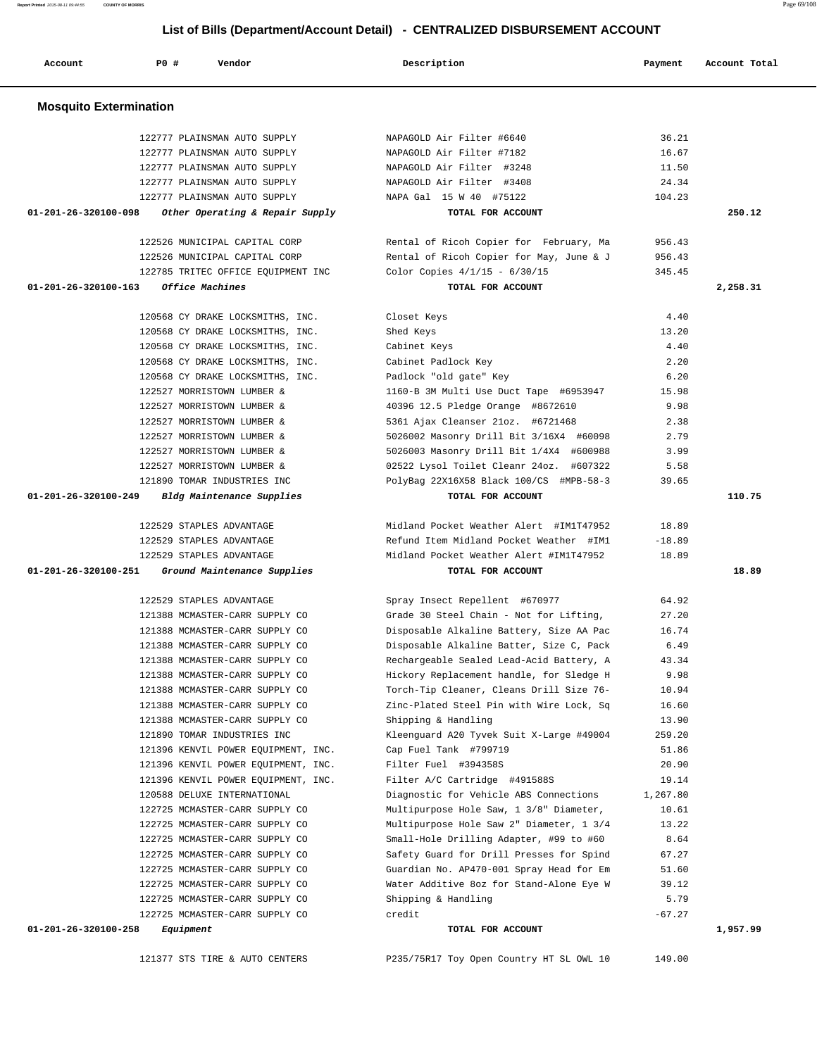121377 STS TIRE & AUTO CENTERS P235/75R17 Toy Open Country HT SL OWL 10 149.00

| <b>Mosquito Extermination</b>                           |                                          |                  |          |
|---------------------------------------------------------|------------------------------------------|------------------|----------|
| 122777 PLAINSMAN AUTO SUPPLY                            | NAPAGOLD Air Filter #6640                | 36.21            |          |
| 122777 PLAINSMAN AUTO SUPPLY                            | NAPAGOLD Air Filter #7182                | 16.67            |          |
| 122777 PLAINSMAN AUTO SUPPLY                            | NAPAGOLD Air Filter #3248                | 11.50            |          |
| 122777 PLAINSMAN AUTO SUPPLY                            | NAPAGOLD Air Filter #3408                | 24.34            |          |
| 122777 PLAINSMAN AUTO SUPPLY                            | NAPA Gal 15 W 40 #75122                  | 104.23           |          |
| 01-201-26-320100-098<br>Other Operating & Repair Supply | TOTAL FOR ACCOUNT                        |                  | 250.12   |
| 122526 MUNICIPAL CAPITAL CORP                           | Rental of Ricoh Copier for February, Ma  | 956.43           |          |
| 122526 MUNICIPAL CAPITAL CORP                           | Rental of Ricoh Copier for May, June & J | 956.43           |          |
| 122785 TRITEC OFFICE EQUIPMENT INC                      | Color Copies $4/1/15 - 6/30/15$          | 345.45           |          |
| 01-201-26-320100-163<br>Office Machines                 | TOTAL FOR ACCOUNT                        |                  | 2,258.31 |
| 120568 CY DRAKE LOCKSMITHS, INC.                        | Closet Keys                              | 4.40             |          |
| 120568 CY DRAKE LOCKSMITHS, INC.                        | Shed Keys                                | 13.20            |          |
| 120568 CY DRAKE LOCKSMITHS, INC.                        | Cabinet Keys                             | 4.40             |          |
| 120568 CY DRAKE LOCKSMITHS, INC.                        | Cabinet Padlock Key                      | 2.20             |          |
| 120568 CY DRAKE LOCKSMITHS, INC.                        | Padlock "old gate" Key                   | 6.20             |          |
| 122527 MORRISTOWN LUMBER &                              | 1160-B 3M Multi Use Duct Tape #6953947   | 15.98            |          |
| 122527 MORRISTOWN LUMBER &                              | 40396 12.5 Pledge Orange #8672610        | 9.98             |          |
| 122527 MORRISTOWN LUMBER &                              | 5361 Ajax Cleanser 21oz. #6721468        | 2.38             |          |
| 122527 MORRISTOWN LUMBER &                              | 5026002 Masonry Drill Bit 3/16X4 #60098  | 2.79             |          |
| 122527 MORRISTOWN LUMBER &                              | 5026003 Masonry Drill Bit 1/4X4 #600988  | 3.99             |          |
| 122527 MORRISTOWN LUMBER &                              | 02522 Lysol Toilet Cleanr 24oz. #607322  | 5.58             |          |
| 121890 TOMAR INDUSTRIES INC                             | PolyBag 22X16X58 Black 100/CS #MPB-58-3  | 39.65            |          |
| 01-201-26-320100-249<br>Bldg Maintenance Supplies       | TOTAL FOR ACCOUNT                        |                  | 110.75   |
| 122529 STAPLES ADVANTAGE                                | Midland Pocket Weather Alert #IM1T47952  | 18.89            |          |
| 122529 STAPLES ADVANTAGE                                | Refund Item Midland Pocket Weather #IM1  | $-18.89$         |          |
| 122529 STAPLES ADVANTAGE                                | Midland Pocket Weather Alert #IM1T47952  | 18.89            |          |
| 01-201-26-320100-251<br>Ground Maintenance Supplies     | TOTAL FOR ACCOUNT                        |                  | 18.89    |
| 122529 STAPLES ADVANTAGE                                | Spray Insect Repellent #670977           | 64.92            |          |
| 121388 MCMASTER-CARR SUPPLY CO                          | Grade 30 Steel Chain - Not for Lifting,  | 27.20            |          |
| 121388 MCMASTER-CARR SUPPLY CO                          | Disposable Alkaline Battery, Size AA Pac | 16.74            |          |
| 121388 MCMASTER-CARR SUPPLY CO                          | Disposable Alkaline Batter, Size C, Pack | 6.49             |          |
| 121388 MCMASTER-CARR SUPPLY CO                          | Rechargeable Sealed Lead-Acid Battery, A | 43.34            |          |
| 121388 MCMASTER-CARR SUPPLY CO                          | Hickory Replacement handle, for Sledge H | 9.98             |          |
| 121388 MCMASTER-CARR SUPPLY CO                          | Torch-Tip Cleaner, Cleans Drill Size 76- | 10.94            |          |
| 121388 MCMASTER-CARR SUPPLY CO                          | Zinc-Plated Steel Pin with Wire Lock, Sq | 16.60            |          |
| 121388 MCMASTER-CARR SUPPLY CO                          | Shipping & Handling                      | 13.90            |          |
| 121890 TOMAR INDUSTRIES INC                             | Kleenguard A20 Tyvek Suit X-Large #49004 | 259.20           |          |
| 121396 KENVIL POWER EOUIPMENT, INC.                     | Cap Fuel Tank #799719                    | 51.86            |          |
| 121396 KENVIL POWER EOUIPMENT, INC.                     | Filter Fuel #394358S                     | 20.90            |          |
| 121396 KENVIL POWER EQUIPMENT, INC.                     | Filter A/C Cartridge #491588S            | 19.14            |          |
| 120588 DELUXE INTERNATIONAL                             | Diagnostic for Vehicle ABS Connections   | 1,267.80         |          |
| 122725 MCMASTER-CARR SUPPLY CO                          | Multipurpose Hole Saw, 1 3/8" Diameter,  | 10.61            |          |
| 122725 MCMASTER-CARR SUPPLY CO                          | Multipurpose Hole Saw 2" Diameter, 1 3/4 | 13.22            |          |
| 122725 MCMASTER-CARR SUPPLY CO                          | Small-Hole Drilling Adapter, #99 to #60  | 8.64             |          |
| 122725 MCMASTER-CARR SUPPLY CO                          | Safety Guard for Drill Presses for Spind | 67.27            |          |
| 122725 MCMASTER-CARR SUPPLY CO                          | Guardian No. AP470-001 Spray Head for Em | 51.60            |          |
| 122725 MCMASTER-CARR SUPPLY CO                          | Water Additive 8oz for Stand-Alone Eye W | 39.12            |          |
| 122725 MCMASTER-CARR SUPPLY CO                          | Shipping & Handling<br>credit            | 5.79<br>$-67.27$ |          |
| 122725 MCMASTER-CARR SUPPLY CO                          |                                          |                  |          |
| 01-201-26-320100-258<br>Equipment                       | TOTAL FOR ACCOUNT                        |                  | 1,957.99 |

 **Account P0 # Vendor Description Payment Account Total**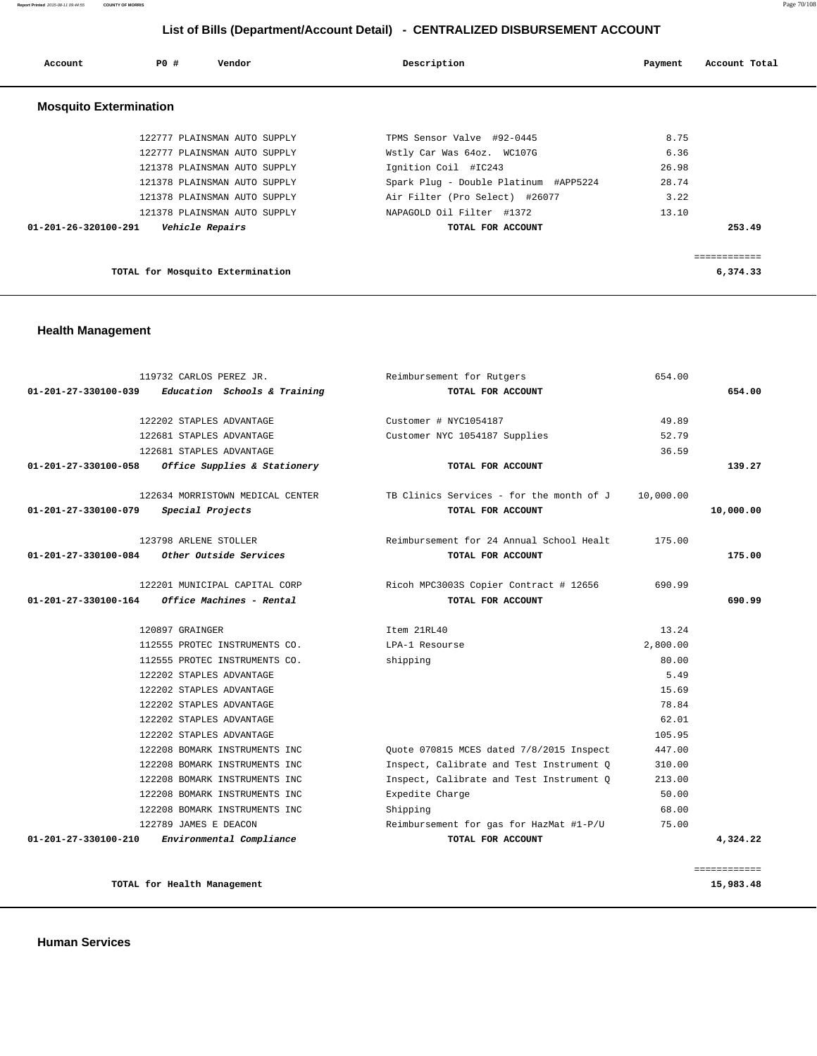**Report Printed** 2015-08-11 09:44:55 **COUNTY OF MORRIS** Page 70/108

## **List of Bills (Department/Account Detail) - CENTRALIZED DISBURSEMENT ACCOUNT**

| Account                        | PO# | Vendor                           | Description                           | Payment | Account Total |
|--------------------------------|-----|----------------------------------|---------------------------------------|---------|---------------|
| <b>Mosquito Extermination</b>  |     |                                  |                                       |         |               |
|                                |     | 122777 PLAINSMAN AUTO SUPPLY     | TPMS Sensor Valve #92-0445            | 8.75    |               |
|                                |     | 122777 PLAINSMAN AUTO SUPPLY     | Wstly Car Was 64oz. WC107G            | 6.36    |               |
|                                |     | 121378 PLAINSMAN AUTO SUPPLY     | Ignition Coil #IC243                  | 26.98   |               |
|                                |     | 121378 PLAINSMAN AUTO SUPPLY     | Spark Plug - Double Platinum #APP5224 | 28.74   |               |
|                                |     | 121378 PLAINSMAN AUTO SUPPLY     | Air Filter (Pro Select) #26077        | 3.22    |               |
|                                |     | 121378 PLAINSMAN AUTO SUPPLY     | NAPAGOLD Oil Filter #1372             | 13.10   |               |
| $01 - 201 - 26 - 320100 - 291$ |     | Vehicle Repairs                  | TOTAL FOR ACCOUNT                     |         | 253.49        |
|                                |     |                                  |                                       |         |               |
|                                |     |                                  |                                       |         | ============  |
|                                |     | TOTAL for Mosquito Extermination |                                       |         | 6,374.33      |

## **Health Management**

|              | 654.00    | Reimbursement for Rutgers                | 119732 CARLOS PEREZ JR.          |                      |
|--------------|-----------|------------------------------------------|----------------------------------|----------------------|
| 654.00       |           | TOTAL FOR ACCOUNT                        | Education Schools & Training     | 01-201-27-330100-039 |
|              | 49.89     | Customer # NYC1054187                    | 122202 STAPLES ADVANTAGE         |                      |
|              | 52.79     | Customer NYC 1054187 Supplies            | 122681 STAPLES ADVANTAGE         |                      |
|              | 36.59     |                                          | 122681 STAPLES ADVANTAGE         |                      |
| 139.27       |           | TOTAL FOR ACCOUNT                        | Office Supplies & Stationery     | 01-201-27-330100-058 |
|              | 10,000.00 | TB Clinics Services - for the month of J | 122634 MORRISTOWN MEDICAL CENTER |                      |
| 10,000.00    |           | TOTAL FOR ACCOUNT                        | Special Projects                 | 01-201-27-330100-079 |
|              | 175.00    | Reimbursement for 24 Annual School Healt | 123798 ARLENE STOLLER            |                      |
| 175.00       |           | TOTAL FOR ACCOUNT                        | Other Outside Services           | 01-201-27-330100-084 |
|              | 690.99    | Ricoh MPC3003S Copier Contract # 12656   | 122201 MUNICIPAL CAPITAL CORP    |                      |
| 690.99       |           | TOTAL FOR ACCOUNT                        | Office Machines - Rental         | 01-201-27-330100-164 |
|              | 13.24     | Item 21RL40                              | 120897 GRAINGER                  |                      |
|              | 2,800.00  | LPA-1 Resourse                           | 112555 PROTEC INSTRUMENTS CO.    |                      |
|              | 80.00     | shipping                                 | 112555 PROTEC INSTRUMENTS CO.    |                      |
|              | 5.49      |                                          | 122202 STAPLES ADVANTAGE         |                      |
|              | 15.69     |                                          | 122202 STAPLES ADVANTAGE         |                      |
|              | 78.84     |                                          | 122202 STAPLES ADVANTAGE         |                      |
|              | 62.01     |                                          | 122202 STAPLES ADVANTAGE         |                      |
|              | 105.95    |                                          | 122202 STAPLES ADVANTAGE         |                      |
|              | 447.00    | Ouote 070815 MCES dated 7/8/2015 Inspect | 122208 BOMARK INSTRUMENTS INC    |                      |
|              | 310.00    | Inspect, Calibrate and Test Instrument Q | 122208 BOMARK INSTRUMENTS INC    |                      |
|              | 213.00    | Inspect, Calibrate and Test Instrument Q | 122208 BOMARK INSTRUMENTS INC    |                      |
|              | 50.00     | Expedite Charge                          | 122208 BOMARK INSTRUMENTS INC    |                      |
|              | 68.00     | Shipping                                 | 122208 BOMARK INSTRUMENTS INC    |                      |
|              | 75.00     | Reimbursement for gas for HazMat #1-P/U  | 122789 JAMES E DEACON            |                      |
| 4,324.22     |           | TOTAL FOR ACCOUNT                        | Environmental Compliance         | 01-201-27-330100-210 |
|              |           |                                          |                                  |                      |
| ============ |           |                                          |                                  |                      |

**TOTAL for Health Management 15,983.48**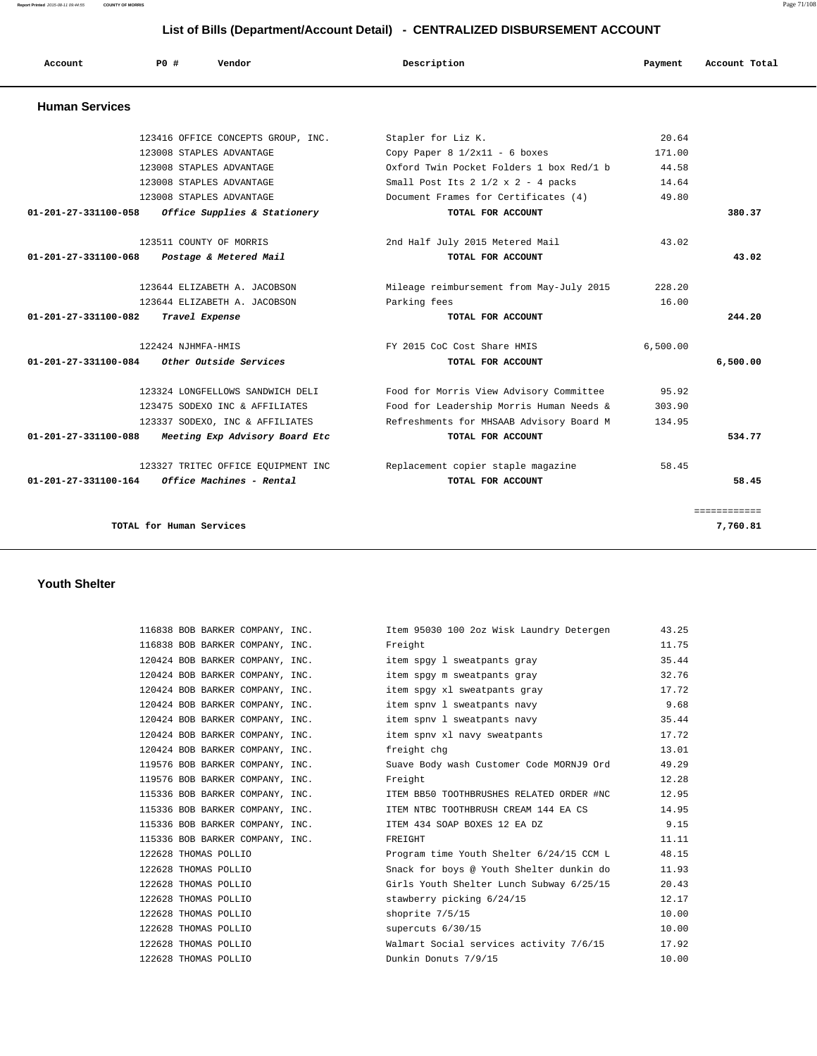**Report Printed** 2015-08-11 09:44:55 **COUNTY OF MORRIS** Page 71/108

# **List of Bills (Department/Account Detail) - CENTRALIZED DISBURSEMENT ACCOUNT**

| Account               | PO#<br>Vendor                      | Description                                       | Payment  | Account Total       |
|-----------------------|------------------------------------|---------------------------------------------------|----------|---------------------|
| <b>Human Services</b> |                                    |                                                   |          |                     |
|                       | 123416 OFFICE CONCEPTS GROUP, INC. | Stapler for Liz K.                                | 20.64    |                     |
|                       | 123008 STAPLES ADVANTAGE           | Copy Paper $8 \frac{1}{2}x11 - 6$ boxes           | 171.00   |                     |
|                       | 123008 STAPLES ADVANTAGE           | Oxford Twin Pocket Folders 1 box Red/1 b          | 44.58    |                     |
|                       | 123008 STAPLES ADVANTAGE           | Small Post Its $2 \frac{1}{2} \times 2 - 4$ packs | 14.64    |                     |
|                       | 123008 STAPLES ADVANTAGE           | Document Frames for Certificates (4)              | 49.80    |                     |
| 01-201-27-331100-058  | Office Supplies & Stationery       | TOTAL FOR ACCOUNT                                 |          | 380.37              |
|                       | 123511 COUNTY OF MORRIS            | 2nd Half July 2015 Metered Mail                   | 43.02    |                     |
| 01-201-27-331100-068  | Postage & Metered Mail             | TOTAL FOR ACCOUNT                                 |          | 43.02               |
|                       | 123644 ELIZABETH A. JACOBSON       | Mileage reimbursement from May-July 2015          | 228.20   |                     |
|                       | 123644 ELIZABETH A. JACOBSON       | Parking fees                                      | 16.00    |                     |
| 01-201-27-331100-082  | Travel Expense                     | TOTAL FOR ACCOUNT                                 |          | 244.20              |
|                       | 122424 NJHMFA-HMIS                 | FY 2015 CoC Cost Share HMIS                       | 6,500.00 |                     |
| 01-201-27-331100-084  | Other Outside Services             | TOTAL FOR ACCOUNT                                 |          | 6,500.00            |
|                       | 123324 LONGFELLOWS SANDWICH DELI   | Food for Morris View Advisory Committee           | 95.92    |                     |
|                       | 123475 SODEXO INC & AFFILIATES     | Food for Leadership Morris Human Needs &          | 303.90   |                     |
|                       | 123337 SODEXO, INC & AFFILIATES    | Refreshments for MHSAAB Advisory Board M          | 134.95   |                     |
| 01-201-27-331100-088  | Meeting Exp Advisory Board Etc     | TOTAL FOR ACCOUNT                                 |          | 534.77              |
|                       | 123327 TRITEC OFFICE EQUIPMENT INC | Replacement copier staple magazine                | 58.45    |                     |
| 01-201-27-331100-164  | Office Machines - Rental           | TOTAL FOR ACCOUNT                                 |          | 58.45               |
|                       |                                    |                                                   |          | <b>SEBSEBBBBBBB</b> |
|                       | TOTAL for Human Services           |                                                   |          | 7,760.81            |

## **Youth Shelter**

| 116838 BOB BARKER COMPANY, INC.             | Item 95030 100 2oz Wisk Laundry Detergen                                 | 43.25 |
|---------------------------------------------|--------------------------------------------------------------------------|-------|
| 116838 BOB BARKER COMPANY, INC.             | Freight                                                                  | 11.75 |
|                                             | 120424 BOB BARKER COMPANY, INC. The spay 1 sweatpants gray               | 35.44 |
|                                             | 120424 BOB BARKER COMPANY, INC. The spay m sweatpants gray               | 32.76 |
|                                             | 120424 BOB BARKER COMPANY, INC. item spgy xl sweatpants gray             | 17.72 |
|                                             | 120424 BOB BARKER COMPANY, INC. item spnv 1 sweatpants navy              | 9.68  |
|                                             | 120424 BOB BARKER COMPANY, INC. item spnv 1 sweatpants navy              | 35.44 |
|                                             | 120424 BOB BARKER COMPANY, INC. item spnv xl navy sweatpants             | 17.72 |
| 120424 BOB BARKER COMPANY, INC. freight chg |                                                                          | 13.01 |
|                                             | 119576 BOB BARKER COMPANY, INC. Suave Body wash Customer Code MORNJ9 Ord | 49.29 |
| 119576 BOB BARKER COMPANY, INC.             | Freight                                                                  | 12.28 |
|                                             | 115336 BOB BARKER COMPANY, INC. TEM BB50 TOOTHBRUSHES RELATED ORDER #NC  | 12.95 |
|                                             | 115336 BOB BARKER COMPANY, INC. TEM NTBC TOOTHBRUSH CREAM 144 EA CS      | 14.95 |
|                                             | 115336 BOB BARKER COMPANY, INC. TEM 434 SOAP BOXES 12 EA DZ              | 9.15  |
| 115336 BOB BARKER COMPANY, INC.             | FREIGHT                                                                  | 11.11 |
| 122628 THOMAS POLLIO                        | Program time Youth Shelter 6/24/15 CCM L                                 | 48.15 |
| 122628 THOMAS POLLIO                        | Snack for boys @ Youth Shelter dunkin do                                 | 11.93 |
| 122628 THOMAS POLLIO                        | Girls Youth Shelter Lunch Subway 6/25/15                                 | 20.43 |
| 122628 THOMAS POLLIO                        | stawberry picking 6/24/15                                                | 12.17 |
| 122628 THOMAS POLLIO                        | shoprite 7/5/15                                                          | 10.00 |
| 122628 THOMAS POLLIO                        | supercuts $6/30/15$                                                      | 10.00 |
| 122628 THOMAS POLLIO                        | Walmart Social services activity 7/6/15                                  | 17.92 |
| 122628 THOMAS POLLIO                        | Dunkin Donuts 7/9/15                                                     | 10.00 |
|                                             |                                                                          |       |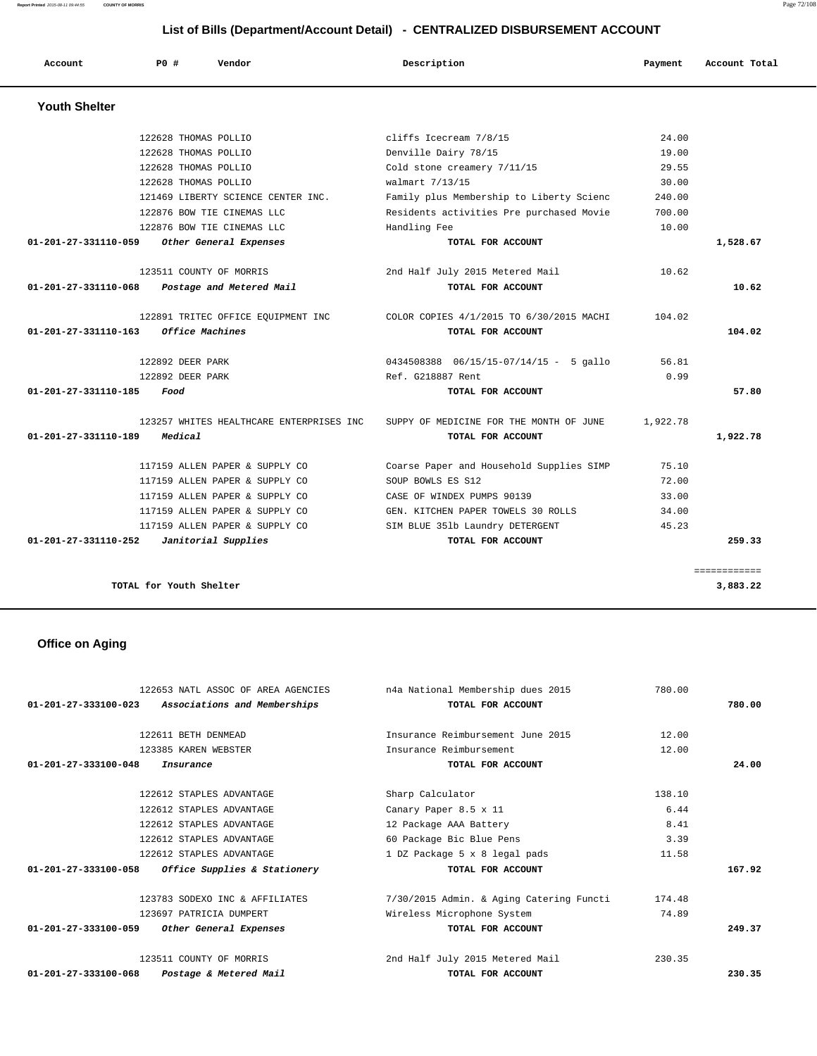**Report Printed** 2015-08-11 09:44:55 **COUNTY OF MORRIS** Page 72/108

|                      | List of Bills (Department/Account Detail) - CENTRALIZED DISBURSEMENT ACCOUNT |                                          |                                          |          |               |  |
|----------------------|------------------------------------------------------------------------------|------------------------------------------|------------------------------------------|----------|---------------|--|
| Account              | <b>PO #</b>                                                                  | Vendor                                   | Description                              | Payment  | Account Total |  |
| <b>Youth Shelter</b> |                                                                              |                                          |                                          |          |               |  |
|                      | 122628 THOMAS POLLIO                                                         |                                          | cliffs Icecream 7/8/15                   | 24.00    |               |  |
|                      | 122628 THOMAS POLLIO                                                         |                                          | Denville Dairy 78/15                     | 19.00    |               |  |
|                      | 122628 THOMAS POLLIO                                                         |                                          | Cold stone creamery 7/11/15              | 29.55    |               |  |
|                      | 122628 THOMAS POLLIO                                                         |                                          | walmart 7/13/15                          | 30.00    |               |  |
|                      |                                                                              | 121469 LIBERTY SCIENCE CENTER INC.       | Family plus Membership to Liberty Scienc | 240.00   |               |  |
|                      |                                                                              | 122876 BOW TIE CINEMAS LLC               | Residents activities Pre purchased Movie | 700.00   |               |  |
|                      |                                                                              | 122876 BOW TIE CINEMAS LLC               | Handling Fee                             | 10.00    |               |  |
| 01-201-27-331110-059 |                                                                              | Other General Expenses                   | TOTAL FOR ACCOUNT                        |          | 1,528.67      |  |
|                      |                                                                              | 123511 COUNTY OF MORRIS                  | 2nd Half July 2015 Metered Mail          | 10.62    |               |  |
| 01-201-27-331110-068 |                                                                              | Postage and Metered Mail                 | TOTAL FOR ACCOUNT                        |          | 10.62         |  |
|                      |                                                                              | 122891 TRITEC OFFICE EQUIPMENT INC       | COLOR COPIES 4/1/2015 TO 6/30/2015 MACHI | 104.02   |               |  |
| 01-201-27-331110-163 |                                                                              | Office Machines                          | TOTAL FOR ACCOUNT                        |          | 104.02        |  |
|                      | 122892 DEER PARK                                                             |                                          | 0434508388  06/15/15-07/14/15 - 5 gallo  | 56.81    |               |  |
|                      | 122892 DEER PARK                                                             |                                          | Ref. G218887 Rent                        | 0.99     |               |  |
| 01-201-27-331110-185 | Food                                                                         |                                          | TOTAL FOR ACCOUNT                        |          | 57.80         |  |
|                      |                                                                              | 123257 WHITES HEALTHCARE ENTERPRISES INC | SUPPY OF MEDICINE FOR THE MONTH OF JUNE  | 1,922.78 |               |  |
| 01-201-27-331110-189 | Medical                                                                      |                                          | TOTAL FOR ACCOUNT                        |          | 1,922.78      |  |
|                      |                                                                              | 117159 ALLEN PAPER & SUPPLY CO           | Coarse Paper and Household Supplies SIMP | 75.10    |               |  |
|                      |                                                                              | 117159 ALLEN PAPER & SUPPLY CO           | SOUP BOWLS ES S12                        | 72.00    |               |  |
|                      |                                                                              | 117159 ALLEN PAPER & SUPPLY CO           | CASE OF WINDEX PUMPS 90139               | 33.00    |               |  |
|                      |                                                                              | 117159 ALLEN PAPER & SUPPLY CO           | GEN. KITCHEN PAPER TOWELS 30 ROLLS       | 34.00    |               |  |
|                      |                                                                              | 117159 ALLEN PAPER & SUPPLY CO           | SIM BLUE 351b Laundry DETERGENT          | 45.23    |               |  |
| 01-201-27-331110-252 |                                                                              | Janitorial Supplies                      | TOTAL FOR ACCOUNT                        |          | 259.33        |  |

**TOTAL for Youth Shelter** 3,883.22

# **Office on Aging**

| 122653 NATL ASSOC OF AREA AGENCIES                                  | n4a National Membership dues 2015        | 780.00 |        |
|---------------------------------------------------------------------|------------------------------------------|--------|--------|
| $01 - 201 - 27 - 333100 - 023$<br>Associations and Memberships      | TOTAL FOR ACCOUNT                        |        | 780.00 |
|                                                                     |                                          |        |        |
| 122611 BETH DENMEAD                                                 | Insurance Reimbursement June 2015        | 12.00  |        |
| 123385 KAREN WEBSTER                                                | Insurance Reimbursement                  | 12.00  |        |
| $01 - 201 - 27 - 333100 - 048$<br>Insurance                         | TOTAL FOR ACCOUNT                        |        | 24.00  |
|                                                                     |                                          |        |        |
| 122612 STAPLES ADVANTAGE                                            | Sharp Calculator                         | 138.10 |        |
| 122612 STAPLES ADVANTAGE                                            | Canary Paper 8.5 x 11                    | 6.44   |        |
| 122612 STAPLES ADVANTAGE                                            | 12 Package AAA Battery                   | 8.41   |        |
| 122612 STAPLES ADVANTAGE                                            | 60 Package Bic Blue Pens                 | 3.39   |        |
| 122612 STAPLES ADVANTAGE                                            | 1 DZ Package 5 x 8 legal pads            | 11.58  |        |
| 01-201-27-333100-058 Office Supplies & Stationery                   | TOTAL FOR ACCOUNT                        |        | 167.92 |
| 123783 SODEXO INC & AFFILIATES                                      | 7/30/2015 Admin. & Aging Catering Functi | 174.48 |        |
| 123697 PATRICIA DUMPERT                                             | Wireless Microphone System               | 74.89  |        |
| 01-201-27-333100-059<br>Other General Expenses                      | TOTAL FOR ACCOUNT                        |        | 249.37 |
| 123511 COUNTY OF MORRIS                                             | 2nd Half July 2015 Metered Mail          | 230.35 |        |
| $01 - 201 - 27 - 333100 - 068$<br><i>Postage &amp; Metered Mail</i> | TOTAL FOR ACCOUNT                        |        | 230.35 |

============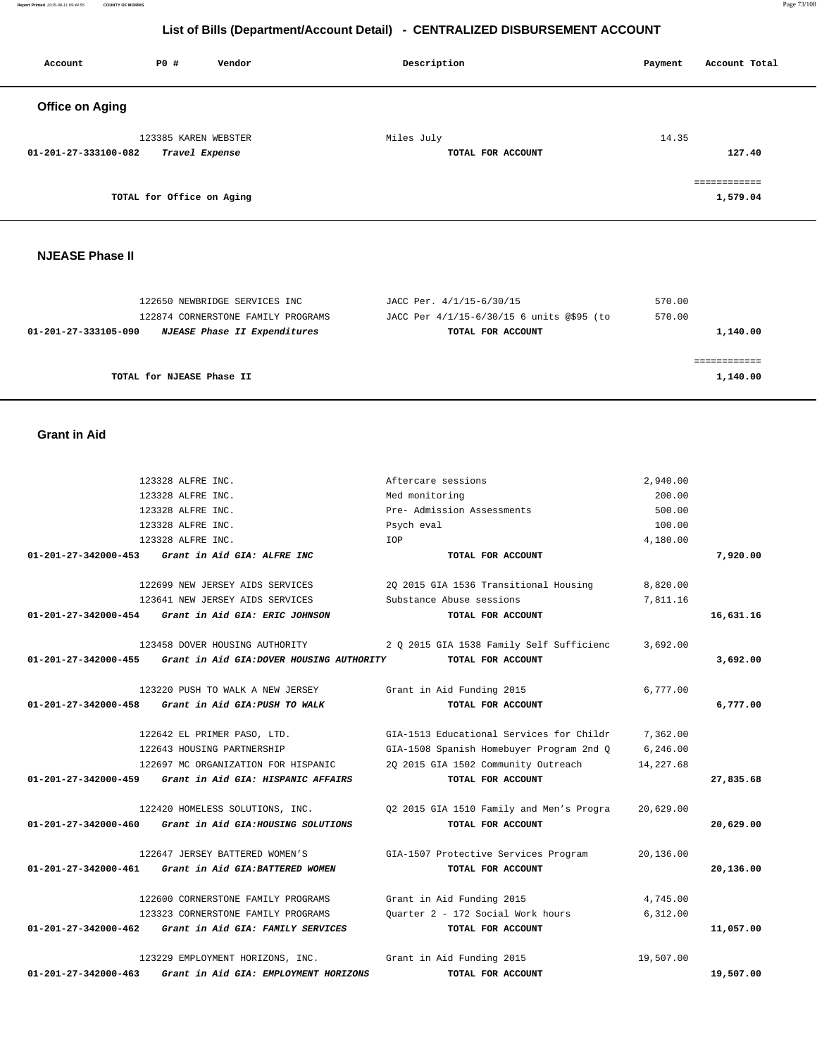|                                | 123328 ALFRE INC.                                        | Med monitoring                           | 200.00    |           |
|--------------------------------|----------------------------------------------------------|------------------------------------------|-----------|-----------|
|                                | 123328 ALFRE INC.                                        | Pre- Admission Assessments               | 500.00    |           |
|                                | 123328 ALFRE INC.                                        | Psych eval                               | 100.00    |           |
|                                | 123328 ALFRE INC.                                        | IOP                                      | 4,180.00  |           |
| 01-201-27-342000-453           | Grant in Aid GIA: ALFRE INC                              | TOTAL FOR ACCOUNT                        |           | 7,920.00  |
|                                | 122699 NEW JERSEY AIDS SERVICES                          | 20 2015 GIA 1536 Transitional Housing    | 8,820.00  |           |
|                                | 123641 NEW JERSEY AIDS SERVICES                          | Substance Abuse sessions                 | 7,811.16  |           |
| 01-201-27-342000-454           | Grant in Aid GIA: ERIC JOHNSON                           | TOTAL FOR ACCOUNT                        |           | 16,631.16 |
|                                | 123458 DOVER HOUSING AUTHORITY                           | 2 Q 2015 GIA 1538 Family Self Sufficienc | 3,692.00  |           |
| 01-201-27-342000-455           | Grant in Aid GIA: DOVER HOUSING AUTHORITY                | TOTAL FOR ACCOUNT                        |           | 3,692.00  |
|                                | 123220 PUSH TO WALK A NEW JERSEY                         | Grant in Aid Funding 2015                | 6,777.00  |           |
|                                | 01-201-27-342000-458 Grant in Aid GIA: PUSH TO WALK      | TOTAL FOR ACCOUNT                        |           | 6,777.00  |
|                                | 122642 EL PRIMER PASO, LTD.                              | GIA-1513 Educational Services for Childr | 7,362.00  |           |
|                                | 122643 HOUSING PARTNERSHIP                               | GIA-1508 Spanish Homebuyer Program 2nd Q | 6, 246.00 |           |
|                                | 122697 MC ORGANIZATION FOR HISPANIC                      | 20 2015 GIA 1502 Community Outreach      | 14,227.68 |           |
| 01-201-27-342000-459           | Grant in Aid GIA: HISPANIC AFFAIRS                       | TOTAL FOR ACCOUNT                        |           | 27,835.68 |
|                                | 122420 HOMELESS SOLUTIONS, INC.                          | 02 2015 GIA 1510 Family and Men's Progra | 20,629.00 |           |
|                                | 01-201-27-342000-460 Grant in Aid GIA: HOUSING SOLUTIONS | TOTAL FOR ACCOUNT                        |           | 20,629.00 |
|                                | 122647 JERSEY BATTERED WOMEN'S                           | GIA-1507 Protective Services Program     | 20,136.00 |           |
|                                | 01-201-27-342000-461 Grant in Aid GIA: BATTERED WOMEN    | TOTAL FOR ACCOUNT                        |           | 20,136.00 |
|                                | 122600 CORNERSTONE FAMILY PROGRAMS                       | Grant in Aid Funding 2015                | 4,745.00  |           |
|                                | 123323 CORNERSTONE FAMILY PROGRAMS                       | Ouarter 2 - 172 Social Work hours        | 6,312.00  |           |
| 01-201-27-342000-462           | Grant in Aid GIA: FAMILY SERVICES                        | TOTAL FOR ACCOUNT                        |           | 11,057.00 |
|                                | 123229 EMPLOYMENT HORIZONS, INC.                         | Grant in Aid Funding 2015                | 19,507.00 |           |
| $01 - 201 - 27 - 342000 - 463$ | Grant in Aid GIA: EMPLOYMENT HORIZONS                    | TOTAL FOR ACCOUNT                        |           | 19,507.00 |

#### **Grant in Aid**

| 122650 NEWBRIDGE SERVICES INC                        | JACC Per. 4/1/15-6/30/15                  | 570.00   |
|------------------------------------------------------|-------------------------------------------|----------|
| 122874 CORNERSTONE FAMILY PROGRAMS                   | JACC Per 4/1/15-6/30/15 6 units @\$95 (to | 570.00   |
| NJEASE Phase II Expenditures<br>01-201-27-333105-090 | TOTAL FOR ACCOUNT                         | 1,140.00 |
|                                                      |                                           |          |
| TOTAL for NJEASE Phase II                            |                                           | 1,140.00 |

123328 ALFRE INC. <br>
2,940.00

#### **NJEASE Phase II**

| Account                | <b>PO #</b>               | Vendor         | Description                     | Payment | Account Total             |
|------------------------|---------------------------|----------------|---------------------------------|---------|---------------------------|
| <b>Office on Aging</b> |                           |                |                                 |         |                           |
| 01-201-27-333100-082   | 123385 KAREN WEBSTER      | Travel Expense | Miles July<br>TOTAL FOR ACCOUNT | 14.35   | 127.40                    |
|                        | TOTAL for Office on Aging |                |                                 |         | -------------<br>1,579.04 |

 **List of Bills (Department/Account Detail) - CENTRALIZED DISBURSEMENT ACCOUNT**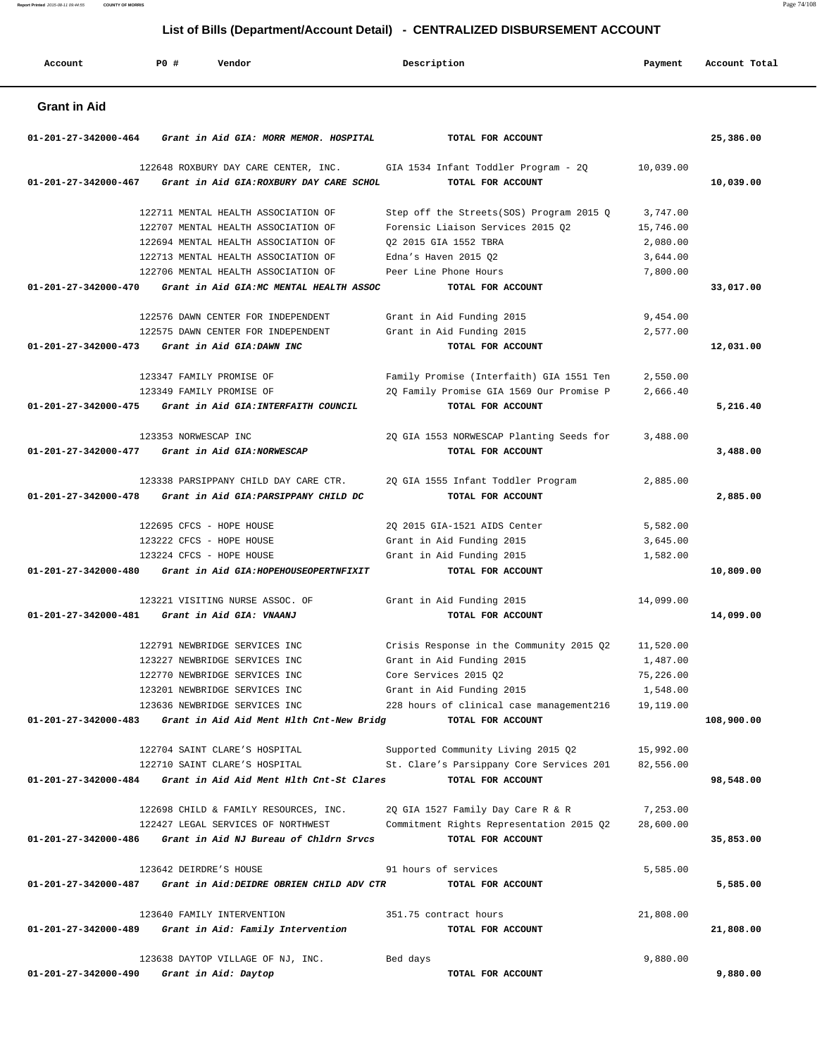**Report Printed** 2015-08-11 09:44:55 **COUNTY OF MORRIS** Page 74/108

 **List of Bills (Department/Account Detail) - CENTRALIZED DISBURSEMENT ACCOUNT**

| Account              | <b>PO #</b> | Vendor                                                                                  | Description                                                                                    | Payment               | Account Total |
|----------------------|-------------|-----------------------------------------------------------------------------------------|------------------------------------------------------------------------------------------------|-----------------------|---------------|
| <b>Grant in Aid</b>  |             |                                                                                         |                                                                                                |                       |               |
| 01-201-27-342000-464 |             | Grant in Aid GIA: MORR MEMOR. HOSPITAL                                                  | TOTAL FOR ACCOUNT                                                                              |                       | 25,386.00     |
| 01-201-27-342000-467 |             | Grant in Aid GIA: ROXBURY DAY CARE SCHOL                                                | 122648 ROXBURY DAY CARE CENTER, INC. GIA 1534 Infant Toddler Program - 2Q<br>TOTAL FOR ACCOUNT | 10,039.00             | 10,039.00     |
|                      |             | 122711 MENTAL HEALTH ASSOCIATION OF                                                     | Step off the Streets(SOS) Program 2015 Q                                                       | 3,747.00              |               |
|                      |             | 122707 MENTAL HEALTH ASSOCIATION OF                                                     | Forensic Liaison Services 2015 Q2                                                              | 15,746.00             |               |
|                      |             | 122694 MENTAL HEALTH ASSOCIATION OF                                                     | 02 2015 GIA 1552 TBRA                                                                          | 2,080.00              |               |
|                      |             | 122713 MENTAL HEALTH ASSOCIATION OF                                                     | Edna's Haven 2015 Q2                                                                           | 3,644.00              |               |
|                      |             | 122706 MENTAL HEALTH ASSOCIATION OF                                                     | Peer Line Phone Hours                                                                          | 7,800.00              |               |
|                      |             | 01-201-27-342000-470 Grant in Aid GIA:MC MENTAL HEALTH ASSOC                            | TOTAL FOR ACCOUNT                                                                              |                       | 33,017.00     |
|                      |             | 122576 DAWN CENTER FOR INDEPENDENT                                                      | Grant in Aid Funding 2015                                                                      | 9,454.00              |               |
|                      |             | 122575 DAWN CENTER FOR INDEPENDENT                                                      | Grant in Aid Funding 2015                                                                      | 2,577.00              |               |
| 01-201-27-342000-473 |             | Grant in Aid GIA: DAWN INC                                                              | TOTAL FOR ACCOUNT                                                                              |                       | 12,031.00     |
|                      |             | 123347 FAMILY PROMISE OF                                                                | Family Promise (Interfaith) GIA 1551 Ten                                                       | 2,550.00              |               |
|                      |             | 123349 FAMILY PROMISE OF                                                                | 2Q Family Promise GIA 1569 Our Promise P                                                       | 2,666.40              |               |
|                      |             | 01-201-27-342000-475 Grant in Aid GIA: INTERFAITH COUNCIL                               | TOTAL FOR ACCOUNT                                                                              |                       | 5,216.40      |
|                      |             |                                                                                         |                                                                                                |                       |               |
|                      |             | 123353 NORWESCAP INC                                                                    | 2Q GIA 1553 NORWESCAP Planting Seeds for                                                       | 3,488.00              |               |
|                      |             | 01-201-27-342000-477 Grant in Aid GIA:NORWESCAP                                         | TOTAL FOR ACCOUNT                                                                              |                       | 3,488.00      |
|                      |             | 123338 PARSIPPANY CHILD DAY CARE CTR.                                                   | 2Q GIA 1555 Infant Toddler Program                                                             | 2,885.00              |               |
|                      |             | 01-201-27-342000-478 Grant in Aid GIA: PARSIPPANY CHILD DC                              | TOTAL FOR ACCOUNT                                                                              |                       | 2,885.00      |
|                      |             |                                                                                         |                                                                                                |                       |               |
|                      |             | 122695 CFCS - HOPE HOUSE                                                                | 2Q 2015 GIA-1521 AIDS Center                                                                   | 5,582.00              |               |
|                      |             | 123222 CFCS - HOPE HOUSE                                                                | Grant in Aid Funding 2015                                                                      | 3,645.00              |               |
|                      |             | 123224 CFCS - HOPE HOUSE<br>01-201-27-342000-480 Grant in Aid GIA: HOPEHOUSEOPERTNFIXIT | Grant in Aid Funding 2015<br>TOTAL FOR ACCOUNT                                                 | 1,582.00              |               |
|                      |             |                                                                                         |                                                                                                |                       | 10,809.00     |
|                      |             | 123221 VISITING NURSE ASSOC. OF                                                         | Grant in Aid Funding 2015                                                                      | 14,099.00             |               |
| 01-201-27-342000-481 |             | Grant in Aid GIA: VNAANJ                                                                | TOTAL FOR ACCOUNT                                                                              |                       | 14,099.00     |
|                      |             |                                                                                         |                                                                                                |                       |               |
|                      |             | 122791 NEWBRIDGE SERVICES INC                                                           | Crisis Response in the Community 2015 $Q2$ 11,520.00                                           |                       |               |
|                      |             | 123227 NEWBRIDGE SERVICES INC<br>122770 NEWBRIDGE SERVICES INC                          | Grant in Aid Funding 2015<br>Core Services 2015 Q2                                             | 1,487.00<br>75,226.00 |               |
|                      |             | 123201 NEWBRIDGE SERVICES INC                                                           | Grant in Aid Funding 2015                                                                      | 1,548.00              |               |
|                      |             | 123636 NEWBRIDGE SERVICES INC                                                           | 228 hours of clinical case management216 19,119.00                                             |                       |               |
| 01-201-27-342000-483 |             | Grant in Aid Aid Ment Hlth Cnt-New Bridg                                                | TOTAL FOR ACCOUNT                                                                              |                       | 108,900.00    |
|                      |             |                                                                                         |                                                                                                |                       |               |
|                      |             | 122704 SAINT CLARE'S HOSPITAL                                                           | Supported Community Living 2015 Q2                                                             | 15,992.00             |               |
|                      |             | 122710 SAINT CLARE'S HOSPITAL                                                           | St. Clare's Parsippany Core Services 201                                                       | 82,556.00             |               |
|                      |             | $01-201-27-342000-484$ Grant in Aid Aid Ment Hlth Cnt-St Clares                         | TOTAL FOR ACCOUNT                                                                              |                       | 98,548.00     |
|                      |             | 122698 CHILD & FAMILY RESOURCES, INC.                                                   | 2Q GIA 1527 Family Day Care R & R                                                              | 7,253.00              |               |
|                      |             | 122427 LEGAL SERVICES OF NORTHWEST                                                      | Commitment Rights Representation 2015 Q2                                                       | 28,600.00             |               |
| 01-201-27-342000-486 |             | Grant in Aid NJ Bureau of Chldrn Srvcs                                                  | TOTAL FOR ACCOUNT                                                                              |                       | 35,853.00     |
|                      |             | 123642 DEIRDRE'S HOUSE                                                                  | 91 hours of services                                                                           | 5,585.00              |               |
| 01-201-27-342000-487 |             | Grant in Aid: DEIDRE OBRIEN CHILD ADV CTR                                               | TOTAL FOR ACCOUNT                                                                              |                       | 5,585.00      |
|                      |             |                                                                                         |                                                                                                |                       |               |
|                      |             | 123640 FAMILY INTERVENTION                                                              | 351.75 contract hours                                                                          | 21,808.00             |               |
| 01-201-27-342000-489 |             | Grant in Aid: Family Intervention                                                       | TOTAL FOR ACCOUNT                                                                              |                       | 21,808.00     |
|                      |             |                                                                                         |                                                                                                |                       |               |
| 01-201-27-342000-490 |             | 123638 DAYTOP VILLAGE OF NJ, INC.<br>Grant in Aid: Daytop                               | Bed days<br>TOTAL FOR ACCOUNT                                                                  | 9,880.00              | 9,880.00      |
|                      |             |                                                                                         |                                                                                                |                       |               |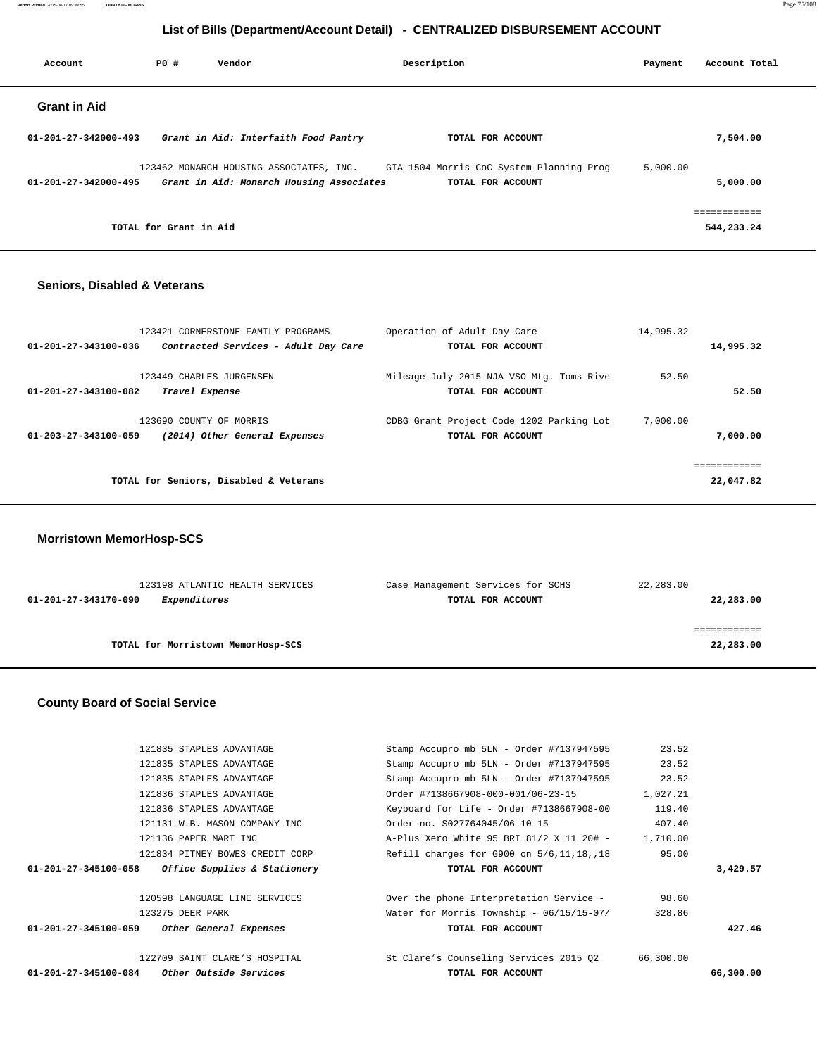**Report Printed** 2015-08-11 09:44:55 **COUNTY OF MORRIS** Page 75/108

### **List of Bills (Department/Account Detail) - CENTRALIZED DISBURSEMENT ACCOUNT**

| Account                        | P0 #                   | Vendor                                                                              | Description                                                   | Payment  | Account Total |
|--------------------------------|------------------------|-------------------------------------------------------------------------------------|---------------------------------------------------------------|----------|---------------|
| <b>Grant in Aid</b>            |                        |                                                                                     |                                                               |          |               |
| 01-201-27-342000-493           |                        | Grant in Aid: Interfaith Food Pantry                                                | TOTAL FOR ACCOUNT                                             |          | 7,504.00      |
| $01 - 201 - 27 - 342000 - 495$ |                        | 123462 MONARCH HOUSING ASSOCIATES, INC.<br>Grant in Aid: Monarch Housing Associates | GIA-1504 Morris CoC System Planning Prog<br>TOTAL FOR ACCOUNT | 5,000.00 | 5,000.00      |
|                                | TOTAL for Grant in Aid |                                                                                     |                                                               |          | 544,233.24    |

### **Seniors, Disabled & Veterans**

| 123421 CORNERSTONE FAMILY PROGRAMS                           | Operation of Adult Day Care              | 14,995.32 |             |
|--------------------------------------------------------------|------------------------------------------|-----------|-------------|
| 01-201-27-343100-036<br>Contracted Services - Adult Day Care | TOTAL FOR ACCOUNT                        |           | 14,995.32   |
|                                                              |                                          |           |             |
| 123449 CHARLES JURGENSEN                                     | Mileage July 2015 NJA-VSO Mtg. Toms Rive | 52.50     |             |
| 01-201-27-343100-082<br>Travel Expense                       | TOTAL FOR ACCOUNT                        |           | 52.50       |
|                                                              |                                          |           |             |
| 123690 COUNTY OF MORRIS                                      | CDBG Grant Project Code 1202 Parking Lot | 7,000.00  |             |
| (2014) Other General Expenses<br>01-203-27-343100-059        | TOTAL FOR ACCOUNT                        |           | 7,000.00    |
|                                                              |                                          |           |             |
|                                                              |                                          |           | =========== |
| TOTAL for Seniors, Disabled & Veterans                       |                                          |           | 22,047.82   |
|                                                              |                                          |           |             |

### **Morristown MemorHosp-SCS**

| 123198 ATLANTIC HEALTH SERVICES      | Case Management Services for SCHS | 22,283.00 |
|--------------------------------------|-----------------------------------|-----------|
| Expenditures<br>01-201-27-343170-090 | TOTAL FOR ACCOUNT                 | 22,283.00 |
|                                      |                                   |           |
|                                      |                                   |           |
| TOTAL for Morristown MemorHosp-SCS   |                                   | 22,283.00 |
|                                      |                                   |           |

## **County Board of Social Service**

| 122709 SAINT CLARE'S HOSPITAL                        | St Clare's Counseling Services 2015 02       | 66,300.00 |          |
|------------------------------------------------------|----------------------------------------------|-----------|----------|
|                                                      |                                              |           |          |
| 01-201-27-345100-059<br>Other General Expenses       | TOTAL FOR ACCOUNT                            |           | 427.46   |
| 123275 DEER PARK                                     | Water for Morris Township - 06/15/15-07/     | 328.86    |          |
| 120598 LANGUAGE LINE SERVICES                        | Over the phone Interpretation Service -      | 98.60     |          |
| Office Supplies & Stationery<br>01-201-27-345100-058 | TOTAL FOR ACCOUNT                            |           | 3,429.57 |
| 121834 PITNEY BOWES CREDIT CORP                      | Refill charges for G900 on $5/6, 11, 18, 18$ | 95.00     |          |
| 121136 PAPER MART INC                                | A-Plus Xero White 95 BRI 81/2 X 11 20# -     | 1,710.00  |          |
| 121131 W.B. MASON COMPANY INC                        | Order no. S027764045/06-10-15                | 407.40    |          |
| 121836 STAPLES ADVANTAGE                             | Keyboard for Life - Order #7138667908-00     | 119.40    |          |
| 121836 STAPLES ADVANTAGE                             | Order #7138667908-000-001/06-23-15           | 1,027.21  |          |
| 121835 STAPLES ADVANTAGE                             | Stamp Accupro mb 5LN - Order #7137947595     | 23.52     |          |
| 121835 STAPLES ADVANTAGE                             | Stamp Accupro mb 5LN - Order #7137947595     | 23.52     |          |
|                                                      |                                              |           |          |
| 121835 STAPLES ADVANTAGE                             | Stamp Accupro mb 5LN - Order #7137947595     | 23.52     |          |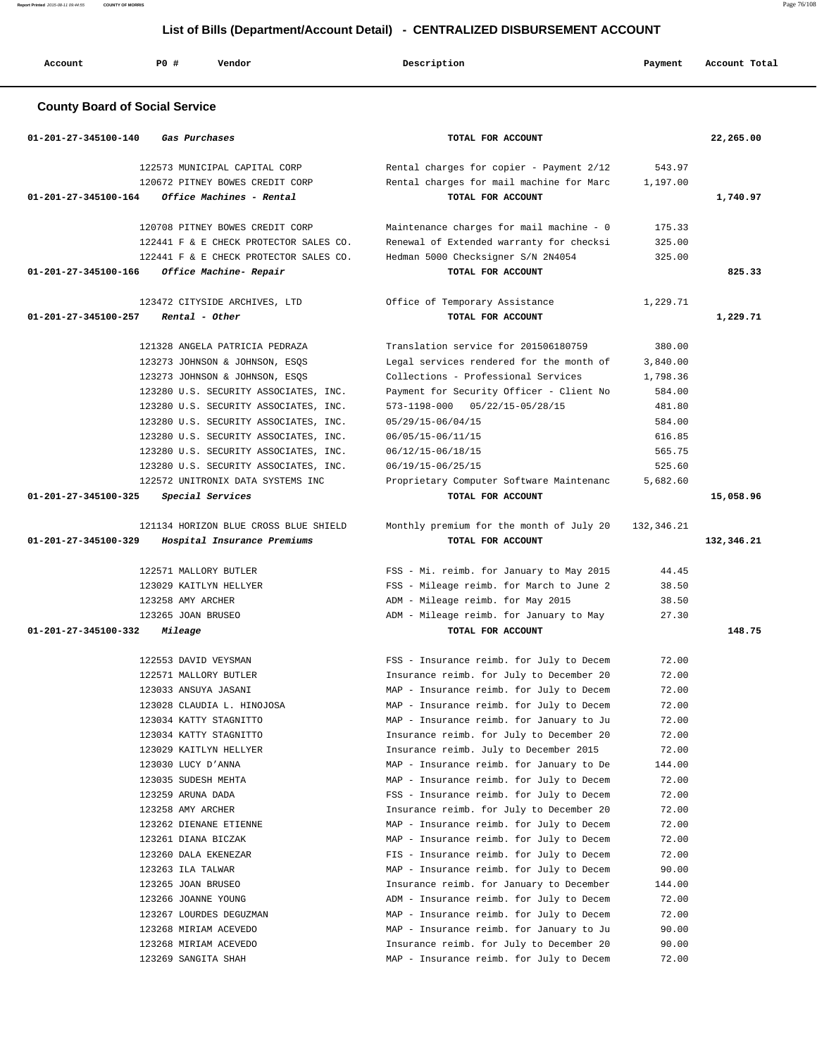| Account                        | PO#<br>Vendor                                                                                                                                                                                                                                                                                                                                                                                                                                                                                                           | Description                                                                                                                                                                                                                                                                                                                                                                                                                                                                                                                                                                                                                                                                                                                                                                                                                                                                                                                                            | Payment                                                                                                                                                                                     | Account Total |
|--------------------------------|-------------------------------------------------------------------------------------------------------------------------------------------------------------------------------------------------------------------------------------------------------------------------------------------------------------------------------------------------------------------------------------------------------------------------------------------------------------------------------------------------------------------------|--------------------------------------------------------------------------------------------------------------------------------------------------------------------------------------------------------------------------------------------------------------------------------------------------------------------------------------------------------------------------------------------------------------------------------------------------------------------------------------------------------------------------------------------------------------------------------------------------------------------------------------------------------------------------------------------------------------------------------------------------------------------------------------------------------------------------------------------------------------------------------------------------------------------------------------------------------|---------------------------------------------------------------------------------------------------------------------------------------------------------------------------------------------|---------------|
|                                | <b>County Board of Social Service</b>                                                                                                                                                                                                                                                                                                                                                                                                                                                                                   |                                                                                                                                                                                                                                                                                                                                                                                                                                                                                                                                                                                                                                                                                                                                                                                                                                                                                                                                                        |                                                                                                                                                                                             |               |
| $01 - 201 - 27 - 345100 - 140$ | Gas Purchases                                                                                                                                                                                                                                                                                                                                                                                                                                                                                                           | TOTAL FOR ACCOUNT                                                                                                                                                                                                                                                                                                                                                                                                                                                                                                                                                                                                                                                                                                                                                                                                                                                                                                                                      |                                                                                                                                                                                             | 22,265.00     |
| $01 - 201 - 27 - 345100 - 164$ | 122573 MUNICIPAL CAPITAL CORP<br>120672 PITNEY BOWES CREDIT CORP<br>Office Machines - Rental                                                                                                                                                                                                                                                                                                                                                                                                                            | Rental charges for copier - Payment 2/12<br>Rental charges for mail machine for Marc<br>TOTAL FOR ACCOUNT                                                                                                                                                                                                                                                                                                                                                                                                                                                                                                                                                                                                                                                                                                                                                                                                                                              | 543.97<br>1,197.00                                                                                                                                                                          | 1,740.97      |
| 01-201-27-345100-166           | 120708 PITNEY BOWES CREDIT CORP<br>122441 F & E CHECK PROTECTOR SALES CO.<br>122441 F & E CHECK PROTECTOR SALES CO.<br>Office Machine- Repair                                                                                                                                                                                                                                                                                                                                                                           | Maintenance charges for mail machine - 0<br>Renewal of Extended warranty for checksi<br>Hedman 5000 Checksigner S/N 2N4054<br>TOTAL FOR ACCOUNT                                                                                                                                                                                                                                                                                                                                                                                                                                                                                                                                                                                                                                                                                                                                                                                                        | 175.33<br>325.00<br>325.00                                                                                                                                                                  | 825.33        |
| 01-201-27-345100-257           | 123472 CITYSIDE ARCHIVES, LTD<br>Rental - Other                                                                                                                                                                                                                                                                                                                                                                                                                                                                         | Office of Temporary Assistance<br>TOTAL FOR ACCOUNT                                                                                                                                                                                                                                                                                                                                                                                                                                                                                                                                                                                                                                                                                                                                                                                                                                                                                                    | 1,229.71                                                                                                                                                                                    | 1,229.71      |
| 01-201-27-345100-325           | 121328 ANGELA PATRICIA PEDRAZA<br>123273 JOHNSON & JOHNSON, ESQS<br>123273 JOHNSON & JOHNSON, ESOS<br>123280 U.S. SECURITY ASSOCIATES, INC.<br>123280 U.S. SECURITY ASSOCIATES, INC.<br>123280 U.S. SECURITY ASSOCIATES, INC.<br>123280 U.S. SECURITY ASSOCIATES, INC.<br>123280 U.S. SECURITY ASSOCIATES, INC.<br>123280 U.S. SECURITY ASSOCIATES, INC.<br>122572 UNITRONIX DATA SYSTEMS INC<br>Special Services                                                                                                       | Translation service for 201506180759<br>Legal services rendered for the month of<br>Collections - Professional Services<br>Payment for Security Officer - Client No<br>05/22/15-05/28/15<br>573-1198-000<br>05/29/15-06/04/15<br>06/05/15-06/11/15<br>06/12/15-06/18/15<br>06/19/15-06/25/15<br>Proprietary Computer Software Maintenanc<br>TOTAL FOR ACCOUNT                                                                                                                                                                                                                                                                                                                                                                                                                                                                                                                                                                                          | 380.00<br>3,840.00<br>1,798.36<br>584.00<br>481.80<br>584.00<br>616.85<br>565.75<br>525.60<br>5,682.60                                                                                      | 15,058.96     |
| 01-201-27-345100-329           | 121134 HORIZON BLUE CROSS BLUE SHIELD<br>Hospital Insurance Premiums                                                                                                                                                                                                                                                                                                                                                                                                                                                    | Monthly premium for the month of July 20<br>TOTAL FOR ACCOUNT                                                                                                                                                                                                                                                                                                                                                                                                                                                                                                                                                                                                                                                                                                                                                                                                                                                                                          | 132,346.21                                                                                                                                                                                  | 132,346.21    |
| 01-201-27-345100-332           | 122571 MALLORY BUTLER<br>123029 KAITLYN HELLYER<br>123258 AMY ARCHER<br>123265 JOAN BRUSEO<br>Mileage                                                                                                                                                                                                                                                                                                                                                                                                                   | FSS - Mi. reimb. for January to May 2015<br>FSS - Mileage reimb. for March to June 2<br>ADM - Mileage reimb. for May 2015<br>ADM - Mileage reimb. for January to May<br>TOTAL FOR ACCOUNT                                                                                                                                                                                                                                                                                                                                                                                                                                                                                                                                                                                                                                                                                                                                                              | 44.45<br>38.50<br>38.50<br>27.30                                                                                                                                                            | 148.75        |
|                                | 122553 DAVID VEYSMAN<br>122571 MALLORY BUTLER<br>123033 ANSUYA JASANI<br>123028 CLAUDIA L. HINOJOSA<br>123034 KATTY STAGNITTO<br>123034 KATTY STAGNITTO<br>123029 KAITLYN HELLYER<br>123030 LUCY D'ANNA<br>123035 SUDESH MEHTA<br>123259 ARUNA DADA<br>123258 AMY ARCHER<br>123262 DIENANE ETIENNE<br>123261 DIANA BICZAK<br>123260 DALA EKENEZAR<br>123263 ILA TALWAR<br>123265 JOAN BRUSEO<br>123266 JOANNE YOUNG<br>123267 LOURDES DEGUZMAN<br>123268 MIRIAM ACEVEDO<br>123268 MIRIAM ACEVEDO<br>123269 SANGITA SHAH | FSS - Insurance reimb. for July to Decem<br>Insurance reimb. for July to December 20<br>MAP - Insurance reimb. for July to Decem<br>MAP - Insurance reimb. for July to Decem<br>MAP - Insurance reimb. for January to Ju<br>Insurance reimb. for July to December 20<br>Insurance reimb. July to December 2015<br>MAP - Insurance reimb. for January to De<br>MAP - Insurance reimb. for July to Decem<br>FSS - Insurance reimb. for July to Decem<br>Insurance reimb. for July to December 20<br>MAP - Insurance reimb. for July to Decem<br>MAP - Insurance reimb. for July to Decem<br>FIS - Insurance reimb. for July to Decem<br>MAP - Insurance reimb. for July to Decem<br>Insurance reimb. for January to December<br>ADM - Insurance reimb. for July to Decem<br>MAP - Insurance reimb. for July to Decem<br>MAP - Insurance reimb. for January to Ju<br>Insurance reimb. for July to December 20<br>MAP - Insurance reimb. for July to Decem | 72.00<br>72.00<br>72.00<br>72.00<br>72.00<br>72.00<br>72.00<br>144.00<br>72.00<br>72.00<br>72.00<br>72.00<br>72.00<br>72.00<br>90.00<br>144.00<br>72.00<br>72.00<br>90.00<br>90.00<br>72.00 |               |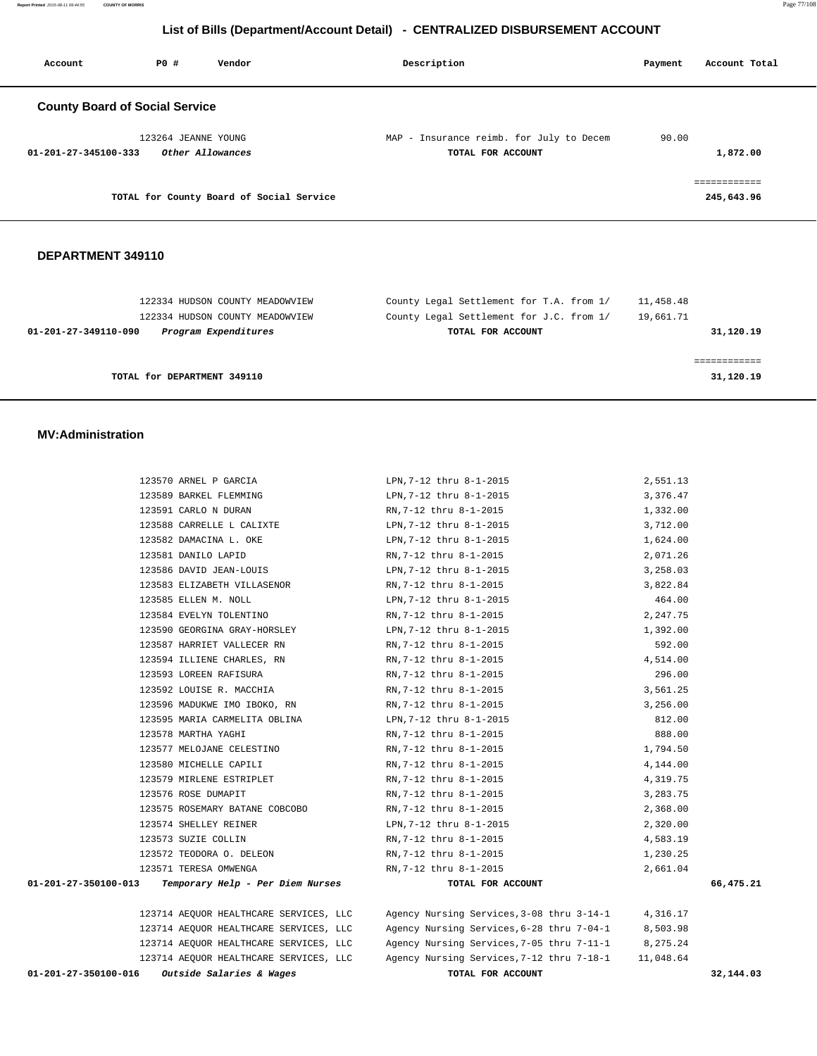**Report Printed** 2015-08-11 09:44:55 **COUNTY OF MORRIS** Page 77/108

### **List of Bills (Department/Account Detail) - CENTRALIZED DISBURSEMENT ACCOUNT**

| Account                               | PO#                 | Vendor                                   | Description                                                   | Payment | Account Total               |
|---------------------------------------|---------------------|------------------------------------------|---------------------------------------------------------------|---------|-----------------------------|
| <b>County Board of Social Service</b> |                     |                                          |                                                               |         |                             |
| 01-201-27-345100-333                  | 123264 JEANNE YOUNG | Other Allowances                         | MAP - Insurance reimb. for July to Decem<br>TOTAL FOR ACCOUNT | 90.00   | 1,872.00                    |
|                                       |                     | TOTAL for County Board of Social Service |                                                               |         | -------------<br>245,643.96 |

#### **DEPARTMENT 349110**

| 122334 HUDSON COUNTY MEADOWVIEW              | County Legal Settlement for T.A. from 1/ | 11,458.48 |
|----------------------------------------------|------------------------------------------|-----------|
| 122334 HUDSON COUNTY MEADOWVIEW              | County Legal Settlement for J.C. from 1/ | 19,661.71 |
| Program Expenditures<br>01-201-27-349110-090 | TOTAL FOR ACCOUNT                        | 31,120.19 |
|                                              |                                          |           |
|                                              |                                          |           |
| TOTAL for DEPARTMENT 349110                  |                                          | 31,120.19 |
|                                              |                                          |           |

#### **MV:Administration**

|                      | 123570 ARNEL P GARCIA                  | LPN, 7-12 thru 8-1-2015                             | 2,551.13  |           |
|----------------------|----------------------------------------|-----------------------------------------------------|-----------|-----------|
|                      | 123589 BARKEL FLEMMING                 | LPN, 7-12 thru 8-1-2015                             | 3,376.47  |           |
|                      | 123591 CARLO N DURAN                   | RN, 7-12 thru 8-1-2015                              | 1,332.00  |           |
|                      | 123588 CARRELLE L CALIXTE              | LPN, 7-12 thru 8-1-2015                             | 3,712.00  |           |
|                      | 123582 DAMACINA L. OKE                 | LPN, 7-12 thru 8-1-2015                             | 1,624.00  |           |
|                      | 123581 DANILO LAPID                    | RN, 7-12 thru 8-1-2015                              | 2,071.26  |           |
|                      | 123586 DAVID JEAN-LOUIS                | LPN, 7-12 thru 8-1-2015                             | 3,258.03  |           |
|                      | 123583 ELIZABETH VILLASENOR            | RN, 7-12 thru 8-1-2015                              | 3,822.84  |           |
|                      | 123585 ELLEN M. NOLL                   | LPN, 7-12 thru 8-1-2015                             | 464.00    |           |
|                      | 123584 EVELYN TOLENTINO                | RN, 7-12 thru 8-1-2015                              | 2,247.75  |           |
|                      | 123590 GEORGINA GRAY-HORSLEY           | LPN,7-12 thru 8-1-2015                              | 1,392.00  |           |
|                      | 123587 HARRIET VALLECER RN             | RN, 7-12 thru 8-1-2015                              | 592.00    |           |
|                      | 123594 ILLIENE CHARLES, RN             | RN,7-12 thru 8-1-2015                               | 4,514.00  |           |
|                      | 123593 LOREEN RAFISURA                 | RN,7-12 thru 8-1-2015                               | 296.00    |           |
|                      | 123592 LOUISE R. MACCHIA               | RN, 7-12 thru 8-1-2015                              | 3,561.25  |           |
|                      | 123596 MADUKWE IMO IBOKO, RN           | RN, 7-12 thru 8-1-2015                              | 3,256.00  |           |
|                      | 123595 MARIA CARMELITA OBLINA          | LPN, 7-12 thru 8-1-2015                             | 812.00    |           |
|                      | 123578 MARTHA YAGHI                    | RN, 7-12 thru 8-1-2015                              | 888.00    |           |
|                      | 123577 MELOJANE CELESTINO              | RN, 7-12 thru 8-1-2015                              | 1,794.50  |           |
|                      | 123580 MICHELLE CAPILI                 | RN, 7-12 thru 8-1-2015                              | 4,144.00  |           |
|                      | 123579 MIRLENE ESTRIPLET               | RN,7-12 thru 8-1-2015                               | 4,319.75  |           |
|                      | 123576 ROSE DUMAPIT                    | RN, 7-12 thru 8-1-2015                              | 3,283.75  |           |
|                      | 123575 ROSEMARY BATANE COBCOBO         | RN,7-12 thru 8-1-2015                               | 2,368.00  |           |
|                      | 123574 SHELLEY REINER                  | LPN, 7-12 thru 8-1-2015                             | 2,320.00  |           |
|                      | 123573 SUZIE COLLIN                    | RN,7-12 thru 8-1-2015                               | 4,583.19  |           |
|                      | 123572 TEODORA O. DELEON               | RN, 7-12 thru 8-1-2015                              | 1,230.25  |           |
|                      | 123571 TERESA OMWENGA                  | RN, 7-12 thru 8-1-2015                              | 2,661.04  |           |
| 01-201-27-350100-013 | Temporary Help - Per Diem Nurses       | TOTAL FOR ACCOUNT                                   |           | 66,475.21 |
|                      | 123714 AEQUOR HEALTHCARE SERVICES, LLC | Agency Nursing Services, 3-08 thru 3-14-1 4, 316.17 |           |           |
|                      | 123714 AEQUOR HEALTHCARE SERVICES, LLC | Agency Nursing Services, 6-28 thru 7-04-1           | 8,503.98  |           |
|                      | 123714 AEQUOR HEALTHCARE SERVICES, LLC | Agency Nursing Services, 7-05 thru 7-11-1           | 8,275.24  |           |
|                      | 123714 AEQUOR HEALTHCARE SERVICES, LLC | Agency Nursing Services, 7-12 thru 7-18-1           | 11,048.64 |           |
| 01-201-27-350100-016 | Outside Salaries & Wages               | TOTAL FOR ACCOUNT                                   |           | 32,144.03 |
|                      |                                        |                                                     |           |           |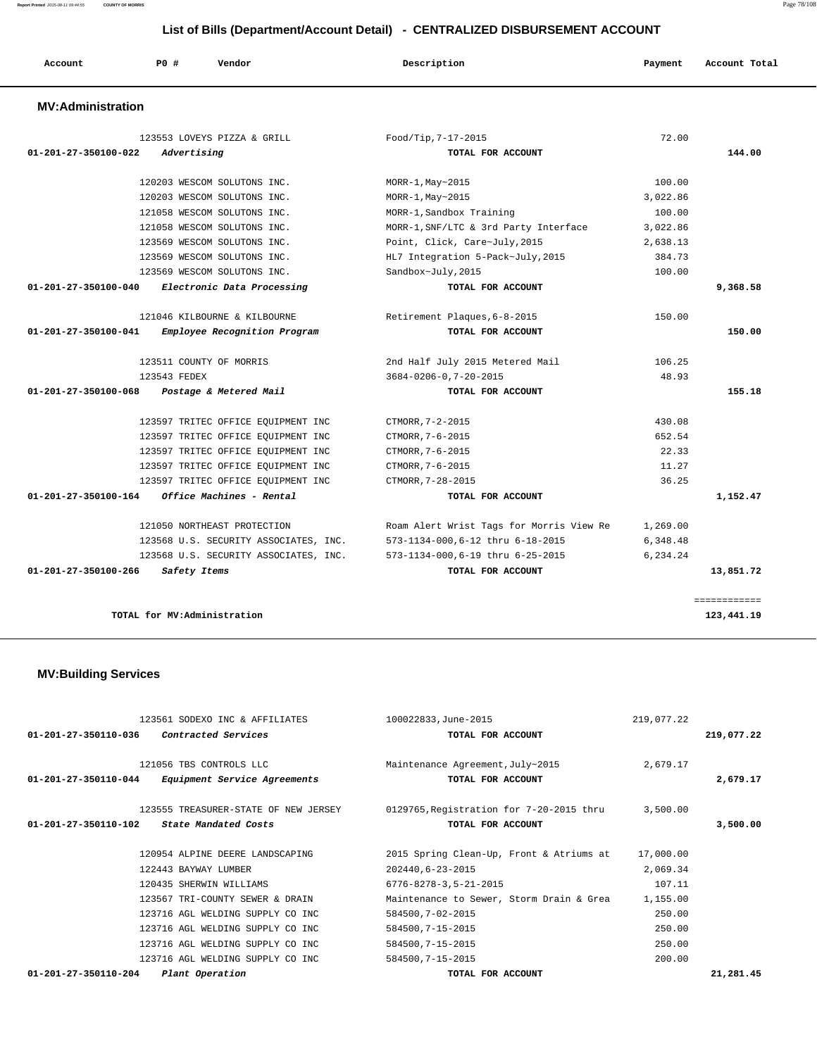**Report Printed** 2015-08-11 09:44:55 **COUNTY OF MORRIS** Page 78/108

### **List of Bills (Department/Account Detail) - CENTRALIZED DISBURSEMENT ACCOUNT**

| Account                        | PO#                         | Vendor                                | Description                              | Payment  | Account Total              |
|--------------------------------|-----------------------------|---------------------------------------|------------------------------------------|----------|----------------------------|
| <b>MV:Administration</b>       |                             |                                       |                                          |          |                            |
|                                |                             | 123553 LOVEYS PIZZA & GRILL           | Food/Tip, 7-17-2015                      | 72.00    |                            |
| $01 - 201 - 27 - 350100 - 022$ | Advertising                 |                                       | TOTAL FOR ACCOUNT                        |          | 144.00                     |
|                                |                             | 120203 WESCOM SOLUTONS INC.           | $MORR-1, May~2015$                       | 100.00   |                            |
|                                |                             | 120203 WESCOM SOLUTONS INC.           | $MORR-1, May~2015$                       | 3,022.86 |                            |
|                                |                             | 121058 WESCOM SOLUTONS INC.           | MORR-1, Sandbox Training                 | 100.00   |                            |
|                                |                             | 121058 WESCOM SOLUTONS INC.           | MORR-1, SNF/LTC & 3rd Party Interface    | 3,022.86 |                            |
|                                |                             | 123569 WESCOM SOLUTONS INC.           | Point, Click, Care~July, 2015            | 2,638.13 |                            |
|                                |                             | 123569 WESCOM SOLUTONS INC.           | HL7 Integration 5-Pack~July, 2015        | 384.73   |                            |
|                                |                             | 123569 WESCOM SOLUTONS INC.           | Sandbox~July, 2015                       | 100.00   |                            |
| 01-201-27-350100-040           |                             | Electronic Data Processing            | TOTAL FOR ACCOUNT                        |          | 9,368.58                   |
|                                |                             | 121046 KILBOURNE & KILBOURNE          | Retirement Plaques, 6-8-2015             | 150.00   |                            |
| $01 - 201 - 27 - 350100 - 041$ |                             | Employee Recognition Program          | TOTAL FOR ACCOUNT                        |          | 150.00                     |
|                                | 123511 COUNTY OF MORRIS     |                                       | 2nd Half July 2015 Metered Mail          | 106.25   |                            |
|                                | 123543 FEDEX                |                                       | $3684 - 0206 - 0, 7 - 20 - 2015$         | 48.93    |                            |
| 01-201-27-350100-068           |                             | Postage & Metered Mail                | TOTAL FOR ACCOUNT                        |          | 155.18                     |
|                                |                             | 123597 TRITEC OFFICE EQUIPMENT INC    | CTMORR, 7-2-2015                         | 430.08   |                            |
|                                |                             | 123597 TRITEC OFFICE EQUIPMENT INC    | CTMORR, 7-6-2015                         | 652.54   |                            |
|                                |                             | 123597 TRITEC OFFICE EQUIPMENT INC    | CTMORR, 7-6-2015                         | 22.33    |                            |
|                                |                             | 123597 TRITEC OFFICE EQUIPMENT INC    | CTMORR, 7-6-2015                         | 11.27    |                            |
|                                |                             | 123597 TRITEC OFFICE EQUIPMENT INC    | CTMORR, 7-28-2015                        | 36.25    |                            |
| 01-201-27-350100-164           |                             | Office Machines - Rental              | TOTAL FOR ACCOUNT                        |          | 1,152.47                   |
|                                |                             | 121050 NORTHEAST PROTECTION           | Roam Alert Wrist Tags for Morris View Re | 1,269.00 |                            |
|                                |                             | 123568 U.S. SECURITY ASSOCIATES, INC. | 573-1134-000,6-12 thru 6-18-2015         | 6,348.48 |                            |
|                                |                             | 123568 U.S. SECURITY ASSOCIATES, INC. | 573-1134-000,6-19 thru 6-25-2015         | 6.234.24 |                            |
| $01 - 201 - 27 - 350100 - 266$ | Safety Items                |                                       | TOTAL FOR ACCOUNT                        |          | 13,851.72                  |
|                                | TOTAL for MV:Administration |                                       |                                          |          | ============<br>123,441.19 |

 **MV:Building Services** 

|                                | 123561 SODEXO INC & AFFILIATES       | 100022833, June-2015                     | 219,077.22 |            |
|--------------------------------|--------------------------------------|------------------------------------------|------------|------------|
| $01 - 201 - 27 - 350110 - 036$ | Contracted Services                  | TOTAL FOR ACCOUNT                        |            | 219,077.22 |
|                                | 121056 TBS CONTROLS LLC              | Maintenance Agreement, July~2015         | 2,679.17   |            |
| 01-201-27-350110-044           | Equipment Service Agreements         | TOTAL FOR ACCOUNT                        |            | 2,679.17   |
|                                | 123555 TREASURER-STATE OF NEW JERSEY | 0129765, Registration for 7-20-2015 thru | 3,500.00   |            |
| $01 - 201 - 27 - 350110 - 102$ | State Mandated Costs                 | TOTAL FOR ACCOUNT                        |            | 3,500.00   |
|                                | 120954 ALPINE DEERE LANDSCAPING      | 2015 Spring Clean-Up, Front & Atriums at | 17,000.00  |            |
|                                |                                      |                                          |            |            |
|                                | 122443 BAYWAY LUMBER                 | 202440,6-23-2015                         | 2,069.34   |            |
|                                | 120435 SHERWIN WILLIAMS              | $6776 - 8278 - 3, 5 - 21 - 2015$         | 107.11     |            |
|                                | 123567 TRI-COUNTY SEWER & DRAIN      | Maintenance to Sewer, Storm Drain & Grea | 1,155.00   |            |
|                                | 123716 AGL WELDING SUPPLY CO INC     | 584500, 7-02-2015                        | 250.00     |            |
|                                | 123716 AGL WELDING SUPPLY CO INC     | 584500, 7-15-2015                        | 250.00     |            |
|                                | 123716 AGL WELDING SUPPLY CO INC     | 584500, 7-15-2015                        | 250.00     |            |
|                                | 123716 AGL WELDING SUPPLY CO INC.    | 584500, 7-15-2015                        | 200.00     |            |
| $01 - 201 - 27 - 350110 - 204$ | Plant Operation                      | TOTAL FOR ACCOUNT                        |            | 21,281.45  |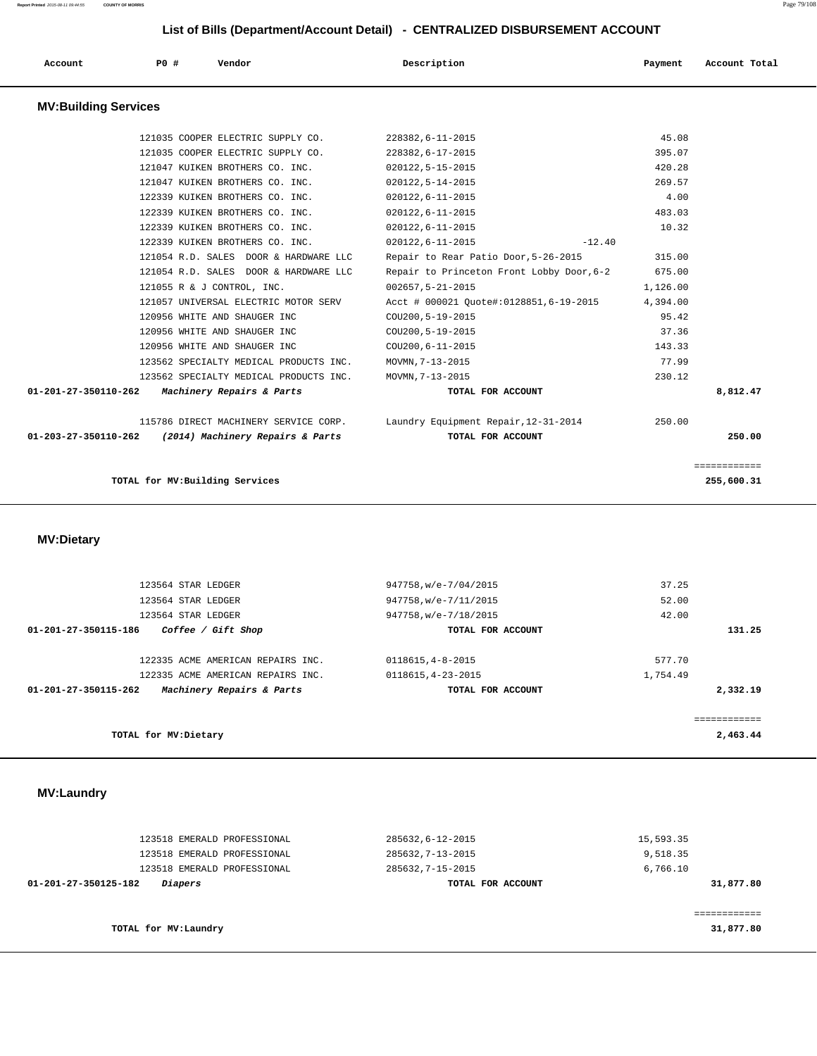|                             | LIST OF DIIIS (Department/Account Detail) - CLITTIALIZZD DISDONSEMENT ACCOUNT |                                        |                                           |          |               |  |  |  |  |
|-----------------------------|-------------------------------------------------------------------------------|----------------------------------------|-------------------------------------------|----------|---------------|--|--|--|--|
| Account                     | <b>PO #</b>                                                                   | Vendor                                 | Description                               | Payment  | Account Total |  |  |  |  |
| <b>MV:Building Services</b> |                                                                               |                                        |                                           |          |               |  |  |  |  |
|                             |                                                                               | 121035 COOPER ELECTRIC SUPPLY CO.      | 228382, 6-11-2015                         | 45.08    |               |  |  |  |  |
|                             |                                                                               | 121035 COOPER ELECTRIC SUPPLY CO.      | 228382,6-17-2015                          | 395.07   |               |  |  |  |  |
|                             |                                                                               | 121047 KUIKEN BROTHERS CO. INC.        | $020122, 5 - 15 - 2015$                   | 420.28   |               |  |  |  |  |
|                             |                                                                               | 121047 KUIKEN BROTHERS CO. INC.        | $020122, 5 - 14 - 2015$                   | 269.57   |               |  |  |  |  |
|                             |                                                                               | 122339 KUIKEN BROTHERS CO. INC.        | $020122, 6 - 11 - 2015$                   | 4.00     |               |  |  |  |  |
|                             |                                                                               | 122339 KUIKEN BROTHERS CO. INC.        | $020122, 6 - 11 - 2015$                   | 483.03   |               |  |  |  |  |
|                             |                                                                               | 122339 KUIKEN BROTHERS CO. INC.        | $020122, 6 - 11 - 2015$                   | 10.32    |               |  |  |  |  |
|                             |                                                                               | 122339 KUIKEN BROTHERS CO. INC.        | $020122, 6 - 11 - 2015$<br>$-12.40$       |          |               |  |  |  |  |
|                             |                                                                               | 121054 R.D. SALES DOOR & HARDWARE LLC  | Repair to Rear Patio Door, 5-26-2015      | 315.00   |               |  |  |  |  |
|                             |                                                                               | 121054 R.D. SALES DOOR & HARDWARE LLC  | Repair to Princeton Front Lobby Door, 6-2 | 675.00   |               |  |  |  |  |
|                             |                                                                               | 121055 R & J CONTROL, INC.             | $002657, 5 - 21 - 2015$                   | 1,126.00 |               |  |  |  |  |
|                             |                                                                               | 121057 UNIVERSAL ELECTRIC MOTOR SERV   | Acct # 000021 Quote#:0128851,6-19-2015    | 4,394.00 |               |  |  |  |  |
|                             |                                                                               | 120956 WHITE AND SHAUGER INC           | COU200, 5-19-2015                         | 95.42    |               |  |  |  |  |
|                             |                                                                               | 120956 WHITE AND SHAUGER INC           | COU200, 5-19-2015                         | 37.36    |               |  |  |  |  |
|                             |                                                                               | 120956 WHITE AND SHAUGER INC           | COU200, 6-11-2015                         | 143.33   |               |  |  |  |  |
|                             |                                                                               | 123562 SPECIALTY MEDICAL PRODUCTS INC. | MOVMN, 7-13-2015                          | 77.99    |               |  |  |  |  |
|                             |                                                                               | 123562 SPECIALTY MEDICAL PRODUCTS INC. | MOVMN, 7-13-2015                          | 230.12   |               |  |  |  |  |
| 01-201-27-350110-262        |                                                                               | Machinery Repairs & Parts              | TOTAL FOR ACCOUNT                         |          | 8,812.47      |  |  |  |  |
|                             |                                                                               | 115786 DIRECT MACHINERY SERVICE CORP.  | Laundry Equipment Repair, 12-31-2014      | 250.00   |               |  |  |  |  |
| 01-203-27-350110-262        |                                                                               | (2014) Machinery Repairs & Parts       | TOTAL FOR ACCOUNT                         |          | 250.00        |  |  |  |  |
|                             |                                                                               |                                        |                                           |          | ============  |  |  |  |  |
|                             |                                                                               | TOTAL for MV: Building Services        |                                           |          | 255,600.31    |  |  |  |  |
|                             |                                                                               |                                        |                                           |          |               |  |  |  |  |
| <b>MV:Dietary</b>           |                                                                               |                                        |                                           |          |               |  |  |  |  |
|                             |                                                                               |                                        |                                           |          |               |  |  |  |  |
|                             | 123564 STAR LEDGER                                                            |                                        | 947758, w/e-7/04/2015                     | 37.25    |               |  |  |  |  |

|          | -----    | $7.17797$ W/C $779172927$ | 143301 DIIN BEDUBN                                |  |  |
|----------|----------|---------------------------|---------------------------------------------------|--|--|
|          | 52.00    | 947758, w/e-7/11/2015     | 123564 STAR LEDGER                                |  |  |
|          | 42.00    | 947758, w/e-7/18/2015     | 123564 STAR LEDGER                                |  |  |
| 131.25   |          | TOTAL FOR ACCOUNT         | Coffee / Gift Shop<br>01-201-27-350115-186        |  |  |
|          | 577.70   | 0118615, 4-8-2015         | 122335 ACME AMERICAN REPAIRS INC.                 |  |  |
|          | 1,754.49 | 0118615, 4-23-2015        | 122335 ACME AMERICAN REPAIRS INC.                 |  |  |
| 2,332.19 |          | TOTAL FOR ACCOUNT         | Machinery Repairs & Parts<br>01-201-27-350115-262 |  |  |
|          |          |                           |                                                   |  |  |
|          |          |                           |                                                   |  |  |
|          |          |                           |                                                   |  |  |
| 2,463.44 |          |                           | TOTAL for MV: Dietary                             |  |  |

### **MV:Laundry**

| 123518 EMERALD PROFESSIONAL            | 285632,6-12-2015  | 15,593.35 |
|----------------------------------------|-------------------|-----------|
| 123518 EMERALD PROFESSIONAL            | 285632, 7-13-2015 | 9,518.35  |
| 123518 EMERALD PROFESSIONAL            | 285632, 7-15-2015 | 6,766.10  |
| <i>Diapers</i><br>01-201-27-350125-182 | TOTAL FOR ACCOUNT | 31,877.80 |
|                                        |                   |           |
|                                        |                   |           |
| TOTAL for MV:Laundry                   |                   | 31,877.80 |
|                                        |                   |           |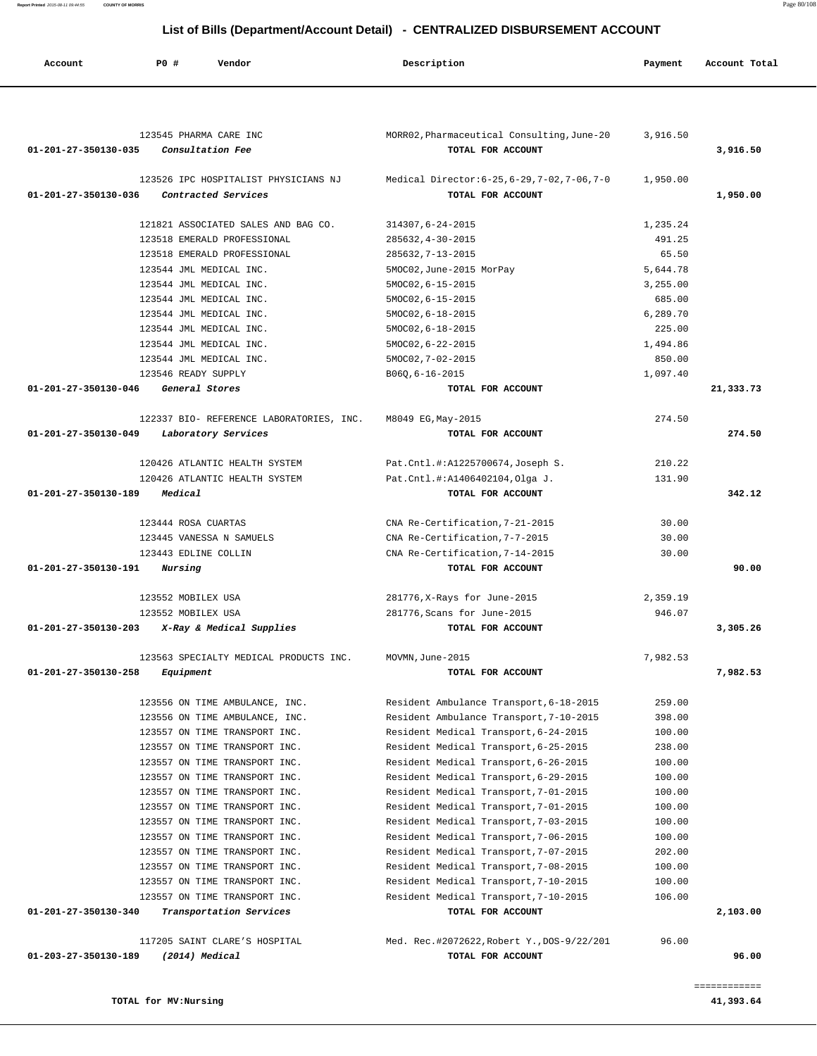| Account              | PO#<br>Vendor                                               | Description                                                        | Payment  | Account Total |
|----------------------|-------------------------------------------------------------|--------------------------------------------------------------------|----------|---------------|
|                      |                                                             |                                                                    |          |               |
| 01-201-27-350130-035 | 123545 PHARMA CARE INC<br>Consultation Fee                  | MORR02, Pharmaceutical Consulting, June-20<br>TOTAL FOR ACCOUNT    | 3,916.50 | 3,916.50      |
| 01-201-27-350130-036 | 123526 IPC HOSPITALIST PHYSICIANS NJ<br>Contracted Services | Medical Director: 6-25, 6-29, 7-02, 7-06, 7-0<br>TOTAL FOR ACCOUNT | 1,950.00 | 1,950.00      |
|                      | 121821 ASSOCIATED SALES AND BAG CO.                         | 314307,6-24-2015                                                   | 1,235.24 |               |
|                      | 123518 EMERALD PROFESSIONAL                                 | 285632, 4-30-2015                                                  | 491.25   |               |
|                      | 123518 EMERALD PROFESSIONAL                                 | 285632, 7-13-2015                                                  | 65.50    |               |
|                      | 123544 JML MEDICAL INC.                                     | 5MOC02, June-2015 MorPay                                           | 5,644.78 |               |
|                      | 123544 JML MEDICAL INC.                                     | 5MOC02, 6-15-2015                                                  | 3,255.00 |               |
|                      | 123544 JML MEDICAL INC.                                     | 5MOC02, 6-15-2015                                                  | 685.00   |               |
|                      | 123544 JML MEDICAL INC.                                     | 5MOC02, 6-18-2015                                                  | 6,289.70 |               |
|                      | 123544 JML MEDICAL INC.                                     | 5MOC02, 6-18-2015                                                  | 225.00   |               |
|                      | 123544 JML MEDICAL INC.                                     | 5MOC02, 6-22-2015                                                  | 1,494.86 |               |
|                      | 123544 JML MEDICAL INC.                                     | 5MOC02, 7-02-2015                                                  | 850.00   |               |
|                      | 123546 READY SUPPLY                                         | B060,6-16-2015                                                     | 1,097.40 |               |
| 01-201-27-350130-046 | General Stores                                              | TOTAL FOR ACCOUNT                                                  |          | 21,333.73     |
|                      | 122337 BIO- REFERENCE LABORATORIES, INC.                    | M8049 EG, May-2015                                                 | 274.50   |               |
| 01-201-27-350130-049 | Laboratory Services                                         | TOTAL FOR ACCOUNT                                                  |          | 274.50        |
|                      |                                                             |                                                                    |          |               |
|                      | 120426 ATLANTIC HEALTH SYSTEM                               | Pat.Cntl.#:A1225700674,Joseph S.                                   | 210.22   |               |
| 01-201-27-350130-189 | 120426 ATLANTIC HEALTH SYSTEM<br>Medical                    | Pat.Cntl.#:A1406402104,Olga J.<br>TOTAL FOR ACCOUNT                | 131.90   | 342.12        |
|                      |                                                             |                                                                    |          |               |
|                      | 123444 ROSA CUARTAS                                         | CNA Re-Certification, 7-21-2015                                    | 30.00    |               |
|                      | 123445 VANESSA N SAMUELS                                    | CNA Re-Certification, 7-7-2015                                     | 30.00    |               |
|                      | 123443 EDLINE COLLIN                                        | CNA Re-Certification, 7-14-2015                                    | 30.00    |               |
| 01-201-27-350130-191 | Nursing                                                     | TOTAL FOR ACCOUNT                                                  |          | 90.00         |
|                      | 123552 MOBILEX USA                                          | 281776, X-Rays for June-2015                                       | 2,359.19 |               |
|                      | 123552 MOBILEX USA                                          | 281776, Scans for June-2015                                        | 946.07   |               |
| 01-201-27-350130-203 | X-Ray & Medical Supplies                                    | TOTAL FOR ACCOUNT                                                  |          | 3,305.26      |
|                      | 123563 SPECIALTY MEDICAL PRODUCTS INC.                      | MOVMN, June-2015                                                   | 7,982.53 |               |
| 01-201-27-350130-258 | Equipment                                                   | TOTAL FOR ACCOUNT                                                  |          | 7,982.53      |
|                      | 123556 ON TIME AMBULANCE, INC.                              | Resident Ambulance Transport, 6-18-2015                            | 259.00   |               |
|                      | 123556 ON TIME AMBULANCE, INC.                              | Resident Ambulance Transport, 7-10-2015                            | 398.00   |               |
|                      | 123557 ON TIME TRANSPORT INC.                               | Resident Medical Transport, 6-24-2015                              | 100.00   |               |
|                      | 123557 ON TIME TRANSPORT INC.                               | Resident Medical Transport, 6-25-2015                              | 238.00   |               |
|                      | 123557 ON TIME TRANSPORT INC.                               | Resident Medical Transport, 6-26-2015                              | 100.00   |               |
|                      | 123557 ON TIME TRANSPORT INC.                               | Resident Medical Transport, 6-29-2015                              | 100.00   |               |
|                      | 123557 ON TIME TRANSPORT INC.                               | Resident Medical Transport, 7-01-2015                              | 100.00   |               |
|                      | 123557 ON TIME TRANSPORT INC.                               | Resident Medical Transport, 7-01-2015                              | 100.00   |               |
|                      | 123557 ON TIME TRANSPORT INC.                               | Resident Medical Transport, 7-03-2015                              | 100.00   |               |
|                      | 123557 ON TIME TRANSPORT INC.                               | Resident Medical Transport, 7-06-2015                              | 100.00   |               |
|                      | 123557 ON TIME TRANSPORT INC.                               | Resident Medical Transport, 7-07-2015                              | 202.00   |               |
|                      | 123557 ON TIME TRANSPORT INC.                               | Resident Medical Transport, 7-08-2015                              | 100.00   |               |
|                      | 123557 ON TIME TRANSPORT INC.                               | Resident Medical Transport, 7-10-2015                              | 100.00   |               |
| 01-201-27-350130-340 | 123557 ON TIME TRANSPORT INC.<br>Transportation Services    | Resident Medical Transport, 7-10-2015<br>TOTAL FOR ACCOUNT         | 106.00   | 2,103.00      |
|                      |                                                             |                                                                    |          |               |
|                      | 117205 SAINT CLARE'S HOSPITAL                               | Med. Rec.#2072622, Robert Y., DOS-9/22/201                         | 96.00    |               |
| 01-203-27-350130-189 | $(2014)$ Medical                                            | TOTAL FOR ACCOUNT                                                  |          | 96.00         |

**TOTAL for MV:Nursing 41,393.64**

============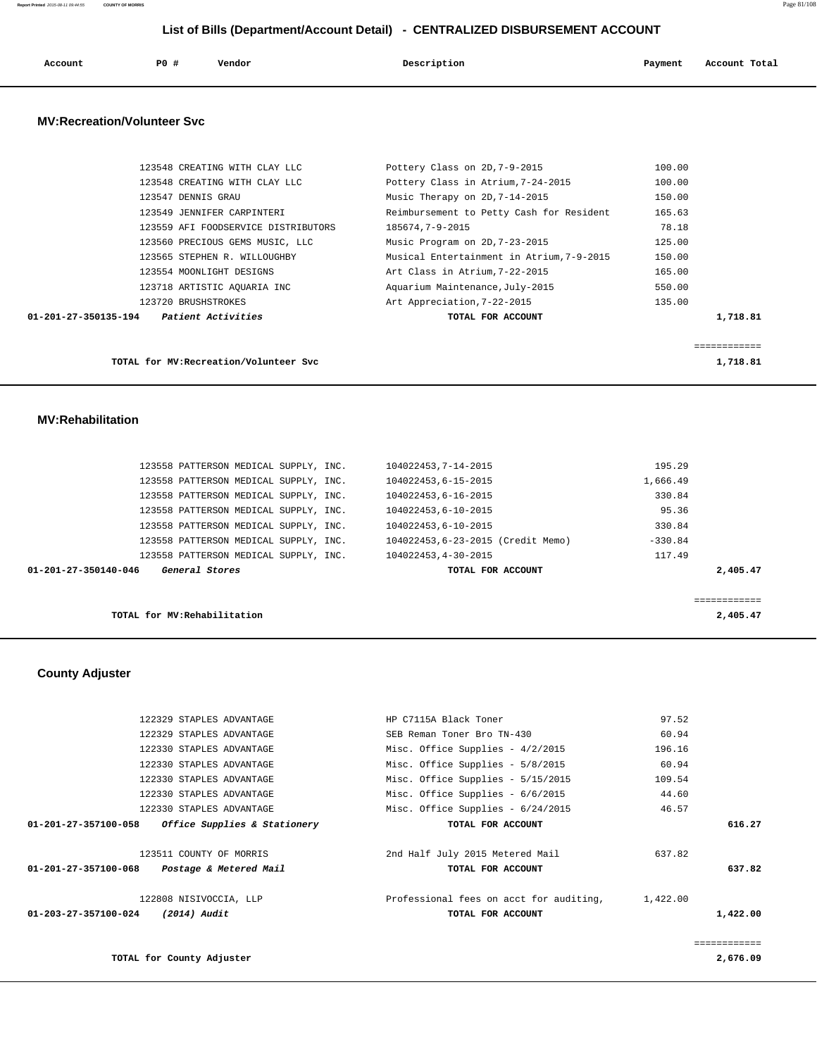| Account<br>. | PO# | Vendor<br>. | Description | Payment | Account Total |
|--------------|-----|-------------|-------------|---------|---------------|
|              |     |             |             |         |               |

### **MV:Recreation/Volunteer Svc**

| 01-201-27-350135-194 | <i>Patient Activities</i>           | TOTAL FOR ACCOUNT                         | 1,718.81 |
|----------------------|-------------------------------------|-------------------------------------------|----------|
|                      | 123720 BRUSHSTROKES                 | Art Appreciation, 7-22-2015               | 135.00   |
|                      | 123718 ARTISTIC AOUARIA INC         | Aquarium Maintenance, July-2015           | 550.00   |
|                      | 123554 MOONLIGHT DESIGNS            | Art Class in Atrium, 7-22-2015            | 165.00   |
|                      | 123565 STEPHEN R. WILLOUGHBY        | Musical Entertainment in Atrium, 7-9-2015 | 150.00   |
|                      | 123560 PRECIOUS GEMS MUSIC, LLC     | Music Program on 2D, 7-23-2015            | 125.00   |
|                      | 123559 AFI FOODSERVICE DISTRIBUTORS | 185674,7-9-2015                           | 78.18    |
|                      | 123549 JENNIFER CARPINTERI          | Reimbursement to Petty Cash for Resident  | 165.63   |
|                      | 123547 DENNIS GRAU                  | Music Therapy on 2D, 7-14-2015            | 150.00   |
|                      | 123548 CREATING WITH CLAY LLC       | Pottery Class in Atrium, 7-24-2015        | 100.00   |
|                      | 123548 CREATING WITH CLAY LLC       | Pottery Class on 2D, 7-9-2015             | 100.00   |
|                      |                                     |                                           |          |

============

**TOTAL for MV:Recreation/Volunteer Svc 1,718.81**

### **MV:Rehabilitation**

| 01-201-27-350140-046 | General Stores                        |  | TOTAL FOR ACCOUNT                 |           | 2,405.47 |
|----------------------|---------------------------------------|--|-----------------------------------|-----------|----------|
|                      | 123558 PATTERSON MEDICAL SUPPLY, INC. |  | 104022453, 4-30-2015              | 117.49    |          |
|                      | 123558 PATTERSON MEDICAL SUPPLY, INC. |  | 104022453.6-23-2015 (Credit Memo) | $-330.84$ |          |
|                      | 123558 PATTERSON MEDICAL SUPPLY, INC. |  | 104022453.6-10-2015               | 330.84    |          |
|                      | 123558 PATTERSON MEDICAL SUPPLY, INC. |  | 104022453.6-10-2015               | 95.36     |          |
|                      | 123558 PATTERSON MEDICAL SUPPLY, INC. |  | 104022453.6-16-2015               | 330.84    |          |
|                      | 123558 PATTERSON MEDICAL SUPPLY, INC. |  | 104022453.6-15-2015               | 1,666.49  |          |
|                      | 123558 PATTERSON MEDICAL SUPPLY, INC. |  | 104022453, 7-14-2015              | 195.29    |          |
|                      |                                       |  |                                   |           |          |

**TOTAL for MV:Rehabilitation 2,405.47**

### **County Adjuster**

|          | 97.52    | HP C7115A Black Toner                   | 122329 STAPLES ADVANTAGE     |                      |
|----------|----------|-----------------------------------------|------------------------------|----------------------|
|          | 60.94    | SEB Reman Toner Bro TN-430              | 122329 STAPLES ADVANTAGE     |                      |
|          | 196.16   | Misc. Office Supplies - $4/2/2015$      | 122330 STAPLES ADVANTAGE     |                      |
|          | 60.94    | Misc. Office Supplies - 5/8/2015        | 122330 STAPLES ADVANTAGE     |                      |
|          | 109.54   | Misc. Office Supplies - 5/15/2015       | 122330 STAPLES ADVANTAGE     |                      |
|          | 44.60    | Misc. Office Supplies - $6/6/2015$      | 122330 STAPLES ADVANTAGE     |                      |
|          | 46.57    | Misc. Office Supplies - $6/24/2015$     | 122330 STAPLES ADVANTAGE     |                      |
| 616.27   |          | TOTAL FOR ACCOUNT                       | Office Supplies & Stationery | 01-201-27-357100-058 |
|          |          |                                         |                              |                      |
|          | 637.82   | 2nd Half July 2015 Metered Mail         | 123511 COUNTY OF MORRIS      |                      |
| 637.82   |          | TOTAL FOR ACCOUNT                       | Postage & Metered Mail       | 01-201-27-357100-068 |
|          | 1,422.00 | Professional fees on acct for auditing, | 122808 NISIVOCCIA, LLP       |                      |
| 1,422.00 |          | TOTAL FOR ACCOUNT                       | (2014) Audit                 | 01-203-27-357100-024 |
|          |          |                                         |                              |                      |
|          |          |                                         |                              |                      |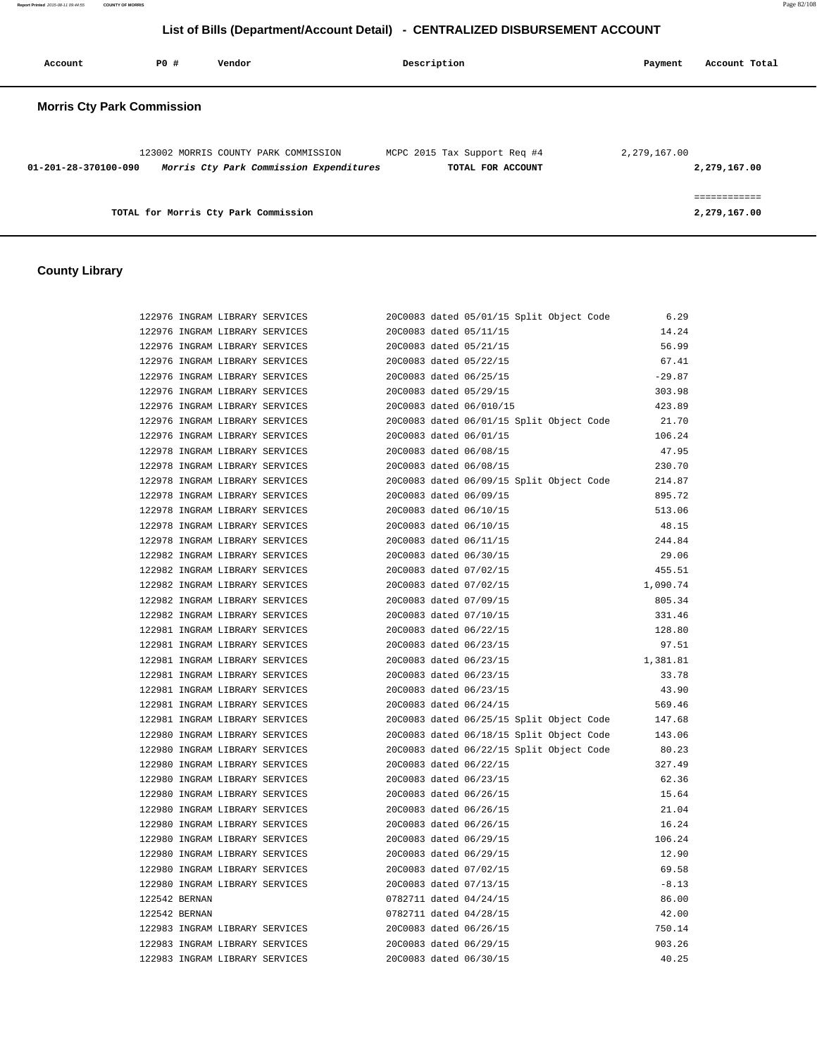**Report Printed** 2015-08-11 09:44:55 **COUNTY OF MORRIS** Page 82/108

### **List of Bills (Department/Account Detail) - CENTRALIZED DISBURSEMENT ACCOUNT**

| Account                           | PO# | Vendor                                                                          | Description                                       | Account Total<br>Payment     |
|-----------------------------------|-----|---------------------------------------------------------------------------------|---------------------------------------------------|------------------------------|
| <b>Morris Cty Park Commission</b> |     |                                                                                 |                                                   |                              |
| 01-201-28-370100-090              |     | 123002 MORRIS COUNTY PARK COMMISSION<br>Morris Cty Park Commission Expenditures | MCPC 2015 Tax Support Req #4<br>TOTAL FOR ACCOUNT | 2,279,167.00<br>2,279,167.00 |
|                                   |     | TOTAL for Morris Cty Park Commission                                            |                                                   | ------------<br>2,279,167.00 |

### **County Library**

| 122976 INGRAM LIBRARY SERVICES |  |                         | 20C0083 dated 05/01/15 Split Object Code | 6.29     |
|--------------------------------|--|-------------------------|------------------------------------------|----------|
| 122976 INGRAM LIBRARY SERVICES |  | 20C0083 dated 05/11/15  |                                          | 14.24    |
| 122976 INGRAM LIBRARY SERVICES |  | 20C0083 dated 05/21/15  |                                          | 56.99    |
| 122976 INGRAM LIBRARY SERVICES |  | 20C0083 dated 05/22/15  |                                          | 67.41    |
| 122976 INGRAM LIBRARY SERVICES |  | 20C0083 dated 06/25/15  |                                          | $-29.87$ |
| 122976 INGRAM LIBRARY SERVICES |  | 20C0083 dated 05/29/15  |                                          | 303.98   |
| 122976 INGRAM LIBRARY SERVICES |  | 20C0083 dated 06/010/15 |                                          | 423.89   |
| 122976 INGRAM LIBRARY SERVICES |  |                         | 20C0083 dated 06/01/15 Split Object Code | 21.70    |
| 122976 INGRAM LIBRARY SERVICES |  | 20C0083 dated 06/01/15  |                                          | 106.24   |
| 122978 INGRAM LIBRARY SERVICES |  | 20C0083 dated 06/08/15  |                                          | 47.95    |
| 122978 INGRAM LIBRARY SERVICES |  | 20C0083 dated 06/08/15  |                                          | 230.70   |
| 122978 INGRAM LIBRARY SERVICES |  |                         | 20C0083 dated 06/09/15 Split Object Code | 214.87   |
| 122978 INGRAM LIBRARY SERVICES |  | 20C0083 dated 06/09/15  |                                          | 895.72   |
| 122978 INGRAM LIBRARY SERVICES |  | 20C0083 dated 06/10/15  |                                          | 513.06   |
| 122978 INGRAM LIBRARY SERVICES |  | 20C0083 dated 06/10/15  |                                          | 48.15    |
| 122978 INGRAM LIBRARY SERVICES |  | 20C0083 dated 06/11/15  |                                          | 244.84   |
| 122982 INGRAM LIBRARY SERVICES |  | 20C0083 dated 06/30/15  |                                          | 29.06    |
| 122982 INGRAM LIBRARY SERVICES |  | 20C0083 dated 07/02/15  |                                          | 455.51   |
| 122982 INGRAM LIBRARY SERVICES |  | 20C0083 dated 07/02/15  |                                          | 1,090.74 |
| 122982 INGRAM LIBRARY SERVICES |  | 20C0083 dated 07/09/15  |                                          | 805.34   |
| 122982 INGRAM LIBRARY SERVICES |  | 20C0083 dated 07/10/15  |                                          | 331.46   |
| 122981 INGRAM LIBRARY SERVICES |  | 20C0083 dated 06/22/15  |                                          | 128.80   |
| 122981 INGRAM LIBRARY SERVICES |  | 20C0083 dated 06/23/15  |                                          | 97.51    |
| 122981 INGRAM LIBRARY SERVICES |  | 20C0083 dated 06/23/15  |                                          | 1,381.81 |
| 122981 INGRAM LIBRARY SERVICES |  | 20C0083 dated 06/23/15  |                                          | 33.78    |
| 122981 INGRAM LIBRARY SERVICES |  | 20C0083 dated 06/23/15  |                                          | 43.90    |
| 122981 INGRAM LIBRARY SERVICES |  | 20C0083 dated 06/24/15  |                                          | 569.46   |
| 122981 INGRAM LIBRARY SERVICES |  |                         | 20C0083 dated 06/25/15 Split Object Code | 147.68   |
| 122980 INGRAM LIBRARY SERVICES |  |                         | 20C0083 dated 06/18/15 Split Object Code | 143.06   |
| 122980 INGRAM LIBRARY SERVICES |  |                         | 20C0083 dated 06/22/15 Split Object Code | 80.23    |
| 122980 INGRAM LIBRARY SERVICES |  | 20C0083 dated 06/22/15  |                                          | 327.49   |
| 122980 INGRAM LIBRARY SERVICES |  | 20C0083 dated 06/23/15  |                                          | 62.36    |
|                                |  |                         |                                          |          |
| 122980 INGRAM LIBRARY SERVICES |  | 20C0083 dated 06/26/15  |                                          | 15.64    |
| 122980 INGRAM LIBRARY SERVICES |  | 20C0083 dated 06/26/15  |                                          | 21.04    |
| 122980 INGRAM LIBRARY SERVICES |  | 20C0083 dated 06/26/15  |                                          | 16.24    |
| 122980 INGRAM LIBRARY SERVICES |  | 20C0083 dated 06/29/15  |                                          | 106.24   |
| 122980 INGRAM LIBRARY SERVICES |  | 20C0083 dated 06/29/15  |                                          | 12.90    |
| 122980 INGRAM LIBRARY SERVICES |  | 20C0083 dated 07/02/15  |                                          | 69.58    |
| 122980 INGRAM LIBRARY SERVICES |  | 20C0083 dated 07/13/15  |                                          | $-8.13$  |
| 122542 BERNAN                  |  | 0782711 dated 04/24/15  |                                          | 86.00    |
| 122542 BERNAN                  |  | 0782711 dated 04/28/15  |                                          | 42.00    |
| 122983 INGRAM LIBRARY SERVICES |  | 20C0083 dated 06/26/15  |                                          | 750.14   |
| 122983 INGRAM LIBRARY SERVICES |  | 20C0083 dated 06/29/15  |                                          | 903.26   |
| 122983 INGRAM LIBRARY SERVICES |  | 20C0083 dated 06/30/15  |                                          | 40.25    |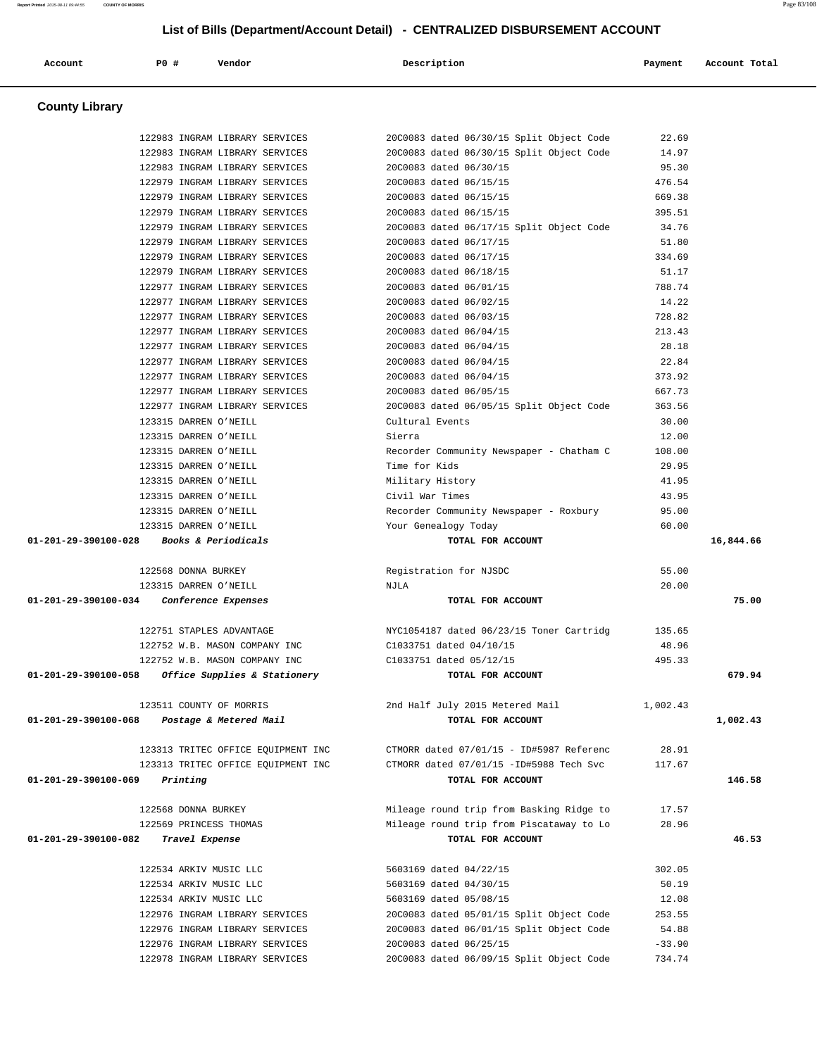| Account                        | P0 #                                           | Vendor                             | Description                                               | Payment         | Account Total |
|--------------------------------|------------------------------------------------|------------------------------------|-----------------------------------------------------------|-----------------|---------------|
| <b>County Library</b>          |                                                |                                    |                                                           |                 |               |
|                                |                                                |                                    |                                                           |                 |               |
|                                |                                                | 122983 INGRAM LIBRARY SERVICES     | 20C0083 dated 06/30/15 Split Object Code                  | 22.69           |               |
|                                |                                                | 122983 INGRAM LIBRARY SERVICES     | 20C0083 dated 06/30/15 Split Object Code                  | 14.97           |               |
|                                |                                                | 122983 INGRAM LIBRARY SERVICES     | 20C0083 dated 06/30/15                                    | 95.30           |               |
|                                |                                                | 122979 INGRAM LIBRARY SERVICES     | 20C0083 dated 06/15/15                                    | 476.54          |               |
|                                |                                                | 122979 INGRAM LIBRARY SERVICES     | 20C0083 dated 06/15/15                                    | 669.38          |               |
|                                |                                                | 122979 INGRAM LIBRARY SERVICES     | 20C0083 dated 06/15/15                                    | 395.51          |               |
|                                |                                                | 122979 INGRAM LIBRARY SERVICES     | 20C0083 dated 06/17/15 Split Object Code                  | 34.76           |               |
|                                |                                                | 122979 INGRAM LIBRARY SERVICES     | 20C0083 dated 06/17/15                                    | 51.80           |               |
|                                |                                                | 122979 INGRAM LIBRARY SERVICES     | 20C0083 dated 06/17/15                                    | 334.69          |               |
|                                |                                                | 122979 INGRAM LIBRARY SERVICES     | 20C0083 dated 06/18/15                                    | 51.17           |               |
|                                |                                                | 122977 INGRAM LIBRARY SERVICES     | 20C0083 dated 06/01/15                                    | 788.74          |               |
|                                |                                                | 122977 INGRAM LIBRARY SERVICES     | 20C0083 dated 06/02/15                                    | 14.22           |               |
|                                |                                                | 122977 INGRAM LIBRARY SERVICES     | 20C0083 dated 06/03/15                                    | 728.82          |               |
|                                |                                                | 122977 INGRAM LIBRARY SERVICES     | 20C0083 dated 06/04/15                                    | 213.43          |               |
|                                |                                                | 122977 INGRAM LIBRARY SERVICES     | 20C0083 dated 06/04/15                                    | 28.18<br>22.84  |               |
|                                |                                                | 122977 INGRAM LIBRARY SERVICES     | 20C0083 dated 06/04/15<br>20C0083 dated 06/04/15          |                 |               |
|                                |                                                | 122977 INGRAM LIBRARY SERVICES     |                                                           | 373.92          |               |
|                                |                                                | 122977 INGRAM LIBRARY SERVICES     | 20C0083 dated 06/05/15                                    | 667.73          |               |
|                                |                                                | 122977 INGRAM LIBRARY SERVICES     | 20C0083 dated 06/05/15 Split Object Code                  | 363.56          |               |
|                                | 123315 DARREN O'NEILL<br>123315 DARREN O'NEILL |                                    | Cultural Events                                           | 30.00<br>12.00  |               |
|                                | 123315 DARREN O'NEILL                          |                                    | Sierra                                                    |                 |               |
|                                | 123315 DARREN O'NEILL                          |                                    | Recorder Community Newspaper - Chatham C<br>Time for Kids | 108.00<br>29.95 |               |
|                                | 123315 DARREN O'NEILL                          |                                    |                                                           | 41.95           |               |
|                                | 123315 DARREN O'NEILL                          |                                    | Military History<br>Civil War Times                       | 43.95           |               |
|                                | 123315 DARREN O'NEILL                          |                                    | Recorder Community Newspaper - Roxbury                    | 95.00           |               |
|                                | 123315 DARREN O'NEILL                          |                                    | Your Genealogy Today                                      | 60.00           |               |
| $01 - 201 - 29 - 390100 - 028$ |                                                | Books & Periodicals                | TOTAL FOR ACCOUNT                                         |                 | 16,844.66     |
|                                |                                                |                                    |                                                           |                 |               |
|                                | 122568 DONNA BURKEY                            |                                    | Registration for NJSDC                                    | 55.00           |               |
|                                | 123315 DARREN O'NEILL                          |                                    | NJLA                                                      | 20.00           |               |
| 01-201-29-390100-034           |                                                | Conference Expenses                | TOTAL FOR ACCOUNT                                         |                 | 75.00         |
|                                | 122751 STAPLES ADVANTAGE                       |                                    | NYC1054187 dated 06/23/15 Toner Cartridg                  | 135.65          |               |
|                                |                                                | 122752 W.B. MASON COMPANY INC      | C1033751 dated 04/10/15                                   | 48.96           |               |
|                                |                                                | 122752 W.B. MASON COMPANY INC      | C1033751 dated 05/12/15                                   | 495.33          |               |
| 01-201-29-390100-058           |                                                | Office Supplies & Stationery       | TOTAL FOR ACCOUNT                                         |                 | 679.94        |
|                                | 123511 COUNTY OF MORRIS                        |                                    | 2nd Half July 2015 Metered Mail                           | 1,002.43        |               |
| 01-201-29-390100-068           |                                                | Postage & Metered Mail             | TOTAL FOR ACCOUNT                                         |                 | 1,002.43      |
|                                |                                                | 123313 TRITEC OFFICE EQUIPMENT INC | CTMORR dated 07/01/15 - ID#5987 Referenc                  | 28.91           |               |
|                                |                                                | 123313 TRITEC OFFICE EOUIPMENT INC | CTMORR dated 07/01/15 -ID#5988 Tech Svc                   | 117.67          |               |
| 01-201-29-390100-069           | Printing                                       |                                    | TOTAL FOR ACCOUNT                                         |                 | 146.58        |
|                                | 122568 DONNA BURKEY                            |                                    | Mileage round trip from Basking Ridge to                  | 17.57           |               |
|                                | 122569 PRINCESS THOMAS                         |                                    | Mileage round trip from Piscataway to Lo                  | 28.96           |               |
| 01-201-29-390100-082           | Travel Expense                                 |                                    | TOTAL FOR ACCOUNT                                         |                 | 46.53         |
|                                |                                                |                                    |                                                           |                 |               |
|                                | 122534 ARKIV MUSIC LLC                         |                                    | 5603169 dated 04/22/15                                    | 302.05          |               |
|                                | 122534 ARKIV MUSIC LLC                         |                                    | 5603169 dated 04/30/15                                    | 50.19           |               |
|                                | 122534 ARKIV MUSIC LLC                         |                                    | 5603169 dated 05/08/15                                    | 12.08           |               |
|                                |                                                | 122976 INGRAM LIBRARY SERVICES     | 20C0083 dated 05/01/15 Split Object Code                  | 253.55          |               |
|                                |                                                | 122976 INGRAM LIBRARY SERVICES     | 20C0083 dated 06/01/15 Split Object Code                  | 54.88           |               |

 122976 INGRAM LIBRARY SERVICES 20C0083 dated 06/25/15 -33.90 122978 INGRAM LIBRARY SERVICES 20C0083 dated 06/09/15 Split Object Code 734.74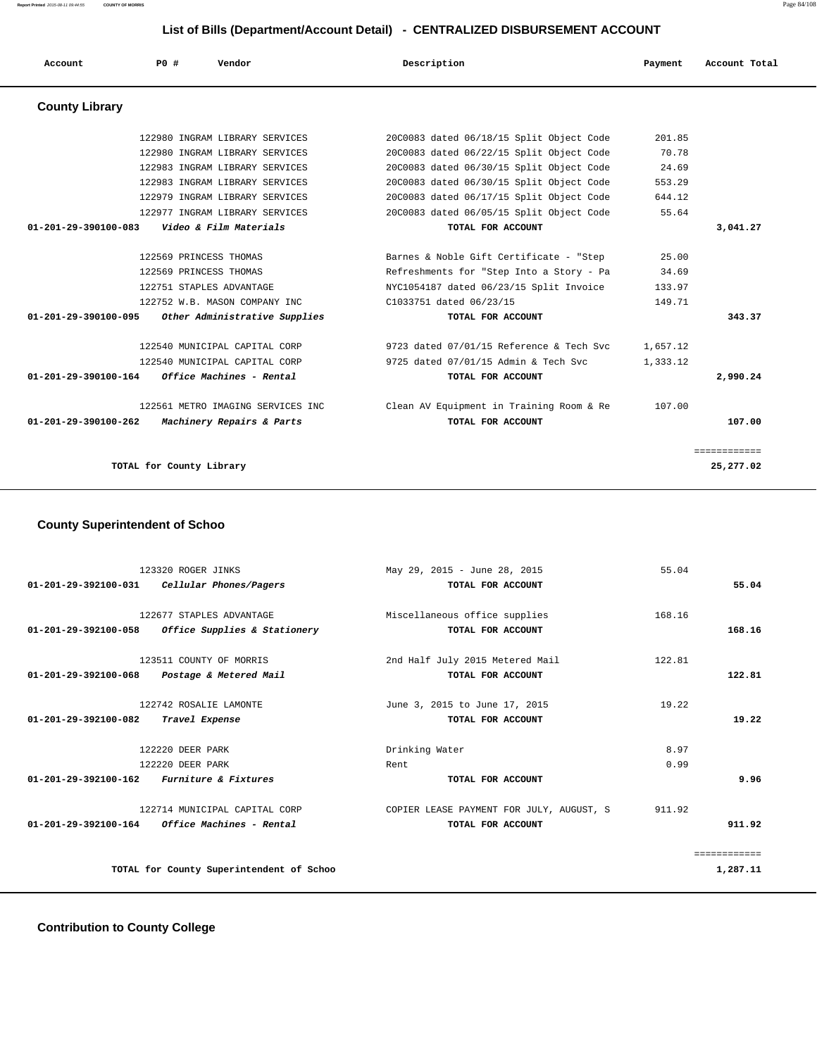**Report Printed** 2015-08-11 09:44:55 **COUNTY OF MORRIS** Page 84/108

### **List of Bills (Department/Account Detail) - CENTRALIZED DISBURSEMENT ACCOUNT**

| Account                        | PO#                      | Vendor                            | Description                              | Payment  | Account Total |
|--------------------------------|--------------------------|-----------------------------------|------------------------------------------|----------|---------------|
| <b>County Library</b>          |                          |                                   |                                          |          |               |
|                                |                          | 122980 INGRAM LIBRARY SERVICES    | 20C0083 dated 06/18/15 Split Object Code | 201.85   |               |
|                                |                          | 122980 INGRAM LIBRARY SERVICES    | 20C0083 dated 06/22/15 Split Object Code | 70.78    |               |
|                                |                          | 122983 INGRAM LIBRARY SERVICES    | 20C0083 dated 06/30/15 Split Object Code | 24.69    |               |
|                                |                          | 122983 INGRAM LIBRARY SERVICES    | 20C0083 dated 06/30/15 Split Object Code | 553.29   |               |
|                                |                          | 122979 INGRAM LIBRARY SERVICES    | 20C0083 dated 06/17/15 Split Object Code | 644.12   |               |
|                                |                          | 122977 INGRAM LIBRARY SERVICES    | 20C0083 dated 06/05/15 Split Object Code | 55.64    |               |
| 01-201-29-390100-083           |                          | Video & Film Materials            | TOTAL FOR ACCOUNT                        |          | 3,041.27      |
|                                | 122569 PRINCESS THOMAS   |                                   | Barnes & Noble Gift Certificate - "Step  | 25.00    |               |
|                                | 122569 PRINCESS THOMAS   |                                   | Refreshments for "Step Into a Story - Pa | 34.69    |               |
|                                |                          | 122751 STAPLES ADVANTAGE          | NYC1054187 dated 06/23/15 Split Invoice  | 133.97   |               |
|                                |                          | 122752 W.B. MASON COMPANY INC     | C1033751 dated 06/23/15                  | 149.71   |               |
| 01-201-29-390100-095           |                          | Other Administrative Supplies     | TOTAL FOR ACCOUNT                        |          | 343.37        |
|                                |                          | 122540 MUNICIPAL CAPITAL CORP     | 9723 dated 07/01/15 Reference & Tech Svc | 1,657.12 |               |
|                                |                          | 122540 MUNICIPAL CAPITAL CORP     | 9725 dated 07/01/15 Admin & Tech Svc     | 1,333.12 |               |
| 01-201-29-390100-164           |                          | Office Machines - Rental          | TOTAL FOR ACCOUNT                        |          | 2,990.24      |
|                                |                          | 122561 METRO IMAGING SERVICES INC | Clean AV Equipment in Training Room & Re | 107.00   |               |
| $01 - 201 - 29 - 390100 - 262$ |                          | Machinery Repairs & Parts         | TOTAL FOR ACCOUNT                        |          | 107.00        |
|                                |                          |                                   |                                          |          | ============  |
|                                | TOTAL for County Library |                                   |                                          |          | 25,277.02     |

### **County Superintendent of Schoo**

|                                | 123320 ROGER JINKS                                      | May 29, 2015 - June 28, 2015             | 55.04  |              |
|--------------------------------|---------------------------------------------------------|------------------------------------------|--------|--------------|
|                                | $01-201-29-392100-031$ Cellular Phones/Pagers           | TOTAL FOR ACCOUNT                        |        | 55.04        |
|                                |                                                         |                                          |        |              |
|                                | 122677 STAPLES ADVANTAGE                                | Miscellaneous office supplies            | 168.16 |              |
| 01-201-29-392100-058           | Office Supplies & Stationery                            | TOTAL FOR ACCOUNT                        |        | 168.16       |
|                                | 123511 COUNTY OF MORRIS                                 | 2nd Half July 2015 Metered Mail          | 122.81 |              |
| 01-201-29-392100-068           | Postage & Metered Mail                                  | TOTAL FOR ACCOUNT                        |        | 122.81       |
|                                |                                                         |                                          |        |              |
|                                | 122742 ROSALIE LAMONTE                                  | June 3, 2015 to June 17, 2015            | 19.22  |              |
| $01 - 201 - 29 - 392100 - 082$ | Travel Expense                                          | TOTAL FOR ACCOUNT                        |        | 19.22        |
|                                |                                                         |                                          |        |              |
|                                | 122220 DEER PARK                                        | Drinking Water                           | 8.97   |              |
|                                | 122220 DEER PARK                                        | Rent                                     | 0.99   |              |
|                                | $01-201-29-392100-162$ Furniture & Fixtures             | TOTAL FOR ACCOUNT                        |        | 9.96         |
|                                | 122714 MUNICIPAL CAPITAL CORP                           | COPIER LEASE PAYMENT FOR JULY, AUGUST, S | 911.92 |              |
|                                | $01 - 201 - 29 - 392100 - 164$ Office Machines - Rental | TOTAL FOR ACCOUNT                        |        | 911.92       |
|                                |                                                         |                                          |        |              |
|                                |                                                         |                                          |        | eessessesses |
|                                | TOTAL for County Superintendent of Schoo                |                                          |        | 1,287.11     |
|                                |                                                         |                                          |        |              |

### **Contribution to County College**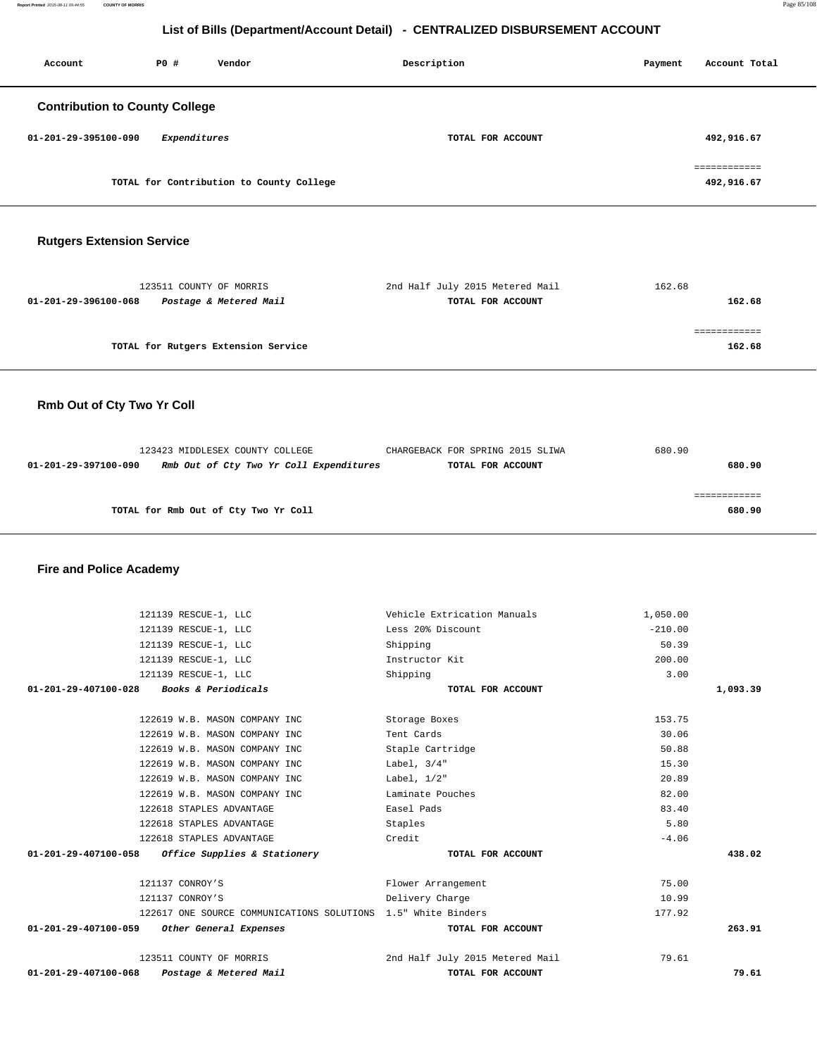| Account                               | PO#          | Vendor                                   | Description       | Payment | Account Total              |  |
|---------------------------------------|--------------|------------------------------------------|-------------------|---------|----------------------------|--|
| <b>Contribution to County College</b> |              |                                          |                   |         |                            |  |
| 01-201-29-395100-090                  | Expenditures |                                          | TOTAL FOR ACCOUNT |         | 492,916.67                 |  |
|                                       |              | TOTAL for Contribution to County College |                   |         | eessessesses<br>492,916.67 |  |

### **Rutgers Extension Service**

| 123511 COUNTY OF MORRIS                        | 2nd Half July 2015 Metered Mail | 162.68 |
|------------------------------------------------|---------------------------------|--------|
| Postage & Metered Mail<br>01-201-29-396100-068 | TOTAL FOR ACCOUNT               | 162.68 |
|                                                |                                 |        |
|                                                |                                 |        |
| TOTAL for Rutgers Extension Service            |                                 | 162.68 |
|                                                |                                 |        |

### **Rmb Out of Cty Two Yr Coll**

|                      | 123423 MIDDLESEX COUNTY COLLEGE         | CHARGEBACK FOR SPRING 2015 SLIWA | 680.90 |        |
|----------------------|-----------------------------------------|----------------------------------|--------|--------|
| 01-201-29-397100-090 | Rmb Out of Cty Two Yr Coll Expenditures | TOTAL FOR ACCOUNT                |        | 680.90 |
|                      |                                         |                                  |        |        |
|                      |                                         |                                  |        |        |
|                      | TOTAL for Rmb Out of Cty Two Yr Coll    |                                  |        | 680.90 |

### **Fire and Police Academy**

| 121139 RESCUE-1, LLC                                          | Vehicle Extrication Manuals     | 1,050.00  |          |
|---------------------------------------------------------------|---------------------------------|-----------|----------|
| 121139 RESCUE-1, LLC                                          | Less 20% Discount               | $-210.00$ |          |
| 121139 RESCUE-1, LLC                                          | Shipping                        | 50.39     |          |
| 121139 RESCUE-1, LLC                                          | Instructor Kit                  | 200.00    |          |
| 121139 RESCUE-1, LLC                                          | Shipping                        | 3.00      |          |
| 01-201-29-407100-028<br><b>Books &amp; Periodicals</b>        | TOTAL FOR ACCOUNT               |           | 1,093.39 |
| 122619 W.B. MASON COMPANY INC                                 | Storage Boxes                   | 153.75    |          |
| 122619 W.B. MASON COMPANY INC                                 | Tent Cards                      | 30.06     |          |
| 122619 W.B. MASON COMPANY INC                                 | Staple Cartridge                | 50.88     |          |
| 122619 W.B. MASON COMPANY INC                                 | Label, $3/4"$                   | 15.30     |          |
| 122619 W.B. MASON COMPANY INC                                 | Label, $1/2$ "                  | 20.89     |          |
| 122619 W.B. MASON COMPANY INC                                 | Laminate Pouches                | 82.00     |          |
| 122618 STAPLES ADVANTAGE                                      | Easel Pads                      | 83.40     |          |
| 122618 STAPLES ADVANTAGE                                      | Staples                         | 5.80      |          |
| 122618 STAPLES ADVANTAGE                                      | Credit                          | $-4.06$   |          |
| 01-201-29-407100-058<br>Office Supplies & Stationery          | TOTAL FOR ACCOUNT               |           | 438.02   |
| 121137 CONROY'S                                               | Flower Arrangement              | 75.00     |          |
| 121137 CONROY'S                                               | Delivery Charge                 | 10.99     |          |
| 122617 ONE SOURCE COMMUNICATIONS SOLUTIONS 1.5" White Binders |                                 | 177.92    |          |
| 01-201-29-407100-059<br>Other General Expenses                | TOTAL FOR ACCOUNT               |           | 263.91   |
| 123511 COUNTY OF MORRIS                                       | 2nd Half July 2015 Metered Mail | 79.61     |          |
| $01 - 201 - 29 - 407100 - 068$<br>Postage & Metered Mail      | TOTAL FOR ACCOUNT               |           | 79.61    |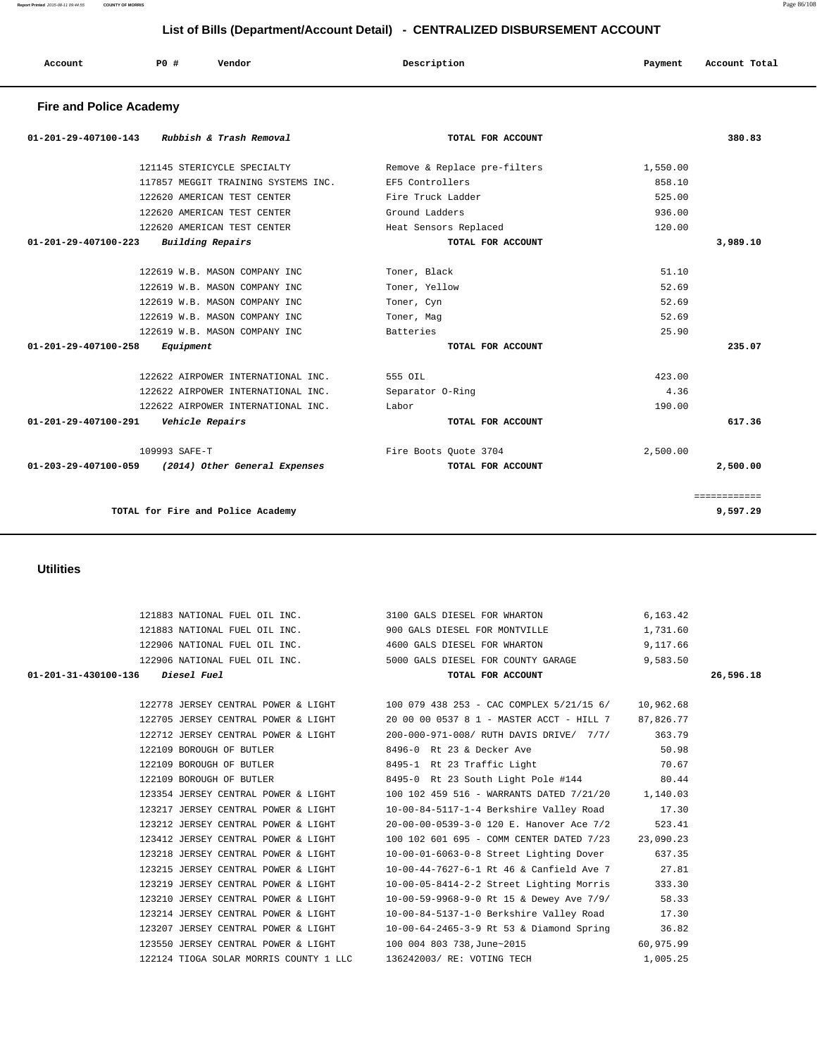| Account | P0 | Vendor | Description | Payment | Account Total |
|---------|----|--------|-------------|---------|---------------|

### **Fire and Police Academy**

| Rubbish & Trash Removal<br>$01 - 201 - 29 - 407100 - 143$ | TOTAL FOR ACCOUNT            |          | 380.83       |
|-----------------------------------------------------------|------------------------------|----------|--------------|
| 121145 STERICYCLE SPECIALTY                               | Remove & Replace pre-filters | 1,550.00 |              |
| 117857 MEGGIT TRAINING SYSTEMS INC.                       | EF5 Controllers              | 858.10   |              |
| 122620 AMERICAN TEST CENTER                               | Fire Truck Ladder            | 525.00   |              |
| 122620 AMERICAN TEST CENTER                               | Ground Ladders               | 936.00   |              |
| 122620 AMERICAN TEST CENTER                               | Heat Sensors Replaced        | 120.00   |              |
| Building Repairs<br>$01 - 201 - 29 - 407100 - 223$        | TOTAL FOR ACCOUNT            |          | 3,989.10     |
| 122619 W.B. MASON COMPANY INC                             | Toner, Black                 | 51.10    |              |
| 122619 W.B. MASON COMPANY INC                             | Toner, Yellow                | 52.69    |              |
| 122619 W.B. MASON COMPANY INC                             | Toner, Cyn                   | 52.69    |              |
| 122619 W.B. MASON COMPANY INC                             | Toner, Mag                   | 52.69    |              |
| 122619 W.B. MASON COMPANY INC                             | Batteries                    | 25.90    |              |
| 01-201-29-407100-258<br>Equipment                         | TOTAL FOR ACCOUNT            |          | 235.07       |
| 122622 AIRPOWER INTERNATIONAL INC.                        | 555 OIL                      | 423.00   |              |
| 122622 AIRPOWER INTERNATIONAL INC.                        | Separator O-Ring             | 4.36     |              |
| 122622 AIRPOWER INTERNATIONAL INC.                        | Labor                        | 190.00   |              |
| Vehicle Repairs<br>01-201-29-407100-291                   | TOTAL FOR ACCOUNT            |          | 617.36       |
| 109993 SAFE-T                                             | Fire Boots Ouote 3704        | 2,500.00 |              |
| 01-203-29-407100-059 (2014) Other General Expenses        | TOTAL FOR ACCOUNT            |          | 2,500.00     |
|                                                           |                              |          | ============ |
| TOTAL for Fire and Police Academy                         |                              |          | 9,597.29     |
|                                                           |                              |          |              |

### **Utilities**

|                                  |                                                    | 121883 NATIONAL FUEL OIL INC. 3100 GALS DIESEL FOR WHARTON 6,163.42                    |           |           |
|----------------------------------|----------------------------------------------------|----------------------------------------------------------------------------------------|-----------|-----------|
|                                  |                                                    | 121883 NATIONAL FUEL OIL INC. 900 GALS DIESEL FOR MONTVILLE                            | 1,731.60  |           |
|                                  |                                                    | 122906 NATIONAL FUEL OIL INC. 4600 GALS DIESEL FOR WHARTON 9,117.66                    |           |           |
|                                  |                                                    | 122906 NATIONAL FUEL OIL INC. 5000 GALS DIESEL FOR COUNTY GARAGE                       | 9,583.50  |           |
| 01-201-31-430100-136 Diesel Fuel |                                                    | TOTAL FOR ACCOUNT                                                                      |           | 26,596.18 |
|                                  |                                                    |                                                                                        |           |           |
|                                  |                                                    | 122778 JERSEY CENTRAL POWER & LIGHT 100 079 438 253 - CAC COMPLEX 5/21/15 6/           | 10,962.68 |           |
|                                  |                                                    | 122705 JERSEY CENTRAL POWER & LIGHT 20 00 00 0537 8 1 - MASTER ACCT - HILL 7 87,826.77 |           |           |
|                                  |                                                    | 122712 JERSEY CENTRAL POWER & LIGHT 200-000-971-008/ RUTH DAVIS DRIVE/ 7/7/            | 363.79    |           |
|                                  | 122109 BOROUGH OF BUTLER 6496-0 Rt 23 & Decker Ave | 50.98                                                                                  |           |           |
|                                  |                                                    | 122109 BOROUGH OF BUTLER 8495-1 Rt 23 Traffic Light 70.67                              |           |           |
|                                  |                                                    | 122109 BOROUGH OF BUTLER 8495-0 Rt 23 South Light Pole #144 80.44                      |           |           |
|                                  |                                                    | 123354 JERSEY CENTRAL POWER & LIGHT 100 102 459 516 - WARRANTS DATED 7/21/20 1,140.03  |           |           |
|                                  | 123217 JERSEY CENTRAL POWER & LIGHT                | $10-00-84-5117-1-4$ Berkshire Valley Road 17.30                                        |           |           |
|                                  | 123212 JERSEY CENTRAL POWER & LIGHT                | 20-00-00-0539-3-0 120 E. Hanover Ace 7/2                                               | 523.41    |           |
|                                  | 123412 JERSEY CENTRAL POWER & LIGHT                | 100 102 601 695 - COMM CENTER DATED 7/23 23,090.23                                     |           |           |
|                                  | 123218 JERSEY CENTRAL POWER & LIGHT                | 10-00-01-6063-0-8 Street Lighting Dover                                                | 637.35    |           |
|                                  | 123215 JERSEY CENTRAL POWER & LIGHT                | 10-00-44-7627-6-1 Rt 46 & Canfield Ave 7 27.81                                         |           |           |
|                                  | 123219 JERSEY CENTRAL POWER & LIGHT                | 10-00-05-8414-2-2 Street Lighting Morris                                               | 333.30    |           |
|                                  | 123210 JERSEY CENTRAL POWER & LIGHT                | 10-00-59-9968-9-0 Rt 15 & Dewey Ave 7/9/ 58.33                                         |           |           |
|                                  | 123214 JERSEY CENTRAL POWER & LIGHT                | 10-00-84-5137-1-0 Berkshire Valley Road 17.30                                          |           |           |
|                                  | 123207 JERSEY CENTRAL POWER & LIGHT                | 10-00-64-2465-3-9 Rt 53 & Diamond Spring                                               | 36.82     |           |
|                                  | 123550 JERSEY CENTRAL POWER & LIGHT                | 100 004 803 738, June~2015                                                             | 60,975.99 |           |
|                                  | 122124 TIOGA SOLAR MORRIS COUNTY 1 LLC             | 136242003/ RE: VOTING TECH                                                             | 1,005.25  |           |
|                                  |                                                    |                                                                                        |           |           |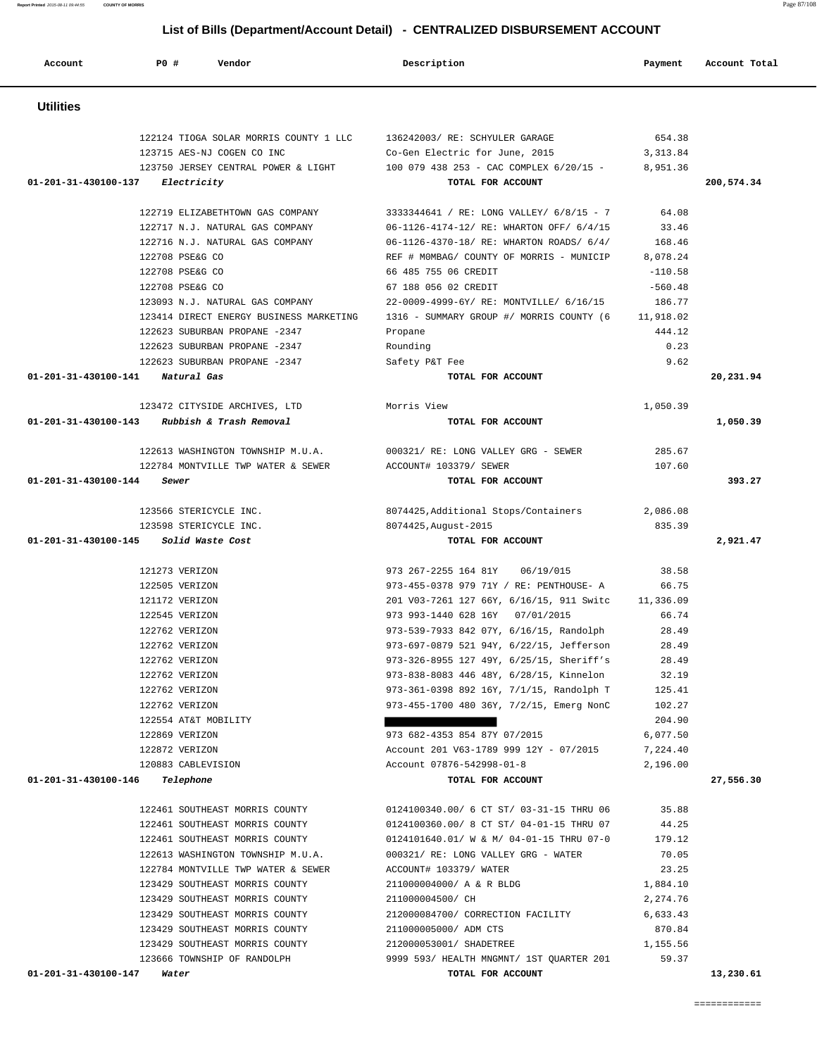| <b>Utilities</b>                                              |                                                           |                                                                                                                     |                 |                       |
|---------------------------------------------------------------|-----------------------------------------------------------|---------------------------------------------------------------------------------------------------------------------|-----------------|-----------------------|
|                                                               |                                                           | 122124 TIOGA SOLAR MORRIS COUNTY 1 LLC 136242003/RE: SCHYULER GARAGE                                                | 654.38          |                       |
|                                                               | 123715 AES-NJ COGEN CO INC                                | Co-Gen Electric for June, 2015                                                                                      | 3,313.84        |                       |
|                                                               |                                                           | 123750 JERSEY CENTRAL POWER & LIGHT 100 079 438 253 - CAC COMPLEX 6/20/15 - 8,951.36                                |                 |                       |
| 01-201-31-430100-137                                          | <i>Electricity</i>                                        | TOTAL FOR ACCOUNT                                                                                                   |                 | 200,574.34            |
|                                                               |                                                           |                                                                                                                     |                 |                       |
|                                                               | 122719 ELIZABETHTOWN GAS COMPANY                          | 3333344641 / RE: LONG VALLEY/ 6/8/15 - 7<br>122717 N.J. NATURAL GAS COMPANY 06-1126-4174-12/RE: WHARTON OFF/ 6/4/15 | 64.08           |                       |
|                                                               |                                                           | 122716 N.J. NATURAL GAS COMPANY 06-1126-4370-18/RE: WHARTON ROADS/6/4/                                              | 33.46<br>168.46 |                       |
|                                                               | 122708 PSE&G CO                                           | REF # MOMBAG/ COUNTY OF MORRIS - MUNICIP                                                                            | 8,078.24        |                       |
|                                                               | 122708 PSE&G CO                                           | 66 485 755 06 CREDIT                                                                                                | $-110.58$       |                       |
|                                                               | 122708 PSE&G CO                                           | 67 188 056 02 CREDIT                                                                                                | $-560.48$       |                       |
|                                                               | 123093 N.J. NATURAL GAS COMPANY                           | 22-0009-4999-6Y/ RE: MONTVILLE/ 6/16/15                                                                             | 186.77          |                       |
|                                                               |                                                           | 123414 DIRECT ENERGY BUSINESS MARKETING 1316 - SUMMARY GROUP #/ MORRIS COUNTY (6                                    | 11,918.02       |                       |
|                                                               | 122623 SUBURBAN PROPANE -2347                             |                                                                                                                     | 444.12          |                       |
|                                                               | 122623 SUBURBAN PROPANE -2347                             | Propane                                                                                                             | 0.23            |                       |
|                                                               |                                                           | Rounding                                                                                                            |                 |                       |
| 01-201-31-430100-141 Natural Gas                              | 122623 SUBURBAN PROPANE -2347                             | Safety P&T Fee<br>TOTAL FOR ACCOUNT                                                                                 | 9.62            | 20,231.94             |
|                                                               |                                                           |                                                                                                                     |                 |                       |
|                                                               | 123472 CITYSIDE ARCHIVES, LTD                             | Morris View                                                                                                         | 1,050.39        |                       |
|                                                               | 01-201-31-430100-143 Rubbish & Trash Removal              | TOTAL FOR ACCOUNT                                                                                                   |                 | 1,050.39              |
|                                                               |                                                           | 122613 WASHINGTON TOWNSHIP M.U.A. 6000321/ RE: LONG VALLEY GRG - SEWER                                              | 285.67          |                       |
|                                                               | 122784 MONTVILLE TWP WATER & SEWER ACCOUNT# 103379/ SEWER |                                                                                                                     | 107.60          |                       |
| 01-201-31-430100-144                                          | Sewer                                                     | TOTAL FOR ACCOUNT                                                                                                   |                 | 393.27                |
|                                                               | 123566 STERICYCLE INC.                                    | 8074425, Additional Stops/Containers                                                                                | 2,086.08        |                       |
|                                                               |                                                           |                                                                                                                     |                 |                       |
|                                                               | 123598 STERICYCLE INC.                                    | 8074425, August-2015                                                                                                | 835.39          |                       |
|                                                               |                                                           | TOTAL FOR ACCOUNT                                                                                                   |                 |                       |
|                                                               |                                                           |                                                                                                                     |                 |                       |
|                                                               | 121273 VERIZON                                            | 973 267-2255 164 81Y<br>06/19/015                                                                                   | 38.58           |                       |
|                                                               | 122505 VERIZON                                            | 973-455-0378 979 71Y / RE: PENTHOUSE- A                                                                             | 66.75           |                       |
|                                                               | 121172 VERIZON                                            | 201 V03-7261 127 66Y, 6/16/15, 911 Switc 11,336.09                                                                  |                 |                       |
|                                                               | 122545 VERIZON                                            | 973 993-1440 628 16Y 07/01/2015                                                                                     | 66.74           |                       |
|                                                               | 122762 VERIZON                                            | 973-539-7933 842 07Y, 6/16/15, Randolph                                                                             | 28.49           |                       |
|                                                               | 122762 VERIZON                                            | 973-697-0879 521 94Y, 6/22/15, Jefferson                                                                            | 28.49           |                       |
|                                                               | 122762 VERIZON                                            | 973-326-8955 127 49Y, 6/25/15, Sheriff's                                                                            | 28.49           |                       |
|                                                               | 122762 VERIZON                                            | 973-838-8083 446 48Y, 6/28/15, Kinnelon                                                                             | 32.19           |                       |
|                                                               | 122762 VERIZON                                            | 973-361-0398 892 16Y, 7/1/15, Randolph T                                                                            | 125.41          |                       |
|                                                               | 122762 VERIZON                                            | 973-455-1700 480 36Y, 7/2/15, Emerg NonC                                                                            | 102.27          |                       |
|                                                               | 122554 AT&T MOBILITY                                      |                                                                                                                     | 204.90          |                       |
|                                                               | 122869 VERIZON                                            | 973 682-4353 854 87Y 07/2015                                                                                        | 6,077.50        |                       |
|                                                               | 122872 VERIZON                                            | Account 201 V63-1789 999 12Y - 07/2015                                                                              | 7,224.40        |                       |
|                                                               | 120883 CABLEVISION                                        | Account 07876-542998-01-8                                                                                           | 2,196.00        |                       |
|                                                               | Telephone                                                 | TOTAL FOR ACCOUNT                                                                                                   |                 |                       |
| 01-201-31-430100-145 Solid Waste Cost<br>01-201-31-430100-146 | 122461 SOUTHEAST MORRIS COUNTY                            | 0124100340.00/ 6 CT ST/ 03-31-15 THRU 06                                                                            | 35.88           |                       |
|                                                               | 122461 SOUTHEAST MORRIS COUNTY                            | 0124100360.00/ 8 CT ST/ 04-01-15 THRU 07                                                                            | 44.25           |                       |
|                                                               | 122461 SOUTHEAST MORRIS COUNTY                            | 0124101640.01/ W & M/ 04-01-15 THRU 07-0                                                                            | 179.12          |                       |
|                                                               | 122613 WASHINGTON TOWNSHIP M.U.A.                         | 000321/ RE: LONG VALLEY GRG - WATER                                                                                 | 70.05           |                       |
|                                                               | 122784 MONTVILLE TWP WATER & SEWER                        | ACCOUNT# 103379/ WATER                                                                                              | 23.25           |                       |
|                                                               | 123429 SOUTHEAST MORRIS COUNTY                            | 211000004000/ A & R BLDG                                                                                            | 1,884.10        |                       |
|                                                               | 123429 SOUTHEAST MORRIS COUNTY                            | 211000004500/ CH                                                                                                    | 2,274.76        |                       |
|                                                               | 123429 SOUTHEAST MORRIS COUNTY                            | 212000084700/ CORRECTION FACILITY                                                                                   | 6,633.43        |                       |
|                                                               | 123429 SOUTHEAST MORRIS COUNTY                            | 211000005000/ ADM CTS                                                                                               | 870.84          |                       |
|                                                               | 123429 SOUTHEAST MORRIS COUNTY                            | 212000053001/ SHADETREE                                                                                             | 1,155.56        |                       |
|                                                               | 123666 TOWNSHIP OF RANDOLPH                               | 9999 593/ HEALTH MNGMNT/ 1ST QUARTER 201                                                                            | 59.37           | 2,921.47<br>27,556.30 |

 **Account P0 # Vendor Description Payment Account Total**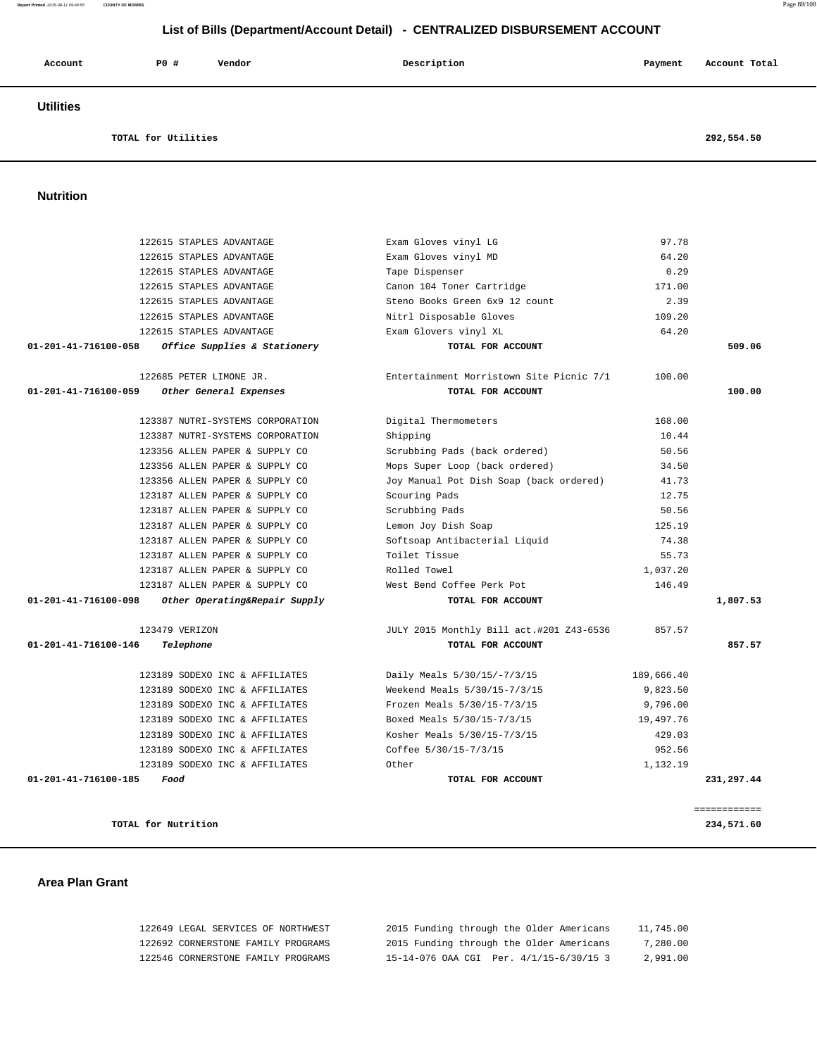| List of Bills (Department/Account Detail) - CENTRALIZED DISBURSEMENT ACCOUNT |                                  |                                          |          |               |  |  |
|------------------------------------------------------------------------------|----------------------------------|------------------------------------------|----------|---------------|--|--|
| Account                                                                      | <b>PO #</b><br>Vendor            | Description                              | Payment  | Account Total |  |  |
| <b>Utilities</b>                                                             |                                  |                                          |          |               |  |  |
|                                                                              | TOTAL for Utilities              |                                          |          | 292,554.50    |  |  |
| <b>Nutrition</b>                                                             |                                  |                                          |          |               |  |  |
|                                                                              |                                  |                                          |          |               |  |  |
|                                                                              | 122615 STAPLES ADVANTAGE         | Exam Gloves vinyl LG                     | 97.78    |               |  |  |
|                                                                              | 122615 STAPLES ADVANTAGE         | Exam Gloves vinyl MD                     | 64.20    |               |  |  |
|                                                                              | 122615 STAPLES ADVANTAGE         | Tape Dispenser                           | 0.29     |               |  |  |
|                                                                              | 122615 STAPLES ADVANTAGE         | Canon 104 Toner Cartridge                | 171.00   |               |  |  |
|                                                                              | 122615 STAPLES ADVANTAGE         | Steno Books Green 6x9 12 count           | 2.39     |               |  |  |
|                                                                              | 122615 STAPLES ADVANTAGE         | Nitrl Disposable Gloves                  | 109.20   |               |  |  |
|                                                                              | 122615 STAPLES ADVANTAGE         | Exam Glovers vinyl XL                    | 64.20    |               |  |  |
| 01-201-41-716100-058                                                         | Office Supplies & Stationery     | TOTAL FOR ACCOUNT                        |          | 509.06        |  |  |
|                                                                              | 122685 PETER LIMONE JR.          | Entertainment Morristown Site Picnic 7/1 | 100.00   |               |  |  |
| 01-201-41-716100-059                                                         | Other General Expenses           | TOTAL FOR ACCOUNT                        |          | 100.00        |  |  |
|                                                                              | 123387 NUTRI-SYSTEMS CORPORATION | Digital Thermometers                     | 168.00   |               |  |  |
|                                                                              | 123387 NUTRI-SYSTEMS CORPORATION | Shipping                                 | 10.44    |               |  |  |
|                                                                              | 123356 ALLEN PAPER & SUPPLY CO   | Scrubbing Pads (back ordered)            | 50.56    |               |  |  |
|                                                                              | 123356 ALLEN PAPER & SUPPLY CO   | Mops Super Loop (back ordered)           | 34.50    |               |  |  |
|                                                                              | 123356 ALLEN PAPER & SUPPLY CO   | Joy Manual Pot Dish Soap (back ordered)  | 41.73    |               |  |  |
|                                                                              | 123187 ALLEN PAPER & SUPPLY CO   | Scouring Pads                            | 12.75    |               |  |  |
|                                                                              | 123187 ALLEN PAPER & SUPPLY CO   | Scrubbing Pads                           | 50.56    |               |  |  |
|                                                                              | 123187 ALLEN PAPER & SUPPLY CO   | Lemon Joy Dish Soap                      | 125.19   |               |  |  |
|                                                                              | 123187 ALLEN PAPER & SUPPLY CO   | Softsoap Antibacterial Liquid            | 74.38    |               |  |  |
|                                                                              | 123187 ALLEN PAPER & SUPPLY CO   | Toilet Tissue                            | 55.73    |               |  |  |
|                                                                              | 123187 ALLEN PAPER & SUPPLY CO   | Rolled Towel                             | 1,037.20 |               |  |  |
|                                                                              | 123187 ALLEN PAPER & SUPPLY CO   | West Bend Coffee Perk Pot                | 146.49   |               |  |  |
| 01-201-41-716100-098                                                         | Other Operating&Repair Supply    | TOTAL FOR ACCOUNT                        |          | 1,807.53      |  |  |
|                                                                              | 123479 VERIZON                   | JULY 2015 Monthly Bill act.#201 Z43-6536 | 857.57   |               |  |  |
| 01-201-41-716100-146                                                         | Telephone                        | TOTAL FOR ACCOUNT                        |          | 857.57        |  |  |
|                                                                              |                                  |                                          |          |               |  |  |

# 123189 SODEXO INC & AFFILIATES Daily Meals 5/30/15/-7/3/15 189,666.40 123189 SODEXO INC & AFFILIATES Weekend Meals 5/30/15-7/3/15 9,823.50 123189 SODEXO INC & AFFILIATES Frozen Meals 5/30/15-7/3/15 9,796.00 123189 SODEXO INC & AFFILIATES Boxed Meals 5/30/15-7/3/15 19,497.76 123189 SODEXO INC & AFFILIATES Kosher Meals 5/30/15-7/3/15 429.03 123189 SODEXO INC & AFFILIATES Coffee 5/30/15-7/3/15 952.56 123189 SODEXO INC & AFFILIATES Other 1,132.19  **01-201-41-716100-185 Food TOTAL FOR ACCOUNT 231,297.44** ============

#### **TOTAL for Nutrition 234,571.60**

### **Area Plan Grant**

| 122649 LEGAL SERVICES OF NORTHWEST | 2015 Funding through the Older Americans | 11,745.00 |
|------------------------------------|------------------------------------------|-----------|
| 122692 CORNERSTONE FAMILY PROGRAMS | 2015 Funding through the Older Americans | 7,280.00  |
| 122546 CORNERSTONE FAMILY PROGRAMS | 15-14-076 OAA CGI Per. 4/1/15-6/30/15 3  | 2,991.00  |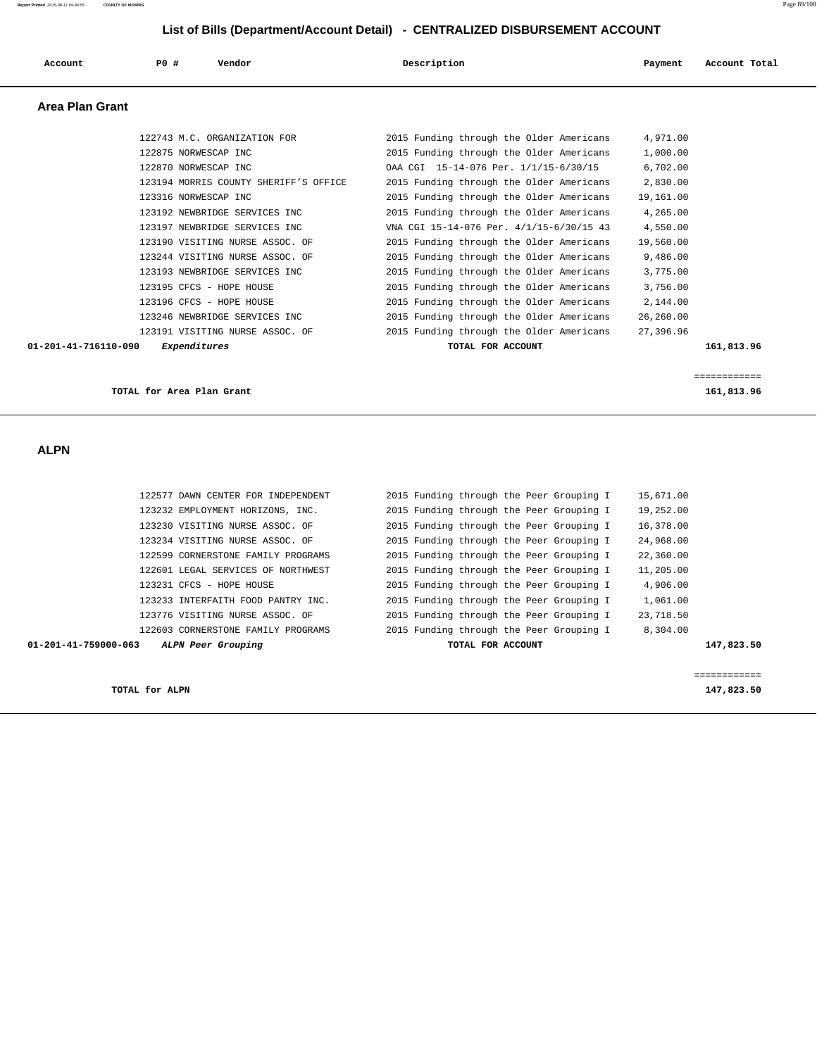122577 DAWN CENTER FOR INDEPENDENT 2015 Funding through the Peer Grouping I 15,671.00 123232 EMPLOYMENT HORIZONS, INC. 2015 Funding through the Peer Grouping I 19,252.00 123230 VISITING NURSE ASSOC. OF 2015 Funding through the Peer Grouping I 16,378.00 123234 VISITING NURSE ASSOC. OF 2015 Funding through the Peer Grouping I 24,968.00 122599 CORNERSTONE FAMILY PROGRAMS 2015 Funding through the Peer Grouping I 22,360.00 122601 LEGAL SERVICES OF NORTHWEST 2015 Funding through the Peer Grouping I 11,205.00 123231 CFCS - HOPE HOUSE 2015 Funding through the Peer Grouping I 4,906.00 123233 INTERFAITH FOOD PANTRY INC. 2015 Funding through the Peer Grouping I 1,061.00 123776 VISITING NURSE ASSOC. OF 2015 Funding through the Peer Grouping I 23,718.50 122603 CORNERSTONE FAMILY PROGRAMS 2015 Funding through the Peer Grouping I 8,304.00  **01-201-41-759000-063 ALPN Peer Grouping TOTAL FOR ACCOUNT 147,823.50** ============ **TOTAL for ALPN 147,823.50**

 **ALPN** 

| <b>Area Plan Grant</b> |                                       |                                          |           |            |
|------------------------|---------------------------------------|------------------------------------------|-----------|------------|
|                        | 122743 M.C. ORGANIZATION FOR          | 2015 Funding through the Older Americans | 4,971.00  |            |
|                        | 122875 NORWESCAP INC                  | 2015 Funding through the Older Americans | 1,000.00  |            |
|                        | 122870 NORWESCAP INC                  | OAA CGI 15-14-076 Per. 1/1/15-6/30/15    | 6,702.00  |            |
|                        | 123194 MORRIS COUNTY SHERIFF'S OFFICE | 2015 Funding through the Older Americans | 2,830.00  |            |
|                        | 123316 NORWESCAP INC                  | 2015 Funding through the Older Americans | 19,161.00 |            |
|                        | 123192 NEWBRIDGE SERVICES INC         | 2015 Funding through the Older Americans | 4,265.00  |            |
|                        | 123197 NEWBRIDGE SERVICES INC         | VNA CGI 15-14-076 Per. 4/1/15-6/30/15 43 | 4,550.00  |            |
|                        | 123190 VISITING NURSE ASSOC. OF       | 2015 Funding through the Older Americans | 19,560.00 |            |
|                        | 123244 VISITING NURSE ASSOC. OF       | 2015 Funding through the Older Americans | 9,486.00  |            |
|                        | 123193 NEWBRIDGE SERVICES INC         | 2015 Funding through the Older Americans | 3,775.00  |            |
|                        | 123195 CFCS - HOPE HOUSE              | 2015 Funding through the Older Americans | 3,756.00  |            |
|                        | 123196 CFCS - HOPE HOUSE              | 2015 Funding through the Older Americans | 2,144.00  |            |
|                        | 123246 NEWBRIDGE SERVICES INC         | 2015 Funding through the Older Americans | 26,260.00 |            |
|                        | 123191 VISITING NURSE ASSOC. OF       | 2015 Funding through the Older Americans | 27,396.96 |            |
| 01-201-41-716110-090   | Expenditures                          | TOTAL FOR ACCOUNT                        |           | 161,813.96 |

 **Account P0 # Vendor Description Payment Account Total**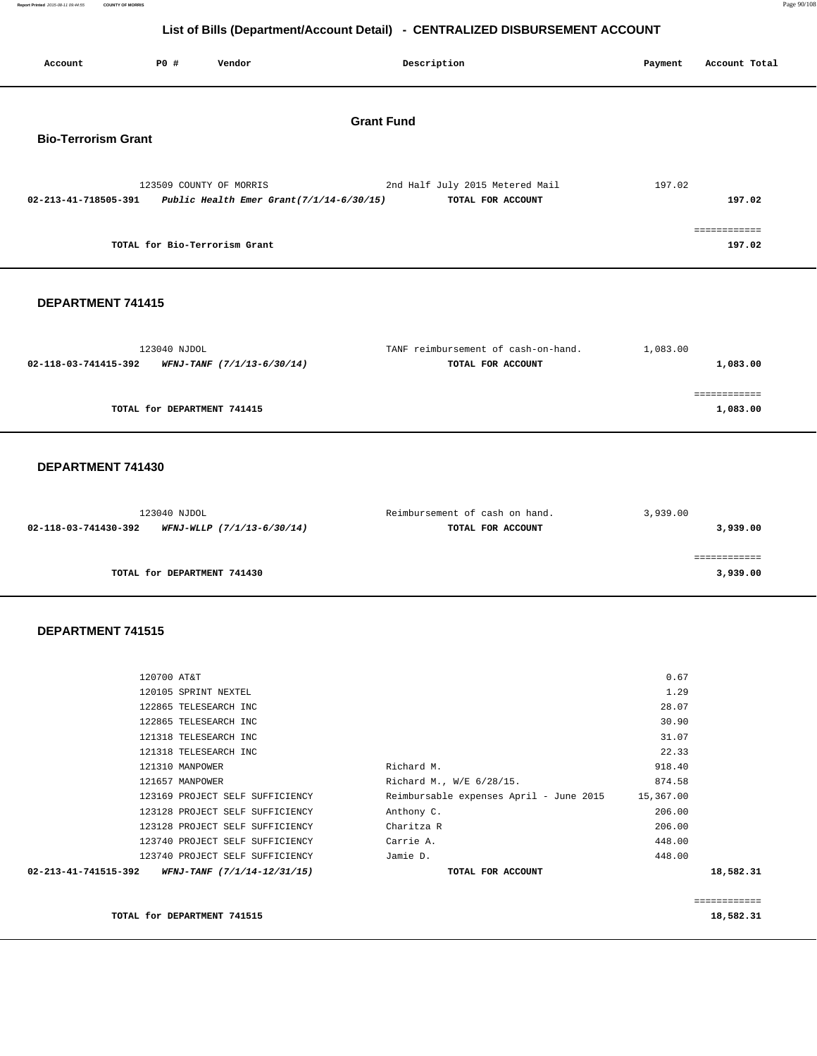**Report Printed** 2015-08-11 09:44:55 **COUNTY OF MORRIS** Page 90/108

### **List of Bills (Department/Account Detail) - CENTRALIZED DISBURSEMENT ACCOUNT**

| LIST OF BIIIS (Department/Account Detail) - CENTRALIZED DISBURSEMENT ACCOUNT |                             |                                                                        |                                                          |          |                          |  |  |
|------------------------------------------------------------------------------|-----------------------------|------------------------------------------------------------------------|----------------------------------------------------------|----------|--------------------------|--|--|
| Account                                                                      | P0 #                        | Vendor                                                                 | Description                                              | Payment  | Account Total            |  |  |
| <b>Grant Fund</b><br><b>Bio-Terrorism Grant</b>                              |                             |                                                                        |                                                          |          |                          |  |  |
| 02-213-41-718505-391                                                         |                             | 123509 COUNTY OF MORRIS<br>Public Health Emer Grant $(7/1/14-6/30/15)$ | 2nd Half July 2015 Metered Mail<br>TOTAL FOR ACCOUNT     | 197.02   | 197.02                   |  |  |
|                                                                              |                             | TOTAL for Bio-Terrorism Grant                                          |                                                          |          | ============<br>197.02   |  |  |
| <b>DEPARTMENT 741415</b>                                                     |                             |                                                                        |                                                          |          |                          |  |  |
| 02-118-03-741415-392                                                         | 123040 NJDOL                | WFNJ-TANF (7/1/13-6/30/14)                                             | TANF reimbursement of cash-on-hand.<br>TOTAL FOR ACCOUNT | 1,083.00 | 1,083.00                 |  |  |
|                                                                              | TOTAL for DEPARTMENT 741415 |                                                                        |                                                          |          | ============<br>1,083.00 |  |  |
| DEPARTMENT 741430                                                            |                             |                                                                        |                                                          |          |                          |  |  |
| 02-118-03-741430-392                                                         | 123040 NJDOL                | WFNJ-WLLP (7/1/13-6/30/14)                                             | Reimbursement of cash on hand.<br>TOTAL FOR ACCOUNT      | 3,939.00 | 3,939.00                 |  |  |

 ============ **TOTAL for DEPARTMENT 741430** 3,939.00

| TOTAL for DEPARTMENT 741515                         |                                         |           | 18,582.31 |
|-----------------------------------------------------|-----------------------------------------|-----------|-----------|
|                                                     |                                         |           |           |
| 02-213-41-741515-392<br>WFNJ-TANF (7/1/14-12/31/15) | TOTAL FOR ACCOUNT                       |           | 18,582.31 |
| 123740 PROJECT SELF SUFFICIENCY                     | Jamie D.                                | 448.00    |           |
| 123740 PROJECT SELF SUFFICIENCY                     | Carrie A.                               | 448.00    |           |
| 123128 PROJECT SELF SUFFICIENCY                     | Charitza R                              | 206.00    |           |
| 123128 PROJECT SELF SUFFICIENCY                     | Anthony C.                              | 206.00    |           |
| 123169 PROJECT SELF SUFFICIENCY                     | Reimbursable expenses April - June 2015 | 15,367.00 |           |
| 121657 MANPOWER                                     | Richard M., W/E 6/28/15.                | 874.58    |           |
| 121310 MANPOWER                                     | Richard M.                              | 918.40    |           |
| 121318 TELESEARCH INC                               |                                         | 22.33     |           |
| 121318 TELESEARCH INC                               |                                         | 31.07     |           |
| 122865 TELESEARCH INC                               |                                         | 30.90     |           |
| 122865 TELESEARCH INC                               |                                         | 28.07     |           |
| 120105 SPRINT NEXTEL                                |                                         | 1.29      |           |
| 120700 AT&T                                         |                                         | 0.67      |           |
|                                                     |                                         |           |           |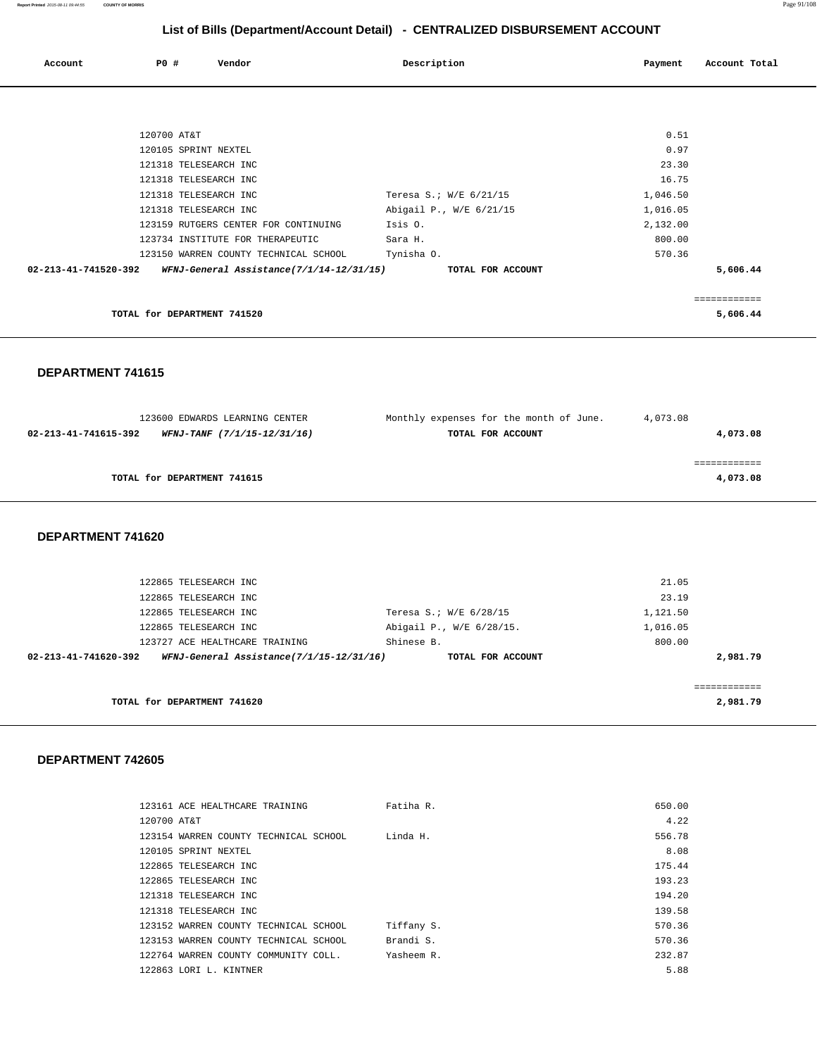| Account              | PO#         | Vendor                                   | Description             | Payment  | Account Total |
|----------------------|-------------|------------------------------------------|-------------------------|----------|---------------|
|                      |             |                                          |                         |          |               |
|                      |             |                                          |                         |          |               |
|                      | 120700 AT&T |                                          |                         | 0.51     |               |
|                      |             | 120105 SPRINT NEXTEL                     |                         | 0.97     |               |
|                      |             | 121318 TELESEARCH INC                    |                         | 23.30    |               |
|                      |             | 121318 TELESEARCH INC                    |                         | 16.75    |               |
|                      |             | 121318 TELESEARCH INC                    | Teresa S.; W/E 6/21/15  | 1,046.50 |               |
|                      |             | 121318 TELESEARCH INC                    | Abigail P., W/E 6/21/15 | 1,016.05 |               |
|                      |             | 123159 RUTGERS CENTER FOR CONTINUING     | Isis 0.                 | 2,132.00 |               |
|                      |             | 123734 INSTITUTE FOR THERAPEUTIC         | Sara H.                 | 800.00   |               |
|                      |             | 123150 WARREN COUNTY TECHNICAL SCHOOL    | Tynisha 0.              | 570.36   |               |
| 02-213-41-741520-392 |             | WFNJ-General Assistance(7/1/14-12/31/15) | TOTAL FOR ACCOUNT       |          | 5,606.44      |
|                      |             |                                          |                         |          |               |
|                      |             | TOTAL for DEPARTMENT 741520              |                         |          | 5,606.44      |

 **DEPARTMENT 741615** 

 123600 EDWARDS LEARNING CENTER Monthly expenses for the month of June. 4,073.08  **02-213-41-741615-392 WFNJ-TANF (7/1/15-12/31/16) TOTAL FOR ACCOUNT 4,073.08** ============ **TOTAL for DEPARTMENT 741615 4,073.08**

 **DEPARTMENT 741620** 

|                      | 122865 TELESEARCH INC                    |                          | 21.05    |
|----------------------|------------------------------------------|--------------------------|----------|
|                      | 122865 TELESEARCH INC                    |                          | 23.19    |
|                      | 122865 TELESEARCH INC                    | Teresa S.; W/E 6/28/15   | 1,121.50 |
|                      | 122865 TELESEARCH INC                    | Abigail P., W/E 6/28/15. | 1,016.05 |
|                      | 123727 ACE HEALTHCARE TRAINING           | Shinese B.               | 800.00   |
| 02-213-41-741620-392 | WFNJ-General Assistance(7/1/15-12/31/16) | TOTAL FOR ACCOUNT        | 2,981.79 |
|                      |                                          |                          |          |
|                      |                                          |                          |          |
|                      | TOTAL for DEPARTMENT 741620              |                          | 2,981.79 |
|                      |                                          |                          |          |

|             | 123161 ACE HEALTHCARE TRAINING        | Fatiha R.  | 650.00 |
|-------------|---------------------------------------|------------|--------|
| 120700 AT&T |                                       |            | 4.22   |
|             | 123154 WARREN COUNTY TECHNICAL SCHOOL | Linda H.   | 556.78 |
|             | 120105 SPRINT NEXTEL                  |            | 8.08   |
|             | 122865 TELESEARCH INC                 |            | 175.44 |
|             | 122865 TELESEARCH INC                 |            | 193.23 |
|             | 121318 TELESEARCH INC                 |            | 194.20 |
|             | 121318 TELESEARCH INC                 |            | 139.58 |
|             | 123152 WARREN COUNTY TECHNICAL SCHOOL | Tiffany S. | 570.36 |
|             | 123153 WARREN COUNTY TECHNICAL SCHOOL | Brandi S.  | 570.36 |
|             | 122764 WARREN COUNTY COMMUNITY COLL.  | Yasheem R. | 232.87 |
|             | 122863 LORI L. KINTNER                |            | 5.88   |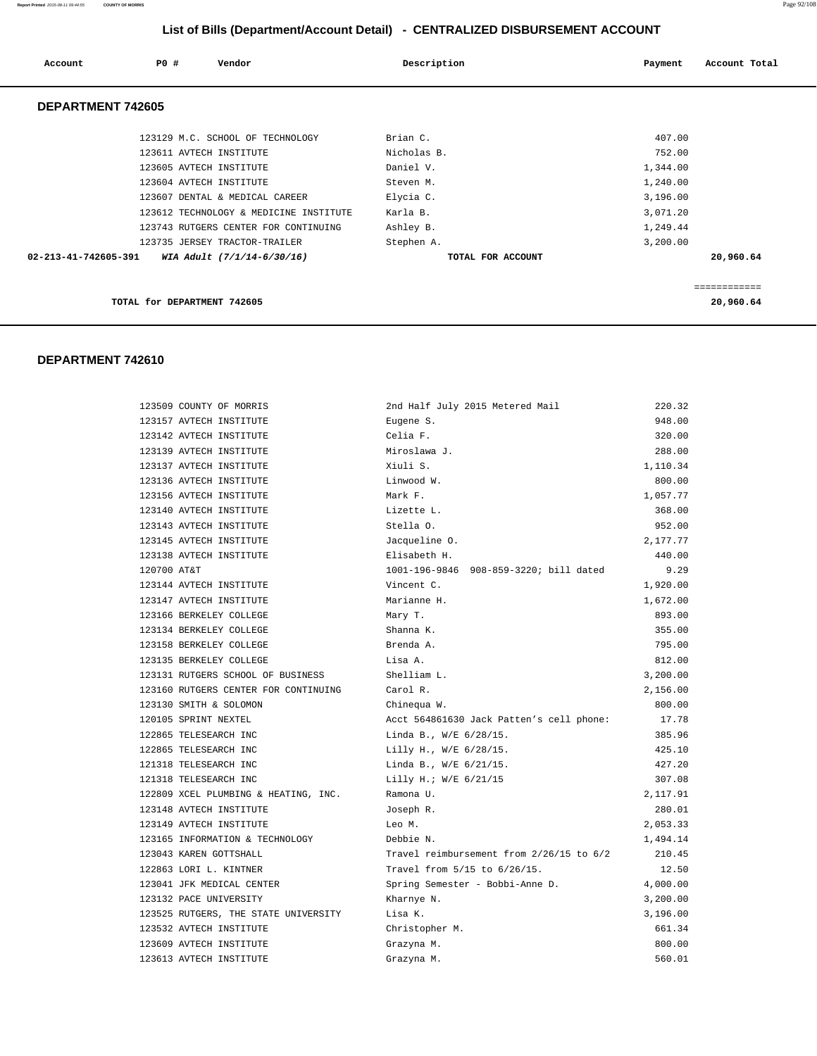| Account              | PO#<br>Vendor                          | Description |                   | Payment  | Account Total |
|----------------------|----------------------------------------|-------------|-------------------|----------|---------------|
| DEPARTMENT 742605    |                                        |             |                   |          |               |
|                      | 123129 M.C. SCHOOL OF TECHNOLOGY       | Brian C.    |                   | 407.00   |               |
|                      | 123611 AVTECH INSTITUTE                | Nicholas B. |                   | 752.00   |               |
|                      | 123605 AVTECH INSTITUTE                | Daniel V.   |                   | 1,344.00 |               |
|                      | 123604 AVTECH INSTITUTE                | Steven M.   |                   | 1,240.00 |               |
|                      | 123607 DENTAL & MEDICAL CAREER         | Elycia C.   |                   | 3,196.00 |               |
|                      | 123612 TECHNOLOGY & MEDICINE INSTITUTE | Karla B.    |                   | 3,071.20 |               |
|                      | 123743 RUTGERS CENTER FOR CONTINUING   | Ashley B.   |                   | 1,249.44 |               |
|                      | 123735 JERSEY TRACTOR-TRAILER          | Stephen A.  |                   | 3,200.00 |               |
| 02-213-41-742605-391 | WIA Adult (7/1/14-6/30/16)             |             | TOTAL FOR ACCOUNT |          | 20,960.64     |
|                      |                                        |             |                   |          | ============  |
|                      | TOTAL for DEPARTMENT 742605            |             |                   |          | 20,960.64     |

### **DEPARTMENT 742610**

| 123509 COUNTY OF MORRIS              | 2nd Half July 2015 Metered Mail          | 220.32   |
|--------------------------------------|------------------------------------------|----------|
| 123157 AVTECH INSTITUTE              | Eugene S.                                | 948.00   |
| 123142 AVTECH INSTITUTE              | Celia F.                                 | 320.00   |
| 123139 AVTECH INSTITUTE              | Miroslawa J.                             | 288.00   |
| 123137 AVTECH INSTITUTE              | Xiuli S.                                 | 1,110.34 |
| 123136 AVTECH INSTITUTE              | Linwood W.                               | 800.00   |
| 123156 AVTECH INSTITUTE              | Mark F.                                  | 1,057.77 |
| 123140 AVTECH INSTITUTE              | Lizette L.                               | 368.00   |
| 123143 AVTECH INSTITUTE              | Stella O.                                | 952.00   |
| 123145 AVTECH INSTITUTE              | Jacqueline O.                            | 2,177.77 |
| 123138 AVTECH INSTITUTE              | Elisabeth H.                             | 440.00   |
| 120700 AT&T                          | 1001-196-9846 908-859-3220; bill dated   | 9.29     |
| 123144 AVTECH INSTITUTE              | Vincent C.                               | 1,920.00 |
| 123147 AVTECH INSTITUTE              | Marianne H.                              | 1,672.00 |
| 123166 BERKELEY COLLEGE              | Mary T.                                  | 893.00   |
| 123134 BERKELEY COLLEGE              | Shanna K.                                | 355.00   |
| 123158 BERKELEY COLLEGE              | Brenda A.                                | 795.00   |
| 123135 BERKELEY COLLEGE              | Lisa A.                                  | 812.00   |
| 123131 RUTGERS SCHOOL OF BUSINESS    | Shelliam L.                              | 3,200.00 |
| 123160 RUTGERS CENTER FOR CONTINUING | Carol R.                                 | 2,156.00 |
| 123130 SMITH & SOLOMON               | Chinequa W.                              | 800.00   |
| 120105 SPRINT NEXTEL                 | Acct 564861630 Jack Patten's cell phone: | 17.78    |
| 122865 TELESEARCH INC                | Linda B., W/E 6/28/15.                   | 385.96   |
| 122865 TELESEARCH INC                | Lilly H., W/E 6/28/15.                   | 425.10   |
| 121318 TELESEARCH INC                | Linda B., W/E 6/21/15.                   | 427.20   |
| 121318 TELESEARCH INC                | Lilly H.; W/E 6/21/15                    | 307.08   |
| 122809 XCEL PLUMBING & HEATING, INC. | Ramona U.                                | 2,117.91 |
| 123148 AVTECH INSTITUTE              | Joseph R.                                | 280.01   |
| 123149 AVTECH INSTITUTE              | Leo M.                                   | 2,053.33 |
| 123165 INFORMATION & TECHNOLOGY      | Debbie N.                                | 1,494.14 |
| 123043 KAREN GOTTSHALL               | Travel reimbursement from 2/26/15 to 6/2 | 210.45   |
| 122863 LORI L. KINTNER               | Travel from 5/15 to 6/26/15.             | 12.50    |
| 123041 JFK MEDICAL CENTER            | Spring Semester - Bobbi-Anne D.          | 4,000.00 |
| 123132 PACE UNIVERSITY               | Kharnye N.                               | 3,200.00 |
| 123525 RUTGERS, THE STATE UNIVERSITY | Lisa K.                                  | 3,196.00 |
| 123532 AVTECH INSTITUTE              | Christopher M.                           | 661.34   |
| 123609 AVTECH INSTITUTE              | Grazyna M.                               | 800.00   |
| 123613 AVTECH INSTITUTE              | Grazyna M.                               | 560.01   |

**Report Printed** 2015-08-11 09:44:55 **COUNTY OF MORRIS** Page 92/108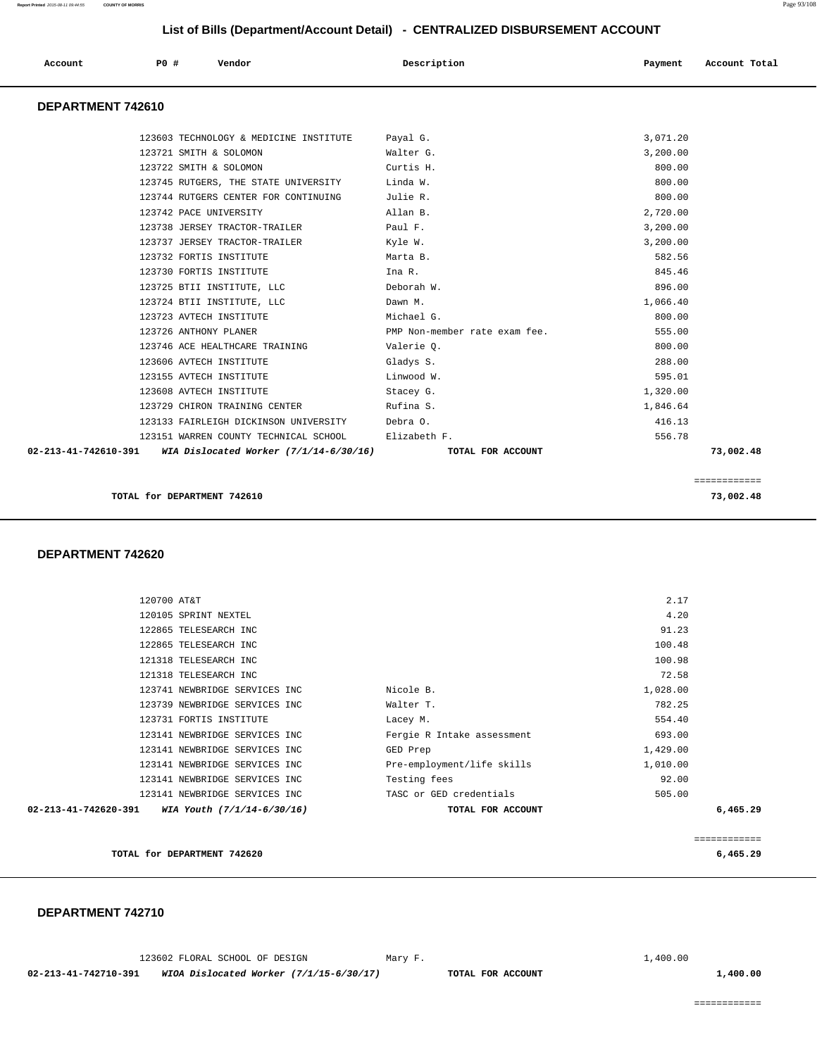| Account              | P0 # | Vendor                                   | Description                   | Payment  | Account Total |
|----------------------|------|------------------------------------------|-------------------------------|----------|---------------|
| DEPARTMENT 742610    |      |                                          |                               |          |               |
|                      |      | 123603 TECHNOLOGY & MEDICINE INSTITUTE   | Payal G.                      | 3,071.20 |               |
|                      |      | 123721 SMITH & SOLOMON                   | Walter G.                     | 3,200.00 |               |
|                      |      | 123722 SMITH & SOLOMON                   | Curtis H.                     | 800.00   |               |
|                      |      | 123745 RUTGERS, THE STATE UNIVERSITY     | Linda W.                      | 800.00   |               |
|                      |      | 123744 RUTGERS CENTER FOR CONTINUING     | Julie R.                      | 800.00   |               |
|                      |      | 123742 PACE UNIVERSITY                   | Allan B.                      | 2,720.00 |               |
|                      |      | 123738 JERSEY TRACTOR-TRAILER            | Paul F.                       | 3,200.00 |               |
|                      |      | 123737 JERSEY TRACTOR-TRAILER            | Kyle W.                       | 3,200.00 |               |
|                      |      | 123732 FORTIS INSTITUTE                  | Marta B.                      | 582.56   |               |
|                      |      | 123730 FORTIS INSTITUTE                  | Ina R.                        | 845.46   |               |
|                      |      | 123725 BTII INSTITUTE, LLC               | Deborah W.                    | 896.00   |               |
|                      |      | 123724 BTII INSTITUTE, LLC               | Dawn M.                       | 1,066.40 |               |
|                      |      | 123723 AVTECH INSTITUTE                  | Michael G.                    | 800.00   |               |
|                      |      | 123726 ANTHONY PLANER                    | PMP Non-member rate exam fee. | 555.00   |               |
|                      |      | 123746 ACE HEALTHCARE TRAINING           | Valerie Q.                    | 800.00   |               |
|                      |      | 123606 AVTECH INSTITUTE                  | Gladys S.                     | 288.00   |               |
|                      |      | 123155 AVTECH INSTITUTE                  | Linwood W.                    | 595.01   |               |
|                      |      | 123608 AVTECH INSTITUTE                  | Stacey G.                     | 1,320.00 |               |
|                      |      | 123729 CHIRON TRAINING CENTER            | Rufina S.                     | 1,846.64 |               |
|                      |      | 123133 FAIRLEIGH DICKINSON UNIVERSITY    | Debra 0.                      | 416.13   |               |
|                      |      | 123151 WARREN COUNTY TECHNICAL SCHOOL    | Elizabeth F.                  | 556.78   |               |
| 02-213-41-742610-391 |      | WIA Dislocated Worker $(7/1/14-6/30/16)$ | TOTAL FOR ACCOUNT             |          | 73,002.48     |

 **DEPARTMENT 742620** 

|                      |                               |                            | ============ |
|----------------------|-------------------------------|----------------------------|--------------|
| 02-213-41-742620-391 | WIA Youth (7/1/14-6/30/16)    | TOTAL FOR ACCOUNT          | 6,465.29     |
|                      | 123141 NEWBRIDGE SERVICES INC | TASC or GED credentials    | 505.00       |
|                      | 123141 NEWBRIDGE SERVICES INC | Testing fees               | 92.00        |
|                      | 123141 NEWBRIDGE SERVICES INC | Pre-employment/life skills | 1,010.00     |
|                      | 123141 NEWBRIDGE SERVICES INC | GED Prep                   | 1,429.00     |
|                      | 123141 NEWBRIDGE SERVICES INC | Fergie R Intake assessment | 693.00       |
|                      | 123731 FORTIS INSTITUTE       | Lacey M.                   | 554.40       |
|                      | 123739 NEWBRIDGE SERVICES INC | Walter T.                  | 782.25       |
|                      | 123741 NEWBRIDGE SERVICES INC | Nicole B.                  | 1,028.00     |
|                      | 121318 TELESEARCH INC         |                            | 72.58        |
|                      | 121318 TELESEARCH INC         |                            | 100.98       |
|                      | 122865 TELESEARCH INC         |                            | 100.48       |
|                      | 122865 TELESEARCH INC         |                            | 91.23        |
|                      | 120105 SPRINT NEXTEL          |                            | 4.20         |
|                      | 120700 AT&T                   |                            | 2.17         |
|                      |                               |                            |              |

**TOTAL for DEPARTMENT 742620 6,465.29**

#### **DEPARTMENT 742710**

|                      | 123602 FLORAL SCHOOL OF DESIGN          | Mary F. | $\perp$ , 400, 00 |          |
|----------------------|-----------------------------------------|---------|-------------------|----------|
| 02-213-41-742710-391 | WIOA Dislocated Worker (7/1/15-6/30/17) |         | TOTAL FOR ACCOUNT | 1,400.00 |

============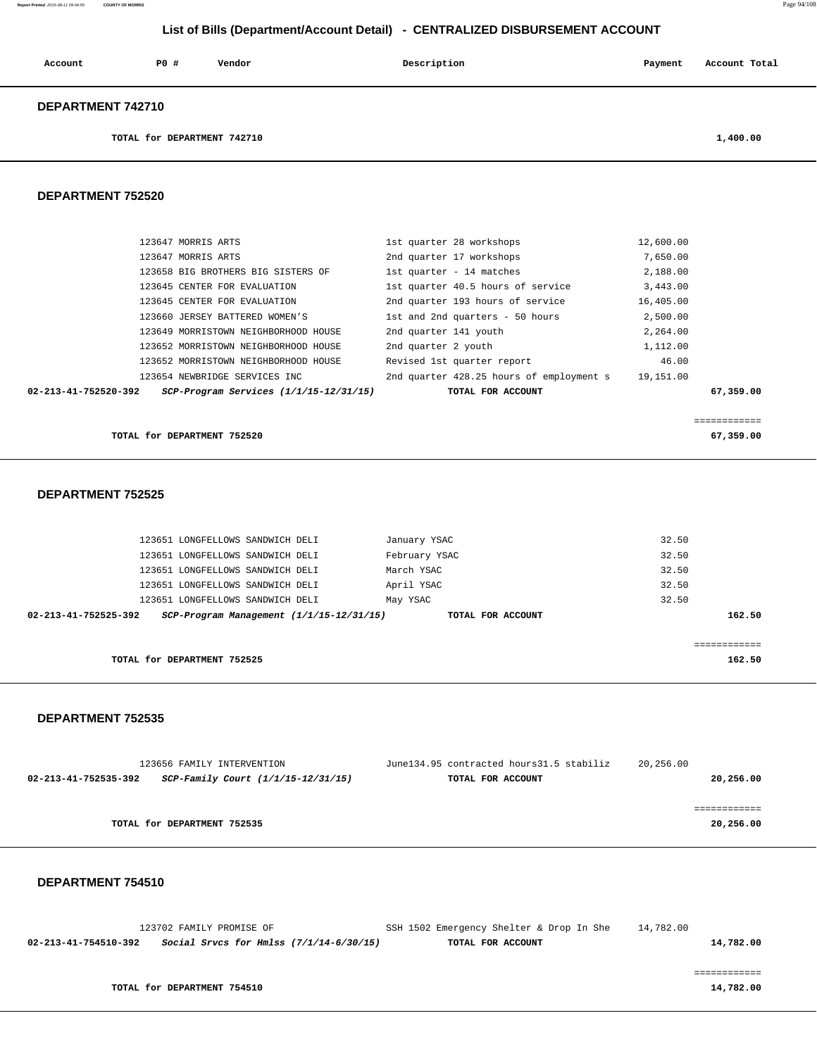| Account | P0 # | Vendor | Description | Payment | Account Total |
|---------|------|--------|-------------|---------|---------------|
|         |      |        |             |         |               |

#### **DEPARTMENT 742710**

**TOTAL for DEPARTMENT 742710** 1,400.00

#### **DEPARTMENT 752520**

| $02 - 213 - 41 - 752520 - 392$ | $SCP-Program$ Services $(1/1/15-12/31/15)$ | TOTAL FOR ACCOUNT                        |           | 67,359.00 |
|--------------------------------|--------------------------------------------|------------------------------------------|-----------|-----------|
|                                | 123654 NEWBRIDGE SERVICES INC              | 2nd quarter 428.25 hours of employment s | 19,151.00 |           |
|                                | 123652 MORRISTOWN NEIGHBORHOOD HOUSE       | Revised 1st quarter report               | 46.00     |           |
|                                | 123652 MORRISTOWN NEIGHBORHOOD HOUSE       | 2nd quarter 2 youth                      | 1,112.00  |           |
|                                | 123649 MORRISTOWN NEIGHBORHOOD HOUSE       | 2nd quarter 141 youth                    | 2,264.00  |           |
|                                | 123660 JERSEY BATTERED WOMEN'S             | 1st and 2nd quarters - 50 hours          | 2,500.00  |           |
|                                | 123645 CENTER FOR EVALUATION               | 2nd quarter 193 hours of service         | 16,405.00 |           |
|                                | 123645 CENTER FOR EVALUATION               | 1st quarter 40.5 hours of service        | 3.443.00  |           |
|                                | 123658 BIG BROTHERS BIG SISTERS OF         | 1st quarter - 14 matches                 | 2,188.00  |           |
|                                | 123647 MORRIS ARTS                         | 2nd quarter 17 workshops                 | 7,650.00  |           |
|                                | 123647 MORRIS ARTS                         | 1st quarter 28 workshops                 | 12,600.00 |           |

============

**TOTAL for DEPARTMENT 752520 67,359.00**

### **DEPARTMENT 752525**

| 32.50       | January YSAC      |                                              | 123651 LONGFELLOWS SANDWICH DELI |                      |
|-------------|-------------------|----------------------------------------------|----------------------------------|----------------------|
| 32.50       | February YSAC     |                                              | 123651 LONGFELLOWS SANDWICH DELI |                      |
| 32.50       | March YSAC        |                                              | 123651 LONGFELLOWS SANDWICH DELI |                      |
| 32.50       | April YSAC        |                                              | 123651 LONGFELLOWS SANDWICH DELI |                      |
| 32.50       | May YSAC          |                                              | 123651 LONGFELLOWS SANDWICH DELI |                      |
| 162.50      | TOTAL FOR ACCOUNT | $SCP-Program$ Management $(1/1/15-12/31/15)$ |                                  | 02-213-41-752525-392 |
|             |                   |                                              |                                  |                      |
| eeeeeeeeeee |                   |                                              |                                  |                      |
| 162.50      |                   |                                              | TOTAL for DEPARTMENT 752525      |                      |
|             |                   |                                              |                                  |                      |

#### **DEPARTMENT 752535**

| 123656 FAMILY INTERVENTION                                 | June134.95 contracted hours31.5 stabiliz | 20,256.00 |
|------------------------------------------------------------|------------------------------------------|-----------|
| SCP-Family Court (1/1/15-12/31/15)<br>02-213-41-752535-392 | TOTAL FOR ACCOUNT                        | 20,256.00 |
|                                                            |                                          |           |
|                                                            |                                          |           |
| TOTAL for DEPARTMENT 752535                                |                                          | 20,256.00 |
|                                                            |                                          |           |

#### **DEPARTMENT 754510**

 123702 FAMILY PROMISE OF SSH 1502 Emergency Shelter & Drop In She 14,782.00  **02-213-41-754510-392 Social Srvcs for Hmlss (7/1/14-6/30/15) TOTAL FOR ACCOUNT 14,782.00** ============

**TOTAL for DEPARTMENT 754510** 14,782.00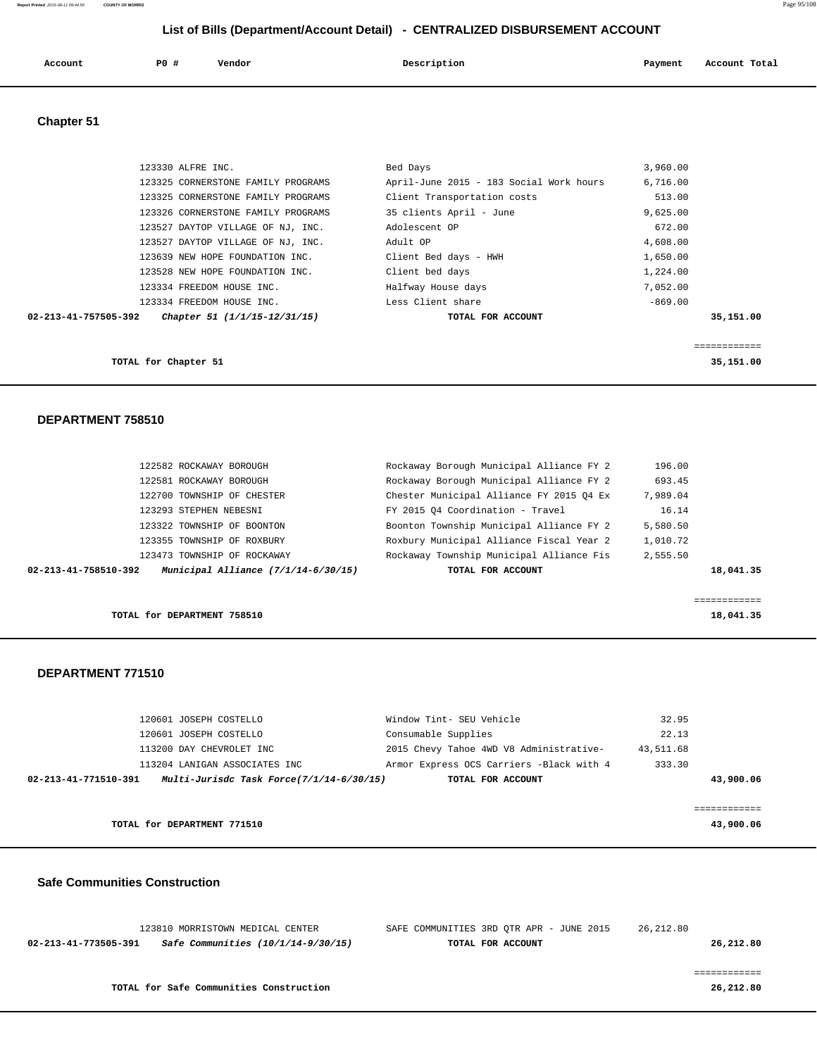| Account<br>. | <b>PO #</b> | Vendor | Description | Payment | Account Total |
|--------------|-------------|--------|-------------|---------|---------------|
|              |             |        |             |         |               |

### **Chapter 51**

| 123330 ALFRE INC.                                    | Bed Days                                | 3,960.00  |
|------------------------------------------------------|-----------------------------------------|-----------|
| 123325 CORNERSTONE FAMILY PROGRAMS                   | April-June 2015 - 183 Social Work hours | 6,716.00  |
| 123325 CORNERSTONE FAMILY PROGRAMS                   | Client Transportation costs             | 513.00    |
| 123326 CORNERSTONE FAMILY PROGRAMS                   | 35 clients April - June                 | 9,625.00  |
| 123527 DAYTOP VILLAGE OF NJ, INC.                    | Adolescent OP                           | 672.00    |
| 123527 DAYTOP VILLAGE OF NJ, INC.                    | Adult OP                                | 4,608.00  |
| 123639 NEW HOPE FOUNDATION INC.                      | Client Bed days - HWH                   | 1,650.00  |
| 123528 NEW HOPE FOUNDATION INC.                      | Client bed days                         | 1,224.00  |
| 123334 FREEDOM HOUSE INC.                            | Halfway House days                      | 7,052.00  |
| 123334 FREEDOM HOUSE INC.                            | Less Client share                       | $-869.00$ |
| 02-213-41-757505-392<br>Chapter 51 (1/1/15-12/31/15) | TOTAL FOR ACCOUNT                       | 35,151.00 |
|                                                      |                                         |           |
|                                                      |                                         |           |
| TOTAL for Chapter 51                                 |                                         | 35,151.00 |

#### **DEPARTMENT 758510**

| 02-213-41-758510-392 |                             | Municipal Alliance $(7/1/14-6/30/15)$ | TOTAL FOR ACCOUNT                        |          | 18,041.35 |
|----------------------|-----------------------------|---------------------------------------|------------------------------------------|----------|-----------|
|                      | 123473 TOWNSHIP OF ROCKAWAY |                                       | Rockaway Township Municipal Alliance Fis | 2,555.50 |           |
|                      | 123355 TOWNSHIP OF ROXBURY  |                                       | Roxbury Municipal Alliance Fiscal Year 2 | 1,010.72 |           |
|                      | 123322 TOWNSHIP OF BOONTON  |                                       | Boonton Township Municipal Alliance FY 2 | 5,580.50 |           |
|                      | 123293 STEPHEN NEBESNI      |                                       | FY 2015 04 Coordination - Travel         | 16.14    |           |
|                      | 122700 TOWNSHIP OF CHESTER  |                                       | Chester Municipal Alliance FY 2015 04 Ex | 7,989.04 |           |
|                      | 122581 ROCKAWAY BOROUGH     |                                       | Rockaway Borough Municipal Alliance FY 2 | 693.45   |           |
|                      | 122582 ROCKAWAY BOROUGH     |                                       | Rockaway Borough Municipal Alliance FY 2 | 196.00   |           |
|                      |                             |                                       |                                          |          |           |

#### **DEPARTMENT 771510**

| 120601 JOSEPH COSTELLO                                           | Window Tint- SEU Vehicle                 | 32.95     |
|------------------------------------------------------------------|------------------------------------------|-----------|
| 120601 JOSEPH COSTELLO                                           | Consumable Supplies                      | 22.13     |
| 113200 DAY CHEVROLET INC                                         | 2015 Chevy Tahoe 4WD V8 Administrative-  | 43,511.68 |
| 113204 LANIGAN ASSOCIATES INC                                    | Armor Express OCS Carriers -Black with 4 | 333.30    |
| Multi-Jurisdc Task Force(7/1/14-6/30/15)<br>02-213-41-771510-391 | TOTAL FOR ACCOUNT                        | 43,900.06 |
|                                                                  |                                          |           |
|                                                                  |                                          |           |
| TOTAL for DEPARTMENT 771510                                      |                                          | 43,900.06 |
|                                                                  |                                          |           |

#### **Safe Communities Construction**

|                      | 123810 MORRISTOWN MEDICAL CENTER        | SAFE COMMUNITIES 3RD OTR APR - JUNE 2015 |                   | 26,212.80 |  |           |
|----------------------|-----------------------------------------|------------------------------------------|-------------------|-----------|--|-----------|
| 02-213-41-773505-391 | Safe Communities (10/1/14-9/30/15)      |                                          | TOTAL FOR ACCOUNT |           |  | 26,212.80 |
|                      |                                         |                                          |                   |           |  |           |
|                      |                                         |                                          |                   |           |  |           |
|                      | TOTAL for Safe Communities Construction |                                          |                   |           |  | 26,212.80 |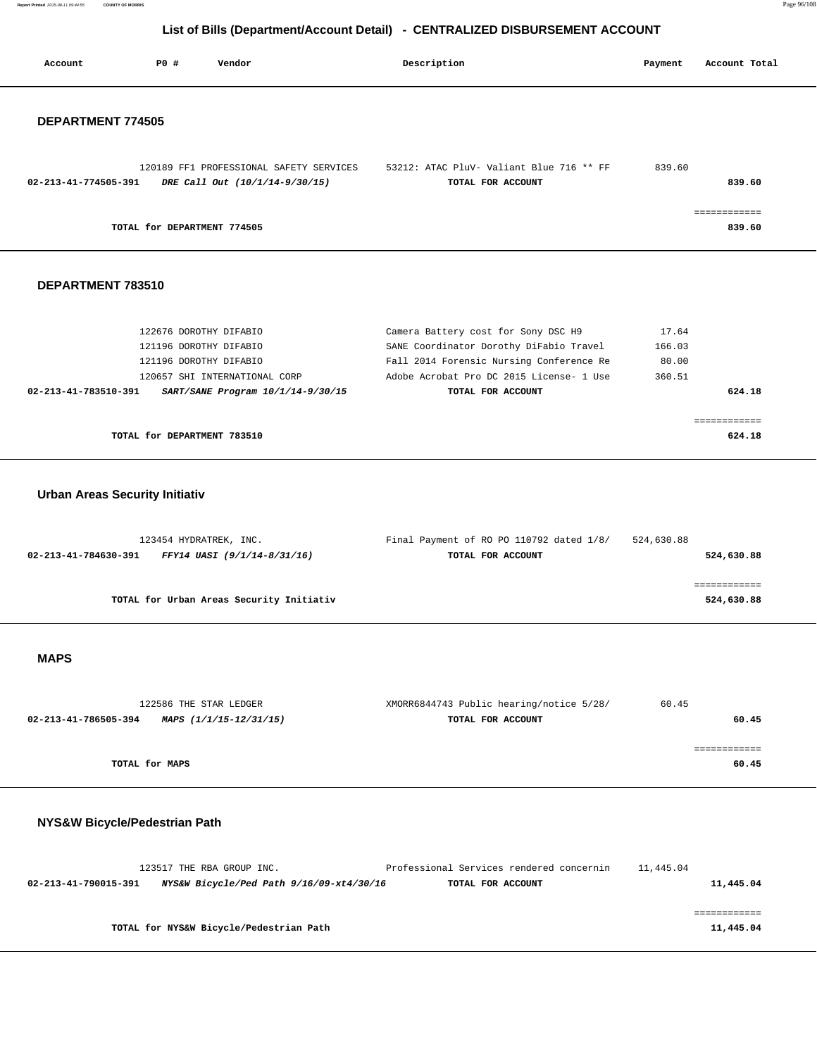**Report Printed** 2015-08-11 09:44:55 **COUNTY OF MORRIS** Page 96/108

### **List of Bills (Department/Account Detail) - CENTRALIZED DISBURSEMENT ACCOUNT**

|                                       |                             | List of Bins (Bepartment/Rossaint Betail)                                                      |                                                                                |                 |               |
|---------------------------------------|-----------------------------|------------------------------------------------------------------------------------------------|--------------------------------------------------------------------------------|-----------------|---------------|
| Account                               | P0 #                        | Vendor                                                                                         | Description                                                                    | Payment         | Account Total |
| DEPARTMENT 774505                     |                             |                                                                                                |                                                                                |                 |               |
|                                       |                             |                                                                                                |                                                                                |                 |               |
|                                       |                             | 120189 FF1 PROFESSIONAL SAFETY SERVICES<br>02-213-41-774505-391 DRE Call Out (10/1/14-9/30/15) | 53212: ATAC PluV- Valiant Blue 716 ** FF<br>TOTAL FOR ACCOUNT                  | 839.60          | 839.60        |
|                                       |                             | TOTAL for DEPARTMENT 774505                                                                    |                                                                                |                 | 839.60        |
| DEPARTMENT 783510                     |                             |                                                                                                |                                                                                |                 |               |
|                                       |                             |                                                                                                |                                                                                |                 |               |
|                                       |                             | 122676 DOROTHY DIFABIO<br>121196 DOROTHY DIFABIO                                               | Camera Battery cost for Sony DSC H9<br>SANE Coordinator Dorothy DiFabio Travel | 17.64<br>166.03 |               |
|                                       |                             | 121196 DOROTHY DIFABIO                                                                         | Fall 2014 Forensic Nursing Conference Re                                       | 80.00           |               |
|                                       |                             | 120657 SHI INTERNATIONAL CORP                                                                  | Adobe Acrobat Pro DC 2015 License- 1 Use                                       | 360.51          |               |
| 02-213-41-783510-391                  |                             | SART/SANE Program 10/1/14-9/30/15                                                              | TOTAL FOR ACCOUNT                                                              |                 | 624.18        |
|                                       |                             |                                                                                                |                                                                                |                 |               |
|                                       |                             |                                                                                                |                                                                                |                 | ============  |
|                                       | TOTAL for DEPARTMENT 783510 |                                                                                                |                                                                                |                 | 624.18        |
|                                       |                             |                                                                                                |                                                                                |                 |               |
| <b>Urban Areas Security Initiativ</b> |                             |                                                                                                |                                                                                |                 |               |
|                                       |                             |                                                                                                |                                                                                |                 |               |
|                                       |                             |                                                                                                |                                                                                |                 |               |
|                                       |                             | 123454 HYDRATREK, INC.                                                                         | Final Payment of RO PO 110792 dated 1/8/<br>TOTAL FOR ACCOUNT                  | 524,630.88      |               |
| 02-213-41-784630-391                  |                             | FFY14 UASI (9/1/14-8/31/16)                                                                    |                                                                                |                 | 524,630.88    |
|                                       |                             |                                                                                                |                                                                                |                 | ============  |
|                                       |                             | TOTAL for Urban Areas Security Initiativ                                                       |                                                                                |                 | 524,630.88    |
|                                       |                             |                                                                                                |                                                                                |                 |               |
|                                       |                             |                                                                                                |                                                                                |                 |               |
| <b>MAPS</b>                           |                             |                                                                                                |                                                                                |                 |               |
|                                       |                             |                                                                                                |                                                                                |                 |               |
|                                       |                             |                                                                                                |                                                                                |                 |               |
|                                       |                             | 122586 THE STAR LEDGER                                                                         | XMORR6844743 Public hearing/notice 5/28/                                       | 60.45           |               |
| 02-213-41-786505-394                  |                             | MAPS (1/1/15-12/31/15)                                                                         | TOTAL FOR ACCOUNT                                                              |                 | 60.45         |
|                                       |                             |                                                                                                |                                                                                |                 |               |
|                                       |                             |                                                                                                |                                                                                |                 | ============  |

**TOTAL for MAPS** 60.45

### **NYS&W Bicycle/Pedestrian Path**

|                      | 123517 THE RBA GROUP INC.                | Professional Services rendered concernin | 11,445.04 |           |
|----------------------|------------------------------------------|------------------------------------------|-----------|-----------|
| 02-213-41-790015-391 | NYS&W Bicycle/Ped Path 9/16/09-xt4/30/16 | TOTAL FOR ACCOUNT                        |           | 11,445.04 |
|                      |                                          |                                          |           |           |
|                      |                                          |                                          |           |           |
|                      | TOTAL for NYS&W Bicycle/Pedestrian Path  |                                          |           | 11,445.04 |
|                      |                                          |                                          |           |           |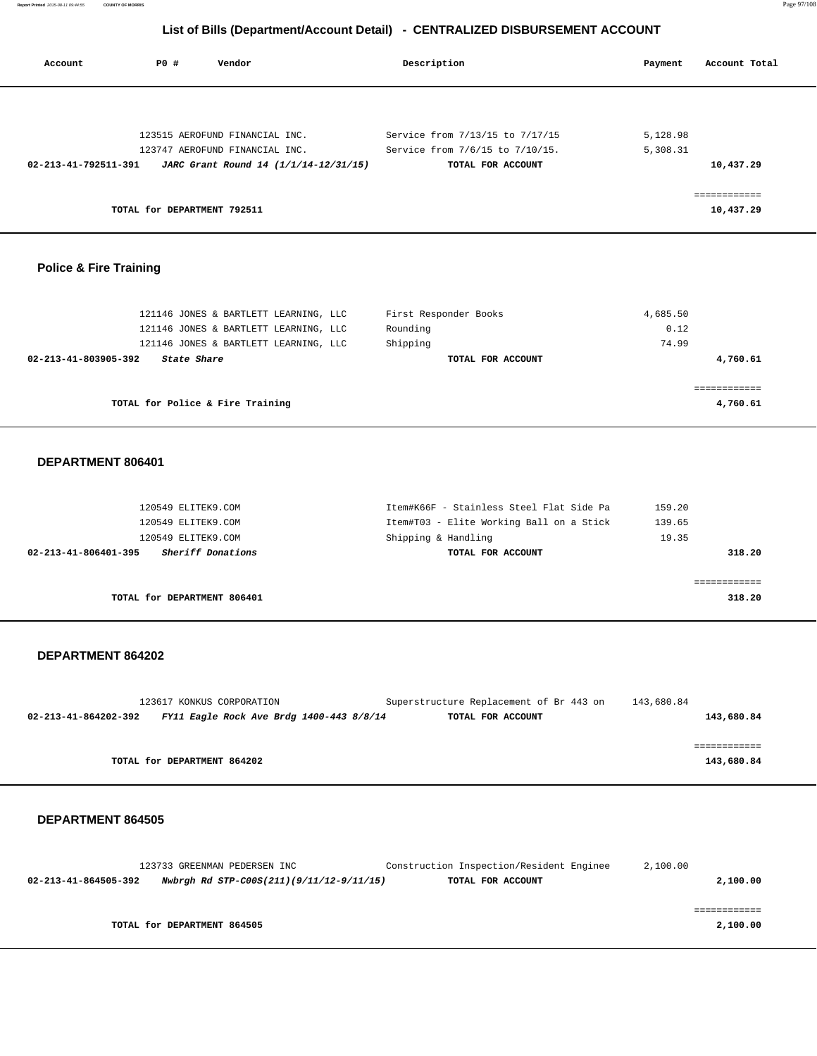| Account                        | <b>PO #</b>                 | Vendor                                | Description                     | Payment  | Account Total |
|--------------------------------|-----------------------------|---------------------------------------|---------------------------------|----------|---------------|
|                                |                             |                                       |                                 |          |               |
|                                |                             | 123515 AEROFUND FINANCIAL INC.        | Service from 7/13/15 to 7/17/15 | 5,128.98 |               |
|                                |                             | 123747 AEROFUND FINANCIAL INC.        | Service from 7/6/15 to 7/10/15. | 5,308.31 |               |
| $02 - 213 - 41 - 792511 - 391$ |                             | JARC Grant Round 14 (1/1/14-12/31/15) | TOTAL FOR ACCOUNT               |          | 10,437.29     |
|                                |                             |                                       |                                 |          | ------------  |
|                                | TOTAL for DEPARTMENT 792511 |                                       |                                 |          | 10,437.29     |
|                                |                             |                                       |                                 |          |               |

### **Police & Fire Training**

| 121146 JONES & BARTLETT LEARNING, LLC | First Responder Books | 4,685.50 |
|---------------------------------------|-----------------------|----------|
| 121146 JONES & BARTLETT LEARNING, LLC | Rounding              | 0.12     |
| 121146 JONES & BARTLETT LEARNING, LLC | Shipping              | 74.99    |
| 02-213-41-803905-392<br>State Share   | TOTAL FOR ACCOUNT     | 4,760.61 |
|                                       |                       |          |
|                                       |                       |          |
| TOTAL for Police & Fire Training      |                       | 4,760.61 |

### **DEPARTMENT 806401**

| 120549 ELITEK9.COM                        | Item#K66F - Stainless Steel Flat Side Pa | 159.20 |
|-------------------------------------------|------------------------------------------|--------|
| 120549 ELITEK9.COM                        | Item#T03 - Elite Working Ball on a Stick | 139.65 |
| 120549 ELITEK9.COM                        | Shipping & Handling                      | 19.35  |
| Sheriff Donations<br>02-213-41-806401-395 | TOTAL FOR ACCOUNT                        | 318.20 |
|                                           |                                          |        |
|                                           |                                          |        |
| TOTAL for DEPARTMENT 806401               |                                          | 318.20 |

#### **DEPARTMENT 864202**

|                      | 123617 KONKUS CORPORATION                | Superstructure Replacement of Br 443 on | 143,680.84 |
|----------------------|------------------------------------------|-----------------------------------------|------------|
| 02-213-41-864202-392 | FY11 Eagle Rock Ave Brdg 1400-443 8/8/14 | TOTAL FOR ACCOUNT                       | 143,680.84 |
|                      |                                          |                                         |            |
|                      |                                          |                                         |            |
|                      | TOTAL for DEPARTMENT 864202              |                                         | 143,680.84 |

| 123733 GREENMAN PEDERSEN INC                                     | Construction Inspection/Resident Enginee | 2,100.00 |
|------------------------------------------------------------------|------------------------------------------|----------|
| Nwbrgh Rd STP-C00S(211)(9/11/12-9/11/15)<br>02-213-41-864505-392 | TOTAL FOR ACCOUNT                        | 2,100.00 |
|                                                                  |                                          |          |
|                                                                  |                                          |          |
| TOTAL for DEPARTMENT 864505                                      |                                          | 2,100.00 |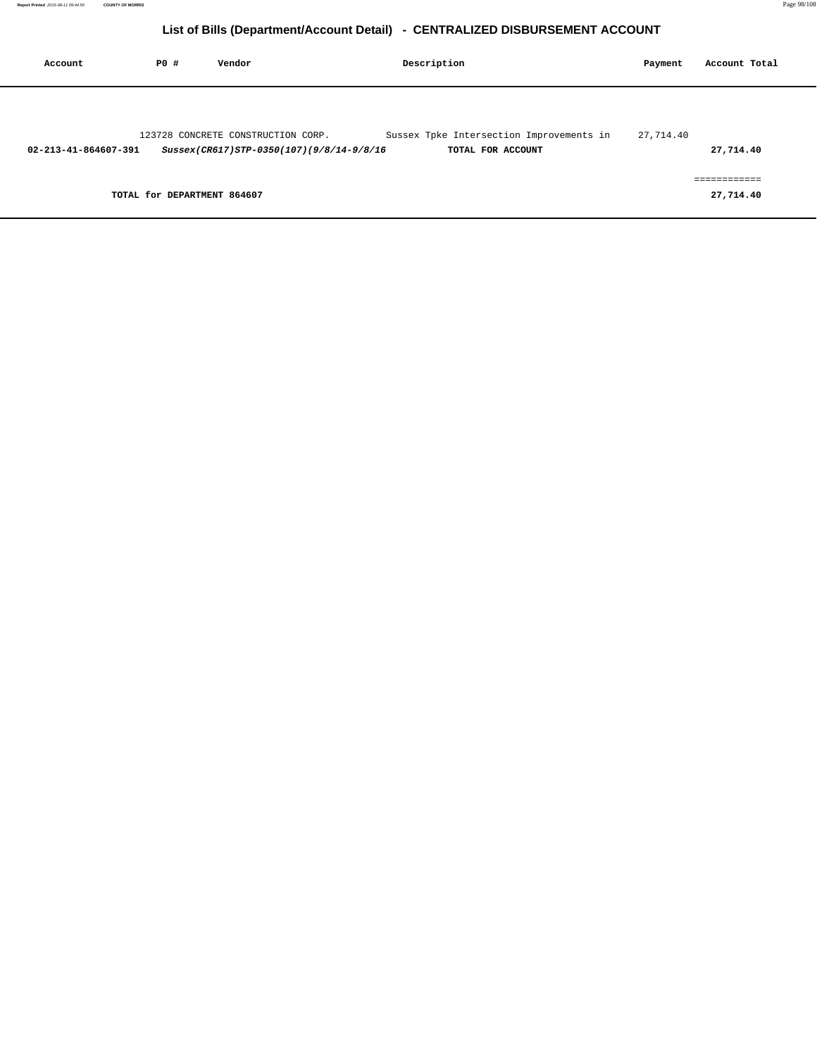| Account              | PO#                         | Vendor                                   | Description                              | Payment   | Account Total             |
|----------------------|-----------------------------|------------------------------------------|------------------------------------------|-----------|---------------------------|
|                      |                             |                                          |                                          |           |                           |
|                      |                             | 123728 CONCRETE CONSTRUCTION CORP.       | Sussex Tpke Intersection Improvements in | 27,714.40 |                           |
| 02-213-41-864607-391 |                             | Sussex(CR617)STP-0350(107)(9/8/14-9/8/16 | TOTAL FOR ACCOUNT                        |           | 27,714.40                 |
|                      | TOTAL for DEPARTMENT 864607 |                                          |                                          |           | ------------<br>27,714.40 |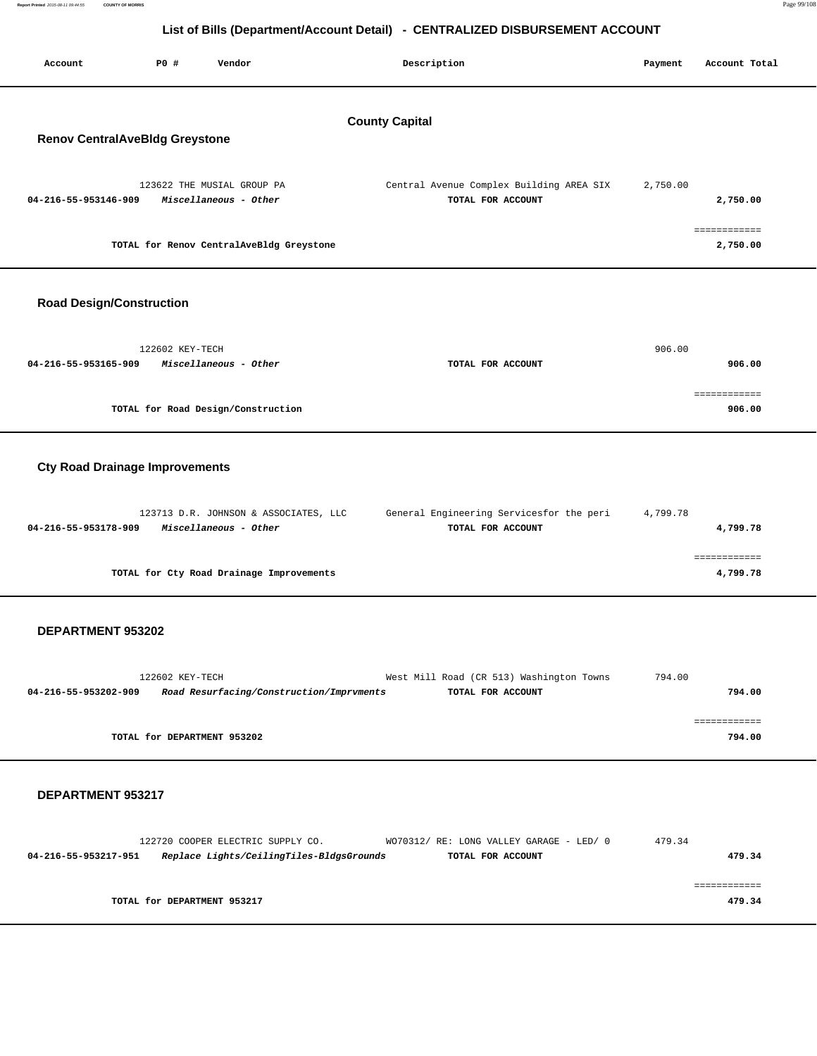| List of Bills (Department/Account Detail) - CENTRALIZED DISBURSEMENT ACCOUNT |                                                                               |                                                               |          |                        |
|------------------------------------------------------------------------------|-------------------------------------------------------------------------------|---------------------------------------------------------------|----------|------------------------|
| <b>PO #</b><br>Account                                                       | Vendor                                                                        | Description                                                   | Payment  | Account Total          |
| <b>Renov CentralAveBldg Greystone</b>                                        |                                                                               | <b>County Capital</b>                                         |          |                        |
| 04-216-55-953146-909                                                         | 123622 THE MUSIAL GROUP PA<br>Miscellaneous - Other                           | Central Avenue Complex Building AREA SIX<br>TOTAL FOR ACCOUNT | 2,750.00 | 2,750.00               |
|                                                                              | TOTAL for Renov CentralAveBldg Greystone                                      |                                                               |          | 2,750.00               |
| <b>Road Design/Construction</b>                                              |                                                                               |                                                               |          |                        |
| 04-216-55-953165-909                                                         | 122602 KEY-TECH<br>Miscellaneous - Other                                      | TOTAL FOR ACCOUNT                                             | 906.00   | 906.00                 |
|                                                                              | TOTAL for Road Design/Construction                                            |                                                               |          | ============<br>906.00 |
| <b>Cty Road Drainage Improvements</b>                                        |                                                                               |                                                               |          |                        |
| 04-216-55-953178-909                                                         | 123713 D.R. JOHNSON & ASSOCIATES, LLC<br>Miscellaneous - Other                | General Engineering Servicesfor the peri<br>TOTAL FOR ACCOUNT | 4,799.78 | 4,799.78               |
|                                                                              | TOTAL for Cty Road Drainage Improvements                                      |                                                               |          | 4,799.78               |
| DEPARTMENT 953202                                                            |                                                                               |                                                               |          |                        |
| 04-216-55-953202-909                                                         | 122602 KEY-TECH<br>Road Resurfacing/Construction/Imprvments                   | West Mill Road (CR 513) Washington Towns<br>TOTAL FOR ACCOUNT | 794.00   | 794.00                 |
|                                                                              | TOTAL for DEPARTMENT 953202                                                   |                                                               |          | ============<br>794.00 |
| <b>DEPARTMENT 953217</b>                                                     |                                                                               |                                                               |          |                        |
| 04-216-55-953217-951                                                         | 122720 COOPER ELECTRIC SUPPLY CO.<br>Replace Lights/CeilingTiles-BldgsGrounds | WO70312/ RE: LONG VALLEY GARAGE - LED/ 0<br>TOTAL FOR ACCOUNT | 479.34   | 479.34                 |
|                                                                              | TOTAL for DEPARTMENT 953217                                                   |                                                               |          | ============<br>479.34 |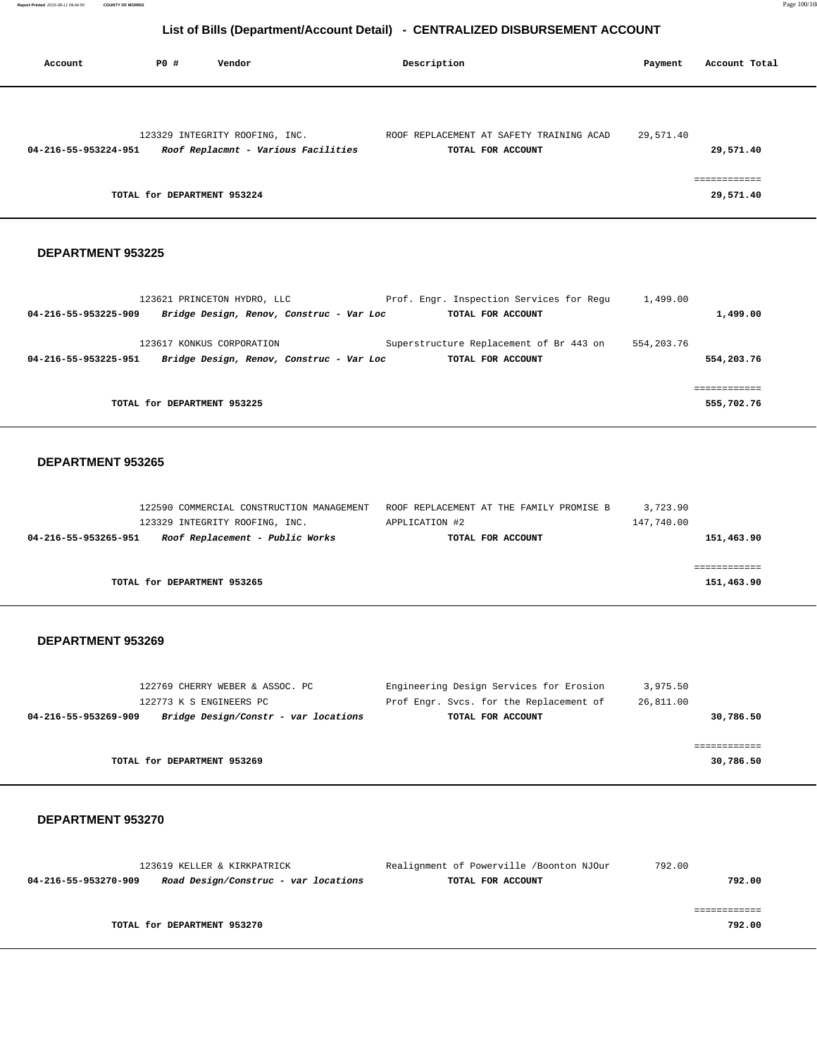**Report Printed** 2015-08-11 09:44:55 **COUNTY OF MORRIS** Page 100/108

### **List of Bills (Department/Account Detail) - CENTRALIZED DISBURSEMENT ACCOUNT**

| Account              | P0 #                        | Vendor                                                                | Description                                                   | Payment   | Account Total            |
|----------------------|-----------------------------|-----------------------------------------------------------------------|---------------------------------------------------------------|-----------|--------------------------|
|                      |                             |                                                                       |                                                               |           |                          |
| 04-216-55-953224-951 |                             | 123329 INTEGRITY ROOFING, INC.<br>Roof Replacmnt - Various Facilities | ROOF REPLACEMENT AT SAFETY TRAINING ACAD<br>TOTAL FOR ACCOUNT | 29,571.40 | 29,571.40                |
|                      | TOTAL for DEPARTMENT 953224 |                                                                       |                                                               |           | -----------<br>29,571.40 |

### **DEPARTMENT 953225**

|                      | 123621 PRINCETON HYDRO, LLC              | Prof. Engr. Inspection Services for Requ | 1,499.00   |            |
|----------------------|------------------------------------------|------------------------------------------|------------|------------|
| 04-216-55-953225-909 | Bridge Design, Renov, Construc - Var Loc | TOTAL FOR ACCOUNT                        |            | 1,499.00   |
|                      | 123617 KONKUS CORPORATION                | Superstructure Replacement of Br 443 on  | 554,203.76 |            |
| 04-216-55-953225-951 | Bridge Design, Renov, Construc - Var Loc | TOTAL FOR ACCOUNT                        |            | 554,203.76 |
|                      |                                          |                                          |            |            |
|                      | TOTAL for DEPARTMENT 953225              |                                          |            | 555,702.76 |

#### **DEPARTMENT 953265**

|                      | 122590 COMMERCIAL CONSTRUCTION MANAGEMENT | ROOF REPLACEMENT AT THE FAMILY PROMISE B |                   | 3,723.90   |            |
|----------------------|-------------------------------------------|------------------------------------------|-------------------|------------|------------|
|                      | 123329 INTEGRITY ROOFING, INC.            | APPLICATION #2                           |                   | 147,740.00 |            |
| 04-216-55-953265-951 | Roof Replacement - Public Works           |                                          | TOTAL FOR ACCOUNT |            | 151,463.90 |
|                      |                                           |                                          |                   |            |            |
|                      |                                           |                                          |                   |            |            |
|                      | TOTAL for DEPARTMENT 953265               |                                          |                   |            | 151,463.90 |
|                      |                                           |                                          |                   |            |            |

#### **DEPARTMENT 953269**

| 122769 CHERRY WEBER & ASSOC. PC                              | Engineering Design Services for Erosion | 3,975.50  |
|--------------------------------------------------------------|-----------------------------------------|-----------|
| 122773 K S ENGINEERS PC                                      | Prof Engr. Svcs. for the Replacement of | 26,811.00 |
| Bridge Design/Constr - var locations<br>04-216-55-953269-909 | TOTAL FOR ACCOUNT                       | 30,786.50 |
|                                                              |                                         |           |
|                                                              |                                         |           |
| TOTAL for DEPARTMENT 953269                                  |                                         | 30,786.50 |
|                                                              |                                         |           |

|                      | 123619 KELLER & KIRKPATRICK          | Realignment of Powerville /Boonton NJOur | 792.00 |
|----------------------|--------------------------------------|------------------------------------------|--------|
| 04-216-55-953270-909 | Road Design/Construc - var locations | TOTAL FOR ACCOUNT                        | 792.00 |
|                      |                                      |                                          |        |
|                      |                                      |                                          |        |
|                      | TOTAL for DEPARTMENT 953270          |                                          | 792.00 |
|                      |                                      |                                          |        |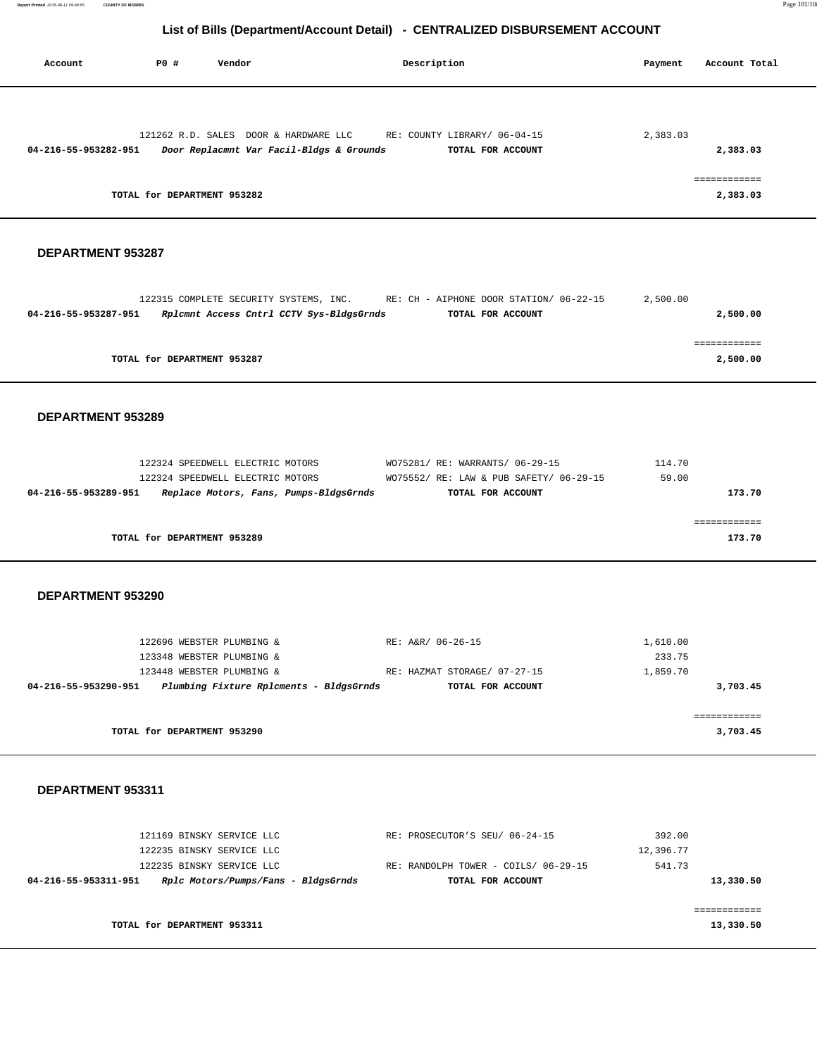**Report Printed** 2015-08-11 09:44:55 **COUNTY OF MORRIS** Page 101/108

### **List of Bills (Department/Account Detail) - CENTRALIZED DISBURSEMENT ACCOUNT**

| Account              | PO#                         | Vendor                                   | Description                  | Payment  | Account Total |
|----------------------|-----------------------------|------------------------------------------|------------------------------|----------|---------------|
|                      |                             |                                          |                              |          |               |
|                      |                             | 121262 R.D. SALES DOOR & HARDWARE LLC    | RE: COUNTY LIBRARY/ 06-04-15 | 2,383.03 |               |
| 04-216-55-953282-951 |                             | Door Replacmnt Var Facil-Bldgs & Grounds | TOTAL FOR ACCOUNT            |          | 2,383.03      |
|                      |                             |                                          |                              |          |               |
|                      |                             |                                          |                              |          | eessessesses  |
|                      | TOTAL for DEPARTMENT 953282 |                                          |                              |          | 2,383.03      |

#### **DEPARTMENT 953287**

|                      | 122315 COMPLETE SECURITY SYSTEMS, INC.   |  | RE: CH - AIPHONE DOOR STATION/ 06-22-15 | 2,500.00 |
|----------------------|------------------------------------------|--|-----------------------------------------|----------|
| 04-216-55-953287-951 | Rplcmnt Access Cntrl CCTV Sys-BldgsGrnds |  | TOTAL FOR ACCOUNT                       | 2,500.00 |
|                      |                                          |  |                                         |          |
|                      |                                          |  |                                         |          |
|                      | TOTAL for DEPARTMENT 953287              |  |                                         | 2,500.00 |

#### **DEPARTMENT 953289**

| 122324 SPEEDWELL ELECTRIC MOTORS                               | WO75281/ RE: WARRANTS/ 06-29-15         | 114.70 |
|----------------------------------------------------------------|-----------------------------------------|--------|
| 122324 SPEEDWELL ELECTRIC MOTORS                               | WO75552/ RE: LAW & PUB SAFETY/ 06-29-15 | 59.00  |
| Replace Motors, Fans, Pumps-BldgsGrnds<br>04-216-55-953289-951 | TOTAL FOR ACCOUNT                       | 173.70 |
|                                                                |                                         |        |
|                                                                |                                         |        |
| TOTAL for DEPARTMENT 953289                                    |                                         | 173.70 |
|                                                                |                                         |        |

#### **DEPARTMENT 953290**

|                                         | 1,610.00                                          |
|-----------------------------------------|---------------------------------------------------|
|                                         | 233.75                                            |
|                                         | 1,859.70                                          |
| TOTAL FOR ACCOUNT                       | 3,703.45                                          |
|                                         |                                                   |
|                                         |                                                   |
|                                         | 3,703.45                                          |
| Plumbing Fixture Rplcments - BldgsGrnds | RE: A&R/ 06-26-15<br>RE: HAZMAT STORAGE/ 07-27-15 |

|           | 392.00    | RE: PROSECUTOR'S SEU/ 06-24-15       | 121169 BINSKY SERVICE LLC           |                      |
|-----------|-----------|--------------------------------------|-------------------------------------|----------------------|
|           | 12,396.77 |                                      | 122235 BINSKY SERVICE LLC           |                      |
|           | 541.73    | RE: RANDOLPH TOWER - COILS/ 06-29-15 | 122235 BINSKY SERVICE LLC           |                      |
| 13,330.50 |           | TOTAL FOR ACCOUNT                    | Rplc Motors/Pumps/Fans - BldgsGrnds | 04-216-55-953311-951 |
|           |           |                                      |                                     |                      |
|           |           |                                      |                                     |                      |
| 13,330.50 |           |                                      | TOTAL for DEPARTMENT 953311         |                      |
|           |           |                                      |                                     |                      |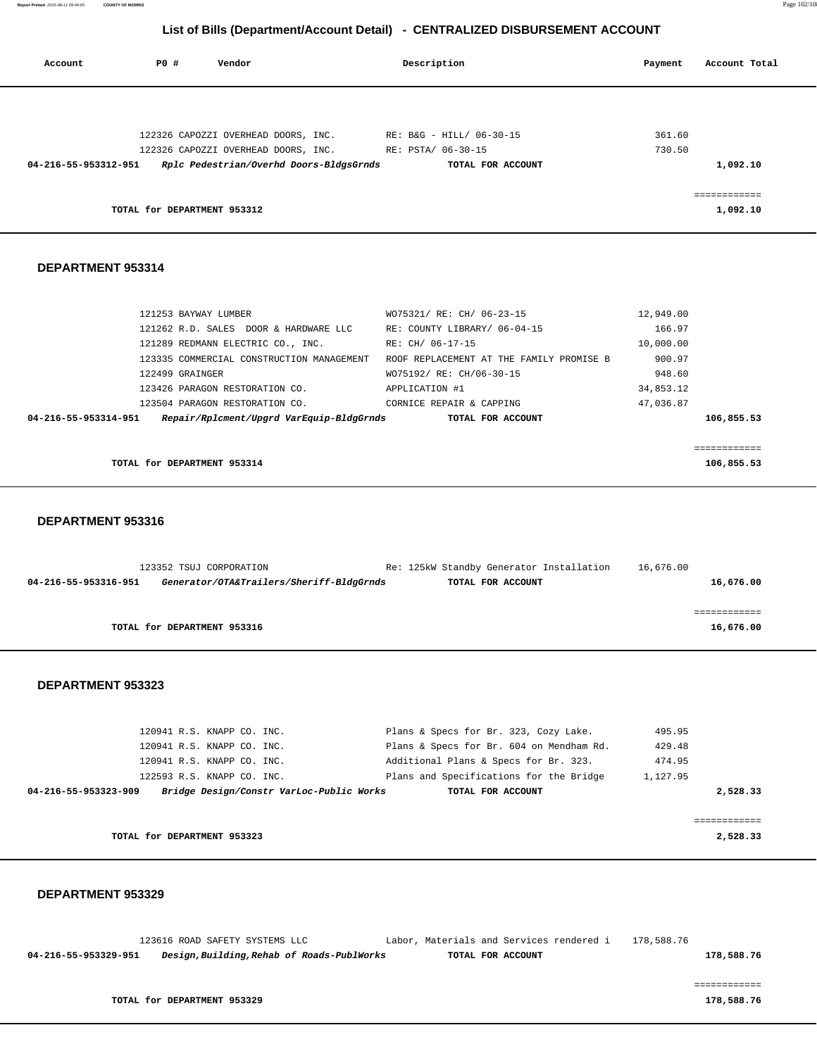**Report Printed** 2015-08-11 09:44:55 **COUNTY OF MORRIS** Page 102/108

### **List of Bills (Department/Account Detail) - CENTRALIZED DISBURSEMENT ACCOUNT**

| Account              | PO# | Vendor                                  | Description |                          | Payment | Account Total            |
|----------------------|-----|-----------------------------------------|-------------|--------------------------|---------|--------------------------|
|                      |     |                                         |             |                          |         |                          |
|                      |     | 122326 CAPOZZI OVERHEAD DOORS, INC.     |             | RE: B&G - HILL/ 06-30-15 | 361.60  |                          |
|                      |     | 122326 CAPOZZI OVERHEAD DOORS, INC.     |             | RE: PSTA/ 06-30-15       | 730.50  |                          |
| 04-216-55-953312-951 |     | Rplc Pedestrian/Overhd Doors-BldgsGrnds |             | TOTAL FOR ACCOUNT        |         | 1,092.10                 |
|                      |     | TOTAL for DEPARTMENT 953312             |             |                          |         | ------------<br>1,092.10 |

#### **DEPARTMENT 953314**

| 121253 BAYWAY LUMBER                                             | WO75321/ RE: CH/ 06-23-15                | 12,949.00  |
|------------------------------------------------------------------|------------------------------------------|------------|
| 121262 R.D. SALES DOOR & HARDWARE LLC                            | RE: COUNTY LIBRARY/ 06-04-15             | 166.97     |
| 121289 REDMANN ELECTRIC CO., INC.                                | RE: CH/ 06-17-15                         | 10,000.00  |
| 123335 COMMERCIAL CONSTRUCTION MANAGEMENT                        | ROOF REPLACEMENT AT THE FAMILY PROMISE B | 900.97     |
| 122499 GRAINGER                                                  | WO75192/ RE: CH/06-30-15                 | 948.60     |
| 123426 PARAGON RESTORATION CO.                                   | APPLICATION #1                           | 34,853.12  |
| 123504 PARAGON RESTORATION CO.                                   | CORNICE REPAIR & CAPPING                 | 47,036.87  |
| Repair/Rplcment/Upgrd VarEquip-BldgGrnds<br>04-216-55-953314-951 | TOTAL FOR ACCOUNT                        | 106,855.53 |
|                                                                  |                                          |            |
|                                                                  |                                          |            |
| TOTAL for DEPARTMENT 953314                                      | 106,855.53                               |            |

#### **DEPARTMENT 953316**

|                      | 123352 TSUJ CORPORATION                  | Re: 125kW Standby Generator Installation | 16,676.00 |
|----------------------|------------------------------------------|------------------------------------------|-----------|
| 04-216-55-953316-951 | Generator/OTA&Trailers/Sheriff-BldgGrnds | TOTAL FOR ACCOUNT                        | 16,676.00 |
|                      |                                          |                                          |           |
|                      |                                          |                                          |           |
|                      | TOTAL for DEPARTMENT 953316              |                                          | 16,676.00 |
|                      |                                          |                                          |           |

#### **DEPARTMENT 953323**

|                      | 120941 R.S. KNAPP CO. INC.  |                                          | Plans & Specs for Br. 323, Cozy Lake.    | 495.95   |
|----------------------|-----------------------------|------------------------------------------|------------------------------------------|----------|
|                      | 120941 R.S. KNAPP CO. INC.  |                                          | Plans & Specs for Br. 604 on Mendham Rd. | 429.48   |
|                      | 120941 R.S. KNAPP CO. INC.  |                                          | Additional Plans & Specs for Br. 323.    | 474.95   |
|                      | 122593 R.S. KNAPP CO. INC.  |                                          | Plans and Specifications for the Bridge  | 1,127.95 |
| 04-216-55-953323-909 |                             | Bridge Design/Constr VarLoc-Public Works | TOTAL FOR ACCOUNT                        | 2,528.33 |
|                      |                             |                                          |                                          |          |
|                      |                             |                                          |                                          |          |
|                      | TOTAL for DEPARTMENT 953323 |                                          |                                          | 2,528.33 |
|                      |                             |                                          |                                          |          |

#### **DEPARTMENT 953329**

|                      | 123616 ROAD SAFETY SYSTEMS LLC |                                            |  | Labor, Materials and Services rendered i | 178,588.76 |            |
|----------------------|--------------------------------|--------------------------------------------|--|------------------------------------------|------------|------------|
| 04-216-55-953329-951 |                                | Design, Building, Rehab of Roads-PublWorks |  | TOTAL FOR ACCOUNT                        |            | 178,588.76 |
|                      |                                |                                            |  |                                          |            |            |

============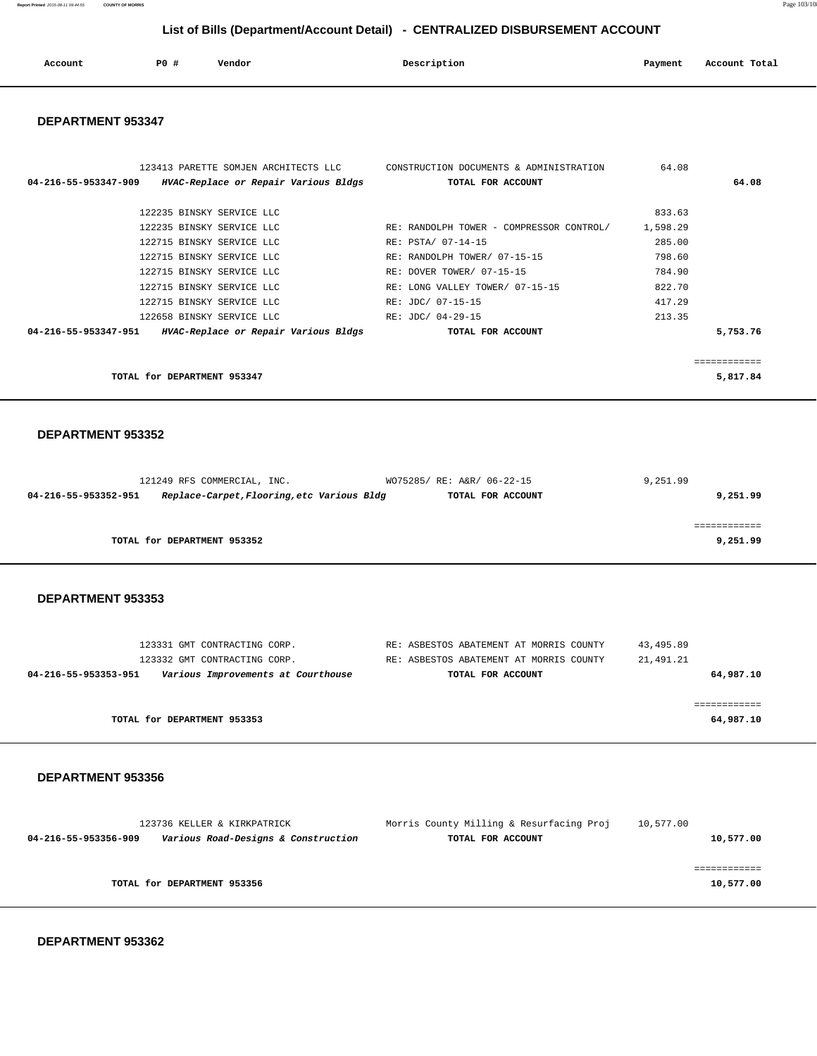**Report Printed** 2015-08-11 09:44:55 **COUNTY OF MORRIS** Page 103/108

 **List of Bills (Department/Account Detail) - CENTRALIZED DISBURSEMENT ACCOUNT**

| Account | P <sub>0</sub> | Vendor<br>. | Description | Payment<br>$\sim$ $\sim$ | Account Total<br>. |
|---------|----------------|-------------|-------------|--------------------------|--------------------|
|         |                |             |             |                          |                    |

#### **DEPARTMENT 953347**

| 123413 PARETTE SOMJEN ARCHITECTS LLC<br>04-216-55-953347-909<br>HVAC-Replace or Repair Various Bldgs TOTAL FOR ACCOUNT | CONSTRUCTION DOCUMENTS & ADMINISTRATION  | 64.08    | 64.08    |
|------------------------------------------------------------------------------------------------------------------------|------------------------------------------|----------|----------|
|                                                                                                                        |                                          |          |          |
| 122235 BINSKY SERVICE LLC                                                                                              |                                          | 833.63   |          |
| 122235 BINSKY SERVICE LLC                                                                                              | RE: RANDOLPH TOWER - COMPRESSOR CONTROL/ | 1,598.29 |          |
| 122715 BINSKY SERVICE LLC                                                                                              | RE: PSTA/ 07-14-15                       | 285.00   |          |
| 122715 BINSKY SERVICE LLC                                                                                              | RE: RANDOLPH TOWER/ 07-15-15             | 798.60   |          |
| 122715 BINSKY SERVICE LLC                                                                                              | RE: DOVER TOWER/ 07-15-15                | 784.90   |          |
| 122715 BINSKY SERVICE LLC                                                                                              | RE: LONG VALLEY TOWER/ 07-15-15          | 822.70   |          |
| 122715 BINSKY SERVICE LLC                                                                                              | RE: JDC/ 07-15-15                        | 417.29   |          |
| 122658 BINSKY SERVICE LLC                                                                                              | RE: JDC/ 04-29-15                        | 213.35   |          |
| HVAC-Replace or Repair Various Bldgs<br>04-216-55-953347-951                                                           | TOTAL FOR ACCOUNT                        |          | 5,753.76 |
|                                                                                                                        |                                          |          |          |
|                                                                                                                        |                                          |          |          |
| TOTAL for DEPARTMENT 953347                                                                                            |                                          |          | 5,817.84 |

#### **DEPARTMENT 953352**

| 121249 RFS COMMERCIAL, INC.                                        | WO75285/ RE: A&R/ 06-22-15 | 9,251.99 |
|--------------------------------------------------------------------|----------------------------|----------|
| Replace-Carpet, Flooring, etc Various Bldg<br>04-216-55-953352-951 | TOTAL FOR ACCOUNT          | 9,251.99 |
|                                                                    |                            |          |
|                                                                    |                            |          |
| TOTAL for DEPARTMENT 953352                                        |                            | 9,251.99 |
|                                                                    |                            |          |

 **DEPARTMENT 953353** 

| 123331 GMT CONTRACTING CORP.<br>123332 GMT CONTRACTING CORP. | RE: ASBESTOS ABATEMENT AT MORRIS COUNTY<br>RE: ASBESTOS ABATEMENT AT MORRIS COUNTY | 43,495.89<br>21,491.21 |
|--------------------------------------------------------------|------------------------------------------------------------------------------------|------------------------|
| Various Improvements at Courthouse<br>04-216-55-953353-951   | TOTAL FOR ACCOUNT                                                                  | 64,987.10              |
| TOTAL for DEPARTMENT 953353                                  |                                                                                    | 64,987.10              |

#### **DEPARTMENT 953356**

| 123736 KELLER & KIRKPATRICK                                 | Morris County Milling & Resurfacing Proj | 10,577.00 |
|-------------------------------------------------------------|------------------------------------------|-----------|
| Various Road-Designs & Construction<br>04-216-55-953356-909 | TOTAL FOR ACCOUNT                        | 10,577.00 |
|                                                             |                                          |           |
| TOTAL for DEPARTMENT 953356                                 |                                          | 10,577.00 |
|                                                             |                                          |           |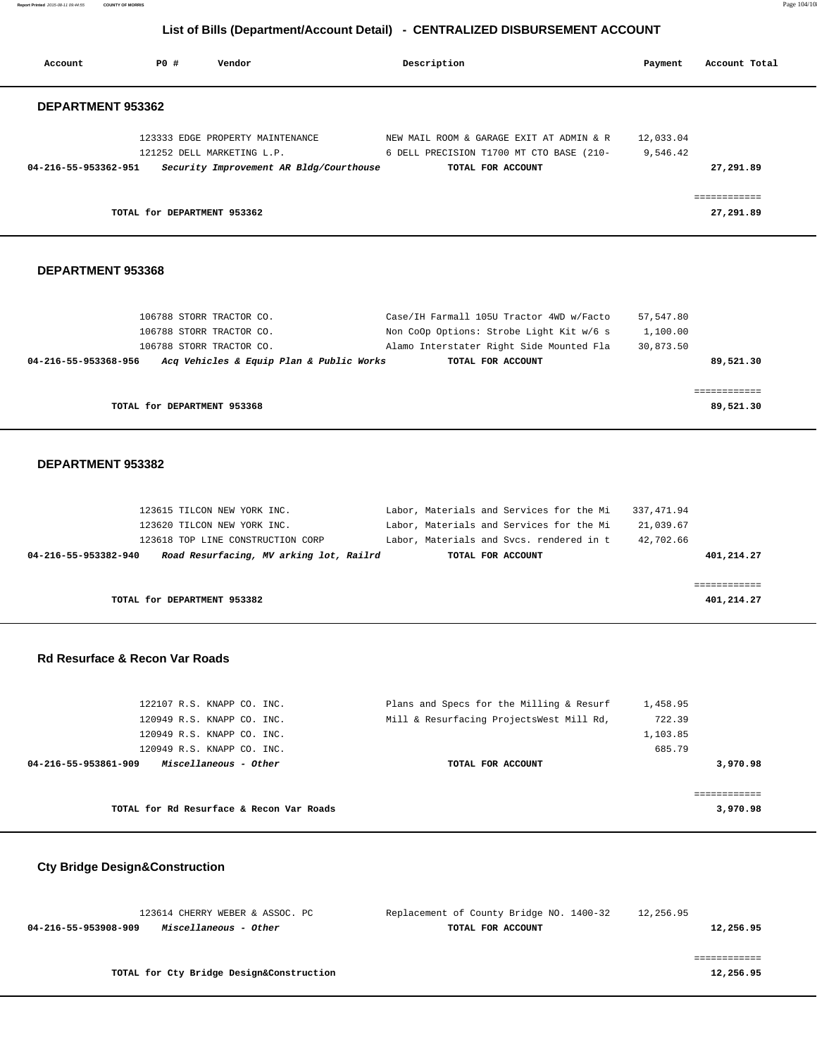**Report Printed** 2015-08-11 09:44:55 **COUNTY OF MORRIS** Page 104/108

### **List of Bills (Department/Account Detail) - CENTRALIZED DISBURSEMENT ACCOUNT**

| Account                                                           | P0 #<br>Vendor                                                                                                                             | Description                                                                                                                                           | Payment                               | Account Total |
|-------------------------------------------------------------------|--------------------------------------------------------------------------------------------------------------------------------------------|-------------------------------------------------------------------------------------------------------------------------------------------------------|---------------------------------------|---------------|
| DEPARTMENT 953362                                                 |                                                                                                                                            |                                                                                                                                                       |                                       |               |
|                                                                   | 123333 EDGE PROPERTY MAINTENANCE                                                                                                           | NEW MAIL ROOM & GARAGE EXIT AT ADMIN & R                                                                                                              | 12,033.04                             |               |
|                                                                   | 121252 DELL MARKETING L.P.                                                                                                                 | 6 DELL PRECISION T1700 MT CTO BASE (210-                                                                                                              | 9,546.42                              |               |
| 04-216-55-953362-951                                              | Security Improvement AR Bldg/Courthouse                                                                                                    | TOTAL FOR ACCOUNT                                                                                                                                     |                                       | 27,291.89     |
|                                                                   |                                                                                                                                            |                                                                                                                                                       |                                       |               |
|                                                                   |                                                                                                                                            |                                                                                                                                                       |                                       | ============  |
|                                                                   | TOTAL for DEPARTMENT 953362                                                                                                                |                                                                                                                                                       |                                       | 27,291.89     |
| DEPARTMENT 953368                                                 |                                                                                                                                            |                                                                                                                                                       |                                       |               |
|                                                                   | 106788 STORR TRACTOR CO.                                                                                                                   | Case/IH Farmall 105U Tractor 4WD w/Facto                                                                                                              | 57,547.80                             |               |
|                                                                   | 106788 STORR TRACTOR CO.                                                                                                                   | Non CoOp Options: Strobe Light Kit w/6 s                                                                                                              | 1,100.00                              |               |
|                                                                   | 106788 STORR TRACTOR CO.                                                                                                                   | Alamo Interstater Right Side Mounted Fla                                                                                                              | 30,873.50                             |               |
| 04-216-55-953368-956                                              | Acq Vehicles & Equip Plan & Public Works                                                                                                   | TOTAL FOR ACCOUNT                                                                                                                                     |                                       | 89,521.30     |
|                                                                   |                                                                                                                                            |                                                                                                                                                       |                                       | ============  |
|                                                                   |                                                                                                                                            |                                                                                                                                                       |                                       |               |
| DEPARTMENT 953382                                                 | TOTAL for DEPARTMENT 953368                                                                                                                |                                                                                                                                                       |                                       | 89,521.30     |
|                                                                   | 123615 TILCON NEW YORK INC.<br>123620 TILCON NEW YORK INC.<br>123618 TOP LINE CONSTRUCTION CORP<br>Road Resurfacing, MV arking lot, Railrd | Labor, Materials and Services for the Mi<br>Labor, Materials and Services for the Mi<br>Labor, Materials and Svcs. rendered in t<br>TOTAL FOR ACCOUNT | 337, 471.94<br>21,039.67<br>42,702.66 | 401,214.27    |
|                                                                   |                                                                                                                                            |                                                                                                                                                       |                                       | ============  |
|                                                                   | TOTAL for DEPARTMENT 953382                                                                                                                |                                                                                                                                                       |                                       | 401,214.27    |
| 04-216-55-953382-940<br><b>Rd Resurface &amp; Recon Var Roads</b> |                                                                                                                                            |                                                                                                                                                       |                                       |               |
|                                                                   | 122107 R.S. KNAPP CO. INC.                                                                                                                 | Plans and Specs for the Milling & Resurf                                                                                                              | 1,458.95                              |               |
|                                                                   | 120949 R.S. KNAPP CO. INC.                                                                                                                 | Mill & Resurfacing ProjectsWest Mill Rd,                                                                                                              | 722.39                                |               |
|                                                                   | 120949 R.S. KNAPP CO. INC.                                                                                                                 |                                                                                                                                                       | 1,103.85                              |               |
|                                                                   | 120949 R.S. KNAPP CO. INC.                                                                                                                 |                                                                                                                                                       | 685.79                                |               |
| 04-216-55-953861-909                                              | Miscellaneous - Other                                                                                                                      | TOTAL FOR ACCOUNT                                                                                                                                     |                                       | 3,970.98      |

| 123614 CHERRY WEBER & ASSOC. PC               | Replacement of County Bridge NO. 1400-32 | 12,256.95 |
|-----------------------------------------------|------------------------------------------|-----------|
| Miscellaneous - Other<br>04-216-55-953908-909 | TOTAL FOR ACCOUNT                        | 12,256.95 |
|                                               |                                          |           |
|                                               |                                          |           |
| TOTAL for Cty Bridge Design&Construction      |                                          | 12,256.95 |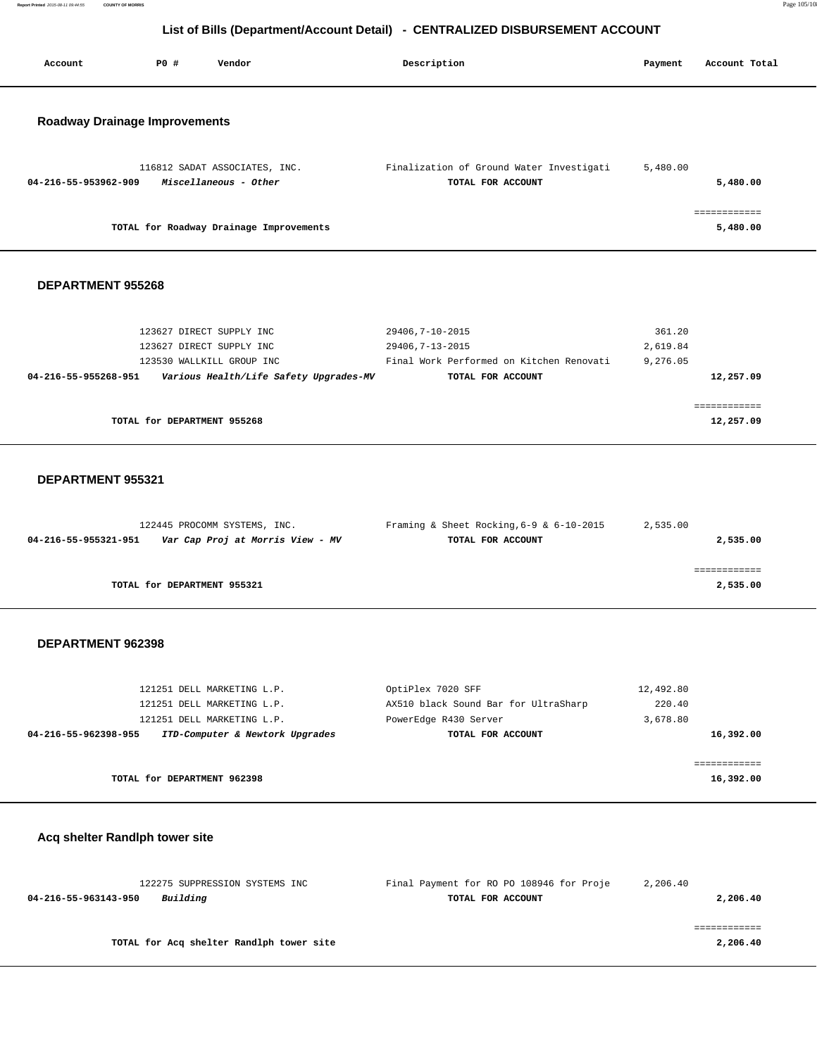**Report Printed** 2015-08-11 09:44:55 **COUNTY OF MORRIS** Page 105/108

### **List of Bills (Department/Account Detail) - CENTRALIZED DISBURSEMENT ACCOUNT**

| Account                              | P0 #     | Vendor                                                 | Description                                                   | Payment   | Account Total |
|--------------------------------------|----------|--------------------------------------------------------|---------------------------------------------------------------|-----------|---------------|
|                                      |          |                                                        |                                                               |           |               |
|                                      |          |                                                        |                                                               |           |               |
| <b>Roadway Drainage Improvements</b> |          |                                                        |                                                               |           |               |
|                                      |          |                                                        |                                                               |           |               |
|                                      |          |                                                        |                                                               |           |               |
| 04-216-55-953962-909                 |          | 116812 SADAT ASSOCIATES, INC.<br>Miscellaneous - Other | Finalization of Ground Water Investigati<br>TOTAL FOR ACCOUNT | 5,480.00  | 5,480.00      |
|                                      |          |                                                        |                                                               |           |               |
|                                      |          |                                                        |                                                               |           | ============  |
|                                      |          | TOTAL for Roadway Drainage Improvements                |                                                               |           | 5,480.00      |
|                                      |          |                                                        |                                                               |           |               |
|                                      |          |                                                        |                                                               |           |               |
| DEPARTMENT 955268                    |          |                                                        |                                                               |           |               |
|                                      |          |                                                        |                                                               |           |               |
|                                      |          | 123627 DIRECT SUPPLY INC                               | 29406, 7-10-2015                                              | 361.20    |               |
|                                      |          | 123627 DIRECT SUPPLY INC                               | 29406, 7-13-2015                                              | 2,619.84  |               |
|                                      |          | 123530 WALLKILL GROUP INC                              | Final Work Performed on Kitchen Renovati                      | 9,276.05  |               |
| 04-216-55-955268-951                 |          | Various Health/Life Safety Upgrades-MV                 | TOTAL FOR ACCOUNT                                             |           | 12,257.09     |
|                                      |          |                                                        |                                                               |           | ============  |
|                                      |          | TOTAL for DEPARTMENT 955268                            |                                                               |           | 12,257.09     |
|                                      |          |                                                        |                                                               |           |               |
|                                      |          |                                                        |                                                               |           |               |
| <b>DEPARTMENT 955321</b>             |          |                                                        |                                                               |           |               |
|                                      |          |                                                        |                                                               |           |               |
|                                      |          |                                                        |                                                               |           |               |
|                                      |          | 122445 PROCOMM SYSTEMS, INC.                           | Framing & Sheet Rocking, $6-9$ & $6-10-2015$                  | 2,535.00  |               |
| 04-216-55-955321-951                 |          | Var Cap Proj at Morris View - MV                       | TOTAL FOR ACCOUNT                                             |           | 2,535.00      |
|                                      |          |                                                        |                                                               |           | ============  |
|                                      |          | TOTAL for DEPARTMENT 955321                            |                                                               |           | 2,535.00      |
|                                      |          |                                                        |                                                               |           |               |
|                                      |          |                                                        |                                                               |           |               |
| DEPARTMENT 962398                    |          |                                                        |                                                               |           |               |
|                                      |          |                                                        |                                                               |           |               |
|                                      |          | 121251 DELL MARKETING L.P.                             | OptiPlex 7020 SFF                                             | 12,492.80 |               |
|                                      |          | 121251 DELL MARKETING L.P.                             | AX510 black Sound Bar for UltraSharp                          | 220.40    |               |
|                                      |          | 121251 DELL MARKETING L.P.                             | PowerEdge R430 Server                                         | 3,678.80  |               |
| 04-216-55-962398-955                 |          | ITD-Computer & Newtork Upgrades                        | TOTAL FOR ACCOUNT                                             |           | 16,392.00     |
|                                      |          |                                                        |                                                               |           | ============  |
|                                      |          | TOTAL for DEPARTMENT 962398                            |                                                               |           | 16,392.00     |
|                                      |          |                                                        |                                                               |           |               |
|                                      |          |                                                        |                                                               |           |               |
| Acq shelter Randlph tower site       |          |                                                        |                                                               |           |               |
|                                      |          |                                                        |                                                               |           |               |
|                                      |          |                                                        |                                                               |           |               |
|                                      |          | 122275 SUPPRESSION SYSTEMS INC                         | Final Payment for RO PO 108946 for Proje                      | 2,206.40  |               |
| 04-216-55-963143-950                 | Building |                                                        | TOTAL FOR ACCOUNT                                             |           | 2,206.40      |
|                                      |          |                                                        |                                                               |           | ============  |
|                                      |          | TOTAL for Acq shelter Randlph tower site               |                                                               |           | 2,206.40      |
|                                      |          |                                                        |                                                               |           |               |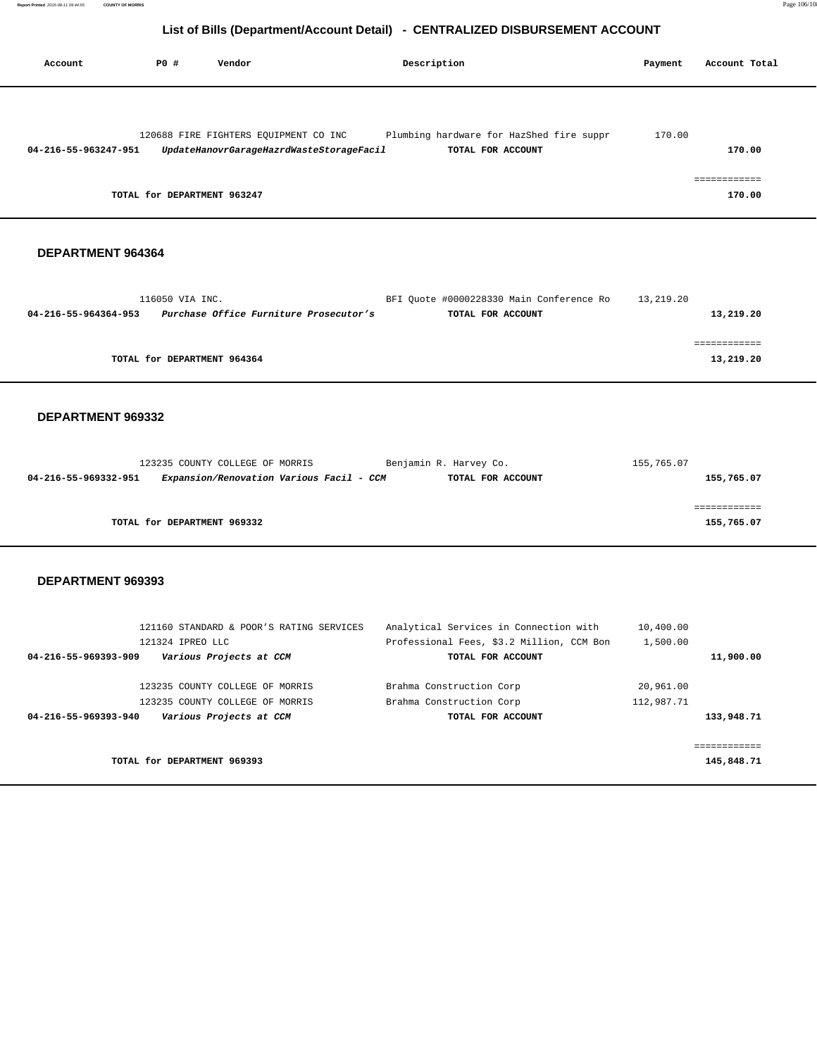| Account              | PO#                         | Vendor                                   | Description                              | Payment | Account Total |
|----------------------|-----------------------------|------------------------------------------|------------------------------------------|---------|---------------|
|                      |                             | 120688 FIRE FIGHTERS EQUIPMENT CO INC    | Plumbing hardware for HazShed fire suppr | 170.00  |               |
| 04-216-55-963247-951 |                             | UpdateHanovrGarageHazrdWasteStorageFacil | TOTAL FOR ACCOUNT                        |         | 170.00        |
|                      |                             |                                          |                                          |         |               |
|                      | TOTAL for DEPARTMENT 963247 |                                          |                                          |         | 170.00        |

### **DEPARTMENT 964364**

|                      | 116050 VIA INC.                        | BFI Ouote #0000228330 Main Conference Ro | 13,219.20 |
|----------------------|----------------------------------------|------------------------------------------|-----------|
| 04-216-55-964364-953 | Purchase Office Furniture Prosecutor's | TOTAL FOR ACCOUNT                        | 13,219.20 |
|                      |                                        |                                          |           |
|                      |                                        |                                          |           |
|                      | TOTAL for DEPARTMENT 964364            |                                          | 13,219.20 |
|                      |                                        |                                          |           |

#### **DEPARTMENT 969332**

|                                                                |                                          | 155,765.07                                  |
|----------------------------------------------------------------|------------------------------------------|---------------------------------------------|
|                                                                |                                          | 155,765.07                                  |
|                                                                |                                          |                                             |
|                                                                |                                          |                                             |
|                                                                |                                          | 155,765.07                                  |
| 123235 COUNTY COLLEGE OF MORRIS<br>TOTAL for DEPARTMENT 969332 | Expansion/Renovation Various Facil - CCM | Benjamin R. Harvey Co.<br>TOTAL FOR ACCOUNT |

|                      | 121160 STANDARD & POOR'S RATING SERVICES<br>121324 IPREO LLC | Analytical Services in Connection with<br>Professional Fees, \$3.2 Million, CCM Bon | 10,400.00<br>1,500.00 |
|----------------------|--------------------------------------------------------------|-------------------------------------------------------------------------------------|-----------------------|
| 04-216-55-969393-909 | Various Projects at CCM                                      | TOTAL FOR ACCOUNT                                                                   | 11,900.00             |
|                      | 123235 COUNTY COLLEGE OF MORRIS                              | Brahma Construction Corp                                                            | 20,961.00             |
|                      | 123235 COUNTY COLLEGE OF MORRIS                              | Brahma Construction Corp                                                            | 112,987.71            |
| 04-216-55-969393-940 | Various Projects at CCM                                      | TOTAL FOR ACCOUNT                                                                   | 133,948.71            |
|                      |                                                              |                                                                                     |                       |
|                      |                                                              |                                                                                     |                       |
|                      | TOTAL for DEPARTMENT 969393                                  |                                                                                     | 145,848.71            |
|                      |                                                              |                                                                                     |                       |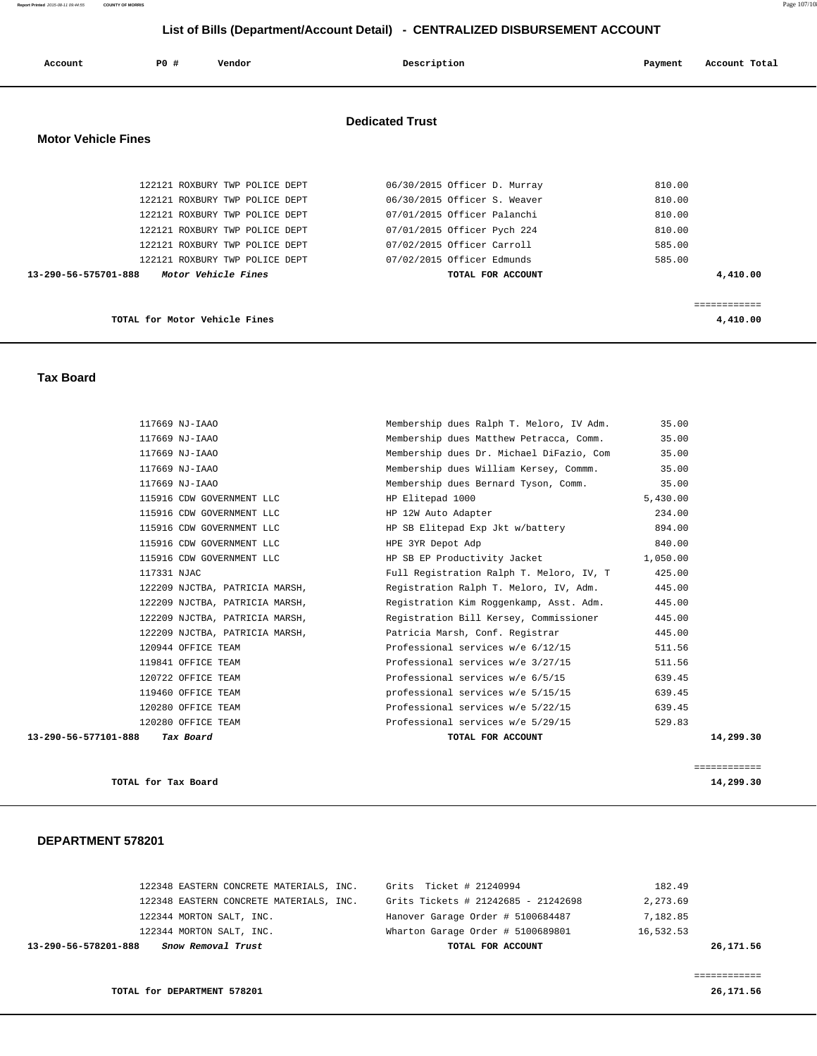**Report Printed** 2015-08-11 09:44:55 **COUNTY OF MORRIS** Page 107/108

### **List of Bills (Department/Account Detail) - CENTRALIZED DISBURSEMENT ACCOUNT**

| Account                    | PO#                           | Vendor                                                                                                                                                                                                                          | Description                                                                                                                                                                                                 | Account Total<br>Payment                                             |
|----------------------------|-------------------------------|---------------------------------------------------------------------------------------------------------------------------------------------------------------------------------------------------------------------------------|-------------------------------------------------------------------------------------------------------------------------------------------------------------------------------------------------------------|----------------------------------------------------------------------|
| <b>Motor Vehicle Fines</b> |                               |                                                                                                                                                                                                                                 | <b>Dedicated Trust</b>                                                                                                                                                                                      |                                                                      |
| 13-290-56-575701-888       |                               | 122121 ROXBURY TWP POLICE DEPT<br>122121 ROXBURY TWP POLICE DEPT<br>122121 ROXBURY TWP POLICE DEPT<br>122121 ROXBURY TWP POLICE DEPT<br>122121 ROXBURY TWP POLICE DEPT<br>122121 ROXBURY TWP POLICE DEPT<br>Motor Vehicle Fines | 06/30/2015 Officer D. Murray<br>06/30/2015 Officer S. Weaver<br>07/01/2015 Officer Palanchi<br>07/01/2015 Officer Pych 224<br>07/02/2015 Officer Carroll<br>07/02/2015 Officer Edmunds<br>TOTAL FOR ACCOUNT | 810.00<br>810.00<br>810.00<br>810.00<br>585.00<br>585.00<br>4,410.00 |
|                            | TOTAL for Motor Vehicle Fines |                                                                                                                                                                                                                                 |                                                                                                                                                                                                             | ============<br>4,410.00                                             |

#### **Tax Board**

|                      | 117669 NJ-IAAO                 | Membership dues Ralph T. Meloro, IV Adm. | 35.00     |
|----------------------|--------------------------------|------------------------------------------|-----------|
|                      | 117669 NJ-IAAO                 | Membership dues Matthew Petracca, Comm.  | 35.00     |
|                      | 117669 NJ-IAAO                 | Membership dues Dr. Michael DiFazio, Com | 35.00     |
|                      | 117669 NJ-IAAO                 | Membership dues William Kersey, Commm.   | 35.00     |
|                      | 117669 NJ-IAAO                 | Membership dues Bernard Tyson, Comm.     | 35.00     |
|                      | 115916 CDW GOVERNMENT LLC      | HP Elitepad 1000                         | 5,430.00  |
|                      | 115916 CDW GOVERNMENT LLC      | HP 12W Auto Adapter                      | 234.00    |
|                      | 115916 CDW GOVERNMENT LLC      | HP SB Elitepad Exp Jkt w/battery         | 894.00    |
|                      | 115916 CDW GOVERNMENT LLC      | HPE 3YR Depot Adp                        | 840.00    |
|                      | 115916 CDW GOVERNMENT LLC      | HP SB EP Productivity Jacket             | 1,050.00  |
|                      | 117331 NJAC                    | Full Registration Ralph T. Meloro, IV, T | 425.00    |
|                      | 122209 NJCTBA, PATRICIA MARSH, | Registration Ralph T. Meloro, IV, Adm.   | 445.00    |
|                      | 122209 NJCTBA, PATRICIA MARSH, | Registration Kim Roggenkamp, Asst. Adm.  | 445.00    |
|                      | 122209 NJCTBA, PATRICIA MARSH, | Registration Bill Kersey, Commissioner   | 445.00    |
|                      | 122209 NJCTBA, PATRICIA MARSH, | Patricia Marsh, Conf. Registrar          | 445.00    |
|                      | 120944 OFFICE TEAM             | Professional services w/e 6/12/15        | 511.56    |
|                      | 119841 OFFICE TEAM             | Professional services w/e 3/27/15        | 511.56    |
|                      | 120722 OFFICE TEAM             | Professional services w/e 6/5/15         | 639.45    |
|                      | 119460 OFFICE TEAM             | professional services w/e 5/15/15        | 639.45    |
|                      | 120280 OFFICE TEAM             | Professional services w/e 5/22/15        | 639.45    |
|                      | 120280 OFFICE TEAM             | Professional services w/e 5/29/15        | 529.83    |
| 13-290-56-577101-888 | Tax Board                      | TOTAL FOR ACCOUNT                        | 14,299.30 |
|                      |                                |                                          |           |
|                      |                                |                                          |           |

**TOTAL for Tax Board 14,299.30**

============

#### **DEPARTMENT 578201**

| Snow Removal Trust<br>13-290-56-578201-888 | TOTAL FOR ACCOUNT                   | 26,171.56 |
|--------------------------------------------|-------------------------------------|-----------|
| 122344 MORTON SALT, INC.                   | Wharton Garage Order # 5100689801   | 16,532.53 |
| 122344 MORTON SALT, INC.                   | Hanover Garage Order # 5100684487   | 7,182.85  |
| 122348 EASTERN CONCRETE MATERIALS, INC.    | Grits Tickets # 21242685 - 21242698 | 2,273.69  |
| 122348 EASTERN CONCRETE MATERIALS, INC.    | Grits Ticket # 21240994             | 182.49    |

============